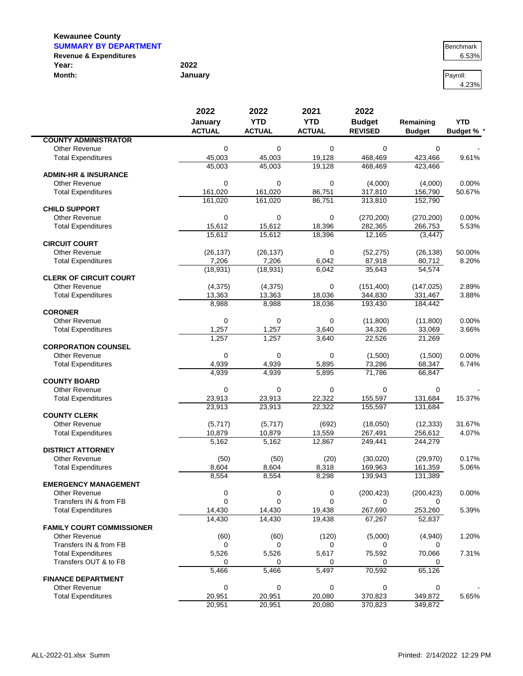$\blacksquare$ 

| <b>SUMMARY BY DEPARTMENT</b>      |         | Benchmark |
|-----------------------------------|---------|-----------|
| <b>Revenue &amp; Expenditures</b> |         | 6.53%     |
| Year:                             | 2022    |           |
| Month:                            | January | Pavroll:  |

| Benchmark |
|-----------|
| 6 53%     |

4.23%

|                                  | 2022           | 2022<br>2021   | 2022           |                  |                  |                 |
|----------------------------------|----------------|----------------|----------------|------------------|------------------|-----------------|
|                                  | January        | <b>YTD</b>     | <b>YTD</b>     | <b>Budget</b>    | Remaining        | <b>YTD</b>      |
|                                  | <b>ACTUAL</b>  | <b>ACTUAL</b>  | <b>ACTUAL</b>  | <b>REVISED</b>   | <b>Budget</b>    | <b>Budget %</b> |
| <b>COUNTY ADMINISTRATOR</b>      |                |                |                |                  |                  |                 |
| <b>Other Revenue</b>             | 0              | 0              | 0              | $\mathbf 0$      | 0                |                 |
| <b>Total Expenditures</b>        | 45,003         | 45,003         | 19,128         | 468,469          | 423,466          | 9.61%           |
|                                  | 45,003         | 45,003         | 19.128         | 468,469          | 423,466          |                 |
| <b>ADMIN-HR &amp; INSURANCE</b>  |                |                |                |                  |                  |                 |
| <b>Other Revenue</b>             | $\mathbf 0$    | 0              | $\mathbf 0$    | (4,000)          | (4,000)          | 0.00%           |
| <b>Total Expenditures</b>        | 161,020        | 161,020        | 86,751         | 317,810          | 156,790          | 50.67%          |
|                                  | 161,020        | 161,020        | 86,751         | 313,810          | 152,790          |                 |
| <b>CHILD SUPPORT</b>             |                |                |                |                  |                  |                 |
| Other Revenue                    | 0              | 0              | 0              | (270, 200)       | (270, 200)       | 0.00%           |
| <b>Total Expenditures</b>        | 15,612         | 15,612         | 18,396         | 282,365          | 266,753          | 5.53%           |
|                                  | 15,612         | 15,612         | 18,396         | 12,165           | (3, 447)         |                 |
| <b>CIRCUIT COURT</b>             |                |                |                |                  |                  |                 |
| Other Revenue                    | (26, 137)      | (26, 137)      | 0              | (52, 275)        | (26, 138)        | 50.00%          |
| <b>Total Expenditures</b>        | 7,206          | 7,206          | 6,042          | 87,918           | 80,712           | 8.20%           |
|                                  | (18, 931)      | (18, 931)      | 6,042          | 35,643           | 54,574           |                 |
| <b>CLERK OF CIRCUIT COURT</b>    |                |                |                |                  |                  |                 |
| <b>Other Revenue</b>             | (4, 375)       | (4,375)        | $\mathbf 0$    | (151, 400)       | (147, 025)       | 2.89%           |
| <b>Total Expenditures</b>        | 13,363         | 13,363         | 18,036         | 344,830          | 331,467          | 3.88%           |
| <b>CORONER</b>                   | 8,988          | 8,988          | 18,036         | 193,430          | 184,442          |                 |
| Other Revenue                    | 0              | 0              |                |                  |                  | 0.00%           |
| <b>Total Expenditures</b>        |                |                | 0              | (11,800)         | (11,800)         | 3.66%           |
|                                  | 1,257<br>1,257 | 1,257<br>1,257 | 3,640<br>3,640 | 34,326<br>22,526 | 33,069<br>21,269 |                 |
| <b>CORPORATION COUNSEL</b>       |                |                |                |                  |                  |                 |
| <b>Other Revenue</b>             | 0              | 0              | 0              | (1,500)          | (1,500)          | 0.00%           |
| <b>Total Expenditures</b>        | 4,939          | 4,939          | 5,895          | 73,286           | 68,347           | 6.74%           |
|                                  | 4,939          | 4,939          | 5,895          | 71,786           | 66,847           |                 |
| <b>COUNTY BOARD</b>              |                |                |                |                  |                  |                 |
| Other Revenue                    | 0              | 0              | $\mathbf 0$    | $\mathbf 0$      | $\mathbf 0$      |                 |
| <b>Total Expenditures</b>        | 23,913         | 23,913         | 22,322         | 155,597          | 131,684          | 15.37%          |
|                                  | 23,913         | 23,913         | 22,322         | 155,597          | 131,684          |                 |
| <b>COUNTY CLERK</b>              |                |                |                |                  |                  |                 |
| <b>Other Revenue</b>             | (5,717)        | (5,717)        | (692)          | (18,050)         | (12, 333)        | 31.67%          |
| <b>Total Expenditures</b>        | 10,879         | 10,879         | 13,559         | 267,491          | 256,612          | 4.07%           |
|                                  | 5,162          | 5,162          | 12,867         | 249,441          | 244,279          |                 |
| <b>DISTRICT ATTORNEY</b>         |                |                |                |                  |                  |                 |
| Other Revenue                    | (50)           | (50)           | (20)           | (30,020)         | (29, 970)        | 0.17%           |
| <b>Total Expenditures</b>        | 8,604          | 8,604          | 8,318          | 169,963          | 161,359          | 5.06%           |
|                                  | 8,554          | 8,554          | 8,298          | 139,943          | 131,389          |                 |
| <b>EMERGENCY MANAGEMENT</b>      |                |                |                |                  |                  |                 |
| Other Revenue                    | 0              | 0              | 0              | (200, 423)       | (200, 423)       | 0.00%           |
| Transfers IN & from FB           | $\mathbf 0$    | 0              | $\mathbf 0$    | 0                | 0                |                 |
| <b>Total Expenditures</b>        | 14,430         | 14,430         | 19,438         | 267,690          | 253,260          | 5.39%           |
|                                  | 14,430         | 14,430         | 19,438         | 67,267           | 52,837           |                 |
| <b>FAMILY COURT COMMISSIONER</b> |                |                |                |                  |                  |                 |
| <b>Other Revenue</b>             | (60)           | (60)           | (120)          | (5,000)          | (4,940)          | 1.20%           |
| Transfers IN & from FB           | 0              | 0              | 0              | 0                |                  |                 |
| <b>Total Expenditures</b>        | 5,526          | 5,526          | 5,617          | 75,592           | 70,066           | 7.31%           |
| Transfers OUT & to FB            | 0              | 0              | 0              | 0                | 0                |                 |
|                                  | 5,466          | 5,466          | 5,497          | 70,592           | 65,126           |                 |
| <b>FINANCE DEPARTMENT</b>        |                |                |                |                  |                  |                 |
| Other Revenue                    | 0              | 0              | 0              | 0                | 0                |                 |
| <b>Total Expenditures</b>        | 20,951         | 20,951         | 20,080         | 370,823          | 349,872          | 5.65%           |
|                                  | 20,951         | 20,951         | 20,080         | 370,823          | 349,872          |                 |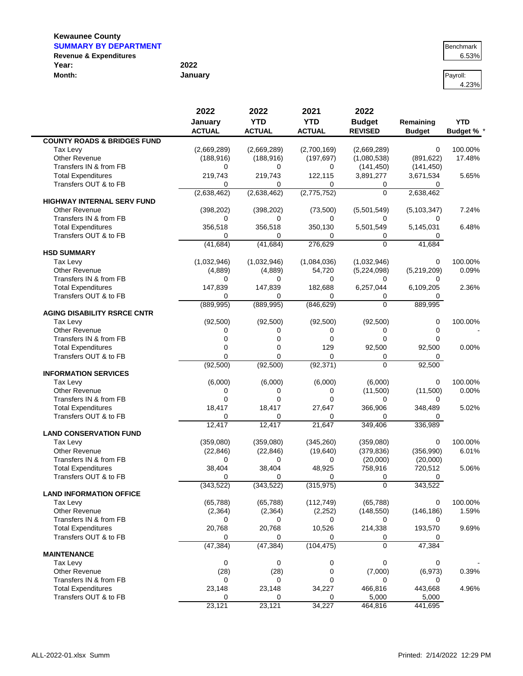$\blacksquare$ 

| <b>SUMMARY BY DEPARTMENT</b>      |         | Benchmark |
|-----------------------------------|---------|-----------|
| <b>Revenue &amp; Expenditures</b> |         | 6.53%     |
| Year:                             | 2022    |           |
| Month:                            | January | Pavroll:  |

4.23%

|                                        | 2022            | 2022            | 2021            | 2022             |               |                 |
|----------------------------------------|-----------------|-----------------|-----------------|------------------|---------------|-----------------|
|                                        | January         | <b>YTD</b>      | <b>YTD</b>      | <b>Budget</b>    | Remaining     | <b>YTD</b>      |
|                                        | <b>ACTUAL</b>   | <b>ACTUAL</b>   | <b>ACTUAL</b>   | <b>REVISED</b>   | <b>Budget</b> | <b>Budget %</b> |
| <b>COUNTY ROADS &amp; BRIDGES FUND</b> |                 |                 |                 |                  |               |                 |
| Tax Levy                               | (2,669,289)     | (2,669,289)     | (2,700,169)     | (2,669,289)      | 0             | 100.00%         |
| Other Revenue                          | (188, 916)      | (188, 916)      | (197, 697)      | (1,080,538)      | (891, 622)    | 17.48%          |
| Transfers IN & from FB                 | 0               | 0               | 0               | (141, 450)       | (141, 450)    |                 |
| <b>Total Expenditures</b>              | 219,743         | 219,743         | 122,115         | 3,891,277        | 3,671,534     | 5.65%           |
| Transfers OUT & to FB                  | 0               | 0               | $\Omega$        | 0                | 0             |                 |
|                                        | (2,638,462)     | (2,638,462)     | (2,775,752)     | $\Omega$         | 2,638,462     |                 |
| <b>HIGHWAY INTERNAL SERV FUND</b>      |                 |                 |                 |                  |               |                 |
| Other Revenue                          | (398, 202)      | (398, 202)      | (73,500)        | (5,501,549)      | (5, 103, 347) | 7.24%           |
| Transfers IN & from FB                 | 0               | 0               | $\Omega$        | 0                | 0             |                 |
| <b>Total Expenditures</b>              | 356,518         | 356,518         | 350,130         | 5,501,549        | 5,145,031     | 6.48%           |
| Transfers OUT & to FB                  | 0               | 0               | 0               | 0                | 0             |                 |
|                                        | (41, 684)       | (41, 684)       | 276,629         | $\Omega$         | 41,684        |                 |
| <b>HSD SUMMARY</b>                     |                 |                 |                 |                  |               |                 |
| Tax Levy                               | (1,032,946)     | (1,032,946)     | (1,084,036)     | (1,032,946)      | 0             | 100.00%         |
| <b>Other Revenue</b>                   | (4,889)         | (4,889)         | 54,720          | (5,224,098)      | (5,219,209)   | 0.09%           |
| Transfers IN & from FB                 | 0               | 0               | 0               | <sup>0</sup>     | 0             |                 |
| <b>Total Expenditures</b>              | 147,839         | 147,839         | 182,688         | 6,257,044        | 6,109,205     | 2.36%           |
| Transfers OUT & to FB                  | 0               | 0               | $\Omega$        | 0                | 0             |                 |
|                                        | (889, 995)      | (889, 995)      | (846, 629)      | $\Omega$         | 889,995       |                 |
| <b>AGING DISABILITY RSRCE CNTR</b>     |                 |                 |                 |                  |               |                 |
| Tax Levy                               | (92, 500)       | (92, 500)       | (92, 500)       | (92, 500)        | 0             | 100.00%         |
| Other Revenue                          | 0               | 0               | 0               | $\Omega$         | 0             |                 |
| Transfers IN & from FB                 | $\mathbf 0$     | 0               | $\mathbf 0$     | $\mathbf 0$      | $\Omega$      |                 |
| <b>Total Expenditures</b>              | 0               | 0               | 129             | 92,500           | 92,500        | 0.00%           |
| Transfers OUT & to FB                  | $\Omega$        | 0               | $\Omega$        | 0                | 0             |                 |
|                                        | (92, 500)       | (92, 500)       | (92, 371)       | $\mathbf 0$      | 92,500        |                 |
| <b>INFORMATION SERVICES</b>            |                 |                 |                 |                  |               |                 |
| Tax Levy                               | (6,000)         | (6,000)         | (6,000)         | (6,000)          | 0             | 100.00%         |
| <b>Other Revenue</b>                   | 0               | 0               | 0               | (11,500)         | (11,500)      | 0.00%           |
| Transfers IN & from FB                 | 0               | 0               | $\Omega$        | $\Omega$         | 0             |                 |
| <b>Total Expenditures</b>              | 18,417          | 18,417          | 27,647          | 366,906          | 348,489       | 5.02%           |
| Transfers OUT & to FB                  | 0               | 0               | 0               | $\Omega$         | 0             |                 |
|                                        | 12,417          | 12,417          | 21,647          | 349,406          | 336,989       |                 |
| <b>LAND CONSERVATION FUND</b>          |                 |                 |                 |                  |               |                 |
| Tax Levy                               | (359,080)       | (359,080)       | (345, 260)      | (359,080)        | 0             | 100.00%         |
| Other Revenue                          | (22, 846)       | (22, 846)       | (19, 640)       | (379, 836)       | (356,990)     | 6.01%           |
| Transfers IN & from FB                 | 0               | 0               | 0               | (20,000)         | (20,000)      |                 |
| <b>Total Expenditures</b>              | 38,404          | 38,404          | 48,925          | 758,916          | 720,512       | 5.06%           |
| Transfers OUT & to FB                  | 0<br>(343, 522) | 0<br>(343, 522) | 0<br>(315, 975) | 0<br>0           | 0<br>343,522  |                 |
| <b>LAND INFORMATION OFFICE</b>         |                 |                 |                 |                  |               |                 |
| Tax Levy                               | (65, 788)       | (65, 788)       | (112, 749)      | (65, 788)        | 0             | 100.00%         |
| Other Revenue                          |                 |                 |                 |                  | (146, 186)    | 1.59%           |
| Transfers IN & from FB                 | (2, 364)<br>0   | (2, 364)<br>0   | (2, 252)<br>0   | (148, 550)<br>0  |               |                 |
| <b>Total Expenditures</b>              |                 |                 |                 |                  | 0             |                 |
| Transfers OUT & to FB                  | 20,768<br>0     | 20,768<br>0     | 10,526<br>0     | 214,338          | 193,570       | 9.69%           |
|                                        | (47, 384)       | (47, 384)       | (104, 475)      | 0<br>$\mathbf 0$ | 0<br>47,384   |                 |
| <b>MAINTENANCE</b>                     |                 |                 |                 |                  |               |                 |
| Tax Levy                               | $\mathbf 0$     | 0               | 0               | 0                | 0             |                 |
| <b>Other Revenue</b>                   | (28)            | (28)            | 0               | (7,000)          | (6,973)       | 0.39%           |
| Transfers IN & from FB                 | 0               | 0               | $\mathbf 0$     | 0                | 0             |                 |
| <b>Total Expenditures</b>              | 23,148          | 23,148          | 34,227          | 466,816          | 443,668       | 4.96%           |
| Transfers OUT & to FB                  | 0               | 0               | 0               | 5,000            | 5,000         |                 |
|                                        | 23,121          | 23,121          | 34,227          | 464,816          | 441,695       |                 |
|                                        |                 |                 |                 |                  |               |                 |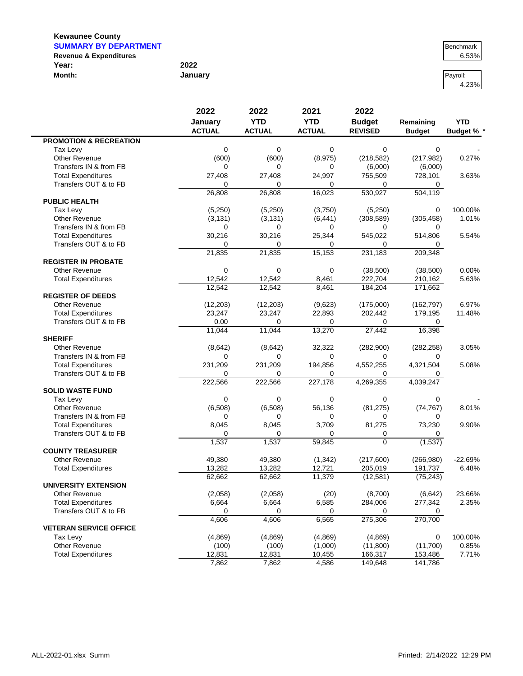| <b>SUMMARY BY DEPARTMENT</b>      |         | Benchmark |
|-----------------------------------|---------|-----------|
| <b>Revenue &amp; Expenditures</b> |         | 6.53%     |
| Year:                             | 2022    |           |
| Month:                            | January | Pavroll:  |

| Benchmark      |
|----------------|
| <u> 6.53% </u> |

4.23%

|                                   | 2022<br>January | 2022<br><b>YTD</b><br><b>YTD</b> | 2021          | 2022<br><b>Budget</b> | Remaining     | <b>YTD</b>        |
|-----------------------------------|-----------------|----------------------------------|---------------|-----------------------|---------------|-------------------|
|                                   |                 |                                  |               |                       |               |                   |
|                                   | <b>ACTUAL</b>   | <b>ACTUAL</b>                    | <b>ACTUAL</b> | <b>REVISED</b>        | <b>Budget</b> | <b>Budget % *</b> |
| <b>PROMOTION &amp; RECREATION</b> |                 |                                  |               |                       |               |                   |
| Tax Levy                          | 0               | 0                                | $\mathbf 0$   | 0                     | 0             |                   |
| <b>Other Revenue</b>              | (600)           | (600)                            | (8,975)       | (218, 582)            | (217, 982)    | 0.27%             |
| Transfers IN & from FB            | 0               | 0                                | 0             | (6,000)               | (6,000)       |                   |
| <b>Total Expenditures</b>         | 27,408          | 27,408                           | 24,997        | 755,509               | 728,101       | 3.63%             |
| Transfers OUT & to FB             | $\Omega$        | 0                                | 0             | 0                     | 0             |                   |
|                                   | 26,808          | 26,808                           | 16,023        | 530,927               | 504,119       |                   |
| <b>PUBLIC HEALTH</b>              |                 |                                  |               |                       |               |                   |
| Tax Levy                          | (5,250)         | (5,250)                          | (3,750)       | (5,250)               | 0             | 100.00%           |
| Other Revenue                     | (3, 131)        | (3, 131)                         | (6, 441)      | (308, 589)            | (305, 458)    | 1.01%             |
| Transfers IN & from FB            | 0               | $\Omega$                         | 0             | 0                     | 0             |                   |
| <b>Total Expenditures</b>         | 30,216          | 30,216                           | 25,344        | 545,022               | 514,806       | 5.54%             |
| Transfers OUT & to FB             | $\Omega$        | $\Omega$                         | 0             | 0                     | 0             |                   |
|                                   | 21,835          | 21,835                           | 15,153        | 231,183               | 209,348       |                   |
| <b>REGISTER IN PROBATE</b>        |                 |                                  |               |                       |               |                   |
| <b>Other Revenue</b>              | 0               | $\mathbf 0$                      | $\mathbf 0$   | (38,500)              | (38,500)      | 0.00%             |
| <b>Total Expenditures</b>         | 12,542          | 12,542                           | 8,461         | 222,704               | 210,162       | 5.63%             |
|                                   | 12.542          | 12,542                           | 8,461         | 184,204               | 171,662       |                   |
| <b>REGISTER OF DEEDS</b>          |                 |                                  |               |                       |               |                   |
| <b>Other Revenue</b>              | (12, 203)       | (12, 203)                        | (9,623)       | (175,000)             | (162, 797)    | 6.97%             |
| <b>Total Expenditures</b>         | 23,247          | 23,247                           | 22,893        | 202,442               | 179,195       | 11.48%            |
| Transfers OUT & to FB             | 0.00            | $\Omega$                         | 0             | 0                     | 0             |                   |
|                                   | 11,044          | 11,044                           | 13,270        | 27,442                | 16,398        |                   |
| <b>SHERIFF</b>                    |                 |                                  |               |                       |               |                   |
| <b>Other Revenue</b>              | (8,642)         | (8,642)                          | 32,322        | (282,900)             | (282, 258)    | 3.05%             |
| Transfers IN & from FB            | 0               | 0                                | $\mathbf 0$   | 0                     | 0             |                   |
| <b>Total Expenditures</b>         | 231,209         | 231,209                          | 194,856       | 4,552,255             | 4,321,504     | 5.08%             |
| Transfers OUT & to FB             | 0               | 0                                | $\Omega$      | 0                     | 0             |                   |
|                                   | 222,566         | 222,566                          | 227,178       | 4,269,355             | 4,039,247     |                   |
| <b>SOLID WASTE FUND</b>           |                 |                                  |               |                       |               |                   |
| Tax Levy                          | 0               | $\mathbf 0$                      | $\mathbf 0$   | 0                     | 0             |                   |
| Other Revenue                     | (6,508)         | (6,508)                          | 56,136        | (81, 275)             | (74, 767)     | 8.01%             |
| Transfers IN & from FB            | 0               | 0                                | 0             | 0                     | 0             |                   |
| <b>Total Expenditures</b>         | 8,045           | 8,045                            | 3,709         | 81,275                | 73,230        | 9.90%             |
| Transfers OUT & to FB             | $\Omega$        | 0                                | $\Omega$      | 0                     | 0             |                   |
|                                   | 1,537           | 1,537                            | 59,845        | $\Omega$              | (1,537)       |                   |
| <b>COUNTY TREASURER</b>           |                 |                                  |               |                       |               |                   |
| <b>Other Revenue</b>              | 49,380          | 49,380                           | (1, 342)      | (217,600)             | (266,980)     | $-22.69%$         |
| <b>Total Expenditures</b>         | 13,282          | 13,282                           | 12,721        | 205,019               | 191,737       | 6.48%             |
|                                   | 62,662          | 62,662                           | 11,379        | (12, 581)             | (75, 243)     |                   |
| <b>UNIVERSITY EXTENSION</b>       |                 |                                  |               |                       |               |                   |
| Other Revenue                     | (2,058)         | (2,058)                          | (20)          | (8,700)               | (6, 642)      | 23.66%            |
| <b>Total Expenditures</b>         | 6,664           | 6,664                            | 6,585         | 284,006               | 277,342       | 2.35%             |
| Transfers OUT & to FB             | 0               | 0                                | 0             | 0                     | 0             |                   |
|                                   | 4,606           | 4,606                            | 6,565         | 275,306               | 270,700       |                   |
| <b>VETERAN SERVICE OFFICE</b>     |                 |                                  |               |                       |               |                   |
| Tax Levy                          | (4,869)         | (4,869)                          | (4,869)       | (4,869)               | 0             | 100.00%           |
| Other Revenue                     |                 |                                  |               |                       | (11,700)      | 0.85%             |
|                                   | (100)           | (100)                            | (1,000)       | (11,800)              |               |                   |
| <b>Total Expenditures</b>         | 12,831          | 12,831                           | 10,455        | 166,317               | 153,486       | 7.71%             |
|                                   | 7,862           | 7,862                            | 4,586         | 149,648               | 141,786       |                   |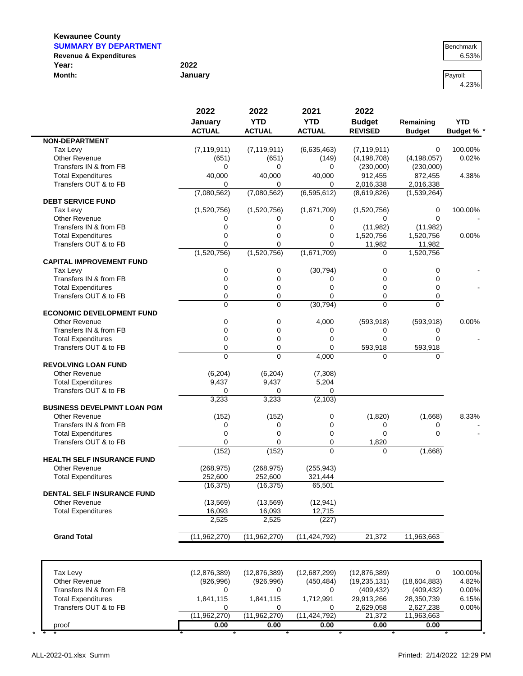$\blacksquare$ 

| <b>SUMMARY BY DEPARTMENT</b>      |         | Benchmark |
|-----------------------------------|---------|-----------|
| <b>Revenue &amp; Expenditures</b> |         | 6.53%     |
| Year:                             | 2022    |           |
| Month:                            | January | Pavroll:  |

4.23%

|                                                    | 2022                | 2022                | 2021                | 2022           |                  |                   |
|----------------------------------------------------|---------------------|---------------------|---------------------|----------------|------------------|-------------------|
|                                                    | January             | <b>YTD</b>          | <b>YTD</b>          | <b>Budget</b>  | Remaining        | <b>YTD</b>        |
|                                                    | <b>ACTUAL</b>       | <b>ACTUAL</b>       | <b>ACTUAL</b>       | <b>REVISED</b> | <b>Budget</b>    | <b>Budget % *</b> |
| <b>NON-DEPARTMENT</b>                              |                     |                     |                     |                |                  |                   |
| Tax Levy                                           | (7, 119, 911)       | (7, 119, 911)       | (6,635,463)         | (7, 119, 911)  | 0                | 100.00%           |
| Other Revenue                                      | (651)               | (651)               | (149)               | (4, 198, 708)  | (4, 198, 057)    | 0.02%             |
| Transfers IN & from FB                             | 0                   | 0                   | 0                   | (230,000)      | (230,000)        |                   |
| <b>Total Expenditures</b>                          | 40,000              | 40,000              | 40,000              | 912,455        | 872,455          | 4.38%             |
| Transfers OUT & to FB                              | 0                   | 0                   | 0                   | 2,016,338      | 2,016,338        |                   |
|                                                    | (7,080,562)         | (7,080,562)         | (6, 595, 612)       | (8,619,826)    | (1,539,264)      |                   |
| <b>DEBT SERVICE FUND</b>                           |                     |                     |                     |                |                  |                   |
| Tax Levy                                           | (1,520,756)         | (1,520,756)         | (1,671,709)         | (1,520,756)    | 0                | 100.00%           |
| Other Revenue                                      | 0                   | 0                   | 0                   | 0              | $\Omega$         |                   |
| Transfers IN & from FB                             | 0                   | $\mathbf 0$         | $\overline{0}$      | (11, 982)      | (11,982)         |                   |
| <b>Total Expenditures</b>                          | 0                   | 0                   | 0                   | 1,520,756      | 1,520,756        | 0.00%             |
| Transfers OUT & to FB                              | 0                   | 0                   | 0                   | 11,982         | 11,982           |                   |
|                                                    | (1,520,756)         | (1,520,756)         | (1,671,709)         | $\Omega$       | 1,520,756        |                   |
| <b>CAPITAL IMPROVEMENT FUND</b>                    |                     |                     |                     |                |                  |                   |
| Tax Levy<br>Transfers IN & from FB                 | 0<br>0              | 0                   | (30, 794)           | 0<br>0         | 0<br>$\mathbf 0$ |                   |
|                                                    | 0                   | 0<br>0              | 0<br>0              |                | $\mathbf 0$      |                   |
| <b>Total Expenditures</b><br>Transfers OUT & to FB | 0                   | 0                   | 0                   | 0<br>0         |                  |                   |
|                                                    | $\Omega$            | 0                   | (30, 794)           | 0              | 0<br>$\Omega$    |                   |
| <b>ECONOMIC DEVELOPMENT FUND</b>                   |                     |                     |                     |                |                  |                   |
| <b>Other Revenue</b>                               | 0                   | 0                   | 4,000               | (593, 918)     | (593, 918)       | 0.00%             |
| Transfers IN & from FB                             | 0                   | 0                   | 0                   | 0              | 0                |                   |
| <b>Total Expenditures</b>                          | 0                   | 0                   | $\mathbf 0$         | 0              | $\Omega$         |                   |
| Transfers OUT & to FB                              | 0                   | 0                   | 0                   | 593,918        | 593,918          |                   |
|                                                    | $\overline{0}$      | $\overline{0}$      | 4,000               | $\Omega$       | $\Omega$         |                   |
| <b>REVOLVING LOAN FUND</b>                         |                     |                     |                     |                |                  |                   |
| <b>Other Revenue</b>                               | (6, 204)            | (6, 204)            | (7,308)             |                |                  |                   |
| <b>Total Expenditures</b>                          | 9,437               | 9,437               | 5,204               |                |                  |                   |
| Transfers OUT & to FB                              | 0                   | 0                   | 0                   |                |                  |                   |
|                                                    | 3,233               | 3,233               | (2, 103)            |                |                  |                   |
| <b>BUSINESS DEVELPMNT LOAN PGM</b>                 |                     |                     |                     |                |                  |                   |
| <b>Other Revenue</b>                               | (152)               | (152)               | 0                   | (1,820)        | (1,668)          | 8.33%             |
| Transfers IN & from FB                             | 0                   | 0                   | 0                   | 0              | 0                |                   |
| <b>Total Expenditures</b>                          | 0                   | 0                   | 0                   | 0              | $\mathbf 0$      |                   |
| Transfers OUT & to FB                              | 0                   | 0                   | $\overline{0}$      | 1,820          |                  |                   |
|                                                    | (152)               | (152)               | $\Omega$            | $\Omega$       | (1,668)          |                   |
| <b>HEALTH SELF INSURANCE FUND</b>                  |                     |                     |                     |                |                  |                   |
| <b>Other Revenue</b>                               | (268, 975)          | (268, 975)          | (255, 943)          |                |                  |                   |
| <b>Total Expenditures</b>                          | 252,600             | 252,600             | 321,444             |                |                  |                   |
| <b>DENTAL SELF INSURANCE FUND</b>                  | (16, 375)           | (16, 375)           | 65,501              |                |                  |                   |
| <b>Other Revenue</b>                               |                     |                     |                     |                |                  |                   |
| <b>Total Expenditures</b>                          | (13, 569)<br>16,093 | (13, 569)<br>16,093 | (12, 941)<br>12,715 |                |                  |                   |
|                                                    | 2,525               | 2,525               | (227)               |                |                  |                   |
|                                                    |                     |                     |                     |                |                  |                   |
| <b>Grand Total</b>                                 | (11,962,270)        | (11,962,270)        | (11, 424, 792)      | 21,372         | 11,963,663       |                   |
|                                                    |                     |                     |                     |                |                  |                   |
|                                                    |                     |                     |                     |                |                  |                   |
| Tax Levy                                           | (12, 876, 389)      | (12, 876, 389)      | (12,687,299)        | (12, 876, 389) | 0                | 100.00%           |
| Other Revenue                                      | (926, 996)          | (926, 996)          | (450, 484)          | (19, 235, 131) | (18,604,883)     | 4.82%             |
| Transfers IN & from FB                             | 0                   | 0                   | 0                   | (409, 432)     | (409, 432)       | 0.00%             |
| <b>Total Expenditures</b>                          | 1,841,115           | 1,841,115           | 1,712,991           | 29,913,266     | 28,350,739       | 6.15%             |
| Transfers OUT & to FB                              | 0                   | 0                   | 0                   | 2,629,058      | 2,627,238        | 0.00%             |
|                                                    | (11,962,270)        | (11,962,270)        | (11, 424, 792)      | 21,372         | 11,963,663       |                   |

proof **0.00 0.00 0.00 0.00 0.00** \* \* \* \* \* \* \* \* \* \*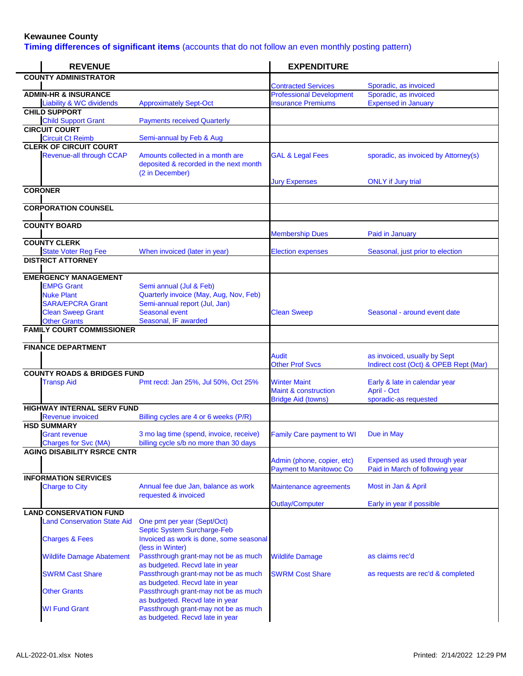**Timing differences of significant items** (accounts that do not follow an even monthly posting pattern)

| <b>REVENUE</b>                                       |                                                                                               | <b>EXPENDITURE</b>                                                                  |                                                                       |
|------------------------------------------------------|-----------------------------------------------------------------------------------------------|-------------------------------------------------------------------------------------|-----------------------------------------------------------------------|
| <b>COUNTY ADMINISTRATOR</b>                          |                                                                                               |                                                                                     |                                                                       |
| <b>ADMIN-HR &amp; INSURANCE</b>                      |                                                                                               | <b>Contracted Services</b><br><b>Professional Development</b>                       | Sporadic, as invoiced<br>Sporadic, as invoiced                        |
| <b>Liability &amp; WC dividends</b>                  | <b>Approximately Sept-Oct</b>                                                                 | <b>Insurance Premiums</b>                                                           | <b>Expensed in January</b>                                            |
| <b>CHILD SUPPORT</b>                                 |                                                                                               |                                                                                     |                                                                       |
| <b>Child Support Grant</b>                           | <b>Payments received Quarterly</b>                                                            |                                                                                     |                                                                       |
| <b>CIRCUIT COURT</b><br><b>Circuit Ct Reimb</b>      | Semi-annual by Feb & Aug                                                                      |                                                                                     |                                                                       |
| <b>CLERK OF CIRCUIT COURT</b>                        |                                                                                               |                                                                                     |                                                                       |
| <b>Revenue-all through CCAP</b>                      | Amounts collected in a month are<br>deposited & recorded in the next month<br>(2 in December) | <b>GAL &amp; Legal Fees</b>                                                         | sporadic, as invoiced by Attorney(s)                                  |
|                                                      |                                                                                               | <b>Jury Expenses</b>                                                                | <b>ONLY</b> if Jury trial                                             |
| <b>CORONER</b>                                       |                                                                                               |                                                                                     |                                                                       |
| <b>CORPORATION COUNSEL</b>                           |                                                                                               |                                                                                     |                                                                       |
| <b>COUNTY BOARD</b>                                  |                                                                                               | <b>Membership Dues</b>                                                              | Paid in January                                                       |
| <b>COUNTY CLERK</b>                                  |                                                                                               |                                                                                     |                                                                       |
| <b>State Voter Reg Fee</b>                           | When invoiced (later in year)                                                                 | <b>Election expenses</b>                                                            | Seasonal, just prior to election                                      |
| <b>DISTRICT ATTORNEY</b>                             |                                                                                               |                                                                                     |                                                                       |
| <b>EMERGENCY MANAGEMENT</b>                          |                                                                                               |                                                                                     |                                                                       |
| <b>EMPG Grant</b>                                    | Semi annual (Jul & Feb)                                                                       |                                                                                     |                                                                       |
| <b>Nuke Plant</b><br><b>SARA/EPCRA Grant</b>         | Quarterly invoice (May, Aug, Nov, Feb)<br>Semi-annual report (Jul, Jan)                       |                                                                                     |                                                                       |
| <b>Clean Sweep Grant</b>                             | <b>Seasonal event</b>                                                                         | <b>Clean Sweep</b>                                                                  | Seasonal - around event date                                          |
| <b>Other Grants</b>                                  | Seasonal, IF awarded                                                                          |                                                                                     |                                                                       |
| <b>FAMILY COURT COMMISSIONER</b>                     |                                                                                               |                                                                                     |                                                                       |
| <b>FINANCE DEPARTMENT</b>                            |                                                                                               |                                                                                     |                                                                       |
|                                                      |                                                                                               | Audit<br><b>Other Prof Svcs</b>                                                     | as invoiced, usually by Sept<br>Indirect cost (Oct) & OPEB Rept (Mar) |
| <b>COUNTY ROADS &amp; BRIDGES FUND</b>               |                                                                                               |                                                                                     |                                                                       |
| <b>Transp Aid</b>                                    | Pmt recd: Jan 25%, Jul 50%, Oct 25%                                                           | <b>Winter Maint</b><br><b>Maint &amp; construction</b><br><b>Bridge Aid (towns)</b> | Early & late in calendar year<br>April - Oct<br>sporadic-as requested |
| <b>HIGHWAY INTERNAL SERV FUND</b>                    |                                                                                               |                                                                                     |                                                                       |
| <b>Revenue invoiced</b>                              | Billing cycles are 4 or 6 weeks (P/R)                                                         |                                                                                     |                                                                       |
| <b>HSD SUMMARY</b>                                   |                                                                                               |                                                                                     |                                                                       |
| <b>Grant revenue</b><br><b>Charges for Svc (MA)</b>  | 3 mo lag time (spend, invoice, receive)<br>billing cycle s/b no more than 30 days             | <b>Family Care payment to WI</b>                                                    | Due in May                                                            |
| <b>AGING DISABILITY RSRCE CNTR</b>                   |                                                                                               |                                                                                     |                                                                       |
|                                                      |                                                                                               | Admin (phone, copier, etc)<br><b>Payment to Manitowoc Co</b>                        | Expensed as used through year<br>Paid in March of following year      |
| <b>INFORMATION SERVICES</b><br><b>Charge to City</b> | Annual fee due Jan, balance as work                                                           |                                                                                     | Most in Jan & April                                                   |
|                                                      | requested & invoiced                                                                          | Maintenance agreements                                                              |                                                                       |
| <b>LAND CONSERVATION FUND</b>                        |                                                                                               | <b>Outlay/Computer</b>                                                              | Early in year if possible                                             |
| <b>Land Conservation State Aid</b>                   | One pmt per year (Sept/Oct)<br>Septic System Surcharge-Feb                                    |                                                                                     |                                                                       |
| <b>Charges &amp; Fees</b>                            | Invoiced as work is done, some seasonal<br>(less in Winter)                                   |                                                                                     |                                                                       |
| <b>Wildlife Damage Abatement</b>                     | Passthrough grant-may not be as much<br>as budgeted. Recvd late in year                       | <b>Wildlife Damage</b>                                                              | as claims rec'd                                                       |
| <b>SWRM Cast Share</b>                               | Passthrough grant-may not be as much<br>as budgeted. Recvd late in year                       | <b>SWRM Cost Share</b>                                                              | as requests are rec'd & completed                                     |
| <b>Other Grants</b>                                  | Passthrough grant-may not be as much<br>as budgeted. Recvd late in year                       |                                                                                     |                                                                       |
| <b>WI Fund Grant</b>                                 | Passthrough grant-may not be as much<br>as budgeted. Recvd late in year                       |                                                                                     |                                                                       |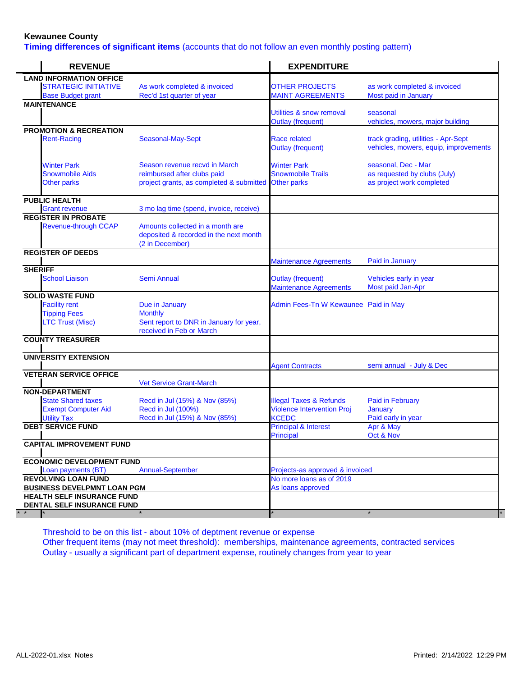**Timing differences of significant items** (accounts that do not follow an even monthly posting pattern)

| <b>REVENUE</b>                                   |                                                                                               | <b>EXPENDITURE</b>                                          |                                                                              |
|--------------------------------------------------|-----------------------------------------------------------------------------------------------|-------------------------------------------------------------|------------------------------------------------------------------------------|
| <b>LAND INFORMATION OFFICE</b>                   |                                                                                               |                                                             |                                                                              |
| <b>STRATEGIC INITIATIVE</b>                      | As work completed & invoiced                                                                  | <b>OTHER PROJECTS</b>                                       | as work completed & invoiced                                                 |
| <b>Base Budget grant</b>                         | Rec'd 1st quarter of year                                                                     | <b>MAINT AGREEMENTS</b>                                     | Most paid in January                                                         |
| <b>MAINTENANCE</b>                               |                                                                                               |                                                             |                                                                              |
|                                                  |                                                                                               | Utilities & snow removal                                    | seasonal                                                                     |
|                                                  |                                                                                               | <b>Outlay (frequent)</b>                                    | vehicles, mowers, major building                                             |
| <b>PROMOTION &amp; RECREATION</b>                |                                                                                               |                                                             |                                                                              |
| <b>Rent-Racing</b>                               | Seasonal-May-Sept                                                                             | Race related<br><b>Outlay (frequent)</b>                    | track grading, utilities - Apr-Sept<br>vehicles, mowers, equip, improvements |
| <b>Winter Park</b>                               | Season revenue recvd in March                                                                 | <b>Winter Park</b>                                          | seasonal, Dec - Mar                                                          |
| <b>Snowmobile Aids</b>                           | reimbursed after clubs paid                                                                   | <b>Snowmobile Trails</b>                                    | as requested by clubs (July)                                                 |
| <b>Other parks</b>                               | project grants, as completed & submitted Other parks                                          |                                                             | as project work completed                                                    |
| <b>PUBLIC HEALTH</b>                             |                                                                                               |                                                             |                                                                              |
| <b>Grant revenue</b>                             | 3 mo lag time (spend, invoice, receive)                                                       |                                                             |                                                                              |
| <b>REGISTER IN PROBATE</b>                       |                                                                                               |                                                             |                                                                              |
| <b>Revenue-through CCAP</b>                      | Amounts collected in a month are<br>deposited & recorded in the next month<br>(2 in December) |                                                             |                                                                              |
| <b>REGISTER OF DEEDS</b>                         |                                                                                               |                                                             |                                                                              |
|                                                  |                                                                                               | <b>Maintenance Agreements</b>                               | Paid in January                                                              |
| <b>SHERIFF</b><br><b>School Liaison</b>          | <b>Semi Annual</b>                                                                            | <b>Outlay (frequent)</b><br><b>Maintenance Agreements</b>   | Vehicles early in year<br>Most paid Jan-Apr                                  |
| <b>SOLID WASTE FUND</b>                          |                                                                                               |                                                             |                                                                              |
| <b>Facility rent</b>                             | Due in January                                                                                | Admin Fees-Tn W Kewaunee Paid in May                        |                                                                              |
| <b>Tipping Fees</b>                              | <b>Monthly</b>                                                                                |                                                             |                                                                              |
| <b>LTC Trust (Misc)</b>                          | Sent report to DNR in January for year,<br>received in Feb or March                           |                                                             |                                                                              |
| <b>COUNTY TREASURER</b>                          |                                                                                               |                                                             |                                                                              |
| <b>UNIVERSITY EXTENSION</b>                      |                                                                                               |                                                             |                                                                              |
|                                                  |                                                                                               | <b>Agent Contracts</b>                                      | semi annual - July & Dec                                                     |
| <b>VETERAN SERVICE OFFICE</b>                    | <b>Vet Service Grant-March</b>                                                                |                                                             |                                                                              |
| <b>NON-DEPARTMENT</b>                            |                                                                                               |                                                             |                                                                              |
| <b>State Shared taxes</b>                        | Recd in Jul (15%) & Nov (85%)                                                                 | <b>Illegal Taxes &amp; Refunds</b>                          | <b>Paid in February</b>                                                      |
| <b>Exempt Computer Aid</b>                       | Recd in Jul (100%)                                                                            | <b>Violence Intervention Proj</b>                           | January                                                                      |
| <b>Utility Tax</b>                               | Recd in Jul (15%) & Nov (85%)                                                                 | <b>KCEDC</b>                                                | Paid early in year                                                           |
| <b>DEBT SERVICE FUND</b>                         |                                                                                               | <b>Principal &amp; Interest</b>                             | Apr & May                                                                    |
|                                                  |                                                                                               | <b>Principal</b>                                            | Oct & Nov                                                                    |
| <b>CAPITAL IMPROVEMENT FUND</b>                  |                                                                                               |                                                             |                                                                              |
| <b>ECONOMIC DEVELOPMENT FUND</b>                 |                                                                                               |                                                             |                                                                              |
|                                                  |                                                                                               |                                                             |                                                                              |
| Loan payments (BT)<br><b>REVOLVING LOAN FUND</b> | <b>Annual-September</b>                                                                       | Projects-as approved & invoiced<br>No more loans as of 2019 |                                                                              |
| <b>BUSINESS DEVELPMNT LOAN PGM</b>               |                                                                                               | As loans approved                                           |                                                                              |
| <b>HEALTH SELF INSURANCE FUND</b>                |                                                                                               |                                                             |                                                                              |
| DENTAL SELF INSURANCE FUND                       |                                                                                               |                                                             |                                                                              |
|                                                  |                                                                                               |                                                             |                                                                              |

Threshold to be on this list - about 10% of deptment revenue or expense Other frequent items (may not meet threshold): memberships, maintenance agreements, contracted services Outlay - usually a significant part of department expense, routinely changes from year to year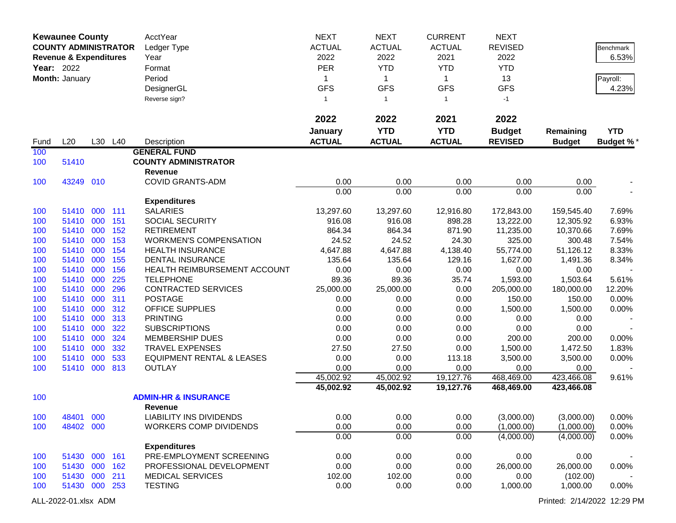|      | <b>Kewaunee County</b><br><b>COUNTY ADMINISTRATOR</b> |            |            | AcctYear<br>Ledger Type                 | <b>NEXT</b><br><b>ACTUAL</b><br>2022 | <b>NEXT</b><br><b>ACTUAL</b><br>2022 | <b>CURRENT</b><br><b>ACTUAL</b><br>2021 | <b>NEXT</b><br><b>REVISED</b><br>2022 |                    | Benchmark<br>6.53% |
|------|-------------------------------------------------------|------------|------------|-----------------------------------------|--------------------------------------|--------------------------------------|-----------------------------------------|---------------------------------------|--------------------|--------------------|
|      | <b>Revenue &amp; Expenditures</b>                     |            |            | Year                                    |                                      |                                      |                                         |                                       |                    |                    |
|      | <b>Year: 2022</b>                                     |            |            | Format                                  | <b>PER</b>                           | <b>YTD</b>                           | <b>YTD</b>                              | <b>YTD</b>                            |                    |                    |
|      | Month: January                                        |            |            | Period                                  | $\mathbf{1}$                         | $\mathbf{1}$                         | $\mathbf{1}$                            | 13                                    |                    | Payroll:           |
|      |                                                       |            |            | DesignerGL                              | <b>GFS</b>                           | <b>GFS</b>                           | <b>GFS</b>                              | <b>GFS</b>                            |                    | 4.23%              |
|      |                                                       |            |            | Reverse sign?                           | $\mathbf{1}$                         | $\mathbf{1}$                         | $\mathbf{1}$                            | $-1$                                  |                    |                    |
|      |                                                       |            |            |                                         | 2022                                 | 2022                                 | 2021                                    | 2022                                  |                    |                    |
|      |                                                       |            |            |                                         | January                              | <b>YTD</b>                           | <b>YTD</b>                              | <b>Budget</b>                         | Remaining          | <b>YTD</b>         |
| Fund | L20                                                   |            | L30 L40    | Description                             | <b>ACTUAL</b>                        | <b>ACTUAL</b>                        | <b>ACTUAL</b>                           | <b>REVISED</b>                        | <b>Budget</b>      | <b>Budget %*</b>   |
| 100  |                                                       |            |            | <b>GENERAL FUND</b>                     |                                      |                                      |                                         |                                       |                    |                    |
| 100  | 51410                                                 |            |            | <b>COUNTY ADMINISTRATOR</b>             |                                      |                                      |                                         |                                       |                    |                    |
|      |                                                       |            |            | <b>Revenue</b>                          |                                      |                                      |                                         |                                       |                    |                    |
| 100  | 43249 010                                             |            |            | <b>COVID GRANTS-ADM</b>                 | 0.00                                 | 0.00                                 | 0.00                                    | 0.00                                  | 0.00               |                    |
|      |                                                       |            |            |                                         | 0.00                                 | 0.00                                 | 0.00                                    | 0.00                                  | 0.00               |                    |
|      |                                                       |            |            | <b>Expenditures</b>                     |                                      |                                      |                                         |                                       |                    |                    |
| 100  | 51410                                                 | 000        | 111        | <b>SALARIES</b>                         | 13,297.60                            | 13,297.60                            | 12,916.80                               | 172,843.00                            | 159,545.40         | 7.69%              |
| 100  | 51410 000                                             |            | 151        | SOCIAL SECURITY                         | 916.08                               | 916.08                               | 898.28                                  | 13,222.00                             | 12,305.92          | 6.93%              |
| 100  | 51410                                                 | 000        | 152        | <b>RETIREMENT</b>                       | 864.34                               | 864.34                               | 871.90                                  | 11,235.00                             | 10,370.66          | 7.69%              |
| 100  | 51410                                                 | 000        | 153        | <b>WORKMEN'S COMPENSATION</b>           | 24.52                                | 24.52                                | 24.30                                   | 325.00                                | 300.48             | 7.54%              |
| 100  | 51410                                                 | 000        | 154        | <b>HEALTH INSURANCE</b>                 | 4,647.88                             | 4,647.88                             | 4,138.40                                | 55,774.00                             | 51,126.12          | 8.33%              |
| 100  | 51410                                                 | 000        | 155        | <b>DENTAL INSURANCE</b>                 | 135.64                               | 135.64                               | 129.16                                  | 1,627.00                              | 1,491.36           | 8.34%              |
| 100  | 51410                                                 | 000        | 156        | HEALTH REIMBURSEMENT ACCOUNT            | 0.00                                 | 0.00                                 | 0.00                                    | 0.00                                  | 0.00               |                    |
| 100  | 51410                                                 | 000        | 225        | <b>TELEPHONE</b>                        | 89.36                                | 89.36                                | 35.74                                   | 1,593.00                              | 1,503.64           | 5.61%              |
| 100  | 51410                                                 | 000        | 296        | <b>CONTRACTED SERVICES</b>              | 25,000.00                            | 25,000.00                            | 0.00                                    | 205,000.00                            | 180,000.00         | 12.20%             |
| 100  | 51410                                                 | 000        | 311        | <b>POSTAGE</b>                          | 0.00                                 | 0.00                                 | 0.00                                    | 150.00                                | 150.00             | 0.00%              |
| 100  | 51410                                                 | 000        | 312        | OFFICE SUPPLIES                         | 0.00                                 | 0.00                                 | 0.00                                    | 1,500.00                              | 1,500.00           | 0.00%              |
| 100  | 51410                                                 | 000<br>000 | 313<br>322 | <b>PRINTING</b><br><b>SUBSCRIPTIONS</b> | 0.00                                 | 0.00                                 | 0.00                                    | 0.00                                  | 0.00<br>0.00       |                    |
| 100  | 51410                                                 |            |            |                                         | 0.00                                 | 0.00                                 | 0.00                                    | 0.00                                  |                    |                    |
| 100  | 51410                                                 | 000        | 324        | <b>MEMBERSHIP DUES</b>                  | 0.00                                 | 0.00                                 | 0.00                                    | 200.00                                | 200.00             | 0.00%              |
| 100  | 51410                                                 | 000        | 332        | <b>TRAVEL EXPENSES</b>                  | 27.50                                | 27.50                                | 0.00                                    | 1,500.00                              | 1,472.50           | 1.83%              |
| 100  | 51410                                                 | 000        | 533        | <b>EQUIPMENT RENTAL &amp; LEASES</b>    | 0.00                                 | 0.00                                 | 113.18<br>0.00                          | 3,500.00                              | 3,500.00           | 0.00%              |
| 100  | 51410                                                 | 000        | 813        | <b>OUTLAY</b>                           | 0.00<br>45,002.92                    | 0.00<br>45,002.92                    | 19,127.76                               | 0.00<br>468,469.00                    | 0.00<br>423,466.08 | 9.61%              |
|      |                                                       |            |            |                                         | 45,002.92                            | 45,002.92                            | 19,127.76                               | 468,469.00                            | 423,466.08         |                    |
| 100  |                                                       |            |            | <b>ADMIN-HR &amp; INSURANCE</b>         |                                      |                                      |                                         |                                       |                    |                    |
|      |                                                       |            |            | <b>Revenue</b>                          |                                      |                                      |                                         |                                       |                    |                    |
| 100  | 48401 000                                             |            |            | LIABILITY INS DIVIDENDS                 | 0.00                                 | 0.00                                 | 0.00                                    | (3,000.00)                            | (3,000.00)         | $0.00\%$           |
| 100  | 48402 000                                             |            |            | <b>WORKERS COMP DIVIDENDS</b>           | 0.00                                 | 0.00                                 | 0.00                                    | (1,000.00)                            | (1,000.00)         | 0.00%              |
|      |                                                       |            |            |                                         | 0.00                                 | 0.00                                 | 0.00                                    | (4,000.00)                            | (4,000.00)         | 0.00%              |
|      |                                                       |            |            | <b>Expenditures</b>                     |                                      |                                      |                                         |                                       |                    |                    |
| 100  | 51430 000 161                                         |            |            | PRE-EMPLOYMENT SCREENING                | 0.00                                 | 0.00                                 | 0.00                                    | 0.00                                  | 0.00               |                    |
| 100  | 51430 000 162                                         |            |            | PROFESSIONAL DEVELOPMENT                | 0.00                                 | 0.00                                 | 0.00                                    | 26,000.00                             | 26,000.00          | 0.00%              |
| 100  | 51430 000                                             |            | 211        | <b>MEDICAL SERVICES</b>                 | 102.00                               | 102.00                               | 0.00                                    | 0.00                                  | (102.00)           |                    |
| 100  | 51430 000 253                                         |            |            | <b>TESTING</b>                          | 0.00                                 | 0.00                                 | 0.00                                    | 1,000.00                              | 1,000.00           | 0.00%              |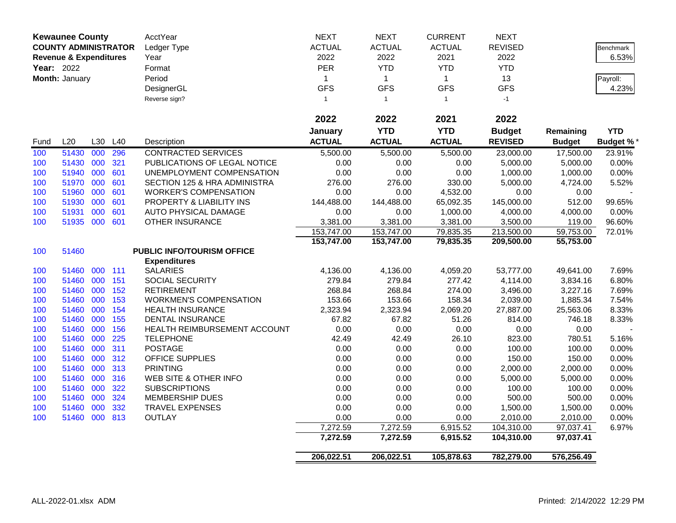|      | <b>Kewaunee County</b>            |     |            | AcctYear                                       | <b>NEXT</b>          | <b>NEXT</b>          | <b>CURRENT</b>       | <b>NEXT</b>              |                        |                  |
|------|-----------------------------------|-----|------------|------------------------------------------------|----------------------|----------------------|----------------------|--------------------------|------------------------|------------------|
|      | <b>COUNTY ADMINISTRATOR</b>       |     |            | Ledger Type                                    | <b>ACTUAL</b>        | <b>ACTUAL</b>        | <b>ACTUAL</b>        | <b>REVISED</b>           |                        | <b>Benchmark</b> |
|      | <b>Revenue &amp; Expenditures</b> |     |            | Year                                           | 2022                 | 2022                 | 2021                 | 2022                     |                        | 6.53%            |
|      | Year: 2022                        |     |            | Format                                         | PER                  | <b>YTD</b>           | <b>YTD</b>           | <b>YTD</b>               |                        |                  |
|      | Month: January                    |     |            | Period                                         | $\mathbf{1}$         | $\mathbf{1}$         | $\mathbf{1}$         | 13                       |                        | Payroll:         |
|      |                                   |     |            | DesignerGL                                     | <b>GFS</b>           | <b>GFS</b>           | <b>GFS</b>           | <b>GFS</b>               |                        | 4.23%            |
|      |                                   |     |            | Reverse sign?                                  | $\mathbf{1}$         | $\overline{1}$       | $\mathbf{1}$         | $-1$                     |                        |                  |
|      |                                   |     |            |                                                |                      |                      |                      |                          |                        |                  |
|      |                                   |     |            |                                                | 2022                 | 2022                 | 2021                 | 2022                     |                        |                  |
|      |                                   |     |            |                                                | January              | <b>YTD</b>           | <b>YTD</b>           | <b>Budget</b>            | Remaining              | <b>YTD</b>       |
| Fund | L20                               | L30 | L40        | Description                                    | <b>ACTUAL</b>        | <b>ACTUAL</b>        | <b>ACTUAL</b>        | <b>REVISED</b>           | <b>Budget</b>          | <b>Budget %</b>  |
| 100  | 51430                             | 000 | 296        | <b>CONTRACTED SERVICES</b>                     | 5,500.00             | 5,500.00             | 5,500.00             | 23,000.00                | 17,500.00              | 23.91%           |
| 100  | 51430 000                         |     | 321        | PUBLICATIONS OF LEGAL NOTICE                   | 0.00                 | 0.00                 | 0.00                 | 5,000.00                 | 5,000.00               | 0.00%            |
| 100  | 51940                             | 000 | 601        | UNEMPLOYMENT COMPENSATION                      | 0.00                 | 0.00                 | 0.00                 | 1,000.00                 | 1,000.00               | 0.00%            |
| 100  | 51970                             | 000 | 601        | SECTION 125 & HRA ADMINISTRA                   | 276.00               | 276.00               | 330.00               | 5,000.00                 | 4,724.00               | 5.52%            |
| 100  | 51960                             | 000 | 601        | <b>WORKER'S COMPENSATION</b>                   | 0.00                 | 0.00                 | 4,532.00             | 0.00                     | 0.00                   |                  |
| 100  | 51930                             | 000 | 601        | PROPERTY & LIABILITY INS                       | 144,488.00           | 144,488.00           | 65,092.35            | 145,000.00               | 512.00                 | 99.65%           |
| 100  | 51931                             | 000 | 601        | AUTO PHYSICAL DAMAGE                           | 0.00                 | 0.00                 | 1,000.00             | 4,000.00                 | 4,000.00               | 0.00%            |
| 100  | 51935 000                         |     | 601        | OTHER INSURANCE                                | 3,381.00             | 3,381.00             | 3,381.00             | 3,500.00                 | 119.00                 | 96.60%           |
|      |                                   |     |            |                                                | 153,747.00           | 153,747.00           | 79,835.35            | 213,500.00               | 59,753.00              | 72.01%           |
|      |                                   |     |            |                                                | 153,747.00           | 153,747.00           | 79,835.35            | 209,500.00               | 55,753.00              |                  |
| 100  | 51460                             |     |            | <b>PUBLIC INFO/TOURISM OFFICE</b>              |                      |                      |                      |                          |                        |                  |
|      |                                   |     |            | <b>Expenditures</b>                            |                      |                      |                      |                          |                        |                  |
| 100  | 51460                             | 000 | 111        | <b>SALARIES</b>                                | 4,136.00             | 4,136.00             | 4,059.20             | 53,777.00                | 49,641.00              | 7.69%            |
| 100  | 51460                             | 000 | 151        | SOCIAL SECURITY                                | 279.84               | 279.84               | 277.42               | 4,114.00                 | 3,834.16               | 6.80%            |
| 100  | 51460 000                         |     | 152        | <b>RETIREMENT</b>                              | 268.84               | 268.84               | 274.00               | 3,496.00                 | 3,227.16               | 7.69%            |
| 100  | 51460                             | 000 | 153        | <b>WORKMEN'S COMPENSATION</b>                  | 153.66               | 153.66               | 158.34               | 2,039.00                 | 1,885.34               | 7.54%            |
| 100  | 51460                             | 000 | 154        | <b>HEALTH INSURANCE</b>                        | 2,323.94             | 2,323.94             | 2,069.20             | 27,887.00                | 25,563.06              | 8.33%            |
| 100  | 51460                             | 000 | 155        | <b>DENTAL INSURANCE</b>                        | 67.82                | 67.82                | 51.26                | 814.00                   | 746.18                 | 8.33%            |
| 100  | 51460                             | 000 | 156        | HEALTH REIMBURSEMENT ACCOUNT                   | 0.00                 | 0.00                 | 0.00                 | 0.00                     | 0.00                   |                  |
| 100  | 51460                             | 000 | 225        | <b>TELEPHONE</b>                               | 42.49                | 42.49                | 26.10                | 823.00                   | 780.51                 | 5.16%            |
| 100  | 51460                             | 000 | 311        | <b>POSTAGE</b>                                 | 0.00                 | 0.00                 | 0.00                 | 100.00                   | 100.00                 | 0.00%            |
| 100  | 51460<br>51460 000                | 000 | 312<br>313 | <b>OFFICE SUPPLIES</b>                         | 0.00                 | 0.00<br>0.00         | 0.00                 | 150.00                   | 150.00                 | 0.00%            |
| 100  | 51460                             | 000 | 316        | <b>PRINTING</b>                                | 0.00                 |                      | 0.00                 | 2,000.00                 | 2,000.00               | 0.00%            |
| 100  | 51460                             | 000 | 322        | WEB SITE & OTHER INFO                          | 0.00                 | 0.00                 | 0.00<br>0.00         | 5,000.00                 | 5,000.00               | 0.00%            |
| 100  |                                   |     | 324        | <b>SUBSCRIPTIONS</b><br><b>MEMBERSHIP DUES</b> | 0.00                 | 0.00<br>0.00         |                      | 100.00                   | 100.00                 | 0.00%            |
| 100  | 51460 000                         | 000 | 332        |                                                | 0.00                 |                      | 0.00                 | 500.00                   | 500.00                 | 0.00%            |
| 100  | 51460                             |     |            | <b>TRAVEL EXPENSES</b>                         | 0.00                 | 0.00                 | 0.00                 | 1,500.00                 | 1,500.00               | 0.00%            |
| 100  | 51460 000 813                     |     |            | <b>OUTLAY</b>                                  | 0.00                 | 0.00                 | 0.00                 | 2,010.00                 | 2,010.00               | 0.00%            |
|      |                                   |     |            |                                                | 7,272.59<br>7,272.59 | 7,272.59<br>7,272.59 | 6,915.52<br>6,915.52 | 104,310.00<br>104,310.00 | 97,037.41<br>97,037.41 | 6.97%            |
|      |                                   |     |            |                                                |                      |                      |                      |                          |                        |                  |
|      |                                   |     |            |                                                | 206,022.51           | 206,022.51           | 105,878.63           | 782,279.00               | 576,256.49             |                  |
|      |                                   |     |            |                                                |                      |                      |                      |                          |                        |                  |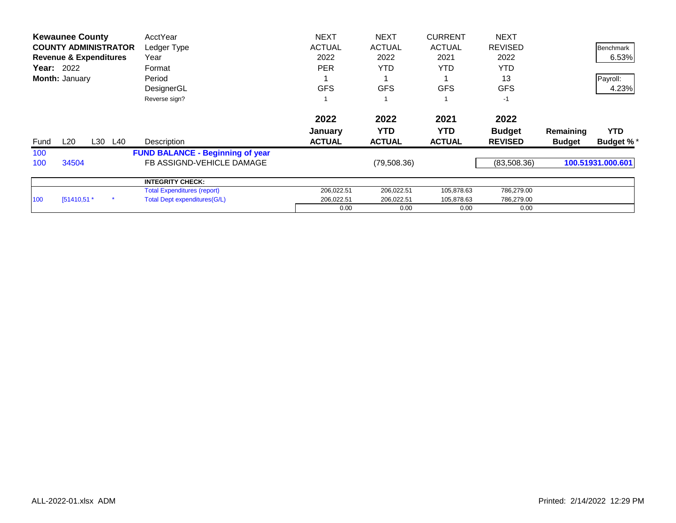|      | <b>Kewaunee County</b>            |     |     | AcctYear                                | <b>NEXT</b>   | <b>NEXT</b>   | <b>CURRENT</b> | <b>NEXT</b>    |               |                   |
|------|-----------------------------------|-----|-----|-----------------------------------------|---------------|---------------|----------------|----------------|---------------|-------------------|
|      | <b>COUNTY ADMINISTRATOR</b>       |     |     | Ledger Type                             | <b>ACTUAL</b> | <b>ACTUAL</b> | <b>ACTUAL</b>  | <b>REVISED</b> |               | <b>Benchmark</b>  |
|      | <b>Revenue &amp; Expenditures</b> |     |     | Year                                    | 2022          | 2022          | 2021           | 2022           |               | 6.53%             |
|      | <b>Year: 2022</b>                 |     |     | Format                                  | <b>PER</b>    | <b>YTD</b>    | YTD.           | <b>YTD</b>     |               |                   |
|      | Month: January                    |     |     | Period                                  |               |               |                | 13             |               | Payroll:          |
|      |                                   |     |     | DesignerGL                              | <b>GFS</b>    | <b>GFS</b>    | <b>GFS</b>     | <b>GFS</b>     |               | 4.23%             |
|      |                                   |     |     | Reverse sign?                           |               |               |                | $-1$           |               |                   |
|      |                                   |     |     |                                         | 2022          | 2022          | 2021           | 2022           |               |                   |
|      |                                   |     |     |                                         | January       | <b>YTD</b>    | <b>YTD</b>     | <b>Budget</b>  | Remaining     | <b>YTD</b>        |
| Fund | L20                               | L30 | L40 | Description                             | <b>ACTUAL</b> | <b>ACTUAL</b> | <b>ACTUAL</b>  | <b>REVISED</b> | <b>Budget</b> | <b>Budget %*</b>  |
| 100  |                                   |     |     | <b>FUND BALANCE - Beginning of year</b> |               |               |                |                |               |                   |
| 100  | 34504                             |     |     | FB ASSIGND-VEHICLE DAMAGE               |               | (79,508.36)   |                | (83,508.36)    |               | 100.51931.000.601 |
|      |                                   |     |     | <b>INTEGRITY CHECK:</b>                 |               |               |                |                |               |                   |
|      |                                   |     |     | <b>Total Expenditures (report)</b>      | 206,022.51    | 206,022.51    | 105,878.63     | 786,279.00     |               |                   |
| 100  | $[51410,51.*$                     |     |     | Total Dept expenditures (G/L)           | 206,022.51    | 206,022.51    | 105,878.63     | 786,279.00     |               |                   |
|      |                                   |     |     |                                         | 0.00          | 0.00          | 0.00           | 0.00           |               |                   |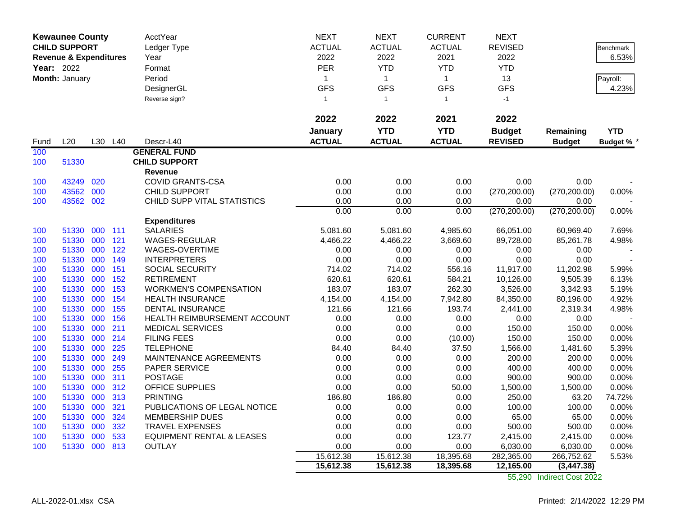|            | <b>Kewaunee County</b>            |         |     | <b>AcctYear</b>               | <b>NEXT</b>   | <b>NEXT</b>    | <b>CURRENT</b> | <b>NEXT</b>    |               |                 |
|------------|-----------------------------------|---------|-----|-------------------------------|---------------|----------------|----------------|----------------|---------------|-----------------|
|            | <b>CHILD SUPPORT</b>              |         |     | Ledger Type                   | <b>ACTUAL</b> | <b>ACTUAL</b>  | <b>ACTUAL</b>  | <b>REVISED</b> |               | Benchmark       |
|            | <b>Revenue &amp; Expenditures</b> |         |     | Year                          | 2022          | 2022           | 2021           | 2022           |               | 6.53%           |
| Year: 2022 |                                   |         |     | Format                        | PER           | <b>YTD</b>     | <b>YTD</b>     | <b>YTD</b>     |               |                 |
|            | Month: January                    |         |     | Period                        | $\mathbf{1}$  | $\mathbf{1}$   | $\mathbf{1}$   | 13             |               | Payroll:        |
|            |                                   |         |     | DesignerGL                    | <b>GFS</b>    | <b>GFS</b>     | <b>GFS</b>     | <b>GFS</b>     |               | 4.23%           |
|            |                                   |         |     | Reverse sign?                 | $\mathbf{1}$  | $\overline{1}$ | $\mathbf{1}$   | $-1$           |               |                 |
|            |                                   |         |     |                               |               |                |                |                |               |                 |
|            |                                   |         |     |                               | 2022          | 2022           | 2021           | 2022           |               |                 |
|            |                                   |         |     |                               | January       | <b>YTD</b>     | <b>YTD</b>     | <b>Budget</b>  | Remaining     | <b>YTD</b>      |
| Fund       | L20                               | L30     | L40 | Descr-L40                     | <b>ACTUAL</b> | <b>ACTUAL</b>  | <b>ACTUAL</b>  | <b>REVISED</b> | <b>Budget</b> | <b>Budget %</b> |
| 100        |                                   |         |     | <b>GENERAL FUND</b>           |               |                |                |                |               |                 |
| 100        | 51330                             |         |     | <b>CHILD SUPPORT</b>          |               |                |                |                |               |                 |
|            |                                   |         |     | Revenue                       |               |                |                |                |               |                 |
| 100        | 43249                             | 020     |     | <b>COVID GRANTS-CSA</b>       | 0.00          | 0.00           | 0.00           | 0.00           | 0.00          |                 |
| 100        | 43562                             | 000     |     | <b>CHILD SUPPORT</b>          | 0.00          | 0.00           | 0.00           | (270, 200.00)  | (270, 200.00) | 0.00%           |
| 100        | 43562 002                         |         |     | CHILD SUPP VITAL STATISTICS   | 0.00          | 0.00           | 0.00           | 0.00           | 0.00          |                 |
|            |                                   |         |     |                               | 0.00          | 0.00           | 0.00           | (270, 200.00)  | (270, 200.00) | 0.00%           |
|            |                                   |         |     | <b>Expenditures</b>           |               |                |                |                |               |                 |
| 100        | 51330                             | 000 111 |     | <b>SALARIES</b>               | 5,081.60      | 5,081.60       | 4,985.60       | 66,051.00      | 60,969.40     | 7.69%           |
| 100        | 51330                             | 000     | 121 | <b>WAGES-REGULAR</b>          | 4,466.22      | 4,466.22       | 3,669.60       | 89,728.00      | 85,261.78     | 4.98%           |
| 100        | 51330                             | 000     | 122 | WAGES-OVERTIME                | 0.00          | 0.00           | 0.00           | 0.00           | 0.00          |                 |
| 100        | 51330                             | 000     | 149 | <b>INTERPRETERS</b>           | 0.00          | 0.00           | 0.00           | 0.00           | 0.00          |                 |
| 100        | 51330                             | 000     | 151 | SOCIAL SECURITY               | 714.02        | 714.02         | 556.16         | 11,917.00      | 11,202.98     | 5.99%           |
| 100        | 51330                             | 000     | 152 | <b>RETIREMENT</b>             | 620.61        | 620.61         | 584.21         | 10,126.00      | 9,505.39      | 6.13%           |
| 100        | 51330                             | 000     | 153 | <b>WORKMEN'S COMPENSATION</b> | 183.07        | 183.07         | 262.30         | 3,526.00       | 3,342.93      | 5.19%           |
| 100        | 51330                             | 000     | 154 | <b>HEALTH INSURANCE</b>       | 4,154.00      | 4,154.00       | 7,942.80       | 84,350.00      | 80,196.00     | 4.92%           |
| 100        | 51330                             | 000     | 155 | <b>DENTAL INSURANCE</b>       | 121.66        | 121.66         | 193.74         | 2,441.00       | 2,319.34      | 4.98%           |
| 100        | 51330                             | 000     | 156 | HEALTH REIMBURSEMENT ACCOUNT  | 0.00          | 0.00           | 0.00           | 0.00           | 0.00          |                 |
| 100        | 51330                             | 000     | 211 | <b>MEDICAL SERVICES</b>       | 0.00          | 0.00           | 0.00           | 150.00         | 150.00        | 0.00%           |
| 100        | 51330                             | 000     | 214 | <b>FILING FEES</b>            | 0.00          | 0.00           | (10.00)        | 150.00         | 150.00        | 0.00%           |
| 100        | 51330                             | 000     | 225 | <b>TELEPHONE</b>              | 84.40         | 84.40          | 37.50          | 1,566.00       | 1,481.60      | 5.39%           |
| 100        | 51330                             | 000     | 249 | MAINTENANCE AGREEMENTS        | 0.00          | 0.00           | 0.00           | 200.00         | 200.00        | 0.00%           |
| 100        | 51330                             | 000     | 255 | PAPER SERVICE                 | 0.00          | 0.00           | 0.00           | 400.00         | 400.00        | 0.00%           |
| 100        | 51330                             | 000     | 311 | <b>POSTAGE</b>                | 0.00          | 0.00           | 0.00           | 900.00         | 900.00        | 0.00%           |
| 100        | 51330                             | 000     | 312 | OFFICE SUPPLIES               | 0.00          | 0.00           | 50.00          | 1,500.00       | 1,500.00      | 0.00%           |
| 100        | 51330                             | 000     | 313 | <b>PRINTING</b>               | 186.80        | 186.80         | 0.00           | 250.00         | 63.20         | 74.72%          |
| 100        | 51330                             | 000     | 321 | PUBLICATIONS OF LEGAL NOTICE  | 0.00          | 0.00           | 0.00           | 100.00         | 100.00        | 0.00%           |
| 100        | 51330                             | 000     | 324 | <b>MEMBERSHIP DUES</b>        | 0.00          | 0.00           | 0.00           | 65.00          | 65.00         | 0.00%           |
| 100        | 51330                             | 000     | 332 | <b>TRAVEL EXPENSES</b>        | 0.00          | 0.00           | 0.00           | 500.00         | 500.00        | 0.00%           |
| 100        | 51330                             | 000     | 533 | EQUIPMENT RENTAL & LEASES     | 0.00          | 0.00           | 123.77         | 2,415.00       | 2,415.00      | 0.00%           |
| 100        | 51330 000                         |         | 813 | <b>OUTLAY</b>                 | 0.00          | 0.00           | 0.00           | 6,030.00       | 6,030.00      | 0.00%           |
|            |                                   |         |     |                               | 15,612.38     | 15,612.38      | 18,395.68      | 282,365.00     | 266,752.62    | 5.53%           |
|            |                                   |         |     |                               | 15,612.38     | 15,612.38      | 18,395.68      | 12,165.00      | (3, 447.38)   |                 |

55,290 Indirect Cost 2022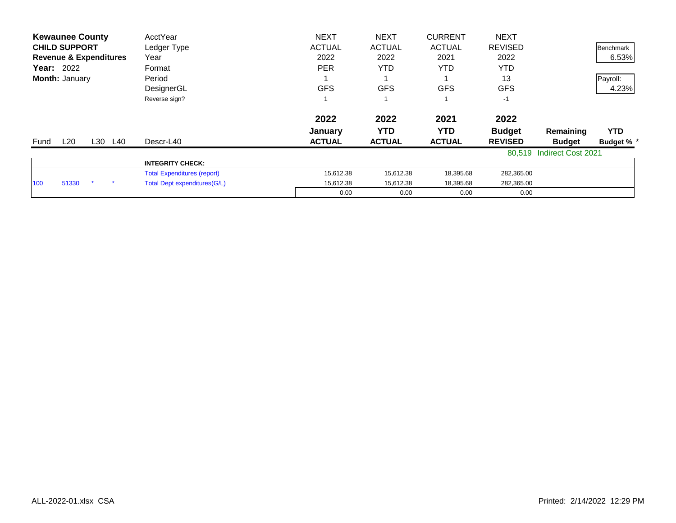| <b>Kewaunee County</b>            | AcctYear                           | <b>NEXT</b>   | <b>NEXT</b>   | <b>CURRENT</b> | <b>NEXT</b>    |                           |                  |
|-----------------------------------|------------------------------------|---------------|---------------|----------------|----------------|---------------------------|------------------|
| <b>CHILD SUPPORT</b>              | Ledger Type                        | <b>ACTUAL</b> | <b>ACTUAL</b> | <b>ACTUAL</b>  | <b>REVISED</b> |                           | <b>Benchmark</b> |
| <b>Revenue &amp; Expenditures</b> | Year                               | 2022          | 2022          | 2021           | 2022           |                           | 6.53%            |
| <b>Year: 2022</b>                 | Format                             | <b>PER</b>    | <b>YTD</b>    | YTD.           | YTD            |                           |                  |
| Month: January                    | Period                             |               |               |                | 13             |                           | Payroll:         |
|                                   | DesignerGL                         | <b>GFS</b>    | <b>GFS</b>    | <b>GFS</b>     | <b>GFS</b>     |                           | 4.23%            |
|                                   | Reverse sign?                      |               |               |                | $-1$           |                           |                  |
|                                   |                                    | 2022          | 2022          | 2021           | 2022           |                           |                  |
|                                   |                                    | January       | YTD           | YTD.           | <b>Budget</b>  | Remaining                 | <b>YTD</b>       |
| L20<br>L30 L40<br>Fund            | Descr-L40                          | <b>ACTUAL</b> | <b>ACTUAL</b> | <b>ACTUAL</b>  | <b>REVISED</b> | <b>Budget</b>             | Budget % *       |
|                                   |                                    |               |               |                |                | 80,519 Indirect Cost 2021 |                  |
|                                   | <b>INTEGRITY CHECK:</b>            |               |               |                |                |                           |                  |
|                                   | <b>Total Expenditures (report)</b> | 15,612.38     | 15,612.38     | 18,395.68      | 282,365.00     |                           |                  |
| 51330<br>100                      | Total Dept expenditures (G/L)      | 15,612.38     | 15,612.38     | 18,395.68      | 282,365.00     |                           |                  |
|                                   |                                    | 0.00          | 0.00          | 0.00           | 0.00           |                           |                  |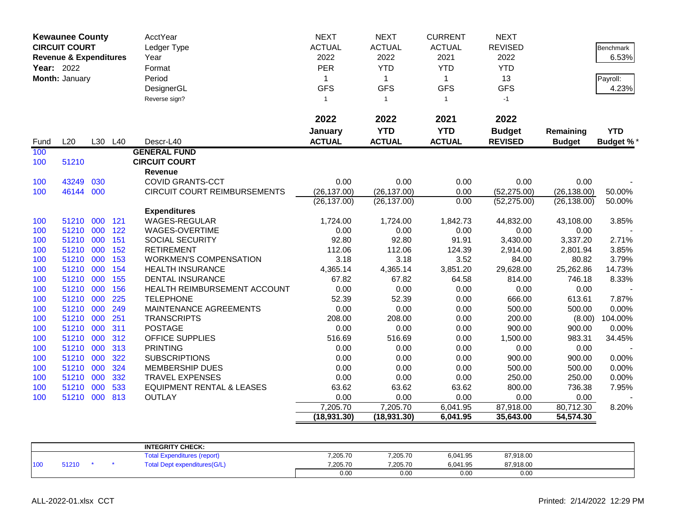|            | <b>Kewaunee County</b><br><b>CIRCUIT COURT</b><br><b>Revenue &amp; Expenditures</b> |     |            | AcctYear<br>Ledger Type<br>Year        | <b>NEXT</b><br><b>ACTUAL</b><br>2022 | <b>NEXT</b><br><b>ACTUAL</b><br>2022 | <b>CURRENT</b><br><b>ACTUAL</b><br>2021 | <b>NEXT</b><br><b>REVISED</b><br>2022 |                   | Benchmark<br>6.53% |
|------------|-------------------------------------------------------------------------------------|-----|------------|----------------------------------------|--------------------------------------|--------------------------------------|-----------------------------------------|---------------------------------------|-------------------|--------------------|
| Year: 2022 |                                                                                     |     |            | Format                                 | <b>PER</b>                           | <b>YTD</b>                           | <b>YTD</b>                              | <b>YTD</b>                            |                   |                    |
|            | Month: January                                                                      |     |            | Period                                 | 1                                    | $\mathbf{1}$                         | $\mathbf{1}$                            | 13                                    |                   | Payroll:           |
|            |                                                                                     |     |            | DesignerGL                             | <b>GFS</b>                           | <b>GFS</b>                           | <b>GFS</b>                              | <b>GFS</b>                            |                   | 4.23%              |
|            |                                                                                     |     |            | Reverse sign?                          | $\mathbf{1}$                         | $\overline{1}$                       | $\mathbf{1}$                            | $-1$                                  |                   |                    |
|            |                                                                                     |     |            |                                        |                                      |                                      |                                         |                                       |                   |                    |
|            |                                                                                     |     |            |                                        | 2022                                 | 2022                                 | 2021                                    | 2022                                  |                   |                    |
|            |                                                                                     |     |            |                                        | January                              | <b>YTD</b>                           | <b>YTD</b>                              | <b>Budget</b>                         | Remaining         | <b>YTD</b>         |
| Fund       | L20                                                                                 |     | L30 L40    | Descr-L40                              | <b>ACTUAL</b>                        | <b>ACTUAL</b>                        | <b>ACTUAL</b>                           | <b>REVISED</b>                        | <b>Budget</b>     | <b>Budget %*</b>   |
| 100        |                                                                                     |     |            | <b>GENERAL FUND</b>                    |                                      |                                      |                                         |                                       |                   |                    |
| 100        | 51210                                                                               |     |            | <b>CIRCUIT COURT</b>                   |                                      |                                      |                                         |                                       |                   |                    |
|            |                                                                                     |     |            | Revenue                                |                                      |                                      |                                         |                                       |                   |                    |
| 100        | 43249                                                                               | 030 |            | <b>COVID GRANTS-CCT</b>                | 0.00                                 | 0.00                                 | 0.00                                    | 0.00                                  | 0.00              |                    |
| 100        | 46144                                                                               | 000 |            | CIRCUIT COURT REIMBURSEMENTS           | (26, 137.00)                         | (26, 137.00)                         | 0.00                                    | (52, 275.00)                          | (26, 138.00)      | 50.00%             |
|            |                                                                                     |     |            |                                        | (26, 137.00)                         | (26, 137.00)                         | 0.00                                    | (52, 275.00)                          | (26, 138.00)      | 50.00%             |
|            |                                                                                     |     |            | <b>Expenditures</b>                    |                                      |                                      |                                         |                                       |                   |                    |
| 100        | 51210<br>51210 000                                                                  | 000 | 121<br>122 | <b>WAGES-REGULAR</b><br>WAGES-OVERTIME | 1,724.00<br>0.00                     | 1,724.00<br>0.00                     | 1,842.73<br>0.00                        | 44,832.00<br>0.00                     | 43,108.00<br>0.00 | 3.85%              |
| 100        | 51210 000                                                                           |     | 151        | SOCIAL SECURITY                        | 92.80                                | 92.80                                | 91.91                                   | 3,430.00                              | 3,337.20          | 2.71%              |
| 100<br>100 | 51210                                                                               | 000 | 152        | <b>RETIREMENT</b>                      | 112.06                               | 112.06                               | 124.39                                  | 2,914.00                              | 2,801.94          | 3.85%              |
| 100        | 51210 000                                                                           |     | 153        | <b>WORKMEN'S COMPENSATION</b>          | 3.18                                 | 3.18                                 | 3.52                                    | 84.00                                 | 80.82             | 3.79%              |
| 100        | 51210 000                                                                           |     | 154        | <b>HEALTH INSURANCE</b>                | 4,365.14                             | 4,365.14                             | 3,851.20                                | 29,628.00                             | 25,262.86         | 14.73%             |
| 100        | 51210 000                                                                           |     | 155        | <b>DENTAL INSURANCE</b>                | 67.82                                | 67.82                                | 64.58                                   | 814.00                                | 746.18            | 8.33%              |
| 100        | 51210 000                                                                           |     | 156        | HEALTH REIMBURSEMENT ACCOUNT           | 0.00                                 | 0.00                                 | 0.00                                    | 0.00                                  | 0.00              |                    |
| 100        | 51210                                                                               | 000 | 225        | <b>TELEPHONE</b>                       | 52.39                                | 52.39                                | 0.00                                    | 666.00                                | 613.61            | 7.87%              |
| 100        | 51210 000                                                                           |     | 249        | MAINTENANCE AGREEMENTS                 | 0.00                                 | 0.00                                 | 0.00                                    | 500.00                                | 500.00            | 0.00%              |
| 100        | 51210                                                                               | 000 | 251        | <b>TRANSCRIPTS</b>                     | 208.00                               | 208.00                               | 0.00                                    | 200.00                                | (8.00)            | 104.00%            |
| 100        | 51210                                                                               | 000 | 311        | <b>POSTAGE</b>                         | 0.00                                 | 0.00                                 | 0.00                                    | 900.00                                | 900.00            | 0.00%              |
| 100        | 51210                                                                               | 000 | 312        | <b>OFFICE SUPPLIES</b>                 | 516.69                               | 516.69                               | 0.00                                    | 1,500.00                              | 983.31            | 34.45%             |
| 100        | 51210 000                                                                           |     | 313        | <b>PRINTING</b>                        | 0.00                                 | 0.00                                 | 0.00                                    | 0.00                                  | 0.00              |                    |
| 100        | 51210 000                                                                           |     | 322        | <b>SUBSCRIPTIONS</b>                   | 0.00                                 | 0.00                                 | 0.00                                    | 900.00                                | 900.00            | 0.00%              |
| 100        | 51210 000                                                                           |     | 324        | <b>MEMBERSHIP DUES</b>                 | 0.00                                 | 0.00                                 | 0.00                                    | 500.00                                | 500.00            | 0.00%              |
| 100        | 51210                                                                               | 000 | 332        | TRAVEL EXPENSES                        | 0.00                                 | 0.00                                 | 0.00                                    | 250.00                                | 250.00            | 0.00%              |
| 100        | 51210                                                                               | 000 | 533        | <b>EQUIPMENT RENTAL &amp; LEASES</b>   | 63.62                                | 63.62                                | 63.62                                   | 800.00                                | 736.38            | 7.95%              |
| 100        | 51210 000                                                                           |     | 813        | <b>OUTLAY</b>                          | 0.00                                 | 0.00                                 | 0.00                                    | 0.00                                  | 0.00              |                    |
|            |                                                                                     |     |            |                                        | 7,205.70                             | 7,205.70                             | 6,041.95                                | 87,918.00                             | 80,712.30         | 8.20%              |
|            |                                                                                     |     |            |                                        | (18, 931.30)                         | (18, 931.30)                         | 6,041.95                                | 35,643.00                             | 54,574.30         |                    |

|     |       |  | <b>INTEGRITY CHECK:</b>             |          |          |          |           |  |
|-----|-------|--|-------------------------------------|----------|----------|----------|-----------|--|
|     |       |  | ⊺otal<br>penditures (report)<br>Exr | 7,205.70 | 7,205.70 | 6,041.95 | 87,918.00 |  |
| 100 | 51210 |  | <b>Total Dept expenditures(G/L)</b> | 7,205.70 | 7,205.70 | 6,041.95 | 87,918.00 |  |
|     |       |  |                                     | 0.00     | 0.00     | 0.00     | 0.00      |  |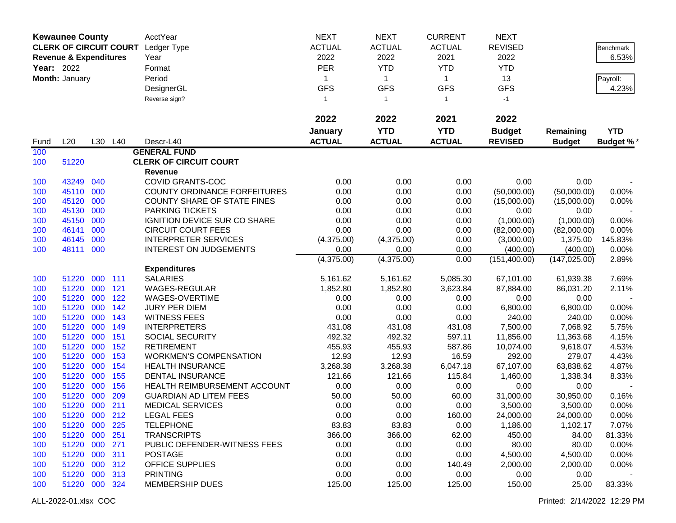| <b>NEXT</b><br><b>NEXT</b><br><b>Kewaunee County</b><br><b>AcctYear</b><br><b>NEXT</b><br><b>CURRENT</b><br><b>CLERK OF CIRCUIT COURT</b><br><b>ACTUAL</b><br><b>ACTUAL</b><br><b>REVISED</b><br><b>ACTUAL</b><br>Ledger Type<br>Benchmark<br>2022<br>2022<br>2021<br>2022<br>6.53%<br><b>Revenue &amp; Expenditures</b><br>Year<br><b>PER</b><br><b>YTD</b><br>Year: 2022<br><b>YTD</b><br><b>YTD</b><br>Format<br>Period<br>Month: January<br>13<br>1<br>$\mathbf{1}$<br>$\mathbf 1$<br>Payroll:<br><b>GFS</b><br><b>GFS</b><br><b>GFS</b><br><b>GFS</b><br>DesignerGL<br>4.23%<br>Reverse sign?<br>$-1$<br>$\mathbf{1}$<br>$\mathbf{1}$<br>$\mathbf{1}$<br>2022<br>2022<br>2022<br>2021<br><b>YTD</b><br><b>YTD</b><br><b>Budget</b><br>January<br><b>YTD</b><br>Remaining<br>L20<br>L30 L40<br><b>ACTUAL</b><br><b>ACTUAL</b><br><b>ACTUAL</b><br><b>REVISED</b><br><b>Budget %*</b><br>Descr-L40<br><b>Budget</b><br>Fund<br><b>GENERAL FUND</b><br>100<br><b>CLERK OF CIRCUIT COURT</b><br>100<br>51220<br>Revenue<br>COVID GRANTS-COC<br>0.00<br>0.00<br>0.00<br>0.00<br>43249<br>040<br>0.00<br>100<br>45110 000<br>0.00<br>0.00<br>0.00<br>100<br><b>COUNTY ORDINANCE FORFEITURES</b><br>(50,000.00)<br>(50,000.00)<br>0.00%<br>45120<br>000<br>100<br><b>COUNTY SHARE OF STATE FINES</b><br>0.00<br>0.00<br>0.00<br>(15,000.00)<br>0.00%<br>(15,000.00)<br>45130<br>000<br>0.00<br>0.00<br>100<br><b>PARKING TICKETS</b><br>0.00<br>0.00<br>0.00<br>45150<br>000<br>IGNITION DEVICE SUR CO SHARE<br>0.00<br>0.00<br>0.00<br>100<br>(1,000.00)<br>(1,000.00)<br>0.00%<br>46141<br>000<br><b>CIRCUIT COURT FEES</b><br>0.00<br>0.00<br>0.00<br>100<br>(82,000.00)<br>(82,000.00)<br>0.00%<br>46145<br>000<br><b>INTERPRETER SERVICES</b><br>0.00<br>100<br>(4,375.00)<br>(4,375.00)<br>(3,000.00)<br>1,375.00<br>145.83%<br>000<br>0.00%<br>48111<br><b>INTEREST ON JUDGEMENTS</b><br>0.00<br>0.00<br>0.00<br>(400.00)<br>(400.00)<br>100<br>(4,375.00)<br>(4,375.00)<br>0.00<br>(151, 400.00)<br>(147, 025.00)<br>2.89%<br><b>Expenditures</b><br>000<br>111<br><b>SALARIES</b><br>51220<br>5,161.62<br>5,161.62<br>5,085.30<br>67,101.00<br>61,939.38<br>7.69%<br>100<br>121<br>WAGES-REGULAR<br>100<br>51220<br>000<br>1,852.80<br>1,852.80<br>3,623.84<br>87,884.00<br>86,031.20<br>2.11%<br>51220<br>000<br>122<br>WAGES-OVERTIME<br>100<br>0.00<br>0.00<br>0.00<br>0.00<br>0.00<br>51220<br>000<br>142<br>0.00<br>0.00<br>0.00<br>100<br><b>JURY PER DIEM</b><br>6,800.00<br>6,800.00<br>0.00%<br>51220<br>000<br>143<br>0.00<br>0.00<br>0.00<br>240.00<br>240.00<br><b>WITNESS FEES</b><br>0.00%<br>100<br>51220<br>000<br>149<br>431.08<br>431.08<br>7,500.00<br>5.75%<br>100<br><b>INTERPRETERS</b><br>431.08<br>7,068.92<br>51220<br>000<br>151<br>492.32<br>597.11<br><b>SOCIAL SECURITY</b><br>492.32<br>11,856.00<br>11,363.68<br>4.15%<br>100<br>51220<br>000<br>152<br>455.93<br>455.93<br>587.86<br>4.53%<br><b>RETIREMENT</b><br>10,074.00<br>9,618.07<br>100<br>51220<br>000<br>153<br>12.93<br>12.93<br>16.59<br>292.00<br>279.07<br><b>WORKMEN'S COMPENSATION</b><br>4.43%<br>100<br>51220<br>154<br>6,047.18<br>67,107.00<br>000<br><b>HEALTH INSURANCE</b><br>3,268.38<br>3,268.38<br>63,838.62<br>4.87%<br>100<br>51220<br>000<br>155<br>1,460.00<br>8.33%<br>100<br><b>DENTAL INSURANCE</b><br>121.66<br>121.66<br>115.84<br>1,338.34<br>156<br>100<br>51220<br>000<br>HEALTH REIMBURSEMENT ACCOUNT<br>0.00<br>0.00<br>0.00<br>0.00<br>0.00<br>000<br>209<br>100<br>51220<br><b>GUARDIAN AD LITEM FEES</b><br>50.00<br>50.00<br>60.00<br>31,000.00<br>30,950.00<br>0.16%<br>51220 000<br>211<br>100<br><b>MEDICAL SERVICES</b><br>0.00<br>0.00<br>0.00<br>3,500.00<br>3,500.00<br>0.00% |
|-------------------------------------------------------------------------------------------------------------------------------------------------------------------------------------------------------------------------------------------------------------------------------------------------------------------------------------------------------------------------------------------------------------------------------------------------------------------------------------------------------------------------------------------------------------------------------------------------------------------------------------------------------------------------------------------------------------------------------------------------------------------------------------------------------------------------------------------------------------------------------------------------------------------------------------------------------------------------------------------------------------------------------------------------------------------------------------------------------------------------------------------------------------------------------------------------------------------------------------------------------------------------------------------------------------------------------------------------------------------------------------------------------------------------------------------------------------------------------------------------------------------------------------------------------------------------------------------------------------------------------------------------------------------------------------------------------------------------------------------------------------------------------------------------------------------------------------------------------------------------------------------------------------------------------------------------------------------------------------------------------------------------------------------------------------------------------------------------------------------------------------------------------------------------------------------------------------------------------------------------------------------------------------------------------------------------------------------------------------------------------------------------------------------------------------------------------------------------------------------------------------------------------------------------------------------------------------------------------------------------------------------------------------------------------------------------------------------------------------------------------------------------------------------------------------------------------------------------------------------------------------------------------------------------------------------------------------------------------------------------------------------------------------------------------------------------------------------------------------------------------------------------------------------------------------------------------------------------------------------------------------------------------------------------------------------------------------------------------------------------------------------------------------------------------------------------------------------------------------------------------------------------------------------------------------------------------------------------------------------------------------------------------------------------------------------------------------------------|
|                                                                                                                                                                                                                                                                                                                                                                                                                                                                                                                                                                                                                                                                                                                                                                                                                                                                                                                                                                                                                                                                                                                                                                                                                                                                                                                                                                                                                                                                                                                                                                                                                                                                                                                                                                                                                                                                                                                                                                                                                                                                                                                                                                                                                                                                                                                                                                                                                                                                                                                                                                                                                                                                                                                                                                                                                                                                                                                                                                                                                                                                                                                                                                                                                                                                                                                                                                                                                                                                                                                                                                                                                                                                                                                         |
|                                                                                                                                                                                                                                                                                                                                                                                                                                                                                                                                                                                                                                                                                                                                                                                                                                                                                                                                                                                                                                                                                                                                                                                                                                                                                                                                                                                                                                                                                                                                                                                                                                                                                                                                                                                                                                                                                                                                                                                                                                                                                                                                                                                                                                                                                                                                                                                                                                                                                                                                                                                                                                                                                                                                                                                                                                                                                                                                                                                                                                                                                                                                                                                                                                                                                                                                                                                                                                                                                                                                                                                                                                                                                                                         |
|                                                                                                                                                                                                                                                                                                                                                                                                                                                                                                                                                                                                                                                                                                                                                                                                                                                                                                                                                                                                                                                                                                                                                                                                                                                                                                                                                                                                                                                                                                                                                                                                                                                                                                                                                                                                                                                                                                                                                                                                                                                                                                                                                                                                                                                                                                                                                                                                                                                                                                                                                                                                                                                                                                                                                                                                                                                                                                                                                                                                                                                                                                                                                                                                                                                                                                                                                                                                                                                                                                                                                                                                                                                                                                                         |
|                                                                                                                                                                                                                                                                                                                                                                                                                                                                                                                                                                                                                                                                                                                                                                                                                                                                                                                                                                                                                                                                                                                                                                                                                                                                                                                                                                                                                                                                                                                                                                                                                                                                                                                                                                                                                                                                                                                                                                                                                                                                                                                                                                                                                                                                                                                                                                                                                                                                                                                                                                                                                                                                                                                                                                                                                                                                                                                                                                                                                                                                                                                                                                                                                                                                                                                                                                                                                                                                                                                                                                                                                                                                                                                         |
|                                                                                                                                                                                                                                                                                                                                                                                                                                                                                                                                                                                                                                                                                                                                                                                                                                                                                                                                                                                                                                                                                                                                                                                                                                                                                                                                                                                                                                                                                                                                                                                                                                                                                                                                                                                                                                                                                                                                                                                                                                                                                                                                                                                                                                                                                                                                                                                                                                                                                                                                                                                                                                                                                                                                                                                                                                                                                                                                                                                                                                                                                                                                                                                                                                                                                                                                                                                                                                                                                                                                                                                                                                                                                                                         |
|                                                                                                                                                                                                                                                                                                                                                                                                                                                                                                                                                                                                                                                                                                                                                                                                                                                                                                                                                                                                                                                                                                                                                                                                                                                                                                                                                                                                                                                                                                                                                                                                                                                                                                                                                                                                                                                                                                                                                                                                                                                                                                                                                                                                                                                                                                                                                                                                                                                                                                                                                                                                                                                                                                                                                                                                                                                                                                                                                                                                                                                                                                                                                                                                                                                                                                                                                                                                                                                                                                                                                                                                                                                                                                                         |
|                                                                                                                                                                                                                                                                                                                                                                                                                                                                                                                                                                                                                                                                                                                                                                                                                                                                                                                                                                                                                                                                                                                                                                                                                                                                                                                                                                                                                                                                                                                                                                                                                                                                                                                                                                                                                                                                                                                                                                                                                                                                                                                                                                                                                                                                                                                                                                                                                                                                                                                                                                                                                                                                                                                                                                                                                                                                                                                                                                                                                                                                                                                                                                                                                                                                                                                                                                                                                                                                                                                                                                                                                                                                                                                         |
|                                                                                                                                                                                                                                                                                                                                                                                                                                                                                                                                                                                                                                                                                                                                                                                                                                                                                                                                                                                                                                                                                                                                                                                                                                                                                                                                                                                                                                                                                                                                                                                                                                                                                                                                                                                                                                                                                                                                                                                                                                                                                                                                                                                                                                                                                                                                                                                                                                                                                                                                                                                                                                                                                                                                                                                                                                                                                                                                                                                                                                                                                                                                                                                                                                                                                                                                                                                                                                                                                                                                                                                                                                                                                                                         |
|                                                                                                                                                                                                                                                                                                                                                                                                                                                                                                                                                                                                                                                                                                                                                                                                                                                                                                                                                                                                                                                                                                                                                                                                                                                                                                                                                                                                                                                                                                                                                                                                                                                                                                                                                                                                                                                                                                                                                                                                                                                                                                                                                                                                                                                                                                                                                                                                                                                                                                                                                                                                                                                                                                                                                                                                                                                                                                                                                                                                                                                                                                                                                                                                                                                                                                                                                                                                                                                                                                                                                                                                                                                                                                                         |
|                                                                                                                                                                                                                                                                                                                                                                                                                                                                                                                                                                                                                                                                                                                                                                                                                                                                                                                                                                                                                                                                                                                                                                                                                                                                                                                                                                                                                                                                                                                                                                                                                                                                                                                                                                                                                                                                                                                                                                                                                                                                                                                                                                                                                                                                                                                                                                                                                                                                                                                                                                                                                                                                                                                                                                                                                                                                                                                                                                                                                                                                                                                                                                                                                                                                                                                                                                                                                                                                                                                                                                                                                                                                                                                         |
|                                                                                                                                                                                                                                                                                                                                                                                                                                                                                                                                                                                                                                                                                                                                                                                                                                                                                                                                                                                                                                                                                                                                                                                                                                                                                                                                                                                                                                                                                                                                                                                                                                                                                                                                                                                                                                                                                                                                                                                                                                                                                                                                                                                                                                                                                                                                                                                                                                                                                                                                                                                                                                                                                                                                                                                                                                                                                                                                                                                                                                                                                                                                                                                                                                                                                                                                                                                                                                                                                                                                                                                                                                                                                                                         |
|                                                                                                                                                                                                                                                                                                                                                                                                                                                                                                                                                                                                                                                                                                                                                                                                                                                                                                                                                                                                                                                                                                                                                                                                                                                                                                                                                                                                                                                                                                                                                                                                                                                                                                                                                                                                                                                                                                                                                                                                                                                                                                                                                                                                                                                                                                                                                                                                                                                                                                                                                                                                                                                                                                                                                                                                                                                                                                                                                                                                                                                                                                                                                                                                                                                                                                                                                                                                                                                                                                                                                                                                                                                                                                                         |
|                                                                                                                                                                                                                                                                                                                                                                                                                                                                                                                                                                                                                                                                                                                                                                                                                                                                                                                                                                                                                                                                                                                                                                                                                                                                                                                                                                                                                                                                                                                                                                                                                                                                                                                                                                                                                                                                                                                                                                                                                                                                                                                                                                                                                                                                                                                                                                                                                                                                                                                                                                                                                                                                                                                                                                                                                                                                                                                                                                                                                                                                                                                                                                                                                                                                                                                                                                                                                                                                                                                                                                                                                                                                                                                         |
|                                                                                                                                                                                                                                                                                                                                                                                                                                                                                                                                                                                                                                                                                                                                                                                                                                                                                                                                                                                                                                                                                                                                                                                                                                                                                                                                                                                                                                                                                                                                                                                                                                                                                                                                                                                                                                                                                                                                                                                                                                                                                                                                                                                                                                                                                                                                                                                                                                                                                                                                                                                                                                                                                                                                                                                                                                                                                                                                                                                                                                                                                                                                                                                                                                                                                                                                                                                                                                                                                                                                                                                                                                                                                                                         |
|                                                                                                                                                                                                                                                                                                                                                                                                                                                                                                                                                                                                                                                                                                                                                                                                                                                                                                                                                                                                                                                                                                                                                                                                                                                                                                                                                                                                                                                                                                                                                                                                                                                                                                                                                                                                                                                                                                                                                                                                                                                                                                                                                                                                                                                                                                                                                                                                                                                                                                                                                                                                                                                                                                                                                                                                                                                                                                                                                                                                                                                                                                                                                                                                                                                                                                                                                                                                                                                                                                                                                                                                                                                                                                                         |
|                                                                                                                                                                                                                                                                                                                                                                                                                                                                                                                                                                                                                                                                                                                                                                                                                                                                                                                                                                                                                                                                                                                                                                                                                                                                                                                                                                                                                                                                                                                                                                                                                                                                                                                                                                                                                                                                                                                                                                                                                                                                                                                                                                                                                                                                                                                                                                                                                                                                                                                                                                                                                                                                                                                                                                                                                                                                                                                                                                                                                                                                                                                                                                                                                                                                                                                                                                                                                                                                                                                                                                                                                                                                                                                         |
|                                                                                                                                                                                                                                                                                                                                                                                                                                                                                                                                                                                                                                                                                                                                                                                                                                                                                                                                                                                                                                                                                                                                                                                                                                                                                                                                                                                                                                                                                                                                                                                                                                                                                                                                                                                                                                                                                                                                                                                                                                                                                                                                                                                                                                                                                                                                                                                                                                                                                                                                                                                                                                                                                                                                                                                                                                                                                                                                                                                                                                                                                                                                                                                                                                                                                                                                                                                                                                                                                                                                                                                                                                                                                                                         |
|                                                                                                                                                                                                                                                                                                                                                                                                                                                                                                                                                                                                                                                                                                                                                                                                                                                                                                                                                                                                                                                                                                                                                                                                                                                                                                                                                                                                                                                                                                                                                                                                                                                                                                                                                                                                                                                                                                                                                                                                                                                                                                                                                                                                                                                                                                                                                                                                                                                                                                                                                                                                                                                                                                                                                                                                                                                                                                                                                                                                                                                                                                                                                                                                                                                                                                                                                                                                                                                                                                                                                                                                                                                                                                                         |
|                                                                                                                                                                                                                                                                                                                                                                                                                                                                                                                                                                                                                                                                                                                                                                                                                                                                                                                                                                                                                                                                                                                                                                                                                                                                                                                                                                                                                                                                                                                                                                                                                                                                                                                                                                                                                                                                                                                                                                                                                                                                                                                                                                                                                                                                                                                                                                                                                                                                                                                                                                                                                                                                                                                                                                                                                                                                                                                                                                                                                                                                                                                                                                                                                                                                                                                                                                                                                                                                                                                                                                                                                                                                                                                         |
|                                                                                                                                                                                                                                                                                                                                                                                                                                                                                                                                                                                                                                                                                                                                                                                                                                                                                                                                                                                                                                                                                                                                                                                                                                                                                                                                                                                                                                                                                                                                                                                                                                                                                                                                                                                                                                                                                                                                                                                                                                                                                                                                                                                                                                                                                                                                                                                                                                                                                                                                                                                                                                                                                                                                                                                                                                                                                                                                                                                                                                                                                                                                                                                                                                                                                                                                                                                                                                                                                                                                                                                                                                                                                                                         |
|                                                                                                                                                                                                                                                                                                                                                                                                                                                                                                                                                                                                                                                                                                                                                                                                                                                                                                                                                                                                                                                                                                                                                                                                                                                                                                                                                                                                                                                                                                                                                                                                                                                                                                                                                                                                                                                                                                                                                                                                                                                                                                                                                                                                                                                                                                                                                                                                                                                                                                                                                                                                                                                                                                                                                                                                                                                                                                                                                                                                                                                                                                                                                                                                                                                                                                                                                                                                                                                                                                                                                                                                                                                                                                                         |
|                                                                                                                                                                                                                                                                                                                                                                                                                                                                                                                                                                                                                                                                                                                                                                                                                                                                                                                                                                                                                                                                                                                                                                                                                                                                                                                                                                                                                                                                                                                                                                                                                                                                                                                                                                                                                                                                                                                                                                                                                                                                                                                                                                                                                                                                                                                                                                                                                                                                                                                                                                                                                                                                                                                                                                                                                                                                                                                                                                                                                                                                                                                                                                                                                                                                                                                                                                                                                                                                                                                                                                                                                                                                                                                         |
|                                                                                                                                                                                                                                                                                                                                                                                                                                                                                                                                                                                                                                                                                                                                                                                                                                                                                                                                                                                                                                                                                                                                                                                                                                                                                                                                                                                                                                                                                                                                                                                                                                                                                                                                                                                                                                                                                                                                                                                                                                                                                                                                                                                                                                                                                                                                                                                                                                                                                                                                                                                                                                                                                                                                                                                                                                                                                                                                                                                                                                                                                                                                                                                                                                                                                                                                                                                                                                                                                                                                                                                                                                                                                                                         |
|                                                                                                                                                                                                                                                                                                                                                                                                                                                                                                                                                                                                                                                                                                                                                                                                                                                                                                                                                                                                                                                                                                                                                                                                                                                                                                                                                                                                                                                                                                                                                                                                                                                                                                                                                                                                                                                                                                                                                                                                                                                                                                                                                                                                                                                                                                                                                                                                                                                                                                                                                                                                                                                                                                                                                                                                                                                                                                                                                                                                                                                                                                                                                                                                                                                                                                                                                                                                                                                                                                                                                                                                                                                                                                                         |
|                                                                                                                                                                                                                                                                                                                                                                                                                                                                                                                                                                                                                                                                                                                                                                                                                                                                                                                                                                                                                                                                                                                                                                                                                                                                                                                                                                                                                                                                                                                                                                                                                                                                                                                                                                                                                                                                                                                                                                                                                                                                                                                                                                                                                                                                                                                                                                                                                                                                                                                                                                                                                                                                                                                                                                                                                                                                                                                                                                                                                                                                                                                                                                                                                                                                                                                                                                                                                                                                                                                                                                                                                                                                                                                         |
|                                                                                                                                                                                                                                                                                                                                                                                                                                                                                                                                                                                                                                                                                                                                                                                                                                                                                                                                                                                                                                                                                                                                                                                                                                                                                                                                                                                                                                                                                                                                                                                                                                                                                                                                                                                                                                                                                                                                                                                                                                                                                                                                                                                                                                                                                                                                                                                                                                                                                                                                                                                                                                                                                                                                                                                                                                                                                                                                                                                                                                                                                                                                                                                                                                                                                                                                                                                                                                                                                                                                                                                                                                                                                                                         |
|                                                                                                                                                                                                                                                                                                                                                                                                                                                                                                                                                                                                                                                                                                                                                                                                                                                                                                                                                                                                                                                                                                                                                                                                                                                                                                                                                                                                                                                                                                                                                                                                                                                                                                                                                                                                                                                                                                                                                                                                                                                                                                                                                                                                                                                                                                                                                                                                                                                                                                                                                                                                                                                                                                                                                                                                                                                                                                                                                                                                                                                                                                                                                                                                                                                                                                                                                                                                                                                                                                                                                                                                                                                                                                                         |
|                                                                                                                                                                                                                                                                                                                                                                                                                                                                                                                                                                                                                                                                                                                                                                                                                                                                                                                                                                                                                                                                                                                                                                                                                                                                                                                                                                                                                                                                                                                                                                                                                                                                                                                                                                                                                                                                                                                                                                                                                                                                                                                                                                                                                                                                                                                                                                                                                                                                                                                                                                                                                                                                                                                                                                                                                                                                                                                                                                                                                                                                                                                                                                                                                                                                                                                                                                                                                                                                                                                                                                                                                                                                                                                         |
|                                                                                                                                                                                                                                                                                                                                                                                                                                                                                                                                                                                                                                                                                                                                                                                                                                                                                                                                                                                                                                                                                                                                                                                                                                                                                                                                                                                                                                                                                                                                                                                                                                                                                                                                                                                                                                                                                                                                                                                                                                                                                                                                                                                                                                                                                                                                                                                                                                                                                                                                                                                                                                                                                                                                                                                                                                                                                                                                                                                                                                                                                                                                                                                                                                                                                                                                                                                                                                                                                                                                                                                                                                                                                                                         |
|                                                                                                                                                                                                                                                                                                                                                                                                                                                                                                                                                                                                                                                                                                                                                                                                                                                                                                                                                                                                                                                                                                                                                                                                                                                                                                                                                                                                                                                                                                                                                                                                                                                                                                                                                                                                                                                                                                                                                                                                                                                                                                                                                                                                                                                                                                                                                                                                                                                                                                                                                                                                                                                                                                                                                                                                                                                                                                                                                                                                                                                                                                                                                                                                                                                                                                                                                                                                                                                                                                                                                                                                                                                                                                                         |
|                                                                                                                                                                                                                                                                                                                                                                                                                                                                                                                                                                                                                                                                                                                                                                                                                                                                                                                                                                                                                                                                                                                                                                                                                                                                                                                                                                                                                                                                                                                                                                                                                                                                                                                                                                                                                                                                                                                                                                                                                                                                                                                                                                                                                                                                                                                                                                                                                                                                                                                                                                                                                                                                                                                                                                                                                                                                                                                                                                                                                                                                                                                                                                                                                                                                                                                                                                                                                                                                                                                                                                                                                                                                                                                         |
|                                                                                                                                                                                                                                                                                                                                                                                                                                                                                                                                                                                                                                                                                                                                                                                                                                                                                                                                                                                                                                                                                                                                                                                                                                                                                                                                                                                                                                                                                                                                                                                                                                                                                                                                                                                                                                                                                                                                                                                                                                                                                                                                                                                                                                                                                                                                                                                                                                                                                                                                                                                                                                                                                                                                                                                                                                                                                                                                                                                                                                                                                                                                                                                                                                                                                                                                                                                                                                                                                                                                                                                                                                                                                                                         |
|                                                                                                                                                                                                                                                                                                                                                                                                                                                                                                                                                                                                                                                                                                                                                                                                                                                                                                                                                                                                                                                                                                                                                                                                                                                                                                                                                                                                                                                                                                                                                                                                                                                                                                                                                                                                                                                                                                                                                                                                                                                                                                                                                                                                                                                                                                                                                                                                                                                                                                                                                                                                                                                                                                                                                                                                                                                                                                                                                                                                                                                                                                                                                                                                                                                                                                                                                                                                                                                                                                                                                                                                                                                                                                                         |
|                                                                                                                                                                                                                                                                                                                                                                                                                                                                                                                                                                                                                                                                                                                                                                                                                                                                                                                                                                                                                                                                                                                                                                                                                                                                                                                                                                                                                                                                                                                                                                                                                                                                                                                                                                                                                                                                                                                                                                                                                                                                                                                                                                                                                                                                                                                                                                                                                                                                                                                                                                                                                                                                                                                                                                                                                                                                                                                                                                                                                                                                                                                                                                                                                                                                                                                                                                                                                                                                                                                                                                                                                                                                                                                         |
|                                                                                                                                                                                                                                                                                                                                                                                                                                                                                                                                                                                                                                                                                                                                                                                                                                                                                                                                                                                                                                                                                                                                                                                                                                                                                                                                                                                                                                                                                                                                                                                                                                                                                                                                                                                                                                                                                                                                                                                                                                                                                                                                                                                                                                                                                                                                                                                                                                                                                                                                                                                                                                                                                                                                                                                                                                                                                                                                                                                                                                                                                                                                                                                                                                                                                                                                                                                                                                                                                                                                                                                                                                                                                                                         |
|                                                                                                                                                                                                                                                                                                                                                                                                                                                                                                                                                                                                                                                                                                                                                                                                                                                                                                                                                                                                                                                                                                                                                                                                                                                                                                                                                                                                                                                                                                                                                                                                                                                                                                                                                                                                                                                                                                                                                                                                                                                                                                                                                                                                                                                                                                                                                                                                                                                                                                                                                                                                                                                                                                                                                                                                                                                                                                                                                                                                                                                                                                                                                                                                                                                                                                                                                                                                                                                                                                                                                                                                                                                                                                                         |
|                                                                                                                                                                                                                                                                                                                                                                                                                                                                                                                                                                                                                                                                                                                                                                                                                                                                                                                                                                                                                                                                                                                                                                                                                                                                                                                                                                                                                                                                                                                                                                                                                                                                                                                                                                                                                                                                                                                                                                                                                                                                                                                                                                                                                                                                                                                                                                                                                                                                                                                                                                                                                                                                                                                                                                                                                                                                                                                                                                                                                                                                                                                                                                                                                                                                                                                                                                                                                                                                                                                                                                                                                                                                                                                         |
| 51220<br>160.00<br>000<br>212<br><b>LEGAL FEES</b><br>0.00<br>0.00<br>24,000.00<br>0.00%<br>100<br>24,000.00                                                                                                                                                                                                                                                                                                                                                                                                                                                                                                                                                                                                                                                                                                                                                                                                                                                                                                                                                                                                                                                                                                                                                                                                                                                                                                                                                                                                                                                                                                                                                                                                                                                                                                                                                                                                                                                                                                                                                                                                                                                                                                                                                                                                                                                                                                                                                                                                                                                                                                                                                                                                                                                                                                                                                                                                                                                                                                                                                                                                                                                                                                                                                                                                                                                                                                                                                                                                                                                                                                                                                                                                            |
| 83.83<br>7.07%<br>51220 000<br>225<br><b>TELEPHONE</b><br>83.83<br>0.00<br>1,186.00<br>1,102.17<br>100                                                                                                                                                                                                                                                                                                                                                                                                                                                                                                                                                                                                                                                                                                                                                                                                                                                                                                                                                                                                                                                                                                                                                                                                                                                                                                                                                                                                                                                                                                                                                                                                                                                                                                                                                                                                                                                                                                                                                                                                                                                                                                                                                                                                                                                                                                                                                                                                                                                                                                                                                                                                                                                                                                                                                                                                                                                                                                                                                                                                                                                                                                                                                                                                                                                                                                                                                                                                                                                                                                                                                                                                                  |
| 51220 000<br>251<br><b>TRANSCRIPTS</b><br>366.00<br>366.00<br>450.00<br>81.33%<br>62.00<br>84.00<br>100                                                                                                                                                                                                                                                                                                                                                                                                                                                                                                                                                                                                                                                                                                                                                                                                                                                                                                                                                                                                                                                                                                                                                                                                                                                                                                                                                                                                                                                                                                                                                                                                                                                                                                                                                                                                                                                                                                                                                                                                                                                                                                                                                                                                                                                                                                                                                                                                                                                                                                                                                                                                                                                                                                                                                                                                                                                                                                                                                                                                                                                                                                                                                                                                                                                                                                                                                                                                                                                                                                                                                                                                                 |
| 51220 000<br>271<br>0.00<br>80.00<br>0.00%<br>PUBLIC DEFENDER-WITNESS FEES<br>0.00<br>0.00<br>80.00<br>100                                                                                                                                                                                                                                                                                                                                                                                                                                                                                                                                                                                                                                                                                                                                                                                                                                                                                                                                                                                                                                                                                                                                                                                                                                                                                                                                                                                                                                                                                                                                                                                                                                                                                                                                                                                                                                                                                                                                                                                                                                                                                                                                                                                                                                                                                                                                                                                                                                                                                                                                                                                                                                                                                                                                                                                                                                                                                                                                                                                                                                                                                                                                                                                                                                                                                                                                                                                                                                                                                                                                                                                                              |
| 51220 000<br>311<br><b>POSTAGE</b><br>0.00<br>0.00<br>0.00<br>4,500.00<br>4,500.00<br>0.00%<br>100                                                                                                                                                                                                                                                                                                                                                                                                                                                                                                                                                                                                                                                                                                                                                                                                                                                                                                                                                                                                                                                                                                                                                                                                                                                                                                                                                                                                                                                                                                                                                                                                                                                                                                                                                                                                                                                                                                                                                                                                                                                                                                                                                                                                                                                                                                                                                                                                                                                                                                                                                                                                                                                                                                                                                                                                                                                                                                                                                                                                                                                                                                                                                                                                                                                                                                                                                                                                                                                                                                                                                                                                                      |
| 51220 000<br><b>OFFICE SUPPLIES</b><br>0.00<br>0.00<br>2,000.00<br>312<br>140.49<br>2,000.00<br>0.00%<br>100                                                                                                                                                                                                                                                                                                                                                                                                                                                                                                                                                                                                                                                                                                                                                                                                                                                                                                                                                                                                                                                                                                                                                                                                                                                                                                                                                                                                                                                                                                                                                                                                                                                                                                                                                                                                                                                                                                                                                                                                                                                                                                                                                                                                                                                                                                                                                                                                                                                                                                                                                                                                                                                                                                                                                                                                                                                                                                                                                                                                                                                                                                                                                                                                                                                                                                                                                                                                                                                                                                                                                                                                            |
| 51220 000<br>0.00<br>0.00<br>313<br><b>PRINTING</b><br>0.00<br>0.00<br>0.00<br>100                                                                                                                                                                                                                                                                                                                                                                                                                                                                                                                                                                                                                                                                                                                                                                                                                                                                                                                                                                                                                                                                                                                                                                                                                                                                                                                                                                                                                                                                                                                                                                                                                                                                                                                                                                                                                                                                                                                                                                                                                                                                                                                                                                                                                                                                                                                                                                                                                                                                                                                                                                                                                                                                                                                                                                                                                                                                                                                                                                                                                                                                                                                                                                                                                                                                                                                                                                                                                                                                                                                                                                                                                                      |
| 51220 000<br>125.00<br>125.00<br>83.33%<br>324<br><b>MEMBERSHIP DUES</b><br>125.00<br>150.00<br>25.00<br>100                                                                                                                                                                                                                                                                                                                                                                                                                                                                                                                                                                                                                                                                                                                                                                                                                                                                                                                                                                                                                                                                                                                                                                                                                                                                                                                                                                                                                                                                                                                                                                                                                                                                                                                                                                                                                                                                                                                                                                                                                                                                                                                                                                                                                                                                                                                                                                                                                                                                                                                                                                                                                                                                                                                                                                                                                                                                                                                                                                                                                                                                                                                                                                                                                                                                                                                                                                                                                                                                                                                                                                                                            |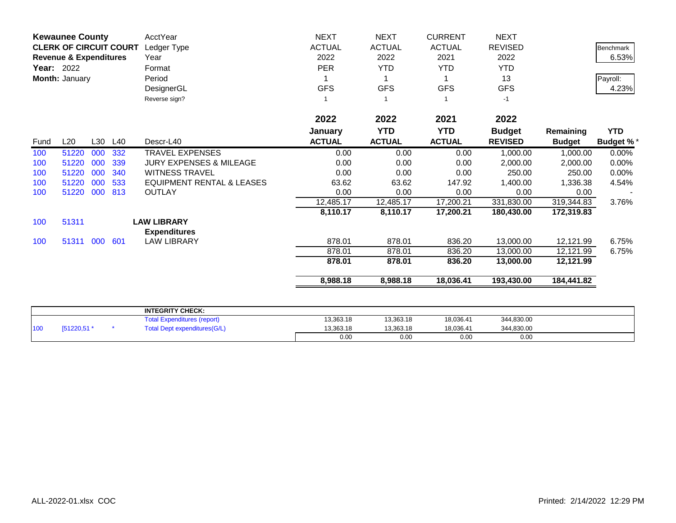| <b>Kewaunee County</b> |                                   |     | AcctYear | <b>NEXT</b>                                                   | <b>NEXT</b>   | <b>CURRENT</b> | <b>NEXT</b>   |                |               |                  |
|------------------------|-----------------------------------|-----|----------|---------------------------------------------------------------|---------------|----------------|---------------|----------------|---------------|------------------|
|                        | <b>CLERK OF CIRCUIT COURT</b>     |     |          | Ledger Type                                                   | <b>ACTUAL</b> | <b>ACTUAL</b>  | <b>ACTUAL</b> | <b>REVISED</b> |               | <b>Benchmark</b> |
|                        | <b>Revenue &amp; Expenditures</b> |     |          | Year                                                          | 2022          | 2022           | 2021          | 2022           |               | 6.53%            |
| <b>Year: 2022</b>      |                                   |     |          | Format                                                        | <b>PER</b>    | <b>YTD</b>     | <b>YTD</b>    | <b>YTD</b>     |               |                  |
|                        | Month: January                    |     |          | Period                                                        |               |                |               | 13             |               | Payroll:         |
|                        |                                   |     |          | DesignerGL                                                    | <b>GFS</b>    | <b>GFS</b>     | <b>GFS</b>    | <b>GFS</b>     |               | 4.23%            |
|                        |                                   |     |          | Reverse sign?                                                 |               | -1             |               | $-1$           |               |                  |
|                        |                                   |     |          |                                                               | 2022          | 2022           | 2021          | 2022           |               |                  |
|                        |                                   |     |          |                                                               | January       | <b>YTD</b>     | <b>YTD</b>    | <b>Budget</b>  | Remaining     | <b>YTD</b>       |
| Fund                   | L20                               | L30 | L40      | Descr-L40                                                     | <b>ACTUAL</b> | <b>ACTUAL</b>  | <b>ACTUAL</b> | <b>REVISED</b> | <b>Budget</b> | <b>Budget %*</b> |
| 100                    | 51220                             | 000 | 332      | <b>TRAVEL EXPENSES</b>                                        | 0.00          | 0.00           | 0.00          | 1,000.00       | 1,000.00      | 0.00%            |
| 100                    | 51220                             | 000 | 339      | <b>JURY EXPENSES &amp; MILEAGE</b>                            | 0.00          | 0.00           | 0.00          | 2,000.00       | 2,000.00      | 0.00%            |
| 100                    | 51220                             | 000 | 340      | <b>WITNESS TRAVEL</b>                                         | 0.00          | 0.00           | 0.00          | 250.00         | 250.00        | 0.00%            |
| 100                    | 51220                             | 000 | 533      | <b>EQUIPMENT RENTAL &amp; LEASES</b>                          | 63.62         | 63.62          | 147.92        | 1,400.00       | 1,336.38      | 4.54%            |
| 100                    | 51220                             | 000 | 813      | <b>OUTLAY</b>                                                 | 0.00          | 0.00           | 0.00          | 0.00           | 0.00          |                  |
|                        |                                   |     |          |                                                               | 12,485.17     | 12,485.17      | 17,200.21     | 331,830.00     | 319,344.83    | 3.76%            |
|                        |                                   |     |          |                                                               | 8,110.17      | 8,110.17       | 17,200.21     | 180,430.00     | 172,319.83    |                  |
| 100                    | 51311                             |     |          | <b>LAW LIBRARY</b><br><b>Expenditures</b>                     |               |                |               |                |               |                  |
| 100                    | 51311 000                         |     | 601      | <b>LAW LIBRARY</b>                                            | 878.01        | 878.01         | 836.20        | 13,000.00      | 12,121.99     | 6.75%            |
|                        |                                   |     |          |                                                               | 878.01        | 878.01         | 836.20        | 13,000.00      | 12,121.99     | 6.75%            |
|                        |                                   |     |          |                                                               | 878.01        | 878.01         | 836.20        | 13,000.00      | 12,121.99     |                  |
|                        |                                   |     |          |                                                               | 8,988.18      | 8,988.18       | 18,036.41     | 193,430.00     | 184,441.82    |                  |
|                        |                                   |     |          |                                                               |               |                |               |                |               |                  |
|                        |                                   |     |          | <b>INTEGRITY CHECK:</b><br><b>Total Expenditures (report)</b> | 13,363.18     | 13,363.18      | 18,036.41     | 344,830.00     |               |                  |
| 100                    | [51220,51 *                       |     |          | <b>Total Dept expenditures(G/L)</b>                           | 13,363.18     | 13,363.18      | 18,036.41     | 344,830.00     |               |                  |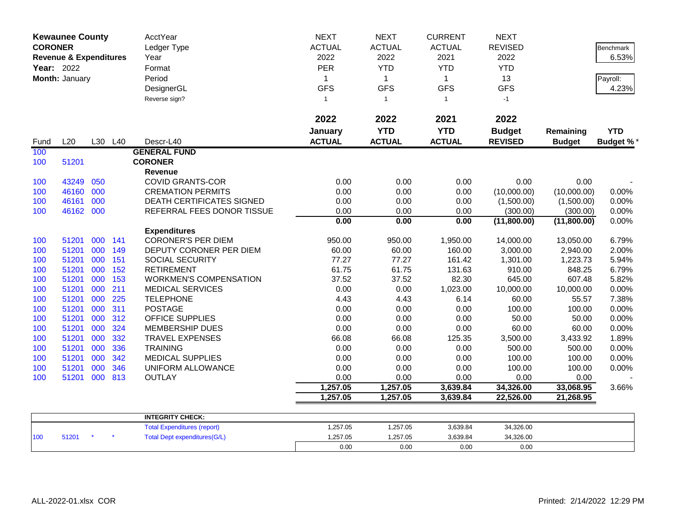|                | <b>Kewaunee County</b>            |     |         | AcctYear                            | <b>NEXT</b>   | <b>NEXT</b>   | <b>CURRENT</b> | <b>NEXT</b>    |               |                  |
|----------------|-----------------------------------|-----|---------|-------------------------------------|---------------|---------------|----------------|----------------|---------------|------------------|
| <b>CORONER</b> |                                   |     |         | Ledger Type                         | <b>ACTUAL</b> | <b>ACTUAL</b> | <b>ACTUAL</b>  | <b>REVISED</b> |               | Benchmark        |
|                | <b>Revenue &amp; Expenditures</b> |     |         | Year                                | 2022          | 2022          | 2021           | 2022           |               | 6.53%            |
| Year: 2022     |                                   |     |         | Format                              | <b>PER</b>    | <b>YTD</b>    | <b>YTD</b>     | <b>YTD</b>     |               |                  |
|                | Month: January                    |     |         | Period                              | 1             | $\mathbf{1}$  | $\mathbf{1}$   | 13             |               | Payroll:         |
|                |                                   |     |         | DesignerGL                          | <b>GFS</b>    | <b>GFS</b>    | <b>GFS</b>     | <b>GFS</b>     |               | 4.23%            |
|                |                                   |     |         | Reverse sign?                       | $\mathbf{1}$  | $\mathbf{1}$  | $\mathbf{1}$   | $-1$           |               |                  |
|                |                                   |     |         |                                     |               |               |                |                |               |                  |
|                |                                   |     |         |                                     | 2022          | 2022          | 2021           | 2022           |               |                  |
|                |                                   |     |         |                                     | January       | <b>YTD</b>    | <b>YTD</b>     | <b>Budget</b>  | Remaining     | <b>YTD</b>       |
| Fund           | L20                               |     | L30 L40 | Descr-L40                           | <b>ACTUAL</b> | <b>ACTUAL</b> | <b>ACTUAL</b>  | <b>REVISED</b> | <b>Budget</b> | <b>Budget %*</b> |
| 100            |                                   |     |         | <b>GENERAL FUND</b>                 |               |               |                |                |               |                  |
| 100            | 51201                             |     |         | <b>CORONER</b>                      |               |               |                |                |               |                  |
|                |                                   |     |         | Revenue                             |               |               |                |                |               |                  |
| 100            | 43249                             | 050 |         | <b>COVID GRANTS-COR</b>             | 0.00          | 0.00          | 0.00           | 0.00           | 0.00          |                  |
| 100            | 46160                             | 000 |         | <b>CREMATION PERMITS</b>            | 0.00          | 0.00          | 0.00           | (10,000.00)    | (10,000.00)   | 0.00%            |
| 100            | 46161                             | 000 |         | <b>DEATH CERTIFICATES SIGNED</b>    | 0.00          | 0.00          | 0.00           | (1,500.00)     | (1,500.00)    | 0.00%            |
| 100            | 46162 000                         |     |         | REFERRAL FEES DONOR TISSUE          | 0.00          | 0.00          | 0.00           | (300.00)       | (300.00)      | 0.00%            |
|                |                                   |     |         |                                     | 0.00          | 0.00          | 0.00           | (11,800.00)    | (11,800.00)   | 0.00%            |
|                |                                   |     |         | <b>Expenditures</b>                 |               |               |                |                |               |                  |
| 100            | 51201                             | 000 | 141     | <b>CORONER'S PER DIEM</b>           | 950.00        | 950.00        | 1,950.00       | 14,000.00      | 13,050.00     | 6.79%            |
| 100            | 51201                             | 000 | 149     | DEPUTY CORONER PER DIEM             | 60.00         | 60.00         | 160.00         | 3,000.00       | 2,940.00      | 2.00%            |
| 100            | 51201                             | 000 | 151     | SOCIAL SECURITY                     | 77.27         | 77.27         | 161.42         | 1,301.00       | 1,223.73      | 5.94%            |
| 100            | 51201                             | 000 | 152     | <b>RETIREMENT</b>                   | 61.75         | 61.75         | 131.63         | 910.00         | 848.25        | 6.79%            |
| 100            | 51201                             | 000 | 153     | <b>WORKMEN'S COMPENSATION</b>       | 37.52         | 37.52         | 82.30          | 645.00         | 607.48        | 5.82%            |
| 100            | 51201                             | 000 | 211     | <b>MEDICAL SERVICES</b>             | 0.00          | 0.00          | 1,023.00       | 10,000.00      | 10,000.00     | 0.00%            |
| 100            | 51201                             | 000 | 225     | <b>TELEPHONE</b>                    | 4.43          | 4.43          | 6.14           | 60.00          | 55.57         | 7.38%            |
| 100            | 51201                             | 000 | 311     | <b>POSTAGE</b>                      | 0.00          | 0.00          | 0.00           | 100.00         | 100.00        | 0.00%            |
| 100            | 51201                             | 000 | 312     | <b>OFFICE SUPPLIES</b>              | 0.00          | 0.00          | 0.00           | 50.00          | 50.00         | 0.00%            |
| 100            | 51201                             | 000 | 324     | <b>MEMBERSHIP DUES</b>              | 0.00          | 0.00          | 0.00           | 60.00          | 60.00         | 0.00%            |
| 100            | 51201                             | 000 | 332     | <b>TRAVEL EXPENSES</b>              | 66.08         | 66.08         | 125.35         | 3,500.00       | 3,433.92      | 1.89%            |
| 100            | 51201                             | 000 | 336     | <b>TRAINING</b>                     | 0.00          | 0.00          | 0.00           | 500.00         | 500.00        | 0.00%            |
| 100            | 51201                             | 000 | 342     | <b>MEDICAL SUPPLIES</b>             | 0.00          | 0.00          | 0.00           | 100.00         | 100.00        | 0.00%            |
| 100            | 51201                             | 000 | 346     | UNIFORM ALLOWANCE                   | 0.00          | 0.00          | 0.00           | 100.00         | 100.00        | 0.00%            |
| 100            | 51201                             | 000 | 813     | <b>OUTLAY</b>                       | 0.00          | 0.00          | 0.00           | 0.00           | 0.00          |                  |
|                |                                   |     |         |                                     | 1,257.05      | 1,257.05      | 3,639.84       | 34,326.00      | 33,068.95     | 3.66%            |
|                |                                   |     |         |                                     | 1,257.05      | 1,257.05      | 3,639.84       | 22,526.00      | 21,268.95     |                  |
|                |                                   |     |         |                                     |               |               |                |                |               |                  |
|                |                                   |     |         | <b>INTEGRITY CHECK:</b>             | 1,257.05      |               |                |                |               |                  |
|                |                                   |     |         | <b>Total Expenditures (report)</b>  |               | 1,257.05      | 3,639.84       | 34,326.00      |               |                  |
| 100            | 51201                             |     |         | <b>Total Dept expenditures(G/L)</b> | 1,257.05      | 1,257.05      | 3,639.84       | 34,326.00      |               |                  |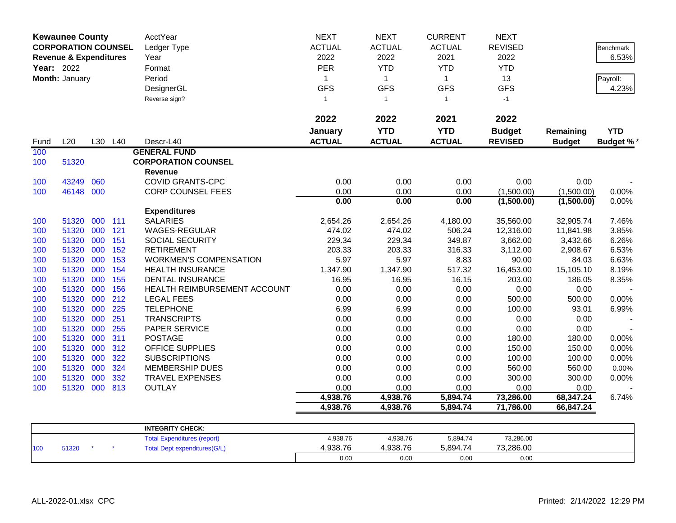|            | <b>Kewaunee County</b>            |            |            | AcctYear                                           | <b>NEXT</b>       | <b>NEXT</b>       | <b>CURRENT</b>  | <b>NEXT</b>         |                     |                  |
|------------|-----------------------------------|------------|------------|----------------------------------------------------|-------------------|-------------------|-----------------|---------------------|---------------------|------------------|
|            | <b>CORPORATION COUNSEL</b>        |            |            | Ledger Type                                        | <b>ACTUAL</b>     | <b>ACTUAL</b>     | <b>ACTUAL</b>   | <b>REVISED</b>      |                     | <b>Benchmark</b> |
|            | <b>Revenue &amp; Expenditures</b> |            |            | Year                                               | 2022              | 2022              | 2021            | 2022                |                     | 6.53%            |
| Year: 2022 |                                   |            |            | Format                                             | PER               | <b>YTD</b>        | <b>YTD</b>      | <b>YTD</b>          |                     |                  |
|            | Month: January                    |            |            | Period                                             | 1                 | $\mathbf{1}$      | $\mathbf{1}$    | 13                  |                     | Payroll:         |
|            |                                   |            |            | DesignerGL                                         | <b>GFS</b>        | <b>GFS</b>        | <b>GFS</b>      | <b>GFS</b>          |                     | 4.23%            |
|            |                                   |            |            | Reverse sign?                                      | $\mathbf{1}$      | $\overline{1}$    | $\mathbf{1}$    | $-1$                |                     |                  |
|            |                                   |            |            |                                                    |                   |                   |                 |                     |                     |                  |
|            |                                   |            |            |                                                    | 2022              | 2022              | 2021            | 2022                |                     |                  |
|            |                                   |            |            |                                                    | January           | <b>YTD</b>        | <b>YTD</b>      | <b>Budget</b>       | Remaining           | <b>YTD</b>       |
| Fund       | L20                               |            | L30 L40    | Descr-L40                                          | <b>ACTUAL</b>     | <b>ACTUAL</b>     | <b>ACTUAL</b>   | <b>REVISED</b>      | <b>Budget</b>       | <b>Budget %*</b> |
| 100        |                                   |            |            | <b>GENERAL FUND</b>                                |                   |                   |                 |                     |                     |                  |
| 100        | 51320                             |            |            | <b>CORPORATION COUNSEL</b>                         |                   |                   |                 |                     |                     |                  |
|            |                                   |            |            | <b>Revenue</b>                                     |                   |                   |                 |                     |                     |                  |
| 100        | 43249                             | 060        |            | <b>COVID GRANTS-CPC</b>                            | 0.00              | 0.00              | 0.00            | 0.00                | 0.00                |                  |
| 100        | 46148                             | 000        |            | <b>CORP COUNSEL FEES</b>                           | 0.00              | 0.00              | 0.00            | (1,500.00)          | (1,500.00)          | 0.00%            |
|            |                                   |            |            |                                                    | 0.00              | 0.00              | 0.00            | (1,500.00)          | (1,500.00)          | 0.00%            |
|            |                                   |            |            | <b>Expenditures</b>                                |                   |                   |                 |                     |                     |                  |
| 100        | 51320                             | 000        | 111        | <b>SALARIES</b>                                    | 2,654.26          | 2,654.26          | 4,180.00        | 35,560.00           | 32,905.74           | 7.46%            |
| 100        | 51320                             | 000        | 121        | WAGES-REGULAR                                      | 474.02            | 474.02            | 506.24          | 12,316.00           | 11,841.98           | 3.85%            |
| 100        | 51320                             | 000        | 151        | SOCIAL SECURITY                                    | 229.34            | 229.34            | 349.87          | 3,662.00            | 3,432.66            | 6.26%            |
| 100        | 51320                             | 000        | 152        | <b>RETIREMENT</b>                                  | 203.33            | 203.33            | 316.33          | 3,112.00            | 2,908.67            | 6.53%            |
| 100        | 51320<br>51320                    | 000<br>000 | 153        | <b>WORKMEN'S COMPENSATION</b>                      | 5.97              | 5.97              | 8.83            | 90.00               | 84.03               | 6.63%            |
| 100<br>100 | 51320                             | 000        | 154<br>155 | <b>HEALTH INSURANCE</b><br><b>DENTAL INSURANCE</b> | 1,347.90<br>16.95 | 1,347.90<br>16.95 | 517.32<br>16.15 | 16,453.00<br>203.00 | 15,105.10<br>186.05 | 8.19%<br>8.35%   |
| 100        | 51320                             | 000        | 156        | HEALTH REIMBURSEMENT ACCOUNT                       | 0.00              | 0.00              | 0.00            | 0.00                | 0.00                |                  |
| 100        | 51320                             | 000        | 212        | <b>LEGAL FEES</b>                                  | 0.00              | 0.00              | 0.00            | 500.00              | 500.00              | 0.00%            |
| 100        | 51320                             | 000        | 225        | <b>TELEPHONE</b>                                   | 6.99              | 6.99              | 0.00            | 100.00              | 93.01               | 6.99%            |
| 100        | 51320                             | 000        | 251        | <b>TRANSCRIPTS</b>                                 | 0.00              | 0.00              | 0.00            | 0.00                | 0.00                |                  |
| 100        | 51320                             | 000        | 255        | PAPER SERVICE                                      | 0.00              | 0.00              | 0.00            | 0.00                | 0.00                |                  |
| 100        | 51320                             | 000        | 311        | <b>POSTAGE</b>                                     | 0.00              | 0.00              | 0.00            | 180.00              | 180.00              | 0.00%            |
| 100        | 51320                             | 000        | 312        | OFFICE SUPPLIES                                    | 0.00              | 0.00              | 0.00            | 150.00              | 150.00              | 0.00%            |
| 100        | 51320                             | 000        | 322        | <b>SUBSCRIPTIONS</b>                               | 0.00              | 0.00              | 0.00            | 100.00              | 100.00              | 0.00%            |
| 100        | 51320                             | 000        | 324        | <b>MEMBERSHIP DUES</b>                             | 0.00              | 0.00              | 0.00            | 560.00              | 560.00              | 0.00%            |
| 100        | 51320                             | 000        | 332        | TRAVEL EXPENSES                                    | 0.00              | 0.00              | 0.00            | 300.00              | 300.00              | 0.00%            |
| 100        | 51320                             | 000        | 813        | <b>OUTLAY</b>                                      | 0.00              | 0.00              | 0.00            | 0.00                | 0.00                |                  |
|            |                                   |            |            |                                                    | 4,938.76          | 4,938.76          | 5,894.74        | 73,286.00           | 68,347.24           | 6.74%            |
|            |                                   |            |            |                                                    | 4,938.76          | 4,938.76          | 5,894.74        | 71,786.00           | 66,847.24           |                  |
|            |                                   |            |            |                                                    |                   |                   |                 |                     |                     |                  |
|            |                                   |            |            | <b>INTEGRITY CHECK:</b>                            |                   |                   |                 |                     |                     |                  |
|            |                                   |            |            | <b>Total Expenditures (report)</b>                 | 4,938.76          | 4,938.76          | 5,894.74        | 73,286.00           |                     |                  |
| 100        | 51320                             |            |            | <b>Total Dept expenditures(G/L)</b>                | 4,938.76          | 4,938.76          | 5,894.74        | 73,286.00           |                     |                  |
|            |                                   |            |            |                                                    | 0.00              | 0.00              | 0.00            | 0.00                |                     |                  |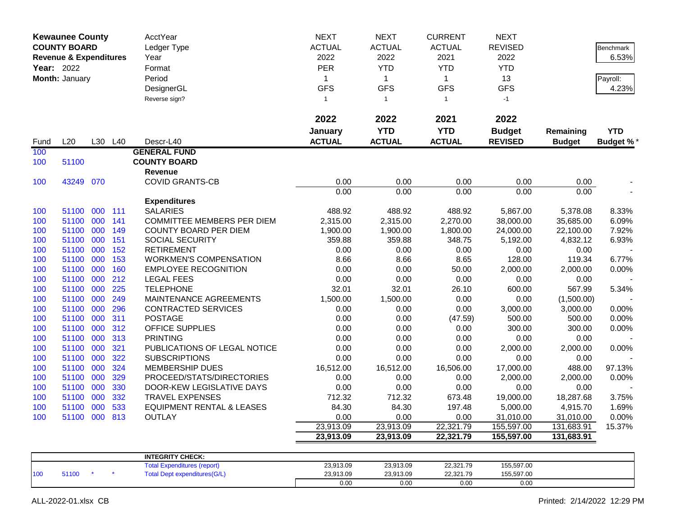|      | <b>Kewaunee County</b><br><b>COUNTY BOARD</b><br><b>Revenue &amp; Expenditures</b><br>Year: 2022<br>Month: January |     |         | AcctYear<br>Ledger Type<br>Year<br>Format<br>Period<br>DesignerGL<br>Reverse sign? | <b>NEXT</b><br><b>ACTUAL</b><br>2022<br>PER<br>$\mathbf{1}$<br><b>GFS</b><br>$\mathbf{1}$ | <b>NEXT</b><br><b>ACTUAL</b><br>2022<br><b>YTD</b><br>$\mathbf{1}$<br><b>GFS</b><br>$\overline{1}$ | <b>CURRENT</b><br><b>ACTUAL</b><br>2021<br><b>YTD</b><br>$\mathbf{1}$<br><b>GFS</b><br>$\mathbf{1}$ | <b>NEXT</b><br><b>REVISED</b><br>2022<br><b>YTD</b><br>13<br><b>GFS</b><br>$-1$ |                            | <b>Benchmark</b><br>6.53%<br>Payroll:<br>4.23% |
|------|--------------------------------------------------------------------------------------------------------------------|-----|---------|------------------------------------------------------------------------------------|-------------------------------------------------------------------------------------------|----------------------------------------------------------------------------------------------------|-----------------------------------------------------------------------------------------------------|---------------------------------------------------------------------------------|----------------------------|------------------------------------------------|
|      |                                                                                                                    |     |         |                                                                                    | 2022                                                                                      | 2022                                                                                               | 2021                                                                                                | 2022                                                                            |                            |                                                |
| Fund | L20                                                                                                                |     | L30 L40 | Descr-L40                                                                          | January<br><b>ACTUAL</b>                                                                  | <b>YTD</b><br><b>ACTUAL</b>                                                                        | <b>YTD</b><br><b>ACTUAL</b>                                                                         | <b>Budget</b><br><b>REVISED</b>                                                 | Remaining<br><b>Budget</b> | <b>YTD</b><br><b>Budget %*</b>                 |
| 100  |                                                                                                                    |     |         | <b>GENERAL FUND</b>                                                                |                                                                                           |                                                                                                    |                                                                                                     |                                                                                 |                            |                                                |
| 100  | 51100                                                                                                              |     |         | <b>COUNTY BOARD</b>                                                                |                                                                                           |                                                                                                    |                                                                                                     |                                                                                 |                            |                                                |
|      |                                                                                                                    |     |         | <b>Revenue</b>                                                                     |                                                                                           |                                                                                                    |                                                                                                     |                                                                                 |                            |                                                |
| 100  | 43249 070                                                                                                          |     |         | <b>COVID GRANTS-CB</b>                                                             | 0.00                                                                                      | 0.00                                                                                               | 0.00                                                                                                | 0.00                                                                            | 0.00                       |                                                |
|      |                                                                                                                    |     |         |                                                                                    | 0.00                                                                                      | 0.00                                                                                               | 0.00                                                                                                | 0.00                                                                            | 0.00                       |                                                |
|      |                                                                                                                    |     |         | <b>Expenditures</b>                                                                |                                                                                           |                                                                                                    |                                                                                                     |                                                                                 |                            |                                                |
| 100  | 51100                                                                                                              | 000 | 111     | <b>SALARIES</b>                                                                    | 488.92                                                                                    | 488.92                                                                                             | 488.92                                                                                              | 5,867.00                                                                        | 5,378.08                   | 8.33%                                          |
| 100  | 51100                                                                                                              | 000 | 141     | <b>COMMITTEE MEMBERS PER DIEM</b>                                                  | 2,315.00                                                                                  | 2,315.00                                                                                           | 2,270.00                                                                                            | 38,000.00                                                                       | 35,685.00                  | 6.09%                                          |
| 100  | 51100                                                                                                              | 000 | 149     | <b>COUNTY BOARD PER DIEM</b>                                                       | 1,900.00                                                                                  | 1,900.00                                                                                           | 1,800.00                                                                                            | 24,000.00                                                                       | 22,100.00                  | 7.92%                                          |
| 100  | 51100 000                                                                                                          |     | 151     | SOCIAL SECURITY                                                                    | 359.88                                                                                    | 359.88                                                                                             | 348.75                                                                                              | 5,192.00                                                                        | 4,832.12                   | 6.93%                                          |
| 100  | 51100                                                                                                              | 000 | 152     | <b>RETIREMENT</b>                                                                  | 0.00                                                                                      | 0.00                                                                                               | 0.00                                                                                                | 0.00                                                                            | 0.00                       |                                                |
| 100  | 51100                                                                                                              | 000 | 153     | <b>WORKMEN'S COMPENSATION</b>                                                      | 8.66                                                                                      | 8.66                                                                                               | 8.65                                                                                                | 128.00                                                                          | 119.34                     | 6.77%                                          |
| 100  | 51100                                                                                                              | 000 | 160     | <b>EMPLOYEE RECOGNITION</b>                                                        | 0.00                                                                                      | 0.00                                                                                               | 50.00                                                                                               | 2,000.00                                                                        | 2,000.00                   | 0.00%                                          |
| 100  | 51100                                                                                                              | 000 | 212     | <b>LEGAL FEES</b>                                                                  | 0.00                                                                                      | 0.00                                                                                               | 0.00                                                                                                | 0.00                                                                            | 0.00                       |                                                |
| 100  | 51100                                                                                                              | 000 | 225     | <b>TELEPHONE</b>                                                                   | 32.01                                                                                     | 32.01                                                                                              | 26.10                                                                                               | 600.00                                                                          | 567.99                     | 5.34%                                          |
| 100  | 51100                                                                                                              | 000 | 249     | MAINTENANCE AGREEMENTS                                                             | 1,500.00                                                                                  | 1,500.00                                                                                           | 0.00                                                                                                | 0.00                                                                            | (1,500.00)                 |                                                |
| 100  | 51100                                                                                                              | 000 | 296     | <b>CONTRACTED SERVICES</b>                                                         | 0.00                                                                                      | 0.00                                                                                               | 0.00                                                                                                | 3,000.00                                                                        | 3,000.00                   | 0.00%                                          |
| 100  | 51100                                                                                                              | 000 | 311     | <b>POSTAGE</b>                                                                     | 0.00                                                                                      | 0.00                                                                                               | (47.59)                                                                                             | 500.00                                                                          | 500.00                     | 0.00%                                          |
| 100  | 51100                                                                                                              | 000 | 312     | <b>OFFICE SUPPLIES</b>                                                             | 0.00                                                                                      | 0.00                                                                                               | 0.00                                                                                                | 300.00                                                                          | 300.00                     | 0.00%                                          |
| 100  | 51100                                                                                                              | 000 | 313     | <b>PRINTING</b>                                                                    | 0.00                                                                                      | 0.00                                                                                               | 0.00                                                                                                | 0.00                                                                            | 0.00                       |                                                |
| 100  | 51100                                                                                                              | 000 | 321     | PUBLICATIONS OF LEGAL NOTICE                                                       | 0.00                                                                                      | 0.00                                                                                               | 0.00                                                                                                | 2,000.00                                                                        | 2,000.00                   | 0.00%                                          |
| 100  | 51100                                                                                                              | 000 | 322     | <b>SUBSCRIPTIONS</b>                                                               | 0.00                                                                                      | 0.00                                                                                               | 0.00                                                                                                | 0.00                                                                            | 0.00                       |                                                |
| 100  | 51100                                                                                                              | 000 | 324     | <b>MEMBERSHIP DUES</b>                                                             | 16,512.00                                                                                 | 16,512.00                                                                                          | 16,506.00                                                                                           | 17,000.00                                                                       | 488.00                     | 97.13%                                         |
| 100  | 51100                                                                                                              | 000 | 329     | PROCEED/STATS/DIRECTORIES                                                          | 0.00                                                                                      | 0.00                                                                                               | 0.00                                                                                                | 2,000.00                                                                        | 2,000.00                   | 0.00%                                          |
| 100  | 51100                                                                                                              | 000 | 330     | DOOR-KEW LEGISLATIVE DAYS                                                          | 0.00                                                                                      | 0.00                                                                                               | 0.00                                                                                                | 0.00                                                                            | 0.00                       |                                                |
| 100  | 51100                                                                                                              | 000 | 332     | <b>TRAVEL EXPENSES</b>                                                             | 712.32                                                                                    | 712.32                                                                                             | 673.48                                                                                              | 19,000.00                                                                       | 18,287.68                  | 3.75%                                          |
| 100  | 51100                                                                                                              | 000 | 533     | <b>EQUIPMENT RENTAL &amp; LEASES</b>                                               | 84.30                                                                                     | 84.30                                                                                              | 197.48                                                                                              | 5,000.00                                                                        | 4,915.70                   | 1.69%                                          |
| 100  | 51100 000                                                                                                          |     | 813     | <b>OUTLAY</b>                                                                      | 0.00                                                                                      | 0.00                                                                                               | 0.00                                                                                                | 31,010.00                                                                       | 31,010.00                  | 0.00%                                          |
|      |                                                                                                                    |     |         |                                                                                    | 23,913.09                                                                                 | 23,913.09                                                                                          | 22,321.79                                                                                           | 155,597.00                                                                      | 131,683.91                 | 15.37%                                         |
|      |                                                                                                                    |     |         |                                                                                    | 23,913.09                                                                                 | 23,913.09                                                                                          | 22,321.79                                                                                           | 155,597.00                                                                      | 131,683.91                 |                                                |
|      |                                                                                                                    |     |         | <b>INTEGRITY CHECK:</b>                                                            |                                                                                           |                                                                                                    |                                                                                                     |                                                                                 |                            |                                                |
|      |                                                                                                                    |     |         | <b>Total Expenditures (report)</b>                                                 | 23,913.09                                                                                 | 23,913.09                                                                                          | 22,321.79                                                                                           | 155,597.00                                                                      |                            |                                                |
| 100  | 51100                                                                                                              |     |         | <b>Total Dept expenditures(G/L)</b>                                                | 23,913.09                                                                                 | 23,913.09                                                                                          | 22,321.79                                                                                           | 155,597.00                                                                      |                            |                                                |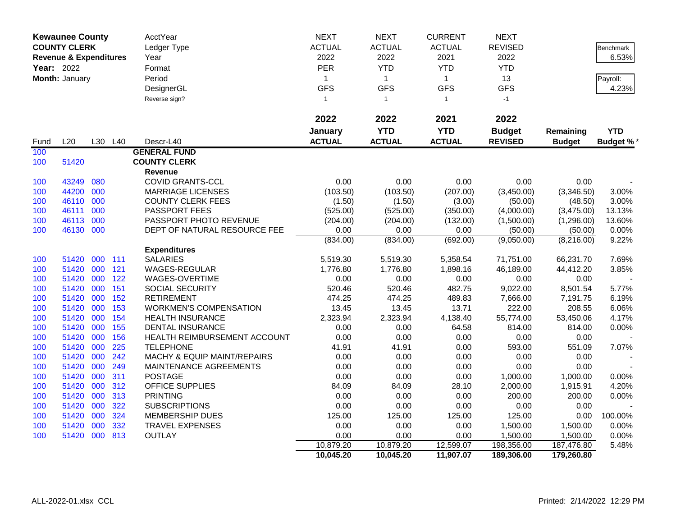|                                                                   | <b>Kewaunee County</b> |         |         | AcctYear                      | <b>NEXT</b>   | <b>NEXT</b>   | <b>CURRENT</b> | <b>NEXT</b>    |               |                  |
|-------------------------------------------------------------------|------------------------|---------|---------|-------------------------------|---------------|---------------|----------------|----------------|---------------|------------------|
|                                                                   | <b>COUNTY CLERK</b>    |         |         | Ledger Type                   | <b>ACTUAL</b> | <b>ACTUAL</b> | <b>ACTUAL</b>  | <b>REVISED</b> |               | <b>Benchmark</b> |
| <b>Revenue &amp; Expenditures</b><br>Year: 2022<br>Month: January | Year                   | 2022    | 2022    | 2021                          | 2022          |               | 6.53%          |                |               |                  |
|                                                                   |                        |         |         | Format                        | PER           | <b>YTD</b>    | <b>YTD</b>     | <b>YTD</b>     |               |                  |
|                                                                   |                        |         |         | Period                        | $\mathbf 1$   | $\mathbf{1}$  | $\mathbf{1}$   | 13             |               | Payroll:         |
|                                                                   |                        |         |         | DesignerGL                    | <b>GFS</b>    | <b>GFS</b>    | <b>GFS</b>     | <b>GFS</b>     |               | 4.23%            |
|                                                                   |                        |         |         | Reverse sign?                 | $\mathbf{1}$  | $\mathbf{1}$  | $\mathbf{1}$   | $-1$           |               |                  |
|                                                                   |                        |         |         |                               |               |               |                |                |               |                  |
|                                                                   |                        |         |         |                               | 2022          | 2022          | 2021           | 2022           |               |                  |
|                                                                   |                        |         |         |                               | January       | <b>YTD</b>    | <b>YTD</b>     | <b>Budget</b>  | Remaining     | <b>YTD</b>       |
| Fund                                                              | L20                    |         | L30 L40 | Descr-L40                     | <b>ACTUAL</b> | <b>ACTUAL</b> | <b>ACTUAL</b>  | <b>REVISED</b> | <b>Budget</b> | <b>Budget %*</b> |
| 100                                                               |                        |         |         | <b>GENERAL FUND</b>           |               |               |                |                |               |                  |
| 100                                                               | 51420                  |         |         | <b>COUNTY CLERK</b>           |               |               |                |                |               |                  |
|                                                                   |                        |         |         | Revenue                       |               |               |                |                |               |                  |
| 100                                                               | 43249                  | 080     |         | <b>COVID GRANTS-CCL</b>       | 0.00          | 0.00          | 0.00           | 0.00           | 0.00          |                  |
| 100                                                               | 44200                  | 000     |         | <b>MARRIAGE LICENSES</b>      | (103.50)      | (103.50)      | (207.00)       | (3,450.00)     | (3,346.50)    | 3.00%            |
| 100                                                               | 46110                  | 000     |         | <b>COUNTY CLERK FEES</b>      | (1.50)        | (1.50)        | (3.00)         | (50.00)        | (48.50)       | 3.00%            |
| 100                                                               | 46111                  | 000     |         | PASSPORT FEES                 | (525.00)      | (525.00)      | (350.00)       | (4,000.00)     | (3,475.00)    | 13.13%           |
| 100                                                               | 46113                  | 000     |         | PASSPORT PHOTO REVENUE        | (204.00)      | (204.00)      | (132.00)       | (1,500.00)     | (1,296.00)    | 13.60%           |
| 100                                                               | 46130 000              |         |         | DEPT OF NATURAL RESOURCE FEE  | 0.00          | 0.00          | 0.00           | (50.00)        | (50.00)       | 0.00%            |
|                                                                   |                        |         |         |                               | (834.00)      | (834.00)      | (692.00)       | (9,050.00)     | (8,216.00)    | 9.22%            |
|                                                                   |                        |         |         | <b>Expenditures</b>           |               |               |                |                |               |                  |
| 100                                                               | 51420                  | 000 111 |         | <b>SALARIES</b>               | 5,519.30      | 5,519.30      | 5,358.54       | 71,751.00      | 66,231.70     | 7.69%            |
| 100                                                               | 51420                  | 000     | 121     | WAGES-REGULAR                 | 1,776.80      | 1,776.80      | 1,898.16       | 46,189.00      | 44,412.20     | 3.85%            |
| 100                                                               | 51420                  | 000     | 122     | WAGES-OVERTIME                | 0.00          | 0.00          | 0.00           | 0.00           | 0.00          |                  |
| 100                                                               | 51420                  | 000     | 151     | SOCIAL SECURITY               | 520.46        | 520.46        | 482.75         | 9,022.00       | 8,501.54      | 5.77%            |
| 100                                                               | 51420                  | 000     | 152     | <b>RETIREMENT</b>             | 474.25        | 474.25        | 489.83         | 7,666.00       | 7,191.75      | 6.19%            |
| 100                                                               | 51420                  | 000     | 153     | <b>WORKMEN'S COMPENSATION</b> | 13.45         | 13.45         | 13.71          | 222.00         | 208.55        | 6.06%            |
| 100                                                               | 51420                  | 000     | 154     | <b>HEALTH INSURANCE</b>       | 2,323.94      | 2,323.94      | 4,138.40       | 55,774.00      | 53,450.06     | 4.17%            |
| 100                                                               | 51420                  | 000     | 155     | <b>DENTAL INSURANCE</b>       | 0.00          | 0.00          | 64.58          | 814.00         | 814.00        | 0.00%            |
| 100                                                               | 51420                  | 000     | 156     | HEALTH REIMBURSEMENT ACCOUNT  | 0.00          | 0.00          | 0.00           | 0.00           | 0.00          |                  |
| 100                                                               | 51420                  | 000     | 225     | <b>TELEPHONE</b>              | 41.91         | 41.91         | 0.00           | 593.00         | 551.09        | 7.07%            |
| 100                                                               | 51420                  | 000     | 242     | MACHY & EQUIP MAINT/REPAIRS   | 0.00          | 0.00          | 0.00           | 0.00           | 0.00          |                  |
| 100                                                               | 51420                  | 000     | 249     | MAINTENANCE AGREEMENTS        | 0.00          | 0.00          | 0.00           | 0.00           | 0.00          |                  |
| 100                                                               | 51420                  | 000     | 311     | <b>POSTAGE</b>                | 0.00          | 0.00          | 0.00           | 1,000.00       | 1,000.00      | 0.00%            |
| 100                                                               | 51420                  | 000     | 312     | OFFICE SUPPLIES               | 84.09         | 84.09         | 28.10          | 2,000.00       | 1,915.91      | 4.20%            |
| 100                                                               | 51420                  | 000     | 313     | <b>PRINTING</b>               | 0.00          | 0.00          | 0.00           | 200.00         | 200.00        | 0.00%            |
| 100                                                               | 51420                  | 000     | 322     | <b>SUBSCRIPTIONS</b>          | 0.00          | 0.00          | 0.00           | 0.00           | 0.00          |                  |
| 100                                                               | 51420                  | 000     | 324     | MEMBERSHIP DUES               | 125.00        | 125.00        | 125.00         | 125.00         | 0.00          | 100.00%          |
| 100                                                               | 51420                  | 000     | 332     | <b>TRAVEL EXPENSES</b>        | 0.00          | 0.00          | 0.00           | 1,500.00       | 1,500.00      | 0.00%            |
| 100                                                               | 51420                  | 000     | 813     | <b>OUTLAY</b>                 | 0.00          | 0.00          | 0.00           | 1,500.00       | 1,500.00      | 0.00%            |
|                                                                   |                        |         |         |                               | 10,879.20     | 10,879.20     | 12,599.07      | 198,356.00     | 187,476.80    | 5.48%            |
|                                                                   |                        |         |         |                               | 10,045.20     | 10,045.20     | 11,907.07      | 189,306.00     | 179,260.80    |                  |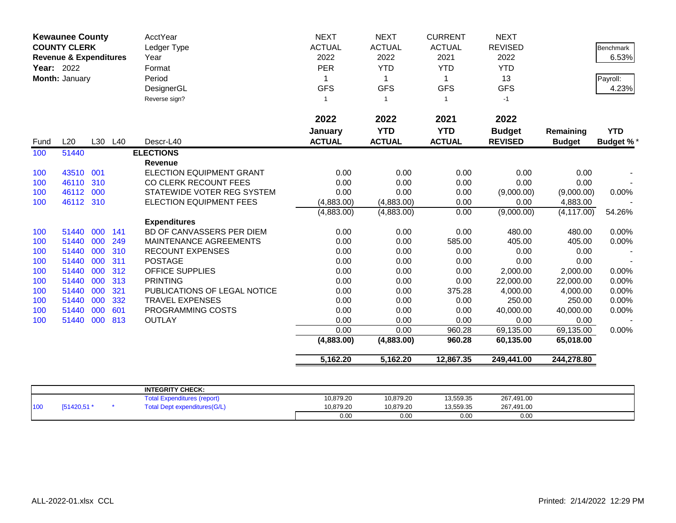|      | <b>Kewaunee County</b><br><b>COUNTY CLERK</b><br><b>Revenue &amp; Expenditures</b><br><b>Year: 2022</b><br>Month: January |     |         | <b>AcctYear</b><br>Ledger Type<br>Year<br>Format<br>Period<br>DesignerGL<br>Reverse sign? | <b>NEXT</b><br><b>ACTUAL</b><br>2022<br>PER<br>1<br><b>GFS</b><br>$\mathbf 1$ | <b>NEXT</b><br><b>ACTUAL</b><br>2022<br><b>YTD</b><br>-1<br><b>GFS</b><br>$\overline{1}$ | <b>CURRENT</b><br><b>ACTUAL</b><br>2021<br><b>YTD</b><br>1<br><b>GFS</b><br>$\overline{1}$ | <b>NEXT</b><br><b>REVISED</b><br>2022<br><b>YTD</b><br>13<br><b>GFS</b><br>$-1$ |                            | <b>Benchmark</b><br>6.53%<br>Payroll:<br>4.23% |
|------|---------------------------------------------------------------------------------------------------------------------------|-----|---------|-------------------------------------------------------------------------------------------|-------------------------------------------------------------------------------|------------------------------------------------------------------------------------------|--------------------------------------------------------------------------------------------|---------------------------------------------------------------------------------|----------------------------|------------------------------------------------|
| Fund | L20                                                                                                                       |     | L30 L40 | Descr-L40                                                                                 | 2022<br>January<br><b>ACTUAL</b>                                              | 2022<br><b>YTD</b><br><b>ACTUAL</b>                                                      | 2021<br><b>YTD</b><br><b>ACTUAL</b>                                                        | 2022<br><b>Budget</b><br><b>REVISED</b>                                         | Remaining<br><b>Budget</b> | <b>YTD</b><br><b>Budget %*</b>                 |
| 100  | 51440                                                                                                                     |     |         | <b>ELECTIONS</b>                                                                          |                                                                               |                                                                                          |                                                                                            |                                                                                 |                            |                                                |
|      |                                                                                                                           |     |         | <b>Revenue</b>                                                                            |                                                                               |                                                                                          |                                                                                            |                                                                                 |                            |                                                |
| 100  | 43510                                                                                                                     | 001 |         | <b>ELECTION EQUIPMENT GRANT</b>                                                           | 0.00                                                                          | 0.00                                                                                     | 0.00                                                                                       | 0.00                                                                            | 0.00                       |                                                |
| 100  | 46110                                                                                                                     | 310 |         | CO CLERK RECOUNT FEES                                                                     | 0.00                                                                          | 0.00                                                                                     | 0.00                                                                                       | 0.00                                                                            | 0.00                       |                                                |
| 100  | 46112                                                                                                                     | 000 |         | STATEWIDE VOTER REG SYSTEM                                                                | 0.00                                                                          | 0.00                                                                                     | 0.00                                                                                       | (9,000.00)                                                                      | (9,000.00)                 | 0.00%                                          |
| 100  | 46112 310                                                                                                                 |     |         | ELECTION EQUIPMENT FEES                                                                   | (4,883.00)                                                                    | (4,883.00)                                                                               | 0.00                                                                                       | 0.00                                                                            | 4,883.00                   |                                                |
|      |                                                                                                                           |     |         |                                                                                           | (4,883.00)                                                                    | (4,883.00)                                                                               | 0.00                                                                                       | (9,000.00)                                                                      | (4, 117.00)                | 54.26%                                         |
|      |                                                                                                                           |     |         | <b>Expenditures</b>                                                                       |                                                                               |                                                                                          |                                                                                            |                                                                                 |                            |                                                |
| 100  | 51440                                                                                                                     | 000 | 141     | BD OF CANVASSERS PER DIEM                                                                 | 0.00                                                                          | 0.00                                                                                     | 0.00                                                                                       | 480.00                                                                          | 480.00                     | 0.00%                                          |
| 100  | 51440                                                                                                                     | 000 | 249     | MAINTENANCE AGREEMENTS                                                                    | 0.00                                                                          | 0.00                                                                                     | 585.00                                                                                     | 405.00                                                                          | 405.00                     | 0.00%                                          |
| 100  | 51440                                                                                                                     | 000 | 310     | <b>RECOUNT EXPENSES</b>                                                                   | 0.00                                                                          | 0.00                                                                                     | 0.00                                                                                       | 0.00                                                                            | 0.00                       |                                                |
| 100  | 51440                                                                                                                     | 000 | 311     | <b>POSTAGE</b>                                                                            | 0.00                                                                          | 0.00                                                                                     | 0.00                                                                                       | 0.00                                                                            | 0.00                       |                                                |
| 100  | 51440                                                                                                                     | 000 | 312     | <b>OFFICE SUPPLIES</b>                                                                    | 0.00                                                                          | 0.00                                                                                     | 0.00                                                                                       | 2,000.00                                                                        | 2,000.00                   | 0.00%                                          |
| 100  | 51440                                                                                                                     | 000 | 313     | <b>PRINTING</b>                                                                           | 0.00                                                                          | 0.00                                                                                     | 0.00                                                                                       | 22,000.00                                                                       | 22,000.00                  | 0.00%                                          |
| 100  | 51440                                                                                                                     | 000 | 321     | PUBLICATIONS OF LEGAL NOTICE                                                              | 0.00                                                                          | 0.00                                                                                     | 375.28                                                                                     | 4,000.00                                                                        | 4,000.00                   | 0.00%                                          |
| 100  | 51440                                                                                                                     | 000 | 332     | <b>TRAVEL EXPENSES</b>                                                                    | 0.00                                                                          | 0.00                                                                                     | 0.00                                                                                       | 250.00                                                                          | 250.00                     | 0.00%                                          |
| 100  | 51440                                                                                                                     | 000 | 601     | PROGRAMMING COSTS                                                                         | 0.00                                                                          | 0.00                                                                                     | 0.00                                                                                       | 40,000.00                                                                       | 40,000.00                  | 0.00%                                          |
| 100  | 51440                                                                                                                     | 000 | 813     | <b>OUTLAY</b>                                                                             | 0.00                                                                          | 0.00                                                                                     | 0.00                                                                                       | 0.00                                                                            | 0.00                       |                                                |
|      |                                                                                                                           |     |         |                                                                                           | 0.00                                                                          | 0.00                                                                                     | 960.28                                                                                     | 69,135.00                                                                       | 69,135.00                  | 0.00%                                          |
|      |                                                                                                                           |     |         |                                                                                           | (4,883.00)                                                                    | (4,883.00)                                                                               | 960.28                                                                                     | 60,135.00                                                                       | 65,018.00                  |                                                |
|      |                                                                                                                           |     |         |                                                                                           | 5,162.20                                                                      | 5,162.20                                                                                 | 12,867.35                                                                                  | 249,441.00                                                                      | 244,278.80                 |                                                |

|     |           | <b>INTEGRITY CHECK:</b>                      |           |           |           |            |  |
|-----|-----------|----------------------------------------------|-----------|-----------|-----------|------------|--|
|     |           | `otal<br>Expenditures (report                | 10,879.20 | 10,879.20 | 13,559.35 | 267,491.00 |  |
| 100 | [51420,51 | <b>it expenditures(G/L)</b><br>`otal<br>Dept | 10,879.20 | 10,879.20 | 13,559.35 | 267,491.00 |  |
|     |           |                                              | 0.00      | 0.00      | 0.00      | 0.00       |  |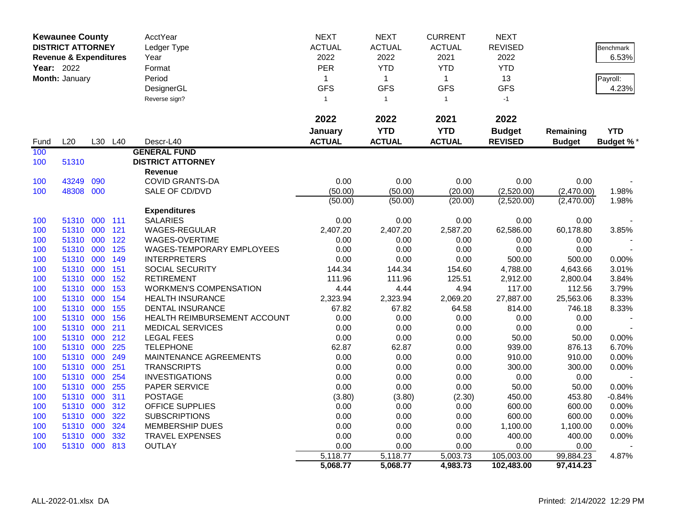|                                                                   | <b>Kewaunee County</b>   |      |         | AcctYear                      | <b>NEXT</b>   | <b>NEXT</b>   | <b>CURRENT</b> | <b>NEXT</b>    |               |                  |
|-------------------------------------------------------------------|--------------------------|------|---------|-------------------------------|---------------|---------------|----------------|----------------|---------------|------------------|
|                                                                   | <b>DISTRICT ATTORNEY</b> |      |         | Ledger Type                   | <b>ACTUAL</b> | <b>ACTUAL</b> | <b>ACTUAL</b>  | <b>REVISED</b> |               | <b>Benchmark</b> |
| <b>Revenue &amp; Expenditures</b><br>Year: 2022<br>Month: January | Year                     | 2022 | 2022    | 2021                          | 2022          |               | 6.53%          |                |               |                  |
|                                                                   |                          |      |         | Format                        | PER           | <b>YTD</b>    | <b>YTD</b>     | <b>YTD</b>     |               |                  |
|                                                                   |                          |      |         | Period                        | $\mathbf{1}$  | $\mathbf{1}$  | $\mathbf{1}$   | 13             |               | Payroll:         |
|                                                                   |                          |      |         | DesignerGL                    | <b>GFS</b>    | <b>GFS</b>    | <b>GFS</b>     | <b>GFS</b>     |               | 4.23%            |
|                                                                   |                          |      |         | Reverse sign?                 | $\mathbf{1}$  | $\mathbf{1}$  | $\mathbf{1}$   | $-1$           |               |                  |
|                                                                   |                          |      |         |                               |               |               |                |                |               |                  |
|                                                                   |                          |      |         |                               | 2022          | 2022          | 2021           | 2022           |               |                  |
|                                                                   |                          |      |         |                               | January       | <b>YTD</b>    | <b>YTD</b>     | <b>Budget</b>  | Remaining     | <b>YTD</b>       |
| Fund                                                              | L20                      |      | L30 L40 | Descr-L40                     | <b>ACTUAL</b> | <b>ACTUAL</b> | <b>ACTUAL</b>  | <b>REVISED</b> | <b>Budget</b> | <b>Budget %*</b> |
| 100                                                               |                          |      |         | <b>GENERAL FUND</b>           |               |               |                |                |               |                  |
| 100                                                               | 51310                    |      |         | <b>DISTRICT ATTORNEY</b>      |               |               |                |                |               |                  |
|                                                                   |                          |      |         | Revenue                       |               |               |                |                |               |                  |
| 100                                                               | 43249                    | 090  |         | <b>COVID GRANTS-DA</b>        | 0.00          | 0.00          | 0.00           | 0.00           | 0.00          |                  |
| 100                                                               | 48308 000                |      |         | SALE OF CD/DVD                | (50.00)       | (50.00)       | (20.00)        | (2,520.00)     | (2,470.00)    | 1.98%            |
|                                                                   |                          |      |         |                               | (50.00)       | (50.00)       | (20.00)        | (2,520.00)     | (2,470.00)    | 1.98%            |
|                                                                   |                          |      |         | <b>Expenditures</b>           |               |               |                |                |               |                  |
| 100                                                               | 51310 000 111            |      |         | <b>SALARIES</b>               | 0.00          | 0.00          | 0.00           | 0.00           | 0.00          |                  |
| 100                                                               | 51310 000                |      | 121     | WAGES-REGULAR                 | 2,407.20      | 2,407.20      | 2,587.20       | 62,586.00      | 60,178.80     | 3.85%            |
| 100                                                               | 51310                    | 000  | 122     | WAGES-OVERTIME                | 0.00          | 0.00          | 0.00           | 0.00           | 0.00          |                  |
| 100                                                               | 51310 000                |      | 125     | WAGES-TEMPORARY EMPLOYEES     | 0.00          | 0.00          | 0.00           | 0.00           | 0.00          |                  |
| 100                                                               | 51310 000                |      | 149     | <b>INTERPRETERS</b>           | 0.00          | 0.00          | 0.00           | 500.00         | 500.00        | 0.00%            |
| 100                                                               | 51310                    | 000  | 151     | SOCIAL SECURITY               | 144.34        | 144.34        | 154.60         | 4,788.00       | 4,643.66      | 3.01%            |
| 100                                                               | 51310 000                |      | 152     | <b>RETIREMENT</b>             | 111.96        | 111.96        | 125.51         | 2,912.00       | 2,800.04      | 3.84%            |
| 100                                                               | 51310 000                |      | 153     | <b>WORKMEN'S COMPENSATION</b> | 4.44          | 4.44          | 4.94           | 117.00         | 112.56        | 3.79%            |
| 100                                                               | 51310                    | 000  | 154     | <b>HEALTH INSURANCE</b>       | 2,323.94      | 2,323.94      | 2,069.20       | 27,887.00      | 25,563.06     | 8.33%            |
| 100                                                               | 51310 000                |      | 155     | <b>DENTAL INSURANCE</b>       | 67.82         | 67.82         | 64.58          | 814.00         | 746.18        | 8.33%            |
| 100                                                               | 51310 000                |      | 156     | HEALTH REIMBURSEMENT ACCOUNT  | 0.00          | 0.00          | 0.00           | 0.00           | 0.00          |                  |
| 100                                                               | 51310                    | 000  | 211     | <b>MEDICAL SERVICES</b>       | 0.00          | 0.00          | 0.00           | 0.00           | 0.00          |                  |
| 100                                                               | 51310 000                |      | 212     | <b>LEGAL FEES</b>             | 0.00          | 0.00          | 0.00           | 50.00          | 50.00         | 0.00%            |
| 100                                                               | 51310 000                |      | 225     | <b>TELEPHONE</b>              | 62.87         | 62.87         | 0.00           | 939.00         | 876.13        | 6.70%            |
| 100                                                               | 51310                    | 000  | 249     | MAINTENANCE AGREEMENTS        | 0.00          | 0.00          | 0.00           | 910.00         | 910.00        | 0.00%            |
| 100                                                               | 51310 000                |      | 251     | <b>TRANSCRIPTS</b>            | 0.00          | 0.00          | 0.00           | 300.00         | 300.00        | 0.00%            |
| 100                                                               | 51310 000                |      | 254     | <b>INVESTIGATIONS</b>         | 0.00          | 0.00          | 0.00           | 0.00           | 0.00          |                  |
| 100                                                               | 51310                    | 000  | 255     | PAPER SERVICE                 | 0.00          | 0.00          | 0.00           | 50.00          | 50.00         | 0.00%            |
| 100                                                               | 51310 000                |      | 311     | <b>POSTAGE</b>                | (3.80)        | (3.80)        | (2.30)         | 450.00         | 453.80        | $-0.84%$         |
| 100                                                               | 51310 000                |      | 312     | <b>OFFICE SUPPLIES</b>        | 0.00          | 0.00          | 0.00           | 600.00         | 600.00        | 0.00%            |
| 100                                                               | 51310                    | 000  | 322     | <b>SUBSCRIPTIONS</b>          | 0.00          | 0.00          | 0.00           | 600.00         | 600.00        | $0.00\%$         |
| 100                                                               | 51310 000                |      | 324     | <b>MEMBERSHIP DUES</b>        | 0.00          | 0.00          | 0.00           | 1,100.00       | 1,100.00      | 0.00%            |
| 100                                                               | 51310                    | 000  | 332     | <b>TRAVEL EXPENSES</b>        | 0.00          | 0.00          | 0.00           | 400.00         | 400.00        | 0.00%            |
| 100                                                               | 51310 000 813            |      |         | <b>OUTLAY</b>                 | 0.00          | 0.00          | 0.00           | 0.00           | 0.00          |                  |
|                                                                   |                          |      |         |                               | 5,118.77      | 5,118.77      | 5,003.73       | 105,003.00     | 99,884.23     | 4.87%            |
|                                                                   |                          |      |         |                               | 5,068.77      | 5,068.77      | 4,983.73       | 102,483.00     | 97,414.23     |                  |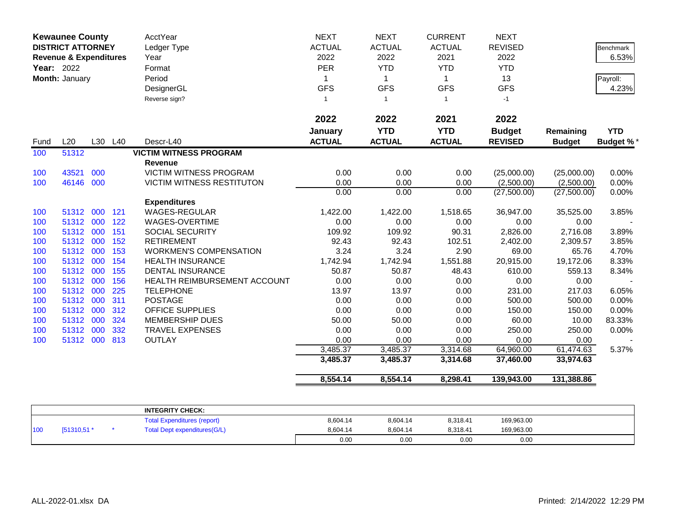| <b>Year: 2022</b> | <b>Kewaunee County</b><br><b>DISTRICT ATTORNEY</b><br><b>Revenue &amp; Expenditures</b> |     |         | AcctYear<br>Ledger Type<br>Year<br>Format | <b>NEXT</b><br><b>ACTUAL</b><br>2022<br><b>PER</b> | <b>NEXT</b><br><b>ACTUAL</b><br>2022<br><b>YTD</b> | <b>CURRENT</b><br><b>ACTUAL</b><br>2021<br><b>YTD</b> | <b>NEXT</b><br><b>REVISED</b><br>2022<br><b>YTD</b> |               | Benchmark<br>6.53% |
|-------------------|-----------------------------------------------------------------------------------------|-----|---------|-------------------------------------------|----------------------------------------------------|----------------------------------------------------|-------------------------------------------------------|-----------------------------------------------------|---------------|--------------------|
|                   | Month: January                                                                          |     |         | Period                                    | 1                                                  | $\mathbf 1$                                        | $\mathbf{1}$                                          | 13                                                  |               | Payroll:           |
|                   |                                                                                         |     |         | DesignerGL                                | <b>GFS</b>                                         | <b>GFS</b>                                         | <b>GFS</b>                                            | <b>GFS</b>                                          |               | 4.23%              |
|                   |                                                                                         |     |         | Reverse sign?                             | $\mathbf{1}$                                       | $\overline{1}$                                     | $\mathbf{1}$                                          | $-1$                                                |               |                    |
|                   |                                                                                         |     |         |                                           | 2022                                               | 2022                                               | 2021                                                  | 2022                                                |               |                    |
|                   |                                                                                         |     |         |                                           | January                                            | <b>YTD</b>                                         | <b>YTD</b>                                            | <b>Budget</b>                                       | Remaining     | <b>YTD</b>         |
| Fund              | L20                                                                                     |     | L30 L40 | Descr-L40                                 | <b>ACTUAL</b>                                      | <b>ACTUAL</b>                                      | <b>ACTUAL</b>                                         | <b>REVISED</b>                                      | <b>Budget</b> | <b>Budget %*</b>   |
| 100               | 51312                                                                                   |     |         | <b>VICTIM WITNESS PROGRAM</b>             |                                                    |                                                    |                                                       |                                                     |               |                    |
|                   |                                                                                         |     |         | <b>Revenue</b>                            |                                                    |                                                    |                                                       |                                                     |               |                    |
| 100               | 43521                                                                                   | 000 |         | <b>VICTIM WITNESS PROGRAM</b>             | 0.00                                               | 0.00                                               | 0.00                                                  | (25,000.00)                                         | (25,000.00)   | 0.00%              |
| 100               | 46146                                                                                   | 000 |         | <b>VICTIM WITNESS RESTITUTON</b>          | 0.00                                               | 0.00                                               | 0.00                                                  | (2,500.00)                                          | (2,500.00)    | 0.00%              |
|                   |                                                                                         |     |         |                                           | 0.00                                               | 0.00                                               | 0.00                                                  | (27,500.00)                                         | (27,500.00)   | 0.00%              |
|                   |                                                                                         |     |         | <b>Expenditures</b>                       |                                                    |                                                    |                                                       |                                                     |               |                    |
| 100               | 51312                                                                                   | 000 | 121     | <b>WAGES-REGULAR</b>                      | 1,422.00                                           | 1,422.00                                           | 1,518.65                                              | 36,947.00                                           | 35,525.00     | 3.85%              |
| 100               | 51312                                                                                   | 000 | 122     | WAGES-OVERTIME                            | 0.00                                               | 0.00                                               | 0.00                                                  | 0.00                                                | 0.00          |                    |
| 100               | 51312                                                                                   | 000 | 151     | SOCIAL SECURITY                           | 109.92                                             | 109.92                                             | 90.31                                                 | 2,826.00                                            | 2,716.08      | 3.89%              |
| 100               | 51312                                                                                   | 000 | 152     | <b>RETIREMENT</b>                         | 92.43                                              | 92.43                                              | 102.51                                                | 2,402.00                                            | 2,309.57      | 3.85%              |
| 100               | 51312                                                                                   | 000 | 153     | <b>WORKMEN'S COMPENSATION</b>             | 3.24                                               | 3.24                                               | 2.90                                                  | 69.00                                               | 65.76         | 4.70%              |
| 100               | 51312                                                                                   | 000 | 154     | <b>HEALTH INSURANCE</b>                   | 1,742.94                                           | 1,742.94                                           | 1,551.88                                              | 20,915.00                                           | 19,172.06     | 8.33%              |
| 100               | 51312                                                                                   | 000 | 155     | <b>DENTAL INSURANCE</b>                   | 50.87                                              | 50.87                                              | 48.43                                                 | 610.00                                              | 559.13        | 8.34%              |
| 100               | 51312                                                                                   | 000 | 156     | HEALTH REIMBURSEMENT ACCOUNT              | 0.00                                               | 0.00                                               | 0.00                                                  | 0.00                                                | 0.00          |                    |
| 100               | 51312                                                                                   | 000 | 225     | <b>TELEPHONE</b>                          | 13.97                                              | 13.97                                              | 0.00                                                  | 231.00                                              | 217.03        | 6.05%              |
| 100               | 51312                                                                                   | 000 | 311     | <b>POSTAGE</b>                            | 0.00                                               | 0.00                                               | 0.00                                                  | 500.00                                              | 500.00        | 0.00%              |
| 100               | 51312                                                                                   | 000 | 312     | OFFICE SUPPLIES                           | 0.00                                               | 0.00                                               | 0.00                                                  | 150.00                                              | 150.00        | 0.00%              |
| 100               | 51312                                                                                   | 000 | 324     | <b>MEMBERSHIP DUES</b>                    | 50.00                                              | 50.00                                              | 0.00                                                  | 60.00                                               | 10.00         | 83.33%             |
| 100               | 51312                                                                                   | 000 | 332     | <b>TRAVEL EXPENSES</b>                    | 0.00                                               | 0.00                                               | 0.00                                                  | 250.00                                              | 250.00        | 0.00%              |
| 100               | 51312 000                                                                               |     | 813     | <b>OUTLAY</b>                             | 0.00                                               | 0.00                                               | 0.00                                                  | 0.00                                                | 0.00          |                    |
|                   |                                                                                         |     |         |                                           | 3,485.37                                           | 3,485.37                                           | 3,314.68                                              | 64,960.00                                           | 61,474.63     | 5.37%              |
|                   |                                                                                         |     |         |                                           | 3,485.37                                           | 3,485.37                                           | 3,314.68                                              | 37,460.00                                           | 33,974.63     |                    |
|                   |                                                                                         |     |         |                                           | 8,554.14                                           | 8,554.14                                           | 8,298.41                                              | 139,943.00                                          | 131,388.86    |                    |

|     |             | <b>INTEGRITY CHECK:</b>            |          |          |          |            |  |
|-----|-------------|------------------------------------|----------|----------|----------|------------|--|
|     |             | <b>Total Expenditures (report)</b> | 8.604.14 | 8.604.14 | 8.318.41 | 169,963.00 |  |
| 100 | [51310,51 * | Total Dept expenditures (G/L)      | 8.604.14 | 8.604.14 | 8.318.41 | 169,963.00 |  |
|     |             |                                    | 0.00     | 0.00     | 0.00     | 0.00       |  |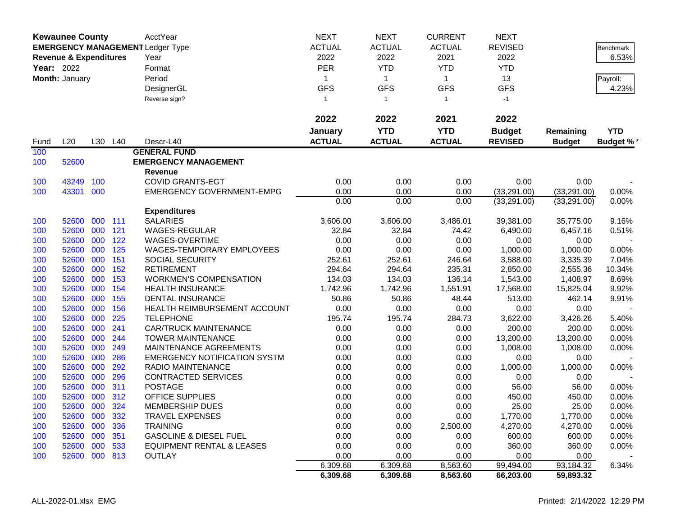|                   | <b>Kewaunee County</b>            |     |         | <b>AcctYear</b>                         | <b>NEXT</b>   | <b>NEXT</b>    | <b>CURRENT</b> | <b>NEXT</b>    |               |                  |
|-------------------|-----------------------------------|-----|---------|-----------------------------------------|---------------|----------------|----------------|----------------|---------------|------------------|
|                   |                                   |     |         | <b>EMERGENCY MANAGEMENT Ledger Type</b> | <b>ACTUAL</b> | <b>ACTUAL</b>  | <b>ACTUAL</b>  | <b>REVISED</b> |               | Benchmark        |
|                   | <b>Revenue &amp; Expenditures</b> |     |         | Year                                    | 2022          | 2022           | 2021           | 2022           |               | 6.53%            |
| <b>Year: 2022</b> |                                   |     |         | Format                                  | <b>PER</b>    | <b>YTD</b>     | <b>YTD</b>     | <b>YTD</b>     |               |                  |
|                   | Month: January                    |     |         | Period                                  | 1             | $\mathbf{1}$   | $\mathbf{1}$   | 13             |               | Payroll:         |
|                   |                                   |     |         | DesignerGL                              | <b>GFS</b>    | <b>GFS</b>     | <b>GFS</b>     | <b>GFS</b>     |               | 4.23%            |
|                   |                                   |     |         | Reverse sign?                           | $\mathbf{1}$  | $\overline{1}$ | $\mathbf{1}$   | $-1$           |               |                  |
|                   |                                   |     |         |                                         |               |                |                |                |               |                  |
|                   |                                   |     |         |                                         | 2022          | 2022           | 2021           | 2022           |               |                  |
|                   |                                   |     |         |                                         | January       | <b>YTD</b>     | <b>YTD</b>     | <b>Budget</b>  | Remaining     | <b>YTD</b>       |
| Fund              | L20                               |     | L30 L40 | Descr-L40                               | <b>ACTUAL</b> | <b>ACTUAL</b>  | <b>ACTUAL</b>  | <b>REVISED</b> | <b>Budget</b> | <b>Budget %*</b> |
| 100               |                                   |     |         | <b>GENERAL FUND</b>                     |               |                |                |                |               |                  |
| 100               | 52600                             |     |         | <b>EMERGENCY MANAGEMENT</b>             |               |                |                |                |               |                  |
|                   |                                   |     |         | <b>Revenue</b>                          |               |                |                |                |               |                  |
| 100               | 43249                             | 100 |         | <b>COVID GRANTS-EGT</b>                 | 0.00          | 0.00           | 0.00           | 0.00           | 0.00          |                  |
| 100               | 43301                             | 000 |         | <b>EMERGENCY GOVERNMENT-EMPG</b>        | 0.00          | 0.00           | 0.00           | (33, 291.00)   | (33, 291.00)  | 0.00%            |
|                   |                                   |     |         |                                         | 0.00          | 0.00           | 0.00           | (33, 291.00)   | (33, 291.00)  | 0.00%            |
|                   |                                   |     |         | <b>Expenditures</b>                     |               |                |                |                |               |                  |
| 100               | 52600                             | 000 | 111     | <b>SALARIES</b>                         | 3,606.00      | 3,606.00       | 3,486.01       | 39,381.00      | 35,775.00     | 9.16%            |
| 100               | 52600                             | 000 | 121     | <b>WAGES-REGULAR</b>                    | 32.84         | 32.84          | 74.42          | 6,490.00       | 6,457.16      | 0.51%            |
| 100               | 52600                             | 000 | 122     | WAGES-OVERTIME                          | 0.00          | 0.00           | 0.00           | 0.00           | 0.00          |                  |
| 100               | 52600                             | 000 | 125     | <b>WAGES-TEMPORARY EMPLOYEES</b>        | 0.00          | 0.00           | 0.00           | 1,000.00       | 1,000.00      | 0.00%            |
| 100               | 52600                             | 000 | 151     | SOCIAL SECURITY                         | 252.61        | 252.61         | 246.64         | 3,588.00       | 3,335.39      | 7.04%            |
| 100               | 52600                             | 000 | 152     | <b>RETIREMENT</b>                       | 294.64        | 294.64         | 235.31         | 2,850.00       | 2,555.36      | 10.34%           |
| 100               | 52600                             | 000 | 153     | <b>WORKMEN'S COMPENSATION</b>           | 134.03        | 134.03         | 136.14         | 1,543.00       | 1,408.97      | 8.69%            |
| 100               | 52600                             | 000 | 154     | <b>HEALTH INSURANCE</b>                 | 1,742.96      | 1,742.96       | 1,551.91       | 17,568.00      | 15,825.04     | 9.92%            |
| 100               | 52600                             | 000 | 155     | <b>DENTAL INSURANCE</b>                 | 50.86         | 50.86          | 48.44          | 513.00         | 462.14        | 9.91%            |
| 100               | 52600                             | 000 | 156     | HEALTH REIMBURSEMENT ACCOUNT            | 0.00          | 0.00           | 0.00           | 0.00           | 0.00          |                  |
| 100               | 52600                             | 000 | 225     | <b>TELEPHONE</b>                        | 195.74        | 195.74         | 284.73         | 3,622.00       | 3,426.26      | 5.40%            |
| 100               | 52600                             | 000 | 241     | <b>CAR/TRUCK MAINTENANCE</b>            | 0.00          | 0.00           | 0.00           | 200.00         | 200.00        | 0.00%            |
| 100               | 52600                             | 000 | 244     | <b>TOWER MAINTENANCE</b>                | 0.00          | 0.00           | 0.00           | 13,200.00      | 13,200.00     | 0.00%            |
| 100               | 52600                             | 000 | 249     | MAINTENANCE AGREEMENTS                  | 0.00          | 0.00           | 0.00           | 1,008.00       | 1,008.00      | 0.00%            |
| 100               | 52600                             | 000 | 286     | <b>EMERGENCY NOTIFICATION SYSTM</b>     | 0.00          | 0.00           | 0.00           | 0.00           | 0.00          |                  |
| 100               | 52600                             | 000 | 292     | <b>RADIO MAINTENANCE</b>                | 0.00          | 0.00           | 0.00           | 1,000.00       | 1,000.00      | 0.00%            |
| 100               | 52600                             | 000 | 296     | <b>CONTRACTED SERVICES</b>              | 0.00          | 0.00           | 0.00           | 0.00           | 0.00          |                  |
| 100               | 52600                             | 000 | 311     | <b>POSTAGE</b>                          | 0.00          | 0.00           | 0.00           | 56.00          | 56.00         | 0.00%            |
| 100               | 52600                             | 000 | 312     | <b>OFFICE SUPPLIES</b>                  | 0.00          | 0.00           | 0.00           | 450.00         | 450.00        | 0.00%            |
| 100               | 52600 000                         |     | 324     | <b>MEMBERSHIP DUES</b>                  | 0.00          | 0.00           | 0.00           | 25.00          | 25.00         | 0.00%            |
| 100               | 52600 000 332                     |     |         | <b>TRAVEL EXPENSES</b>                  | 0.00          | 0.00           | 0.00           | 1,770.00       | 1,770.00      | 0.00%            |
| 100               | 52600 000                         |     | 336     | <b>TRAINING</b>                         | 0.00          | 0.00           | 2,500.00       | 4,270.00       | 4,270.00      | 0.00%            |
| 100               | 52600 000                         |     | 351     | <b>GASOLINE &amp; DIESEL FUEL</b>       | 0.00          | 0.00           | 0.00           | 600.00         | 600.00        | 0.00%            |
| 100               | 52600 000 533                     |     |         | <b>EQUIPMENT RENTAL &amp; LEASES</b>    | 0.00          | 0.00           | 0.00           | 360.00         | 360.00        | 0.00%            |
| 100               | 52600 000 813                     |     |         | <b>OUTLAY</b>                           | 0.00          | 0.00           | 0.00           | 0.00           | 0.00          |                  |
|                   |                                   |     |         |                                         | 6,309.68      | 6,309.68       | 8,563.60       | 99,494.00      | 93,184.32     | 6.34%            |
|                   |                                   |     |         |                                         | 6,309.68      | 6,309.68       | 8,563.60       | 66,203.00      | 59,893.32     |                  |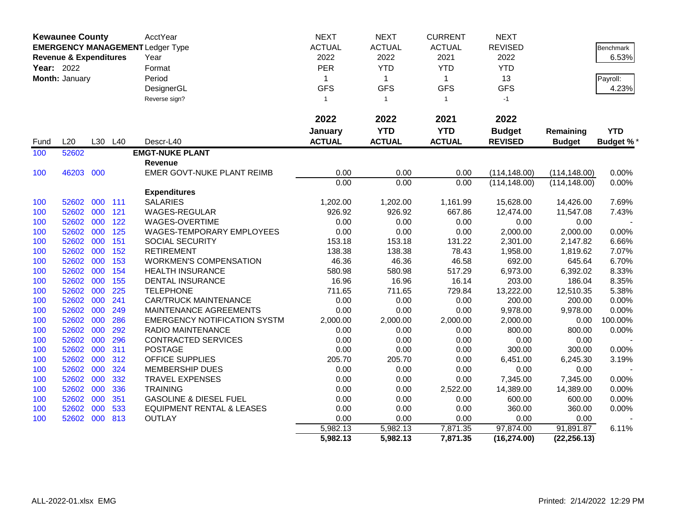|      | <b>Kewaunee County</b>                                            |     |     | AcctYear                             | <b>NEXT</b>   | <b>NEXT</b>   | <b>CURRENT</b> | <b>NEXT</b>    |               |                  |
|------|-------------------------------------------------------------------|-----|-----|--------------------------------------|---------------|---------------|----------------|----------------|---------------|------------------|
|      | <b>EMERGENCY MANAGEMENT Ledger Type</b>                           |     |     |                                      | <b>ACTUAL</b> | <b>ACTUAL</b> | <b>ACTUAL</b>  | <b>REVISED</b> |               | Benchmark        |
|      | <b>Revenue &amp; Expenditures</b><br>Year: 2022<br>Month: January |     |     | Year                                 | 2022          | 2022          | 2021           | 2022           |               | 6.53%            |
|      |                                                                   |     |     | Format                               | PER           | <b>YTD</b>    | <b>YTD</b>     | <b>YTD</b>     |               |                  |
|      |                                                                   |     |     | Period                               | 1             | $\mathbf{1}$  | $\mathbf{1}$   | 13             |               | Payroll:         |
|      |                                                                   |     |     | DesignerGL                           | <b>GFS</b>    | <b>GFS</b>    | <b>GFS</b>     | <b>GFS</b>     |               | 4.23%            |
|      |                                                                   |     |     | Reverse sign?                        | $\mathbf{1}$  | $\mathbf{1}$  | $\mathbf{1}$   | $-1$           |               |                  |
|      |                                                                   |     |     |                                      |               |               |                |                |               |                  |
|      |                                                                   |     |     |                                      | 2022          | 2022          | 2021           | 2022           |               |                  |
|      |                                                                   |     |     |                                      | January       | <b>YTD</b>    | <b>YTD</b>     | <b>Budget</b>  | Remaining     | <b>YTD</b>       |
| Fund | L20                                                               | L30 | L40 | Descr-L40                            | <b>ACTUAL</b> | <b>ACTUAL</b> | <b>ACTUAL</b>  | <b>REVISED</b> | <b>Budget</b> | <b>Budget %*</b> |
| 100  | 52602                                                             |     |     | <b>EMGT-NUKE PLANT</b>               |               |               |                |                |               |                  |
|      |                                                                   |     |     | <b>Revenue</b>                       |               |               |                |                |               |                  |
| 100  | 46203                                                             | 000 |     | EMER GOVT-NUKE PLANT REIMB           | 0.00          | 0.00          | 0.00           | (114, 148.00)  | (114, 148.00) | 0.00%            |
|      |                                                                   |     |     |                                      | 0.00          | 0.00          | 0.00           | (114, 148.00)  | (114, 148.00) | 0.00%            |
|      |                                                                   |     |     | <b>Expenditures</b>                  |               |               |                |                |               |                  |
| 100  | 52602                                                             | 000 | 111 | <b>SALARIES</b>                      | 1,202.00      | 1,202.00      | 1,161.99       | 15,628.00      | 14,426.00     | 7.69%            |
| 100  | 52602                                                             | 000 | 121 | <b>WAGES-REGULAR</b>                 | 926.92        | 926.92        | 667.86         | 12,474.00      | 11,547.08     | 7.43%            |
| 100  | 52602                                                             | 000 | 122 | WAGES-OVERTIME                       | 0.00          | 0.00          | 0.00           | 0.00           | 0.00          |                  |
| 100  | 52602                                                             | 000 | 125 | WAGES-TEMPORARY EMPLOYEES            | 0.00          | 0.00          | 0.00           | 2,000.00       | 2,000.00      | 0.00%            |
| 100  | 52602                                                             | 000 | 151 | SOCIAL SECURITY                      | 153.18        | 153.18        | 131.22         | 2,301.00       | 2,147.82      | 6.66%            |
| 100  | 52602                                                             | 000 | 152 | <b>RETIREMENT</b>                    | 138.38        | 138.38        | 78.43          | 1,958.00       | 1,819.62      | 7.07%            |
| 100  | 52602                                                             | 000 | 153 | <b>WORKMEN'S COMPENSATION</b>        | 46.36         | 46.36         | 46.58          | 692.00         | 645.64        | 6.70%            |
| 100  | 52602                                                             | 000 | 154 | <b>HEALTH INSURANCE</b>              | 580.98        | 580.98        | 517.29         | 6,973.00       | 6,392.02      | 8.33%            |
| 100  | 52602                                                             | 000 | 155 | DENTAL INSURANCE                     | 16.96         | 16.96         | 16.14          | 203.00         | 186.04        | 8.35%            |
| 100  | 52602                                                             | 000 | 225 | <b>TELEPHONE</b>                     | 711.65        | 711.65        | 729.84         | 13,222.00      | 12,510.35     | 5.38%            |
| 100  | 52602                                                             | 000 | 241 | <b>CAR/TRUCK MAINTENANCE</b>         | 0.00          | 0.00          | 0.00           | 200.00         | 200.00        | 0.00%            |
| 100  | 52602                                                             | 000 | 249 | MAINTENANCE AGREEMENTS               | 0.00          | 0.00          | 0.00           | 9,978.00       | 9,978.00      | 0.00%            |
| 100  | 52602                                                             | 000 | 286 | <b>EMERGENCY NOTIFICATION SYSTM</b>  | 2,000.00      | 2,000.00      | 2,000.00       | 2,000.00       | 0.00          | 100.00%          |
| 100  | 52602                                                             | 000 | 292 | RADIO MAINTENANCE                    | 0.00          | 0.00          | 0.00           | 800.00         | 800.00        | 0.00%            |
| 100  | 52602                                                             | 000 | 296 | <b>CONTRACTED SERVICES</b>           | 0.00          | 0.00          | 0.00           | 0.00           | 0.00          |                  |
| 100  | 52602                                                             | 000 | 311 | <b>POSTAGE</b>                       | 0.00          | 0.00          | 0.00           | 300.00         | 300.00        | 0.00%            |
| 100  | 52602                                                             | 000 | 312 | <b>OFFICE SUPPLIES</b>               | 205.70        | 205.70        | 0.00           | 6,451.00       | 6,245.30      | 3.19%            |
| 100  | 52602                                                             | 000 | 324 | <b>MEMBERSHIP DUES</b>               | 0.00          | 0.00          | 0.00           | 0.00           | 0.00          |                  |
| 100  | 52602                                                             | 000 | 332 | <b>TRAVEL EXPENSES</b>               | 0.00          | 0.00          | 0.00           | 7,345.00       | 7,345.00      | 0.00%            |
| 100  | 52602                                                             | 000 | 336 | <b>TRAINING</b>                      | 0.00          | 0.00          | 2,522.00       | 14,389.00      | 14,389.00     | 0.00%            |
| 100  | 52602                                                             | 000 | 351 | <b>GASOLINE &amp; DIESEL FUEL</b>    | 0.00          | 0.00          | 0.00           | 600.00         | 600.00        | 0.00%            |
| 100  | 52602                                                             | 000 | 533 | <b>EQUIPMENT RENTAL &amp; LEASES</b> | 0.00          | 0.00          | 0.00           | 360.00         | 360.00        | 0.00%            |
| 100  | 52602                                                             | 000 | 813 | <b>OUTLAY</b>                        | 0.00          | 0.00          | 0.00           | 0.00           | 0.00          |                  |
|      |                                                                   |     |     |                                      | 5,982.13      | 5,982.13      | 7,871.35       | 97,874.00      | 91,891.87     | 6.11%            |
|      |                                                                   |     |     |                                      | 5,982.13      | 5,982.13      | 7,871.35       | (16, 274.00)   | (22, 256.13)  |                  |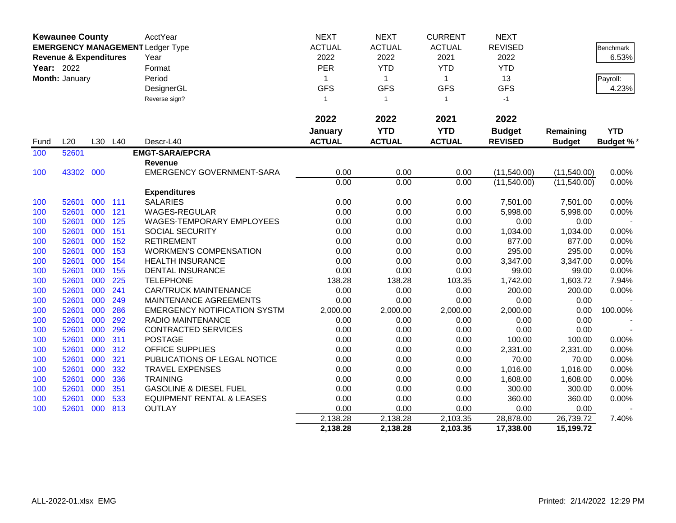|            | <b>Kewaunee County</b>            |         |     | AcctYear                                | <b>NEXT</b>   | <b>NEXT</b>    | <b>CURRENT</b> | <b>NEXT</b>    |               |                  |
|------------|-----------------------------------|---------|-----|-----------------------------------------|---------------|----------------|----------------|----------------|---------------|------------------|
|            |                                   |         |     | <b>EMERGENCY MANAGEMENT Ledger Type</b> | <b>ACTUAL</b> | <b>ACTUAL</b>  | <b>ACTUAL</b>  | <b>REVISED</b> |               | <b>Benchmark</b> |
|            | <b>Revenue &amp; Expenditures</b> |         |     | Year                                    | 2022          | 2022           | 2021           | 2022           |               | 6.53%            |
| Year: 2022 |                                   |         |     | Format                                  | PER           | <b>YTD</b>     | <b>YTD</b>     | <b>YTD</b>     |               |                  |
|            | Month: January                    |         |     | Period                                  | 1             | $\mathbf{1}$   | $\mathbf{1}$   | 13             |               | Payroll:         |
|            |                                   |         |     | DesignerGL                              | <b>GFS</b>    | <b>GFS</b>     | <b>GFS</b>     | <b>GFS</b>     |               | 4.23%            |
|            |                                   |         |     | Reverse sign?                           | $\mathbf{1}$  | $\overline{1}$ | $\mathbf{1}$   | $-1$           |               |                  |
|            |                                   |         |     |                                         |               |                |                |                |               |                  |
|            |                                   |         |     |                                         | 2022          | 2022           | 2021           | 2022           |               |                  |
|            |                                   |         |     |                                         | January       | <b>YTD</b>     | <b>YTD</b>     | <b>Budget</b>  | Remaining     | <b>YTD</b>       |
| Fund       | L20                               | L30     | L40 | Descr-L40                               | <b>ACTUAL</b> | <b>ACTUAL</b>  | <b>ACTUAL</b>  | <b>REVISED</b> | <b>Budget</b> | <b>Budget %*</b> |
| 100        | 52601                             |         |     | <b>EMGT-SARA/EPCRA</b>                  |               |                |                |                |               |                  |
|            |                                   |         |     | Revenue                                 |               |                |                |                |               |                  |
| 100        | 43302 000                         |         |     | <b>EMERGENCY GOVERNMENT-SARA</b>        | 0.00          | 0.00           | 0.00           | (11,540.00)    | (11,540.00)   | 0.00%            |
|            |                                   |         |     |                                         | 0.00          | 0.00           | 0.00           | (11,540.00)    | (11,540.00)   | 0.00%            |
|            |                                   |         |     | <b>Expenditures</b>                     |               |                |                |                |               |                  |
| 100        | 52601                             | 000 111 |     | <b>SALARIES</b>                         | 0.00          | 0.00           | 0.00           | 7,501.00       | 7,501.00      | 0.00%            |
| 100        | 52601                             | 000     | 121 | WAGES-REGULAR                           | 0.00          | 0.00           | 0.00           | 5,998.00       | 5,998.00      | 0.00%            |
| 100        | 52601                             | 000     | 125 | WAGES-TEMPORARY EMPLOYEES               | 0.00          | 0.00           | 0.00           | 0.00           | 0.00          |                  |
| 100        | 52601                             | 000     | 151 | <b>SOCIAL SECURITY</b>                  | 0.00          | 0.00           | 0.00           | 1,034.00       | 1,034.00      | 0.00%            |
| 100        | 52601                             | 000     | 152 | <b>RETIREMENT</b>                       | 0.00          | 0.00           | 0.00           | 877.00         | 877.00        | 0.00%            |
| 100        | 52601                             | 000     | 153 | <b>WORKMEN'S COMPENSATION</b>           | 0.00          | 0.00           | 0.00           | 295.00         | 295.00        | 0.00%            |
| 100        | 52601                             | 000     | 154 | <b>HEALTH INSURANCE</b>                 | 0.00          | 0.00           | 0.00           | 3,347.00       | 3,347.00      | 0.00%            |
| 100        | 52601                             | 000     | 155 | <b>DENTAL INSURANCE</b>                 | 0.00          | 0.00           | 0.00           | 99.00          | 99.00         | 0.00%            |
| 100        | 52601                             | 000     | 225 | <b>TELEPHONE</b>                        | 138.28        | 138.28         | 103.35         | 1,742.00       | 1,603.72      | 7.94%            |
| 100        | 52601                             | 000     | 241 | <b>CAR/TRUCK MAINTENANCE</b>            | 0.00          | 0.00           | 0.00           | 200.00         | 200.00        | 0.00%            |
| 100        | 52601                             | 000     | 249 | MAINTENANCE AGREEMENTS                  | 0.00          | 0.00           | 0.00           | 0.00           | 0.00          |                  |
| 100        | 52601                             | 000     | 286 | <b>EMERGENCY NOTIFICATION SYSTM</b>     | 2,000.00      | 2,000.00       | 2,000.00       | 2,000.00       | 0.00          | 100.00%          |
| 100        | 52601                             | 000     | 292 | RADIO MAINTENANCE                       | 0.00          | 0.00           | 0.00           | 0.00           | 0.00          |                  |
| 100        | 52601                             | 000     | 296 | <b>CONTRACTED SERVICES</b>              | 0.00          | 0.00           | 0.00           | 0.00           | 0.00          |                  |
| 100        | 52601                             | 000     | 311 | <b>POSTAGE</b>                          | 0.00          | 0.00           | 0.00           | 100.00         | 100.00        | 0.00%            |
| 100        | 52601                             | 000     | 312 | <b>OFFICE SUPPLIES</b>                  | 0.00          | 0.00           | 0.00           | 2,331.00       | 2,331.00      | 0.00%            |
| 100        | 52601                             | 000     | 321 | PUBLICATIONS OF LEGAL NOTICE            | 0.00          | 0.00           | 0.00           | 70.00          | 70.00         | 0.00%            |
| 100        | 52601                             | 000     | 332 | <b>TRAVEL EXPENSES</b>                  | 0.00          | 0.00           | 0.00           | 1,016.00       | 1,016.00      | 0.00%            |
| 100        | 52601                             | 000     | 336 | <b>TRAINING</b>                         | 0.00          | 0.00           | 0.00           | 1,608.00       | 1,608.00      | 0.00%            |
| 100        | 52601                             | 000     | 351 | <b>GASOLINE &amp; DIESEL FUEL</b>       | 0.00          | 0.00           | 0.00           | 300.00         | 300.00        | 0.00%            |
| 100        | 52601                             | 000     | 533 | <b>EQUIPMENT RENTAL &amp; LEASES</b>    | 0.00          | 0.00           | 0.00           | 360.00         | 360.00        | 0.00%            |
| 100        | 52601                             | 000     | 813 | <b>OUTLAY</b>                           | 0.00          | 0.00           | 0.00           | 0.00           | 0.00          |                  |
|            |                                   |         |     |                                         | 2,138.28      | 2,138.28       | 2,103.35       | 28,878.00      | 26,739.72     | 7.40%            |
|            |                                   |         |     |                                         | 2,138.28      | 2,138.28       | 2,103.35       | 17,338.00      | 15,199.72     |                  |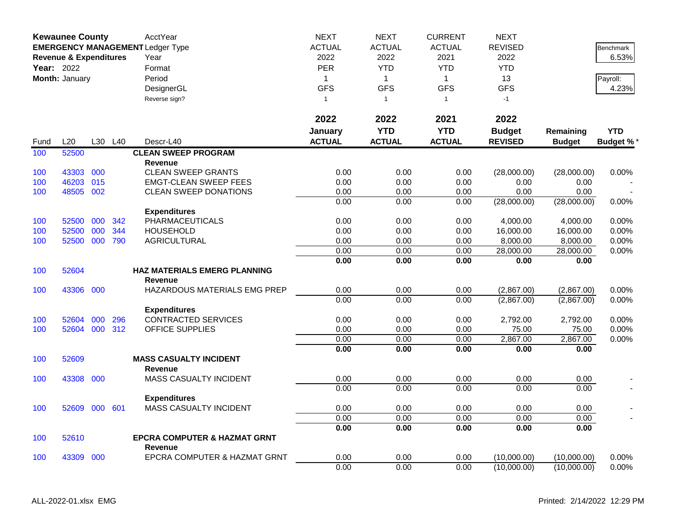|      | <b>Kewaunee County</b>                                                                     |     |     | AcctYear                                        | <b>NEXT</b>   | <b>NEXT</b>    | <b>CURRENT</b> | <b>NEXT</b>    |               |                  |
|------|--------------------------------------------------------------------------------------------|-----|-----|-------------------------------------------------|---------------|----------------|----------------|----------------|---------------|------------------|
|      | <b>EMERGENCY MANAGEMENT Ledger Type</b><br><b>Revenue &amp; Expenditures</b><br>Year: 2022 |     |     |                                                 | <b>ACTUAL</b> | <b>ACTUAL</b>  | <b>ACTUAL</b>  | <b>REVISED</b> |               | Benchmark        |
|      |                                                                                            |     |     | Year                                            | 2022          | 2022           | 2021           | 2022           |               | 6.53%            |
|      |                                                                                            |     |     | Format                                          | PER           | <b>YTD</b>     | <b>YTD</b>     | <b>YTD</b>     |               |                  |
|      | Month: January                                                                             |     |     | Period                                          | $\mathbf{1}$  | $\mathbf{1}$   | $\mathbf{1}$   | 13             |               | Payroll:         |
|      |                                                                                            |     |     | DesignerGL                                      | <b>GFS</b>    | <b>GFS</b>     | <b>GFS</b>     | <b>GFS</b>     |               | 4.23%            |
|      |                                                                                            |     |     | Reverse sign?                                   | $\mathbf{1}$  | $\overline{1}$ | $\mathbf{1}$   | $-1$           |               |                  |
|      |                                                                                            |     |     |                                                 | 2022          | 2022           | 2021           | 2022           |               |                  |
|      |                                                                                            |     |     |                                                 | January       | <b>YTD</b>     | <b>YTD</b>     | <b>Budget</b>  | Remaining     | <b>YTD</b>       |
| Fund | L20                                                                                        | L30 | L40 | Descr-L40                                       | <b>ACTUAL</b> | <b>ACTUAL</b>  | <b>ACTUAL</b>  | <b>REVISED</b> | <b>Budget</b> | <b>Budget %*</b> |
| 100  | 52500                                                                                      |     |     | <b>CLEAN SWEEP PROGRAM</b>                      |               |                |                |                |               |                  |
|      |                                                                                            |     |     | <b>Revenue</b>                                  |               |                |                |                |               |                  |
| 100  | 43303                                                                                      | 000 |     | <b>CLEAN SWEEP GRANTS</b>                       | 0.00          | 0.00           | 0.00           | (28,000.00)    | (28,000.00)   | 0.00%            |
| 100  | 46203                                                                                      | 015 |     | <b>EMGT-CLEAN SWEEP FEES</b>                    | 0.00          | 0.00           | 0.00           | 0.00           | 0.00          |                  |
| 100  | 48505                                                                                      | 002 |     | <b>CLEAN SWEEP DONATIONS</b>                    | 0.00          | 0.00           | 0.00           | 0.00           | 0.00          |                  |
|      |                                                                                            |     |     |                                                 | 0.00          | 0.00           | 0.00           | (28,000.00)    | (28,000.00)   | 0.00%            |
|      |                                                                                            |     |     | <b>Expenditures</b>                             |               |                |                |                |               |                  |
| 100  | 52500                                                                                      | 000 | 342 | <b>PHARMACEUTICALS</b>                          | 0.00          | 0.00           | 0.00           | 4,000.00       | 4,000.00      | 0.00%            |
| 100  | 52500                                                                                      | 000 | 344 | <b>HOUSEHOLD</b>                                | 0.00          | 0.00           | 0.00           | 16,000.00      | 16,000.00     | $0.00\%$         |
| 100  | 52500                                                                                      | 000 | 790 | <b>AGRICULTURAL</b>                             | 0.00          | 0.00           | 0.00           | 8,000.00       | 8,000.00      | 0.00%            |
|      |                                                                                            |     |     |                                                 | 0.00          | 0.00           | 0.00           | 28,000.00      | 28,000.00     | 0.00%            |
|      |                                                                                            |     |     |                                                 | 0.00          | 0.00           | 0.00           | 0.00           | 0.00          |                  |
| 100  | 52604                                                                                      |     |     | <b>HAZ MATERIALS EMERG PLANNING</b>             |               |                |                |                |               |                  |
|      |                                                                                            |     |     | <b>Revenue</b>                                  |               |                |                |                |               |                  |
| 100  | 43306                                                                                      | 000 |     | HAZARDOUS MATERIALS EMG PREP                    | 0.00          | 0.00           | 0.00           | (2,867.00)     | (2,867.00)    | $0.00\%$         |
|      |                                                                                            |     |     |                                                 | 0.00          | 0.00           | 0.00           | (2,867.00)     | (2,867.00)    | 0.00%            |
|      |                                                                                            |     |     | <b>Expenditures</b>                             |               |                |                |                |               |                  |
| 100  | 52604                                                                                      | 000 | 296 | <b>CONTRACTED SERVICES</b>                      | 0.00          | 0.00           | 0.00           | 2,792.00       | 2,792.00      | 0.00%            |
| 100  | 52604 000                                                                                  |     | 312 | <b>OFFICE SUPPLIES</b>                          | 0.00          | 0.00           | 0.00           | 75.00          | 75.00         | 0.00%            |
|      |                                                                                            |     |     |                                                 | 0.00          | 0.00           | 0.00           | 2,867.00       | 2,867.00      | 0.00%            |
|      |                                                                                            |     |     |                                                 | 0.00          | 0.00           | 0.00           | 0.00           | 0.00          |                  |
| 100  | 52609                                                                                      |     |     | <b>MASS CASUALTY INCIDENT</b>                   |               |                |                |                |               |                  |
| 100  | 43308                                                                                      | 000 |     | <b>Revenue</b><br><b>MASS CASUALTY INCIDENT</b> | 0.00          | 0.00           | 0.00           | 0.00           | 0.00          |                  |
|      |                                                                                            |     |     |                                                 | 0.00          | 0.00           | 0.00           | 0.00           | 0.00          |                  |
|      |                                                                                            |     |     |                                                 |               |                |                |                |               |                  |
| 100  | 52609                                                                                      | 000 | 601 | <b>Expenditures</b><br>MASS CASUALTY INCIDENT   | 0.00          | 0.00           | 0.00           | 0.00           | 0.00          |                  |
|      |                                                                                            |     |     |                                                 | 0.00          | 0.00           | 0.00           | 0.00           | 0.00          |                  |
|      |                                                                                            |     |     |                                                 | 0.00          | 0.00           | 0.00           | 0.00           | 0.00          |                  |
| 100  | 52610                                                                                      |     |     | <b>EPCRA COMPUTER &amp; HAZMAT GRNT</b>         |               |                |                |                |               |                  |
|      |                                                                                            |     |     | <b>Revenue</b>                                  |               |                |                |                |               |                  |
| 100  | 43309                                                                                      | 000 |     | EPCRA COMPUTER & HAZMAT GRNT                    | 0.00          | 0.00           | 0.00           | (10,000.00)    | (10,000.00)   | 0.00%            |
|      |                                                                                            |     |     |                                                 | 0.00          | 0.00           | 0.00           | (10,000.00)    | (10,000.00)   | 0.00%            |
|      |                                                                                            |     |     |                                                 |               |                |                |                |               |                  |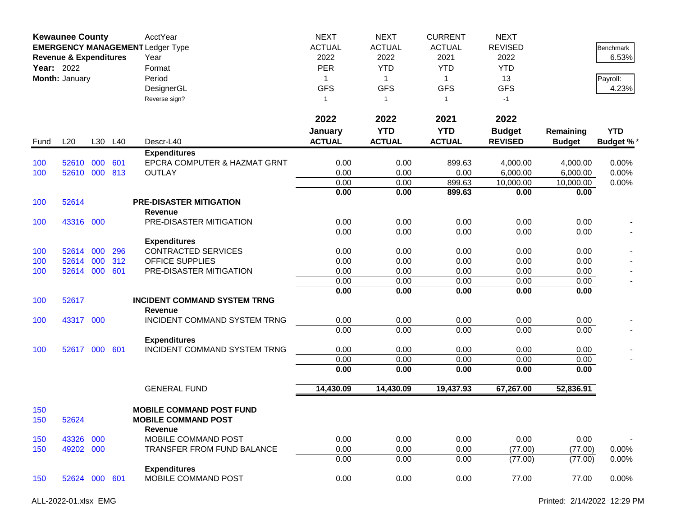|            | <b>Kewaunee County</b><br><b>EMERGENCY MANAGEMENT Ledger Type</b><br><b>Revenue &amp; Expenditures</b><br><b>Year: 2022</b><br>Month: January |     |            | AcctYear<br>Year<br>Format<br>Period<br>DesignerGL<br>Reverse sign?      | <b>NEXT</b><br><b>ACTUAL</b><br>2022<br><b>PER</b><br>1<br><b>GFS</b><br>1 | <b>NEXT</b><br><b>ACTUAL</b><br>2022<br><b>YTD</b><br>$\mathbf{1}$<br><b>GFS</b><br>$\overline{1}$ | <b>CURRENT</b><br><b>ACTUAL</b><br>2021<br><b>YTD</b><br>$\mathbf 1$<br><b>GFS</b><br>$\mathbf{1}$ | <b>NEXT</b><br><b>REVISED</b><br>2022<br><b>YTD</b><br>13<br><b>GFS</b><br>$-1$ |                      | <b>Benchmark</b><br>6.53%<br>Payroll:<br>4.23% |
|------------|-----------------------------------------------------------------------------------------------------------------------------------------------|-----|------------|--------------------------------------------------------------------------|----------------------------------------------------------------------------|----------------------------------------------------------------------------------------------------|----------------------------------------------------------------------------------------------------|---------------------------------------------------------------------------------|----------------------|------------------------------------------------|
|            |                                                                                                                                               |     |            |                                                                          | 2022<br>January                                                            | 2022<br><b>YTD</b>                                                                                 | 2021<br><b>YTD</b><br><b>ACTUAL</b>                                                                | 2022<br><b>Budget</b>                                                           | Remaining            | <b>YTD</b>                                     |
| Fund       | L20                                                                                                                                           |     | L30 L40    | Descr-L40                                                                | <b>ACTUAL</b>                                                              | <b>ACTUAL</b>                                                                                      |                                                                                                    | <b>REVISED</b>                                                                  | <b>Budget</b>        | <b>Budget %*</b>                               |
| 100<br>100 | 52610<br>52610 000                                                                                                                            | 000 | 601<br>813 | <b>Expenditures</b><br>EPCRA COMPUTER & HAZMAT GRNT<br><b>OUTLAY</b>     | 0.00<br>0.00                                                               | 0.00<br>0.00                                                                                       | 899.63<br>0.00                                                                                     | 4,000.00<br>6,000.00                                                            | 4,000.00<br>6,000.00 | 0.00%<br>0.00%                                 |
|            |                                                                                                                                               |     |            |                                                                          | 0.00                                                                       | 0.00                                                                                               | 899.63                                                                                             | 10,000.00                                                                       | 10,000.00            | 0.00%                                          |
| 100        | 52614                                                                                                                                         |     |            | <b>PRE-DISASTER MITIGATION</b><br><b>Revenue</b>                         | 0.00                                                                       | 0.00                                                                                               | 899.63                                                                                             | 0.00                                                                            | 0.00                 |                                                |
| 100        | 43316 000                                                                                                                                     |     |            | PRE-DISASTER MITIGATION                                                  | 0.00<br>0.00                                                               | 0.00<br>0.00                                                                                       | 0.00<br>0.00                                                                                       | 0.00<br>0.00                                                                    | 0.00<br>0.00         |                                                |
|            |                                                                                                                                               |     |            | <b>Expenditures</b>                                                      |                                                                            |                                                                                                    |                                                                                                    |                                                                                 |                      |                                                |
| 100        | 52614                                                                                                                                         | 000 | 296        | <b>CONTRACTED SERVICES</b>                                               | 0.00                                                                       | 0.00                                                                                               | 0.00                                                                                               | 0.00                                                                            | 0.00                 |                                                |
| 100        | 52614                                                                                                                                         | 000 | 312        | <b>OFFICE SUPPLIES</b>                                                   | 0.00                                                                       | 0.00                                                                                               | 0.00                                                                                               | 0.00                                                                            | 0.00                 |                                                |
| 100        | 52614                                                                                                                                         | 000 | 601        | PRE-DISASTER MITIGATION                                                  | 0.00                                                                       | 0.00                                                                                               | 0.00                                                                                               | 0.00                                                                            | 0.00                 |                                                |
|            |                                                                                                                                               |     |            |                                                                          | 0.00                                                                       | 0.00                                                                                               | 0.00                                                                                               | 0.00                                                                            | 0.00                 |                                                |
| 100        | 52617                                                                                                                                         |     |            | <b>INCIDENT COMMAND SYSTEM TRNG</b><br>Revenue                           | 0.00                                                                       | 0.00                                                                                               | 0.00                                                                                               | 0.00                                                                            | 0.00                 |                                                |
| 100        | 43317 000                                                                                                                                     |     |            | INCIDENT COMMAND SYSTEM TRNG                                             | 0.00                                                                       | 0.00                                                                                               | 0.00                                                                                               | 0.00                                                                            | 0.00                 |                                                |
|            |                                                                                                                                               |     |            |                                                                          | 0.00                                                                       | 0.00                                                                                               | 0.00                                                                                               | 0.00                                                                            | 0.00                 |                                                |
|            |                                                                                                                                               |     |            | <b>Expenditures</b>                                                      |                                                                            |                                                                                                    |                                                                                                    |                                                                                 |                      |                                                |
| 100        | 52617 000 601                                                                                                                                 |     |            | INCIDENT COMMAND SYSTEM TRNG                                             | 0.00                                                                       | 0.00                                                                                               | 0.00                                                                                               | 0.00                                                                            | 0.00                 |                                                |
|            |                                                                                                                                               |     |            |                                                                          | 0.00                                                                       | 0.00                                                                                               | 0.00                                                                                               | 0.00                                                                            | 0.00                 |                                                |
|            |                                                                                                                                               |     |            |                                                                          | 0.00                                                                       | 0.00                                                                                               | 0.00                                                                                               | 0.00                                                                            | 0.00                 |                                                |
|            |                                                                                                                                               |     |            | <b>GENERAL FUND</b>                                                      | 14,430.09                                                                  | 14,430.09                                                                                          | 19,437.93                                                                                          | 67,267.00                                                                       | 52,836.91            |                                                |
| 150<br>150 | 52624                                                                                                                                         |     |            | <b>MOBILE COMMAND POST FUND</b><br><b>MOBILE COMMAND POST</b><br>Revenue |                                                                            |                                                                                                    |                                                                                                    |                                                                                 |                      |                                                |
| 150        | 43326                                                                                                                                         | 000 |            | MOBILE COMMAND POST                                                      | 0.00                                                                       | 0.00                                                                                               | 0.00                                                                                               | 0.00                                                                            | 0.00                 |                                                |
| 150        | 49202 000                                                                                                                                     |     |            | <b>TRANSFER FROM FUND BALANCE</b>                                        | 0.00                                                                       | 0.00                                                                                               | 0.00                                                                                               | (77.00)                                                                         | (77.00)              | 0.00%                                          |
|            |                                                                                                                                               |     |            |                                                                          | 0.00                                                                       | 0.00                                                                                               | 0.00                                                                                               | (77.00)                                                                         | (77.00)              | 0.00%                                          |
| 150        | 52624 000 601                                                                                                                                 |     |            | <b>Expenditures</b><br>MOBILE COMMAND POST                               | 0.00                                                                       | 0.00                                                                                               | 0.00                                                                                               | 77.00                                                                           | 77.00                | 0.00%                                          |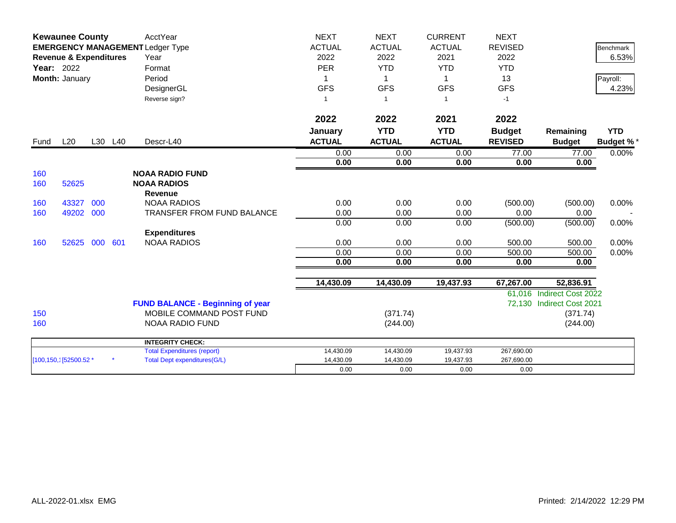|                   | <b>Kewaunee County</b><br><b>EMERGENCY MANAGEMENT Ledger Type</b> |     |         | AcctYear                                | <b>NEXT</b>   | <b>NEXT</b>    | <b>CURRENT</b> | <b>NEXT</b>    |                           |                  |
|-------------------|-------------------------------------------------------------------|-----|---------|-----------------------------------------|---------------|----------------|----------------|----------------|---------------------------|------------------|
|                   |                                                                   |     |         |                                         | <b>ACTUAL</b> | <b>ACTUAL</b>  | <b>ACTUAL</b>  | <b>REVISED</b> |                           | <b>Benchmark</b> |
|                   | <b>Revenue &amp; Expenditures</b>                                 |     |         | Year                                    | 2022          | 2022           | 2021           | 2022           |                           | 6.53%            |
| <b>Year: 2022</b> |                                                                   |     |         | Format                                  | <b>PER</b>    | <b>YTD</b>     | <b>YTD</b>     | <b>YTD</b>     |                           |                  |
|                   | Month: January                                                    |     |         | Period                                  |               | $\mathbf 1$    | $\mathbf 1$    | 13             |                           | Payroll:         |
|                   |                                                                   |     |         | DesignerGL                              | <b>GFS</b>    | <b>GFS</b>     | <b>GFS</b>     | <b>GFS</b>     |                           | 4.23%            |
|                   |                                                                   |     |         | Reverse sign?                           | 1             | $\overline{1}$ | $\overline{1}$ | $-1$           |                           |                  |
|                   |                                                                   |     |         |                                         | 2022          | 2022           | 2021           | 2022           |                           |                  |
|                   |                                                                   |     |         |                                         | January       | <b>YTD</b>     | <b>YTD</b>     | <b>Budget</b>  | Remaining                 | <b>YTD</b>       |
| Fund              | L20                                                               |     | L30 L40 | Descr-L40                               | <b>ACTUAL</b> | <b>ACTUAL</b>  | <b>ACTUAL</b>  | <b>REVISED</b> | <b>Budget</b>             | <b>Budget %*</b> |
|                   |                                                                   |     |         |                                         | 0.00          | 0.00           | 0.00           | 77.00          | 77.00                     | 0.00%            |
|                   |                                                                   |     |         |                                         | 0.00          | 0.00           | 0.00           | 0.00           | 0.00                      |                  |
| 160               |                                                                   |     |         | <b>NOAA RADIO FUND</b>                  |               |                |                |                |                           |                  |
| 160               | 52625                                                             |     |         | <b>NOAA RADIOS</b>                      |               |                |                |                |                           |                  |
|                   |                                                                   |     |         | <b>Revenue</b>                          |               |                |                |                |                           |                  |
| 160               | 43327                                                             | 000 |         | <b>NOAA RADIOS</b>                      | 0.00          | 0.00           | 0.00           | (500.00)       | (500.00)                  | 0.00%            |
| 160               | 49202                                                             | 000 |         | <b>TRANSFER FROM FUND BALANCE</b>       | 0.00          | 0.00           | 0.00           | 0.00           | 0.00                      |                  |
|                   |                                                                   |     |         |                                         | 0.00          | 0.00           | 0.00           | (500.00)       | (500.00)                  | 0.00%            |
|                   |                                                                   |     |         | <b>Expenditures</b>                     |               |                |                |                |                           |                  |
| 160               | 52625                                                             | 000 | 601     | <b>NOAA RADIOS</b>                      | 0.00          | 0.00           | 0.00           | 500.00         | 500.00                    | 0.00%            |
|                   |                                                                   |     |         |                                         | 0.00          | 0.00           | 0.00           | 500.00         | 500.00                    | 0.00%            |
|                   |                                                                   |     |         |                                         | 0.00          | 0.00           | 0.00           | 0.00           | 0.00                      |                  |
|                   |                                                                   |     |         |                                         | 14,430.09     | 14,430.09      | 19,437.93      | 67,267.00      | 52,836.91                 |                  |
|                   |                                                                   |     |         |                                         |               |                |                |                | 61,016 Indirect Cost 2022 |                  |
|                   |                                                                   |     |         | <b>FUND BALANCE - Beginning of year</b> |               |                |                |                | 72,130 Indirect Cost 2021 |                  |
| 150               |                                                                   |     |         | MOBILE COMMAND POST FUND                |               | (371.74)       |                |                | (371.74)                  |                  |
| 160               |                                                                   |     |         | <b>NOAA RADIO FUND</b>                  |               | (244.00)       |                |                | (244.00)                  |                  |
|                   |                                                                   |     |         | <b>INTEGRITY CHECK:</b>                 |               |                |                |                |                           |                  |
|                   |                                                                   |     |         | <b>Total Expenditures (report)</b>      | 14,430.09     | 14,430.09      | 19,437.93      | 267,690.00     |                           |                  |
|                   | [100,150,1] 52500.52 *                                            |     |         | <b>Total Dept expenditures(G/L)</b>     | 14,430.09     | 14,430.09      | 19,437.93      | 267,690.00     |                           |                  |
|                   |                                                                   |     |         |                                         | 0.00          | 0.00           | 0.00           | 0.00           |                           |                  |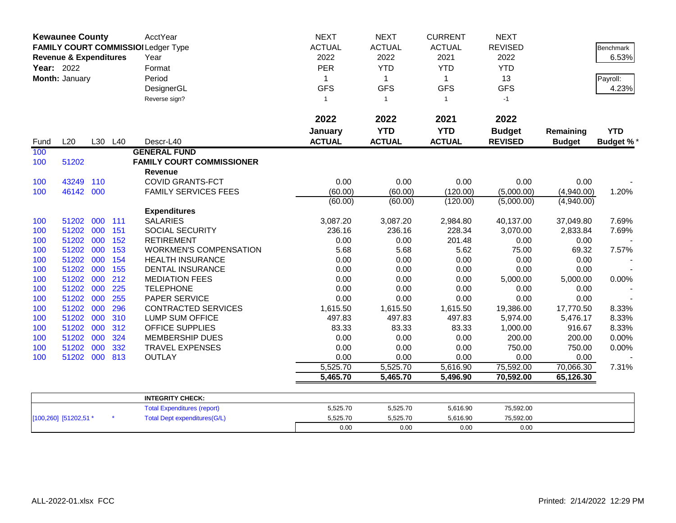|            | <b>Kewaunee County</b>            |     |         | AcctYear<br>FAMILY COURT COMMISSIOI Ledger Type | <b>NEXT</b><br><b>ACTUAL</b> | <b>NEXT</b><br><b>ACTUAL</b> | <b>CURRENT</b><br><b>ACTUAL</b> | <b>NEXT</b><br><b>REVISED</b> |               | Benchmark        |
|------------|-----------------------------------|-----|---------|-------------------------------------------------|------------------------------|------------------------------|---------------------------------|-------------------------------|---------------|------------------|
|            | <b>Revenue &amp; Expenditures</b> |     |         | Year                                            | 2022                         | 2022                         | 2021                            | 2022                          |               | 6.53%            |
| Year: 2022 |                                   |     |         | Format                                          | PER                          | <b>YTD</b><br>$\mathbf{1}$   | <b>YTD</b>                      | <b>YTD</b>                    |               |                  |
|            | Month: January                    |     |         | Period                                          | 1                            |                              | $\mathbf{1}$                    | 13                            |               | Payroll:         |
|            |                                   |     |         | DesignerGL                                      | <b>GFS</b>                   | <b>GFS</b>                   | <b>GFS</b>                      | <b>GFS</b>                    |               | 4.23%            |
|            |                                   |     |         | Reverse sign?                                   | $\overline{1}$               | $\overline{1}$               | $\mathbf{1}$                    | $-1$                          |               |                  |
|            |                                   |     |         |                                                 | 2022                         | 2022                         | 2021                            | 2022                          |               |                  |
|            |                                   |     |         |                                                 | January                      | <b>YTD</b>                   | <b>YTD</b>                      | <b>Budget</b>                 | Remaining     | <b>YTD</b>       |
| Fund       | L20                               |     | L30 L40 | Descr-L40                                       | <b>ACTUAL</b>                | <b>ACTUAL</b>                | <b>ACTUAL</b>                   | <b>REVISED</b>                | <b>Budget</b> | <b>Budget %*</b> |
| 100        |                                   |     |         | <b>GENERAL FUND</b>                             |                              |                              |                                 |                               |               |                  |
| 100        | 51202                             |     |         | <b>FAMILY COURT COMMISSIONER</b><br>Revenue     |                              |                              |                                 |                               |               |                  |
| 100        | 43249                             | 110 |         | <b>COVID GRANTS-FCT</b>                         | 0.00                         | 0.00                         | 0.00                            | 0.00                          | 0.00          |                  |
| 100        | 46142 000                         |     |         | <b>FAMILY SERVICES FEES</b>                     | (60.00)                      | (60.00)                      | (120.00)                        | (5,000.00)                    | (4,940.00)    | 1.20%            |
|            |                                   |     |         |                                                 | (60.00)                      | (60.00)                      | (120.00)                        | (5,000.00)                    | (4,940.00)    |                  |
|            |                                   |     |         | <b>Expenditures</b>                             |                              |                              |                                 |                               |               |                  |
| 100        | 51202                             |     | 000 111 | <b>SALARIES</b>                                 | 3,087.20                     | 3,087.20                     | 2,984.80                        | 40,137.00                     | 37,049.80     | 7.69%            |
| 100        | 51202                             | 000 | 151     | <b>SOCIAL SECURITY</b>                          | 236.16                       | 236.16                       | 228.34                          | 3,070.00                      | 2,833.84      | 7.69%            |
| 100        | 51202                             | 000 | 152     | <b>RETIREMENT</b>                               | 0.00                         | 0.00                         | 201.48                          | 0.00                          | 0.00          |                  |
| 100        | 51202                             | 000 | 153     | <b>WORKMEN'S COMPENSATION</b>                   | 5.68                         | 5.68                         | 5.62                            | 75.00                         | 69.32         | 7.57%            |
| 100        | 51202                             | 000 | 154     | <b>HEALTH INSURANCE</b>                         | 0.00                         | 0.00                         | 0.00                            | 0.00                          | 0.00          |                  |
| 100        | 51202                             | 000 | 155     | <b>DENTAL INSURANCE</b>                         | 0.00                         | 0.00                         | 0.00                            | 0.00                          | 0.00          |                  |
| 100        | 51202 000                         |     | 212     | <b>MEDIATION FEES</b>                           | 0.00                         | 0.00                         | 0.00                            | 5,000.00                      | 5,000.00      | 0.00%            |
| 100        | 51202                             | 000 | 225     | <b>TELEPHONE</b>                                | 0.00                         | 0.00                         | 0.00                            | 0.00                          | 0.00          |                  |
| 100        | 51202                             | 000 | 255     | PAPER SERVICE                                   | 0.00                         | 0.00                         | 0.00                            | 0.00                          | 0.00          |                  |
| 100        | 51202                             | 000 | 296     | <b>CONTRACTED SERVICES</b>                      | 1,615.50                     | 1,615.50                     | 1,615.50                        | 19,386.00                     | 17,770.50     | 8.33%            |
| 100        | 51202                             | 000 | 310     | <b>LUMP SUM OFFICE</b>                          | 497.83                       | 497.83                       | 497.83                          | 5,974.00                      | 5,476.17      | 8.33%            |
| 100        | 51202                             | 000 | 312     | <b>OFFICE SUPPLIES</b>                          | 83.33                        | 83.33                        | 83.33                           | 1,000.00                      | 916.67        | 8.33%            |
| 100        | 51202                             | 000 | 324     | <b>MEMBERSHIP DUES</b>                          | 0.00                         | 0.00                         | 0.00                            | 200.00                        | 200.00        | 0.00%            |
| 100        | 51202                             | 000 | 332     | <b>TRAVEL EXPENSES</b>                          | 0.00                         | 0.00                         | 0.00                            | 750.00                        | 750.00        | 0.00%            |
| 100        | 51202 000                         |     | 813     | <b>OUTLAY</b>                                   | 0.00                         | 0.00                         | 0.00                            | 0.00                          | 0.00          |                  |
|            |                                   |     |         |                                                 | 5,525.70                     | 5,525.70                     | 5,616.90                        | 75,592.00                     | 70,066.30     | 7.31%            |
|            |                                   |     |         |                                                 | 5,465.70                     | 5,465.70                     | 5,496.90                        | 70,592.00                     | 65,126.30     |                  |
|            |                                   |     |         | <b>INTEGRITY CHECK:</b>                         |                              |                              |                                 |                               |               |                  |
|            |                                   |     |         | <b>Total Expenditures (report)</b>              | 5,525.70                     | 5,525.70                     | 5,616.90                        | 75,592.00                     |               |                  |
|            | [100,260] [51202,51 *             |     |         | <b>Total Dept expenditures (G/L)</b>            | 5,525.70                     | 5,525.70                     | 5,616.90                        | 75,592.00                     |               |                  |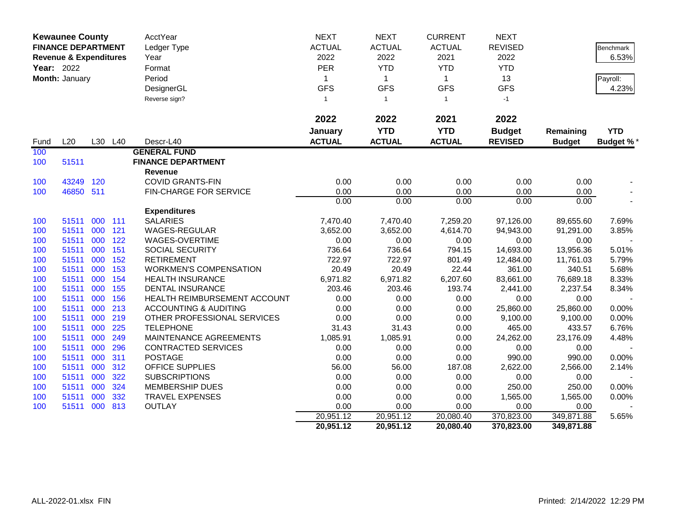| <b>Kewaunee County</b><br><b>FINANCE DEPARTMENT</b><br><b>Revenue &amp; Expenditures</b><br>Year: 2022 |                |     |     | AcctYear<br>Ledger Type<br>Year  | <b>NEXT</b><br><b>ACTUAL</b><br>2022 | <b>NEXT</b><br><b>ACTUAL</b><br>2022 | <b>CURRENT</b><br><b>ACTUAL</b><br>2021 | <b>NEXT</b><br><b>REVISED</b><br>2022 |               | Benchmark<br>6.53% |
|--------------------------------------------------------------------------------------------------------|----------------|-----|-----|----------------------------------|--------------------------------------|--------------------------------------|-----------------------------------------|---------------------------------------|---------------|--------------------|
|                                                                                                        |                |     |     | Format                           | <b>PER</b>                           | <b>YTD</b>                           | <b>YTD</b>                              | <b>YTD</b>                            |               |                    |
|                                                                                                        | Month: January |     |     | Period                           | 1                                    | $\mathbf{1}$                         | $\mathbf{1}$                            | 13                                    |               | Payroll:           |
|                                                                                                        |                |     |     | DesignerGL                       | <b>GFS</b>                           | <b>GFS</b>                           | <b>GFS</b>                              | <b>GFS</b>                            |               | 4.23%              |
|                                                                                                        |                |     |     | Reverse sign?                    | $\mathbf{1}$                         | $\overline{1}$                       | $\mathbf{1}$                            | $-1$                                  |               |                    |
|                                                                                                        |                |     |     |                                  | 2022                                 | 2022                                 | 2021                                    | 2022                                  |               |                    |
|                                                                                                        |                |     |     |                                  | January                              | <b>YTD</b>                           | <b>YTD</b>                              | <b>Budget</b>                         | Remaining     | <b>YTD</b>         |
| Fund                                                                                                   | L20            | L30 | L40 | Descr-L40                        | <b>ACTUAL</b>                        | <b>ACTUAL</b>                        | <b>ACTUAL</b>                           | <b>REVISED</b>                        | <b>Budget</b> | <b>Budget %*</b>   |
| 100                                                                                                    |                |     |     | <b>GENERAL FUND</b>              |                                      |                                      |                                         |                                       |               |                    |
| 100                                                                                                    | 51511          |     |     | <b>FINANCE DEPARTMENT</b>        |                                      |                                      |                                         |                                       |               |                    |
|                                                                                                        |                |     |     | <b>Revenue</b>                   |                                      |                                      |                                         |                                       |               |                    |
| 100                                                                                                    | 43249          | 120 |     | <b>COVID GRANTS-FIN</b>          | 0.00                                 | 0.00                                 | 0.00                                    | 0.00                                  | 0.00          |                    |
| 100                                                                                                    | 46850 511      |     |     | <b>FIN-CHARGE FOR SERVICE</b>    | 0.00                                 | 0.00                                 | 0.00                                    | 0.00                                  | 0.00          |                    |
|                                                                                                        |                |     |     |                                  | 0.00                                 | 0.00                                 | 0.00                                    | 0.00                                  | 0.00          |                    |
|                                                                                                        |                |     |     | <b>Expenditures</b>              |                                      |                                      |                                         |                                       |               |                    |
| 100                                                                                                    | 51511          | 000 | 111 | <b>SALARIES</b>                  | 7,470.40                             | 7,470.40                             | 7,259.20                                | 97,126.00                             | 89,655.60     | 7.69%              |
| 100                                                                                                    | 51511          | 000 | 121 | WAGES-REGULAR                    | 3,652.00                             | 3,652.00                             | 4,614.70                                | 94,943.00                             | 91,291.00     | 3.85%              |
| 100                                                                                                    | 51511          | 000 | 122 | WAGES-OVERTIME                   | 0.00                                 | 0.00                                 | 0.00                                    | 0.00                                  | 0.00          |                    |
| 100                                                                                                    | 51511          | 000 | 151 | SOCIAL SECURITY                  | 736.64                               | 736.64                               | 794.15                                  | 14,693.00                             | 13,956.36     | 5.01%              |
| 100                                                                                                    | 51511          | 000 | 152 | <b>RETIREMENT</b>                | 722.97                               | 722.97                               | 801.49                                  | 12,484.00                             | 11,761.03     | 5.79%              |
| 100                                                                                                    | 51511          | 000 | 153 | <b>WORKMEN'S COMPENSATION</b>    | 20.49                                | 20.49                                | 22.44                                   | 361.00                                | 340.51        | 5.68%              |
| 100                                                                                                    | 51511          | 000 | 154 | <b>HEALTH INSURANCE</b>          | 6,971.82                             | 6,971.82                             | 6,207.60                                | 83,661.00                             | 76,689.18     | 8.33%              |
| 100                                                                                                    | 51511          | 000 | 155 | <b>DENTAL INSURANCE</b>          | 203.46                               | 203.46                               | 193.74                                  | 2,441.00                              | 2,237.54      | 8.34%              |
| 100                                                                                                    | 51511          | 000 | 156 | HEALTH REIMBURSEMENT ACCOUNT     | 0.00                                 | 0.00                                 | 0.00                                    | 0.00                                  | 0.00          |                    |
| 100                                                                                                    | 51511          | 000 | 213 | <b>ACCOUNTING &amp; AUDITING</b> | 0.00                                 | 0.00                                 | 0.00                                    | 25,860.00                             | 25,860.00     | 0.00%              |
| 100                                                                                                    | 51511          | 000 | 219 | OTHER PROFESSIONAL SERVICES      | 0.00                                 | 0.00                                 | 0.00                                    | 9,100.00                              | 9,100.00      | 0.00%              |
| 100                                                                                                    | 51511          | 000 | 225 | <b>TELEPHONE</b>                 | 31.43                                | 31.43                                | 0.00                                    | 465.00                                | 433.57        | 6.76%              |
| 100                                                                                                    | 51511          | 000 | 249 | MAINTENANCE AGREEMENTS           | 1,085.91                             | 1,085.91                             | 0.00                                    | 24,262.00                             | 23,176.09     | 4.48%              |
| 100                                                                                                    | 51511          | 000 | 296 | <b>CONTRACTED SERVICES</b>       | 0.00                                 | 0.00                                 | 0.00                                    | 0.00                                  | 0.00          |                    |
| 100                                                                                                    | 51511          | 000 | 311 | <b>POSTAGE</b>                   | 0.00                                 | 0.00                                 | 0.00                                    | 990.00                                | 990.00        | 0.00%              |
| 100                                                                                                    | 51511          | 000 | 312 | <b>OFFICE SUPPLIES</b>           | 56.00                                | 56.00                                | 187.08                                  | 2,622.00                              | 2,566.00      | 2.14%              |
| 100                                                                                                    | 51511          | 000 | 322 | <b>SUBSCRIPTIONS</b>             | 0.00                                 | 0.00                                 | 0.00                                    | 0.00                                  | 0.00          |                    |
| 100                                                                                                    | 51511          | 000 | 324 | <b>MEMBERSHIP DUES</b>           | 0.00                                 | 0.00                                 | 0.00                                    | 250.00                                | 250.00        | 0.00%              |
| 100                                                                                                    | 51511          | 000 | 332 | <b>TRAVEL EXPENSES</b>           | 0.00                                 | 0.00                                 | 0.00                                    | 1,565.00                              | 1,565.00      | 0.00%              |
| 100                                                                                                    | 51511          | 000 | 813 | <b>OUTLAY</b>                    | 0.00                                 | 0.00                                 | 0.00                                    | 0.00                                  | 0.00          |                    |
|                                                                                                        |                |     |     |                                  | 20,951.12                            | 20,951.12                            | 20,080.40                               | 370,823.00                            | 349,871.88    | 5.65%              |
|                                                                                                        |                |     |     |                                  | 20,951.12                            | 20,951.12                            | 20,080.40                               | 370,823.00                            | 349,871.88    |                    |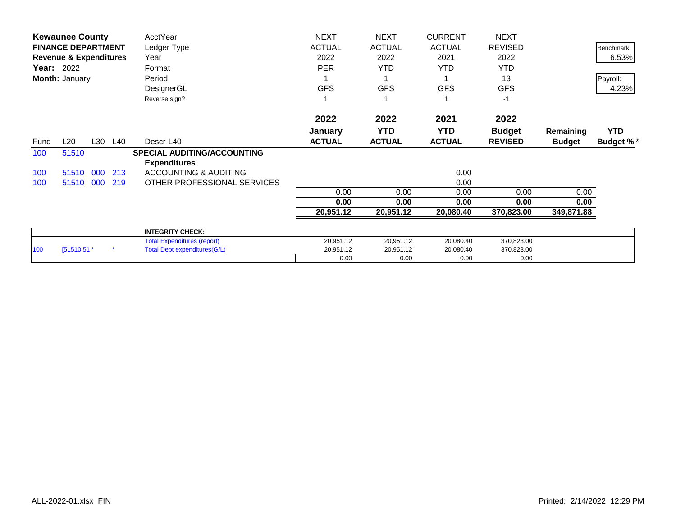| <b>Kewaunee County</b> |                                   |     | AcctYear | <b>NEXT</b>                         | <b>NEXT</b>   | <b>CURRENT</b> | <b>NEXT</b>   |                |               |                  |
|------------------------|-----------------------------------|-----|----------|-------------------------------------|---------------|----------------|---------------|----------------|---------------|------------------|
|                        | <b>FINANCE DEPARTMENT</b>         |     |          | Ledger Type                         | <b>ACTUAL</b> | <b>ACTUAL</b>  | <b>ACTUAL</b> | <b>REVISED</b> |               | Benchmark        |
|                        | <b>Revenue &amp; Expenditures</b> |     |          | Year                                | 2022          | 2022           | 2021          | 2022           |               | 6.53%            |
|                        | <b>Year: 2022</b>                 |     |          | Format                              | <b>PER</b>    | <b>YTD</b>     | <b>YTD</b>    | <b>YTD</b>     |               |                  |
|                        | Month: January                    |     |          | Period                              |               |                |               | 13             |               | Payroll:         |
|                        |                                   |     |          | DesignerGL                          | <b>GFS</b>    | <b>GFS</b>     | <b>GFS</b>    | <b>GFS</b>     |               | 4.23%            |
|                        |                                   |     |          | Reverse sign?                       |               |                |               | $-1$           |               |                  |
|                        |                                   |     |          |                                     | 2022          | 2022           | 2021          | 2022           |               |                  |
|                        |                                   |     |          |                                     | January       | <b>YTD</b>     | <b>YTD</b>    | <b>Budget</b>  | Remaining     | <b>YTD</b>       |
| Fund                   | L20                               |     | L30 L40  | Descr-L40                           | <b>ACTUAL</b> | <b>ACTUAL</b>  | <b>ACTUAL</b> | <b>REVISED</b> | <b>Budget</b> | <b>Budget %*</b> |
| 100                    | 51510                             |     |          | <b>SPECIAL AUDITING/ACCOUNTING</b>  |               |                |               |                |               |                  |
|                        |                                   |     |          | <b>Expenditures</b>                 |               |                |               |                |               |                  |
| 100                    | 51510 000                         |     | 213      | ACCOUNTING & AUDITING               |               |                | 0.00          |                |               |                  |
| 100                    | 51510                             | 000 | 219      | OTHER PROFESSIONAL SERVICES         |               |                | 0.00          |                |               |                  |
|                        |                                   |     |          |                                     | 0.00          | 0.00           | 0.00          | 0.00           | 0.00          |                  |
|                        |                                   |     |          |                                     | 0.00          | 0.00           | 0.00          | 0.00           | 0.00          |                  |
|                        |                                   |     |          |                                     | 20,951.12     | 20,951.12      | 20,080.40     | 370,823.00     | 349,871.88    |                  |
|                        |                                   |     |          | <b>INTEGRITY CHECK:</b>             |               |                |               |                |               |                  |
|                        |                                   |     |          | <b>Total Expenditures (report)</b>  | 20,951.12     | 20,951.12      | 20,080.40     | 370,823.00     |               |                  |
| 100                    | [51510.51 *                       |     |          | <b>Total Dept expenditures(G/L)</b> | 20,951.12     | 20,951.12      | 20,080.40     | 370,823.00     |               |                  |
|                        |                                   |     |          |                                     | 0.00          | 0.00           | 0.00          | 0.00           |               |                  |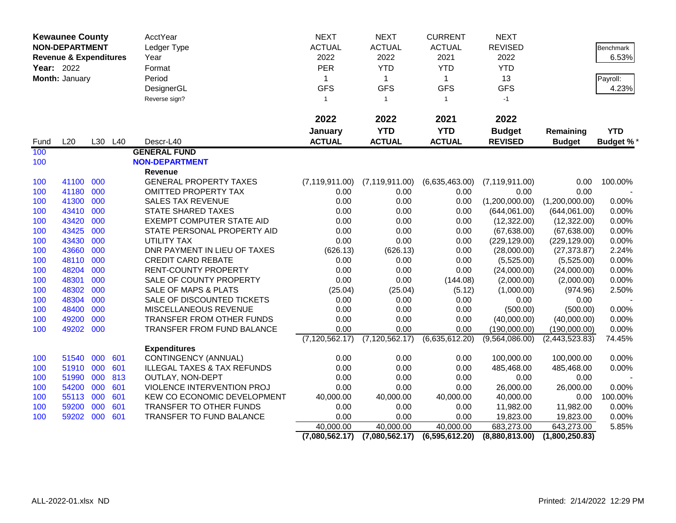| <b>Kewaunee County</b><br><b>NON-DEPARTMENT</b><br><b>Revenue &amp; Expenditures</b> |                |     | AcctYear<br>Ledger Type | <b>NEXT</b><br><b>ACTUAL</b>           | <b>NEXT</b><br><b>ACTUAL</b> | <b>CURRENT</b><br><b>ACTUAL</b><br>2021 | <b>NEXT</b><br><b>REVISED</b> |                  | Benchmark      |                 |
|--------------------------------------------------------------------------------------|----------------|-----|-------------------------|----------------------------------------|------------------------------|-----------------------------------------|-------------------------------|------------------|----------------|-----------------|
|                                                                                      |                |     |                         | Year                                   | 2022                         | 2022                                    |                               | 2022             |                | 6.53%           |
|                                                                                      | Year: 2022     |     |                         | Format                                 | PER                          | <b>YTD</b>                              | <b>YTD</b>                    | <b>YTD</b>       |                |                 |
|                                                                                      | Month: January |     |                         | Period                                 | $\mathbf{1}$                 | $\mathbf{1}$                            | $\mathbf 1$                   | 13               |                | Payroll:        |
|                                                                                      |                |     |                         | DesignerGL                             | <b>GFS</b>                   | <b>GFS</b>                              | <b>GFS</b>                    | <b>GFS</b>       |                | 4.23%           |
|                                                                                      |                |     |                         | Reverse sign?                          | $\mathbf{1}$                 | $\mathbf{1}$                            | $\mathbf{1}$                  | $-1$             |                |                 |
|                                                                                      |                |     |                         |                                        | 2022                         | 2022                                    | 2021                          | 2022             |                |                 |
|                                                                                      |                |     |                         |                                        | January                      | <b>YTD</b>                              | <b>YTD</b>                    | <b>Budget</b>    | Remaining      | <b>YTD</b>      |
| Fund                                                                                 | L20            |     | L30 L40                 | Descr-L40                              | <b>ACTUAL</b>                | <b>ACTUAL</b>                           | <b>ACTUAL</b>                 | <b>REVISED</b>   | <b>Budget</b>  | <b>Budget %</b> |
| 100                                                                                  |                |     |                         | <b>GENERAL FUND</b>                    |                              |                                         |                               |                  |                |                 |
| 100                                                                                  |                |     |                         | <b>NON-DEPARTMENT</b>                  |                              |                                         |                               |                  |                |                 |
|                                                                                      |                |     |                         | <b>Revenue</b>                         |                              |                                         |                               |                  |                |                 |
| 100                                                                                  | 41100 000      |     |                         | <b>GENERAL PROPERTY TAXES</b>          | (7, 119, 911.00)             | (7, 119, 911.00)                        | (6,635,463.00)                | (7, 119, 911.00) | 0.00           | 100.00%         |
| 100                                                                                  | 41180          | 000 |                         | <b>OMITTED PROPERTY TAX</b>            | 0.00                         | 0.00                                    | 0.00                          | 0.00             | 0.00           |                 |
| 100                                                                                  | 41300          | 000 |                         | <b>SALES TAX REVENUE</b>               | 0.00                         | 0.00                                    | 0.00                          | (1,200,000.00)   | (1,200,000.00) | 0.00%           |
| 100                                                                                  | 43410          | 000 |                         | <b>STATE SHARED TAXES</b>              | 0.00                         | 0.00                                    | 0.00                          | (644,061.00)     | (644,061.00)   | 0.00%           |
| 100                                                                                  | 43420          | 000 |                         | EXEMPT COMPUTER STATE AID              | 0.00                         | 0.00                                    | 0.00                          | (12,322.00)      | (12, 322.00)   | 0.00%           |
| 100                                                                                  | 43425          | 000 |                         | STATE PERSONAL PROPERTY AID            | 0.00                         | 0.00                                    | 0.00                          | (67, 638.00)     | (67, 638.00)   | 0.00%           |
| 100                                                                                  | 43430          | 000 |                         | <b>UTILITY TAX</b>                     | 0.00                         | 0.00                                    | 0.00                          | (229, 129.00)    | (229, 129.00)  | 0.00%           |
| 100                                                                                  | 43660          | 000 |                         | DNR PAYMENT IN LIEU OF TAXES           | (626.13)                     | (626.13)                                | 0.00                          | (28,000.00)      | (27, 373.87)   | 2.24%           |
| 100                                                                                  | 48110          | 000 |                         | <b>CREDIT CARD REBATE</b>              | 0.00                         | 0.00                                    | 0.00                          | (5,525.00)       | (5,525.00)     | 0.00%           |
| 100                                                                                  | 48204          | 000 |                         | <b>RENT-COUNTY PROPERTY</b>            | 0.00                         | 0.00                                    | 0.00                          | (24,000.00)      | (24,000.00)    | 0.00%           |
| 100                                                                                  | 48301          | 000 |                         | SALE OF COUNTY PROPERTY                | 0.00                         | 0.00                                    | (144.08)                      | (2,000.00)       | (2,000.00)     | 0.00%           |
| 100                                                                                  | 48302          | 000 |                         | SALE OF MAPS & PLATS                   | (25.04)                      | (25.04)                                 | (5.12)                        | (1,000.00)       | (974.96)       | 2.50%           |
| 100                                                                                  | 48304          | 000 |                         | SALE OF DISCOUNTED TICKETS             | 0.00                         | 0.00                                    | 0.00                          | 0.00             | 0.00           |                 |
| 100                                                                                  | 48400          | 000 |                         | MISCELLANEOUS REVENUE                  | 0.00                         | 0.00                                    | 0.00                          | (500.00)         | (500.00)       | 0.00%           |
| 100                                                                                  | 49200          | 000 |                         | <b>TRANSFER FROM OTHER FUNDS</b>       | 0.00                         | 0.00                                    | 0.00                          | (40,000.00)      | (40,000.00)    | 0.00%           |
| 100                                                                                  | 49202 000      |     |                         | TRANSFER FROM FUND BALANCE             | 0.00                         | 0.00                                    | 0.00                          | (190,000.00)     | (190,000.00)   | 0.00%           |
|                                                                                      |                |     |                         |                                        | (7, 120, 562.17)             | (7, 120, 562.17)                        | (6,635,612.20)                | (9,564,086.00)   | (2,443,523.83) | 74.45%          |
|                                                                                      |                |     |                         | <b>Expenditures</b>                    |                              |                                         |                               |                  |                |                 |
| 100                                                                                  | 51540          | 000 | 601                     | CONTINGENCY (ANNUAL)                   | 0.00                         | 0.00                                    | 0.00                          | 100,000.00       | 100,000.00     | 0.00%           |
| 100                                                                                  | 51910 000      |     | 601                     | <b>ILLEGAL TAXES &amp; TAX REFUNDS</b> | 0.00                         | 0.00                                    | 0.00                          | 485,468.00       | 485,468.00     | 0.00%           |
| 100                                                                                  | 51990          | 000 | 813                     | OUTLAY, NON-DEPT                       | 0.00                         | 0.00                                    | 0.00                          | 0.00             | 0.00           |                 |
| 100                                                                                  | 54200          | 000 | 601                     | VIOLENCE INTERVENTION PROJ             | 0.00                         | 0.00                                    | 0.00                          | 26,000.00        | 26,000.00      | 0.00%           |
| 100                                                                                  | 55113          | 000 | 601                     | KEW CO ECONOMIC DEVELOPMENT            | 40,000.00                    | 40,000.00                               | 40,000.00                     | 40,000.00        | 0.00           | 100.00%         |
| 100                                                                                  | 59200          | 000 | 601                     | TRANSFER TO OTHER FUNDS                | 0.00                         | 0.00                                    | 0.00                          | 11,982.00        | 11,982.00      | 0.00%           |
| 100                                                                                  | 59202 000      |     | 601                     | TRANSFER TO FUND BALANCE               | 0.00                         | 0.00                                    | 0.00                          | 19,823.00        | 19,823.00      | 0.00%           |
|                                                                                      |                |     |                         |                                        | 40,000.00                    | 40,000.00                               | 40,000.00                     | 683,273.00       | 643,273.00     | 5.85%           |
|                                                                                      |                |     |                         |                                        | (7,080,562.17)               | (7,080,562.17)                          | (6,595,612.20)                | (8,880,813.00)   | (1,800,250.83) |                 |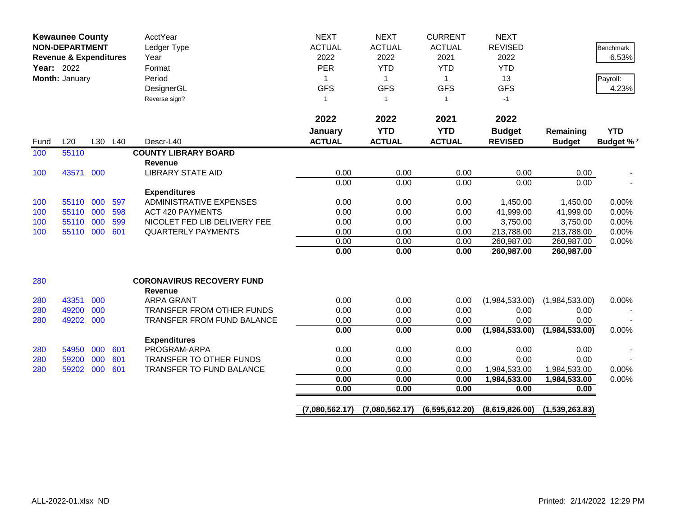| <b>Kewaunee County</b><br><b>NON-DEPARTMENT</b><br><b>Revenue &amp; Expenditures</b><br>Year: 2022<br>Month: January |           |     |         | <b>AcctYear</b><br>Ledger Type<br>Year<br>Format<br>Period<br>DesignerGL<br>Reverse sign? | <b>NEXT</b><br><b>ACTUAL</b><br>2022<br><b>PER</b><br>1<br><b>GFS</b><br>$\mathbf{1}$ | <b>NEXT</b><br><b>ACTUAL</b><br>2022<br><b>YTD</b><br>$\mathbf{1}$<br><b>GFS</b><br>$\overline{1}$ | <b>CURRENT</b><br><b>ACTUAL</b><br>2021<br><b>YTD</b><br>$\mathbf{1}$<br><b>GFS</b><br>$\mathbf{1}$ | <b>NEXT</b><br><b>REVISED</b><br>2022<br><b>YTD</b><br>13<br><b>GFS</b><br>$-1$ |                      | <b>Benchmark</b><br>6.53%<br>Payroll:<br>4.23% |
|----------------------------------------------------------------------------------------------------------------------|-----------|-----|---------|-------------------------------------------------------------------------------------------|---------------------------------------------------------------------------------------|----------------------------------------------------------------------------------------------------|-----------------------------------------------------------------------------------------------------|---------------------------------------------------------------------------------|----------------------|------------------------------------------------|
|                                                                                                                      |           |     |         |                                                                                           | 2022                                                                                  | 2022                                                                                               | 2021                                                                                                | 2022                                                                            |                      |                                                |
|                                                                                                                      |           |     |         |                                                                                           | January                                                                               | <b>YTD</b>                                                                                         | <b>YTD</b>                                                                                          | <b>Budget</b>                                                                   | Remaining            | <b>YTD</b>                                     |
| Fund                                                                                                                 | L20       |     | L30 L40 | Descr-L40                                                                                 | <b>ACTUAL</b>                                                                         | <b>ACTUAL</b>                                                                                      | <b>ACTUAL</b>                                                                                       | <b>REVISED</b>                                                                  | <b>Budget</b>        | <b>Budget %*</b>                               |
| 100                                                                                                                  | 55110     |     |         | <b>COUNTY LIBRARY BOARD</b>                                                               |                                                                                       |                                                                                                    |                                                                                                     |                                                                                 |                      |                                                |
|                                                                                                                      |           |     |         | <b>Revenue</b>                                                                            |                                                                                       |                                                                                                    |                                                                                                     |                                                                                 |                      |                                                |
| 100                                                                                                                  | 43571     | 000 |         | <b>LIBRARY STATE AID</b>                                                                  | 0.00                                                                                  | 0.00<br>0.00                                                                                       | 0.00                                                                                                | 0.00<br>0.00                                                                    | 0.00<br>0.00         |                                                |
|                                                                                                                      |           |     |         | <b>Expenditures</b>                                                                       | 0.00                                                                                  |                                                                                                    | 0.00                                                                                                |                                                                                 |                      |                                                |
| 100                                                                                                                  | 55110 000 |     | 597     | <b>ADMINISTRATIVE EXPENSES</b>                                                            | 0.00                                                                                  | 0.00                                                                                               | 0.00                                                                                                | 1,450.00                                                                        | 1,450.00             | 0.00%                                          |
| 100                                                                                                                  | 55110 000 |     | 598     | <b>ACT 420 PAYMENTS</b>                                                                   | 0.00                                                                                  | 0.00                                                                                               | 0.00                                                                                                | 41,999.00                                                                       | 41,999.00            | 0.00%                                          |
| 100                                                                                                                  | 55110 000 |     | 599     | NICOLET FED LIB DELIVERY FEE                                                              | 0.00                                                                                  | 0.00                                                                                               | 0.00                                                                                                | 3,750.00                                                                        | 3,750.00             | 0.00%                                          |
| 100                                                                                                                  | 55110 000 |     | 601     | <b>QUARTERLY PAYMENTS</b>                                                                 | 0.00                                                                                  | 0.00                                                                                               | 0.00                                                                                                | 213,788.00                                                                      | 213,788.00           | 0.00%                                          |
|                                                                                                                      |           |     |         |                                                                                           | 0.00                                                                                  | 0.00                                                                                               | 0.00                                                                                                | 260,987.00                                                                      | 260,987.00           | 0.00%                                          |
|                                                                                                                      |           |     |         |                                                                                           | 0.00                                                                                  | 0.00                                                                                               | 0.00                                                                                                | 260,987.00                                                                      | 260,987.00           |                                                |
| 280                                                                                                                  |           |     |         | <b>CORONAVIRUS RECOVERY FUND</b><br>Revenue                                               |                                                                                       |                                                                                                    |                                                                                                     |                                                                                 |                      |                                                |
| 280                                                                                                                  | 43351     | 000 |         | <b>ARPA GRANT</b>                                                                         | 0.00                                                                                  | 0.00                                                                                               | 0.00                                                                                                | (1,984,533.00)                                                                  | (1,984,533.00)       | 0.00%                                          |
| 280                                                                                                                  | 49200     | 000 |         | TRANSFER FROM OTHER FUNDS                                                                 | 0.00                                                                                  | 0.00                                                                                               | 0.00                                                                                                | 0.00                                                                            | 0.00                 |                                                |
| 280                                                                                                                  | 49202     | 000 |         | TRANSFER FROM FUND BALANCE                                                                | 0.00                                                                                  | 0.00                                                                                               | 0.00                                                                                                | 0.00                                                                            | 0.00                 |                                                |
|                                                                                                                      |           |     |         |                                                                                           | 0.00                                                                                  | 0.00                                                                                               | 0.00                                                                                                | (1,984,533.00)                                                                  | (1,984,533.00)       | 0.00%                                          |
|                                                                                                                      |           |     |         | <b>Expenditures</b>                                                                       |                                                                                       |                                                                                                    |                                                                                                     |                                                                                 |                      |                                                |
| 280                                                                                                                  | 54950     | 000 | 601     | PROGRAM-ARPA                                                                              | 0.00                                                                                  | 0.00                                                                                               | 0.00                                                                                                | 0.00                                                                            | 0.00                 |                                                |
| 280                                                                                                                  | 59200     | 000 | 601     | TRANSFER TO OTHER FUNDS                                                                   | 0.00                                                                                  | 0.00                                                                                               | 0.00                                                                                                | 0.00                                                                            | 0.00                 |                                                |
| 280                                                                                                                  | 59202     | 000 | 601     | <b>TRANSFER TO FUND BALANCE</b>                                                           | 0.00                                                                                  | 0.00                                                                                               | 0.00                                                                                                | 1,984,533.00                                                                    | 1,984,533.00         | 0.00%                                          |
|                                                                                                                      |           |     |         |                                                                                           | 0.00<br>0.00                                                                          | 0.00<br>0.00                                                                                       | 0.00<br>0.00                                                                                        | 1,984,533.00<br>0.00                                                            | 1,984,533.00<br>0.00 | 0.00%                                          |
|                                                                                                                      |           |     |         |                                                                                           |                                                                                       |                                                                                                    |                                                                                                     |                                                                                 |                      |                                                |
|                                                                                                                      |           |     |         |                                                                                           | (7,080,562.17)                                                                        | (7,080,562.17)                                                                                     | (6,595,612.20)                                                                                      | (8,619,826.00)                                                                  | (1,539,263.83)       |                                                |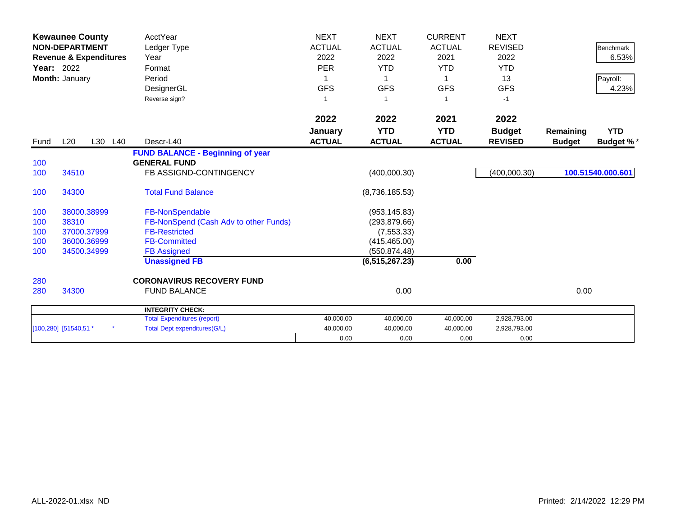| <b>Year: 2022</b> | <b>Kewaunee County</b><br><b>NON-DEPARTMENT</b><br><b>Revenue &amp; Expenditures</b><br>Month: January | <b>AcctYear</b><br>Ledger Type<br>Year<br>Format<br>Period<br>DesignerGL<br>Reverse sign? | <b>NEXT</b><br><b>ACTUAL</b><br>2022<br><b>PER</b><br><b>GFS</b><br>-1 | <b>NEXT</b><br><b>ACTUAL</b><br>2022<br><b>YTD</b><br><b>GFS</b><br>-1 | <b>CURRENT</b><br><b>ACTUAL</b><br>2021<br><b>YTD</b><br><b>GFS</b><br>1 | <b>NEXT</b><br><b>REVISED</b><br>2022<br><b>YTD</b><br>13<br><b>GFS</b><br>$-1$ |               | <b>Benchmark</b><br>6.53%<br>Payroll:<br>4.23% |
|-------------------|--------------------------------------------------------------------------------------------------------|-------------------------------------------------------------------------------------------|------------------------------------------------------------------------|------------------------------------------------------------------------|--------------------------------------------------------------------------|---------------------------------------------------------------------------------|---------------|------------------------------------------------|
|                   |                                                                                                        |                                                                                           | 2022                                                                   | 2022                                                                   | 2021                                                                     | 2022                                                                            |               |                                                |
|                   |                                                                                                        |                                                                                           | January                                                                | <b>YTD</b>                                                             | <b>YTD</b>                                                               | <b>Budget</b>                                                                   | Remaining     | <b>YTD</b>                                     |
| Fund              | L20<br>L30                                                                                             | L40<br>Descr-L40                                                                          | <b>ACTUAL</b>                                                          | <b>ACTUAL</b>                                                          | <b>ACTUAL</b>                                                            | <b>REVISED</b>                                                                  | <b>Budget</b> | <b>Budget %*</b>                               |
|                   |                                                                                                        | <b>FUND BALANCE - Beginning of year</b>                                                   |                                                                        |                                                                        |                                                                          |                                                                                 |               |                                                |
| 100               |                                                                                                        | <b>GENERAL FUND</b>                                                                       |                                                                        |                                                                        |                                                                          |                                                                                 |               |                                                |
| 100               | 34510                                                                                                  | FB ASSIGND-CONTINGENCY                                                                    |                                                                        | (400,000.30)                                                           |                                                                          | (400,000.30)                                                                    |               | 100.51540.000.601                              |
| 100               | 34300                                                                                                  | <b>Total Fund Balance</b>                                                                 |                                                                        | (8,736,185.53)                                                         |                                                                          |                                                                                 |               |                                                |
| 100               | 38000.38999                                                                                            | FB-NonSpendable                                                                           |                                                                        | (953, 145.83)                                                          |                                                                          |                                                                                 |               |                                                |
| 100               | 38310                                                                                                  | FB-NonSpend (Cash Adv to other Funds)                                                     |                                                                        | (293, 879.66)                                                          |                                                                          |                                                                                 |               |                                                |
| 100               | 37000.37999                                                                                            | <b>FB-Restricted</b>                                                                      |                                                                        | (7, 553.33)                                                            |                                                                          |                                                                                 |               |                                                |
| 100               | 36000.36999                                                                                            | <b>FB-Committed</b>                                                                       |                                                                        | (415, 465.00)                                                          |                                                                          |                                                                                 |               |                                                |
| 100               | 34500.34999                                                                                            | <b>FB Assigned</b>                                                                        |                                                                        | (550, 874.48)                                                          |                                                                          |                                                                                 |               |                                                |
|                   |                                                                                                        | <b>Unassigned FB</b>                                                                      |                                                                        | (6, 515, 267.23)                                                       | 0.00                                                                     |                                                                                 |               |                                                |
| 280               |                                                                                                        | <b>CORONAVIRUS RECOVERY FUND</b>                                                          |                                                                        |                                                                        |                                                                          |                                                                                 |               |                                                |
| 280               | 34300                                                                                                  | <b>FUND BALANCE</b>                                                                       |                                                                        | 0.00                                                                   |                                                                          |                                                                                 | 0.00          |                                                |
|                   |                                                                                                        | <b>INTEGRITY CHECK:</b>                                                                   |                                                                        |                                                                        |                                                                          |                                                                                 |               |                                                |
|                   |                                                                                                        | <b>Total Expenditures (report)</b>                                                        | 40,000.00                                                              | 40,000.00                                                              | 40,000.00                                                                | 2,928,793.00                                                                    |               |                                                |
|                   | [100,280] [51540,51 *                                                                                  | <b>Total Dept expenditures(G/L)</b>                                                       | 40,000.00                                                              | 40,000.00                                                              | 40,000.00                                                                | 2,928,793.00                                                                    |               |                                                |
|                   |                                                                                                        |                                                                                           | 0.00                                                                   | 0.00                                                                   | 0.00                                                                     | 0.00                                                                            |               |                                                |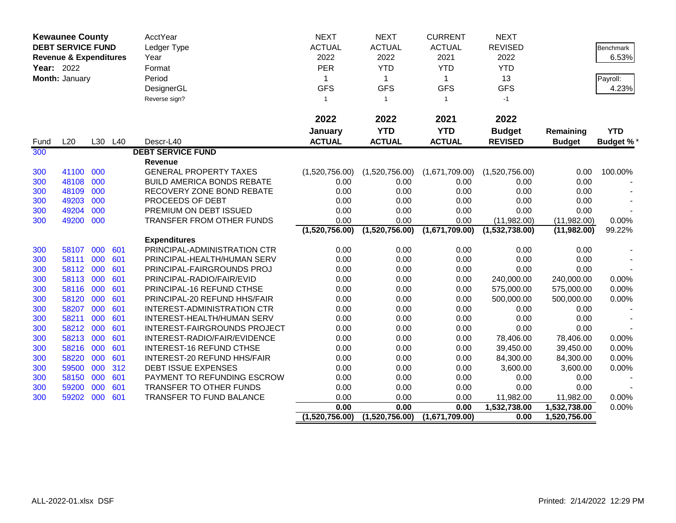| <b>Kewaunee County</b> |                                   |     | <b>AcctYear</b> | <b>NEXT</b>                       | <b>NEXT</b>    | <b>CURRENT</b> | <b>NEXT</b>    |                           |                           |                  |
|------------------------|-----------------------------------|-----|-----------------|-----------------------------------|----------------|----------------|----------------|---------------------------|---------------------------|------------------|
|                        | <b>DEBT SERVICE FUND</b>          |     |                 | Ledger Type                       | <b>ACTUAL</b>  | <b>ACTUAL</b>  | <b>ACTUAL</b>  | <b>REVISED</b>            |                           | <b>Benchmark</b> |
|                        | <b>Revenue &amp; Expenditures</b> |     |                 | Year                              | 2022           | 2022           | 2021           | 2022                      |                           | 6.53%            |
| Year: 2022             |                                   |     |                 | Format                            | PER            | <b>YTD</b>     | <b>YTD</b>     | <b>YTD</b>                |                           |                  |
|                        | Month: January                    |     |                 | Period                            | 1              | $\mathbf{1}$   | $\mathbf{1}$   | 13                        |                           | Payroll:         |
|                        |                                   |     |                 | DesignerGL                        | <b>GFS</b>     | <b>GFS</b>     | <b>GFS</b>     | <b>GFS</b>                |                           | 4.23%            |
|                        |                                   |     |                 | Reverse sign?                     | $\mathbf{1}$   | $\overline{1}$ | $\mathbf{1}$   | $-1$                      |                           |                  |
|                        |                                   |     |                 |                                   |                |                |                |                           |                           |                  |
|                        |                                   |     |                 |                                   | 2022           | 2022           | 2021           | 2022                      |                           |                  |
|                        |                                   |     |                 |                                   | January        | <b>YTD</b>     | <b>YTD</b>     | <b>Budget</b>             | Remaining                 | <b>YTD</b>       |
| Fund                   | L20                               |     | L30 L40         | Descr-L40                         | <b>ACTUAL</b>  | <b>ACTUAL</b>  | <b>ACTUAL</b>  | <b>REVISED</b>            | <b>Budget</b>             | <b>Budget %*</b> |
| 300                    |                                   |     |                 | <b>DEBT SERVICE FUND</b>          |                |                |                |                           |                           |                  |
|                        |                                   |     |                 | Revenue                           |                |                |                |                           |                           |                  |
| 300                    | 41100                             | 000 |                 | <b>GENERAL PROPERTY TAXES</b>     | (1,520,756.00) | (1,520,756.00) | (1,671,709.00) | (1,520,756.00)            | 0.00                      | 100.00%          |
| 300                    | 48108                             | 000 |                 | <b>BUILD AMERICA BONDS REBATE</b> | 0.00           | 0.00           | 0.00           | 0.00                      | 0.00                      |                  |
| 300                    | 48109                             | 000 |                 | RECOVERY ZONE BOND REBATE         | 0.00           | 0.00           | 0.00           | 0.00                      | 0.00                      |                  |
| 300                    | 49203                             | 000 |                 | PROCEEDS OF DEBT                  | 0.00           | 0.00           | 0.00           | 0.00                      | 0.00                      |                  |
| 300                    | 49204                             | 000 |                 | PREMIUM ON DEBT ISSUED            | 0.00           | 0.00           | 0.00           | 0.00                      | 0.00                      |                  |
| 300                    | 49200                             | 000 |                 | TRANSFER FROM OTHER FUNDS         | 0.00           | 0.00           | 0.00           | (11,982.00)               | (11,982.00)               | 0.00%            |
|                        |                                   |     |                 |                                   | (1,520,756.00) | (1,520,756.00) | (1,671,709.00) | (1,532,738.00)            | (11,982.00)               | 99.22%           |
|                        |                                   |     |                 | <b>Expenditures</b>               |                |                |                |                           |                           |                  |
| 300                    | 58107                             | 000 | 601             | PRINCIPAL-ADMINISTRATION CTR      | 0.00           | 0.00           | 0.00           | 0.00                      | 0.00                      |                  |
| 300                    | 58111                             | 000 | 601             | PRINCIPAL-HEALTH/HUMAN SERV       | 0.00           | 0.00           | 0.00           | 0.00                      | 0.00                      |                  |
| 300                    | 58112                             | 000 | 601             | PRINCIPAL-FAIRGROUNDS PROJ        | 0.00           | 0.00           | 0.00           | 0.00                      | 0.00                      |                  |
| 300                    | 58113                             | 000 | 601             | PRINCIPAL-RADIO/FAIR/EVID         | 0.00           | 0.00           | 0.00           | 240,000.00                | 240,000.00                | 0.00%            |
| 300                    | 58116                             | 000 | 601             | <b>PRINCIPAL-16 REFUND CTHSE</b>  | 0.00           | 0.00           | 0.00           | 575,000.00                | 575,000.00                | 0.00%            |
| 300                    | 58120                             | 000 | 601             | PRINCIPAL-20 REFUND HHS/FAIR      | 0.00           | 0.00           | 0.00           | 500,000.00                | 500,000.00                | 0.00%            |
| 300                    | 58207                             | 000 | 601             | INTEREST-ADMINISTRATION CTR       | 0.00           | 0.00           | 0.00           | 0.00                      | 0.00                      |                  |
| 300                    | 58211                             | 000 | 601             | INTEREST-HEALTH/HUMAN SERV        | 0.00           | 0.00           | 0.00           | 0.00                      | 0.00                      |                  |
| 300                    | 58212                             | 000 | 601             | INTEREST-FAIRGROUNDS PROJECT      | 0.00           | 0.00           | 0.00           | 0.00                      | 0.00                      |                  |
| 300                    | 58213                             | 000 | 601             | INTEREST-RADIO/FAIR/EVIDENCE      | 0.00           | 0.00           | 0.00           | 78,406.00                 | 78,406.00                 | 0.00%            |
| 300                    | 58216 000                         |     | 601             | <b>INTEREST-16 REFUND CTHSE</b>   | 0.00           | 0.00           | 0.00           | 39,450.00                 | 39,450.00                 | 0.00%            |
| 300                    | 58220                             | 000 | 601             | INTEREST-20 REFUND HHS/FAIR       | 0.00           | 0.00           | 0.00           | 84,300.00                 | 84,300.00                 | 0.00%            |
| 300                    | 59500                             | 000 | 312             | <b>DEBT ISSUE EXPENSES</b>        | 0.00           | 0.00           | 0.00           | 3,600.00                  | 3,600.00                  | 0.00%            |
| 300                    | 58150                             | 000 | 601             | PAYMENT TO REFUNDING ESCROW       | 0.00           | 0.00           | 0.00           | 0.00                      | 0.00                      |                  |
| 300                    | 59200                             | 000 | 601             | TRANSFER TO OTHER FUNDS           | 0.00           | 0.00           | 0.00           | 0.00                      | 0.00                      |                  |
| 300                    | 59202                             | 000 | 601             | TRANSFER TO FUND BALANCE          | 0.00<br>0.00   | 0.00<br>0.00   | 0.00<br>0.00   | 11,982.00<br>1,532,738.00 | 11,982.00<br>1,532,738.00 | 0.00%<br>0.00%   |
|                        |                                   |     |                 |                                   | (1,520,756.00) | (1,520,756.00) | (1,671,709.00) | 0.00                      | 1,520,756.00              |                  |
|                        |                                   |     |                 |                                   |                |                |                |                           |                           |                  |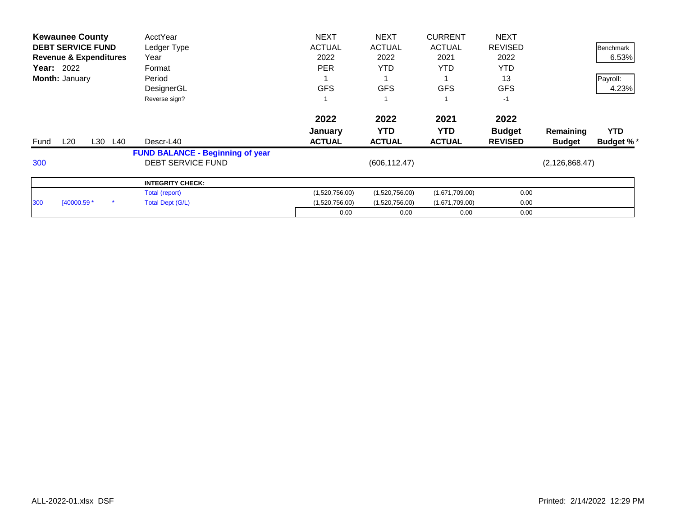| <b>Kewaunee County</b>            | AcctYear                                | <b>NEXT</b>    | <b>NEXT</b>    | <b>CURRENT</b> | <b>NEXT</b>    |                  |                  |
|-----------------------------------|-----------------------------------------|----------------|----------------|----------------|----------------|------------------|------------------|
| <b>DEBT SERVICE FUND</b>          | Ledger Type                             | <b>ACTUAL</b>  | <b>ACTUAL</b>  | <b>ACTUAL</b>  | <b>REVISED</b> |                  | Benchmark        |
| <b>Revenue &amp; Expenditures</b> | Year                                    | 2022           | 2022           | 2021           | 2022           |                  | 6.53%            |
| <b>Year: 2022</b>                 | Format                                  | <b>PER</b>     | <b>YTD</b>     | <b>YTD</b>     | <b>YTD</b>     |                  |                  |
| Month: January                    | Period                                  |                |                |                | 13             |                  | Payroll:         |
|                                   | DesignerGL                              | <b>GFS</b>     | <b>GFS</b>     | <b>GFS</b>     | <b>GFS</b>     |                  | 4.23%            |
|                                   | Reverse sign?                           |                |                |                | $-1$           |                  |                  |
|                                   |                                         | 2022           | 2022           | 2021           | 2022           |                  |                  |
|                                   |                                         | <b>January</b> | <b>YTD</b>     | YTD.           | <b>Budget</b>  | Remaining        | <b>YTD</b>       |
| L20<br>L30<br>L40<br>Fund         | Descr-L40                               | <b>ACTUAL</b>  | <b>ACTUAL</b>  | <b>ACTUAL</b>  | <b>REVISED</b> | <b>Budget</b>    | <b>Budget %*</b> |
|                                   | <b>FUND BALANCE - Beginning of year</b> |                |                |                |                |                  |                  |
| 300                               | <b>DEBT SERVICE FUND</b>                |                | (606, 112.47)  |                |                | (2, 126, 868.47) |                  |
|                                   | <b>INTEGRITY CHECK:</b>                 |                |                |                |                |                  |                  |
|                                   | Total (report)                          | (1,520,756.00) | (1,520,756.00) | (1,671,709.00) | 0.00           |                  |                  |
| [40000.59 *<br>300                | Total Dept (G/L)                        | (1,520,756.00) | (1,520,756.00) | (1,671,709.00) | 0.00           |                  |                  |
|                                   |                                         | 0.00           | 0.00           | 0.00           | 0.00           |                  |                  |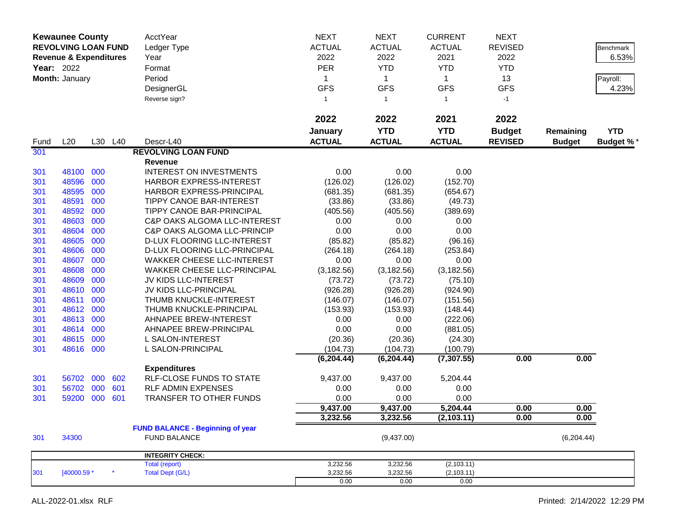| 2022<br>2021<br>2022<br>2022<br><b>YTD</b><br><b>YTD</b><br>January<br><b>Budget</b><br><b>YTD</b><br>Remaining<br><b>ACTUAL</b><br>L20<br>L30 L40<br>Descr-L40<br><b>ACTUAL</b><br><b>ACTUAL</b><br><b>REVISED</b><br><b>Budget</b><br><b>Budget %*</b><br>Fund<br>301<br><b>REVOLVING LOAN FUND</b><br>Revenue<br>0.00<br>0.00<br>0.00<br>48100 000<br><b>INTEREST ON INVESTMENTS</b><br>301<br>000<br>301<br>48596<br>HARBOR EXPRESS-INTEREST<br>(126.02)<br>(126.02)<br>(152.70)<br>000<br>48595<br>HARBOR EXPRESS-PRINCIPAL<br>301<br>(681.35)<br>(681.35)<br>(654.67)<br>48591<br>000<br><b>TIPPY CANOE BAR-INTEREST</b><br>(33.86)<br>(33.86)<br>301<br>(49.73)<br>48592<br>000<br>TIPPY CANOE BAR-PRINCIPAL<br>(405.56)<br>(405.56)<br>301<br>(389.69)<br>48603<br>000<br>C&P OAKS ALGOMA LLC-INTEREST<br>0.00<br>0.00<br>0.00<br>301<br>0.00<br>48604<br>000<br>0.00<br>0.00<br>301<br><b>C&amp;P OAKS ALGOMA LLC-PRINCIP</b><br>000<br>301<br>48605<br>D-LUX FLOORING LLC-INTEREST<br>(85.82)<br>(85.82)<br>(96.16)<br>48606<br>000<br>D-LUX FLOORING LLC-PRINCIPAL<br>(264.18)<br>(253.84)<br>301<br>(264.18)<br>48607<br>000<br>0.00<br>0.00<br>0.00<br>301<br><b>WAKKER CHEESE LLC-INTEREST</b><br>48608<br>000<br>(3, 182.56)<br>(3, 182.56)<br><b>WAKKER CHEESE LLC-PRINCIPAL</b><br>(3, 182.56)<br>301<br>000<br>48609<br>JV KIDS LLC-INTEREST<br>(73.72)<br>(73.72)<br>301<br>(75.10)<br>48610<br>000<br>JV KIDS LLC-PRINCIPAL<br>(926.28)<br>(926.28)<br>301<br>(924.90)<br>48611<br>000<br>THUMB KNUCKLE-INTEREST<br>(146.07)<br>(146.07)<br>(151.56)<br>301<br>000<br>48612<br>THUMB KNUCKLE-PRINCIPAL<br>(153.93)<br>(153.93)<br>(148.44)<br>301<br>48613<br>000<br>AHNAPEE BREW-INTEREST<br>0.00<br>0.00<br>301<br>(222.06)<br>48614<br>000<br>0.00<br>0.00<br>AHNAPEE BREW-PRINCIPAL<br>(881.05)<br>301<br>48615<br>000<br>L SALON-INTEREST<br>(20.36)<br>(20.36)<br>(24.30)<br>301<br>48616 000<br>(104.73)<br>301<br>L SALON-PRINCIPAL<br>(104.73)<br>(100.79)<br>0.00<br>(6, 204.44)<br>(7, 307.55)<br>0.00<br>(6, 204.44)<br><b>Expenditures</b><br>000<br>56702<br>602<br><b>RLF-CLOSE FUNDS TO STATE</b><br>9,437.00<br>9,437.00<br>5,204.44<br>301<br>000<br>601<br>56702<br><b>RLF ADMIN EXPENSES</b><br>0.00<br>0.00<br>0.00<br>301<br>59200<br>000<br>601<br>TRANSFER TO OTHER FUNDS<br>0.00<br>0.00<br>0.00<br>301<br>9,437.00<br>9,437.00<br>5,204.44<br>0.00<br>0.00<br>3,232.56<br>3,232.56<br>(2, 103.11)<br>0.00<br>0.00<br><b>FUND BALANCE - Beginning of year</b><br>34300<br><b>FUND BALANCE</b><br>(9,437.00)<br>(6, 204.44)<br>301<br><b>INTEGRITY CHECK:</b><br>3,232.56<br>3,232.56<br>(2,103.11)<br>Total (report)<br>[40000.59 *<br>$\star$<br><b>Total Dept (G/L)</b><br>3,232.56<br>3,232.56<br>(2, 103.11)<br>301<br>0.00<br>0.00<br>0.00 | <b>Kewaunee County</b><br><b>REVOLVING LOAN FUND</b><br><b>Revenue &amp; Expenditures</b><br><b>Year: 2022</b><br>Month: January |  |  | AcctYear<br>Ledger Type<br>Year<br>Format<br>Period<br>DesignerGL<br>Reverse sign? | <b>NEXT</b><br><b>ACTUAL</b><br>2022<br><b>PER</b><br>1<br><b>GFS</b><br>$\mathbf{1}$ | <b>NEXT</b><br><b>ACTUAL</b><br>2022<br><b>YTD</b><br>$\mathbf{1}$<br><b>GFS</b><br>$\mathbf{1}$ | <b>CURRENT</b><br><b>ACTUAL</b><br>2021<br><b>YTD</b><br>$\mathbf 1$<br><b>GFS</b><br>$\mathbf{1}$ | <b>NEXT</b><br><b>REVISED</b><br>2022<br><b>YTD</b><br>13<br><b>GFS</b><br>$-1$ | Benchmark<br>6.53%<br>Payroll:<br>4.23% |
|----------------------------------------------------------------------------------------------------------------------------------------------------------------------------------------------------------------------------------------------------------------------------------------------------------------------------------------------------------------------------------------------------------------------------------------------------------------------------------------------------------------------------------------------------------------------------------------------------------------------------------------------------------------------------------------------------------------------------------------------------------------------------------------------------------------------------------------------------------------------------------------------------------------------------------------------------------------------------------------------------------------------------------------------------------------------------------------------------------------------------------------------------------------------------------------------------------------------------------------------------------------------------------------------------------------------------------------------------------------------------------------------------------------------------------------------------------------------------------------------------------------------------------------------------------------------------------------------------------------------------------------------------------------------------------------------------------------------------------------------------------------------------------------------------------------------------------------------------------------------------------------------------------------------------------------------------------------------------------------------------------------------------------------------------------------------------------------------------------------------------------------------------------------------------------------------------------------------------------------------------------------------------------------------------------------------------------------------------------------------------------------------------------------------------------------------------------------------------------------------------------------------------------------------------------------------------------------------------------------------------------------------------------------------------------------------------------------------------------------------------------------------------------------------|----------------------------------------------------------------------------------------------------------------------------------|--|--|------------------------------------------------------------------------------------|---------------------------------------------------------------------------------------|--------------------------------------------------------------------------------------------------|----------------------------------------------------------------------------------------------------|---------------------------------------------------------------------------------|-----------------------------------------|
|                                                                                                                                                                                                                                                                                                                                                                                                                                                                                                                                                                                                                                                                                                                                                                                                                                                                                                                                                                                                                                                                                                                                                                                                                                                                                                                                                                                                                                                                                                                                                                                                                                                                                                                                                                                                                                                                                                                                                                                                                                                                                                                                                                                                                                                                                                                                                                                                                                                                                                                                                                                                                                                                                                                                                                                              |                                                                                                                                  |  |  |                                                                                    |                                                                                       |                                                                                                  |                                                                                                    |                                                                                 |                                         |
|                                                                                                                                                                                                                                                                                                                                                                                                                                                                                                                                                                                                                                                                                                                                                                                                                                                                                                                                                                                                                                                                                                                                                                                                                                                                                                                                                                                                                                                                                                                                                                                                                                                                                                                                                                                                                                                                                                                                                                                                                                                                                                                                                                                                                                                                                                                                                                                                                                                                                                                                                                                                                                                                                                                                                                                              |                                                                                                                                  |  |  |                                                                                    |                                                                                       |                                                                                                  |                                                                                                    |                                                                                 |                                         |
|                                                                                                                                                                                                                                                                                                                                                                                                                                                                                                                                                                                                                                                                                                                                                                                                                                                                                                                                                                                                                                                                                                                                                                                                                                                                                                                                                                                                                                                                                                                                                                                                                                                                                                                                                                                                                                                                                                                                                                                                                                                                                                                                                                                                                                                                                                                                                                                                                                                                                                                                                                                                                                                                                                                                                                                              |                                                                                                                                  |  |  |                                                                                    |                                                                                       |                                                                                                  |                                                                                                    |                                                                                 |                                         |
|                                                                                                                                                                                                                                                                                                                                                                                                                                                                                                                                                                                                                                                                                                                                                                                                                                                                                                                                                                                                                                                                                                                                                                                                                                                                                                                                                                                                                                                                                                                                                                                                                                                                                                                                                                                                                                                                                                                                                                                                                                                                                                                                                                                                                                                                                                                                                                                                                                                                                                                                                                                                                                                                                                                                                                                              |                                                                                                                                  |  |  |                                                                                    |                                                                                       |                                                                                                  |                                                                                                    |                                                                                 |                                         |
|                                                                                                                                                                                                                                                                                                                                                                                                                                                                                                                                                                                                                                                                                                                                                                                                                                                                                                                                                                                                                                                                                                                                                                                                                                                                                                                                                                                                                                                                                                                                                                                                                                                                                                                                                                                                                                                                                                                                                                                                                                                                                                                                                                                                                                                                                                                                                                                                                                                                                                                                                                                                                                                                                                                                                                                              |                                                                                                                                  |  |  |                                                                                    |                                                                                       |                                                                                                  |                                                                                                    |                                                                                 |                                         |
|                                                                                                                                                                                                                                                                                                                                                                                                                                                                                                                                                                                                                                                                                                                                                                                                                                                                                                                                                                                                                                                                                                                                                                                                                                                                                                                                                                                                                                                                                                                                                                                                                                                                                                                                                                                                                                                                                                                                                                                                                                                                                                                                                                                                                                                                                                                                                                                                                                                                                                                                                                                                                                                                                                                                                                                              |                                                                                                                                  |  |  |                                                                                    |                                                                                       |                                                                                                  |                                                                                                    |                                                                                 |                                         |
|                                                                                                                                                                                                                                                                                                                                                                                                                                                                                                                                                                                                                                                                                                                                                                                                                                                                                                                                                                                                                                                                                                                                                                                                                                                                                                                                                                                                                                                                                                                                                                                                                                                                                                                                                                                                                                                                                                                                                                                                                                                                                                                                                                                                                                                                                                                                                                                                                                                                                                                                                                                                                                                                                                                                                                                              |                                                                                                                                  |  |  |                                                                                    |                                                                                       |                                                                                                  |                                                                                                    |                                                                                 |                                         |
|                                                                                                                                                                                                                                                                                                                                                                                                                                                                                                                                                                                                                                                                                                                                                                                                                                                                                                                                                                                                                                                                                                                                                                                                                                                                                                                                                                                                                                                                                                                                                                                                                                                                                                                                                                                                                                                                                                                                                                                                                                                                                                                                                                                                                                                                                                                                                                                                                                                                                                                                                                                                                                                                                                                                                                                              |                                                                                                                                  |  |  |                                                                                    |                                                                                       |                                                                                                  |                                                                                                    |                                                                                 |                                         |
|                                                                                                                                                                                                                                                                                                                                                                                                                                                                                                                                                                                                                                                                                                                                                                                                                                                                                                                                                                                                                                                                                                                                                                                                                                                                                                                                                                                                                                                                                                                                                                                                                                                                                                                                                                                                                                                                                                                                                                                                                                                                                                                                                                                                                                                                                                                                                                                                                                                                                                                                                                                                                                                                                                                                                                                              |                                                                                                                                  |  |  |                                                                                    |                                                                                       |                                                                                                  |                                                                                                    |                                                                                 |                                         |
|                                                                                                                                                                                                                                                                                                                                                                                                                                                                                                                                                                                                                                                                                                                                                                                                                                                                                                                                                                                                                                                                                                                                                                                                                                                                                                                                                                                                                                                                                                                                                                                                                                                                                                                                                                                                                                                                                                                                                                                                                                                                                                                                                                                                                                                                                                                                                                                                                                                                                                                                                                                                                                                                                                                                                                                              |                                                                                                                                  |  |  |                                                                                    |                                                                                       |                                                                                                  |                                                                                                    |                                                                                 |                                         |
|                                                                                                                                                                                                                                                                                                                                                                                                                                                                                                                                                                                                                                                                                                                                                                                                                                                                                                                                                                                                                                                                                                                                                                                                                                                                                                                                                                                                                                                                                                                                                                                                                                                                                                                                                                                                                                                                                                                                                                                                                                                                                                                                                                                                                                                                                                                                                                                                                                                                                                                                                                                                                                                                                                                                                                                              |                                                                                                                                  |  |  |                                                                                    |                                                                                       |                                                                                                  |                                                                                                    |                                                                                 |                                         |
|                                                                                                                                                                                                                                                                                                                                                                                                                                                                                                                                                                                                                                                                                                                                                                                                                                                                                                                                                                                                                                                                                                                                                                                                                                                                                                                                                                                                                                                                                                                                                                                                                                                                                                                                                                                                                                                                                                                                                                                                                                                                                                                                                                                                                                                                                                                                                                                                                                                                                                                                                                                                                                                                                                                                                                                              |                                                                                                                                  |  |  |                                                                                    |                                                                                       |                                                                                                  |                                                                                                    |                                                                                 |                                         |
|                                                                                                                                                                                                                                                                                                                                                                                                                                                                                                                                                                                                                                                                                                                                                                                                                                                                                                                                                                                                                                                                                                                                                                                                                                                                                                                                                                                                                                                                                                                                                                                                                                                                                                                                                                                                                                                                                                                                                                                                                                                                                                                                                                                                                                                                                                                                                                                                                                                                                                                                                                                                                                                                                                                                                                                              |                                                                                                                                  |  |  |                                                                                    |                                                                                       |                                                                                                  |                                                                                                    |                                                                                 |                                         |
|                                                                                                                                                                                                                                                                                                                                                                                                                                                                                                                                                                                                                                                                                                                                                                                                                                                                                                                                                                                                                                                                                                                                                                                                                                                                                                                                                                                                                                                                                                                                                                                                                                                                                                                                                                                                                                                                                                                                                                                                                                                                                                                                                                                                                                                                                                                                                                                                                                                                                                                                                                                                                                                                                                                                                                                              |                                                                                                                                  |  |  |                                                                                    |                                                                                       |                                                                                                  |                                                                                                    |                                                                                 |                                         |
|                                                                                                                                                                                                                                                                                                                                                                                                                                                                                                                                                                                                                                                                                                                                                                                                                                                                                                                                                                                                                                                                                                                                                                                                                                                                                                                                                                                                                                                                                                                                                                                                                                                                                                                                                                                                                                                                                                                                                                                                                                                                                                                                                                                                                                                                                                                                                                                                                                                                                                                                                                                                                                                                                                                                                                                              |                                                                                                                                  |  |  |                                                                                    |                                                                                       |                                                                                                  |                                                                                                    |                                                                                 |                                         |
|                                                                                                                                                                                                                                                                                                                                                                                                                                                                                                                                                                                                                                                                                                                                                                                                                                                                                                                                                                                                                                                                                                                                                                                                                                                                                                                                                                                                                                                                                                                                                                                                                                                                                                                                                                                                                                                                                                                                                                                                                                                                                                                                                                                                                                                                                                                                                                                                                                                                                                                                                                                                                                                                                                                                                                                              |                                                                                                                                  |  |  |                                                                                    |                                                                                       |                                                                                                  |                                                                                                    |                                                                                 |                                         |
|                                                                                                                                                                                                                                                                                                                                                                                                                                                                                                                                                                                                                                                                                                                                                                                                                                                                                                                                                                                                                                                                                                                                                                                                                                                                                                                                                                                                                                                                                                                                                                                                                                                                                                                                                                                                                                                                                                                                                                                                                                                                                                                                                                                                                                                                                                                                                                                                                                                                                                                                                                                                                                                                                                                                                                                              |                                                                                                                                  |  |  |                                                                                    |                                                                                       |                                                                                                  |                                                                                                    |                                                                                 |                                         |
|                                                                                                                                                                                                                                                                                                                                                                                                                                                                                                                                                                                                                                                                                                                                                                                                                                                                                                                                                                                                                                                                                                                                                                                                                                                                                                                                                                                                                                                                                                                                                                                                                                                                                                                                                                                                                                                                                                                                                                                                                                                                                                                                                                                                                                                                                                                                                                                                                                                                                                                                                                                                                                                                                                                                                                                              |                                                                                                                                  |  |  |                                                                                    |                                                                                       |                                                                                                  |                                                                                                    |                                                                                 |                                         |
|                                                                                                                                                                                                                                                                                                                                                                                                                                                                                                                                                                                                                                                                                                                                                                                                                                                                                                                                                                                                                                                                                                                                                                                                                                                                                                                                                                                                                                                                                                                                                                                                                                                                                                                                                                                                                                                                                                                                                                                                                                                                                                                                                                                                                                                                                                                                                                                                                                                                                                                                                                                                                                                                                                                                                                                              |                                                                                                                                  |  |  |                                                                                    |                                                                                       |                                                                                                  |                                                                                                    |                                                                                 |                                         |
|                                                                                                                                                                                                                                                                                                                                                                                                                                                                                                                                                                                                                                                                                                                                                                                                                                                                                                                                                                                                                                                                                                                                                                                                                                                                                                                                                                                                                                                                                                                                                                                                                                                                                                                                                                                                                                                                                                                                                                                                                                                                                                                                                                                                                                                                                                                                                                                                                                                                                                                                                                                                                                                                                                                                                                                              |                                                                                                                                  |  |  |                                                                                    |                                                                                       |                                                                                                  |                                                                                                    |                                                                                 |                                         |
|                                                                                                                                                                                                                                                                                                                                                                                                                                                                                                                                                                                                                                                                                                                                                                                                                                                                                                                                                                                                                                                                                                                                                                                                                                                                                                                                                                                                                                                                                                                                                                                                                                                                                                                                                                                                                                                                                                                                                                                                                                                                                                                                                                                                                                                                                                                                                                                                                                                                                                                                                                                                                                                                                                                                                                                              |                                                                                                                                  |  |  |                                                                                    |                                                                                       |                                                                                                  |                                                                                                    |                                                                                 |                                         |
|                                                                                                                                                                                                                                                                                                                                                                                                                                                                                                                                                                                                                                                                                                                                                                                                                                                                                                                                                                                                                                                                                                                                                                                                                                                                                                                                                                                                                                                                                                                                                                                                                                                                                                                                                                                                                                                                                                                                                                                                                                                                                                                                                                                                                                                                                                                                                                                                                                                                                                                                                                                                                                                                                                                                                                                              |                                                                                                                                  |  |  |                                                                                    |                                                                                       |                                                                                                  |                                                                                                    |                                                                                 |                                         |
|                                                                                                                                                                                                                                                                                                                                                                                                                                                                                                                                                                                                                                                                                                                                                                                                                                                                                                                                                                                                                                                                                                                                                                                                                                                                                                                                                                                                                                                                                                                                                                                                                                                                                                                                                                                                                                                                                                                                                                                                                                                                                                                                                                                                                                                                                                                                                                                                                                                                                                                                                                                                                                                                                                                                                                                              |                                                                                                                                  |  |  |                                                                                    |                                                                                       |                                                                                                  |                                                                                                    |                                                                                 |                                         |
|                                                                                                                                                                                                                                                                                                                                                                                                                                                                                                                                                                                                                                                                                                                                                                                                                                                                                                                                                                                                                                                                                                                                                                                                                                                                                                                                                                                                                                                                                                                                                                                                                                                                                                                                                                                                                                                                                                                                                                                                                                                                                                                                                                                                                                                                                                                                                                                                                                                                                                                                                                                                                                                                                                                                                                                              |                                                                                                                                  |  |  |                                                                                    |                                                                                       |                                                                                                  |                                                                                                    |                                                                                 |                                         |
|                                                                                                                                                                                                                                                                                                                                                                                                                                                                                                                                                                                                                                                                                                                                                                                                                                                                                                                                                                                                                                                                                                                                                                                                                                                                                                                                                                                                                                                                                                                                                                                                                                                                                                                                                                                                                                                                                                                                                                                                                                                                                                                                                                                                                                                                                                                                                                                                                                                                                                                                                                                                                                                                                                                                                                                              |                                                                                                                                  |  |  |                                                                                    |                                                                                       |                                                                                                  |                                                                                                    |                                                                                 |                                         |
|                                                                                                                                                                                                                                                                                                                                                                                                                                                                                                                                                                                                                                                                                                                                                                                                                                                                                                                                                                                                                                                                                                                                                                                                                                                                                                                                                                                                                                                                                                                                                                                                                                                                                                                                                                                                                                                                                                                                                                                                                                                                                                                                                                                                                                                                                                                                                                                                                                                                                                                                                                                                                                                                                                                                                                                              |                                                                                                                                  |  |  |                                                                                    |                                                                                       |                                                                                                  |                                                                                                    |                                                                                 |                                         |
|                                                                                                                                                                                                                                                                                                                                                                                                                                                                                                                                                                                                                                                                                                                                                                                                                                                                                                                                                                                                                                                                                                                                                                                                                                                                                                                                                                                                                                                                                                                                                                                                                                                                                                                                                                                                                                                                                                                                                                                                                                                                                                                                                                                                                                                                                                                                                                                                                                                                                                                                                                                                                                                                                                                                                                                              |                                                                                                                                  |  |  |                                                                                    |                                                                                       |                                                                                                  |                                                                                                    |                                                                                 |                                         |
|                                                                                                                                                                                                                                                                                                                                                                                                                                                                                                                                                                                                                                                                                                                                                                                                                                                                                                                                                                                                                                                                                                                                                                                                                                                                                                                                                                                                                                                                                                                                                                                                                                                                                                                                                                                                                                                                                                                                                                                                                                                                                                                                                                                                                                                                                                                                                                                                                                                                                                                                                                                                                                                                                                                                                                                              |                                                                                                                                  |  |  |                                                                                    |                                                                                       |                                                                                                  |                                                                                                    |                                                                                 |                                         |
|                                                                                                                                                                                                                                                                                                                                                                                                                                                                                                                                                                                                                                                                                                                                                                                                                                                                                                                                                                                                                                                                                                                                                                                                                                                                                                                                                                                                                                                                                                                                                                                                                                                                                                                                                                                                                                                                                                                                                                                                                                                                                                                                                                                                                                                                                                                                                                                                                                                                                                                                                                                                                                                                                                                                                                                              |                                                                                                                                  |  |  |                                                                                    |                                                                                       |                                                                                                  |                                                                                                    |                                                                                 |                                         |
|                                                                                                                                                                                                                                                                                                                                                                                                                                                                                                                                                                                                                                                                                                                                                                                                                                                                                                                                                                                                                                                                                                                                                                                                                                                                                                                                                                                                                                                                                                                                                                                                                                                                                                                                                                                                                                                                                                                                                                                                                                                                                                                                                                                                                                                                                                                                                                                                                                                                                                                                                                                                                                                                                                                                                                                              |                                                                                                                                  |  |  |                                                                                    |                                                                                       |                                                                                                  |                                                                                                    |                                                                                 |                                         |
|                                                                                                                                                                                                                                                                                                                                                                                                                                                                                                                                                                                                                                                                                                                                                                                                                                                                                                                                                                                                                                                                                                                                                                                                                                                                                                                                                                                                                                                                                                                                                                                                                                                                                                                                                                                                                                                                                                                                                                                                                                                                                                                                                                                                                                                                                                                                                                                                                                                                                                                                                                                                                                                                                                                                                                                              |                                                                                                                                  |  |  |                                                                                    |                                                                                       |                                                                                                  |                                                                                                    |                                                                                 |                                         |
|                                                                                                                                                                                                                                                                                                                                                                                                                                                                                                                                                                                                                                                                                                                                                                                                                                                                                                                                                                                                                                                                                                                                                                                                                                                                                                                                                                                                                                                                                                                                                                                                                                                                                                                                                                                                                                                                                                                                                                                                                                                                                                                                                                                                                                                                                                                                                                                                                                                                                                                                                                                                                                                                                                                                                                                              |                                                                                                                                  |  |  |                                                                                    |                                                                                       |                                                                                                  |                                                                                                    |                                                                                 |                                         |
|                                                                                                                                                                                                                                                                                                                                                                                                                                                                                                                                                                                                                                                                                                                                                                                                                                                                                                                                                                                                                                                                                                                                                                                                                                                                                                                                                                                                                                                                                                                                                                                                                                                                                                                                                                                                                                                                                                                                                                                                                                                                                                                                                                                                                                                                                                                                                                                                                                                                                                                                                                                                                                                                                                                                                                                              |                                                                                                                                  |  |  |                                                                                    |                                                                                       |                                                                                                  |                                                                                                    |                                                                                 |                                         |
|                                                                                                                                                                                                                                                                                                                                                                                                                                                                                                                                                                                                                                                                                                                                                                                                                                                                                                                                                                                                                                                                                                                                                                                                                                                                                                                                                                                                                                                                                                                                                                                                                                                                                                                                                                                                                                                                                                                                                                                                                                                                                                                                                                                                                                                                                                                                                                                                                                                                                                                                                                                                                                                                                                                                                                                              |                                                                                                                                  |  |  |                                                                                    |                                                                                       |                                                                                                  |                                                                                                    |                                                                                 |                                         |
|                                                                                                                                                                                                                                                                                                                                                                                                                                                                                                                                                                                                                                                                                                                                                                                                                                                                                                                                                                                                                                                                                                                                                                                                                                                                                                                                                                                                                                                                                                                                                                                                                                                                                                                                                                                                                                                                                                                                                                                                                                                                                                                                                                                                                                                                                                                                                                                                                                                                                                                                                                                                                                                                                                                                                                                              |                                                                                                                                  |  |  |                                                                                    |                                                                                       |                                                                                                  |                                                                                                    |                                                                                 |                                         |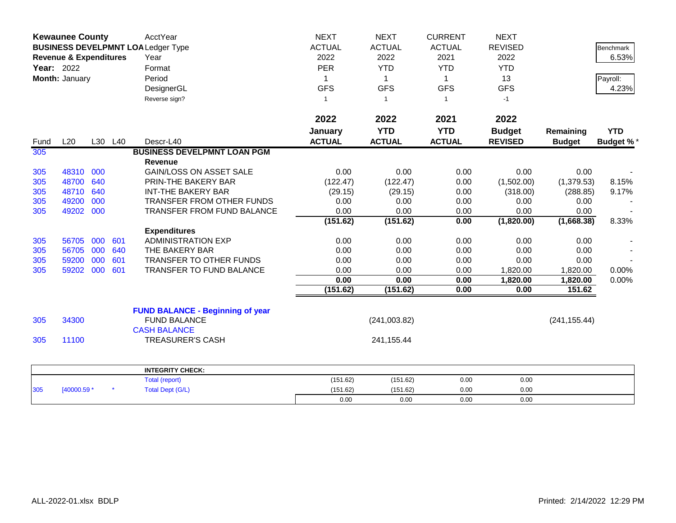|                   | <b>Kewaunee County</b><br><b>BUSINESS DEVELPMNT LOALedger Type</b> |     |         | AcctYear                                | <b>NEXT</b>   | <b>NEXT</b>    | <b>CURRENT</b> | <b>NEXT</b>    |               |                  |
|-------------------|--------------------------------------------------------------------|-----|---------|-----------------------------------------|---------------|----------------|----------------|----------------|---------------|------------------|
|                   |                                                                    |     |         |                                         | <b>ACTUAL</b> | <b>ACTUAL</b>  | <b>ACTUAL</b>  | <b>REVISED</b> |               | Benchmark        |
|                   | <b>Revenue &amp; Expenditures</b>                                  |     |         | Year                                    | 2022          | 2022           | 2021           | 2022           |               | 6.53%            |
| <b>Year: 2022</b> |                                                                    |     |         | Format                                  | <b>PER</b>    | <b>YTD</b>     | <b>YTD</b>     | <b>YTD</b>     |               |                  |
|                   | Month: January                                                     |     |         | Period                                  | 1             | 1              | $\mathbf{1}$   | 13             |               | Payroll:         |
|                   |                                                                    |     |         | DesignerGL                              | <b>GFS</b>    | <b>GFS</b>     | <b>GFS</b>     | <b>GFS</b>     |               | 4.23%            |
|                   |                                                                    |     |         | Reverse sign?                           | $\mathbf{1}$  | $\overline{1}$ | $\mathbf{1}$   | $-1$           |               |                  |
|                   |                                                                    |     |         |                                         |               |                |                |                |               |                  |
|                   |                                                                    |     |         |                                         | 2022          | 2022           | 2021           | 2022           |               |                  |
|                   |                                                                    |     |         |                                         | January       | <b>YTD</b>     | <b>YTD</b>     | <b>Budget</b>  | Remaining     | <b>YTD</b>       |
| Fund              | L20                                                                |     | L30 L40 | Descr-L40                               | <b>ACTUAL</b> | <b>ACTUAL</b>  | <b>ACTUAL</b>  | <b>REVISED</b> | <b>Budget</b> | <b>Budget %*</b> |
| 305               |                                                                    |     |         | <b>BUSINESS DEVELPMNT LOAN PGM</b>      |               |                |                |                |               |                  |
|                   |                                                                    |     |         | <b>Revenue</b>                          |               |                |                |                |               |                  |
| 305               | 48310                                                              | 000 |         | <b>GAIN/LOSS ON ASSET SALE</b>          | 0.00          | 0.00           | 0.00           | 0.00           | 0.00          |                  |
| 305               | 48700                                                              | 640 |         | PRIN-THE BAKERY BAR                     | (122.47)      | (122.47)       | 0.00           | (1,502.00)     | (1,379.53)    | 8.15%            |
| 305               | 48710                                                              | 640 |         | <b>INT-THE BAKERY BAR</b>               | (29.15)       | (29.15)        | 0.00           | (318.00)       | (288.85)      | 9.17%            |
| 305               | 49200                                                              | 000 |         | TRANSFER FROM OTHER FUNDS               | 0.00          | 0.00           | 0.00           | 0.00           | 0.00          |                  |
| 305               | 49202                                                              | 000 |         | <b>TRANSFER FROM FUND BALANCE</b>       | 0.00          | 0.00           | 0.00           | 0.00           | 0.00          |                  |
|                   |                                                                    |     |         |                                         | (151.62)      | (151.62)       | 0.00           | (1,820.00)     | (1,668.38)    | 8.33%            |
|                   |                                                                    |     |         | <b>Expenditures</b>                     |               |                |                |                |               |                  |
| 305               | 56705                                                              | 000 | 601     | <b>ADMINISTRATION EXP</b>               | 0.00          | 0.00           | 0.00           | 0.00           | 0.00          |                  |
| 305               | 56705                                                              | 000 | 640     | THE BAKERY BAR                          | 0.00          | 0.00           | 0.00           | 0.00           | 0.00          |                  |
| 305               | 59200                                                              | 000 | 601     | TRANSFER TO OTHER FUNDS                 | 0.00          | 0.00           | 0.00           | 0.00           | 0.00          |                  |
| 305               | 59202                                                              | 000 | 601     | <b>TRANSFER TO FUND BALANCE</b>         | 0.00          | 0.00           | 0.00           | 1,820.00       | 1,820.00      | $0.00\%$         |
|                   |                                                                    |     |         |                                         | 0.00          | 0.00           | 0.00           | 1,820.00       | 1,820.00      | 0.00%            |
|                   |                                                                    |     |         |                                         | (151.62)      | (151.62)       | 0.00           | 0.00           | 151.62        |                  |
|                   |                                                                    |     |         | <b>FUND BALANCE - Beginning of year</b> |               |                |                |                |               |                  |
| 305               | 34300                                                              |     |         | <b>FUND BALANCE</b>                     |               | (241,003.82)   |                |                | (241, 155.44) |                  |
|                   |                                                                    |     |         | <b>CASH BALANCE</b>                     |               |                |                |                |               |                  |
| 305               | 11100                                                              |     |         | <b>TREASURER'S CASH</b>                 |               | 241, 155.44    |                |                |               |                  |
|                   |                                                                    |     |         |                                         |               |                |                |                |               |                  |
|                   |                                                                    |     |         | <b>INTEGRITY CHECK:</b>                 |               |                |                |                |               |                  |
|                   |                                                                    |     |         | Total (report)                          | (151.62)      | (151.62)       | 0.00           | 0.00           |               |                  |
| 305               | [40000.59 *                                                        |     |         | <b>Total Dept (G/L)</b>                 | (151.62)      | (151.62)       | 0.00           | 0.00           |               |                  |
|                   |                                                                    |     |         |                                         | 0.00          | 0.00           | 0.00           | 0.00           |               |                  |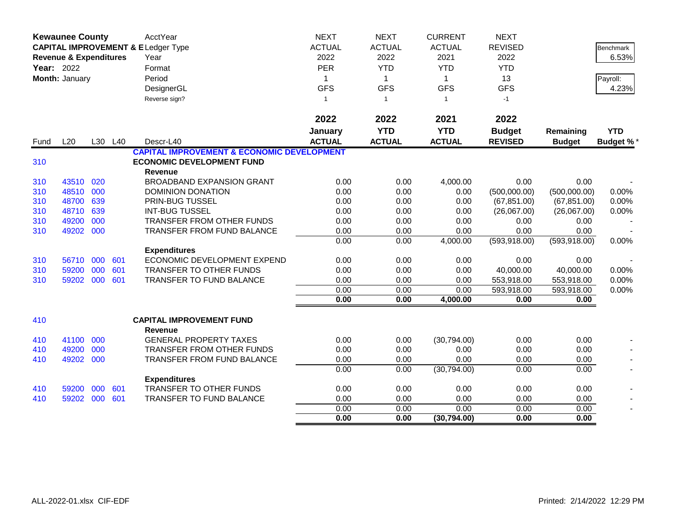|      | <b>Kewaunee County</b><br><b>CAPITAL IMPROVEMENT &amp; ELedger Type</b><br><b>Revenue &amp; Expenditures</b><br>Year: 2022 |     |         | AcctYear<br>Year                                      | <b>NEXT</b><br><b>ACTUAL</b><br>2022 | <b>NEXT</b><br><b>ACTUAL</b><br>2022 | <b>CURRENT</b><br><b>ACTUAL</b><br>2021 | <b>NEXT</b><br><b>REVISED</b><br>2022 |               | Benchmark<br>6.53% |
|------|----------------------------------------------------------------------------------------------------------------------------|-----|---------|-------------------------------------------------------|--------------------------------------|--------------------------------------|-----------------------------------------|---------------------------------------|---------------|--------------------|
|      |                                                                                                                            |     |         | Format                                                | <b>PER</b>                           | <b>YTD</b>                           | <b>YTD</b>                              | <b>YTD</b>                            |               |                    |
|      | Month: January                                                                                                             |     |         | Period                                                | $\mathbf{1}$                         | $\mathbf{1}$                         | $\mathbf{1}$                            | 13                                    |               | Payroll:           |
|      |                                                                                                                            |     |         | DesignerGL                                            | <b>GFS</b>                           | <b>GFS</b>                           | <b>GFS</b>                              | <b>GFS</b>                            |               | 4.23%              |
|      |                                                                                                                            |     |         | Reverse sign?                                         | $\mathbf{1}$                         | $\overline{1}$                       | $\mathbf{1}$                            | $-1$                                  |               |                    |
|      |                                                                                                                            |     |         |                                                       | 2022                                 | 2022                                 | 2021                                    | 2022                                  |               |                    |
|      |                                                                                                                            |     |         |                                                       | January                              | <b>YTD</b>                           | <b>YTD</b>                              | <b>Budget</b>                         | Remaining     | <b>YTD</b>         |
| Fund | L20                                                                                                                        |     | L30 L40 | Descr-L40                                             | <b>ACTUAL</b>                        | <b>ACTUAL</b>                        | <b>ACTUAL</b>                           | <b>REVISED</b>                        | <b>Budget</b> | <b>Budget %*</b>   |
|      |                                                                                                                            |     |         | <b>CAPITAL IMPROVEMENT &amp; ECONOMIC DEVELOPMENT</b> |                                      |                                      |                                         |                                       |               |                    |
| 310  |                                                                                                                            |     |         | <b>ECONOMIC DEVELOPMENT FUND</b>                      |                                      |                                      |                                         |                                       |               |                    |
|      |                                                                                                                            |     |         | <b>Revenue</b>                                        |                                      |                                      |                                         |                                       |               |                    |
| 310  | 43510                                                                                                                      | 020 |         | <b>BROADBAND EXPANSION GRANT</b>                      | 0.00                                 | 0.00                                 | 4,000.00                                | 0.00                                  | 0.00          |                    |
| 310  | 48510                                                                                                                      | 000 |         | DOMINION DONATION                                     | 0.00                                 | 0.00                                 | 0.00                                    | (500,000.00)                          | (500,000.00)  | 0.00%              |
| 310  | 48700                                                                                                                      | 639 |         | PRIN-BUG TUSSEL                                       | 0.00                                 | 0.00                                 | 0.00                                    | (67, 851.00)                          | (67, 851.00)  | 0.00%              |
| 310  | 48710                                                                                                                      | 639 |         | <b>INT-BUG TUSSEL</b>                                 | 0.00                                 | 0.00                                 | 0.00                                    | (26,067.00)                           | (26,067.00)   | 0.00%              |
| 310  | 49200                                                                                                                      | 000 |         | <b>TRANSFER FROM OTHER FUNDS</b>                      | 0.00                                 | 0.00                                 | 0.00                                    | 0.00                                  | 0.00          |                    |
| 310  | 49202                                                                                                                      | 000 |         | TRANSFER FROM FUND BALANCE                            | 0.00                                 | 0.00                                 | 0.00                                    | 0.00                                  | 0.00          |                    |
|      |                                                                                                                            |     |         |                                                       | 0.00                                 | 0.00                                 | 4,000.00                                | (593, 918.00)                         | (593, 918.00) | 0.00%              |
|      |                                                                                                                            |     |         | <b>Expenditures</b>                                   |                                      |                                      |                                         |                                       |               |                    |
| 310  | 56710                                                                                                                      | 000 | 601     | ECONOMIC DEVELOPMENT EXPEND                           | 0.00                                 | 0.00                                 | 0.00                                    | 0.00                                  | 0.00          |                    |
| 310  | 59200                                                                                                                      | 000 | 601     | TRANSFER TO OTHER FUNDS                               | 0.00                                 | 0.00                                 | 0.00                                    | 40,000.00                             | 40,000.00     | 0.00%              |
| 310  | 59202 000                                                                                                                  |     | 601     | <b>TRANSFER TO FUND BALANCE</b>                       | 0.00                                 | 0.00                                 | 0.00                                    | 553,918.00                            | 553,918.00    | 0.00%              |
|      |                                                                                                                            |     |         |                                                       | 0.00                                 | 0.00                                 | 0.00                                    | 593,918.00                            | 593,918.00    | 0.00%              |
|      |                                                                                                                            |     |         |                                                       | 0.00                                 | 0.00                                 | 4,000.00                                | 0.00                                  | 0.00          |                    |
| 410  |                                                                                                                            |     |         | <b>CAPITAL IMPROVEMENT FUND</b><br><b>Revenue</b>     |                                      |                                      |                                         |                                       |               |                    |
| 410  | 41100                                                                                                                      | 000 |         | <b>GENERAL PROPERTY TAXES</b>                         | 0.00                                 | 0.00                                 | (30,794.00)                             | 0.00                                  | 0.00          |                    |
| 410  | 49200                                                                                                                      | 000 |         | TRANSFER FROM OTHER FUNDS                             | 0.00                                 | 0.00                                 | 0.00                                    | 0.00                                  | 0.00          |                    |
| 410  | 49202 000                                                                                                                  |     |         | <b>TRANSFER FROM FUND BALANCE</b>                     | 0.00                                 | 0.00                                 | 0.00                                    | 0.00                                  | 0.00          |                    |
|      |                                                                                                                            |     |         |                                                       | 0.00                                 | 0.00                                 | (30,794.00)                             | 0.00                                  | 0.00          |                    |
|      |                                                                                                                            |     |         | <b>Expenditures</b>                                   |                                      |                                      |                                         |                                       |               |                    |
| 410  | 59200                                                                                                                      | 000 | 601     | TRANSFER TO OTHER FUNDS                               | 0.00                                 | 0.00                                 | 0.00                                    | 0.00                                  | 0.00          |                    |
| 410  | 59202                                                                                                                      | 000 | 601     | <b>TRANSFER TO FUND BALANCE</b>                       | 0.00                                 | 0.00                                 | 0.00                                    | 0.00                                  | 0.00          |                    |
|      |                                                                                                                            |     |         |                                                       | 0.00                                 | 0.00                                 | 0.00                                    | 0.00                                  | 0.00          |                    |
|      |                                                                                                                            |     |         |                                                       | 0.00                                 | 0.00                                 | (30, 794.00)                            | 0.00                                  | 0.00          |                    |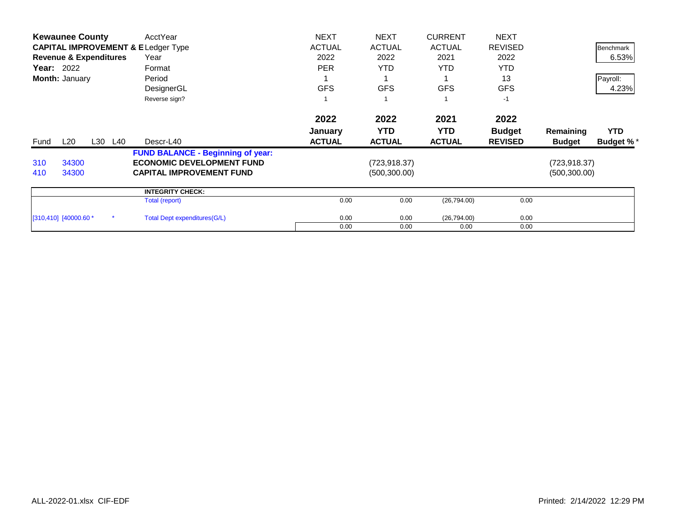|      | <b>Kewaunee County</b>            |         | AcctYear                                      | <b>NEXT</b>   | <b>NEXT</b>   | <b>CURRENT</b> | <b>NEXT</b>    |               |                  |
|------|-----------------------------------|---------|-----------------------------------------------|---------------|---------------|----------------|----------------|---------------|------------------|
|      |                                   |         | <b>CAPITAL IMPROVEMENT &amp; ELedger Type</b> | <b>ACTUAL</b> | <b>ACTUAL</b> | <b>ACTUAL</b>  | <b>REVISED</b> |               | Benchmark        |
|      | <b>Revenue &amp; Expenditures</b> |         | Year                                          | 2022          | 2022          | 2021           | 2022           |               | 6.53%            |
|      | <b>Year: 2022</b>                 |         | Format                                        | <b>PER</b>    | <b>YTD</b>    | <b>YTD</b>     | <b>YTD</b>     |               |                  |
|      | Month: January                    |         | Period                                        |               |               |                | 13             |               | Payroll:         |
|      |                                   |         | DesignerGL                                    | <b>GFS</b>    | <b>GFS</b>    | <b>GFS</b>     | <b>GFS</b>     |               | 4.23%            |
|      |                                   |         | Reverse sign?                                 |               |               |                | $-1$           |               |                  |
|      |                                   |         |                                               | 2022          | 2022          | 2021           | 2022           |               |                  |
|      |                                   |         |                                               | January       | <b>YTD</b>    | YTD.           | <b>Budget</b>  | Remaining     | <b>YTD</b>       |
| Fund | L20                               | L30 L40 | Descr-L40                                     | <b>ACTUAL</b> | <b>ACTUAL</b> | <b>ACTUAL</b>  | <b>REVISED</b> | <b>Budget</b> | <b>Budget %*</b> |
|      |                                   |         | <b>FUND BALANCE - Beginning of year:</b>      |               |               |                |                |               |                  |
| 310  | 34300                             |         | <b>ECONOMIC DEVELOPMENT FUND</b>              |               | (723,918.37)  |                |                | (723, 918.37) |                  |
| 410  | 34300                             |         | <b>CAPITAL IMPROVEMENT FUND</b>               |               | (500, 300.00) |                |                | (500, 300.00) |                  |
|      |                                   |         | <b>INTEGRITY CHECK:</b>                       |               |               |                |                |               |                  |
|      |                                   |         | Total (report)                                | 0.00          | 0.00          | (26,794.00)    | 0.00           |               |                  |
|      | $[310, 410]$ $[40000.60 *$        |         | <b>Total Dept expenditures(G/L)</b>           | 0.00          | 0.00          | (26, 794.00)   | 0.00           |               |                  |
|      |                                   |         |                                               | 0.00          | 0.00          | 0.00           | 0.00           |               |                  |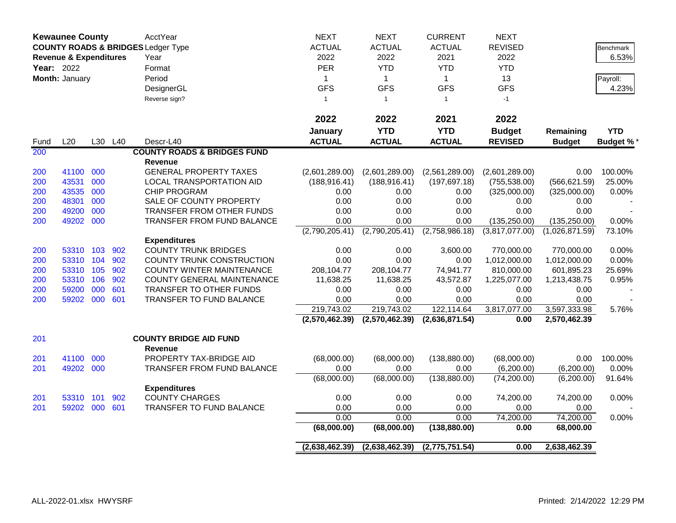|            | <b>Kewaunee County</b>            |     |         | AcctYear                                      | <b>NEXT</b>    | <b>NEXT</b>    | <b>CURRENT</b> | <b>NEXT</b>    |                |                  |
|------------|-----------------------------------|-----|---------|-----------------------------------------------|----------------|----------------|----------------|----------------|----------------|------------------|
|            |                                   |     |         | <b>COUNTY ROADS &amp; BRIDGES Ledger Type</b> | <b>ACTUAL</b>  | <b>ACTUAL</b>  | <b>ACTUAL</b>  | <b>REVISED</b> |                | <b>Benchmark</b> |
|            | <b>Revenue &amp; Expenditures</b> |     |         | Year                                          | 2022           | 2022           | 2021           | 2022           |                | 6.53%            |
| Year: 2022 |                                   |     |         | Format                                        | <b>PER</b>     | <b>YTD</b>     | <b>YTD</b>     | <b>YTD</b>     |                |                  |
|            | Month: January                    |     |         | Period                                        | 1              | $\mathbf{1}$   | $\mathbf{1}$   | 13             |                | Payroll:         |
|            |                                   |     |         | DesignerGL                                    | <b>GFS</b>     | <b>GFS</b>     | <b>GFS</b>     | <b>GFS</b>     |                | 4.23%            |
|            |                                   |     |         | Reverse sign?                                 | $\mathbf{1}$   | $\overline{1}$ | $\mathbf{1}$   | $-1$           |                |                  |
|            |                                   |     |         |                                               |                |                |                |                |                |                  |
|            |                                   |     |         |                                               | 2022           | 2022           | 2021           | 2022           |                |                  |
|            |                                   |     |         |                                               | January        | <b>YTD</b>     | <b>YTD</b>     | <b>Budget</b>  | Remaining      | <b>YTD</b>       |
| Fund       | L20                               |     | L30 L40 | Descr-L40                                     | <b>ACTUAL</b>  | <b>ACTUAL</b>  | <b>ACTUAL</b>  | <b>REVISED</b> | <b>Budget</b>  | <b>Budget %*</b> |
| 200        |                                   |     |         | <b>COUNTY ROADS &amp; BRIDGES FUND</b>        |                |                |                |                |                |                  |
|            |                                   |     |         | <b>Revenue</b>                                |                |                |                |                |                |                  |
| 200        | 41100                             | 000 |         | <b>GENERAL PROPERTY TAXES</b>                 | (2,601,289.00) | (2,601,289.00) | (2,561,289.00) | (2,601,289.00) | 0.00           | 100.00%          |
| 200        | 43531                             | 000 |         | LOCAL TRANSPORTATION AID                      | (188, 916.41)  | (188, 916.41)  | (197, 697.18)  | (755, 538.00)  | (566, 621.59)  | 25.00%           |
| 200        | 43535                             | 000 |         | <b>CHIP PROGRAM</b>                           | 0.00           | 0.00           | 0.00           | (325,000.00)   | (325,000.00)   | 0.00%            |
| 200        | 48301                             | 000 |         | SALE OF COUNTY PROPERTY                       | 0.00           | 0.00           | 0.00           | 0.00           | 0.00           |                  |
| 200        | 49200                             | 000 |         | TRANSFER FROM OTHER FUNDS                     | 0.00           | 0.00           | 0.00           | 0.00           | 0.00           |                  |
| 200        | 49202 000                         |     |         | TRANSFER FROM FUND BALANCE                    | 0.00           | 0.00           | 0.00           | (135, 250.00)  | (135, 250.00)  | 0.00%            |
|            |                                   |     |         |                                               | (2,790,205.41) | (2,790,205.41) | (2,758,986.18) | (3,817,077.00) | (1,026,871.59) | 73.10%           |
|            |                                   |     |         | <b>Expenditures</b>                           |                |                |                |                |                |                  |
| 200        | 53310 103                         |     | 902     | <b>COUNTY TRUNK BRIDGES</b>                   | 0.00           | 0.00           | 3,600.00       | 770,000.00     | 770,000.00     | 0.00%            |
| 200        | 53310 104                         |     | 902     | COUNTY TRUNK CONSTRUCTION                     | 0.00           | 0.00           | 0.00           | 1,012,000.00   | 1,012,000.00   | 0.00%            |
| 200        | 53310 105                         |     | 902     | <b>COUNTY WINTER MAINTENANCE</b>              | 208,104.77     | 208,104.77     | 74,941.77      | 810,000.00     | 601,895.23     | 25.69%           |
| 200        | 53310 106                         |     | 902     | COUNTY GENERAL MAINTENANCE                    | 11,638.25      | 11,638.25      | 43,572.87      | 1,225,077.00   | 1,213,438.75   | 0.95%            |
| 200        | 59200                             | 000 | 601     | TRANSFER TO OTHER FUNDS                       | 0.00           | 0.00           | 0.00           | 0.00           | 0.00           |                  |
| 200        | 59202 000                         |     | 601     | TRANSFER TO FUND BALANCE                      | 0.00           | 0.00           | 0.00           | 0.00           | 0.00           |                  |
|            |                                   |     |         |                                               | 219,743.02     | 219,743.02     | 122,114.64     | 3,817,077.00   | 3,597,333.98   | 5.76%            |
|            |                                   |     |         |                                               | (2,570,462.39) | (2,570,462.39) | (2,636,871.54) | 0.00           | 2,570,462.39   |                  |
| 201        |                                   |     |         | <b>COUNTY BRIDGE AID FUND</b>                 |                |                |                |                |                |                  |
|            |                                   |     |         | Revenue                                       |                |                |                |                |                |                  |
| 201        | 41100                             | 000 |         | PROPERTY TAX-BRIDGE AID                       | (68,000.00)    | (68,000.00)    | (138, 880.00)  | (68,000.00)    | 0.00           | 100.00%          |
| 201        | 49202                             | 000 |         | TRANSFER FROM FUND BALANCE                    | 0.00           | 0.00           | 0.00           | (6,200.00)     | (6,200.00)     | 0.00%            |
|            |                                   |     |         |                                               | (68,000.00)    | (68,000.00)    | (138, 880.00)  | (74, 200.00)   | (6,200.00)     | 91.64%           |
|            |                                   |     |         | <b>Expenditures</b>                           |                |                |                |                |                |                  |
| 201        | 53310 101                         |     | 902     | <b>COUNTY CHARGES</b>                         | 0.00           | 0.00           | 0.00           | 74,200.00      | 74,200.00      | 0.00%            |
| 201        | 59202 000                         |     | 601     | TRANSFER TO FUND BALANCE                      | 0.00           | 0.00           | 0.00           | 0.00           | 0.00           |                  |
|            |                                   |     |         |                                               | 0.00           | 0.00           | 0.00           | 74,200.00      | 74,200.00      | 0.00%            |
|            |                                   |     |         |                                               | (68,000.00)    | (68,000.00)    | (138, 880.00)  | 0.00           | 68,000.00      |                  |
|            |                                   |     |         |                                               | (2,638,462.39) | (2,638,462.39) | (2,775,751.54) | 0.00           | 2,638,462.39   |                  |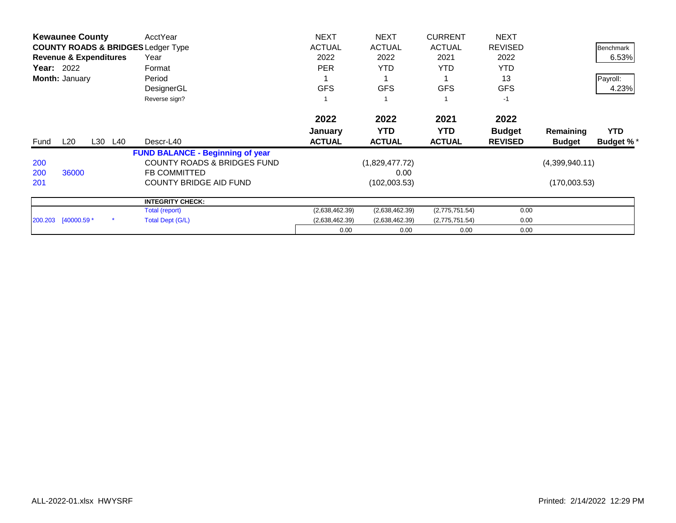|                   | <b>Kewaunee County</b>            |         | AcctYear                                      | <b>NEXT</b>    | <b>NEXT</b>    | <b>CURRENT</b> | <b>NEXT</b>    |                |                  |
|-------------------|-----------------------------------|---------|-----------------------------------------------|----------------|----------------|----------------|----------------|----------------|------------------|
|                   |                                   |         | <b>COUNTY ROADS &amp; BRIDGES Ledger Type</b> | <b>ACTUAL</b>  | <b>ACTUAL</b>  | <b>ACTUAL</b>  | <b>REVISED</b> |                | Benchmark        |
|                   | <b>Revenue &amp; Expenditures</b> |         | Year                                          | 2022           | 2022           | 2021           | 2022           |                | 6.53%            |
| <b>Year: 2022</b> |                                   |         | Format                                        | <b>PER</b>     | <b>YTD</b>     | <b>YTD</b>     | <b>YTD</b>     |                |                  |
|                   | Month: January                    |         | Period                                        |                |                |                | 13             |                | Payroll:         |
|                   |                                   |         | DesignerGL                                    | <b>GFS</b>     | <b>GFS</b>     | <b>GFS</b>     | <b>GFS</b>     |                | 4.23%            |
|                   |                                   |         | Reverse sign?                                 |                |                |                | $-1$           |                |                  |
|                   |                                   |         |                                               | 2022           | 2022           | 2021           | 2022           |                |                  |
|                   |                                   |         |                                               | January        | <b>YTD</b>     | <b>YTD</b>     | <b>Budget</b>  | Remaining      | <b>YTD</b>       |
| Fund              | L20                               | L30 L40 | Descr-L40                                     | <b>ACTUAL</b>  | <b>ACTUAL</b>  | <b>ACTUAL</b>  | <b>REVISED</b> | <b>Budget</b>  | <b>Budget %*</b> |
|                   |                                   |         | <b>FUND BALANCE - Beginning of year</b>       |                |                |                |                |                |                  |
| 200               |                                   |         | <b>COUNTY ROADS &amp; BRIDGES FUND</b>        |                | (1,829,477.72) |                |                | (4,399,940.11) |                  |
| 200               | 36000                             |         | <b>FB COMMITTED</b>                           |                | 0.00           |                |                |                |                  |
| 201               |                                   |         | <b>COUNTY BRIDGE AID FUND</b>                 |                | (102,003.53)   |                |                | (170,003.53)   |                  |
|                   |                                   |         | <b>INTEGRITY CHECK:</b>                       |                |                |                |                |                |                  |
|                   |                                   |         | Total (report)                                | (2,638,462.39) | (2,638,462.39) | (2,775,751.54) | 0.00           |                |                  |
|                   | 200.203 [40000.59 *               |         | Total Dept (G/L)                              | (2,638,462.39) | (2,638,462.39) | (2,775,751.54) | 0.00           |                |                  |
|                   |                                   |         |                                               | 0.00           | 0.00           | 0.00           | 0.00           |                |                  |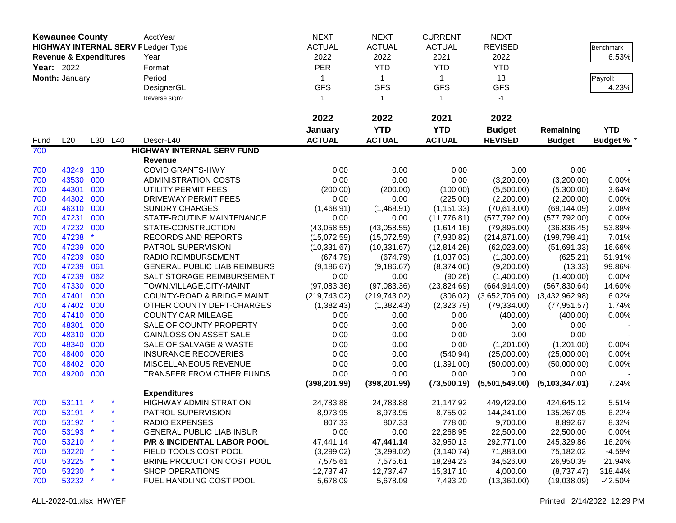|            | <b>Kewaunee County</b>            |     |         | AcctYear                                  | <b>NEXT</b>   | <b>NEXT</b>   | <b>CURRENT</b> | <b>NEXT</b>    |                |                   |
|------------|-----------------------------------|-----|---------|-------------------------------------------|---------------|---------------|----------------|----------------|----------------|-------------------|
|            |                                   |     |         | <b>HIGHWAY INTERNAL SERV FLedger Type</b> | <b>ACTUAL</b> | <b>ACTUAL</b> | <b>ACTUAL</b>  | <b>REVISED</b> |                | Benchmark         |
|            | <b>Revenue &amp; Expenditures</b> |     |         | Year                                      | 2022          | 2022          | 2021           | 2022           |                | 6.53%             |
|            |                                   |     |         |                                           |               |               |                |                |                |                   |
| Year: 2022 |                                   |     |         | Format                                    | <b>PER</b>    | <b>YTD</b>    | <b>YTD</b>     | <b>YTD</b>     |                |                   |
|            | Month: January                    |     |         | Period                                    | $\mathbf{1}$  | $\mathbf 1$   | $\mathbf{1}$   | 13             |                | Payroll:          |
|            |                                   |     |         | DesignerGL                                | <b>GFS</b>    | <b>GFS</b>    | <b>GFS</b>     | <b>GFS</b>     |                | 4.23%             |
|            |                                   |     |         | Reverse sign?                             | $\mathbf{1}$  | $\mathbf{1}$  | $\overline{1}$ | $-1$           |                |                   |
|            |                                   |     |         |                                           | 2022          | 2022          | 2021           | 2022           |                |                   |
|            |                                   |     |         |                                           | January       | <b>YTD</b>    | <b>YTD</b>     | <b>Budget</b>  | Remaining      | <b>YTD</b>        |
| Fund       | L20                               |     | L30 L40 | Descr-L40                                 | <b>ACTUAL</b> | <b>ACTUAL</b> | <b>ACTUAL</b>  | <b>REVISED</b> | <b>Budget</b>  | <b>Budget % *</b> |
| 700        |                                   |     |         | <b>HIGHWAY INTERNAL SERV FUND</b>         |               |               |                |                |                |                   |
|            |                                   |     |         | <b>Revenue</b>                            |               |               |                |                |                |                   |
| 700        | 43249                             | 130 |         | <b>COVID GRANTS-HWY</b>                   | 0.00          | 0.00          | 0.00           | 0.00           | 0.00           |                   |
| 700        | 43530                             | 000 |         | <b>ADMINISTRATION COSTS</b>               | 0.00          | 0.00          | 0.00           | (3,200.00)     | (3,200.00)     | 0.00%             |
| 700        | 44301                             | 000 |         | UTILITY PERMIT FEES                       | (200.00)      | (200.00)      | (100.00)       | (5,500.00)     | (5,300.00)     | 3.64%             |
| 700        | 44302                             | 000 |         | DRIVEWAY PERMIT FEES                      | 0.00          | 0.00          | (225.00)       | (2,200.00)     | (2,200.00)     | 0.00%             |
| 700        | 46310                             | 000 |         | <b>SUNDRY CHARGES</b>                     | (1,468.91)    | (1,468.91)    | (1, 151.33)    | (70, 613.00)   | (69, 144.09)   | 2.08%             |
| 700        | 47231                             | 000 |         | STATE-ROUTINE MAINTENANCE                 | 0.00          | 0.00          | (11, 776.81)   | (577, 792.00)  | (577, 792.00)  | 0.00%             |
| 700        | 47232 000                         |     |         | STATE-CONSTRUCTION                        | (43,058.55)   | (43,058.55)   | (1,614.16)     | (79, 895.00)   | (36, 836.45)   | 53.89%            |
| 700        | 47238                             |     |         | RECORDS AND REPORTS                       | (15,072.59)   | (15,072.59)   | (7,930.82)     | (214, 871.00)  | (199, 798.41)  | 7.01%             |
| 700        | 47239                             | 000 |         | PATROL SUPERVISION                        | (10, 331.67)  | (10, 331.67)  | (12, 814.28)   | (62,023.00)    | (51,691.33)    | 16.66%            |
| 700        | 47239                             | 060 |         | <b>RADIO REIMBURSEMENT</b>                | (674.79)      | (674.79)      | (1,037.03)     | (1,300.00)     | (625.21)       | 51.91%            |
| 700        | 47239                             | 061 |         | <b>GENERAL PUBLIC LIAB REIMBURS</b>       | (9, 186.67)   | (9, 186.67)   | (8,374.06)     | (9,200.00)     | (13.33)        | 99.86%            |
| 700        | 47239                             | 062 |         | SALT STORAGE REIMBURSEMENT                | 0.00          | 0.00          | (90.26)        | (1,400.00)     | (1,400.00)     | 0.00%             |
| 700        | 47330                             | 000 |         | TOWN, VILLAGE, CITY-MAINT                 | (97,083.36)   | (97,083.36)   | (23,824.69)    | (664, 914.00)  | (567, 830.64)  | 14.60%            |
| 700        | 47401                             | 000 |         | <b>COUNTY-ROAD &amp; BRIDGE MAINT</b>     | (219, 743.02) | (219, 743.02) | (306.02)       | (3,652,706.00) | (3,432,962.98) | 6.02%             |
| 700        | 47402                             | 000 |         | OTHER COUNTY DEPT-CHARGES                 | (1,382.43)    | (1,382.43)    | (2,323.79)     | (79, 334.00)   | (77, 951.57)   | 1.74%             |
| 700        | 47410 000                         |     |         | <b>COUNTY CAR MILEAGE</b>                 | 0.00          | 0.00          | 0.00           | (400.00)       | (400.00)       | 0.00%             |
| 700        | 48301 000                         |     |         | SALE OF COUNTY PROPERTY                   | 0.00          | 0.00          | 0.00           | 0.00           | 0.00           |                   |
| 700        | 48310 000                         |     |         | <b>GAIN/LOSS ON ASSET SALE</b>            | 0.00          | 0.00          | 0.00           | 0.00           | 0.00           |                   |
| 700        | 48340                             | 000 |         | SALE OF SALVAGE & WASTE                   | 0.00          | 0.00          | 0.00           | (1,201.00)     | (1,201.00)     | 0.00%             |
| 700        | 48400                             | 000 |         | <b>INSURANCE RECOVERIES</b>               | 0.00          | 0.00          | (540.94)       | (25,000.00)    | (25,000.00)    | 0.00%             |
| 700        | 48402                             | 000 |         | MISCELLANEOUS REVENUE                     | 0.00          | 0.00          | (1,391.00)     | (50,000.00)    | (50,000.00)    | 0.00%             |
| 700        | 49200 000                         |     |         | TRANSFER FROM OTHER FUNDS                 | 0.00          | 0.00          | 0.00           | 0.00           | 0.00           |                   |
|            |                                   |     |         |                                           | (398, 201.99) | (398, 201.99) | (73,500.19)    | (5,501,549.00) | (5,103,347.01) | 7.24%             |
|            |                                   |     |         | <b>Expenditures</b>                       |               |               |                |                |                |                   |
| 700        | 53111 *                           |     |         | <b>HIGHWAY ADMINISTRATION</b>             | 24,783.88     | 24,783.88     | 21,147.92      | 449,429.00     | 424,645.12     | 5.51%             |
| 700        | 53191 *                           |     |         | PATROL SUPERVISION                        | 8,973.95      | 8,973.95      | 8,755.02       | 144,241.00     | 135,267.05     | 6.22%             |
| 700        | 53192 *                           |     |         | RADIO EXPENSES                            | 807.33        | 807.33        | 778.00         | 9,700.00       | 8,892.67       | 8.32%             |
| 700        | 53193 *                           |     |         | <b>GENERAL PUBLIC LIAB INSUR</b>          | 0.00          | 0.00          | 22,268.95      | 22,500.00      | 22,500.00      | 0.00%             |
| 700        | 53210 *                           |     |         | P/R & INCIDENTAL LABOR POOL               | 47,441.14     | 47,441.14     | 32,950.13      | 292,771.00     | 245,329.86     | 16.20%            |
| 700        | 53220 *                           |     |         | FIELD TOOLS COST POOL                     | (3,299.02)    | (3,299.02)    | (3, 140.74)    | 71,883.00      | 75,182.02      | $-4.59%$          |
| 700        | 53225 *                           |     |         | BRINE PRODUCTION COST POOL                | 7,575.61      | 7,575.61      | 18,284.23      | 34,526.00      | 26,950.39      | 21.94%            |
| 700        | 53230 *                           |     |         | <b>SHOP OPERATIONS</b>                    | 12,737.47     | 12,737.47     | 15,317.10      | 4,000.00       | (8,737.47)     | 318.44%           |
| 700        | 53232 *                           |     |         | FUEL HANDLING COST POOL                   | 5,678.09      | 5,678.09      | 7,493.20       | (13,360.00)    | (19,038.09)    | -42.50%           |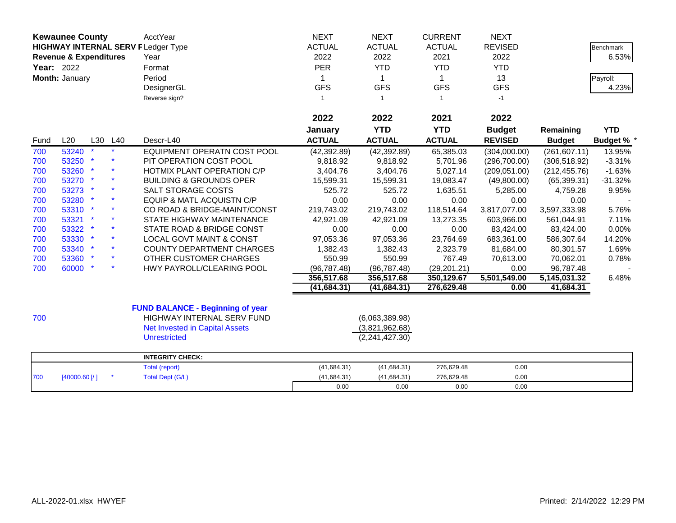|      | <b>Kewaunee County</b>                                                         |     |     | <b>AcctYear</b>                         | <b>NEXT</b>   | <b>NEXT</b>      | <b>CURRENT</b> | <b>NEXT</b>    |               |                  |
|------|--------------------------------------------------------------------------------|-----|-----|-----------------------------------------|---------------|------------------|----------------|----------------|---------------|------------------|
|      | <b>HIGHWAY INTERNAL SERV FLedger Type</b><br><b>Revenue &amp; Expenditures</b> |     |     |                                         | <b>ACTUAL</b> | <b>ACTUAL</b>    | <b>ACTUAL</b>  | <b>REVISED</b> |               | <b>Benchmark</b> |
|      |                                                                                |     |     | Year                                    | 2022          | 2022             | 2021           | 2022           |               | 6.53%            |
|      | <b>Year: 2022</b>                                                              |     |     | Format                                  | PER           | <b>YTD</b>       | <b>YTD</b>     | <b>YTD</b>     |               |                  |
|      | Month: January                                                                 |     |     | Period                                  | 1             | $\mathbf 1$      | 1              | 13             |               | Payroll:         |
|      |                                                                                |     |     | DesignerGL                              | <b>GFS</b>    | <b>GFS</b>       | <b>GFS</b>     | <b>GFS</b>     |               | 4.23%            |
|      |                                                                                |     |     | Reverse sign?                           | $\mathbf{1}$  | $\mathbf{1}$     | $\overline{1}$ | $-1$           |               |                  |
|      |                                                                                |     |     |                                         |               |                  |                |                |               |                  |
|      |                                                                                |     |     |                                         | 2022          | 2022             | 2021           | 2022           |               |                  |
|      |                                                                                |     |     |                                         | January       | <b>YTD</b>       | <b>YTD</b>     | <b>Budget</b>  | Remaining     | <b>YTD</b>       |
| Fund | L20                                                                            | L30 | L40 | Descr-L40                               | <b>ACTUAL</b> | <b>ACTUAL</b>    | <b>ACTUAL</b>  | <b>REVISED</b> | <b>Budget</b> | <b>Budget %</b>  |
| 700  | 53240                                                                          |     |     | EQUIPMENT OPERATN COST POOL             | (42, 392.89)  | (42, 392.89)     | 65,385.03      | (304,000.00)   | (261, 607.11) | 13.95%           |
| 700  | 53250                                                                          |     |     | PIT OPERATION COST POOL                 | 9,818.92      | 9,818.92         | 5,701.96       | (296,700.00)   | (306, 518.92) | $-3.31%$         |
| 700  | 53260 *                                                                        |     |     | HOTMIX PLANT OPERATION C/P              | 3,404.76      | 3,404.76         | 5,027.14       | (209, 051.00)  | (212, 455.76) | $-1.63%$         |
| 700  | 53270 *                                                                        |     |     | <b>BUILDING &amp; GROUNDS OPER</b>      | 15,599.31     | 15,599.31        | 19,083.47      | (49,800.00)    | (65, 399.31)  | $-31.32%$        |
| 700  | 53273 *                                                                        |     |     | SALT STORAGE COSTS                      | 525.72        | 525.72           | 1,635.51       | 5,285.00       | 4,759.28      | 9.95%            |
| 700  | 53280 *                                                                        |     |     | <b>EQUIP &amp; MATL ACQUISTN C/P</b>    | 0.00          | 0.00             | 0.00           | 0.00           | 0.00          |                  |
| 700  | 53310 *                                                                        |     |     | CO ROAD & BRIDGE-MAINT/CONST            | 219,743.02    | 219,743.02       | 118,514.64     | 3,817,077.00   | 3,597,333.98  | 5.76%            |
| 700  | 53321 *                                                                        |     |     | STATE HIGHWAY MAINTENANCE               | 42,921.09     | 42,921.09        | 13,273.35      | 603,966.00     | 561,044.91    | 7.11%            |
| 700  | 53322 *                                                                        |     |     | STATE ROAD & BRIDGE CONST               | 0.00          | 0.00             | 0.00           | 83,424.00      | 83,424.00     | 0.00%            |
| 700  | 53330 *                                                                        |     |     | <b>LOCAL GOVT MAINT &amp; CONST</b>     | 97,053.36     | 97,053.36        | 23,764.69      | 683,361.00     | 586,307.64    | 14.20%           |
| 700  | 53340 *                                                                        |     |     | <b>COUNTY DEPARTMENT CHARGES</b>        | 1,382.43      | 1,382.43         | 2,323.79       | 81,684.00      | 80,301.57     | 1.69%            |
| 700  | 53360 *                                                                        |     |     | OTHER CUSTOMER CHARGES                  | 550.99        | 550.99           | 767.49         | 70,613.00      | 70,062.01     | 0.78%            |
| 700  | 60000 *                                                                        |     |     | HWY PAYROLL/CLEARING POOL               | (96, 787.48)  | (96, 787.48)     | (29, 201.21)   | 0.00           | 96,787.48     |                  |
|      |                                                                                |     |     |                                         | 356,517.68    | 356,517.68       | 350,129.67     | 5,501,549.00   | 5,145,031.32  | 6.48%            |
|      |                                                                                |     |     |                                         | (41, 684.31)  | (41,684.31)      | 276,629.48     | 0.00           | 41,684.31     |                  |
|      |                                                                                |     |     |                                         |               |                  |                |                |               |                  |
|      |                                                                                |     |     | <b>FUND BALANCE - Beginning of year</b> |               |                  |                |                |               |                  |
| 700  |                                                                                |     |     | HIGHWAY INTERNAL SERV FUND              |               | (6,063,389.98)   |                |                |               |                  |
|      |                                                                                |     |     | <b>Net Invested in Capital Assets</b>   |               | (3,821,962.68)   |                |                |               |                  |
|      |                                                                                |     |     | <b>Unrestricted</b>                     |               | (2, 241, 427.30) |                |                |               |                  |
|      |                                                                                |     |     | <b>INTEGRITY CHECK:</b>                 |               |                  |                |                |               |                  |
|      |                                                                                |     |     | Total (report)                          | (41, 684.31)  | (41, 684.31)     | 276,629.48     | 0.00           |               |                  |
| 700  | [40000.60]                                                                     |     |     | <b>Total Dept (G/L)</b>                 | (41, 684.31)  | (41, 684.31)     | 276,629.48     | 0.00           |               |                  |
|      |                                                                                |     |     |                                         | 0.00          | 0.00             | 0.00           | 0.00           |               |                  |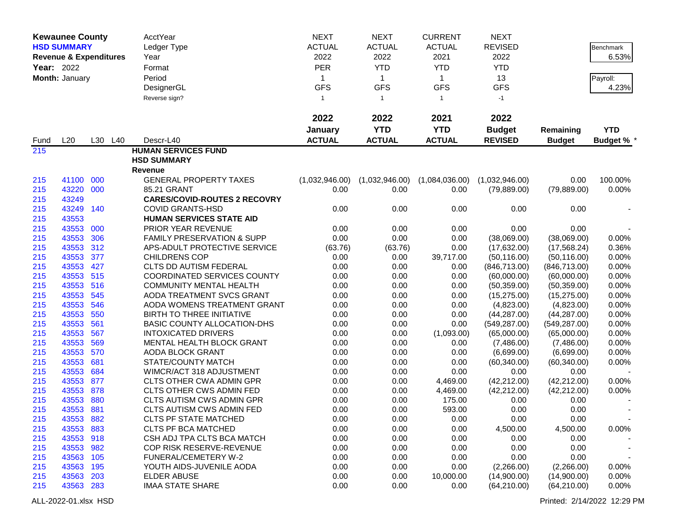|            | <b>Kewaunee County</b>            |         | AcctYear                              | <b>NEXT</b>    | <b>NEXT</b>    | <b>CURRENT</b> | <b>NEXT</b>    |               |                   |
|------------|-----------------------------------|---------|---------------------------------------|----------------|----------------|----------------|----------------|---------------|-------------------|
|            | <b>HSD SUMMARY</b>                |         | Ledger Type                           | <b>ACTUAL</b>  | <b>ACTUAL</b>  | <b>ACTUAL</b>  | <b>REVISED</b> |               | <b>Benchmark</b>  |
|            | <b>Revenue &amp; Expenditures</b> |         | Year                                  | 2022           | 2022           | 2021           | 2022           |               | 6.53%             |
| Year: 2022 |                                   |         | Format                                | <b>PER</b>     | <b>YTD</b>     | <b>YTD</b>     | <b>YTD</b>     |               |                   |
|            | Month: January                    |         | Period                                | 1              | $\mathbf{1}$   | $\mathbf{1}$   | 13             |               | Payroll:          |
|            |                                   |         | DesignerGL                            | <b>GFS</b>     | <b>GFS</b>     | <b>GFS</b>     | <b>GFS</b>     |               | 4.23%             |
|            |                                   |         | Reverse sign?                         | $\mathbf{1}$   | $\mathbf{1}$   | -1             | $-1$           |               |                   |
|            |                                   |         |                                       |                |                |                |                |               |                   |
|            |                                   |         |                                       | 2022           | 2022           | 2021           | 2022           |               |                   |
|            |                                   |         |                                       | January        | <b>YTD</b>     | <b>YTD</b>     | <b>Budget</b>  | Remaining     | <b>YTD</b>        |
| Fund       | L20                               | L30 L40 | Descr-L40                             | <b>ACTUAL</b>  | <b>ACTUAL</b>  | <b>ACTUAL</b>  | <b>REVISED</b> | <b>Budget</b> | <b>Budget % *</b> |
| 215        |                                   |         | <b>HUMAN SERVICES FUND</b>            |                |                |                |                |               |                   |
|            |                                   |         | <b>HSD SUMMARY</b>                    |                |                |                |                |               |                   |
|            |                                   |         | <b>Revenue</b>                        |                |                |                |                |               |                   |
| 215        | 41100                             | 000     | <b>GENERAL PROPERTY TAXES</b>         | (1,032,946.00) | (1,032,946.00) | (1,084,036.00) | (1,032,946.00) | 0.00          | 100.00%           |
| 215        | 43220                             | 000     | 85.21 GRANT                           | 0.00           | 0.00           | 0.00           | (79, 889.00)   | (79, 889.00)  | 0.00%             |
| 215        | 43249                             |         | <b>CARES/COVID-ROUTES 2 RECOVRY</b>   |                |                |                |                |               |                   |
| 215        | 43249                             | 140     | <b>COVID GRANTS-HSD</b>               | 0.00           | 0.00           | 0.00           | 0.00           | 0.00          |                   |
| 215        | 43553                             |         | <b>HUMAN SERVICES STATE AID</b>       |                |                |                |                |               |                   |
| 215        | 43553                             | 000     | PRIOR YEAR REVENUE                    | 0.00           | 0.00           | 0.00           | 0.00           | 0.00          |                   |
| 215        | 43553                             | 306     | <b>FAMILY PRESERVATION &amp; SUPP</b> | 0.00           | 0.00           | 0.00           | (38,069.00)    | (38,069.00)   | 0.00%             |
| 215        | 43553                             | 312     | APS-ADULT PROTECTIVE SERVICE          | (63.76)        | (63.76)        | 0.00           | (17,632.00)    | (17, 568.24)  | 0.36%             |
| 215        | 43553                             | 377     | <b>CHILDRENS COP</b>                  | 0.00           | 0.00           | 39,717.00      | (50, 116.00)   | (50, 116.00)  | 0.00%             |
| 215        | 43553                             | 427     | CLTS DD AUTISM FEDERAL                | 0.00           | 0.00           | 0.00           | (846, 713.00)  | (846, 713.00) | 0.00%             |
| 215        | 43553                             | 515     | <b>COORDINATED SERVICES COUNTY</b>    | 0.00           | 0.00           | 0.00           | (60,000.00)    | (60,000.00)   | 0.00%             |
| 215        | 43553                             | 516     | <b>COMMUNITY MENTAL HEALTH</b>        | 0.00           | 0.00           | 0.00           | (50, 359.00)   | (50, 359.00)  | 0.00%             |
| 215        | 43553                             | 545     | AODA TREATMENT SVCS GRANT             | 0.00           | 0.00           | 0.00           | (15, 275.00)   | (15, 275.00)  | 0.00%             |
| 215        | 43553                             | 546     | AODA WOMENS TREATMENT GRANT           | 0.00           | 0.00           | 0.00           | (4,823.00)     | (4,823.00)    | 0.00%             |
| 215        | 43553                             | 550     | BIRTH TO THREE INITIATIVE             | 0.00           | 0.00           | 0.00           | (44, 287.00)   | (44, 287.00)  | 0.00%             |
| 215        | 43553                             | 561     | <b>BASIC COUNTY ALLOCATION-DHS</b>    | 0.00           | 0.00           | 0.00           | (549, 287.00)  | (549, 287.00) | 0.00%             |
| 215        | 43553                             | 567     | <b>INTOXICATED DRIVERS</b>            | 0.00           | 0.00           | (1,093.00)     | (65,000.00)    | (65,000.00)   | 0.00%             |
| 215        | 43553                             | 569     | MENTAL HEALTH BLOCK GRANT             | 0.00           | 0.00           | 0.00           | (7,486.00)     | (7,486.00)    | 0.00%             |
| 215        | 43553                             | 570     | <b>AODA BLOCK GRANT</b>               | 0.00           | 0.00           | 0.00           | (6,699.00)     | (6,699.00)    | 0.00%             |
| 215        | 43553                             | 681     | STATE/COUNTY MATCH                    | 0.00           | 0.00           | 0.00           | (60, 340.00)   | (60, 340.00)  | 0.00%             |
| 215        | 43553                             | 684     | WIMCR/ACT 318 ADJUSTMENT              | 0.00           | 0.00           | 0.00           | 0.00           | 0.00          |                   |
| 215        | 43553                             | 877     | <b>CLTS OTHER CWA ADMIN GPR</b>       | 0.00           | 0.00           | 4,469.00       | (42, 212.00)   | (42, 212.00)  | 0.00%             |
| 215        | 43553                             | 878     | <b>CLTS OTHER CWS ADMIN FED</b>       | 0.00           | 0.00           | 4,469.00       | (42, 212.00)   | (42, 212.00)  | 0.00%             |
| 215        | 43553                             | 880     | CLTS AUTISM CWS ADMIN GPR             | 0.00           | 0.00           | 175.00         | 0.00           | 0.00          |                   |
| 215        | 43553                             | 881     | <b>CLTS AUTISM CWS ADMIN FED</b>      | 0.00           | 0.00           | 593.00         | 0.00           | 0.00          |                   |
| 215        | 43553 882                         |         | <b>CLTS PF STATE MATCHED</b>          | 0.00           | 0.00           | 0.00           | 0.00           | 0.00          |                   |
| 215        | 43553                             | 883     | <b>CLTS PF BCA MATCHED</b>            | 0.00           | 0.00           | 0.00           | 4,500.00       | 4,500.00      | 0.00%             |
| 215        | 43553 918                         |         | CSH ADJ TPA CLTS BCA MATCH            | 0.00           | 0.00           | 0.00           | 0.00           | 0.00          |                   |
| 215        | 43553 982                         |         | COP RISK RESERVE-REVENUE              | 0.00           | 0.00           | 0.00           | 0.00           | 0.00          |                   |
| 215        | 43563 105                         |         | FUNERAL/CEMETERY W-2                  | 0.00           | 0.00           | 0.00           | 0.00           | 0.00          |                   |
| 215        | 43563 195                         |         | YOUTH AIDS-JUVENILE AODA              | 0.00           | 0.00           | 0.00           | (2,266.00)     | (2,266.00)    | 0.00%             |
| 215        | 43563 203                         |         | <b>ELDER ABUSE</b>                    | 0.00           | 0.00           | 10,000.00      | (14,900.00)    | (14,900.00)   | 0.00%             |
| 215        | 43563 283                         |         | <b>IMAA STATE SHARE</b>               | 0.00           | 0.00           | 0.00           | (64, 210.00)   | (64, 210.00)  | 0.00%             |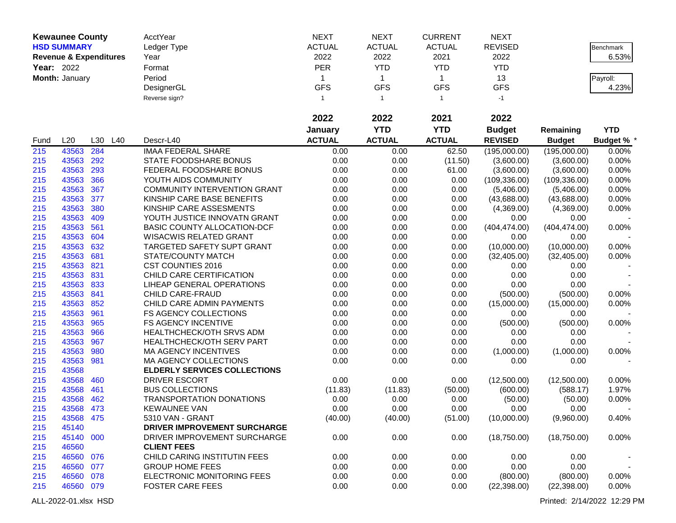|            | <b>Kewaunee County</b>            |     |     | <b>AcctYear</b>                     | <b>NEXT</b>   | <b>NEXT</b>   | <b>CURRENT</b> | <b>NEXT</b>    |               |                  |
|------------|-----------------------------------|-----|-----|-------------------------------------|---------------|---------------|----------------|----------------|---------------|------------------|
|            | <b>HSD SUMMARY</b>                |     |     | Ledger Type                         | <b>ACTUAL</b> | <b>ACTUAL</b> | <b>ACTUAL</b>  | <b>REVISED</b> |               | <b>Benchmark</b> |
|            | <b>Revenue &amp; Expenditures</b> |     |     | Year                                | 2022          | 2022          | 2021           | 2022           |               | 6.53%            |
| Year: 2022 |                                   |     |     | Format                              | <b>PER</b>    | <b>YTD</b>    | <b>YTD</b>     | <b>YTD</b>     |               |                  |
|            | Month: January                    |     |     | Period                              | $\mathbf 1$   | $\mathbf{1}$  | $\mathbf{1}$   | 13             |               | Payroll:         |
|            |                                   |     |     | DesignerGL                          | <b>GFS</b>    | <b>GFS</b>    | <b>GFS</b>     | <b>GFS</b>     |               | 4.23%            |
|            |                                   |     |     | Reverse sign?                       | 1             | $\mathbf{1}$  | -1             | $-1$           |               |                  |
|            |                                   |     |     |                                     |               |               |                |                |               |                  |
|            |                                   |     |     |                                     | 2022          | 2022          | 2021           | 2022           |               |                  |
|            |                                   |     |     |                                     | January       | <b>YTD</b>    | <b>YTD</b>     | <b>Budget</b>  | Remaining     | <b>YTD</b>       |
| Fund       | L20                               | L30 | L40 | Descr-L40                           | <b>ACTUAL</b> | <b>ACTUAL</b> | <b>ACTUAL</b>  | <b>REVISED</b> | <b>Budget</b> | <b>Budget %</b>  |
| 215        | 43563                             | 284 |     | <b>IMAA FEDERAL SHARE</b>           | 0.00          | 0.00          | 62.50          | (195,000.00)   | (195,000.00)  | 0.00%            |
| 215        | 43563                             | 292 |     | STATE FOODSHARE BONUS               | 0.00          | 0.00          | (11.50)        | (3,600.00)     | (3,600.00)    | 0.00%            |
| 215        | 43563                             | 293 |     | FEDERAL FOODSHARE BONUS             | 0.00          | 0.00          | 61.00          | (3,600.00)     | (3,600.00)    | 0.00%            |
| 215        | 43563                             | 366 |     | YOUTH AIDS COMMUNITY                | 0.00          | 0.00          | 0.00           | (109, 336.00)  | (109, 336.00) | 0.00%            |
| 215        | 43563                             | 367 |     | <b>COMMUNITY INTERVENTION GRANT</b> | 0.00          | 0.00          | 0.00           | (5,406.00)     | (5,406.00)    | 0.00%            |
| 215        | 43563                             | 377 |     | KINSHIP CARE BASE BENEFITS          | 0.00          | 0.00          | 0.00           | (43,688.00)    | (43,688.00)   | 0.00%            |
| 215        | 43563                             | 380 |     | KINSHIP CARE ASSESMENTS             | 0.00          | 0.00          | 0.00           | (4,369.00)     | (4,369.00)    | 0.00%            |
| 215        | 43563                             | 409 |     | YOUTH JUSTICE INNOVATN GRANT        | 0.00          | 0.00          | 0.00           | 0.00           | 0.00          |                  |
| 215        | 43563                             | 561 |     | BASIC COUNTY ALLOCATION-DCF         | 0.00          | 0.00          | 0.00           | (404, 474.00)  | (404, 474.00) | 0.00%            |
| 215        | 43563                             | 604 |     | <b>WISACWIS RELATED GRANT</b>       | 0.00          | 0.00          | 0.00           | 0.00           | 0.00          |                  |
| 215        | 43563                             | 632 |     | <b>TARGETED SAFETY SUPT GRANT</b>   | 0.00          | 0.00          | 0.00           | (10,000.00)    | (10,000.00)   | 0.00%            |
| 215        | 43563 681                         |     |     | STATE/COUNTY MATCH                  | 0.00          | 0.00          | 0.00           | (32, 405.00)   | (32, 405.00)  | 0.00%            |
| 215        | 43563                             | 821 |     | CST COUNTIES 2016                   | 0.00          | 0.00          | 0.00           | 0.00           | 0.00          |                  |
| 215        | 43563                             | 831 |     | CHILD CARE CERTIFICATION            | 0.00          | 0.00          | 0.00           | 0.00           | 0.00          |                  |
| 215        | 43563                             | 833 |     | LIHEAP GENERAL OPERATIONS           | 0.00          | 0.00          | 0.00           | 0.00           | 0.00          |                  |
| 215        | 43563                             | 841 |     | CHILD CARE-FRAUD                    | 0.00          | 0.00          | 0.00           | (500.00)       | (500.00)      | 0.00%            |
| 215        | 43563 852                         |     |     | CHILD CARE ADMIN PAYMENTS           | 0.00          | 0.00          | 0.00           | (15,000.00)    | (15,000.00)   | 0.00%            |
| 215        | 43563                             | 961 |     | FS AGENCY COLLECTIONS               | 0.00          | 0.00          | 0.00           | 0.00           | 0.00          |                  |
| 215        | 43563                             | 965 |     | <b>FS AGENCY INCENTIVE</b>          | 0.00          | 0.00          | 0.00           | (500.00)       | (500.00)      | 0.00%            |
| 215        | 43563                             | 966 |     | HEALTHCHECK/OTH SRVS ADM            | 0.00          | 0.00          | 0.00           | 0.00           | 0.00          |                  |
| 215        | 43563                             | 967 |     | HEALTHCHECK/OTH SERV PART           | 0.00          | 0.00          | 0.00           | 0.00           | 0.00          |                  |
| 215        | 43563                             | 980 |     | <b>MA AGENCY INCENTIVES</b>         | 0.00          | 0.00          | 0.00           | (1,000.00)     | (1,000.00)    | 0.00%            |
| 215        | 43563                             | 981 |     | MA AGENCY COLLECTIONS               | 0.00          | 0.00          | 0.00           | 0.00           | 0.00          |                  |
| 215        | 43568                             |     |     | <b>ELDERLY SERVICES COLLECTIONS</b> |               |               |                |                |               |                  |
| 215        | 43568                             | 460 |     | <b>DRIVER ESCORT</b>                | 0.00          | 0.00          | 0.00           | (12,500.00)    | (12,500.00)   | 0.00%            |
| 215        | 43568                             | 461 |     | <b>BUS COLLECTIONS</b>              | (11.83)       | (11.83)       | (50.00)        | (600.00)       | (588.17)      | 1.97%            |
| 215        | 43568                             | 462 |     | <b>TRANSPORTATION DONATIONS</b>     | 0.00          | 0.00          | 0.00           | (50.00)        | (50.00)       | 0.00%            |
| 215        | 43568                             | 473 |     | <b>KEWAUNEE VAN</b>                 | 0.00          | 0.00          | 0.00           | 0.00           | 0.00          |                  |
| 215        | 43568 475                         |     |     | 5310 VAN - GRANT                    | (40.00)       | (40.00)       | (51.00)        | (10,000.00)    | (9,960.00)    | 0.40%            |
| 215        | 45140                             |     |     | DRIVER IMPROVEMENT SURCHARGE        |               |               |                |                |               |                  |
| 215        | 45140 000                         |     |     | DRIVER IMPROVEMENT SURCHARGE        | 0.00          | 0.00          | 0.00           | (18,750.00)    | (18,750.00)   | 0.00%            |
| 215        | 46560                             |     |     | <b>CLIENT FEES</b>                  |               |               |                |                |               |                  |
| 215        | 46560 076                         |     |     | CHILD CARING INSTITUTIN FEES        | 0.00          | 0.00          | 0.00           | 0.00           | 0.00          |                  |
| 215        | 46560 077                         |     |     | <b>GROUP HOME FEES</b>              | 0.00          | 0.00          | 0.00           | 0.00           | 0.00          |                  |
| 215        | 46560 078                         |     |     | ELECTRONIC MONITORING FEES          | 0.00          | 0.00          | 0.00           | (800.00)       | (800.00)      | 0.00%            |
| 215        | 46560 079                         |     |     | <b>FOSTER CARE FEES</b>             | 0.00          | 0.00          | 0.00           | (22, 398.00)   | (22, 398.00)  | 0.00%            |
|            |                                   |     |     |                                     |               |               |                |                |               |                  |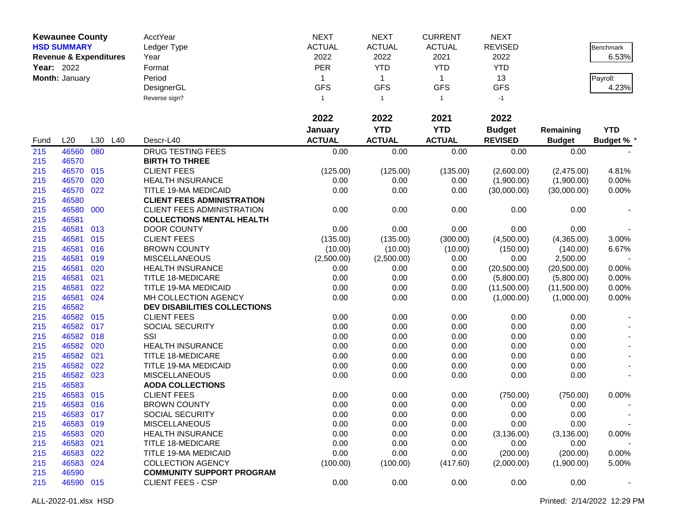|            | <b>Kewaunee County</b>            |         | <b>AcctYear</b>                     | <b>NEXT</b>   | <b>NEXT</b>   | <b>CURRENT</b> | <b>NEXT</b>    |               |                 |
|------------|-----------------------------------|---------|-------------------------------------|---------------|---------------|----------------|----------------|---------------|-----------------|
|            | <b>HSD SUMMARY</b>                |         | Ledger Type                         | <b>ACTUAL</b> | <b>ACTUAL</b> | <b>ACTUAL</b>  | <b>REVISED</b> |               | Benchmark       |
|            | <b>Revenue &amp; Expenditures</b> |         | Year                                | 2022          | 2022          | 2021           | 2022           |               | 6.53%           |
| Year: 2022 |                                   |         | Format                              | PER           | <b>YTD</b>    | <b>YTD</b>     | <b>YTD</b>     |               |                 |
|            | Month: January                    |         | Period                              | $\mathbf{1}$  | $\mathbf{1}$  | $\mathbf{1}$   | 13             |               | Payroll:        |
|            |                                   |         | DesignerGL                          | <b>GFS</b>    | <b>GFS</b>    | <b>GFS</b>     | <b>GFS</b>     |               | 4.23%           |
|            |                                   |         | Reverse sign?                       | $\mathbf{1}$  | $\mathbf{1}$  | $\overline{1}$ | $-1$           |               |                 |
|            |                                   |         |                                     |               |               |                |                |               |                 |
|            |                                   |         |                                     | 2022          | 2022          | 2021           | 2022           |               |                 |
|            |                                   |         |                                     | January       | <b>YTD</b>    | <b>YTD</b>     | <b>Budget</b>  | Remaining     | <b>YTD</b>      |
| Fund       | L20                               | L30 L40 | Descr-L40                           | <b>ACTUAL</b> | <b>ACTUAL</b> | <b>ACTUAL</b>  | <b>REVISED</b> | <b>Budget</b> | <b>Budget %</b> |
| 215        | 46560 080                         |         | <b>DRUG TESTING FEES</b>            | 0.00          | 0.00          | 0.00           | 0.00           | 0.00          |                 |
| 215        | 46570                             |         | <b>BIRTH TO THREE</b>               |               |               |                |                |               |                 |
| 215        | 46570 015                         |         | <b>CLIENT FEES</b>                  | (125.00)      | (125.00)      | (135.00)       | (2,600.00)     | (2,475.00)    | 4.81%           |
| 215        | 46570                             | 020     | <b>HEALTH INSURANCE</b>             | 0.00          | 0.00          | 0.00           | (1,900.00)     | (1,900.00)    | 0.00%           |
| 215        | 46570 022                         |         | TITLE 19-MA MEDICAID                | 0.00          | 0.00          | 0.00           | (30,000.00)    | (30,000.00)   | 0.00%           |
| 215        | 46580                             |         | <b>CLIENT FEES ADMINISTRATION</b>   |               |               |                |                |               |                 |
| 215        | 46580 000                         |         | <b>CLIENT FEES ADMINISTRATION</b>   | 0.00          | 0.00          | 0.00           | 0.00           | 0.00          |                 |
| 215        | 46581                             |         | <b>COLLECTIONS MENTAL HEALTH</b>    |               |               |                |                |               |                 |
| 215        | 46581                             | 013     | <b>DOOR COUNTY</b>                  | 0.00          | 0.00          | 0.00           | 0.00           | 0.00          |                 |
| 215        | 46581                             | 015     | <b>CLIENT FEES</b>                  | (135.00)      | (135.00)      | (300.00)       | (4,500.00)     | (4,365.00)    | 3.00%           |
| 215        | 46581 016                         |         | <b>BROWN COUNTY</b>                 | (10.00)       | (10.00)       | (10.00)        | (150.00)       | (140.00)      | 6.67%           |
| 215        | 46581 019                         |         | <b>MISCELLANEOUS</b>                | (2,500.00)    | (2,500.00)    | 0.00           | 0.00           | 2,500.00      |                 |
| 215        | 46581                             | 020     | <b>HEALTH INSURANCE</b>             | 0.00          | 0.00          | 0.00           | (20,500.00)    | (20,500.00)   | 0.00%           |
| 215        | 46581                             | 021     | <b>TITLE 18-MEDICARE</b>            | 0.00          | 0.00          | 0.00           | (5,800.00)     | (5,800.00)    | 0.00%           |
| 215        | 46581                             | 022     | TITLE 19-MA MEDICAID                | 0.00          | 0.00          | 0.00           | (11,500.00)    | (11,500.00)   | 0.00%           |
| 215        | 46581 024                         |         | MH COLLECTION AGENCY                | 0.00          | 0.00          | 0.00           | (1,000.00)     | (1,000.00)    | 0.00%           |
| 215        | 46582                             |         | <b>DEV DISABILITIES COLLECTIONS</b> |               |               |                |                |               |                 |
| 215        | 46582 015                         |         | <b>CLIENT FEES</b>                  | 0.00          | 0.00          | 0.00           | 0.00           | 0.00          |                 |
| 215        | 46582 017                         |         | SOCIAL SECURITY                     | 0.00          | 0.00          | 0.00           | 0.00           | 0.00          |                 |
| 215        | 46582 018                         |         | SSI                                 | 0.00          | 0.00          | 0.00           | 0.00           | 0.00          |                 |
| 215        | 46582 020                         |         | <b>HEALTH INSURANCE</b>             | 0.00          | 0.00          | 0.00           | 0.00           | 0.00          |                 |
| 215        | 46582 021                         |         | <b>TITLE 18-MEDICARE</b>            | 0.00          | 0.00          | 0.00           | 0.00           | 0.00          |                 |
| 215        | 46582                             | 022     | TITLE 19-MA MEDICAID                | 0.00          | 0.00          | 0.00           | 0.00           | 0.00          |                 |
| 215        | 46582 023                         |         | <b>MISCELLANEOUS</b>                | 0.00          | 0.00          | 0.00           | 0.00           | 0.00          |                 |
| 215        | 46583                             |         | <b>AODA COLLECTIONS</b>             |               |               |                |                |               |                 |
| 215        | 46583 015                         |         | <b>CLIENT FEES</b>                  | 0.00          | 0.00          | 0.00           | (750.00)       | (750.00)      | 0.00%           |
| 215        | 46583 016                         |         | <b>BROWN COUNTY</b>                 | 0.00          | 0.00          | 0.00           | 0.00           | 0.00          |                 |
| 215        | 46583 017                         |         | SOCIAL SECURITY                     | 0.00          | 0.00          | 0.00           | $0.00\,$       | 0.00          |                 |
| 215        | 46583 019                         |         | <b>MISCELLANEOUS</b>                | 0.00          | 0.00          | 0.00           | 0.00           | 0.00          |                 |
| 215        | 46583 020                         |         | <b>HEALTH INSURANCE</b>             | 0.00          | 0.00          | 0.00           | (3, 136.00)    | (3, 136.00)   | 0.00%           |
| 215        | 46583 021                         |         | <b>TITLE 18-MEDICARE</b>            | 0.00          | 0.00          | 0.00           | 0.00           | 0.00          |                 |
| 215        | 46583 022                         |         | TITLE 19-MA MEDICAID                | 0.00          | 0.00          | 0.00           | (200.00)       | (200.00)      | 0.00%           |
| 215        | 46583 024                         |         | <b>COLLECTION AGENCY</b>            | (100.00)      | (100.00)      | (417.60)       | (2,000.00)     | (1,900.00)    | 5.00%           |
| 215        | 46590                             |         | <b>COMMUNITY SUPPORT PROGRAM</b>    |               |               |                |                |               |                 |
| 215        | 46590 015                         |         | <b>CLIENT FEES - CSP</b>            | 0.00          | 0.00          | 0.00           | 0.00           | 0.00          |                 |
|            |                                   |         |                                     |               |               |                |                |               |                 |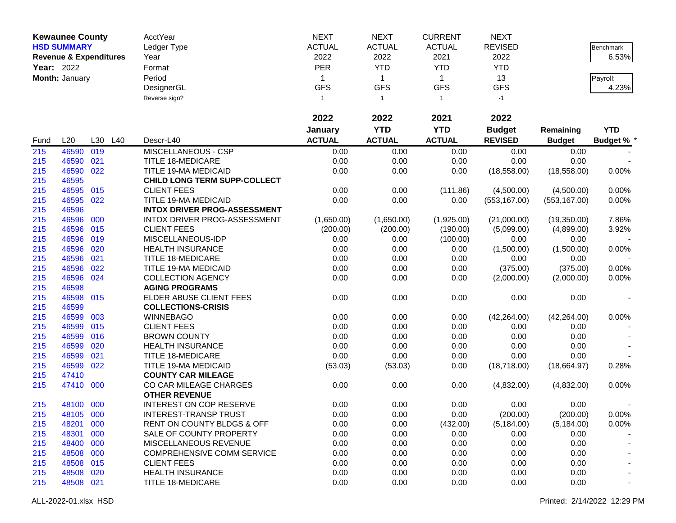|            | <b>Kewaunee County</b> |                                   | <b>AcctYear</b>                       | <b>NEXT</b>   | <b>NEXT</b>   | <b>CURRENT</b> | <b>NEXT</b>    |               |                   |
|------------|------------------------|-----------------------------------|---------------------------------------|---------------|---------------|----------------|----------------|---------------|-------------------|
|            | <b>HSD SUMMARY</b>     |                                   | Ledger Type                           | <b>ACTUAL</b> | <b>ACTUAL</b> | <b>ACTUAL</b>  | <b>REVISED</b> |               | <b>Benchmark</b>  |
|            |                        | <b>Revenue &amp; Expenditures</b> | Year                                  | 2022          | 2022          | 2021           | 2022           |               | 6.53%             |
| Year: 2022 |                        |                                   | Format                                | PER           | <b>YTD</b>    | <b>YTD</b>     | <b>YTD</b>     |               |                   |
|            | Month: January         |                                   | Period                                | $\mathbf 1$   | $\mathbf{1}$  | $\mathbf 1$    | 13             |               | Payroll:          |
|            |                        |                                   | DesignerGL                            | <b>GFS</b>    | <b>GFS</b>    | <b>GFS</b>     | <b>GFS</b>     |               | 4.23%             |
|            |                        |                                   | Reverse sign?                         | $\mathbf{1}$  | $\mathbf{1}$  | $\overline{1}$ | $-1$           |               |                   |
|            |                        |                                   |                                       | 2022          | 2022          | 2021           | 2022           |               |                   |
|            |                        |                                   |                                       | January       | <b>YTD</b>    | <b>YTD</b>     | <b>Budget</b>  | Remaining     | <b>YTD</b>        |
| Fund       | L20                    | L30 L40                           | Descr-L40                             | <b>ACTUAL</b> | <b>ACTUAL</b> | <b>ACTUAL</b>  | <b>REVISED</b> | <b>Budget</b> | <b>Budget % *</b> |
| 215        | 46590                  | 019                               | MISCELLANEOUS - CSP                   | 0.00          | 0.00          | 0.00           | 0.00           | 0.00          |                   |
| 215        | 46590                  | 021                               | TITLE 18-MEDICARE                     | 0.00          | 0.00          | 0.00           | 0.00           | 0.00          |                   |
| 215        | 46590                  | 022                               | <b>TITLE 19-MA MEDICAID</b>           | 0.00          | 0.00          | 0.00           | (18, 558.00)   | (18, 558.00)  | 0.00%             |
| 215        | 46595                  |                                   | CHILD LONG TERM SUPP-COLLECT          |               |               |                |                |               |                   |
| 215        | 46595                  | 015                               | <b>CLIENT FEES</b>                    | 0.00          | 0.00          | (111.86)       | (4,500.00)     | (4,500.00)    | 0.00%             |
| 215        | 46595                  | 022                               | TITLE 19-MA MEDICAID                  | 0.00          | 0.00          | 0.00           | (553, 167.00)  | (553, 167.00) | 0.00%             |
| 215        | 46596                  |                                   | <b>INTOX DRIVER PROG-ASSESSMENT</b>   |               |               |                |                |               |                   |
| 215        | 46596                  | 000                               | INTOX DRIVER PROG-ASSESSMENT          | (1,650.00)    | (1,650.00)    | (1,925.00)     | (21,000.00)    | (19,350.00)   | 7.86%             |
| 215        | 46596                  | 015                               | <b>CLIENT FEES</b>                    | (200.00)      | (200.00)      | (190.00)       | (5,099.00)     | (4,899.00)    | 3.92%             |
| 215        | 46596                  | 019                               | MISCELLANEOUS-IDP                     | 0.00          | 0.00          | (100.00)       | 0.00           | 0.00          |                   |
| 215        | 46596                  | 020                               | <b>HEALTH INSURANCE</b>               | 0.00          | 0.00          | 0.00           | (1,500.00)     | (1,500.00)    | 0.00%             |
| 215        | 46596                  | 021                               | <b>TITLE 18-MEDICARE</b>              | 0.00          | 0.00          | 0.00           | 0.00           | 0.00          |                   |
| 215        | 46596                  | 022                               | TITLE 19-MA MEDICAID                  | 0.00          | 0.00          | 0.00           | (375.00)       | (375.00)      | 0.00%             |
| 215        | 46596                  | 024                               | <b>COLLECTION AGENCY</b>              | 0.00          | 0.00          | 0.00           | (2,000.00)     | (2,000.00)    | 0.00%             |
| 215        | 46598                  |                                   | <b>AGING PROGRAMS</b>                 |               |               |                |                |               |                   |
| 215        | 46598                  | 015                               | ELDER ABUSE CLIENT FEES               | 0.00          | 0.00          | 0.00           | 0.00           | 0.00          |                   |
| 215        | 46599                  |                                   | <b>COLLECTIONS-CRISIS</b>             |               |               |                |                |               |                   |
| 215        | 46599                  | 003                               | <b>WINNEBAGO</b>                      | 0.00          | 0.00          | 0.00           | (42, 264.00)   | (42, 264.00)  | 0.00%             |
| 215        | 46599                  | 015                               | <b>CLIENT FEES</b>                    | 0.00          | 0.00          | 0.00           | 0.00           | 0.00          |                   |
| 215        | 46599                  | 016                               | <b>BROWN COUNTY</b>                   | 0.00          | 0.00          | 0.00           | 0.00           | 0.00          |                   |
| 215        | 46599                  | 020                               | <b>HEALTH INSURANCE</b>               | 0.00          | 0.00          | 0.00           | 0.00           | 0.00          |                   |
| 215        | 46599                  | 021                               | TITLE 18-MEDICARE                     | 0.00          | 0.00          | 0.00           | 0.00           | 0.00          |                   |
| 215        | 46599                  | 022                               | TITLE 19-MA MEDICAID                  | (53.03)       | (53.03)       | 0.00           | (18,718.00)    | (18,664.97)   | 0.28%             |
| 215        | 47410                  |                                   | <b>COUNTY CAR MILEAGE</b>             |               |               |                |                |               |                   |
| 215        | 47410                  | 000                               | CO CAR MILEAGE CHARGES                | 0.00          | 0.00          | 0.00           | (4,832.00)     | (4,832.00)    | 0.00%             |
|            |                        |                                   | <b>OTHER REVENUE</b>                  |               |               |                |                |               |                   |
| 215        | 48100 000              |                                   | <b>INTEREST ON COP RESERVE</b>        | 0.00          | 0.00          | 0.00           | 0.00           | 0.00          |                   |
| 215        | 48105 000              |                                   | <b>INTEREST-TRANSP TRUST</b>          | 0.00          | 0.00          | 0.00           | (200.00)       | (200.00)      | 0.00%             |
| 215        | 48201 000              |                                   | <b>RENT ON COUNTY BLDGS &amp; OFF</b> | 0.00          | 0.00          | (432.00)       | (5, 184.00)    | (5, 184.00)   | 0.00%             |
| 215        | 48301                  | 000                               | SALE OF COUNTY PROPERTY               | 0.00          | 0.00          | 0.00           | 0.00           | 0.00          |                   |
| 215        | 48400                  | 000                               | MISCELLANEOUS REVENUE                 | 0.00          | 0.00          | 0.00           | 0.00           | 0.00          |                   |
| 215        | 48508                  | 000                               | <b>COMPREHENSIVE COMM SERVICE</b>     | 0.00          | 0.00          | 0.00           | 0.00           | 0.00          |                   |
| 215        | 48508 015              |                                   | <b>CLIENT FEES</b>                    | 0.00          | 0.00          | 0.00           | 0.00           | 0.00          |                   |
| 215        | 48508                  | 020                               | <b>HEALTH INSURANCE</b>               | 0.00          | 0.00          | 0.00           | 0.00           | 0.00          |                   |
| 215        | 48508 021              |                                   | TITLE 18-MEDICARE                     | 0.00          | 0.00          | 0.00           | 0.00           | 0.00          |                   |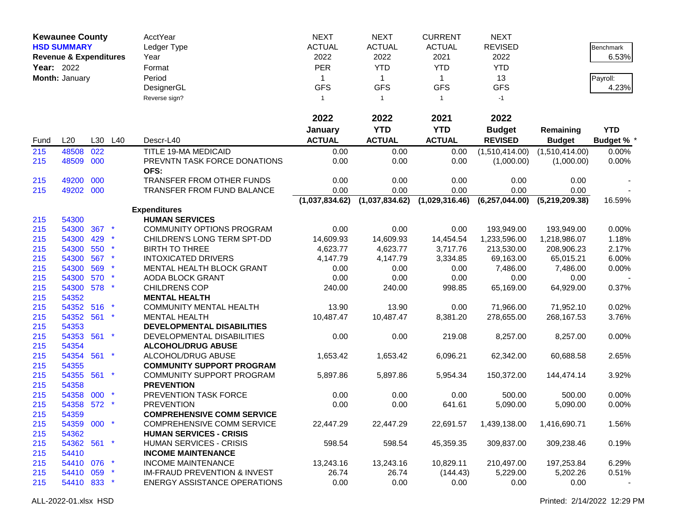|            | <b>Kewaunee County</b><br><b>HSD SUMMARY</b><br><b>Revenue &amp; Expenditures</b> |     |                 | AcctYear<br>Ledger Type<br>Year          | <b>NEXT</b><br><b>ACTUAL</b><br>2022 | <b>NEXT</b><br><b>ACTUAL</b><br>2022 | <b>CURRENT</b><br><b>ACTUAL</b><br>2021 | <b>NEXT</b><br><b>REVISED</b><br>2022 |                   | Benchmark<br>6.53% |
|------------|-----------------------------------------------------------------------------------|-----|-----------------|------------------------------------------|--------------------------------------|--------------------------------------|-----------------------------------------|---------------------------------------|-------------------|--------------------|
| Year: 2022 |                                                                                   |     |                 | Format                                   | <b>PER</b>                           | <b>YTD</b>                           | <b>YTD</b>                              | <b>YTD</b>                            |                   |                    |
|            | Month: January                                                                    |     |                 | Period                                   | $\mathbf{1}$                         | $\mathbf 1$                          | $\mathbf{1}$                            | 13                                    |                   | Payroll:           |
|            |                                                                                   |     |                 | DesignerGL                               | <b>GFS</b>                           | <b>GFS</b>                           | <b>GFS</b>                              | <b>GFS</b>                            |                   | 4.23%              |
|            |                                                                                   |     |                 | Reverse sign?                            | $\mathbf{1}$                         | $\mathbf{1}$                         | $\overline{1}$                          | $-1$                                  |                   |                    |
|            |                                                                                   |     |                 |                                          | 2022                                 | 2022                                 | 2021                                    | 2022                                  |                   |                    |
|            |                                                                                   |     |                 |                                          | January                              | <b>YTD</b>                           | <b>YTD</b>                              | <b>Budget</b>                         | Remaining         | <b>YTD</b>         |
| Fund       | L20                                                                               | L30 | L40             | Descr-L40                                | <b>ACTUAL</b>                        | <b>ACTUAL</b>                        | <b>ACTUAL</b>                           | <b>REVISED</b>                        | <b>Budget</b>     | <b>Budget % *</b>  |
| 215        | 48508                                                                             | 022 |                 | TITLE 19-MA MEDICAID                     | 0.00                                 | 0.00                                 | 0.00                                    | (1,510,414.00)                        | (1,510,414.00)    | 0.00%              |
| 215        | 48509 000                                                                         |     |                 | PREVNTN TASK FORCE DONATIONS             | 0.00                                 | 0.00                                 | 0.00                                    | (1,000.00)                            | (1,000.00)        | 0.00%              |
|            |                                                                                   |     |                 | OFS:                                     |                                      |                                      |                                         |                                       |                   |                    |
| 215        | 49200                                                                             | 000 |                 | TRANSFER FROM OTHER FUNDS                | 0.00                                 | 0.00                                 | 0.00                                    | 0.00                                  | 0.00              |                    |
| 215        | 49202 000                                                                         |     |                 | <b>TRANSFER FROM FUND BALANCE</b>        | 0.00                                 | 0.00                                 | 0.00                                    | 0.00                                  | 0.00              |                    |
|            |                                                                                   |     |                 |                                          | (1,037,834.62)                       | (1,037,834.62)                       | (1,029,316.46)                          | (6, 257, 044.00)                      | (5,219,209.38)    | 16.59%             |
|            |                                                                                   |     |                 | <b>Expenditures</b>                      |                                      |                                      |                                         |                                       |                   |                    |
| 215        | 54300                                                                             |     |                 | <b>HUMAN SERVICES</b>                    |                                      |                                      |                                         |                                       |                   |                    |
| 215        | 54300                                                                             | 367 |                 | <b>COMMUNITY OPTIONS PROGRAM</b>         | 0.00                                 | 0.00                                 | 0.00                                    | 193,949.00                            | 193,949.00        | 0.00%              |
| 215        | 54300                                                                             | 429 |                 | CHILDREN'S LONG TERM SPT-DD              | 14,609.93                            | 14,609.93                            | 14,454.54                               | 1,233,596.00                          | 1,218,986.07      | 1.18%              |
| 215        | 54300                                                                             | 550 |                 | <b>BIRTH TO THREE</b>                    | 4,623.77                             | 4,623.77                             | 3,717.76                                | 213,530.00                            | 208,906.23        | 2.17%              |
| 215        | 54300                                                                             | 567 |                 | <b>INTOXICATED DRIVERS</b>               | 4,147.79                             | 4,147.79                             | 3,334.85                                | 69,163.00                             | 65,015.21         | 6.00%              |
| 215        | 54300<br>54300                                                                    | 569 |                 | MENTAL HEALTH BLOCK GRANT                | 0.00                                 | 0.00                                 | 0.00                                    | 7,486.00                              | 7,486.00          | 0.00%              |
| 215<br>215 | 54300 578                                                                         | 570 |                 | AODA BLOCK GRANT<br><b>CHILDRENS COP</b> | 0.00<br>240.00                       | 0.00<br>240.00                       | 0.00<br>998.85                          | 0.00<br>65,169.00                     | 0.00<br>64,929.00 | 0.37%              |
| 215        | 54352                                                                             |     |                 | <b>MENTAL HEALTH</b>                     |                                      |                                      |                                         |                                       |                   |                    |
| 215        | 54352                                                                             | 516 |                 | <b>COMMUNITY MENTAL HEALTH</b>           | 13.90                                | 13.90                                | 0.00                                    | 71,966.00                             | 71,952.10         | 0.02%              |
| 215        | 54352 561                                                                         |     |                 | <b>MENTAL HEALTH</b>                     | 10,487.47                            | 10,487.47                            | 8,381.20                                | 278,655.00                            | 268,167.53        | 3.76%              |
| 215        | 54353                                                                             |     |                 | DEVELOPMENTAL DISABILITIES               |                                      |                                      |                                         |                                       |                   |                    |
| 215        | 54353 561                                                                         |     | $\star$         | DEVELOPMENTAL DISABILITIES               | 0.00                                 | 0.00                                 | 219.08                                  | 8,257.00                              | 8,257.00          | 0.00%              |
| 215        | 54354                                                                             |     |                 | <b>ALCOHOL/DRUG ABUSE</b>                |                                      |                                      |                                         |                                       |                   |                    |
| 215        | 54354 561                                                                         |     | $\star$         | ALCOHOL/DRUG ABUSE                       | 1,653.42                             | 1,653.42                             | 6,096.21                                | 62,342.00                             | 60,688.58         | 2.65%              |
| 215        | 54355                                                                             |     |                 | <b>COMMUNITY SUPPORT PROGRAM</b>         |                                      |                                      |                                         |                                       |                   |                    |
| 215        | 54355 561                                                                         |     | $\star$         | COMMUNITY SUPPORT PROGRAM                | 5,897.86                             | 5,897.86                             | 5,954.34                                | 150,372.00                            | 144,474.14        | 3.92%              |
| 215        | 54358                                                                             |     |                 | <b>PREVENTION</b>                        |                                      |                                      |                                         |                                       |                   |                    |
| 215        | 54358 000                                                                         |     |                 | PREVENTION TASK FORCE                    | 0.00                                 | 0.00                                 | 0.00                                    | 500.00                                | 500.00            | 0.00%              |
| 215        | 54358 572 *                                                                       |     |                 | <b>PREVENTION</b>                        | 0.00                                 | 0.00                                 | 641.61                                  | 5,090.00                              | 5,090.00          | 0.00%              |
| 215        | 54359                                                                             |     |                 | <b>COMPREHENSIVE COMM SERVICE</b>        |                                      |                                      |                                         |                                       |                   |                    |
| 215        | 54359 000 *                                                                       |     |                 | <b>COMPREHENSIVE COMM SERVICE</b>        | 22,447.29                            | 22,447.29                            | 22,691.57                               | 1,439,138.00                          | 1,416,690.71      | 1.56%              |
| 215        | 54362                                                                             |     |                 | <b>HUMAN SERVICES - CRISIS</b>           |                                      |                                      |                                         |                                       |                   |                    |
| 215        | 54362 561 *                                                                       |     |                 | <b>HUMAN SERVICES - CRISIS</b>           | 598.54                               | 598.54                               | 45,359.35                               | 309,837.00                            | 309,238.46        | 0.19%              |
| 215        | 54410                                                                             |     |                 | <b>INCOME MAINTENANCE</b>                |                                      |                                      |                                         |                                       |                   |                    |
| 215        | 54410 076 *                                                                       |     |                 | <b>INCOME MAINTENANCE</b>                | 13,243.16                            | 13,243.16                            | 10,829.11                               | 210,497.00                            | 197,253.84        | 6.29%              |
| 215        | 54410 059                                                                         |     | $\mathbf{\ast}$ | <b>IM-FRAUD PREVENTION &amp; INVEST</b>  | 26.74                                | 26.74                                | (144.43)                                | 5,229.00                              | 5,202.26          | 0.51%              |
| 215        | 54410 833 *                                                                       |     |                 | <b>ENERGY ASSISTANCE OPERATIONS</b>      | 0.00                                 | 0.00                                 | 0.00                                    | 0.00                                  | 0.00              |                    |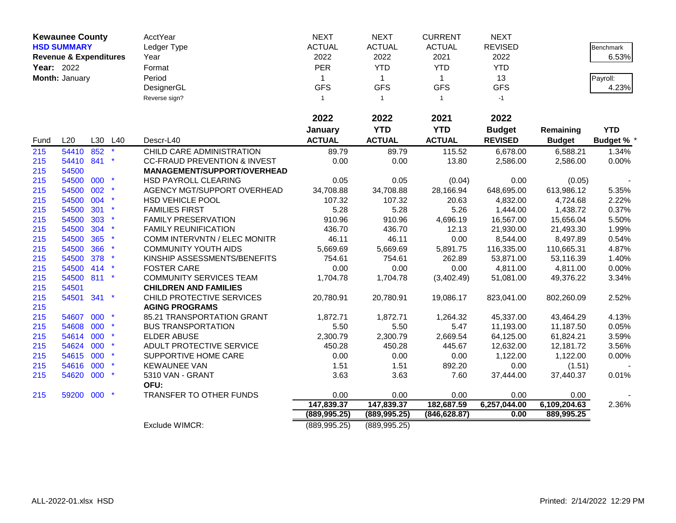|            | <b>Kewaunee County</b>            |            |         | AcctYear                                                       | <b>NEXT</b>        | <b>NEXT</b>        | <b>CURRENT</b>     | <b>NEXT</b>             |                         |                   |
|------------|-----------------------------------|------------|---------|----------------------------------------------------------------|--------------------|--------------------|--------------------|-------------------------|-------------------------|-------------------|
|            | <b>HSD SUMMARY</b>                |            |         | Ledger Type                                                    | <b>ACTUAL</b>      | <b>ACTUAL</b>      | <b>ACTUAL</b>      | <b>REVISED</b>          |                         | Benchmark         |
|            | <b>Revenue &amp; Expenditures</b> |            |         | Year                                                           | 2022               | 2022               | 2021               | 2022                    |                         | 6.53%             |
|            | Year: 2022                        |            |         | Format                                                         | <b>PER</b>         | <b>YTD</b>         | <b>YTD</b>         | <b>YTD</b>              |                         |                   |
|            | Month: January                    |            |         | Period                                                         | $\mathbf{1}$       | $\mathbf{1}$       | $\mathbf{1}$       | 13                      |                         | Payroll:          |
|            |                                   |            |         | DesignerGL                                                     | <b>GFS</b>         | <b>GFS</b>         | <b>GFS</b>         | <b>GFS</b>              |                         | 4.23%             |
|            |                                   |            |         | Reverse sign?                                                  | $\mathbf{1}$       | $\mathbf{1}$       | $\overline{1}$     | $-1$                    |                         |                   |
|            |                                   |            |         |                                                                | 2022               | 2022               | 2021               | 2022                    |                         |                   |
|            |                                   |            |         |                                                                |                    | <b>YTD</b>         | <b>YTD</b>         |                         |                         | <b>YTD</b>        |
|            |                                   |            |         |                                                                | January            |                    |                    | <b>Budget</b>           | Remaining               |                   |
| Fund       | L20                               | L30        | L40     | Descr-L40                                                      | <b>ACTUAL</b>      | <b>ACTUAL</b>      | <b>ACTUAL</b>      | <b>REVISED</b>          | <b>Budget</b>           | <b>Budget % *</b> |
| 215        | 54410                             | 852        |         | CHILD CARE ADMINISTRATION                                      | 89.79              | 89.79              | 115.52             | 6,678.00                | 6,588.21                | 1.34%             |
| 215        | 54410 841                         |            |         | <b>CC-FRAUD PREVENTION &amp; INVEST</b>                        | 0.00               | 0.00               | 13.80              | 2,586.00                | 2,586.00                | 0.00%             |
| 215        | 54500                             |            |         | MANAGEMENT/SUPPORT/OVERHEAD                                    |                    |                    |                    |                         |                         |                   |
| 215        | 54500 000                         |            |         | <b>HSD PAYROLL CLEARING</b>                                    | 0.05               | 0.05               | (0.04)             | 0.00                    | (0.05)                  |                   |
| 215        | 54500                             | 002        |         | AGENCY MGT/SUPPORT OVERHEAD                                    | 34,708.88          | 34,708.88          | 28,166.94          | 648,695.00              | 613,986.12              | 5.35%             |
| 215        | 54500                             | 004        | $\star$ | HSD VEHICLE POOL                                               | 107.32             | 107.32             | 20.63              | 4,832.00                | 4,724.68                | 2.22%             |
| 215        | 54500                             | 301        |         | <b>FAMILIES FIRST</b>                                          | 5.28               | 5.28               | 5.26               | 1,444.00                | 1,438.72                | 0.37%             |
| 215        | 54500                             | 303<br>304 |         | <b>FAMILY PRESERVATION</b>                                     | 910.96             | 910.96             | 4,696.19           | 16,567.00               | 15,656.04               | 5.50%             |
| 215<br>215 | 54500<br>54500                    | 365        | $\star$ | <b>FAMILY REUNIFICATION</b><br>COMM INTERVNTN / ELEC MONITR    | 436.70<br>46.11    | 436.70<br>46.11    | 12.13<br>0.00      | 21,930.00               | 21,493.30<br>8,497.89   | 1.99%<br>0.54%    |
|            |                                   | 366        |         | <b>COMMUNITY YOUTH AIDS</b>                                    |                    |                    |                    | 8,544.00                |                         |                   |
| 215<br>215 | 54500<br>54500                    | 378        |         | KINSHIP ASSESSMENTS/BENEFITS                                   | 5,669.69<br>754.61 | 5,669.69<br>754.61 | 5,891.75<br>262.89 | 116,335.00<br>53,871.00 | 110,665.31<br>53,116.39 | 4.87%<br>1.40%    |
|            |                                   |            |         |                                                                |                    |                    |                    |                         |                         |                   |
| 215        | 54500 414<br>54500 811            |            | $\star$ | <b>FOSTER CARE</b>                                             | 0.00               | 0.00               | 0.00               | 4,811.00                | 4,811.00                | 0.00%             |
| 215<br>215 | 54501                             |            |         | <b>COMMUNITY SERVICES TEAM</b><br><b>CHILDREN AND FAMILIES</b> | 1,704.78           | 1,704.78           | (3,402.49)         | 51,081.00               | 49,376.22               | 3.34%             |
| 215        | 54501                             | 341        | $\ast$  | CHILD PROTECTIVE SERVICES                                      | 20,780.91          | 20,780.91          | 19,086.17          | 823,041.00              | 802,260.09              | 2.52%             |
| 215        |                                   |            |         | <b>AGING PROGRAMS</b>                                          |                    |                    |                    |                         |                         |                   |
| 215        | 54607 000                         |            |         | 85.21 TRANSPORTATION GRANT                                     | 1,872.71           | 1,872.71           | 1,264.32           | 45,337.00               | 43,464.29               | 4.13%             |
| 215        | 54608 000                         |            |         | <b>BUS TRANSPORTATION</b>                                      | 5.50               | 5.50               | 5.47               | 11,193.00               | 11,187.50               | 0.05%             |
| 215        | 54614 000                         |            |         | ELDER ABUSE                                                    | 2,300.79           | 2,300.79           | 2,669.54           | 64,125.00               | 61,824.21               | 3.59%             |
| 215        | 54624 000                         |            |         | ADULT PROTECTIVE SERVICE                                       | 450.28             | 450.28             | 445.67             | 12,632.00               | 12,181.72               | 3.56%             |
| 215        | 54615 000                         |            |         | SUPPORTIVE HOME CARE                                           | 0.00               | 0.00               | 0.00               | 1,122.00                | 1,122.00                | 0.00%             |
| 215        | 54616                             | 000        |         | <b>KEWAUNEE VAN</b>                                            | 1.51               | 1.51               | 892.20             | 0.00                    | (1.51)                  |                   |
| 215        | 54620 000                         |            |         | 5310 VAN - GRANT                                               | 3.63               | 3.63               | 7.60               | 37,444.00               | 37,440.37               | 0.01%             |
|            |                                   |            |         | OFU:                                                           |                    |                    |                    |                         |                         |                   |
| 215        | 59200 000                         |            | $\star$ | TRANSFER TO OTHER FUNDS                                        | 0.00               | 0.00               | 0.00               | 0.00                    | 0.00                    |                   |
|            |                                   |            |         |                                                                | 147,839.37         | 147,839.37         | 182,687.59         | 6,257,044.00            | 6,109,204.63            | 2.36%             |
|            |                                   |            |         |                                                                | (889, 995.25)      | (889, 995.25)      | (846, 628.87)      | 0.00                    | 889,995.25              |                   |
|            |                                   |            |         | Exclude WIMCR:                                                 | (889, 995.25)      | (889, 995.25)      |                    |                         |                         |                   |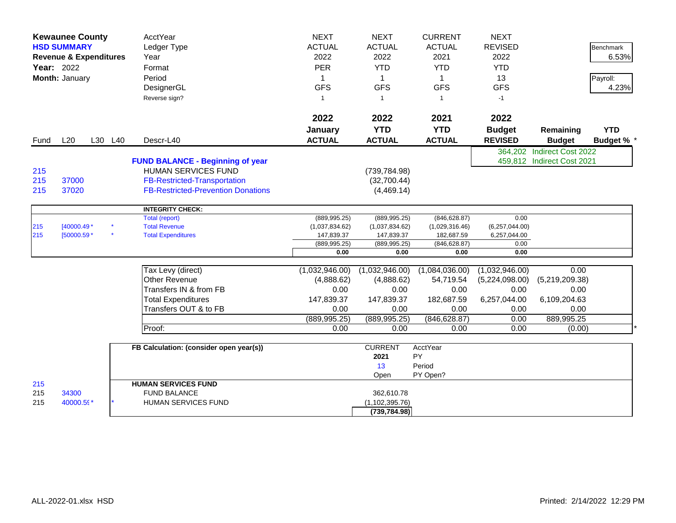|                   | <b>Kewaunee County</b><br><b>HSD SUMMARY</b><br><b>Revenue &amp; Expenditures</b><br><b>Year: 2022</b><br>Month: January |         | AcctYear<br>Ledger Type<br>Year<br>Format<br>Period<br>DesignerGL<br>Reverse sign?                                                                        | <b>NEXT</b><br><b>ACTUAL</b><br>2022<br><b>PER</b><br>$\mathbf{1}$<br><b>GFS</b><br>$\mathbf{1}$ | <b>NEXT</b><br><b>ACTUAL</b><br>2022<br><b>YTD</b><br>$\mathbf{1}$<br><b>GFS</b><br>$\overline{1}$ | <b>CURRENT</b><br><b>ACTUAL</b><br>2021<br><b>YTD</b><br>$\mathbf{1}$<br><b>GFS</b><br>$\overline{1}$ | <b>NEXT</b><br><b>REVISED</b><br>2022<br><b>YTD</b><br>13<br><b>GFS</b><br>$-1$ |                                                          | <b>Benchmark</b><br>6.53%<br>Payroll:<br>4.23% |
|-------------------|--------------------------------------------------------------------------------------------------------------------------|---------|-----------------------------------------------------------------------------------------------------------------------------------------------------------|--------------------------------------------------------------------------------------------------|----------------------------------------------------------------------------------------------------|-------------------------------------------------------------------------------------------------------|---------------------------------------------------------------------------------|----------------------------------------------------------|------------------------------------------------|
|                   |                                                                                                                          |         |                                                                                                                                                           | 2022<br>January                                                                                  | 2022<br><b>YTD</b>                                                                                 | 2021<br><b>YTD</b>                                                                                    | 2022<br><b>Budget</b>                                                           | Remaining                                                | <b>YTD</b>                                     |
| Fund              | L20                                                                                                                      | L30 L40 | Descr-L40                                                                                                                                                 | <b>ACTUAL</b>                                                                                    | <b>ACTUAL</b>                                                                                      | <b>ACTUAL</b>                                                                                         | <b>REVISED</b>                                                                  | <b>Budget</b>                                            | <b>Budget % '</b>                              |
| 215<br>215<br>215 | 37000<br>37020                                                                                                           |         | <b>FUND BALANCE - Beginning of year</b><br><b>HUMAN SERVICES FUND</b><br><b>FB-Restricted-Transportation</b><br><b>FB-Restricted-Prevention Donations</b> |                                                                                                  | (739, 784.98)<br>(32,700.44)<br>(4,469.14)                                                         |                                                                                                       |                                                                                 | 364,202 Indirect Cost 2022<br>459,812 Indirect Cost 2021 |                                                |
|                   |                                                                                                                          |         | <b>INTEGRITY CHECK:</b>                                                                                                                                   |                                                                                                  |                                                                                                    |                                                                                                       |                                                                                 |                                                          |                                                |
| 215               | $[40000.49*$                                                                                                             |         | <b>Total (report)</b><br><b>Total Revenue</b>                                                                                                             | (889, 995.25)<br>(1,037,834.62)                                                                  | (889, 995.25)<br>(1,037,834.62)                                                                    | (846, 628.87)<br>(1,029,316.46)                                                                       | 0.00<br>(6,257,044.00)                                                          |                                                          |                                                |
| 215               | [50000.59 *                                                                                                              |         | <b>Total Expenditures</b>                                                                                                                                 | 147,839.37                                                                                       | 147,839.37                                                                                         | 182,687.59                                                                                            | 6,257,044.00                                                                    |                                                          |                                                |
|                   |                                                                                                                          |         |                                                                                                                                                           | (889, 995.25)                                                                                    | (889, 995.25)                                                                                      | (846, 628.87)                                                                                         | 0.00                                                                            |                                                          |                                                |
|                   |                                                                                                                          |         |                                                                                                                                                           | 0.00                                                                                             | 0.00                                                                                               | 0.00                                                                                                  | 0.00                                                                            |                                                          |                                                |
|                   |                                                                                                                          |         | Tax Levy (direct)                                                                                                                                         | (1,032,946.00)                                                                                   | (1,032,946.00)                                                                                     | (1,084,036.00)                                                                                        | (1,032,946.00)                                                                  | 0.00                                                     |                                                |
|                   |                                                                                                                          |         | <b>Other Revenue</b>                                                                                                                                      | (4,888.62)                                                                                       | (4,888.62)                                                                                         | 54,719.54                                                                                             | (5,224,098.00)                                                                  | (5,219,209.38)                                           |                                                |
|                   |                                                                                                                          |         | Transfers IN & from FB                                                                                                                                    | 0.00                                                                                             | 0.00                                                                                               | 0.00                                                                                                  | 0.00                                                                            | 0.00                                                     |                                                |
|                   |                                                                                                                          |         | <b>Total Expenditures</b>                                                                                                                                 | 147,839.37                                                                                       | 147,839.37                                                                                         | 182,687.59                                                                                            | 6,257,044.00                                                                    | 6,109,204.63                                             |                                                |
|                   |                                                                                                                          |         | Transfers OUT & to FB                                                                                                                                     | 0.00                                                                                             | 0.00                                                                                               | 0.00                                                                                                  | 0.00                                                                            | 0.00                                                     |                                                |
|                   |                                                                                                                          |         |                                                                                                                                                           | (889, 995.25)                                                                                    | (889, 995.25)                                                                                      | (846, 628.87)                                                                                         | 0.00                                                                            | 889,995.25                                               |                                                |
|                   |                                                                                                                          |         | Proof:                                                                                                                                                    | 0.00                                                                                             | 0.00                                                                                               | 0.00                                                                                                  | 0.00                                                                            | (0.00)                                                   |                                                |
|                   |                                                                                                                          |         | FB Calculation: (consider open year(s))                                                                                                                   |                                                                                                  | <b>CURRENT</b><br>2021<br>13                                                                       | AcctYear<br>PY<br>Period                                                                              |                                                                                 |                                                          |                                                |
| 215               |                                                                                                                          |         | <b>HUMAN SERVICES FUND</b>                                                                                                                                |                                                                                                  | Open                                                                                               | PY Open?                                                                                              |                                                                                 |                                                          |                                                |
| 215<br>215        | 34300<br>40000.59*                                                                                                       |         | <b>FUND BALANCE</b><br>HUMAN SERVICES FUND                                                                                                                |                                                                                                  | 362,610.78<br>(1, 102, 395.76)<br>(739, 784.98)                                                    |                                                                                                       |                                                                                 |                                                          |                                                |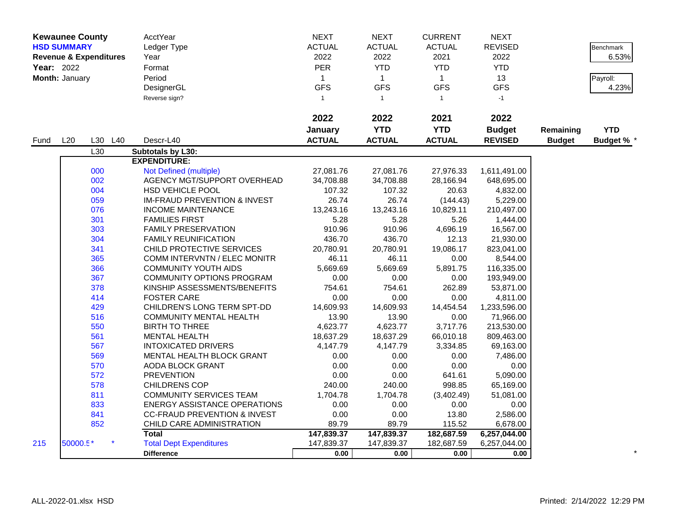|      | <b>Kewaunee County</b>                                                                         |         | AcctYear                                | <b>NEXT</b>   | <b>NEXT</b>   | <b>CURRENT</b> | <b>NEXT</b>    |               |                  |
|------|------------------------------------------------------------------------------------------------|---------|-----------------------------------------|---------------|---------------|----------------|----------------|---------------|------------------|
|      | <b>HSD SUMMARY</b><br><b>Revenue &amp; Expenditures</b><br><b>Year: 2022</b><br>Month: January |         | Ledger Type                             | <b>ACTUAL</b> | <b>ACTUAL</b> | <b>ACTUAL</b>  | <b>REVISED</b> |               | <b>Benchmark</b> |
|      |                                                                                                |         | Year                                    | 2022          | 2022          | 2021           | 2022           |               | 6.53%            |
|      |                                                                                                |         | Format                                  | <b>PER</b>    | <b>YTD</b>    | <b>YTD</b>     | <b>YTD</b>     |               |                  |
|      |                                                                                                |         | Period                                  | $\mathbf{1}$  | $\mathbf{1}$  | $\mathbf{1}$   | 13             |               | Payroll:         |
|      |                                                                                                |         | DesignerGL                              | <b>GFS</b>    | <b>GFS</b>    | <b>GFS</b>     | <b>GFS</b>     |               | 4.23%            |
|      |                                                                                                |         | Reverse sign?                           | $\mathbf{1}$  | $\mathbf{1}$  | $\mathbf{1}$   | $-1$           |               |                  |
|      |                                                                                                |         |                                         |               |               |                |                |               |                  |
|      |                                                                                                |         |                                         | 2022          | 2022          | 2021           | 2022           |               |                  |
|      |                                                                                                |         |                                         | January       | <b>YTD</b>    | <b>YTD</b>     | <b>Budget</b>  | Remaining     | <b>YTD</b>       |
| Fund | L20                                                                                            | L30 L40 | Descr-L40                               | <b>ACTUAL</b> | <b>ACTUAL</b> | <b>ACTUAL</b>  | <b>REVISED</b> | <b>Budget</b> | Budget % *       |
|      |                                                                                                | L30     | Subtotals by L30:                       |               |               |                |                |               |                  |
|      |                                                                                                |         | <b>EXPENDITURE:</b>                     |               |               |                |                |               |                  |
|      |                                                                                                | 000     | Not Defined (multiple)                  | 27,081.76     | 27,081.76     | 27,976.33      | 1,611,491.00   |               |                  |
|      |                                                                                                | 002     | AGENCY MGT/SUPPORT OVERHEAD             | 34,708.88     | 34,708.88     | 28,166.94      | 648,695.00     |               |                  |
|      |                                                                                                | 004     | HSD VEHICLE POOL                        | 107.32        | 107.32        | 20.63          | 4,832.00       |               |                  |
|      |                                                                                                | 059     | <b>IM-FRAUD PREVENTION &amp; INVEST</b> | 26.74         | 26.74         | (144.43)       | 5,229.00       |               |                  |
|      |                                                                                                | 076     | <b>INCOME MAINTENANCE</b>               | 13,243.16     | 13,243.16     | 10,829.11      | 210,497.00     |               |                  |
|      |                                                                                                | 301     | <b>FAMILIES FIRST</b>                   | 5.28          | 5.28          | 5.26           | 1,444.00       |               |                  |
|      |                                                                                                | 303     | <b>FAMILY PRESERVATION</b>              | 910.96        | 910.96        | 4,696.19       | 16,567.00      |               |                  |
|      |                                                                                                | 304     | <b>FAMILY REUNIFICATION</b>             | 436.70        | 436.70        | 12.13          | 21,930.00      |               |                  |
|      |                                                                                                | 341     | CHILD PROTECTIVE SERVICES               | 20,780.91     | 20,780.91     | 19,086.17      | 823,041.00     |               |                  |
|      |                                                                                                | 365     | <b>COMM INTERVNTN / ELEC MONITR</b>     | 46.11         | 46.11         | 0.00           | 8,544.00       |               |                  |
|      |                                                                                                | 366     | <b>COMMUNITY YOUTH AIDS</b>             | 5,669.69      | 5,669.69      | 5,891.75       | 116,335.00     |               |                  |
|      |                                                                                                | 367     | <b>COMMUNITY OPTIONS PROGRAM</b>        | 0.00          | 0.00          | 0.00           | 193,949.00     |               |                  |
|      |                                                                                                | 378     | KINSHIP ASSESSMENTS/BENEFITS            | 754.61        | 754.61        | 262.89         | 53,871.00      |               |                  |
|      |                                                                                                | 414     | <b>FOSTER CARE</b>                      | 0.00          | 0.00          | 0.00           | 4,811.00       |               |                  |
|      |                                                                                                | 429     | CHILDREN'S LONG TERM SPT-DD             | 14,609.93     | 14,609.93     | 14,454.54      | 1,233,596.00   |               |                  |
|      |                                                                                                | 516     | <b>COMMUNITY MENTAL HEALTH</b>          | 13.90         | 13.90         | 0.00           | 71,966.00      |               |                  |
|      |                                                                                                | 550     | <b>BIRTH TO THREE</b>                   | 4,623.77      | 4,623.77      | 3,717.76       | 213,530.00     |               |                  |
|      |                                                                                                | 561     | <b>MENTAL HEALTH</b>                    | 18,637.29     | 18,637.29     | 66,010.18      | 809,463.00     |               |                  |
|      |                                                                                                | 567     | <b>INTOXICATED DRIVERS</b>              | 4,147.79      | 4,147.79      | 3,334.85       | 69,163.00      |               |                  |
|      |                                                                                                | 569     | MENTAL HEALTH BLOCK GRANT               | 0.00          | 0.00          | 0.00           | 7,486.00       |               |                  |
|      |                                                                                                | 570     | AODA BLOCK GRANT                        | 0.00          | 0.00          | 0.00           | 0.00           |               |                  |
|      |                                                                                                | 572     | <b>PREVENTION</b>                       | 0.00          | 0.00          | 641.61         | 5,090.00       |               |                  |
|      |                                                                                                | 578     | <b>CHILDRENS COP</b>                    | 240.00        | 240.00        | 998.85         | 65,169.00      |               |                  |
|      |                                                                                                | 811     | <b>COMMUNITY SERVICES TEAM</b>          | 1,704.78      | 1,704.78      | (3,402.49)     | 51,081.00      |               |                  |
|      |                                                                                                | 833     | <b>ENERGY ASSISTANCE OPERATIONS</b>     | 0.00          | 0.00          | 0.00           | 0.00           |               |                  |
|      |                                                                                                | 841     | <b>CC-FRAUD PREVENTION &amp; INVEST</b> | 0.00          | 0.00          | 13.80          | 2,586.00       |               |                  |
|      |                                                                                                | 852     | CHILD CARE ADMINISTRATION               | 89.79         | 89.79         | 115.52         | 6,678.00       |               |                  |
|      |                                                                                                |         | <b>Total</b>                            | 147,839.37    | 147,839.37    | 182,687.59     | 6,257,044.00   |               |                  |
| 215  | 50000.5*                                                                                       |         | <b>Total Dept Expenditures</b>          | 147,839.37    | 147,839.37    | 182,687.59     | 6,257,044.00   |               |                  |
|      |                                                                                                |         | <b>Difference</b>                       | 0.00          | 0.00          | 0.00           | 0.00           |               |                  |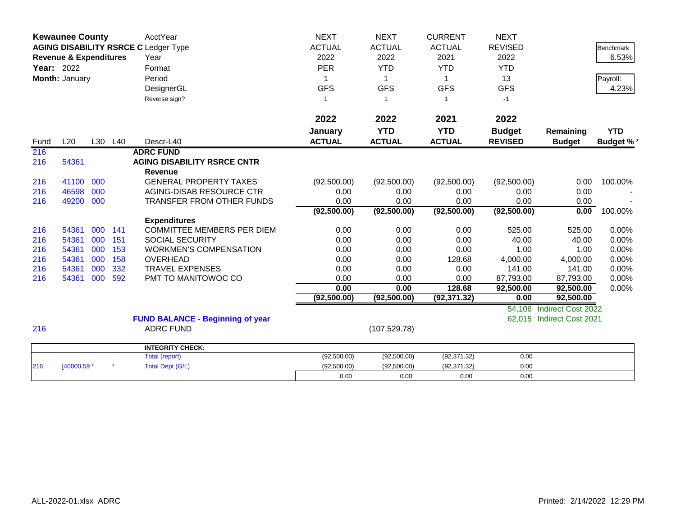|                   | <b>Kewaunee County</b><br><b>AGING DISABILITY RSRCE C Ledger Type</b> |            |            | <b>AcctYear</b>                           | <b>NEXT</b>              | <b>NEXT</b>   | <b>CURRENT</b> | <b>NEXT</b>        |                           |                  |
|-------------------|-----------------------------------------------------------------------|------------|------------|-------------------------------------------|--------------------------|---------------|----------------|--------------------|---------------------------|------------------|
|                   |                                                                       |            |            |                                           | <b>ACTUAL</b>            | <b>ACTUAL</b> | <b>ACTUAL</b>  | <b>REVISED</b>     |                           | <b>Benchmark</b> |
|                   | <b>Revenue &amp; Expenditures</b>                                     |            |            | Year                                      | 2022                     | 2022          | 2021           | 2022               |                           | 6.53%            |
| <b>Year: 2022</b> |                                                                       |            |            | Format                                    | PER                      | <b>YTD</b>    | <b>YTD</b>     | <b>YTD</b>         |                           |                  |
|                   | Month: January                                                        |            |            | Period                                    | 1                        | 1             | 1              | 13                 |                           | Payroll:         |
|                   |                                                                       |            |            | DesignerGL                                | <b>GFS</b>               | <b>GFS</b>    | <b>GFS</b>     | <b>GFS</b>         |                           | 4.23%            |
|                   |                                                                       |            |            | Reverse sign?                             | $\overline{\phantom{a}}$ | -1            | 1              | $-1$               |                           |                  |
|                   |                                                                       |            |            |                                           |                          |               |                |                    |                           |                  |
|                   |                                                                       |            |            |                                           | 2022                     | 2022          | 2021           | 2022               |                           |                  |
|                   |                                                                       |            |            |                                           | January                  | <b>YTD</b>    | <b>YTD</b>     | <b>Budget</b>      | Remaining                 | <b>YTD</b>       |
| Fund              | L20                                                                   |            | L30 L40    | Descr-L40                                 | <b>ACTUAL</b>            | <b>ACTUAL</b> | <b>ACTUAL</b>  | <b>REVISED</b>     | <b>Budget</b>             | <b>Budget %*</b> |
| 216               |                                                                       |            |            | <b>ADRC FUND</b>                          |                          |               |                |                    |                           |                  |
| 216               | 54361                                                                 |            |            | <b>AGING DISABILITY RSRCE CNTR</b>        |                          |               |                |                    |                           |                  |
|                   |                                                                       |            |            | <b>Revenue</b>                            |                          |               |                |                    |                           |                  |
| 216               | 41100                                                                 | 000        |            | <b>GENERAL PROPERTY TAXES</b>             | (92,500.00)              | (92,500.00)   | (92,500.00)    | (92,500.00)        | 0.00                      | 100.00%          |
| 216               | 46598                                                                 | 000        |            | AGING-DISAB RESOURCE CTR                  | 0.00                     | 0.00          | 0.00           | 0.00               | 0.00                      |                  |
| 216               | 49200                                                                 | 000        |            | <b>TRANSFER FROM OTHER FUNDS</b>          | 0.00                     | 0.00          | 0.00           | 0.00               | 0.00                      |                  |
|                   |                                                                       |            |            |                                           | (92,500.00)              | (92, 500.00)  | (92, 500.00)   | (92, 500.00)       | 0.00                      | 100.00%          |
|                   |                                                                       |            |            | <b>Expenditures</b>                       |                          |               |                |                    |                           |                  |
| 216               | 54361                                                                 | 000        | 141        | <b>COMMITTEE MEMBERS PER DIEM</b>         | 0.00                     | 0.00          | 0.00           | 525.00             | 525.00                    | 0.00%            |
| 216               | 54361                                                                 | 000        | 151        | <b>SOCIAL SECURITY</b>                    | 0.00                     | 0.00          | 0.00           | 40.00              | 40.00                     | 0.00%            |
| 216               | 54361                                                                 | 000        | 153        | <b>WORKMEN'S COMPENSATION</b>             | 0.00                     | 0.00          | 0.00           | 1.00               | 1.00                      | 0.00%            |
| 216<br>216        | 54361<br>54361                                                        | 000<br>000 | 158<br>332 | <b>OVERHEAD</b><br><b>TRAVEL EXPENSES</b> | 0.00<br>0.00             | 0.00<br>0.00  | 128.68<br>0.00 | 4,000.00<br>141.00 | 4,000.00<br>141.00        | 0.00%<br>0.00%   |
| 216               | 54361                                                                 | 000        | 592        | PMT TO MANITOWOC CO                       | 0.00                     | 0.00          | 0.00           | 87,793.00          | 87,793.00                 | 0.00%            |
|                   |                                                                       |            |            |                                           | 0.00                     | 0.00          | 128.68         | 92,500.00          | 92,500.00                 | 0.00%            |
|                   |                                                                       |            |            |                                           | (92, 500.00)             | (92, 500.00)  | (92, 371.32)   | 0.00               | 92,500.00                 |                  |
|                   |                                                                       |            |            |                                           |                          |               |                | 54,106             | <b>Indirect Cost 2022</b> |                  |
|                   |                                                                       |            |            | <b>FUND BALANCE - Beginning of year</b>   |                          |               |                | 62,015             | <b>Indirect Cost 2021</b> |                  |
| 216               |                                                                       |            |            | <b>ADRC FUND</b>                          |                          | (107, 529.78) |                |                    |                           |                  |
|                   |                                                                       |            |            |                                           |                          |               |                |                    |                           |                  |
|                   |                                                                       |            |            | <b>INTEGRITY CHECK:</b>                   |                          |               |                |                    |                           |                  |
|                   |                                                                       |            |            | Total (report)                            | (92,500.00)              | (92, 500.00)  | (92, 371.32)   | 0.00               |                           |                  |
| 216               | [40000.59 *                                                           |            |            | <b>Total Dept (G/L)</b>                   | (92, 500.00)             | (92,500.00)   | (92, 371.32)   | 0.00               |                           |                  |
|                   |                                                                       |            |            |                                           | 0.00                     | 0.00          | 0.00           | 0.00               |                           |                  |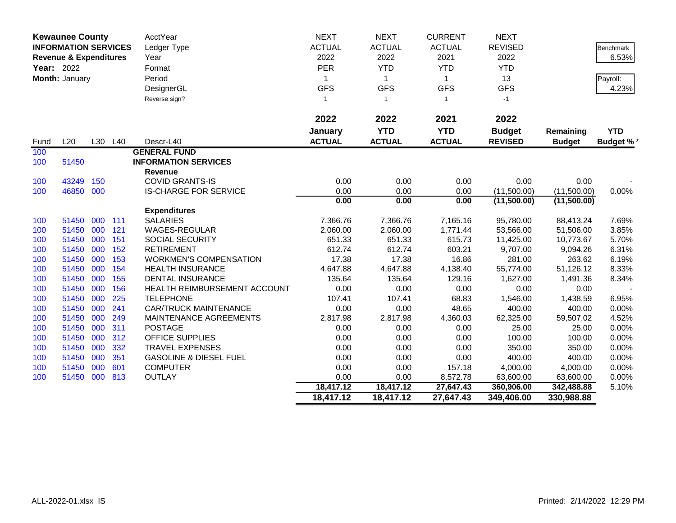|      | <b>Kewaunee County</b>                                           |     |         | AcctYear                          | <b>NEXT</b>   | <b>NEXT</b>   | <b>CURRENT</b> | <b>NEXT</b>    |               |                  |
|------|------------------------------------------------------------------|-----|---------|-----------------------------------|---------------|---------------|----------------|----------------|---------------|------------------|
|      | <b>INFORMATION SERVICES</b><br><b>Revenue &amp; Expenditures</b> |     |         | Ledger Type                       | <b>ACTUAL</b> | <b>ACTUAL</b> | <b>ACTUAL</b>  | <b>REVISED</b> |               | Benchmark        |
|      | Year: 2022<br>Month: January                                     |     |         | Year                              | 2022          | 2022          | 2021           | 2022           |               | 6.53%            |
|      |                                                                  |     |         | Format                            | PER           | <b>YTD</b>    | <b>YTD</b>     | <b>YTD</b>     |               |                  |
|      |                                                                  |     |         | Period                            | 1             | $\mathbf{1}$  | $\mathbf{1}$   | 13             |               | Payroll:         |
|      |                                                                  |     |         | DesignerGL                        | <b>GFS</b>    | <b>GFS</b>    | <b>GFS</b>     | <b>GFS</b>     |               | 4.23%            |
|      |                                                                  |     |         | Reverse sign?                     | $\mathbf{1}$  | $\mathbf{1}$  | $\mathbf{1}$   | $-1$           |               |                  |
|      |                                                                  |     |         |                                   |               |               |                |                |               |                  |
|      |                                                                  |     |         |                                   | 2022          | 2022          | 2021           | 2022           |               |                  |
|      |                                                                  |     |         |                                   | January       | <b>YTD</b>    | <b>YTD</b>     | <b>Budget</b>  | Remaining     | <b>YTD</b>       |
| Fund | L20                                                              |     | L30 L40 | Descr-L40                         | <b>ACTUAL</b> | <b>ACTUAL</b> | <b>ACTUAL</b>  | <b>REVISED</b> | <b>Budget</b> | <b>Budget %*</b> |
| 100  |                                                                  |     |         | <b>GENERAL FUND</b>               |               |               |                |                |               |                  |
| 100  | 51450                                                            |     |         | <b>INFORMATION SERVICES</b>       |               |               |                |                |               |                  |
|      |                                                                  |     |         | <b>Revenue</b>                    |               |               |                |                |               |                  |
| 100  | 43249                                                            | 150 |         | <b>COVID GRANTS-IS</b>            | 0.00          | 0.00          | 0.00           | 0.00           | 0.00          |                  |
| 100  | 46850                                                            | 000 |         | <b>IS-CHARGE FOR SERVICE</b>      | 0.00          | 0.00          | 0.00           | (11,500.00)    | (11,500.00)   | 0.00%            |
|      |                                                                  |     |         |                                   | 0.00          | 0.00          | 0.00           | (11,500.00)    | (11,500.00)   |                  |
|      |                                                                  |     |         | <b>Expenditures</b>               |               |               |                |                |               |                  |
| 100  | 51450                                                            | 000 | 111     | <b>SALARIES</b>                   | 7,366.76      | 7,366.76      | 7,165.16       | 95,780.00      | 88,413.24     | 7.69%            |
| 100  | 51450                                                            | 000 | 121     | <b>WAGES-REGULAR</b>              | 2,060.00      | 2,060.00      | 1,771.44       | 53,566.00      | 51,506.00     | 3.85%            |
| 100  | 51450                                                            | 000 | 151     | <b>SOCIAL SECURITY</b>            | 651.33        | 651.33        | 615.73         | 11,425.00      | 10,773.67     | 5.70%            |
| 100  | 51450                                                            | 000 | 152     | <b>RETIREMENT</b>                 | 612.74        | 612.74        | 603.21         | 9,707.00       | 9,094.26      | 6.31%            |
| 100  | 51450                                                            | 000 | 153     | <b>WORKMEN'S COMPENSATION</b>     | 17.38         | 17.38         | 16.86          | 281.00         | 263.62        | 6.19%            |
| 100  | 51450                                                            | 000 | 154     | <b>HEALTH INSURANCE</b>           | 4,647.88      | 4,647.88      | 4,138.40       | 55,774.00      | 51,126.12     | 8.33%            |
| 100  | 51450                                                            | 000 | 155     | <b>DENTAL INSURANCE</b>           | 135.64        | 135.64        | 129.16         | 1,627.00       | 1,491.36      | 8.34%            |
| 100  | 51450                                                            | 000 | 156     | HEALTH REIMBURSEMENT ACCOUNT      | 0.00          | 0.00          | 0.00           | 0.00           | 0.00          |                  |
| 100  | 51450                                                            | 000 | 225     | <b>TELEPHONE</b>                  | 107.41        | 107.41        | 68.83          | 1,546.00       | 1,438.59      | 6.95%            |
| 100  | 51450                                                            | 000 | 241     | <b>CAR/TRUCK MAINTENANCE</b>      | 0.00          | 0.00          | 48.65          | 400.00         | 400.00        | 0.00%            |
| 100  | 51450                                                            | 000 | 249     | MAINTENANCE AGREEMENTS            | 2,817.98      | 2,817.98      | 4,360.03       | 62,325.00      | 59,507.02     | 4.52%            |
| 100  | 51450                                                            | 000 | 311     | <b>POSTAGE</b>                    | 0.00          | 0.00          | 0.00           | 25.00          | 25.00         | 0.00%            |
| 100  | 51450                                                            | 000 | 312     | <b>OFFICE SUPPLIES</b>            | 0.00          | 0.00          | 0.00           | 100.00         | 100.00        | 0.00%            |
| 100  | 51450                                                            | 000 | 332     | <b>TRAVEL EXPENSES</b>            | 0.00          | 0.00          | 0.00           | 350.00         | 350.00        | 0.00%            |
| 100  | 51450                                                            | 000 | 351     | <b>GASOLINE &amp; DIESEL FUEL</b> | 0.00          | 0.00          | 0.00           | 400.00         | 400.00        | 0.00%            |
| 100  | 51450                                                            | 000 | 601     | <b>COMPUTER</b>                   | 0.00          | 0.00          | 157.18         | 4,000.00       | 4,000.00      | 0.00%            |
| 100  | 51450                                                            | 000 | 813     | <b>OUTLAY</b>                     | 0.00          | 0.00          | 8,572.78       | 63,600.00      | 63,600.00     | 0.00%            |
|      |                                                                  |     |         |                                   | 18,417.12     | 18,417.12     | 27,647.43      | 360,906.00     | 342,488.88    | 5.10%            |
|      |                                                                  |     |         |                                   | 18,417.12     | 18,417.12     | 27,647.43      | 349,406.00     | 330,988.88    |                  |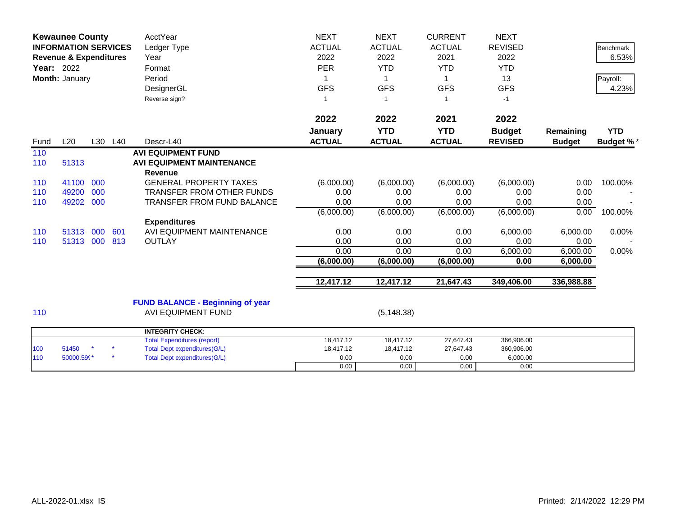| <b>Kewaunee County</b><br><b>INFORMATION SERVICES</b><br><b>Revenue &amp; Expenditures</b><br><b>Year: 2022</b><br>Month: January |                     |            | <b>AcctYear</b><br>Ledger Type<br>Year<br>Format<br>Period<br>DesignerGL<br>Reverse sign? | <b>NEXT</b><br><b>ACTUAL</b><br>2022<br><b>PER</b><br><b>GFS</b><br>$\overline{\phantom{a}}$                     | <b>NEXT</b><br><b>ACTUAL</b><br>2022<br><b>YTD</b><br>1<br><b>GFS</b><br>$\overline{1}$ | <b>CURRENT</b><br><b>ACTUAL</b><br>2021<br><b>YTD</b><br>1<br><b>GFS</b><br>1 | <b>NEXT</b><br><b>REVISED</b><br>2022<br><b>YTD</b><br>13<br><b>GFS</b><br>$-1$ |                                              | <b>Benchmark</b><br>6.53%<br>Payroll:<br>4.23% |                                |
|-----------------------------------------------------------------------------------------------------------------------------------|---------------------|------------|-------------------------------------------------------------------------------------------|------------------------------------------------------------------------------------------------------------------|-----------------------------------------------------------------------------------------|-------------------------------------------------------------------------------|---------------------------------------------------------------------------------|----------------------------------------------|------------------------------------------------|--------------------------------|
| Fund                                                                                                                              | L20                 |            | L30 L40                                                                                   | Descr-L40                                                                                                        | 2022<br>January<br><b>ACTUAL</b>                                                        | 2022<br><b>YTD</b><br><b>ACTUAL</b>                                           | 2021<br><b>YTD</b><br><b>ACTUAL</b>                                             | 2022<br><b>Budget</b><br><b>REVISED</b>      | Remaining<br><b>Budget</b>                     | <b>YTD</b><br><b>Budget %*</b> |
| 110<br>110                                                                                                                        | 51313               |            |                                                                                           | <b>AVI EQUIPMENT FUND</b><br><b>AVI EQUIPMENT MAINTENANCE</b>                                                    |                                                                                         |                                                                               |                                                                                 |                                              |                                                |                                |
| 110<br>110                                                                                                                        | 41100<br>49200      | 000<br>000 |                                                                                           | <b>Revenue</b><br><b>GENERAL PROPERTY TAXES</b><br><b>TRANSFER FROM OTHER FUNDS</b>                              | (6,000.00)<br>0.00                                                                      | (6,000.00)<br>0.00                                                            | (6,000.00)<br>0.00                                                              | (6,000.00)<br>0.00                           | 0.00<br>0.00                                   | 100.00%                        |
| 110                                                                                                                               | 49202               | 000        |                                                                                           | <b>TRANSFER FROM FUND BALANCE</b><br><b>Expenditures</b>                                                         | 0.00<br>(6,000.00)                                                                      | 0.00<br>(6,000.00)                                                            | 0.00<br>(6,000.00)                                                              | 0.00<br>(6,000.00)                           | 0.00<br>0.00                                   | 100.00%                        |
| 110<br>110                                                                                                                        | 51313<br>51313      | 000<br>000 | 601<br>813                                                                                | AVI EQUIPMENT MAINTENANCE<br><b>OUTLAY</b>                                                                       | 0.00<br>0.00<br>0.00                                                                    | 0.00<br>0.00<br>0.00                                                          | 0.00<br>0.00<br>0.00                                                            | 6,000.00<br>0.00<br>6,000.00                 | 6,000.00<br>0.00<br>6,000.00                   | 0.00%<br>0.00%                 |
|                                                                                                                                   |                     |            |                                                                                           |                                                                                                                  | (6,000.00)                                                                              | (6,000.00)                                                                    | (6,000.00)                                                                      | 0.00                                         | 6,000.00                                       |                                |
|                                                                                                                                   |                     |            |                                                                                           |                                                                                                                  | 12,417.12                                                                               | 12,417.12                                                                     | 21,647.43                                                                       | 349,406.00                                   | 336,988.88                                     |                                |
| 110                                                                                                                               |                     |            |                                                                                           | <b>FUND BALANCE - Beginning of year</b><br><b>AVI EQUIPMENT FUND</b>                                             |                                                                                         | (5, 148.38)                                                                   |                                                                                 |                                              |                                                |                                |
|                                                                                                                                   |                     |            |                                                                                           | <b>INTEGRITY CHECK:</b>                                                                                          |                                                                                         |                                                                               |                                                                                 |                                              |                                                |                                |
| 100<br>110                                                                                                                        | 51450<br>50000.599* |            |                                                                                           | <b>Total Expenditures (report)</b><br><b>Total Dept expenditures(G/L)</b><br><b>Total Dept expenditures(G/L)</b> | 18,417.12<br>18,417.12<br>0.00<br>0.00                                                  | 18,417.12<br>18,417.12<br>0.00<br>0.00                                        | 27,647.43<br>27,647.43<br>0.00<br>0.00                                          | 366,906.00<br>360,906.00<br>6,000.00<br>0.00 |                                                |                                |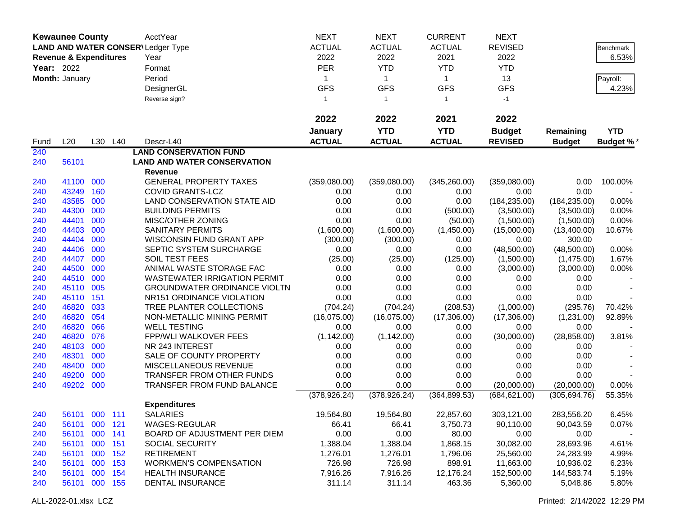|            | <b>Kewaunee County</b>            |         |         | <b>AcctYear</b>                          | <b>NEXT</b>     | <b>NEXT</b>                | <b>CURRENT</b>             | <b>NEXT</b>      |               |                  |
|------------|-----------------------------------|---------|---------|------------------------------------------|-----------------|----------------------------|----------------------------|------------------|---------------|------------------|
|            |                                   |         |         | <b>LAND AND WATER CONSER\Ledger Type</b> | <b>ACTUAL</b>   | <b>ACTUAL</b>              | <b>ACTUAL</b>              | <b>REVISED</b>   |               | Benchmark        |
|            | <b>Revenue &amp; Expenditures</b> |         |         | Year                                     | 2022            | 2022                       | 2021                       | 2022             |               | 6.53%            |
| Year: 2022 |                                   |         |         | Format                                   | <b>PER</b>      | <b>YTD</b>                 | <b>YTD</b>                 | <b>YTD</b>       |               |                  |
|            |                                   |         |         |                                          |                 |                            |                            |                  |               |                  |
|            | Month: January                    |         |         | Period                                   | 1<br><b>GFS</b> | $\mathbf{1}$<br><b>GFS</b> | $\mathbf{1}$<br><b>GFS</b> | 13<br><b>GFS</b> |               | Payroll:         |
|            |                                   |         |         | DesignerGL                               |                 |                            |                            |                  |               | 4.23%            |
|            |                                   |         |         | Reverse sign?                            | $\overline{1}$  | $\mathbf{1}$               | $\mathbf{1}$               | $-1$             |               |                  |
|            |                                   |         |         |                                          | 2022            | 2022                       | 2021                       | 2022             |               |                  |
|            |                                   |         |         |                                          | January         | <b>YTD</b>                 | <b>YTD</b>                 | <b>Budget</b>    | Remaining     | <b>YTD</b>       |
| Fund       | L20                               |         | L30 L40 | Descr-L40                                | <b>ACTUAL</b>   | <b>ACTUAL</b>              | <b>ACTUAL</b>              | <b>REVISED</b>   | <b>Budget</b> | <b>Budget %*</b> |
| 240        |                                   |         |         | <b>LAND CONSERVATION FUND</b>            |                 |                            |                            |                  |               |                  |
| 240        | 56101                             |         |         | <b>LAND AND WATER CONSERVATION</b>       |                 |                            |                            |                  |               |                  |
|            |                                   |         |         | Revenue                                  |                 |                            |                            |                  |               |                  |
| 240        | 41100                             | 000     |         | <b>GENERAL PROPERTY TAXES</b>            | (359,080.00)    | (359,080.00)               | (345, 260.00)              | (359,080.00)     | 0.00          | 100.00%          |
| 240        | 43249                             | 160     |         | <b>COVID GRANTS-LCZ</b>                  | 0.00            | 0.00                       | 0.00                       | 0.00             | 0.00          |                  |
| 240        | 43585                             | 000     |         | LAND CONSERVATION STATE AID              | 0.00            | 0.00                       | 0.00                       | (184, 235.00)    | (184, 235.00) | 0.00%            |
| 240        | 44300                             | 000     |         | <b>BUILDING PERMITS</b>                  | 0.00            | 0.00                       | (500.00)                   | (3,500.00)       | (3,500.00)    | 0.00%            |
| 240        | 44401                             | 000     |         | MISC/OTHER ZONING                        | 0.00            | 0.00                       | (50.00)                    | (1,500.00)       | (1,500.00)    | 0.00%            |
| 240        | 44403                             | 000     |         | <b>SANITARY PERMITS</b>                  | (1,600.00)      | (1,600.00)                 | (1,450.00)                 | (15,000.00)      | (13,400.00)   | 10.67%           |
| 240        | 44404                             | 000     |         | WISCONSIN FUND GRANT APP                 | (300.00)        | (300.00)                   | 0.00                       | 0.00             | 300.00        |                  |
| 240        | 44406                             | 000     |         | SEPTIC SYSTEM SURCHARGE                  | 0.00            | 0.00                       | 0.00                       | (48,500.00)      | (48,500.00)   | 0.00%            |
| 240        | 44407                             | 000     |         | SOIL TEST FEES                           | (25.00)         | (25.00)                    | (125.00)                   | (1,500.00)       | (1,475.00)    | 1.67%            |
| 240        | 44500                             | 000     |         | ANIMAL WASTE STORAGE FAC                 | 0.00            | 0.00                       | 0.00                       | (3,000.00)       | (3,000.00)    | 0.00%            |
| 240        | 44510                             | 000     |         | <b>WASTEWATER IRRIGATION PERMIT</b>      | 0.00            | 0.00                       | 0.00                       | 0.00             | 0.00          |                  |
| 240        | 45110                             | 005     |         | <b>GROUNDWATER ORDINANCE VIOLTN</b>      | 0.00            | 0.00                       | 0.00                       | 0.00             | 0.00          |                  |
| 240        | 45110                             | 151     |         | NR151 ORDINANCE VIOLATION                | 0.00            | 0.00                       | 0.00                       | 0.00             | 0.00          |                  |
| 240        | 46820                             | 033     |         | TREE PLANTER COLLECTIONS                 | (704.24)        | (704.24)                   | (208.53)                   | (1,000.00)       | (295.76)      | 70.42%           |
| 240        | 46820                             | 054     |         | NON-METALLIC MINING PERMIT               | (16,075.00)     | (16,075.00)                | (17,306.00)                | (17,306.00)      | (1,231.00)    | 92.89%           |
| 240        | 46820                             | 066     |         | <b>WELL TESTING</b>                      | 0.00            | 0.00                       | 0.00                       | 0.00             | 0.00          |                  |
| 240        | 46820                             | 076     |         | <b>FPP/WLI WALKOVER FEES</b>             | (1, 142.00)     | (1, 142.00)                | 0.00                       | (30,000.00)      | (28, 858.00)  | 3.81%            |
| 240        | 48103                             | 000     |         | NR 243 INTEREST                          | 0.00            | 0.00                       | 0.00                       | 0.00             | 0.00          |                  |
| 240        | 48301                             | 000     |         | SALE OF COUNTY PROPERTY                  | 0.00            | 0.00                       | 0.00                       | 0.00             | 0.00          |                  |
| 240        | 48400                             | 000     |         | MISCELLANEOUS REVENUE                    | 0.00            | 0.00                       | 0.00                       | 0.00             | 0.00          |                  |
| 240        | 49200                             | 000     |         | <b>TRANSFER FROM OTHER FUNDS</b>         | 0.00            | 0.00                       | 0.00                       | 0.00             | 0.00          |                  |
| 240        | 49202                             | 000     |         | TRANSFER FROM FUND BALANCE               | 0.00            | 0.00                       | 0.00                       | (20,000.00)      | (20,000.00)   | 0.00%            |
|            |                                   |         |         |                                          | (378, 926.24)   | (378, 926.24)              | (364, 899.53)              | (684, 621.00)    | (305, 694.76) | 55.35%           |
|            |                                   |         |         | <b>Expenditures</b>                      |                 |                            |                            |                  |               |                  |
| 240        | 56101 000 111                     |         |         | <b>SALARIES</b>                          | 19,564.80       | 19,564.80                  | 22,857.60                  | 303,121.00       | 283,556.20    | 6.45%            |
| 240        | 56101                             | 000 121 |         | WAGES-REGULAR                            | 66.41           | 66.41                      | 3,750.73                   | 90,110.00        | 90,043.59     | 0.07%            |
| 240        | 56101                             | 000 141 |         | BOARD OF ADJUSTMENT PER DIEM             | 0.00            | 0.00                       | 80.00                      | 0.00             | 0.00          |                  |
| 240        | 56101                             | 000     | 151     | SOCIAL SECURITY                          | 1,388.04        | 1,388.04                   | 1,868.15                   | 30,082.00        | 28,693.96     | 4.61%            |
| 240        | 56101                             | 000     | 152     | <b>RETIREMENT</b>                        | 1,276.01        | 1,276.01                   | 1,796.06                   | 25,560.00        | 24,283.99     | 4.99%            |
| 240        | 56101                             | 000     | 153     | <b>WORKMEN'S COMPENSATION</b>            | 726.98          | 726.98                     | 898.91                     | 11,663.00        | 10,936.02     | 6.23%            |
| 240        | 56101                             | 000 154 |         | <b>HEALTH INSURANCE</b>                  | 7,916.26        | 7,916.26                   | 12,176.24                  | 152,500.00       | 144,583.74    | 5.19%            |
| 240        | 56101 000 155                     |         |         | DENTAL INSURANCE                         | 311.14          | 311.14                     | 463.36                     | 5,360.00         | 5,048.86      | 5.80%            |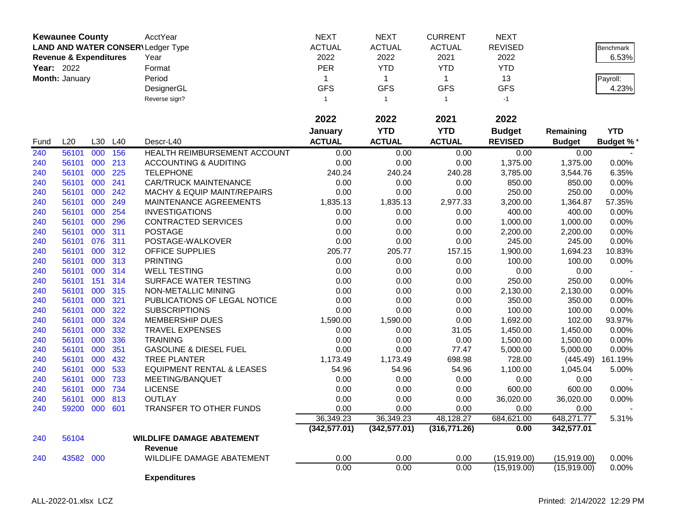|                   | <b>Kewaunee County</b>            |     |     | AcctYear                                 | <b>NEXT</b>   | <b>NEXT</b>   | <b>CURRENT</b> | <b>NEXT</b>    |               |                  |
|-------------------|-----------------------------------|-----|-----|------------------------------------------|---------------|---------------|----------------|----------------|---------------|------------------|
|                   |                                   |     |     | <b>LAND AND WATER CONSER\Ledger Type</b> | <b>ACTUAL</b> | <b>ACTUAL</b> | <b>ACTUAL</b>  | <b>REVISED</b> |               | Benchmark        |
|                   | <b>Revenue &amp; Expenditures</b> |     |     | Year                                     | 2022          | 2022          | 2021           | 2022           |               | 6.53%            |
| <b>Year: 2022</b> |                                   |     |     | Format                                   | PER           | <b>YTD</b>    | <b>YTD</b>     | <b>YTD</b>     |               |                  |
|                   | Month: January                    |     |     | Period                                   | 1             | $\mathbf{1}$  | $\mathbf{1}$   | 13             |               | Payroll:         |
|                   |                                   |     |     | DesignerGL                               | <b>GFS</b>    | <b>GFS</b>    | <b>GFS</b>     | <b>GFS</b>     |               | 4.23%            |
|                   |                                   |     |     |                                          | $\mathbf{1}$  | $\mathbf{1}$  | $\mathbf{1}$   | $-1$           |               |                  |
|                   |                                   |     |     | Reverse sign?                            |               |               |                |                |               |                  |
|                   |                                   |     |     |                                          | 2022          | 2022          | 2021           | 2022           |               |                  |
|                   |                                   |     |     |                                          | January       | <b>YTD</b>    | <b>YTD</b>     | <b>Budget</b>  | Remaining     | <b>YTD</b>       |
| Fund              | L20                               | L30 | L40 | Descr-L40                                | <b>ACTUAL</b> | <b>ACTUAL</b> | <b>ACTUAL</b>  | <b>REVISED</b> | <b>Budget</b> | <b>Budget %*</b> |
| 240               | 56101                             | 000 | 156 | HEALTH REIMBURSEMENT ACCOUNT             | 0.00          | 0.00          | 0.00           | 0.00           | 0.00          |                  |
| 240               | 56101                             | 000 | 213 | <b>ACCOUNTING &amp; AUDITING</b>         | 0.00          | 0.00          | 0.00           | 1,375.00       | 1,375.00      | 0.00%            |
| 240               | 56101                             | 000 | 225 | <b>TELEPHONE</b>                         | 240.24        | 240.24        | 240.28         | 3,785.00       | 3,544.76      | 6.35%            |
| 240               | 56101                             | 000 | 241 | <b>CAR/TRUCK MAINTENANCE</b>             | 0.00          | 0.00          | 0.00           | 850.00         | 850.00        | 0.00%            |
| 240               | 56101                             | 000 | 242 | <b>MACHY &amp; EQUIP MAINT/REPAIRS</b>   | 0.00          | 0.00          | 0.00           | 250.00         | 250.00        | 0.00%            |
| 240               | 56101                             | 000 | 249 | MAINTENANCE AGREEMENTS                   | 1,835.13      | 1,835.13      | 2,977.33       | 3,200.00       | 1,364.87      | 57.35%           |
| 240               | 56101                             | 000 | 254 | <b>INVESTIGATIONS</b>                    | 0.00          | 0.00          | 0.00           | 400.00         | 400.00        | 0.00%            |
| 240               | 56101                             | 000 | 296 | <b>CONTRACTED SERVICES</b>               | 0.00          | 0.00          | 0.00           | 1,000.00       | 1,000.00      | 0.00%            |
| 240               | 56101                             | 000 | 311 | <b>POSTAGE</b>                           | 0.00          | 0.00          | 0.00           | 2,200.00       | 2,200.00      | 0.00%            |
| 240               | 56101                             | 076 | 311 | POSTAGE-WALKOVER                         | 0.00          | 0.00          | 0.00           | 245.00         | 245.00        | 0.00%            |
| 240               | 56101                             | 000 | 312 | OFFICE SUPPLIES                          | 205.77        | 205.77        | 157.15         | 1,900.00       | 1,694.23      | 10.83%           |
| 240               | 56101                             | 000 | 313 | <b>PRINTING</b>                          | 0.00          | 0.00          | 0.00           | 100.00         | 100.00        | 0.00%            |
| 240               | 56101                             | 000 | 314 | <b>WELL TESTING</b>                      | 0.00          | 0.00          | 0.00           | 0.00           | 0.00          |                  |
| 240               | 56101                             | 151 | 314 | SURFACE WATER TESTING                    | 0.00          | 0.00          | 0.00           | 250.00         | 250.00        | 0.00%            |
| 240               | 56101                             | 000 | 315 | NON-METALLIC MINING                      | 0.00          | 0.00          | 0.00           | 2,130.00       | 2,130.00      | 0.00%            |
| 240               | 56101                             | 000 | 321 | PUBLICATIONS OF LEGAL NOTICE             | 0.00          | 0.00          | 0.00           | 350.00         | 350.00        | 0.00%            |
| 240               | 56101                             | 000 | 322 | <b>SUBSCRIPTIONS</b>                     | 0.00          | 0.00          | 0.00           | 100.00         | 100.00        | 0.00%            |
| 240               | 56101                             | 000 | 324 | <b>MEMBERSHIP DUES</b>                   | 1,590.00      | 1,590.00      | 0.00           | 1,692.00       | 102.00        | 93.97%           |
| 240               | 56101                             | 000 | 332 | <b>TRAVEL EXPENSES</b>                   | 0.00          | 0.00          | 31.05          | 1,450.00       | 1,450.00      | 0.00%            |
| 240               | 56101                             | 000 | 336 | <b>TRAINING</b>                          | 0.00          | 0.00          | 0.00           | 1,500.00       | 1,500.00      | 0.00%            |
| 240               | 56101                             | 000 | 351 | <b>GASOLINE &amp; DIESEL FUEL</b>        | 0.00          | 0.00          | 77.47          | 5,000.00       | 5,000.00      | 0.00%            |
| 240               | 56101                             | 000 | 432 | <b>TREE PLANTER</b>                      | 1,173.49      | 1,173.49      | 698.98         | 728.00         | (445.49)      | 161.19%          |
| 240               | 56101                             | 000 | 533 | <b>EQUIPMENT RENTAL &amp; LEASES</b>     | 54.96         | 54.96         | 54.96          | 1,100.00       | 1,045.04      | 5.00%            |
| 240               | 56101                             | 000 | 733 | MEETING/BANQUET                          | 0.00          | 0.00          | 0.00           | 0.00           | 0.00          |                  |
| 240               | 56101                             | 000 | 734 | <b>LICENSE</b>                           | 0.00          | 0.00          | 0.00           | 600.00         | 600.00        | 0.00%            |
| 240               | 56101                             | 000 | 813 | <b>OUTLAY</b>                            | 0.00          | 0.00          | 0.00           | 36,020.00      | 36,020.00     | 0.00%            |
| 240               | 59200 000 601                     |     |     | <b>TRANSFER TO OTHER FUNDS</b>           | 0.00          | 0.00          | 0.00           | 0.00           | 0.00          |                  |
|                   |                                   |     |     |                                          | 36,349.23     | 36,349.23     | 48,128.27      | 684,621.00     | 648,271.77    | 5.31%            |
|                   |                                   |     |     |                                          | (342, 577.01) | (342, 577.01) | (316, 771.26)  | 0.00           | 342,577.01    |                  |
| 240               | 56104                             |     |     | <b>WILDLIFE DAMAGE ABATEMENT</b>         |               |               |                |                |               |                  |
|                   |                                   |     |     | Revenue                                  |               |               |                |                |               |                  |
| 240               | 43582 000                         |     |     | WILDLIFE DAMAGE ABATEMENT                | 0.00          | 0.00          | 0.00           | (15,919.00)    | (15,919.00)   | 0.00%            |
|                   |                                   |     |     |                                          | 0.00          | 0.00          | 0.00           | (15,919.00)    | (15,919.00)   | 0.00%            |
|                   |                                   |     |     | <b>Expenditures</b>                      |               |               |                |                |               |                  |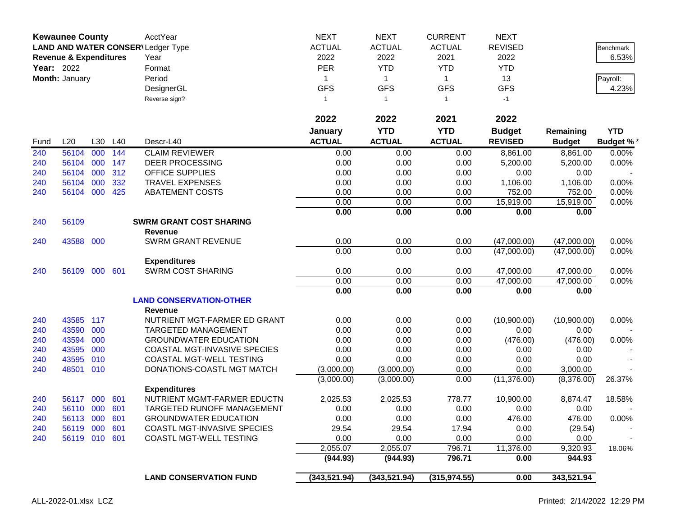|            | <b>Kewaunee County</b><br>LAND AND WATER CONSER\Ledger Type<br><b>Revenue &amp; Expenditures</b> |            |     | AcctYear                           | <b>NEXT</b><br><b>ACTUAL</b> | <b>NEXT</b><br><b>ACTUAL</b> | <b>CURRENT</b><br><b>ACTUAL</b> | <b>NEXT</b><br><b>REVISED</b> |                        | Benchmark        |
|------------|--------------------------------------------------------------------------------------------------|------------|-----|------------------------------------|------------------------------|------------------------------|---------------------------------|-------------------------------|------------------------|------------------|
|            |                                                                                                  |            |     | Year                               | 2022                         | 2022                         | 2021                            | 2022                          |                        | 6.53%            |
| Year: 2022 |                                                                                                  |            |     | Format                             | <b>PER</b>                   | <b>YTD</b>                   | <b>YTD</b>                      | <b>YTD</b>                    |                        |                  |
|            | Month: January                                                                                   |            |     | Period                             | 1                            | $\mathbf{1}$                 | $\mathbf 1$                     | 13                            |                        | Payroll:         |
|            |                                                                                                  |            |     | DesignerGL                         | <b>GFS</b>                   | <b>GFS</b>                   | <b>GFS</b>                      | <b>GFS</b>                    |                        | 4.23%            |
|            |                                                                                                  |            |     | Reverse sign?                      | 1                            | $\overline{1}$               | $\mathbf{1}$                    | $-1$                          |                        |                  |
|            |                                                                                                  |            |     |                                    | 2022                         | 2022                         | 2021                            | 2022                          |                        |                  |
|            |                                                                                                  |            |     |                                    | January                      | <b>YTD</b>                   | <b>YTD</b>                      | <b>Budget</b>                 | Remaining              | <b>YTD</b>       |
| Fund       | L20                                                                                              | L30        | L40 | Descr-L40                          | <b>ACTUAL</b>                | <b>ACTUAL</b>                | <b>ACTUAL</b>                   | <b>REVISED</b>                | <b>Budget</b>          | <b>Budget %*</b> |
| 240        | 56104                                                                                            | 000        | 144 | <b>CLAIM REVIEWER</b>              | 0.00                         | 0.00                         | 0.00                            | 8,861.00                      | 8,861.00               | 0.00%            |
| 240        | 56104                                                                                            | 000        | 147 | <b>DEER PROCESSING</b>             | 0.00                         | 0.00                         | 0.00                            | 5,200.00                      | 5,200.00               | 0.00%            |
| 240        | 56104                                                                                            | 000        | 312 | <b>OFFICE SUPPLIES</b>             | 0.00                         | 0.00                         | 0.00                            | 0.00                          | 0.00                   |                  |
| 240        | 56104                                                                                            | 000        | 332 | <b>TRAVEL EXPENSES</b>             | 0.00                         | 0.00                         | 0.00                            | 1,106.00                      | 1,106.00               | 0.00%            |
| 240        | 56104 000                                                                                        |            | 425 | <b>ABATEMENT COSTS</b>             | 0.00                         | 0.00                         | 0.00                            | 752.00                        | 752.00                 | 0.00%            |
|            |                                                                                                  |            |     |                                    | 0.00                         | 0.00                         | 0.00                            | 15,919.00                     | 15,919.00              | 0.00%            |
|            |                                                                                                  |            |     |                                    | 0.00                         | 0.00                         | 0.00                            | 0.00                          | 0.00                   |                  |
| 240        | 56109                                                                                            |            |     | <b>SWRM GRANT COST SHARING</b>     |                              |                              |                                 |                               |                        |                  |
|            |                                                                                                  |            |     | <b>Revenue</b>                     |                              |                              |                                 |                               |                        |                  |
| 240        | 43588 000                                                                                        |            |     | <b>SWRM GRANT REVENUE</b>          | 0.00                         | 0.00                         | 0.00                            | (47,000.00)                   | (47,000.00)            | 0.00%            |
|            |                                                                                                  |            |     |                                    | 0.00                         | 0.00                         | 0.00                            | (47,000.00)                   | (47,000.00)            | 0.00%            |
|            |                                                                                                  |            |     | <b>Expenditures</b>                |                              |                              |                                 |                               |                        |                  |
| 240        | 56109                                                                                            | 000        | 601 | <b>SWRM COST SHARING</b>           | 0.00                         | 0.00                         | 0.00                            | 47,000.00                     | 47,000.00              | 0.00%            |
|            |                                                                                                  |            |     |                                    | 0.00                         | 0.00                         | 0.00                            | 47,000.00                     | 47,000.00              | 0.00%            |
|            |                                                                                                  |            |     |                                    | 0.00                         | 0.00                         | 0.00                            | 0.00                          | 0.00                   |                  |
|            |                                                                                                  |            |     | <b>LAND CONSERVATION-OTHER</b>     |                              |                              |                                 |                               |                        |                  |
|            |                                                                                                  |            |     | <b>Revenue</b>                     |                              |                              |                                 |                               |                        |                  |
| 240        | 43585                                                                                            | 117        |     | NUTRIENT MGT-FARMER ED GRANT       | 0.00                         | 0.00                         | 0.00                            | (10,900.00)                   | (10,900.00)            | 0.00%            |
| 240        | 43590                                                                                            | 000        |     | <b>TARGETED MANAGEMENT</b>         | 0.00                         | 0.00                         | 0.00                            | 0.00                          | 0.00                   |                  |
| 240        | 43594                                                                                            | 000        |     | <b>GROUNDWATER EDUCATION</b>       | 0.00                         | 0.00                         | 0.00                            | (476.00)                      | (476.00)               | 0.00%            |
| 240        | 43595                                                                                            | 000<br>010 |     | COASTAL MGT-INVASIVE SPECIES       | 0.00                         | 0.00                         | 0.00                            | 0.00                          | 0.00                   |                  |
| 240        | 43595                                                                                            |            |     | COASTAL MGT-WELL TESTING           | 0.00                         | 0.00                         | 0.00                            | 0.00                          | 0.00                   |                  |
| 240        | 48501                                                                                            | 010        |     | DONATIONS-COASTL MGT MATCH         | (3,000.00)<br>(3,000.00)     | (3,000.00)<br>(3,000.00)     | 0.00<br>0.00                    | 0.00<br>(11, 376.00)          | 3,000.00<br>(8,376.00) | 26.37%           |
|            |                                                                                                  |            |     | <b>Expenditures</b>                |                              |                              |                                 |                               |                        |                  |
| 240        | 56117                                                                                            | 000        | 601 | NUTRIENT MGMT-FARMER EDUCTN        | 2,025.53                     | 2,025.53                     | 778.77                          | 10,900.00                     | 8,874.47               | 18.58%           |
| 240        | 56110 000                                                                                        |            | 601 | TARGETED RUNOFF MANAGEMENT         | 0.00                         | 0.00                         | 0.00                            | 0.00                          | 0.00                   |                  |
| 240        | 56113 000 601                                                                                    |            |     | <b>GROUNDWATER EDUCATION</b>       | 0.00                         | 0.00                         | 0.00                            | 476.00                        | 476.00                 | 0.00%            |
| 240        | 56119 000 601                                                                                    |            |     | <b>COASTL MGT-INVASIVE SPECIES</b> | 29.54                        | 29.54                        | 17.94                           | 0.00                          | (29.54)                |                  |
| 240        | 56119 010 601                                                                                    |            |     | COASTL MGT-WELL TESTING            | 0.00                         | 0.00                         | 0.00                            | 0.00                          | 0.00                   |                  |
|            |                                                                                                  |            |     |                                    | 2,055.07                     | 2,055.07                     | 796.71                          | 11,376.00                     | 9,320.93               | 18.06%           |
|            |                                                                                                  |            |     |                                    | (944.93)                     | (944.93)                     | 796.71                          | 0.00                          | 944.93                 |                  |
|            |                                                                                                  |            |     | <b>LAND CONSERVATION FUND</b>      | (343, 521.94)                | (343, 521.94)                | (315, 974.55)                   | 0.00                          | 343,521.94             |                  |
|            |                                                                                                  |            |     |                                    |                              |                              |                                 |                               |                        |                  |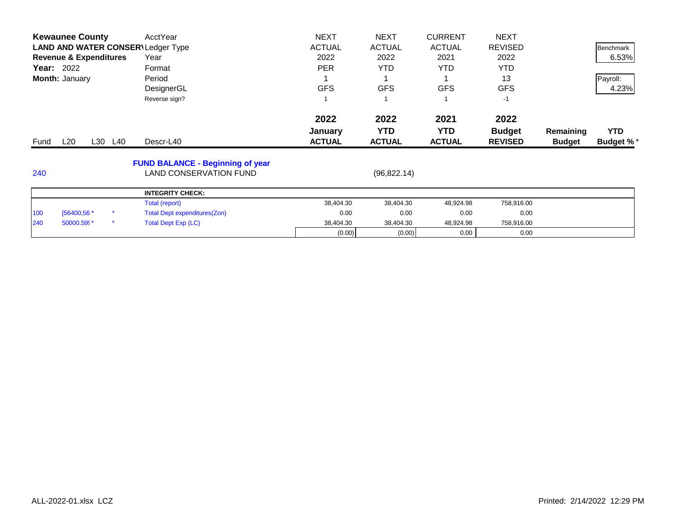|      | <b>Kewaunee County</b>            |         | AcctYear                                 | <b>NEXT</b>   | <b>NEXT</b>   | <b>CURRENT</b> | <b>NEXT</b>    |               |                  |
|------|-----------------------------------|---------|------------------------------------------|---------------|---------------|----------------|----------------|---------------|------------------|
|      |                                   |         | <b>LAND AND WATER CONSER\Ledger Type</b> | <b>ACTUAL</b> | <b>ACTUAL</b> | <b>ACTUAL</b>  | <b>REVISED</b> |               | Benchmark        |
|      | <b>Revenue &amp; Expenditures</b> |         | Year                                     | 2022          | 2022          | 2021           | 2022           |               | 6.53%            |
|      | <b>Year:</b> 2022                 |         | Format                                   | <b>PER</b>    | YTD.          | <b>YTD</b>     | <b>YTD</b>     |               |                  |
|      | Month: January                    |         | Period                                   |               |               |                | 13             |               | Payroll:         |
|      |                                   |         | DesignerGL                               | <b>GFS</b>    | <b>GFS</b>    | <b>GFS</b>     | <b>GFS</b>     |               | 4.23%            |
|      |                                   |         | Reverse sign?                            |               |               |                | $-1$           |               |                  |
|      |                                   |         |                                          | 2022          | 2022          | 2021           | 2022           |               |                  |
|      |                                   |         |                                          | January       | <b>YTD</b>    | <b>YTD</b>     | <b>Budget</b>  | Remaining     | <b>YTD</b>       |
| Fund | L20                               | L30 L40 | Descr-L40                                | <b>ACTUAL</b> | <b>ACTUAL</b> | <b>ACTUAL</b>  | <b>REVISED</b> | <b>Budget</b> | <b>Budget %*</b> |
|      |                                   |         | <b>FUND BALANCE - Beginning of year</b>  |               |               |                |                |               |                  |
| 240  |                                   |         | <b>LAND CONSERVATION FUND</b>            |               | (96, 822.14)  |                |                |               |                  |
|      |                                   |         | <b>INTEGRITY CHECK:</b>                  |               |               |                |                |               |                  |
|      |                                   |         | Total (report)                           | 38,404.30     | 38,404.30     | 48,924.98      | 758,916.00     |               |                  |
| 100  | [56400,56 *                       |         | Total Dept expenditures(Zon)             | 0.00          | 0.00          | 0.00           | 0.00           |               |                  |
|      |                                   |         |                                          |               |               |                |                |               |                  |
| 240  | 50000.599*                        | *       | <b>Total Dept Exp (LC)</b>               | 38,404.30     | 38,404.30     | 48,924.98      | 758,916.00     |               |                  |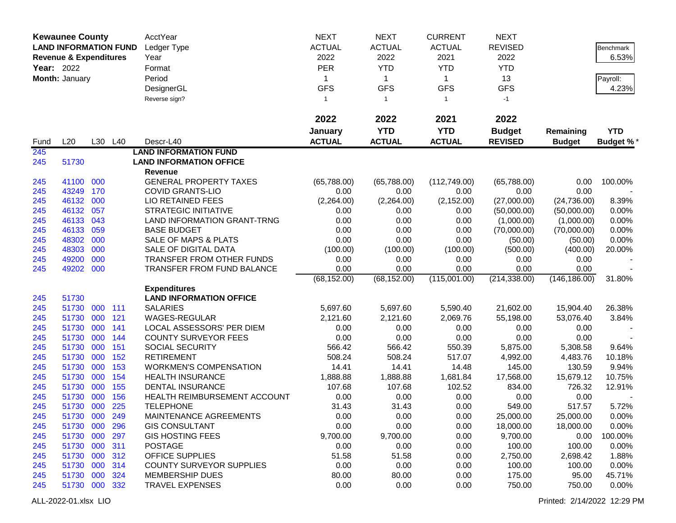|                   | <b>Kewaunee County</b>            |     |         | AcctYear                          | <b>NEXT</b>          | <b>NEXT</b>   | <b>CURRENT</b> | <b>NEXT</b>    |                       |                  |
|-------------------|-----------------------------------|-----|---------|-----------------------------------|----------------------|---------------|----------------|----------------|-----------------------|------------------|
|                   | <b>LAND INFORMATION FUND</b>      |     |         | Ledger Type                       | <b>ACTUAL</b>        | <b>ACTUAL</b> | <b>ACTUAL</b>  | <b>REVISED</b> |                       | <b>Benchmark</b> |
|                   | <b>Revenue &amp; Expenditures</b> |     |         | Year                              | 2022                 | 2022          | 2021           | 2022           |                       | 6.53%            |
| <b>Year: 2022</b> |                                   |     |         | Format                            | <b>PER</b>           | <b>YTD</b>    | <b>YTD</b>     | <b>YTD</b>     |                       |                  |
|                   | Month: January                    |     |         | Period                            | 1                    | $\mathbf{1}$  | $\mathbf{1}$   | 13             |                       | Payroll:         |
|                   |                                   |     |         | DesignerGL                        | <b>GFS</b>           | <b>GFS</b>    | <b>GFS</b>     | <b>GFS</b>     |                       | 4.23%            |
|                   |                                   |     |         | Reverse sign?                     | $\mathbf{1}$         | $\mathbf{1}$  | $\mathbf{1}$   | $-1$           |                       |                  |
|                   |                                   |     |         |                                   | 2022                 | 2022          | 2021           | 2022           |                       |                  |
|                   |                                   |     |         |                                   | January              | <b>YTD</b>    | <b>YTD</b>     | <b>Budget</b>  | Remaining             | <b>YTD</b>       |
| Fund              | L20                               |     | L30 L40 | Descr-L40                         | <b>ACTUAL</b>        | <b>ACTUAL</b> | <b>ACTUAL</b>  | <b>REVISED</b> | <b>Budget</b>         | <b>Budget %*</b> |
| 245               |                                   |     |         | <b>LAND INFORMATION FUND</b>      |                      |               |                |                |                       |                  |
| 245               | 51730                             |     |         | <b>LAND INFORMATION OFFICE</b>    |                      |               |                |                |                       |                  |
|                   |                                   |     |         | Revenue                           |                      |               |                |                |                       |                  |
| 245               | 41100 000                         |     |         | <b>GENERAL PROPERTY TAXES</b>     | (65,788.00)          | (65,788.00)   | (112,749.00)   | (65,788.00)    | 0.00                  | 100.00%          |
| 245               | 43249                             | 170 |         | <b>COVID GRANTS-LIO</b>           | 0.00                 | 0.00          | 0.00           | 0.00           | 0.00                  |                  |
| 245               | 46132                             | 000 |         | LIO RETAINED FEES                 | (2,264.00)           | (2,264.00)    | (2, 152.00)    | (27,000.00)    | (24, 736.00)          | 8.39%            |
| 245               | 46132                             | 057 |         | <b>STRATEGIC INITIATIVE</b>       | 0.00                 | 0.00          | 0.00           | (50,000.00)    | (50,000.00)           | 0.00%            |
| 245               | 46133                             | 043 |         | LAND INFORMATION GRANT-TRNG       | 0.00                 | 0.00          | 0.00           | (1,000.00)     | (1,000.00)            | 0.00%            |
| 245               | 46133                             | 059 |         | <b>BASE BUDGET</b>                | 0.00                 | 0.00          | 0.00           | (70,000.00)    | (70,000.00)           | 0.00%            |
| 245               | 48302                             | 000 |         | SALE OF MAPS & PLATS              | 0.00                 | 0.00          | 0.00           | (50.00)        | (50.00)               | 0.00%            |
| 245               | 48303                             | 000 |         | SALE OF DIGITAL DATA              | (100.00)             | (100.00)      | (100.00)       | (500.00)       | (400.00)              | 20.00%           |
| 245<br>245        | 49200<br>49202 000                | 000 |         | TRANSFER FROM OTHER FUNDS         | 0.00                 | 0.00<br>0.00  | 0.00<br>0.00   | 0.00<br>0.00   | 0.00                  |                  |
|                   |                                   |     |         | <b>TRANSFER FROM FUND BALANCE</b> | 0.00<br>(68, 152.00) | (68, 152.00)  | (115,001.00)   | (214, 338.00)  | 0.00<br>(146, 186.00) | 31.80%           |
|                   |                                   |     |         | <b>Expenditures</b>               |                      |               |                |                |                       |                  |
| 245               | 51730                             |     |         | <b>LAND INFORMATION OFFICE</b>    |                      |               |                |                |                       |                  |
| 245               | 51730                             | 000 | 111     | <b>SALARIES</b>                   | 5,697.60             | 5,697.60      | 5,590.40       | 21,602.00      | 15,904.40             | 26.38%           |
| 245               | 51730                             | 000 | 121     | WAGES-REGULAR                     | 2,121.60             | 2,121.60      | 2,069.76       | 55,198.00      | 53,076.40             | 3.84%            |
| 245               | 51730                             | 000 | 141     | LOCAL ASSESSORS' PER DIEM         | 0.00                 | 0.00          | 0.00           | 0.00           | 0.00                  |                  |
| 245               | 51730                             | 000 | 144     | <b>COUNTY SURVEYOR FEES</b>       | 0.00                 | 0.00          | 0.00           | 0.00           | 0.00                  |                  |
| 245               | 51730                             | 000 | 151     | SOCIAL SECURITY                   | 566.42               | 566.42        | 550.39         | 5,875.00       | 5,308.58              | 9.64%            |
| 245               | 51730                             | 000 | 152     | <b>RETIREMENT</b>                 | 508.24               | 508.24        | 517.07         | 4,992.00       | 4,483.76              | 10.18%           |
| 245               | 51730                             | 000 | 153     | <b>WORKMEN'S COMPENSATION</b>     | 14.41                | 14.41         | 14.48          | 145.00         | 130.59                | 9.94%            |
| 245               | 51730                             | 000 | 154     | <b>HEALTH INSURANCE</b>           | 1,888.88             | 1,888.88      | 1,681.84       | 17,568.00      | 15,679.12             | 10.75%           |
| 245               | 51730                             | 000 | 155     | <b>DENTAL INSURANCE</b>           | 107.68               | 107.68        | 102.52         | 834.00         | 726.32                | 12.91%           |
| 245               | 51730                             | 000 | 156     | HEALTH REIMBURSEMENT ACCOUNT      | 0.00                 | 0.00          | 0.00           | 0.00           | 0.00                  |                  |
| 245               | 51730 000                         |     | 225     | <b>TELEPHONE</b>                  | 31.43                | 31.43         | 0.00           | 549.00         | 517.57                | 5.72%            |
| 245               | 51730 000                         |     | 249     | MAINTENANCE AGREEMENTS            | 0.00                 | 0.00          | 0.00           | 25,000.00      | 25,000.00             | $0.00\%$         |
| 245               | 51730 000                         |     | 296     | <b>GIS CONSULTANT</b>             | 0.00                 | 0.00          | 0.00           | 18,000.00      | 18,000.00             | 0.00%            |
| 245               | 51730 000                         |     | 297     | <b>GIS HOSTING FEES</b>           | 9,700.00             | 9,700.00      | 0.00           | 9,700.00       | 0.00                  | 100.00%          |
| 245               | 51730 000                         |     | 311     | <b>POSTAGE</b>                    | 0.00                 | 0.00          | 0.00           | 100.00         | 100.00                | 0.00%            |
| 245               | 51730 000                         |     | 312     | <b>OFFICE SUPPLIES</b>            | 51.58                | 51.58         | 0.00           | 2,750.00       | 2,698.42              | 1.88%            |
| 245               | 51730 000                         |     | 314     | <b>COUNTY SURVEYOR SUPPLIES</b>   | 0.00                 | 0.00          | 0.00           | 100.00         | 100.00                | 0.00%            |
| 245               | 51730 000                         |     | 324     | <b>MEMBERSHIP DUES</b>            | 80.00                | 80.00         | 0.00           | 175.00         | 95.00                 | 45.71%           |
| 245               | 51730 000                         |     | 332     | <b>TRAVEL EXPENSES</b>            | 0.00                 | 0.00          | 0.00           | 750.00         | 750.00                | 0.00%            |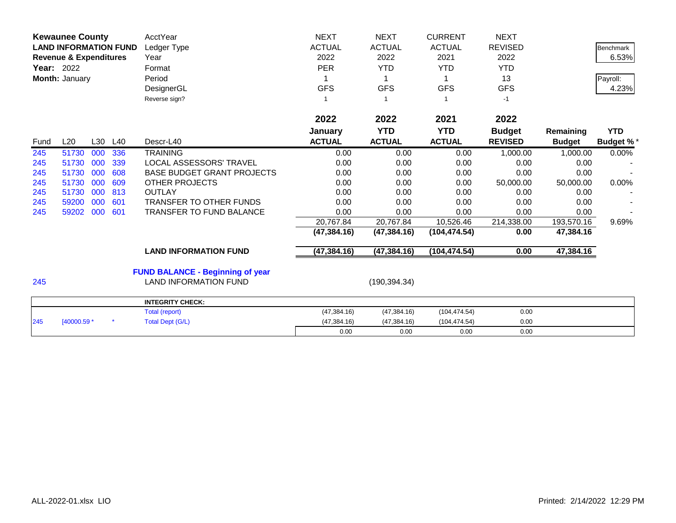|      | <b>Kewaunee County</b><br><b>LAND INFORMATION FUND</b><br><b>Revenue &amp; Expenditures</b><br><b>Year: 2022</b><br>Month: January |     |     | AcctYear<br>Ledger Type<br>Year<br>Format<br>Period<br>DesignerGL<br>Reverse sign? | <b>NEXT</b><br><b>ACTUAL</b><br>2022<br><b>PER</b><br><b>GFS</b><br>1 | <b>NEXT</b><br><b>ACTUAL</b><br>2022<br><b>YTD</b><br><b>GFS</b> | <b>CURRENT</b><br><b>ACTUAL</b><br>2021<br><b>YTD</b><br>1<br><b>GFS</b> | <b>NEXT</b><br><b>REVISED</b><br>2022<br><b>YTD</b><br>13<br><b>GFS</b><br>$-1$ |               | <b>Benchmark</b><br>6.53%<br>Payroll:<br>4.23% |
|------|------------------------------------------------------------------------------------------------------------------------------------|-----|-----|------------------------------------------------------------------------------------|-----------------------------------------------------------------------|------------------------------------------------------------------|--------------------------------------------------------------------------|---------------------------------------------------------------------------------|---------------|------------------------------------------------|
|      |                                                                                                                                    |     |     |                                                                                    | 2022                                                                  | 2022                                                             | 2021                                                                     | 2022                                                                            |               |                                                |
|      |                                                                                                                                    |     |     |                                                                                    | January                                                               | <b>YTD</b>                                                       | <b>YTD</b>                                                               | <b>Budget</b>                                                                   | Remaining     | <b>YTD</b>                                     |
| Fund | L20                                                                                                                                | L30 | L40 | Descr-L40                                                                          | <b>ACTUAL</b>                                                         | <b>ACTUAL</b>                                                    | <b>ACTUAL</b>                                                            | <b>REVISED</b>                                                                  | <b>Budget</b> | <b>Budget %*</b>                               |
| 245  | 51730                                                                                                                              | 000 | 336 | <b>TRAINING</b>                                                                    | 0.00                                                                  | 0.00                                                             | 0.00                                                                     | 1,000.00                                                                        | 1,000.00      | 0.00%                                          |
| 245  | 51730                                                                                                                              | 000 | 339 | LOCAL ASSESSORS' TRAVEL                                                            | 0.00                                                                  | 0.00                                                             | 0.00                                                                     | 0.00                                                                            | 0.00          |                                                |
| 245  | 51730                                                                                                                              | 000 | 608 | <b>BASE BUDGET GRANT PROJECTS</b>                                                  | 0.00                                                                  | 0.00                                                             | 0.00                                                                     | 0.00                                                                            | 0.00          |                                                |
| 245  | 51730                                                                                                                              | 000 | 609 | <b>OTHER PROJECTS</b>                                                              | 0.00                                                                  | 0.00                                                             | 0.00                                                                     | 50,000.00                                                                       | 50,000.00     | 0.00%                                          |
| 245  | 51730                                                                                                                              | 000 | 813 | <b>OUTLAY</b>                                                                      | 0.00                                                                  | 0.00                                                             | 0.00                                                                     | 0.00                                                                            | 0.00          |                                                |
| 245  | 59200                                                                                                                              | 000 | 601 | <b>TRANSFER TO OTHER FUNDS</b>                                                     | 0.00                                                                  | 0.00                                                             | 0.00                                                                     | 0.00                                                                            | 0.00          |                                                |
| 245  | 59202                                                                                                                              | 000 | 601 | TRANSFER TO FUND BALANCE                                                           | 0.00                                                                  | 0.00                                                             | 0.00                                                                     | 0.00                                                                            | 0.00          |                                                |
|      |                                                                                                                                    |     |     |                                                                                    | 20,767.84                                                             | 20,767.84                                                        | 10,526.46                                                                | 214,338.00                                                                      | 193,570.16    | 9.69%                                          |
|      |                                                                                                                                    |     |     |                                                                                    | (47, 384.16)                                                          | (47, 384.16)                                                     | (104, 474.54)                                                            | 0.00                                                                            | 47,384.16     |                                                |
|      |                                                                                                                                    |     |     | <b>LAND INFORMATION FUND</b>                                                       | (47, 384.16)                                                          | (47, 384.16)                                                     | (104, 474.54)                                                            | 0.00                                                                            | 47,384.16     |                                                |
| 245  |                                                                                                                                    |     |     | <b>FUND BALANCE - Beginning of year</b><br><b>LAND INFORMATION FUND</b>            |                                                                       | (190, 394.34)                                                    |                                                                          |                                                                                 |               |                                                |
|      |                                                                                                                                    |     |     | <b>INTEGRITY CHECK:</b>                                                            |                                                                       |                                                                  |                                                                          |                                                                                 |               |                                                |
|      |                                                                                                                                    |     |     | Total (report)                                                                     | (47, 384.16)                                                          | (47, 384.16)                                                     | (104, 474.54)                                                            | 0.00                                                                            |               |                                                |
| 245  | [40000.59 *                                                                                                                        |     |     | <b>Total Dept (G/L)</b>                                                            | (47, 384.16)                                                          | (47, 384.16)                                                     | (104, 474.54)                                                            | 0.00                                                                            |               |                                                |

0.00 0.00 0.00 0.00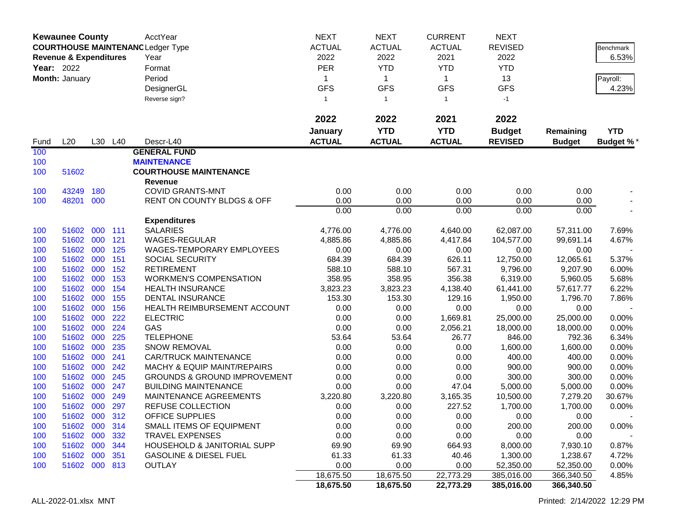| <b>Kewaunee County</b><br><b>COURTHOUSE MAINTENANCLedger Type</b><br><b>Revenue &amp; Expenditures</b><br><b>Year: 2022</b><br>Month: January |                            |            |            | AcctYear<br>Year<br>Format<br>Period<br>DesignerGL<br>Reverse sign? | <b>NEXT</b><br><b>ACTUAL</b><br>2022<br><b>PER</b><br>1<br><b>GFS</b><br>$\mathbf{1}$ | <b>NEXT</b><br><b>ACTUAL</b><br>2022<br><b>YTD</b><br>$\mathbf{1}$<br><b>GFS</b><br>$\overline{1}$ | <b>CURRENT</b><br><b>ACTUAL</b><br>2021<br><b>YTD</b><br>$\mathbf 1$<br><b>GFS</b><br>$\mathbf{1}$ | <b>NEXT</b><br><b>REVISED</b><br>2022<br><b>YTD</b><br>13<br><b>GFS</b><br>$-1$ |                      | Benchmark<br>6.53%<br>Payroll:<br>4.23% |
|-----------------------------------------------------------------------------------------------------------------------------------------------|----------------------------|------------|------------|---------------------------------------------------------------------|---------------------------------------------------------------------------------------|----------------------------------------------------------------------------------------------------|----------------------------------------------------------------------------------------------------|---------------------------------------------------------------------------------|----------------------|-----------------------------------------|
|                                                                                                                                               |                            |            |            |                                                                     | 2022                                                                                  | 2022                                                                                               | 2021                                                                                               | 2022                                                                            |                      |                                         |
|                                                                                                                                               |                            |            |            |                                                                     | January                                                                               | <b>YTD</b>                                                                                         | <b>YTD</b>                                                                                         | <b>Budget</b>                                                                   | Remaining            | <b>YTD</b>                              |
| Fund                                                                                                                                          | L20                        |            | L30 L40    | Descr-L40                                                           | <b>ACTUAL</b>                                                                         | <b>ACTUAL</b>                                                                                      | <b>ACTUAL</b>                                                                                      | <b>REVISED</b>                                                                  | <b>Budget</b>        | <b>Budget %*</b>                        |
| 100                                                                                                                                           |                            |            |            | <b>GENERAL FUND</b>                                                 |                                                                                       |                                                                                                    |                                                                                                    |                                                                                 |                      |                                         |
| 100<br>100                                                                                                                                    | 51602                      |            |            | <b>MAINTENANCE</b><br><b>COURTHOUSE MAINTENANCE</b>                 |                                                                                       |                                                                                                    |                                                                                                    |                                                                                 |                      |                                         |
|                                                                                                                                               |                            |            |            | <b>Revenue</b>                                                      |                                                                                       |                                                                                                    |                                                                                                    |                                                                                 |                      |                                         |
| 100                                                                                                                                           | 43249                      | 180        |            | <b>COVID GRANTS-MNT</b>                                             | 0.00                                                                                  | 0.00                                                                                               | 0.00                                                                                               | 0.00                                                                            | 0.00                 |                                         |
| 100                                                                                                                                           | 48201                      | 000        |            | RENT ON COUNTY BLDGS & OFF                                          | 0.00                                                                                  | 0.00                                                                                               | 0.00                                                                                               | 0.00                                                                            | 0.00                 |                                         |
|                                                                                                                                               |                            |            |            |                                                                     | 0.00                                                                                  | 0.00                                                                                               | 0.00                                                                                               | 0.00                                                                            | 0.00                 |                                         |
|                                                                                                                                               |                            |            |            | <b>Expenditures</b>                                                 |                                                                                       |                                                                                                    |                                                                                                    |                                                                                 |                      |                                         |
| 100                                                                                                                                           | 51602                      | 000        | 111        | <b>SALARIES</b>                                                     | 4,776.00                                                                              | 4,776.00                                                                                           | 4,640.00                                                                                           | 62,087.00                                                                       | 57,311.00            | 7.69%                                   |
| 100                                                                                                                                           | 51602                      | 000        | 121        | WAGES-REGULAR                                                       | 4,885.86                                                                              | 4,885.86                                                                                           | 4,417.84                                                                                           | 104,577.00                                                                      | 99,691.14            | 4.67%                                   |
| 100                                                                                                                                           | 51602                      | 000        | 125        | <b>WAGES-TEMPORARY EMPLOYEES</b>                                    | 0.00                                                                                  | 0.00                                                                                               | 0.00                                                                                               | 0.00                                                                            | 0.00                 |                                         |
| 100                                                                                                                                           | 51602<br>51602             | 000        | 151        | SOCIAL SECURITY<br><b>RETIREMENT</b>                                | 684.39<br>588.10                                                                      | 684.39                                                                                             | 626.11<br>567.31                                                                                   | 12,750.00                                                                       | 12,065.61            | 5.37%                                   |
| 100<br>100                                                                                                                                    | 51602                      | 000<br>000 | 152<br>153 | <b>WORKMEN'S COMPENSATION</b>                                       | 358.95                                                                                | 588.10<br>358.95                                                                                   | 356.38                                                                                             | 9,796.00<br>6,319.00                                                            | 9,207.90<br>5,960.05 | 6.00%<br>5.68%                          |
| 100                                                                                                                                           | 51602                      | 000        | 154        | <b>HEALTH INSURANCE</b>                                             | 3,823.23                                                                              | 3,823.23                                                                                           | 4,138.40                                                                                           | 61,441.00                                                                       | 57,617.77            | 6.22%                                   |
| 100                                                                                                                                           | 51602                      | 000        | 155        | DENTAL INSURANCE                                                    | 153.30                                                                                | 153.30                                                                                             | 129.16                                                                                             | 1,950.00                                                                        | 1,796.70             | 7.86%                                   |
| 100                                                                                                                                           | 51602                      | 000        | 156        | HEALTH REIMBURSEMENT ACCOUNT                                        | 0.00                                                                                  | 0.00                                                                                               | 0.00                                                                                               | 0.00                                                                            | 0.00                 |                                         |
| 100                                                                                                                                           | 51602                      | 000        | 222        | <b>ELECTRIC</b>                                                     | 0.00                                                                                  | 0.00                                                                                               | 1,669.81                                                                                           | 25,000.00                                                                       | 25,000.00            | 0.00%                                   |
| 100                                                                                                                                           | 51602                      | 000        | 224        | GAS                                                                 | 0.00                                                                                  | 0.00                                                                                               | 2,056.21                                                                                           | 18,000.00                                                                       | 18,000.00            | 0.00%                                   |
| 100                                                                                                                                           | 51602                      | 000        | 225        | <b>TELEPHONE</b>                                                    | 53.64                                                                                 | 53.64                                                                                              | 26.77                                                                                              | 846.00                                                                          | 792.36               | 6.34%                                   |
| 100                                                                                                                                           | 51602                      | 000        | 235        | SNOW REMOVAL                                                        | 0.00                                                                                  | 0.00                                                                                               | 0.00                                                                                               | 1,600.00                                                                        | 1,600.00             | 0.00%                                   |
| 100                                                                                                                                           | 51602                      | 000        | 241        | <b>CAR/TRUCK MAINTENANCE</b>                                        | 0.00                                                                                  | 0.00                                                                                               | 0.00                                                                                               | 400.00                                                                          | 400.00               | 0.00%                                   |
| 100                                                                                                                                           | 51602                      | 000        | 242        | <b>MACHY &amp; EQUIP MAINT/REPAIRS</b>                              | 0.00                                                                                  | 0.00                                                                                               | 0.00                                                                                               | 900.00                                                                          | 900.00               | 0.00%                                   |
| 100                                                                                                                                           | 51602                      | 000        | 245        | <b>GROUNDS &amp; GROUND IMPROVEMENT</b>                             | 0.00                                                                                  | 0.00                                                                                               | 0.00                                                                                               | 300.00                                                                          | 300.00               | 0.00%                                   |
| 100                                                                                                                                           | 51602                      | 000        | 247        | <b>BUILDING MAINTENANCE</b>                                         | 0.00                                                                                  | 0.00                                                                                               | 47.04                                                                                              | 5,000.00                                                                        | 5,000.00             | 0.00%                                   |
| 100                                                                                                                                           | 51602                      | 000        | 249        | MAINTENANCE AGREEMENTS                                              | 3,220.80                                                                              | 3,220.80                                                                                           | 3,165.35                                                                                           | 10,500.00                                                                       | 7,279.20             | 30.67%                                  |
| 100                                                                                                                                           | 51602                      | 000        | 297        | REFUSE COLLECTION                                                   | 0.00                                                                                  | 0.00                                                                                               | 227.52                                                                                             | 1,700.00                                                                        | 1,700.00             | 0.00%                                   |
| 100<br>100                                                                                                                                    | 51602 000 312<br>51602 000 |            | 314        | OFFICE SUPPLIES<br>SMALL ITEMS OF EQUIPMENT                         | 0.00<br>0.00                                                                          | 0.00<br>0.00                                                                                       | 0.00<br>0.00                                                                                       | 0.00<br>200.00                                                                  | 0.00<br>200.00       | 0.00%                                   |
| 100                                                                                                                                           | 51602 000                  |            | 332        | <b>TRAVEL EXPENSES</b>                                              | 0.00                                                                                  | 0.00                                                                                               | 0.00                                                                                               | 0.00                                                                            | 0.00                 |                                         |
| 100                                                                                                                                           | 51602 000 344              |            |            | HOUSEHOLD & JANITORIAL SUPP                                         | 69.90                                                                                 | 69.90                                                                                              | 664.93                                                                                             | 8,000.00                                                                        | 7,930.10             | 0.87%                                   |
| 100                                                                                                                                           | 51602 000                  |            | 351        | <b>GASOLINE &amp; DIESEL FUEL</b>                                   | 61.33                                                                                 | 61.33                                                                                              | 40.46                                                                                              | 1,300.00                                                                        | 1,238.67             | 4.72%                                   |
| 100                                                                                                                                           | 51602 000 813              |            |            | <b>OUTLAY</b>                                                       | 0.00                                                                                  | 0.00                                                                                               | 0.00                                                                                               | 52,350.00                                                                       | 52,350.00            | 0.00%                                   |
|                                                                                                                                               |                            |            |            |                                                                     | 18,675.50                                                                             | 18,675.50                                                                                          | 22,773.29                                                                                          | 385,016.00                                                                      | 366,340.50           | 4.85%                                   |
|                                                                                                                                               |                            |            |            |                                                                     | 18,675.50                                                                             | 18,675.50                                                                                          | 22,773.29                                                                                          | 385,016.00                                                                      | 366,340.50           |                                         |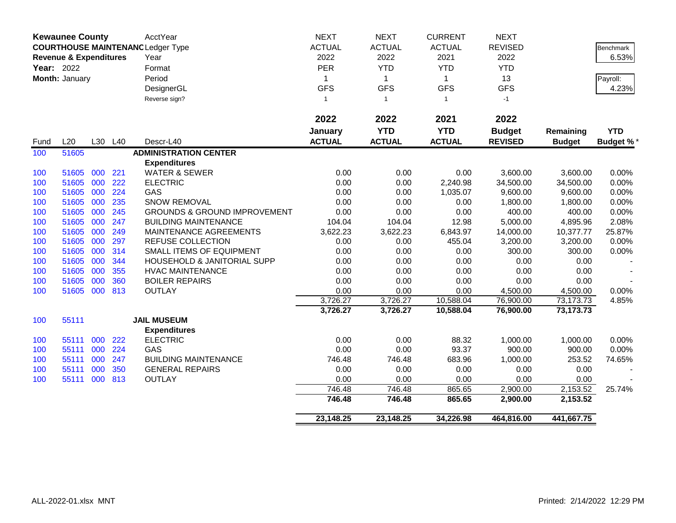|            | <b>Kewaunee County</b>            |     |     | <b>AcctYear</b>                          | <b>NEXT</b>   | <b>NEXT</b>    | <b>CURRENT</b> | <b>NEXT</b>    |               |                  |
|------------|-----------------------------------|-----|-----|------------------------------------------|---------------|----------------|----------------|----------------|---------------|------------------|
|            |                                   |     |     | <b>COURTHOUSE MAINTENANC Ledger Type</b> | <b>ACTUAL</b> | <b>ACTUAL</b>  | <b>ACTUAL</b>  | <b>REVISED</b> |               | <b>Benchmark</b> |
|            | <b>Revenue &amp; Expenditures</b> |     |     | Year                                     | 2022          | 2022           | 2021           | 2022           |               | 6.53%            |
| Year: 2022 |                                   |     |     | Format                                   | PER           | <b>YTD</b>     | <b>YTD</b>     | <b>YTD</b>     |               |                  |
|            | Month: January                    |     |     | Period                                   | 1             | $\overline{1}$ | $\mathbf{1}$   | 13             |               | Payroll:         |
|            |                                   |     |     | DesignerGL                               | <b>GFS</b>    | <b>GFS</b>     | <b>GFS</b>     | <b>GFS</b>     |               | 4.23%            |
|            |                                   |     |     | Reverse sign?                            | $\mathbf{1}$  | $\overline{1}$ | $\mathbf{1}$   | $-1$           |               |                  |
|            |                                   |     |     |                                          |               |                |                |                |               |                  |
|            |                                   |     |     |                                          | 2022          | 2022           | 2021           | 2022           |               |                  |
|            |                                   |     |     |                                          | January       | <b>YTD</b>     | <b>YTD</b>     | <b>Budget</b>  | Remaining     | <b>YTD</b>       |
| Fund       | L20                               | L30 | L40 | Descr-L40                                | <b>ACTUAL</b> | <b>ACTUAL</b>  | <b>ACTUAL</b>  | <b>REVISED</b> | <b>Budget</b> | <b>Budget %*</b> |
| 100        | 51605                             |     |     | <b>ADMINISTRATION CENTER</b>             |               |                |                |                |               |                  |
|            |                                   |     |     | <b>Expenditures</b>                      |               |                |                |                |               |                  |
| 100        | 51605                             | 000 | 221 | <b>WATER &amp; SEWER</b>                 | 0.00          | 0.00           | 0.00           | 3,600.00       | 3,600.00      | 0.00%            |
| 100        | 51605                             | 000 | 222 | <b>ELECTRIC</b>                          | 0.00          | 0.00           | 2,240.98       | 34,500.00      | 34,500.00     | 0.00%            |
| 100        | 51605                             | 000 | 224 | GAS                                      | 0.00          | 0.00           | 1,035.07       | 9,600.00       | 9,600.00      | 0.00%            |
| 100        | 51605                             | 000 | 235 | SNOW REMOVAL                             | 0.00          | 0.00           | 0.00           | 1,800.00       | 1,800.00      | 0.00%            |
| 100        | 51605                             | 000 | 245 | <b>GROUNDS &amp; GROUND IMPROVEMENT</b>  | 0.00          | 0.00           | 0.00           | 400.00         | 400.00        | 0.00%            |
| 100        | 51605                             | 000 | 247 | <b>BUILDING MAINTENANCE</b>              | 104.04        | 104.04         | 12.98          | 5,000.00       | 4,895.96      | 2.08%            |
| 100        | 51605                             | 000 | 249 | MAINTENANCE AGREEMENTS                   | 3,622.23      | 3,622.23       | 6,843.97       | 14,000.00      | 10,377.77     | 25.87%           |
| 100        | 51605                             | 000 | 297 | REFUSE COLLECTION                        | 0.00          | 0.00           | 455.04         | 3,200.00       | 3,200.00      | 0.00%            |
| 100        | 51605                             | 000 | 314 | SMALL ITEMS OF EQUIPMENT                 | 0.00          | 0.00           | 0.00           | 300.00         | 300.00        | 0.00%            |
| 100        | 51605                             | 000 | 344 | HOUSEHOLD & JANITORIAL SUPP              | 0.00          | 0.00           | 0.00           | 0.00           | 0.00          |                  |
| 100        | 51605                             | 000 | 355 | <b>HVAC MAINTENANCE</b>                  | 0.00          | 0.00           | 0.00           | 0.00           | 0.00          |                  |
| 100        | 51605                             | 000 | 360 | <b>BOILER REPAIRS</b>                    | 0.00          | 0.00           | 0.00           | 0.00           | 0.00          |                  |
| 100        | 51605                             | 000 | 813 | <b>OUTLAY</b>                            | 0.00          | 0.00           | 0.00           | 4,500.00       | 4,500.00      | 0.00%            |
|            |                                   |     |     |                                          | 3,726.27      | 3,726.27       | 10,588.04      | 76,900.00      | 73, 173. 73   | 4.85%            |
|            |                                   |     |     |                                          | 3,726.27      | 3,726.27       | 10,588.04      | 76,900.00      | 73,173.73     |                  |
| 100        | 55111                             |     |     | <b>JAIL MUSEUM</b>                       |               |                |                |                |               |                  |
|            |                                   |     |     | <b>Expenditures</b>                      |               |                |                |                |               |                  |
| 100        | 55111                             | 000 | 222 | <b>ELECTRIC</b>                          | 0.00          | 0.00           | 88.32          | 1,000.00       | 1,000.00      | 0.00%            |
| 100        | 55111                             | 000 | 224 | GAS                                      | 0.00          | 0.00           | 93.37          | 900.00         | 900.00        | 0.00%            |
| 100        | 55111                             | 000 | 247 | <b>BUILDING MAINTENANCE</b>              | 746.48        | 746.48         | 683.96         | 1,000.00       | 253.52        | 74.65%           |
| 100        | 55111                             | 000 | 350 | <b>GENERAL REPAIRS</b>                   | 0.00          | 0.00           | 0.00           | 0.00           | 0.00          |                  |
| 100        | 55111                             | 000 | 813 | <b>OUTLAY</b>                            | 0.00          | 0.00           | 0.00           | 0.00           | 0.00          |                  |
|            |                                   |     |     |                                          | 746.48        | 746.48         | 865.65         | 2,900.00       | 2,153.52      | 25.74%           |
|            |                                   |     |     |                                          | 746.48        | 746.48         | 865.65         | 2,900.00       | 2,153.52      |                  |
|            |                                   |     |     |                                          | 23,148.25     | 23,148.25      | 34,226.98      | 464,816.00     | 441,667.75    |                  |
|            |                                   |     |     |                                          |               |                |                |                |               |                  |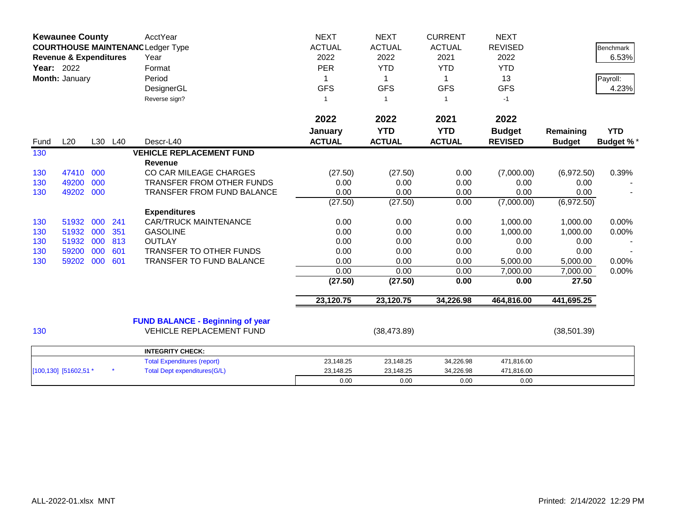|      | <b>Kewaunee County</b>                                                        |     |         | AcctYear                                | <b>NEXT</b>   | <b>NEXT</b>   | <b>CURRENT</b> | <b>NEXT</b>    |               |                  |
|------|-------------------------------------------------------------------------------|-----|---------|-----------------------------------------|---------------|---------------|----------------|----------------|---------------|------------------|
|      | <b>COURTHOUSE MAINTENANC Ledger Type</b><br><b>Revenue &amp; Expenditures</b> |     |         |                                         | <b>ACTUAL</b> | <b>ACTUAL</b> | <b>ACTUAL</b>  | <b>REVISED</b> |               | <b>Benchmark</b> |
|      |                                                                               |     |         | Year                                    | 2022          | 2022          | 2021           | 2022           |               | 6.53%            |
|      | Year: 2022                                                                    |     |         | Format                                  | <b>PER</b>    | <b>YTD</b>    | <b>YTD</b>     | <b>YTD</b>     |               |                  |
|      | Month: January                                                                |     |         | Period                                  | 1             | $\mathbf 1$   | $\mathbf 1$    | 13             |               | Payroll:         |
|      |                                                                               |     |         | DesignerGL                              | <b>GFS</b>    | <b>GFS</b>    | <b>GFS</b>     | <b>GFS</b>     |               | 4.23%            |
|      |                                                                               |     |         | Reverse sign?                           | -1            | -1            | $\mathbf{1}$   | $-1$           |               |                  |
|      |                                                                               |     |         |                                         | 2022          | 2022          | 2021           | 2022           |               |                  |
|      |                                                                               |     |         |                                         | January       | <b>YTD</b>    | <b>YTD</b>     | <b>Budget</b>  | Remaining     | <b>YTD</b>       |
| Fund | L20                                                                           |     | L30 L40 | Descr-L40                               | <b>ACTUAL</b> | <b>ACTUAL</b> | <b>ACTUAL</b>  | <b>REVISED</b> | <b>Budget</b> | <b>Budget %*</b> |
| 130  |                                                                               |     |         | <b>VEHICLE REPLACEMENT FUND</b>         |               |               |                |                |               |                  |
|      |                                                                               |     |         | <b>Revenue</b>                          |               |               |                |                |               |                  |
| 130  | 47410                                                                         | 000 |         | CO CAR MILEAGE CHARGES                  | (27.50)       | (27.50)       | 0.00           | (7,000.00)     | (6,972.50)    | 0.39%            |
| 130  | 49200                                                                         | 000 |         | TRANSFER FROM OTHER FUNDS               | 0.00          | 0.00          | 0.00           | 0.00           | 0.00          |                  |
| 130  | 49202                                                                         | 000 |         | <b>TRANSFER FROM FUND BALANCE</b>       | 0.00          | 0.00          | 0.00           | 0.00           | 0.00          |                  |
|      |                                                                               |     |         |                                         | (27.50)       | (27.50)       | 0.00           | (7,000.00)     | (6,972.50)    |                  |
|      |                                                                               |     |         | <b>Expenditures</b>                     |               |               |                |                |               |                  |
| 130  | 51932                                                                         | 000 | 241     | <b>CAR/TRUCK MAINTENANCE</b>            | 0.00          | 0.00          | 0.00           | 1,000.00       | 1,000.00      | 0.00%            |
| 130  | 51932                                                                         | 000 | 351     | <b>GASOLINE</b>                         | 0.00          | 0.00          | 0.00           | 1,000.00       | 1,000.00      | 0.00%            |
| 130  | 51932                                                                         | 000 | 813     | <b>OUTLAY</b>                           | 0.00          | 0.00          | 0.00           | 0.00           | 0.00          |                  |
| 130  | 59200                                                                         | 000 | 601     | <b>TRANSFER TO OTHER FUNDS</b>          | 0.00          | 0.00          | 0.00           | 0.00           | 0.00          |                  |
| 130  | 59202                                                                         | 000 | 601     | TRANSFER TO FUND BALANCE                | 0.00          | 0.00          | 0.00           | 5,000.00       | 5,000.00      | 0.00%            |
|      |                                                                               |     |         |                                         | 0.00          | 0.00          | 0.00           | 7,000.00       | 7,000.00      | 0.00%            |
|      |                                                                               |     |         |                                         | (27.50)       | (27.50)       | 0.00           | 0.00           | 27.50         |                  |
|      |                                                                               |     |         |                                         | 23,120.75     | 23,120.75     | 34,226.98      | 464,816.00     | 441,695.25    |                  |
|      |                                                                               |     |         | <b>FUND BALANCE - Beginning of year</b> |               |               |                |                |               |                  |
| 130  |                                                                               |     |         | <b>VEHICLE REPLACEMENT FUND</b>         |               | (38, 473.89)  |                |                | (38, 501.39)  |                  |
|      |                                                                               |     |         | <b>INTEGRITY CHECK:</b>                 |               |               |                |                |               |                  |
|      |                                                                               |     |         | <b>Total Expenditures (report)</b>      | 23,148.25     | 23,148.25     | 34,226.98      | 471,816.00     |               |                  |
|      | [100,130] [51602,51 *                                                         |     |         | <b>Total Dept expenditures(G/L)</b>     | 23,148.25     | 23,148.25     | 34,226.98      | 471,816.00     |               |                  |
|      |                                                                               |     |         |                                         | 0.00          | 0.00          | 0.00           | 0.00           |               |                  |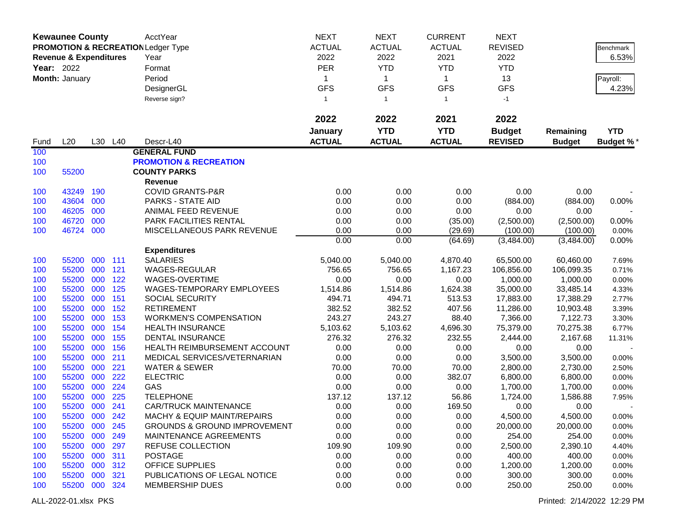|      | <b>Kewaunee County</b>            |     |         | AcctYear                                      | <b>NEXT</b>   | <b>NEXT</b>     | <b>CURRENT</b>            | <b>NEXT</b>    |               |            |
|------|-----------------------------------|-----|---------|-----------------------------------------------|---------------|-----------------|---------------------------|----------------|---------------|------------|
|      |                                   |     |         | <b>PROMOTION &amp; RECREATION Ledger Type</b> | <b>ACTUAL</b> | <b>ACTUAL</b>   | <b>ACTUAL</b>             | <b>REVISED</b> |               | Benchmark  |
|      | <b>Revenue &amp; Expenditures</b> |     |         | Year                                          | 2022          | 2022            | 2021                      | 2022           |               | 6.53%      |
|      | <b>Year: 2022</b>                 |     |         | Format                                        | <b>PER</b>    | <b>YTD</b>      | <b>YTD</b>                | <b>YTD</b>     |               |            |
|      |                                   |     |         | Period                                        | 1             |                 |                           | 13             |               |            |
|      | Month: January                    |     |         |                                               | <b>GFS</b>    | 1<br><b>GFS</b> | $\mathbf 1$<br><b>GFS</b> | <b>GFS</b>     |               | Payroll:   |
|      |                                   |     |         | DesignerGL                                    |               |                 |                           |                |               | 4.23%      |
|      |                                   |     |         | Reverse sign?                                 | $\mathbf{1}$  | $\mathbf{1}$    | $\mathbf{1}$              | $-1$           |               |            |
|      |                                   |     |         |                                               | 2022          | 2022            | 2021                      | 2022           |               |            |
|      |                                   |     |         |                                               | January       | <b>YTD</b>      | <b>YTD</b>                | <b>Budget</b>  | Remaining     | <b>YTD</b> |
| Fund | L20                               |     | L30 L40 | Descr-L40                                     | <b>ACTUAL</b> | <b>ACTUAL</b>   | <b>ACTUAL</b>             | <b>REVISED</b> | <b>Budget</b> | Budget %*  |
| 100  |                                   |     |         | <b>GENERAL FUND</b>                           |               |                 |                           |                |               |            |
| 100  |                                   |     |         | <b>PROMOTION &amp; RECREATION</b>             |               |                 |                           |                |               |            |
| 100  | 55200                             |     |         | <b>COUNTY PARKS</b>                           |               |                 |                           |                |               |            |
|      |                                   |     |         | Revenue                                       |               |                 |                           |                |               |            |
| 100  | 43249                             | 190 |         | <b>COVID GRANTS-P&amp;R</b>                   | 0.00          | 0.00            | 0.00                      | 0.00           | 0.00          |            |
| 100  | 43604                             | 000 |         | PARKS - STATE AID                             | 0.00          | 0.00            | 0.00                      | (884.00)       | (884.00)      | 0.00%      |
| 100  | 46205                             | 000 |         | ANIMAL FEED REVENUE                           | 0.00          | 0.00            | 0.00                      | 0.00           | 0.00          |            |
| 100  | 46720                             | 000 |         | PARK FACILITIES RENTAL                        | 0.00          | 0.00            | (35.00)                   | (2,500.00)     | (2,500.00)    | 0.00%      |
| 100  | 46724                             | 000 |         | MISCELLANEOUS PARK REVENUE                    | 0.00          | 0.00            | (29.69)                   | (100.00)       | (100.00)      | 0.00%      |
|      |                                   |     |         |                                               | 0.00          | 0.00            | (64.69)                   | (3,484.00)     | (3,484.00)    | 0.00%      |
|      |                                   |     |         | <b>Expenditures</b>                           |               |                 |                           |                |               |            |
| 100  | 55200                             | 000 | 111     | <b>SALARIES</b>                               | 5,040.00      | 5,040.00        | 4,870.40                  | 65,500.00      | 60,460.00     | 7.69%      |
| 100  | 55200                             | 000 | 121     | WAGES-REGULAR                                 | 756.65        | 756.65          | 1,167.23                  | 106,856.00     | 106,099.35    | 0.71%      |
| 100  | 55200                             | 000 | 122     | WAGES-OVERTIME                                | 0.00          | 0.00            | 0.00                      | 1,000.00       | 1,000.00      | 0.00%      |
| 100  | 55200                             | 000 | 125     | WAGES-TEMPORARY EMPLOYEES                     | 1,514.86      | 1,514.86        | 1,624.38                  | 35,000.00      | 33,485.14     | 4.33%      |
| 100  | 55200                             | 000 | 151     | <b>SOCIAL SECURITY</b>                        | 494.71        | 494.71          | 513.53                    | 17,883.00      | 17,388.29     | 2.77%      |
| 100  | 55200                             | 000 | 152     | <b>RETIREMENT</b>                             | 382.52        | 382.52          | 407.56                    | 11,286.00      | 10,903.48     | 3.39%      |
| 100  | 55200                             | 000 | 153     | <b>WORKMEN'S COMPENSATION</b>                 | 243.27        | 243.27          | 88.40                     | 7,366.00       | 7,122.73      | 3.30%      |
| 100  | 55200                             | 000 | 154     | <b>HEALTH INSURANCE</b>                       | 5,103.62      | 5,103.62        | 4,696.30                  | 75,379.00      | 70,275.38     | 6.77%      |
| 100  | 55200                             | 000 | 155     | <b>DENTAL INSURANCE</b>                       | 276.32        | 276.32          | 232.55                    | 2,444.00       | 2,167.68      | 11.31%     |
| 100  | 55200                             | 000 | 156     | HEALTH REIMBURSEMENT ACCOUNT                  | 0.00          | 0.00            | 0.00                      | 0.00           | 0.00          |            |
| 100  | 55200                             | 000 | 211     | MEDICAL SERVICES/VETERNARIAN                  | 0.00          | 0.00            | 0.00                      | 3,500.00       | 3,500.00      | 0.00%      |
| 100  | 55200                             | 000 | 221     | <b>WATER &amp; SEWER</b>                      | 70.00         | 70.00           | 70.00                     | 2,800.00       | 2,730.00      | 2.50%      |
| 100  | 55200                             | 000 | 222     | <b>ELECTRIC</b>                               | 0.00          | 0.00            | 382.07                    | 6,800.00       | 6,800.00      | 0.00%      |
| 100  | 55200                             | 000 | 224     | GAS                                           | 0.00          | 0.00            | 0.00                      | 1,700.00       | 1,700.00      | 0.00%      |
| 100  | 55200                             | 000 | 225     | <b>TELEPHONE</b>                              | 137.12        | 137.12          | 56.86                     | 1,724.00       | 1,586.88      | 7.95%      |
| 100  | 55200 000                         |     | 241     | <b>CAR/TRUCK MAINTENANCE</b>                  | 0.00          | 0.00            | 169.50                    | 0.00           | 0.00          |            |
| 100  | 55200 000                         |     | 242     | MACHY & EQUIP MAINT/REPAIRS                   | 0.00          | 0.00            | 0.00                      | 4,500.00       | 4,500.00      | 0.00%      |
| 100  | 55200 000                         |     | 245     | <b>GROUNDS &amp; GROUND IMPROVEMENT</b>       | 0.00          | 0.00            | 0.00                      | 20,000.00      | 20,000.00     | 0.00%      |
| 100  | 55200 000                         |     | 249     | MAINTENANCE AGREEMENTS                        | 0.00          | 0.00            | 0.00                      | 254.00         | 254.00        | 0.00%      |
| 100  | 55200 000                         |     | 297     | REFUSE COLLECTION                             | 109.90        | 109.90          | 0.00                      | 2,500.00       | 2,390.10      | 4.40%      |
| 100  | 55200 000                         |     | 311     | <b>POSTAGE</b>                                | 0.00          | 0.00            | 0.00                      | 400.00         | 400.00        | 0.00%      |
| 100  | 55200 000                         |     | 312     | <b>OFFICE SUPPLIES</b>                        | 0.00          | 0.00            | 0.00                      | 1,200.00       | 1,200.00      | 0.00%      |
| 100  | 55200 000                         |     | 321     | PUBLICATIONS OF LEGAL NOTICE                  | 0.00          | 0.00            | 0.00                      | 300.00         | 300.00        | 0.00%      |
| 100  | 55200 000 324                     |     |         | <b>MEMBERSHIP DUES</b>                        | 0.00          | 0.00            | 0.00                      | 250.00         | 250.00        | 0.00%      |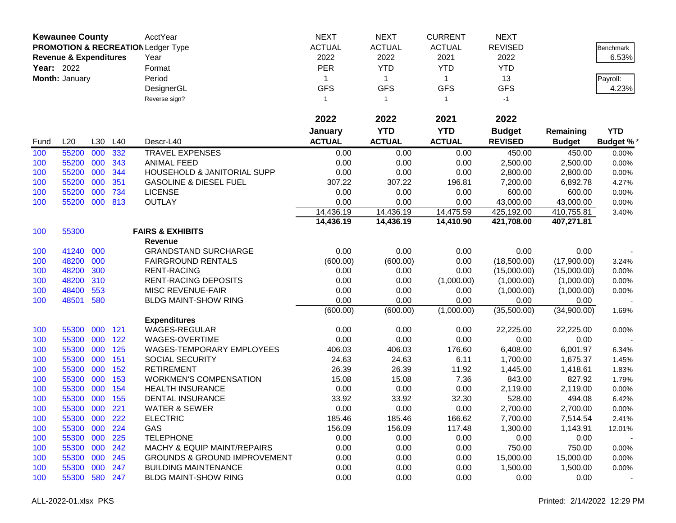|                   | <b>Kewaunee County</b>            |     |         | AcctYear                                      | <b>NEXT</b>   | <b>NEXT</b>   | <b>CURRENT</b> | <b>NEXT</b>    |               |                  |
|-------------------|-----------------------------------|-----|---------|-----------------------------------------------|---------------|---------------|----------------|----------------|---------------|------------------|
|                   |                                   |     |         | <b>PROMOTION &amp; RECREATION Ledger Type</b> | <b>ACTUAL</b> | <b>ACTUAL</b> | <b>ACTUAL</b>  | <b>REVISED</b> |               | Benchmark        |
|                   | <b>Revenue &amp; Expenditures</b> |     |         | Year                                          | 2022          | 2022          | 2021           | 2022           |               | 6.53%            |
| <b>Year: 2022</b> |                                   |     |         | Format                                        | <b>PER</b>    | <b>YTD</b>    | <b>YTD</b>     | <b>YTD</b>     |               |                  |
|                   | Month: January                    |     |         | Period                                        | 1             | $\mathbf{1}$  | $\mathbf 1$    | 13             |               | Payroll:         |
|                   |                                   |     |         | DesignerGL                                    | <b>GFS</b>    | <b>GFS</b>    | <b>GFS</b>     | <b>GFS</b>     |               | 4.23%            |
|                   |                                   |     |         | Reverse sign?                                 | $\mathbf{1}$  | $\mathbf{1}$  | $\mathbf{1}$   | $-1$           |               |                  |
|                   |                                   |     |         |                                               |               |               |                |                |               |                  |
|                   |                                   |     |         |                                               | 2022          | 2022          | 2021           | 2022           |               |                  |
|                   |                                   |     |         |                                               | January       | <b>YTD</b>    | <b>YTD</b>     | <b>Budget</b>  | Remaining     | <b>YTD</b>       |
| Fund              | L20                               | L30 | L40     | Descr-L40                                     | <b>ACTUAL</b> | <b>ACTUAL</b> | <b>ACTUAL</b>  | <b>REVISED</b> | <b>Budget</b> | <b>Budget %*</b> |
| 100               | 55200                             | 000 | 332     | <b>TRAVEL EXPENSES</b>                        | 0.00          | 0.00          | 0.00           | 450.00         | 450.00        | 0.00%            |
| 100               | 55200                             | 000 | 343     | <b>ANIMAL FEED</b>                            | 0.00          | 0.00          | 0.00           | 2,500.00       | 2,500.00      | 0.00%            |
| 100               | 55200                             | 000 | 344     | HOUSEHOLD & JANITORIAL SUPP                   | 0.00          | 0.00          | 0.00           | 2,800.00       | 2,800.00      | 0.00%            |
| 100               | 55200                             | 000 | 351     | <b>GASOLINE &amp; DIESEL FUEL</b>             | 307.22        | 307.22        | 196.81         | 7,200.00       | 6,892.78      | 4.27%            |
| 100               | 55200                             | 000 | 734     | <b>LICENSE</b>                                | 0.00          | 0.00          | 0.00           | 600.00         | 600.00        | 0.00%            |
| 100               | 55200                             | 000 | 813     | <b>OUTLAY</b>                                 | 0.00          | 0.00          | 0.00           | 43,000.00      | 43,000.00     | 0.00%            |
|                   |                                   |     |         |                                               | 14,436.19     | 14,436.19     | 14,475.59      | 425,192.00     | 410,755.81    | 3.40%            |
|                   |                                   |     |         |                                               | 14,436.19     | 14,436.19     | 14,410.90      | 421,708.00     | 407,271.81    |                  |
| 100               | 55300                             |     |         | <b>FAIRS &amp; EXHIBITS</b>                   |               |               |                |                |               |                  |
|                   |                                   |     |         | <b>Revenue</b>                                |               |               |                |                |               |                  |
| 100               | 41240                             | 000 |         | <b>GRANDSTAND SURCHARGE</b>                   | 0.00          | 0.00          | 0.00           | 0.00           | 0.00          |                  |
| 100               | 48200                             | 000 |         | <b>FAIRGROUND RENTALS</b>                     | (600.00)      | (600.00)      | 0.00           | (18,500.00)    | (17,900.00)   | 3.24%            |
| 100               | 48200                             | 300 |         | <b>RENT-RACING</b>                            | 0.00          | 0.00          | 0.00           | (15,000.00)    | (15,000.00)   | 0.00%            |
| 100               | 48200                             | 310 |         | <b>RENT-RACING DEPOSITS</b>                   | 0.00          | 0.00          | (1,000.00)     | (1,000.00)     | (1,000.00)    | 0.00%            |
| 100               | 48400                             | 553 |         | MISC REVENUE-FAIR                             | 0.00          | 0.00          | 0.00           | (1,000.00)     | (1,000.00)    | 0.00%            |
| 100               | 48501                             | 580 |         | <b>BLDG MAINT-SHOW RING</b>                   | 0.00          | 0.00          | 0.00           | 0.00           | 0.00          |                  |
|                   |                                   |     |         |                                               | (600.00)      | (600.00)      | (1,000.00)     | (35,500.00)    | (34,900.00)   | 1.69%            |
|                   |                                   |     |         | <b>Expenditures</b>                           |               |               |                |                |               |                  |
| 100               | 55300                             | 000 | 121     | <b>WAGES-REGULAR</b>                          | 0.00          | 0.00          | 0.00           | 22,225.00      | 22,225.00     | 0.00%            |
| 100               | 55300                             | 000 | 122     | WAGES-OVERTIME                                | 0.00          | 0.00          | 0.00           | 0.00           | 0.00          |                  |
| 100               | 55300                             | 000 | 125     | WAGES-TEMPORARY EMPLOYEES                     | 406.03        | 406.03        | 176.60         | 6,408.00       | 6,001.97      | 6.34%            |
| 100               | 55300                             | 000 | 151     | SOCIAL SECURITY                               | 24.63         | 24.63         | 6.11           | 1,700.00       | 1,675.37      | 1.45%            |
| 100               | 55300                             | 000 | 152     | <b>RETIREMENT</b>                             | 26.39         | 26.39         | 11.92          | 1,445.00       | 1,418.61      | 1.83%            |
| 100               | 55300                             | 000 | 153     | <b>WORKMEN'S COMPENSATION</b>                 | 15.08         | 15.08         | 7.36           | 843.00         | 827.92        | 1.79%            |
| 100               | 55300                             | 000 | 154     | <b>HEALTH INSURANCE</b>                       | 0.00          | 0.00          | 0.00           | 2,119.00       | 2,119.00      | 0.00%            |
| 100               | 55300                             | 000 | 155     | DENTAL INSURANCE                              | 33.92         | 33.92         | 32.30          | 528.00         | 494.08        | 6.42%            |
| 100               | 55300                             | 000 | 221     | <b>WATER &amp; SEWER</b>                      | 0.00          | 0.00          | 0.00           | 2,700.00       | 2,700.00      | 0.00%            |
| 100               | 55300                             | 000 | 222     | <b>ELECTRIC</b>                               | 185.46        | 185.46        | 166.62         | 7,700.00       | 7,514.54      | 2.41%            |
| 100               | 55300                             | 000 | 224     | GAS                                           | 156.09        | 156.09        | 117.48         | 1,300.00       | 1,143.91      | 12.01%           |
| 100               | 55300                             | 000 | 225     | <b>TELEPHONE</b>                              | 0.00          | 0.00          | 0.00           | 0.00           | 0.00          |                  |
| 100               | 55300                             |     | 000 242 | <b>MACHY &amp; EQUIP MAINT/REPAIRS</b>        | 0.00          | 0.00          | 0.00           | 750.00         | 750.00        | 0.00%            |
| 100               | 55300                             | 000 | 245     | <b>GROUNDS &amp; GROUND IMPROVEMENT</b>       | 0.00          | 0.00          | 0.00           | 15,000.00      | 15,000.00     | 0.00%            |
| 100               | 55300                             | 000 | 247     | <b>BUILDING MAINTENANCE</b>                   | 0.00          | 0.00          | 0.00           | 1,500.00       | 1,500.00      | 0.00%            |
| 100               | 55300                             |     | 580 247 | <b>BLDG MAINT-SHOW RING</b>                   | 0.00          | 0.00          | 0.00           | 0.00           | 0.00          |                  |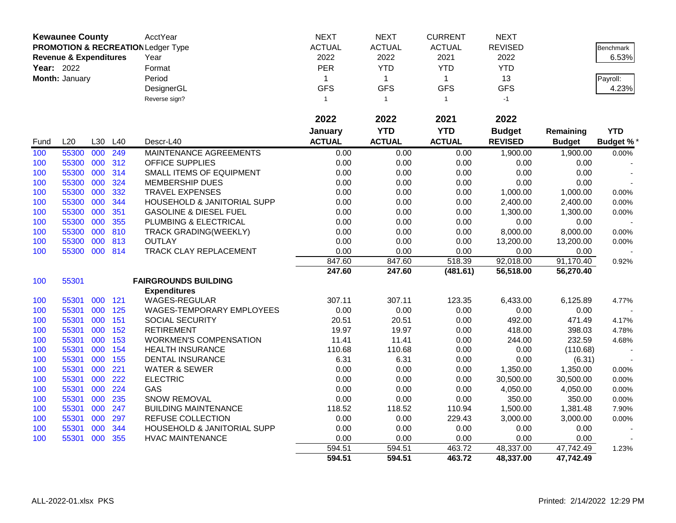|                   | <b>Kewaunee County</b>            |         |     | AcctYear                                      | <b>NEXT</b>   | <b>NEXT</b>   | <b>CURRENT</b> | <b>NEXT</b>    |               |                  |
|-------------------|-----------------------------------|---------|-----|-----------------------------------------------|---------------|---------------|----------------|----------------|---------------|------------------|
|                   |                                   |         |     | <b>PROMOTION &amp; RECREATION Ledger Type</b> | <b>ACTUAL</b> | <b>ACTUAL</b> | <b>ACTUAL</b>  | <b>REVISED</b> |               | <b>Benchmark</b> |
|                   | <b>Revenue &amp; Expenditures</b> |         |     | Year                                          | 2022          | 2022          | 2021           | 2022           |               | 6.53%            |
| <b>Year: 2022</b> |                                   |         |     | Format                                        | <b>PER</b>    | <b>YTD</b>    | <b>YTD</b>     | <b>YTD</b>     |               |                  |
|                   | Month: January                    |         |     | Period                                        | $\mathbf{1}$  | $\mathbf{1}$  | $\mathbf{1}$   | 13             |               | Payroll:         |
|                   |                                   |         |     | DesignerGL                                    | <b>GFS</b>    | <b>GFS</b>    | <b>GFS</b>     | <b>GFS</b>     |               | 4.23%            |
|                   |                                   |         |     | Reverse sign?                                 | $\mathbf{1}$  | $\mathbf{1}$  | $\mathbf{1}$   | $-1$           |               |                  |
|                   |                                   |         |     |                                               |               |               |                |                |               |                  |
|                   |                                   |         |     |                                               | 2022          | 2022          | 2021           | 2022           |               |                  |
|                   |                                   |         |     |                                               | January       | <b>YTD</b>    | <b>YTD</b>     | <b>Budget</b>  | Remaining     | <b>YTD</b>       |
| Fund              | L20                               | L30     | L40 | Descr-L40                                     | <b>ACTUAL</b> | <b>ACTUAL</b> | <b>ACTUAL</b>  | <b>REVISED</b> | <b>Budget</b> | <b>Budget %*</b> |
| 100               | 55300                             | 000     | 249 | MAINTENANCE AGREEMENTS                        | 0.00          | 0.00          | 0.00           | 1,900.00       | 1,900.00      | 0.00%            |
| 100               | 55300                             | 000     | 312 | <b>OFFICE SUPPLIES</b>                        | 0.00          | 0.00          | 0.00           | 0.00           | 0.00          |                  |
| 100               | 55300                             | 000     | 314 | SMALL ITEMS OF EQUIPMENT                      | 0.00          | 0.00          | 0.00           | 0.00           | 0.00          |                  |
| 100               | 55300                             | 000     | 324 | <b>MEMBERSHIP DUES</b>                        | 0.00          | 0.00          | 0.00           | 0.00           | 0.00          |                  |
| 100               | 55300                             | 000     | 332 | TRAVEL EXPENSES                               | 0.00          | 0.00          | 0.00           | 1,000.00       | 1,000.00      | 0.00%            |
| 100               | 55300                             | 000     | 344 | <b>HOUSEHOLD &amp; JANITORIAL SUPP</b>        | 0.00          | 0.00          | 0.00           | 2,400.00       | 2,400.00      | 0.00%            |
| 100               | 55300                             | 000     | 351 | <b>GASOLINE &amp; DIESEL FUEL</b>             | 0.00          | 0.00          | 0.00           | 1,300.00       | 1,300.00      | 0.00%            |
| 100               | 55300                             | 000     | 355 | PLUMBING & ELECTRICAL                         | 0.00          | 0.00          | 0.00           | 0.00           | 0.00          |                  |
| 100               | 55300                             | 000     | 810 | <b>TRACK GRADING(WEEKLY)</b>                  | 0.00          | 0.00          | 0.00           | 8,000.00       | 8,000.00      | 0.00%            |
| 100               | 55300                             | 000 813 |     | <b>OUTLAY</b>                                 | 0.00          | 0.00          | 0.00           | 13,200.00      | 13,200.00     | 0.00%            |
| 100               | 55300 000 814                     |         |     | TRACK CLAY REPLACEMENT                        | 0.00          | 0.00          | 0.00           | 0.00           | 0.00          |                  |
|                   |                                   |         |     |                                               | 847.60        | 847.60        | 518.39         | 92,018.00      | 91,170.40     | 0.92%            |
|                   |                                   |         |     |                                               | 247.60        | 247.60        | (481.61)       | 56,518.00      | 56,270.40     |                  |
| 100               | 55301                             |         |     | <b>FAIRGROUNDS BUILDING</b>                   |               |               |                |                |               |                  |
|                   |                                   |         |     | <b>Expenditures</b>                           |               |               |                |                |               |                  |
| 100               | 55301                             | 000     | 121 | <b>WAGES-REGULAR</b>                          | 307.11        | 307.11        | 123.35         | 6,433.00       | 6,125.89      | 4.77%            |
| 100               | 55301                             | 000     | 125 | WAGES-TEMPORARY EMPLOYEES                     | 0.00          | 0.00          | 0.00           | 0.00           | 0.00          |                  |
| 100               | 55301                             | 000     | 151 | SOCIAL SECURITY                               | 20.51         | 20.51         | 0.00           | 492.00         | 471.49        | 4.17%            |
| 100               | 55301                             | 000     | 152 | <b>RETIREMENT</b>                             | 19.97         | 19.97         | 0.00           | 418.00         | 398.03        | 4.78%            |
| 100               | 55301                             | 000     | 153 | <b>WORKMEN'S COMPENSATION</b>                 | 11.41         | 11.41         | 0.00           | 244.00         | 232.59        | 4.68%            |
| 100               | 55301                             | 000     | 154 | <b>HEALTH INSURANCE</b>                       | 110.68        | 110.68        | 0.00           | 0.00           | (110.68)      |                  |
| 100               | 55301                             | 000     | 155 | <b>DENTAL INSURANCE</b>                       | 6.31          | 6.31          | 0.00           | 0.00           | (6.31)        |                  |
| 100               | 55301                             | 000     | 221 | <b>WATER &amp; SEWER</b>                      | 0.00          | 0.00          | 0.00           | 1,350.00       | 1,350.00      | 0.00%            |
| 100               | 55301                             | 000     | 222 | <b>ELECTRIC</b>                               | 0.00          | 0.00          | 0.00           | 30,500.00      | 30,500.00     | 0.00%            |
| 100               | 55301                             | 000     | 224 | GAS                                           | 0.00          | 0.00          | 0.00           | 4,050.00       | 4,050.00      | 0.00%            |
| 100               | 55301                             | 000     | 235 | SNOW REMOVAL                                  | 0.00          | 0.00          | 0.00           | 350.00         | 350.00        | 0.00%            |
| 100               | 55301                             | 000     | 247 | <b>BUILDING MAINTENANCE</b>                   | 118.52        | 118.52        | 110.94         | 1,500.00       | 1,381.48      | 7.90%            |
| 100               | 55301                             | 000     | 297 | REFUSE COLLECTION                             | 0.00          | 0.00          | 229.43         | 3,000.00       | 3,000.00      | 0.00%            |
| 100               | 55301                             | 000     | 344 | HOUSEHOLD & JANITORIAL SUPP                   | 0.00          | 0.00          | 0.00           | 0.00           | 0.00          |                  |
| 100               | 55301                             | 000     | 355 | <b>HVAC MAINTENANCE</b>                       | 0.00          | 0.00          | 0.00           | 0.00           | 0.00          |                  |
|                   |                                   |         |     |                                               | 594.51        | 594.51        | 463.72         | 48,337.00      | 47,742.49     | 1.23%            |
|                   |                                   |         |     |                                               | 594.51        | 594.51        | 463.72         | 48,337.00      | 47,742.49     |                  |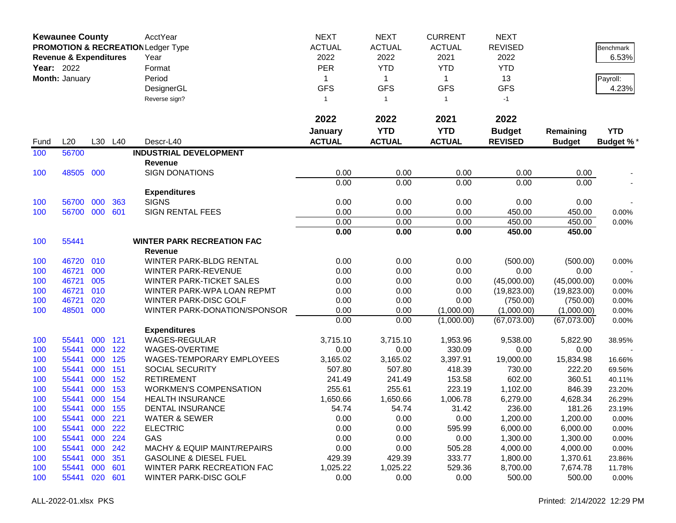|      | <b>Kewaunee County</b>            |     |         | AcctYear                                      | <b>NEXT</b>   | <b>NEXT</b>   | <b>CURRENT</b> | <b>NEXT</b>    |               |                  |
|------|-----------------------------------|-----|---------|-----------------------------------------------|---------------|---------------|----------------|----------------|---------------|------------------|
|      |                                   |     |         | <b>PROMOTION &amp; RECREATION Ledger Type</b> | <b>ACTUAL</b> | <b>ACTUAL</b> | <b>ACTUAL</b>  | <b>REVISED</b> |               | <b>Benchmark</b> |
|      | <b>Revenue &amp; Expenditures</b> |     |         | Year                                          | 2022          | 2022          | 2021           | 2022           |               | 6.53%            |
|      | <b>Year: 2022</b>                 |     |         | Format                                        | <b>PER</b>    | <b>YTD</b>    | <b>YTD</b>     | <b>YTD</b>     |               |                  |
|      | Month: January                    |     |         | Period                                        | 1             | $\mathbf{1}$  | $\mathbf 1$    | 13             |               | Payroll:         |
|      |                                   |     |         | DesignerGL                                    | <b>GFS</b>    | <b>GFS</b>    | <b>GFS</b>     | <b>GFS</b>     |               | 4.23%            |
|      |                                   |     |         | Reverse sign?                                 | $\mathbf{1}$  | $\mathbf{1}$  | $\mathbf{1}$   | $-1$           |               |                  |
|      |                                   |     |         |                                               |               |               |                |                |               |                  |
|      |                                   |     |         |                                               | 2022          | 2022          | 2021           | 2022           |               |                  |
|      |                                   |     |         |                                               | January       | <b>YTD</b>    | <b>YTD</b>     | <b>Budget</b>  | Remaining     | <b>YTD</b>       |
| Fund | L20                               |     | L30 L40 | Descr-L40                                     | <b>ACTUAL</b> | <b>ACTUAL</b> | <b>ACTUAL</b>  | <b>REVISED</b> | <b>Budget</b> | Budget %*        |
| 100  | 56700                             |     |         | <b>INDUSTRIAL DEVELOPMENT</b>                 |               |               |                |                |               |                  |
|      |                                   |     |         | <b>Revenue</b>                                |               |               |                |                |               |                  |
| 100  | 48505                             | 000 |         | <b>SIGN DONATIONS</b>                         | 0.00          | 0.00          | 0.00           | 0.00           | 0.00          |                  |
|      |                                   |     |         |                                               | 0.00          | 0.00          | 0.00           | 0.00           | 0.00          |                  |
|      |                                   |     |         | <b>Expenditures</b>                           |               |               |                |                |               |                  |
| 100  | 56700                             | 000 | 363     | <b>SIGNS</b>                                  | 0.00          | 0.00          | 0.00           | 0.00           | 0.00          |                  |
| 100  | 56700                             | 000 | 601     | <b>SIGN RENTAL FEES</b>                       | 0.00          | 0.00          | 0.00           | 450.00         | 450.00        | 0.00%            |
|      |                                   |     |         |                                               | 0.00          | 0.00          | 0.00           | 450.00         | 450.00        | 0.00%            |
|      |                                   |     |         |                                               | 0.00          | 0.00          | 0.00           | 450.00         | 450.00        |                  |
| 100  | 55441                             |     |         | <b>WINTER PARK RECREATION FAC</b>             |               |               |                |                |               |                  |
|      |                                   |     |         | Revenue                                       |               |               |                |                |               |                  |
| 100  | 46720                             | 010 |         | WINTER PARK-BLDG RENTAL                       | 0.00          | 0.00          | 0.00           | (500.00)       | (500.00)      | 0.00%            |
| 100  | 46721                             | 000 |         | <b>WINTER PARK-REVENUE</b>                    | 0.00          | 0.00          | 0.00           | 0.00           | 0.00          |                  |
| 100  | 46721                             | 005 |         | <b>WINTER PARK-TICKET SALES</b>               | 0.00          | 0.00          | 0.00           | (45,000.00)    | (45,000.00)   | 0.00%            |
| 100  | 46721                             | 010 |         | WINTER PARK-WPA LOAN REPMT                    | 0.00          | 0.00          | 0.00           | (19,823.00)    | (19,823.00)   | 0.00%            |
| 100  | 46721                             | 020 |         | WINTER PARK-DISC GOLF                         | 0.00          | 0.00          | 0.00           | (750.00)       | (750.00)      | 0.00%            |
| 100  | 48501                             | 000 |         | WINTER PARK-DONATION/SPONSOR                  | 0.00          | 0.00          | (1,000.00)     | (1,000.00)     | (1,000.00)    | 0.00%            |
|      |                                   |     |         |                                               | 0.00          | 0.00          | (1,000.00)     | (67,073.00)    | (67,073.00)   | 0.00%            |
|      |                                   |     |         | <b>Expenditures</b>                           |               |               |                |                |               |                  |
| 100  | 55441                             | 000 | 121     | <b>WAGES-REGULAR</b>                          | 3,715.10      | 3,715.10      | 1,953.96       | 9,538.00       | 5,822.90      | 38.95%           |
| 100  | 55441                             | 000 | 122     | WAGES-OVERTIME                                | 0.00          | 0.00          | 330.09         | 0.00           | 0.00          |                  |
| 100  | 55441                             | 000 | 125     | WAGES-TEMPORARY EMPLOYEES                     | 3,165.02      | 3,165.02      | 3,397.91       | 19,000.00      | 15,834.98     | 16.66%           |
| 100  | 55441                             | 000 | 151     | SOCIAL SECURITY                               | 507.80        | 507.80        | 418.39         | 730.00         | 222.20        | 69.56%           |
| 100  | 55441                             | 000 | 152     | <b>RETIREMENT</b>                             | 241.49        | 241.49        | 153.58         | 602.00         | 360.51        | 40.11%           |
| 100  | 55441                             | 000 | 153     | <b>WORKMEN'S COMPENSATION</b>                 | 255.61        | 255.61        | 223.19         | 1,102.00       | 846.39        | 23.20%           |
| 100  | 55441                             | 000 | 154     | <b>HEALTH INSURANCE</b>                       | 1,650.66      | 1,650.66      | 1,006.78       | 6,279.00       | 4,628.34      | 26.29%           |
| 100  | 55441                             | 000 | 155     | <b>DENTAL INSURANCE</b>                       | 54.74         | 54.74         | 31.42          | 236.00         | 181.26        | 23.19%           |
| 100  | 55441                             | 000 | 221     | <b>WATER &amp; SEWER</b>                      | 0.00          | 0.00          | 0.00           | 1,200.00       | 1,200.00      | 0.00%            |
| 100  | 55441                             | 000 | 222     | <b>ELECTRIC</b>                               | 0.00          | 0.00          | 595.99         | 6,000.00       | 6,000.00      | 0.00%            |
| 100  | 55441                             | 000 | 224     | GAS                                           | 0.00          | 0.00          | 0.00           | 1,300.00       | 1,300.00      | 0.00%            |
| 100  | 55441                             | 000 | 242     | <b>MACHY &amp; EQUIP MAINT/REPAIRS</b>        | 0.00          | 0.00          | 505.28         | 4,000.00       | 4,000.00      | 0.00%            |
| 100  | 55441                             | 000 | 351     | <b>GASOLINE &amp; DIESEL FUEL</b>             | 429.39        | 429.39        | 333.77         | 1,800.00       | 1,370.61      | 23.86%           |
| 100  | 55441                             | 000 | 601     | WINTER PARK RECREATION FAC                    | 1,025.22      | 1,025.22      | 529.36         | 8,700.00       | 7,674.78      | 11.78%           |
| 100  | 55441                             | 020 | 601     | WINTER PARK-DISC GOLF                         | 0.00          | 0.00          | 0.00           | 500.00         | 500.00        | $0.00\%$         |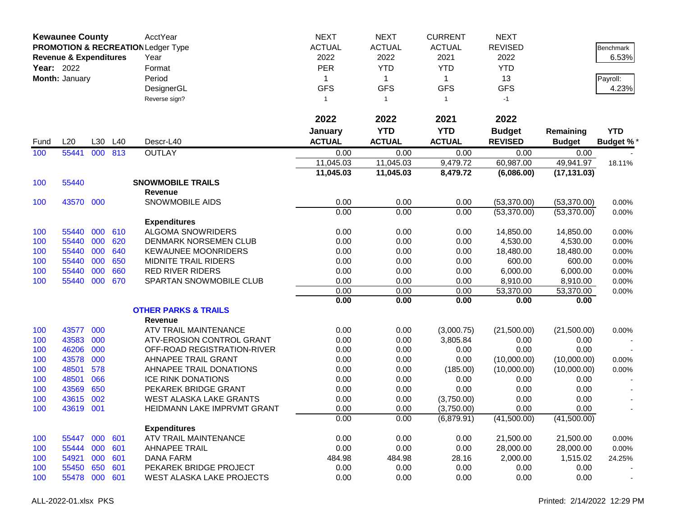|      | <b>Kewaunee County</b>            |     |     | AcctYear                                      | <b>NEXT</b>   | <b>NEXT</b>    | <b>CURRENT</b> | <b>NEXT</b>    |               |                  |
|------|-----------------------------------|-----|-----|-----------------------------------------------|---------------|----------------|----------------|----------------|---------------|------------------|
|      |                                   |     |     | <b>PROMOTION &amp; RECREATION Ledger Type</b> | <b>ACTUAL</b> | <b>ACTUAL</b>  | <b>ACTUAL</b>  | <b>REVISED</b> |               | Benchmark        |
|      | <b>Revenue &amp; Expenditures</b> |     |     | Year                                          | 2022          | 2022           | 2021           | 2022           |               | 6.53%            |
|      | <b>Year: 2022</b>                 |     |     | Format                                        | <b>PER</b>    | <b>YTD</b>     | <b>YTD</b>     | <b>YTD</b>     |               |                  |
|      | Month: January                    |     |     | Period                                        | 1             | $\mathbf{1}$   | $\mathbf 1$    | 13             |               | Payroll:         |
|      |                                   |     |     | DesignerGL                                    | <b>GFS</b>    | <b>GFS</b>     | <b>GFS</b>     | <b>GFS</b>     |               | 4.23%            |
|      |                                   |     |     | Reverse sign?                                 | $\mathbf{1}$  | $\overline{1}$ | $\mathbf{1}$   | $-1$           |               |                  |
|      |                                   |     |     |                                               |               |                |                |                |               |                  |
|      |                                   |     |     |                                               | 2022          | 2022           | 2021           | 2022           |               |                  |
|      |                                   |     |     |                                               | January       | <b>YTD</b>     | <b>YTD</b>     | <b>Budget</b>  | Remaining     | <b>YTD</b>       |
| Fund | L20                               | L30 | L40 | Descr-L40                                     | <b>ACTUAL</b> | <b>ACTUAL</b>  | <b>ACTUAL</b>  | <b>REVISED</b> | <b>Budget</b> | <b>Budget %*</b> |
| 100  | 55441                             | 000 | 813 | <b>OUTLAY</b>                                 | 0.00          | 0.00           | 0.00           | 0.00           | 0.00          |                  |
|      |                                   |     |     |                                               | 11,045.03     | 11,045.03      | 9,479.72       | 60,987.00      | 49,941.97     | 18.11%           |
|      |                                   |     |     |                                               | 11,045.03     | 11,045.03      | 8,479.72       | (6,086.00)     | (17, 131.03)  |                  |
| 100  | 55440                             |     |     | <b>SNOWMOBILE TRAILS</b>                      |               |                |                |                |               |                  |
|      |                                   |     |     | <b>Revenue</b>                                |               |                |                |                |               |                  |
| 100  | 43570 000                         |     |     | SNOWMOBILE AIDS                               | 0.00          | 0.00           | 0.00           | (53,370.00)    | (53,370.00)   | 0.00%            |
|      |                                   |     |     |                                               | 0.00          | 0.00           | 0.00           | (53,370.00)    | (53,370.00)   | 0.00%            |
|      |                                   |     |     | <b>Expenditures</b>                           |               |                |                |                |               |                  |
| 100  | 55440                             | 000 | 610 | <b>ALGOMA SNOWRIDERS</b>                      | 0.00          | 0.00           | 0.00           | 14,850.00      | 14,850.00     | 0.00%            |
| 100  | 55440                             | 000 | 620 | DENMARK NORSEMEN CLUB                         | 0.00          | 0.00           | 0.00           | 4,530.00       | 4,530.00      | 0.00%            |
| 100  | 55440                             | 000 | 640 | <b>KEWAUNEE MOONRIDERS</b>                    | 0.00          | 0.00           | 0.00           | 18,480.00      | 18,480.00     | 0.00%            |
| 100  | 55440                             | 000 | 650 | MIDNITE TRAIL RIDERS                          | 0.00          | 0.00           | 0.00           | 600.00         | 600.00        | 0.00%            |
| 100  | 55440                             | 000 | 660 | <b>RED RIVER RIDERS</b>                       | 0.00          | 0.00           | 0.00           | 6,000.00       | 6,000.00      | 0.00%            |
| 100  | 55440                             | 000 | 670 | SPARTAN SNOWMOBILE CLUB                       | 0.00          | 0.00           | 0.00           | 8,910.00       | 8,910.00      | 0.00%            |
|      |                                   |     |     |                                               | 0.00          | 0.00           | 0.00           | 53,370.00      | 53,370.00     | 0.00%            |
|      |                                   |     |     |                                               | 0.00          | 0.00           | 0.00           | 0.00           | 0.00          |                  |
|      |                                   |     |     | <b>OTHER PARKS &amp; TRAILS</b>               |               |                |                |                |               |                  |
|      |                                   |     |     | <b>Revenue</b>                                |               |                |                |                |               |                  |
| 100  | 43577                             | 000 |     | ATV TRAIL MAINTENANCE                         | 0.00          | 0.00           | (3,000.75)     | (21,500.00)    | (21,500.00)   | 0.00%            |
| 100  | 43583                             | 000 |     | ATV-EROSION CONTROL GRANT                     | 0.00          | 0.00           | 3,805.84       | 0.00           | 0.00          |                  |
| 100  | 46206                             | 000 |     | OFF-ROAD REGISTRATION-RIVER                   | 0.00          | 0.00           | 0.00           | 0.00           | 0.00          |                  |
| 100  | 43578                             | 000 |     | AHNAPEE TRAIL GRANT                           | 0.00          | 0.00           | 0.00           | (10,000.00)    | (10,000.00)   | 0.00%            |
| 100  | 48501                             | 578 |     | AHNAPEE TRAIL DONATIONS                       | 0.00          | 0.00           | (185.00)       | (10,000.00)    | (10,000.00)   | 0.00%            |
| 100  | 48501                             | 066 |     | <b>ICE RINK DONATIONS</b>                     | 0.00          | 0.00           | 0.00           | 0.00           | 0.00          |                  |
| 100  | 43569                             | 650 |     | PEKAREK BRIDGE GRANT                          | 0.00          | 0.00           | 0.00           | 0.00           | 0.00          |                  |
| 100  | 43615                             | 002 |     | <b>WEST ALASKA LAKE GRANTS</b>                | 0.00          | 0.00           | (3,750.00)     | 0.00           | 0.00          |                  |
| 100  | 43619                             | 001 |     | HEIDMANN LAKE IMPRVMT GRANT                   | 0.00          | 0.00           | (3,750.00)     | 0.00           | 0.00          |                  |
|      |                                   |     |     |                                               | 0.00          | 0.00           | (6,879.91)     | (41,500.00)    | (41,500.00)   |                  |
|      |                                   |     |     | <b>Expenditures</b>                           |               |                |                |                |               |                  |
| 100  | 55447                             | 000 | 601 | ATV TRAIL MAINTENANCE                         | 0.00          | 0.00           | 0.00           | 21,500.00      | 21,500.00     | 0.00%            |
| 100  | 55444                             | 000 | 601 | <b>AHNAPEE TRAIL</b>                          | 0.00          | 0.00           | 0.00           | 28,000.00      | 28,000.00     | 0.00%            |
| 100  | 54921                             | 000 | 601 | <b>DANA FARM</b>                              | 484.98        | 484.98         | 28.16          | 2,000.00       | 1,515.02      | 24.25%           |
| 100  | 55450                             | 650 | 601 | PEKAREK BRIDGE PROJECT                        | 0.00          | 0.00           | 0.00           | 0.00           | 0.00          |                  |
| 100  | 55478                             | 000 | 601 | WEST ALASKA LAKE PROJECTS                     | 0.00          | 0.00           | 0.00           | 0.00           | 0.00          |                  |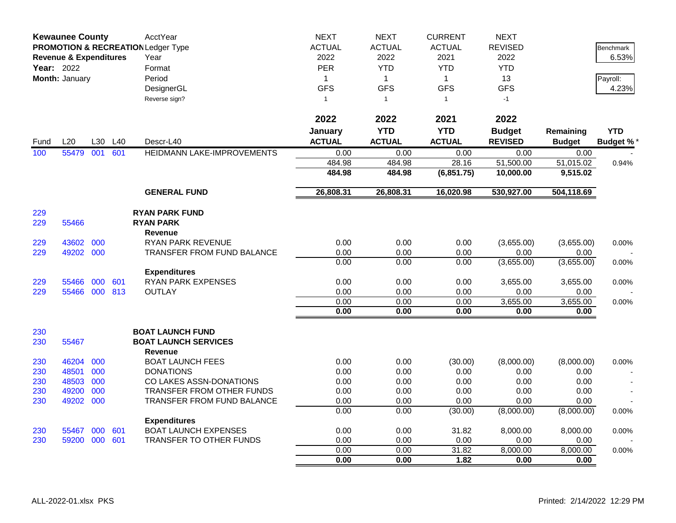|            | <b>Kewaunee County</b>            |     |     | AcctYear                                      | <b>NEXT</b>   | <b>NEXT</b>   | <b>CURRENT</b> | <b>NEXT</b>    |               |                  |
|------------|-----------------------------------|-----|-----|-----------------------------------------------|---------------|---------------|----------------|----------------|---------------|------------------|
|            |                                   |     |     | <b>PROMOTION &amp; RECREATION Ledger Type</b> | <b>ACTUAL</b> | <b>ACTUAL</b> | <b>ACTUAL</b>  | <b>REVISED</b> |               | <b>Benchmark</b> |
|            | <b>Revenue &amp; Expenditures</b> |     |     | Year                                          | 2022          | 2022          | 2021           | 2022           |               | 6.53%            |
| Year: 2022 |                                   |     |     | Format                                        | <b>PER</b>    | <b>YTD</b>    | <b>YTD</b>     | <b>YTD</b>     |               |                  |
|            | Month: January                    |     |     | Period                                        | $\mathbf{1}$  | $\mathbf{1}$  | $\mathbf{1}$   | 13             |               | Payroll:         |
|            |                                   |     |     | DesignerGL                                    | <b>GFS</b>    | <b>GFS</b>    | <b>GFS</b>     | <b>GFS</b>     |               | 4.23%            |
|            |                                   |     |     | Reverse sign?                                 | $\mathbf{1}$  | $\mathbf{1}$  | $\mathbf{1}$   | $-1$           |               |                  |
|            |                                   |     |     |                                               |               |               |                |                |               |                  |
|            |                                   |     |     |                                               | 2022          | 2022          | 2021           | 2022           |               |                  |
|            |                                   |     |     |                                               | January       | <b>YTD</b>    | <b>YTD</b>     | <b>Budget</b>  | Remaining     | <b>YTD</b>       |
| Fund       | L20                               | L30 | L40 | Descr-L40                                     | <b>ACTUAL</b> | <b>ACTUAL</b> | <b>ACTUAL</b>  | <b>REVISED</b> | <b>Budget</b> | <b>Budget %</b>  |
| 100        | 55479                             | 001 | 601 | HEIDMANN LAKE-IMPROVEMENTS                    | 0.00          | 0.00          | 0.00           | 0.00           | 0.00          |                  |
|            |                                   |     |     |                                               | 484.98        | 484.98        | 28.16          | 51,500.00      | 51,015.02     | 0.94%            |
|            |                                   |     |     |                                               | 484.98        | 484.98        | (6,851.75)     | 10,000.00      | 9,515.02      |                  |
|            |                                   |     |     | <b>GENERAL FUND</b>                           | 26,808.31     | 26,808.31     | 16,020.98      | 530,927.00     | 504,118.69    |                  |
|            |                                   |     |     |                                               |               |               |                |                |               |                  |
| 229        |                                   |     |     | <b>RYAN PARK FUND</b>                         |               |               |                |                |               |                  |
| 229        | 55466                             |     |     | <b>RYAN PARK</b>                              |               |               |                |                |               |                  |
|            |                                   |     |     | Revenue                                       |               |               |                |                |               |                  |
| 229        | 43602                             | 000 |     | RYAN PARK REVENUE                             | 0.00          | 0.00          | 0.00           | (3,655.00)     | (3,655.00)    | 0.00%            |
| 229        | 49202 000                         |     |     | TRANSFER FROM FUND BALANCE                    | 0.00          | 0.00          | 0.00           | 0.00           | 0.00          |                  |
|            |                                   |     |     |                                               | 0.00          | 0.00          | 0.00           | (3,655.00)     | (3,655.00)    | 0.00%            |
|            |                                   |     |     | <b>Expenditures</b>                           |               |               |                |                |               |                  |
| 229        | 55466                             | 000 | 601 | <b>RYAN PARK EXPENSES</b>                     | 0.00          | 0.00          | 0.00           | 3,655.00       | 3,655.00      | 0.00%            |
| 229        | 55466 000 813                     |     |     | <b>OUTLAY</b>                                 | 0.00          | 0.00          | 0.00           | 0.00           | 0.00          |                  |
|            |                                   |     |     |                                               | 0.00          | 0.00          | 0.00           | 3,655.00       | 3,655.00      | 0.00%            |
|            |                                   |     |     |                                               | 0.00          | 0.00          | 0.00           | 0.00           | 0.00          |                  |
| 230        |                                   |     |     | <b>BOAT LAUNCH FUND</b>                       |               |               |                |                |               |                  |
| 230        | 55467                             |     |     | <b>BOAT LAUNCH SERVICES</b>                   |               |               |                |                |               |                  |
|            |                                   |     |     | Revenue                                       |               |               |                |                |               |                  |
| 230        | 46204                             | 000 |     | <b>BOAT LAUNCH FEES</b>                       | 0.00          | 0.00          | (30.00)        | (8,000.00)     | (8,000.00)    | 0.00%            |
| 230        | 48501                             | 000 |     | <b>DONATIONS</b>                              | 0.00          | 0.00          | 0.00           | 0.00           | 0.00          |                  |
| 230        | 48503                             | 000 |     | CO LAKES ASSN-DONATIONS                       | 0.00          | 0.00          | 0.00           | 0.00           | 0.00          |                  |
| 230        | 49200                             | 000 |     | TRANSFER FROM OTHER FUNDS                     | 0.00          | 0.00          | 0.00           | 0.00           | 0.00          |                  |
| 230        | 49202                             | 000 |     | <b>TRANSFER FROM FUND BALANCE</b>             | 0.00          | 0.00          | 0.00           | 0.00           | 0.00          |                  |
|            |                                   |     |     |                                               | 0.00          | 0.00          | (30.00)        | (8,000.00)     | (8,000.00)    | 0.00%            |
|            |                                   |     |     | <b>Expenditures</b>                           |               |               |                |                |               |                  |
| 230        | 55467                             | 000 | 601 | <b>BOAT LAUNCH EXPENSES</b>                   | 0.00          | 0.00          | 31.82          | 8,000.00       | 8,000.00      | 0.00%            |
| 230        | 59200                             | 000 | 601 | TRANSFER TO OTHER FUNDS                       | 0.00          | 0.00          | 0.00           | 0.00           | 0.00          |                  |
|            |                                   |     |     |                                               | 0.00          | 0.00          | 31.82          | 8,000.00       | 8,000.00      | 0.00%            |
|            |                                   |     |     |                                               | 0.00          | 0.00          | 1.82           | 0.00           | 0.00          |                  |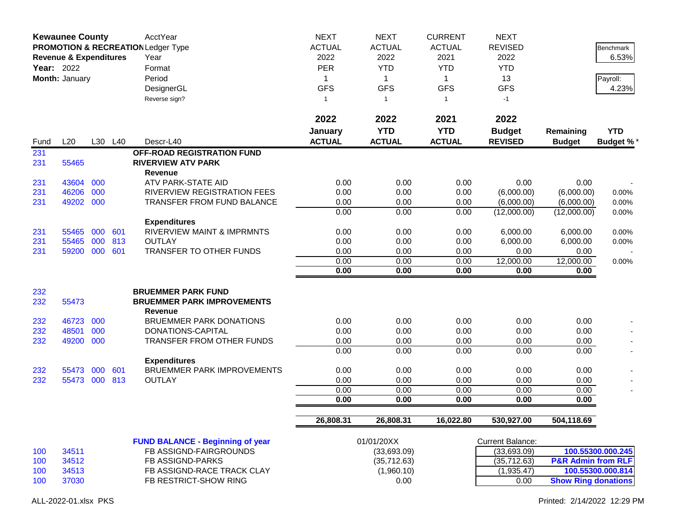|            | <b>Kewaunee County</b><br>PROMOTION & RECREATION Ledger Type<br><b>Revenue &amp; Expenditures</b><br>Year: 2022<br>Month: January |     |         | AcctYear<br>Year<br>Format<br>Period<br>DesignerGL<br>Reverse sign?       | <b>NEXT</b><br><b>ACTUAL</b><br>2022<br><b>PER</b><br>1<br><b>GFS</b><br>$\mathbf{1}$ | <b>NEXT</b><br><b>ACTUAL</b><br>2022<br><b>YTD</b><br>$\mathbf{1}$<br><b>GFS</b><br>$\overline{1}$ | <b>CURRENT</b><br><b>ACTUAL</b><br>2021<br><b>YTD</b><br>$\mathbf{1}$<br><b>GFS</b><br>$\mathbf{1}$ | <b>NEXT</b><br><b>REVISED</b><br>2022<br><b>YTD</b><br>13<br><b>GFS</b><br>$-1$ |                               | Benchmark<br>6.53%<br>Payroll:<br>4.23% |
|------------|-----------------------------------------------------------------------------------------------------------------------------------|-----|---------|---------------------------------------------------------------------------|---------------------------------------------------------------------------------------|----------------------------------------------------------------------------------------------------|-----------------------------------------------------------------------------------------------------|---------------------------------------------------------------------------------|-------------------------------|-----------------------------------------|
|            |                                                                                                                                   |     |         |                                                                           | 2022                                                                                  | 2022                                                                                               | 2021                                                                                                | 2022                                                                            |                               |                                         |
| Fund       | L20                                                                                                                               |     | L30 L40 | Descr-L40                                                                 | January<br><b>ACTUAL</b>                                                              | <b>YTD</b><br><b>ACTUAL</b>                                                                        | <b>YTD</b><br><b>ACTUAL</b>                                                                         | <b>Budget</b><br><b>REVISED</b>                                                 | Remaining<br><b>Budget</b>    | <b>YTD</b><br><b>Budget %*</b>          |
| 231<br>231 | 55465                                                                                                                             |     |         | OFF-ROAD REGISTRATION FUND<br><b>RIVERVIEW ATV PARK</b><br><b>Revenue</b> |                                                                                       |                                                                                                    |                                                                                                     |                                                                                 |                               |                                         |
| 231        | 43604                                                                                                                             | 000 |         | ATV PARK-STATE AID                                                        | 0.00                                                                                  | 0.00                                                                                               | 0.00                                                                                                | 0.00                                                                            | 0.00                          |                                         |
| 231        | 46206                                                                                                                             | 000 |         | RIVERVIEW REGISTRATION FEES                                               | 0.00                                                                                  | 0.00                                                                                               | 0.00                                                                                                | (6,000.00)                                                                      | (6,000.00)                    | 0.00%                                   |
| 231        | 49202 000                                                                                                                         |     |         | <b>TRANSFER FROM FUND BALANCE</b>                                         | 0.00                                                                                  | 0.00                                                                                               | 0.00                                                                                                | (6,000.00)                                                                      | (6,000.00)                    | 0.00%                                   |
|            |                                                                                                                                   |     |         | <b>Expenditures</b>                                                       | 0.00                                                                                  | 0.00                                                                                               | 0.00                                                                                                | (12,000.00)                                                                     | (12,000.00)                   | 0.00%                                   |
| 231        | 55465                                                                                                                             | 000 | 601     | <b>RIVERVIEW MAINT &amp; IMPRMNTS</b>                                     | 0.00                                                                                  | 0.00                                                                                               | 0.00                                                                                                | 6,000.00                                                                        | 6,000.00                      | 0.00%                                   |
| 231        | 55465                                                                                                                             | 000 | 813     | <b>OUTLAY</b>                                                             | 0.00                                                                                  | 0.00                                                                                               | 0.00                                                                                                | 6,000.00                                                                        | 6,000.00                      | 0.00%                                   |
| 231        | 59200                                                                                                                             | 000 | 601     | TRANSFER TO OTHER FUNDS                                                   | 0.00                                                                                  | 0.00                                                                                               | 0.00                                                                                                | 0.00                                                                            | 0.00                          |                                         |
|            |                                                                                                                                   |     |         |                                                                           | 0.00                                                                                  | 0.00                                                                                               | 0.00                                                                                                | 12,000.00                                                                       | 12,000.00                     | 0.00%                                   |
|            |                                                                                                                                   |     |         |                                                                           | 0.00                                                                                  | 0.00                                                                                               | 0.00                                                                                                | 0.00                                                                            | 0.00                          |                                         |
| 232        |                                                                                                                                   |     |         | <b>BRUEMMER PARK FUND</b>                                                 |                                                                                       |                                                                                                    |                                                                                                     |                                                                                 |                               |                                         |
| 232        | 55473                                                                                                                             |     |         | <b>BRUEMMER PARK IMPROVEMENTS</b><br><b>Revenue</b>                       |                                                                                       |                                                                                                    |                                                                                                     |                                                                                 |                               |                                         |
| 232        | 46723                                                                                                                             | 000 |         | <b>BRUEMMER PARK DONATIONS</b>                                            | 0.00                                                                                  | 0.00                                                                                               | 0.00                                                                                                | 0.00                                                                            | 0.00                          |                                         |
| 232        | 48501                                                                                                                             | 000 |         | DONATIONS-CAPITAL                                                         | 0.00                                                                                  | 0.00                                                                                               | 0.00                                                                                                | 0.00                                                                            | 0.00                          |                                         |
| 232        | 49200                                                                                                                             | 000 |         | <b>TRANSFER FROM OTHER FUNDS</b>                                          | 0.00                                                                                  | 0.00                                                                                               | 0.00                                                                                                | 0.00                                                                            | 0.00                          |                                         |
|            |                                                                                                                                   |     |         |                                                                           | 0.00                                                                                  | 0.00                                                                                               | 0.00                                                                                                | 0.00                                                                            | 0.00                          |                                         |
|            |                                                                                                                                   |     |         | <b>Expenditures</b>                                                       |                                                                                       |                                                                                                    |                                                                                                     |                                                                                 |                               |                                         |
| 232        | 55473                                                                                                                             | 000 | 601     | <b>BRUEMMER PARK IMPROVEMENTS</b>                                         | 0.00                                                                                  | 0.00                                                                                               | 0.00                                                                                                | 0.00                                                                            | 0.00                          |                                         |
| 232        | 55473                                                                                                                             | 000 | 813     | <b>OUTLAY</b>                                                             | 0.00                                                                                  | 0.00                                                                                               | 0.00                                                                                                | 0.00                                                                            | 0.00                          |                                         |
|            |                                                                                                                                   |     |         |                                                                           | 0.00                                                                                  | 0.00                                                                                               | 0.00                                                                                                | 0.00                                                                            | 0.00                          |                                         |
|            |                                                                                                                                   |     |         |                                                                           | 0.00                                                                                  | 0.00                                                                                               | 0.00                                                                                                | 0.00                                                                            | 0.00                          |                                         |
|            |                                                                                                                                   |     |         |                                                                           | 26,808.31                                                                             | 26,808.31                                                                                          | 16,022.80                                                                                           | 530,927.00                                                                      | 504,118.69                    |                                         |
|            |                                                                                                                                   |     |         | <b>FUND BALANCE - Beginning of year</b>                                   |                                                                                       | 01/01/20XX                                                                                         |                                                                                                     | <b>Current Balance:</b>                                                         |                               |                                         |
| 100        | 34511                                                                                                                             |     |         | FB ASSIGND-FAIRGROUNDS                                                    |                                                                                       | (33,693.09)                                                                                        |                                                                                                     | (33,693.09)                                                                     |                               | 100.55300.000.245                       |
| 100        | 34512                                                                                                                             |     |         | FB ASSIGND-PARKS                                                          |                                                                                       | (35, 712.63)                                                                                       |                                                                                                     | (35, 712.63)                                                                    | <b>P&amp;R Admin from RLF</b> |                                         |
| 100        | 34513                                                                                                                             |     |         | FB ASSIGND-RACE TRACK CLAY                                                |                                                                                       | (1,960.10)                                                                                         |                                                                                                     | (1,935.47)                                                                      |                               | 100.55300.000.814                       |
| 100        | 37030                                                                                                                             |     |         | FB RESTRICT-SHOW RING                                                     |                                                                                       | 0.00                                                                                               |                                                                                                     | 0.00                                                                            | <b>Show Ring donations</b>    |                                         |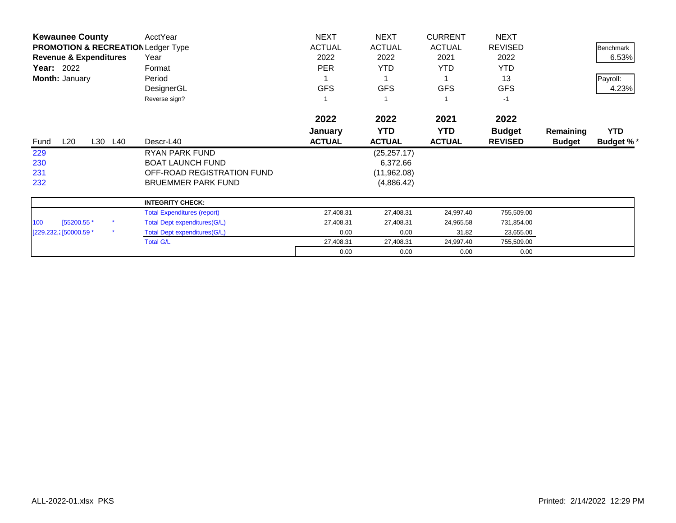| <b>Kewaunee County</b>                        | AcctYear                            | <b>NEXT</b>   | <b>NEXT</b>   | <b>CURRENT</b> | <b>NEXT</b>    |               |                  |
|-----------------------------------------------|-------------------------------------|---------------|---------------|----------------|----------------|---------------|------------------|
| <b>PROMOTION &amp; RECREATION Ledger Type</b> |                                     | <b>ACTUAL</b> | <b>ACTUAL</b> | <b>ACTUAL</b>  | <b>REVISED</b> |               | <b>Benchmark</b> |
| <b>Revenue &amp; Expenditures</b>             | Year                                | 2022          | 2022          | 2021           | 2022           |               | 6.53%            |
| Year: 2022                                    | Format                              | <b>PER</b>    | <b>YTD</b>    | YTD.           | <b>YTD</b>     |               |                  |
| Month: January                                | Period                              |               |               |                | 13             |               | Payroll:         |
|                                               | DesignerGL                          | <b>GFS</b>    | <b>GFS</b>    | <b>GFS</b>     | <b>GFS</b>     |               | 4.23%            |
|                                               | Reverse sign?                       |               |               |                | $-1$           |               |                  |
|                                               |                                     | 2022          | 2022          | 2021           | 2022           |               |                  |
|                                               |                                     | January       | <b>YTD</b>    | <b>YTD</b>     | <b>Budget</b>  | Remaining     | <b>YTD</b>       |
| L20<br>L30 L40<br>Fund                        | Descr-L40                           | <b>ACTUAL</b> | <b>ACTUAL</b> | <b>ACTUAL</b>  | <b>REVISED</b> | <b>Budget</b> | <b>Budget %*</b> |
| 229                                           | RYAN PARK FUND                      |               | (25, 257.17)  |                |                |               |                  |
| 230                                           | <b>BOAT LAUNCH FUND</b>             |               | 6,372.66      |                |                |               |                  |
| 231                                           | OFF-ROAD REGISTRATION FUND          |               | (11,962.08)   |                |                |               |                  |
| 232                                           | <b>BRUEMMER PARK FUND</b>           |               | (4,886.42)    |                |                |               |                  |
|                                               | <b>INTEGRITY CHECK:</b>             |               |               |                |                |               |                  |
|                                               | <b>Total Expenditures (report)</b>  | 27,408.31     | 27,408.31     | 24,997.40      | 755,509.00     |               |                  |
| [55200.55 *<br>100                            | <b>Total Dept expenditures(G/L)</b> | 27,408.31     | 27,408.31     | 24,965.58      | 731,854.00     |               |                  |
| $\star$<br>[229.232,2] 50000.59 *             | <b>Total Dept expenditures(G/L)</b> | 0.00          | 0.00          | 31.82          | 23,655.00      |               |                  |
|                                               | <b>Total G/L</b>                    | 27,408.31     | 27,408.31     | 24,997.40      | 755,509.00     |               |                  |
|                                               |                                     | 0.00          | 0.00          | 0.00           | 0.00           |               |                  |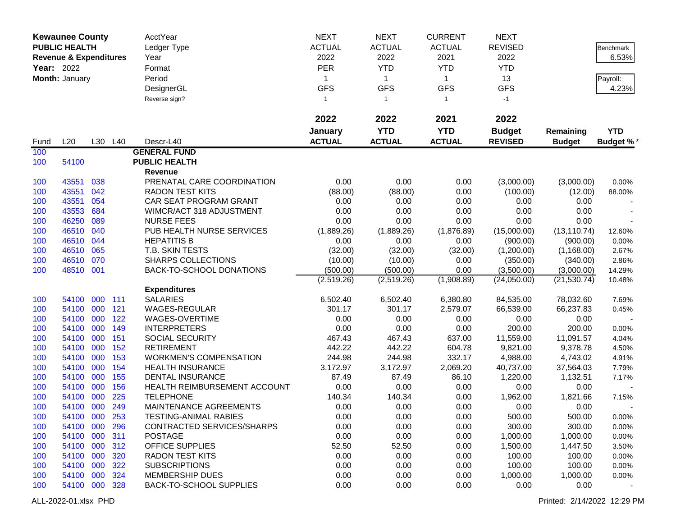|                   | <b>Kewaunee County</b>            |         |         | AcctYear                       | <b>NEXT</b>   | <b>NEXT</b>   | <b>CURRENT</b> | <b>NEXT</b>    |               |                  |
|-------------------|-----------------------------------|---------|---------|--------------------------------|---------------|---------------|----------------|----------------|---------------|------------------|
|                   | <b>PUBLIC HEALTH</b>              |         |         | Ledger Type                    | <b>ACTUAL</b> | <b>ACTUAL</b> | <b>ACTUAL</b>  | <b>REVISED</b> |               | Benchmark        |
|                   | <b>Revenue &amp; Expenditures</b> |         |         | Year                           | 2022          | 2022          | 2021           | 2022           |               | 6.53%            |
| <b>Year: 2022</b> |                                   |         |         | Format                         | <b>PER</b>    | <b>YTD</b>    | <b>YTD</b>     | <b>YTD</b>     |               |                  |
|                   | Month: January                    |         |         | Period                         | 1             | $\mathbf{1}$  | $\mathbf 1$    | 13             |               | Payroll:         |
|                   |                                   |         |         | DesignerGL                     | <b>GFS</b>    | <b>GFS</b>    | <b>GFS</b>     | <b>GFS</b>     |               | 4.23%            |
|                   |                                   |         |         | Reverse sign?                  | $\mathbf{1}$  | $\mathbf{1}$  | $\mathbf{1}$   | $-1$           |               |                  |
|                   |                                   |         |         |                                |               |               |                |                |               |                  |
|                   |                                   |         |         |                                | 2022          | 2022          | 2021           | 2022           |               |                  |
|                   |                                   |         |         |                                | January       | <b>YTD</b>    | <b>YTD</b>     | <b>Budget</b>  | Remaining     | <b>YTD</b>       |
| Fund              | L20                               |         | L30 L40 | Descr-L40                      | <b>ACTUAL</b> | <b>ACTUAL</b> | <b>ACTUAL</b>  | <b>REVISED</b> | <b>Budget</b> | <b>Budget %*</b> |
| 100               |                                   |         |         | <b>GENERAL FUND</b>            |               |               |                |                |               |                  |
| 100               | 54100                             |         |         | <b>PUBLIC HEALTH</b>           |               |               |                |                |               |                  |
|                   |                                   |         |         | Revenue                        |               |               |                |                |               |                  |
| 100               | 43551                             | 038     |         | PRENATAL CARE COORDINATION     | 0.00          | 0.00          | 0.00           | (3,000.00)     | (3,000.00)    | 0.00%            |
| 100               | 43551                             | 042     |         | <b>RADON TEST KITS</b>         | (88.00)       | (88.00)       | 0.00           | (100.00)       | (12.00)       | 88.00%           |
| 100               | 43551                             | 054     |         | CAR SEAT PROGRAM GRANT         | 0.00          | 0.00          | 0.00           | 0.00           | 0.00          |                  |
| 100               | 43553                             | 684     |         | WIMCR/ACT 318 ADJUSTMENT       | 0.00          | 0.00          | 0.00           | 0.00           | 0.00          |                  |
| 100               | 46250                             | 089     |         | <b>NURSE FEES</b>              | 0.00          | 0.00          | 0.00           | 0.00           | 0.00          |                  |
| 100               | 46510                             | 040     |         | PUB HEALTH NURSE SERVICES      | (1,889.26)    | (1,889.26)    | (1,876.89)     | (15,000.00)    | (13, 110.74)  | 12.60%           |
| 100               | 46510                             | 044     |         | <b>HEPATITIS B</b>             | 0.00          | 0.00          | 0.00           | (900.00)       | (900.00)      | 0.00%            |
| 100               | 46510                             | 065     |         | T.B. SKIN TESTS                | (32.00)       | (32.00)       | (32.00)        | (1,200.00)     | (1, 168.00)   | 2.67%            |
| 100               | 46510                             | 070     |         | <b>SHARPS COLLECTIONS</b>      | (10.00)       | (10.00)       | 0.00           | (350.00)       | (340.00)      | 2.86%            |
| 100               | 48510                             | 001     |         | BACK-TO-SCHOOL DONATIONS       | (500.00)      | (500.00)      | 0.00           | (3,500.00)     | (3,000.00)    | 14.29%           |
|                   |                                   |         |         |                                | (2,519.26)    | (2,519.26)    | (1,908.89)     | (24,050.00)    | (21, 530.74)  | 10.48%           |
|                   |                                   |         |         | <b>Expenditures</b>            |               |               |                |                |               |                  |
| 100               | 54100                             | 000 111 |         | <b>SALARIES</b>                | 6,502.40      | 6,502.40      | 6,380.80       | 84,535.00      | 78,032.60     | 7.69%            |
| 100               | 54100                             | 000     | 121     | <b>WAGES-REGULAR</b>           | 301.17        | 301.17        | 2,579.07       | 66,539.00      | 66,237.83     | 0.45%            |
| 100               | 54100                             | 000     | 122     | WAGES-OVERTIME                 | 0.00          | 0.00          | 0.00           | 0.00           | 0.00          |                  |
| 100               | 54100                             | 000     | 149     | <b>INTERPRETERS</b>            | 0.00          | 0.00          | 0.00           | 200.00         | 200.00        | 0.00%            |
| 100               | 54100                             | 000     | 151     | <b>SOCIAL SECURITY</b>         | 467.43        | 467.43        | 637.00         | 11,559.00      | 11,091.57     | 4.04%            |
| 100               | 54100                             | 000     | 152     | <b>RETIREMENT</b>              | 442.22        | 442.22        | 604.78         | 9,821.00       | 9,378.78      | 4.50%            |
| 100               | 54100                             | 000     | 153     | <b>WORKMEN'S COMPENSATION</b>  | 244.98        | 244.98        | 332.17         | 4,988.00       | 4,743.02      | 4.91%            |
| 100               | 54100                             | 000     | 154     | <b>HEALTH INSURANCE</b>        | 3,172.97      | 3,172.97      | 2,069.20       | 40,737.00      | 37,564.03     | 7.79%            |
| 100               | 54100                             | 000     | 155     | DENTAL INSURANCE               | 87.49         | 87.49         | 86.10          | 1,220.00       | 1,132.51      | 7.17%            |
| 100               | 54100                             | 000     | 156     | HEALTH REIMBURSEMENT ACCOUNT   | 0.00          | 0.00          | 0.00           | 0.00           | 0.00          |                  |
| 100               | 54100                             | 000     | 225     | <b>TELEPHONE</b>               | 140.34        | 140.34        | 0.00           | 1,962.00       | 1,821.66      | 7.15%            |
| 100               | 54100                             | 000     | 249     | MAINTENANCE AGREEMENTS         | 0.00          | 0.00          | 0.00           | 0.00           | 0.00          |                  |
| 100               | 54100 000                         |         | 253     | TESTING-ANIMAL RABIES          | 0.00          | 0.00          | 0.00           | 500.00         | 500.00        | 0.00%            |
| 100               | 54100                             | 000     | 296     | CONTRACTED SERVICES/SHARPS     | 0.00          | 0.00          | 0.00           | 300.00         | 300.00        | 0.00%            |
| 100               | 54100                             | 000     | 311     | <b>POSTAGE</b>                 | 0.00          | 0.00          | 0.00           | 1,000.00       | 1,000.00      | 0.00%            |
| 100               | 54100                             | 000     | 312     | <b>OFFICE SUPPLIES</b>         | 52.50         | 52.50         | 0.00           | 1,500.00       | 1,447.50      | 3.50%            |
| 100               | 54100                             | 000     | 320     | <b>RADON TEST KITS</b>         | 0.00          | 0.00          | 0.00           | 100.00         | 100.00        | 0.00%            |
| 100               | 54100                             | 000     | 322     | <b>SUBSCRIPTIONS</b>           | 0.00          | 0.00          | 0.00           | 100.00         | 100.00        | 0.00%            |
| 100               | 54100                             | 000     | 324     | <b>MEMBERSHIP DUES</b>         | 0.00          | 0.00          | 0.00           | 1,000.00       | 1,000.00      | 0.00%            |
| 100               | 54100 000                         |         | 328     | <b>BACK-TO-SCHOOL SUPPLIES</b> | 0.00          | 0.00          | 0.00           | 0.00           | 0.00          |                  |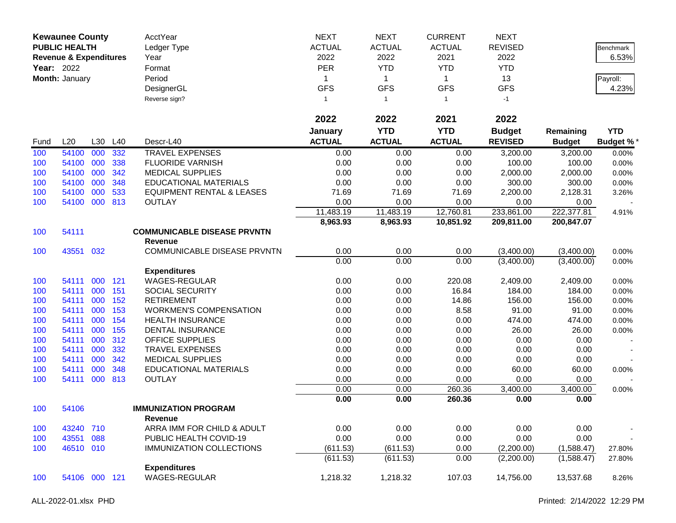|      | <b>Kewaunee County</b><br><b>PUBLIC HEALTH</b><br><b>Revenue &amp; Expenditures</b><br><b>Year: 2022</b><br>Month: January |     |         | AcctYear<br>Ledger Type<br>Year<br>Format<br>Period<br>DesignerGL<br>Reverse sign? | <b>NEXT</b><br><b>ACTUAL</b><br>2022<br>PER<br>1<br><b>GFS</b><br>$\mathbf{1}$ | <b>NEXT</b><br><b>ACTUAL</b><br>2022<br><b>YTD</b><br>$\mathbf{1}$<br><b>GFS</b><br>$\overline{1}$ | <b>CURRENT</b><br><b>ACTUAL</b><br>2021<br><b>YTD</b><br>$\mathbf{1}$<br><b>GFS</b><br>$\mathbf{1}$ | <b>NEXT</b><br><b>REVISED</b><br>2022<br><b>YTD</b><br>13<br><b>GFS</b><br>$-1$ |                          | Benchmark<br>6.53%<br>Payroll:<br>4.23% |
|------|----------------------------------------------------------------------------------------------------------------------------|-----|---------|------------------------------------------------------------------------------------|--------------------------------------------------------------------------------|----------------------------------------------------------------------------------------------------|-----------------------------------------------------------------------------------------------------|---------------------------------------------------------------------------------|--------------------------|-----------------------------------------|
|      |                                                                                                                            |     |         |                                                                                    | 2022                                                                           | 2022                                                                                               | 2021                                                                                                | 2022                                                                            |                          |                                         |
|      |                                                                                                                            |     |         |                                                                                    | January                                                                        | <b>YTD</b>                                                                                         | <b>YTD</b>                                                                                          | <b>Budget</b>                                                                   | Remaining                | <b>YTD</b>                              |
| Fund | L20                                                                                                                        |     | L30 L40 | Descr-L40                                                                          | <b>ACTUAL</b>                                                                  | <b>ACTUAL</b>                                                                                      | <b>ACTUAL</b>                                                                                       | <b>REVISED</b>                                                                  | <b>Budget</b>            | <b>Budget %*</b>                        |
| 100  | 54100                                                                                                                      | 000 | 332     | <b>TRAVEL EXPENSES</b>                                                             | 0.00                                                                           | 0.00                                                                                               | 0.00                                                                                                | 3,200.00                                                                        | 3,200.00                 | 0.00%                                   |
| 100  | 54100                                                                                                                      | 000 | 338     | <b>FLUORIDE VARNISH</b>                                                            | 0.00                                                                           | 0.00                                                                                               | 0.00                                                                                                | 100.00                                                                          | 100.00                   | 0.00%                                   |
| 100  | 54100                                                                                                                      | 000 | 342     | <b>MEDICAL SUPPLIES</b>                                                            | 0.00                                                                           | 0.00                                                                                               | 0.00                                                                                                | 2,000.00                                                                        | 2,000.00                 | 0.00%                                   |
| 100  | 54100                                                                                                                      | 000 | 348     | <b>EDUCATIONAL MATERIALS</b>                                                       | 0.00                                                                           | 0.00                                                                                               | 0.00                                                                                                | 300.00                                                                          | 300.00                   | 0.00%                                   |
| 100  | 54100                                                                                                                      | 000 | 533     | <b>EQUIPMENT RENTAL &amp; LEASES</b>                                               | 71.69                                                                          | 71.69                                                                                              | 71.69                                                                                               | 2,200.00                                                                        | 2,128.31                 | 3.26%                                   |
| 100  | 54100                                                                                                                      | 000 | 813     | <b>OUTLAY</b>                                                                      | 0.00                                                                           | 0.00                                                                                               | 0.00                                                                                                | 0.00                                                                            | 0.00                     |                                         |
|      |                                                                                                                            |     |         |                                                                                    | 11,483.19                                                                      | 11,483.19                                                                                          | 12,760.81                                                                                           | 233,861.00                                                                      | 222,377.81               | 4.91%                                   |
|      |                                                                                                                            |     |         |                                                                                    | 8,963.93                                                                       | 8,963.93                                                                                           | 10,851.92                                                                                           | 209,811.00                                                                      | 200,847.07               |                                         |
| 100  | 54111                                                                                                                      |     |         | <b>COMMUNICABLE DISEASE PRVNTN</b>                                                 |                                                                                |                                                                                                    |                                                                                                     |                                                                                 |                          |                                         |
|      |                                                                                                                            |     |         | <b>Revenue</b>                                                                     |                                                                                |                                                                                                    |                                                                                                     |                                                                                 |                          |                                         |
| 100  | 43551                                                                                                                      | 032 |         | COMMUNICABLE DISEASE PRVNTN                                                        | 0.00<br>0.00                                                                   | 0.00<br>0.00                                                                                       | 0.00<br>0.00                                                                                        | (3,400.00)<br>(3,400.00)                                                        | (3,400.00)<br>(3,400.00) | 0.00%                                   |
|      |                                                                                                                            |     |         | <b>Expenditures</b>                                                                |                                                                                |                                                                                                    |                                                                                                     |                                                                                 |                          | 0.00%                                   |
| 100  | 54111                                                                                                                      | 000 | 121     | <b>WAGES-REGULAR</b>                                                               | 0.00                                                                           | 0.00                                                                                               | 220.08                                                                                              | 2,409.00                                                                        | 2,409.00                 | 0.00%                                   |
| 100  | 54111                                                                                                                      | 000 | 151     | SOCIAL SECURITY                                                                    | 0.00                                                                           | 0.00                                                                                               | 16.84                                                                                               | 184.00                                                                          | 184.00                   | 0.00%                                   |
| 100  | 54111                                                                                                                      | 000 | 152     | <b>RETIREMENT</b>                                                                  | 0.00                                                                           | 0.00                                                                                               | 14.86                                                                                               | 156.00                                                                          | 156.00                   | 0.00%                                   |
| 100  | 54111                                                                                                                      | 000 | 153     | <b>WORKMEN'S COMPENSATION</b>                                                      | 0.00                                                                           | 0.00                                                                                               | 8.58                                                                                                | 91.00                                                                           | 91.00                    | 0.00%                                   |
| 100  | 54111                                                                                                                      | 000 | 154     | <b>HEALTH INSURANCE</b>                                                            | 0.00                                                                           | 0.00                                                                                               | 0.00                                                                                                | 474.00                                                                          | 474.00                   | 0.00%                                   |
| 100  | 54111                                                                                                                      | 000 | 155     | <b>DENTAL INSURANCE</b>                                                            | 0.00                                                                           | 0.00                                                                                               | 0.00                                                                                                | 26.00                                                                           | 26.00                    | 0.00%                                   |
| 100  | 54111                                                                                                                      | 000 | 312     | OFFICE SUPPLIES                                                                    | 0.00                                                                           | 0.00                                                                                               | 0.00                                                                                                | 0.00                                                                            | 0.00                     |                                         |
| 100  | 54111                                                                                                                      | 000 | 332     | <b>TRAVEL EXPENSES</b>                                                             | 0.00                                                                           | 0.00                                                                                               | 0.00                                                                                                | 0.00                                                                            | 0.00                     |                                         |
| 100  | 54111                                                                                                                      | 000 | 342     | <b>MEDICAL SUPPLIES</b>                                                            | 0.00                                                                           | 0.00                                                                                               | 0.00                                                                                                | 0.00                                                                            | 0.00                     |                                         |
| 100  | 54111                                                                                                                      | 000 | 348     | <b>EDUCATIONAL MATERIALS</b>                                                       | 0.00                                                                           | 0.00                                                                                               | 0.00                                                                                                | 60.00                                                                           | 60.00                    | 0.00%                                   |
| 100  | 54111                                                                                                                      | 000 | 813     | <b>OUTLAY</b>                                                                      | 0.00                                                                           | 0.00                                                                                               | 0.00                                                                                                | 0.00                                                                            | 0.00                     |                                         |
|      |                                                                                                                            |     |         |                                                                                    | 0.00                                                                           | 0.00                                                                                               | 260.36                                                                                              | 3,400.00                                                                        | 3,400.00                 | 0.00%                                   |
|      |                                                                                                                            |     |         |                                                                                    | 0.00                                                                           | 0.00                                                                                               | 260.36                                                                                              | 0.00                                                                            | 0.00                     |                                         |
| 100  | 54106                                                                                                                      |     |         | <b>IMMUNIZATION PROGRAM</b>                                                        |                                                                                |                                                                                                    |                                                                                                     |                                                                                 |                          |                                         |
|      |                                                                                                                            |     |         | Revenue                                                                            |                                                                                |                                                                                                    |                                                                                                     |                                                                                 |                          |                                         |
| 100  | 43240                                                                                                                      | 710 |         | ARRA IMM FOR CHILD & ADULT                                                         | 0.00                                                                           | 0.00                                                                                               | 0.00                                                                                                | 0.00                                                                            | 0.00                     |                                         |
| 100  | 43551                                                                                                                      | 088 |         | PUBLIC HEALTH COVID-19                                                             | 0.00                                                                           | 0.00                                                                                               | 0.00                                                                                                | 0.00                                                                            | 0.00                     |                                         |
| 100  | 46510 010                                                                                                                  |     |         | <b>IMMUNIZATION COLLECTIONS</b>                                                    | (611.53)                                                                       | (611.53)                                                                                           | 0.00                                                                                                | (2,200.00)                                                                      | (1,588.47)               | 27.80%                                  |
|      |                                                                                                                            |     |         |                                                                                    | (611.53)                                                                       | (611.53)                                                                                           | 0.00                                                                                                | (2,200.00)                                                                      | (1,588.47)               | 27.80%                                  |
|      |                                                                                                                            |     |         | <b>Expenditures</b>                                                                |                                                                                |                                                                                                    |                                                                                                     |                                                                                 |                          |                                         |
| 100  | 54106 000 121                                                                                                              |     |         | <b>WAGES-REGULAR</b>                                                               | 1,218.32                                                                       | 1,218.32                                                                                           | 107.03                                                                                              | 14,756.00                                                                       | 13,537.68                | 8.26%                                   |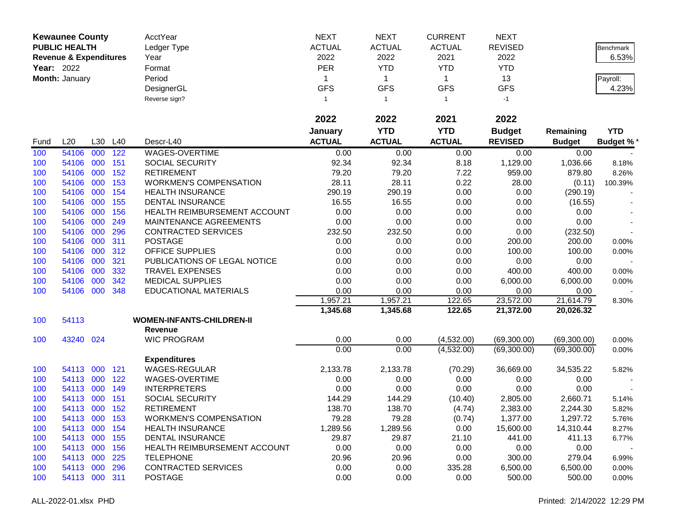|            | <b>Kewaunee County</b>            |     |            | AcctYear                                    | <b>NEXT</b>      | <b>NEXT</b>    | <b>CURRENT</b>   | <b>NEXT</b>    |               |                  |
|------------|-----------------------------------|-----|------------|---------------------------------------------|------------------|----------------|------------------|----------------|---------------|------------------|
|            | <b>PUBLIC HEALTH</b>              |     |            | Ledger Type                                 | <b>ACTUAL</b>    | <b>ACTUAL</b>  | <b>ACTUAL</b>    | <b>REVISED</b> |               | Benchmark        |
|            | <b>Revenue &amp; Expenditures</b> |     |            | Year                                        | 2022             | 2022           | 2021             | 2022           |               | 6.53%            |
|            | Year: 2022                        |     |            | Format                                      | <b>PER</b>       | <b>YTD</b>     | <b>YTD</b>       | <b>YTD</b>     |               |                  |
|            | Month: January                    |     |            | Period                                      | 1                | $\mathbf{1}$   | $\mathbf{1}$     | 13             |               | Payroll:         |
|            |                                   |     |            | DesignerGL                                  | <b>GFS</b>       | <b>GFS</b>     | <b>GFS</b>       | <b>GFS</b>     |               | 4.23%            |
|            |                                   |     |            | Reverse sign?                               | 1                | $\overline{1}$ | $\mathbf{1}$     | $-1$           |               |                  |
|            |                                   |     |            |                                             |                  |                |                  |                |               |                  |
|            |                                   |     |            |                                             | 2022             | 2022           | 2021             | 2022           |               |                  |
|            |                                   |     |            |                                             | January          | <b>YTD</b>     | <b>YTD</b>       | <b>Budget</b>  | Remaining     | <b>YTD</b>       |
| Fund       | L20                               | L30 | L40        | Descr-L40                                   | <b>ACTUAL</b>    | <b>ACTUAL</b>  | <b>ACTUAL</b>    | <b>REVISED</b> | <b>Budget</b> | <b>Budget %*</b> |
| 100        | 54106                             | 000 | 122        | WAGES-OVERTIME                              | 0.00             | 0.00           | 0.00             | 0.00           | 0.00          |                  |
| 100        | 54106                             | 000 | 151        | <b>SOCIAL SECURITY</b>                      | 92.34            | 92.34          | 8.18             | 1,129.00       | 1,036.66      | 8.18%            |
| 100        | 54106                             | 000 | 152        | <b>RETIREMENT</b>                           | 79.20            | 79.20          | 7.22             | 959.00         | 879.80        | 8.26%            |
| 100        | 54106                             | 000 | 153        | <b>WORKMEN'S COMPENSATION</b>               | 28.11            | 28.11          | 0.22             | 28.00          | (0.11)        | 100.39%          |
| 100        | 54106                             | 000 | 154        | <b>HEALTH INSURANCE</b>                     | 290.19           | 290.19         | 0.00             | 0.00           | (290.19)      |                  |
| 100        | 54106                             | 000 | 155        | <b>DENTAL INSURANCE</b>                     | 16.55            | 16.55          | 0.00             | 0.00           | (16.55)       |                  |
| 100        | 54106                             | 000 | 156        | HEALTH REIMBURSEMENT ACCOUNT                | 0.00             | 0.00           | 0.00             | 0.00           | 0.00          |                  |
| 100        | 54106                             | 000 | 249        | MAINTENANCE AGREEMENTS                      | 0.00             | 0.00           | 0.00             | 0.00           | 0.00          |                  |
| 100        | 54106                             | 000 | 296        | CONTRACTED SERVICES                         | 232.50           | 232.50         | 0.00             | 0.00           | (232.50)      |                  |
| 100        | 54106                             | 000 | 311        | <b>POSTAGE</b>                              | 0.00             | 0.00           | 0.00             | 200.00         | 200.00        | 0.00%            |
| 100        | 54106                             | 000 | 312        | <b>OFFICE SUPPLIES</b>                      | 0.00             | 0.00           | 0.00             | 100.00         | 100.00        | 0.00%            |
| 100        | 54106                             | 000 | 321        | PUBLICATIONS OF LEGAL NOTICE                | 0.00             | 0.00           | 0.00             | 0.00           | 0.00          |                  |
| 100        | 54106                             | 000 | 332        | <b>TRAVEL EXPENSES</b>                      | 0.00             | 0.00           | 0.00             | 400.00         | 400.00        | 0.00%            |
| 100        | 54106                             | 000 | 342        | <b>MEDICAL SUPPLIES</b>                     | 0.00             | 0.00           | 0.00             | 6,000.00       | 6,000.00      | 0.00%            |
| 100        | 54106                             | 000 | 348        | <b>EDUCATIONAL MATERIALS</b>                | 0.00             | 0.00           | 0.00             | 0.00           | 0.00          |                  |
|            |                                   |     |            |                                             | 1,957.21         | 1,957.21       | 122.65           | 23,572.00      | 21,614.79     | 8.30%            |
|            |                                   |     |            |                                             | 1,345.68         | 1,345.68       | 122.65           | 21,372.00      | 20,026.32     |                  |
| 100        | 54113                             |     |            | <b>WOMEN-INFANTS-CHILDREN-II</b>            |                  |                |                  |                |               |                  |
|            |                                   |     |            | <b>Revenue</b>                              |                  |                |                  |                |               |                  |
| 100        | 43240 024                         |     |            | <b>WIC PROGRAM</b>                          | 0.00             | 0.00           | (4,532.00)       | (69,300.00)    | (69,300.00)   | 0.00%            |
|            |                                   |     |            |                                             | 0.00             | 0.00           | (4,532.00)       | (69,300.00)    | (69,300.00)   | 0.00%            |
|            |                                   | 000 |            | <b>Expenditures</b><br><b>WAGES-REGULAR</b> |                  |                |                  |                |               |                  |
| 100        | 54113<br>54113 000                |     | 121<br>122 | <b>WAGES-OVERTIME</b>                       | 2,133.78<br>0.00 | 2,133.78       | (70.29)          | 36,669.00      | 34,535.22     | 5.82%            |
| 100<br>100 | 54113                             | 000 | 149        | <b>INTERPRETERS</b>                         | 0.00             | 0.00<br>0.00   | 0.00<br>0.00     | 0.00<br>0.00   | 0.00<br>0.00  |                  |
| 100        | 54113                             | 000 | 151        | SOCIAL SECURITY                             | 144.29           | 144.29         | (10.40)          | 2,805.00       | 2,660.71      |                  |
| 100        | 54113 000                         |     | 152        | <b>RETIREMENT</b>                           | 138.70           | 138.70         |                  | 2,383.00       | 2,244.30      | 5.14%<br>5.82%   |
| 100        | 54113 000                         |     | 153        | <b>WORKMEN'S COMPENSATION</b>               | 79.28            | 79.28          | (4.74)<br>(0.74) | 1,377.00       | 1,297.72      |                  |
| 100        | 54113 000                         |     | 154        | <b>HEALTH INSURANCE</b>                     | 1,289.56         | 1,289.56       | 0.00             | 15,600.00      | 14,310.44     | 5.76%<br>8.27%   |
| 100        | 54113 000                         |     | 155        | <b>DENTAL INSURANCE</b>                     | 29.87            | 29.87          | 21.10            | 441.00         | 411.13        | 6.77%            |
| 100        | 54113 000                         |     | 156        | HEALTH REIMBURSEMENT ACCOUNT                | 0.00             | 0.00           | 0.00             | 0.00           | 0.00          |                  |
| 100        | 54113 000                         |     | 225        | <b>TELEPHONE</b>                            | 20.96            | 20.96          | 0.00             | 300.00         | 279.04        | 6.99%            |
| 100        | 54113 000                         |     | 296        | <b>CONTRACTED SERVICES</b>                  | 0.00             | 0.00           | 335.28           | 6,500.00       | 6,500.00      | 0.00%            |
| 100        | 54113 000 311                     |     |            | <b>POSTAGE</b>                              | 0.00             | 0.00           | 0.00             | 500.00         | 500.00        | 0.00%            |
|            |                                   |     |            |                                             |                  |                |                  |                |               |                  |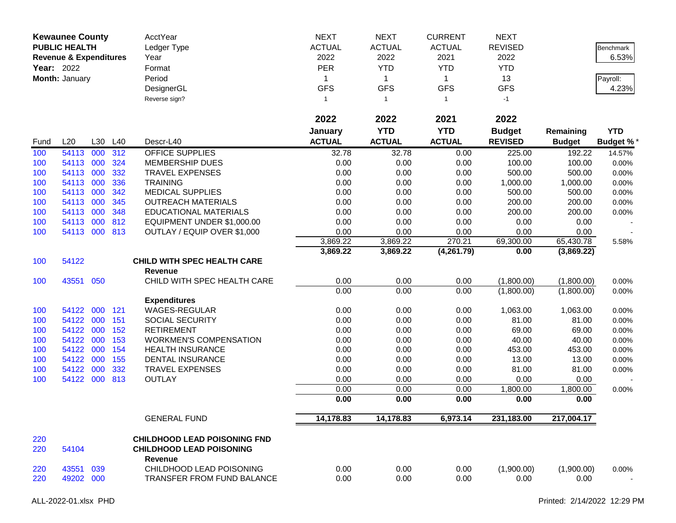| <b>Kewaunee County</b><br><b>PUBLIC HEALTH</b><br><b>Revenue &amp; Expenditures</b><br>Year: 2022<br>Month: January |                        |     | AcctYear<br>Ledger Type<br>Year<br>Format<br>Period<br>DesignerGL<br>Reverse sign? | <b>NEXT</b><br><b>ACTUAL</b><br>2022<br>PER<br>1<br><b>GFS</b><br>$\mathbf{1}$ | <b>NEXT</b><br><b>ACTUAL</b><br>2022<br><b>YTD</b><br>$\mathbf{1}$<br><b>GFS</b><br>$\overline{1}$ | <b>CURRENT</b><br><b>ACTUAL</b><br>2021<br><b>YTD</b><br>$\mathbf{1}$<br><b>GFS</b><br>$\mathbf{1}$<br>2021 | <b>NEXT</b><br><b>REVISED</b><br>2022<br><b>YTD</b><br>13<br><b>GFS</b><br>$-1$ |                | Benchmark<br>6.53%<br>Payroll:<br>4.23% |                  |
|---------------------------------------------------------------------------------------------------------------------|------------------------|-----|------------------------------------------------------------------------------------|--------------------------------------------------------------------------------|----------------------------------------------------------------------------------------------------|-------------------------------------------------------------------------------------------------------------|---------------------------------------------------------------------------------|----------------|-----------------------------------------|------------------|
|                                                                                                                     |                        |     |                                                                                    |                                                                                | 2022                                                                                               | 2022                                                                                                        |                                                                                 | 2022           |                                         |                  |
|                                                                                                                     |                        |     |                                                                                    |                                                                                | January                                                                                            | <b>YTD</b>                                                                                                  | <b>YTD</b>                                                                      | <b>Budget</b>  | Remaining                               | <b>YTD</b>       |
| Fund                                                                                                                | L20                    |     | L30 L40                                                                            | Descr-L40                                                                      | <b>ACTUAL</b>                                                                                      | <b>ACTUAL</b>                                                                                               | <b>ACTUAL</b>                                                                   | <b>REVISED</b> | <b>Budget</b>                           | <b>Budget %*</b> |
| 100                                                                                                                 | 54113                  | 000 | 312                                                                                | <b>OFFICE SUPPLIES</b>                                                         | 32.78                                                                                              | 32.78                                                                                                       | 0.00                                                                            | 225.00         | 192.22                                  | 14.57%           |
| 100                                                                                                                 | 54113 000              |     | 324                                                                                | <b>MEMBERSHIP DUES</b>                                                         | 0.00                                                                                               | 0.00                                                                                                        | 0.00                                                                            | 100.00         | 100.00                                  | 0.00%            |
| 100                                                                                                                 | 54113 000              |     | 332                                                                                | <b>TRAVEL EXPENSES</b>                                                         | 0.00                                                                                               | 0.00                                                                                                        | 0.00                                                                            | 500.00         | 500.00                                  | 0.00%            |
| 100                                                                                                                 | 54113 000              |     | 336                                                                                | <b>TRAINING</b>                                                                | 0.00                                                                                               | 0.00                                                                                                        | 0.00                                                                            | 1,000.00       | 1,000.00                                | 0.00%            |
| 100                                                                                                                 | 54113                  | 000 | 342                                                                                | <b>MEDICAL SUPPLIES</b>                                                        | 0.00                                                                                               | 0.00                                                                                                        | 0.00                                                                            | 500.00         | 500.00                                  | 0.00%            |
| 100                                                                                                                 | 54113 000              |     | 345                                                                                | <b>OUTREACH MATERIALS</b>                                                      | 0.00                                                                                               | 0.00                                                                                                        | 0.00                                                                            | 200.00         | 200.00                                  | 0.00%            |
| 100                                                                                                                 | 54113 000              | 000 | 348                                                                                | <b>EDUCATIONAL MATERIALS</b>                                                   | 0.00                                                                                               | 0.00                                                                                                        | 0.00                                                                            | 200.00         | 200.00                                  | 0.00%            |
| 100<br>100                                                                                                          | 54113<br>54113 000 813 |     | 812                                                                                | EQUIPMENT UNDER \$1,000.00<br>OUTLAY / EQUIP OVER \$1,000                      | 0.00<br>0.00                                                                                       | 0.00<br>0.00                                                                                                | 0.00<br>0.00                                                                    | 0.00<br>0.00   | 0.00<br>0.00                            |                  |
|                                                                                                                     |                        |     |                                                                                    |                                                                                | 3,869.22                                                                                           | 3,869.22                                                                                                    | 270.21                                                                          | 69,300.00      | 65,430.78                               | 5.58%            |
|                                                                                                                     |                        |     |                                                                                    |                                                                                | 3,869.22                                                                                           | 3,869.22                                                                                                    | (4,261.79)                                                                      | 0.00           | (3,869.22)                              |                  |
| 100                                                                                                                 | 54122                  |     |                                                                                    | <b>CHILD WITH SPEC HEALTH CARE</b>                                             |                                                                                                    |                                                                                                             |                                                                                 |                |                                         |                  |
|                                                                                                                     |                        |     |                                                                                    | <b>Revenue</b>                                                                 |                                                                                                    |                                                                                                             |                                                                                 |                |                                         |                  |
| 100                                                                                                                 | 43551 050              |     |                                                                                    | CHILD WITH SPEC HEALTH CARE                                                    | 0.00                                                                                               | 0.00                                                                                                        | 0.00                                                                            | (1,800.00)     | (1,800.00)                              | 0.00%            |
|                                                                                                                     |                        |     |                                                                                    |                                                                                | 0.00                                                                                               | 0.00                                                                                                        | 0.00                                                                            | (1,800.00)     | (1,800.00)                              | 0.00%            |
|                                                                                                                     |                        |     |                                                                                    | <b>Expenditures</b>                                                            |                                                                                                    |                                                                                                             |                                                                                 |                |                                         |                  |
| 100                                                                                                                 | 54122 000              |     | 121                                                                                | WAGES-REGULAR                                                                  | 0.00                                                                                               | 0.00                                                                                                        | 0.00                                                                            | 1,063.00       | 1,063.00                                | 0.00%            |
| 100                                                                                                                 | 54122 000              |     | 151                                                                                | <b>SOCIAL SECURITY</b>                                                         | 0.00                                                                                               | 0.00                                                                                                        | 0.00                                                                            | 81.00          | 81.00                                   | 0.00%            |
| 100                                                                                                                 | 54122                  | 000 | 152                                                                                | <b>RETIREMENT</b>                                                              | 0.00                                                                                               | 0.00                                                                                                        | 0.00                                                                            | 69.00          | 69.00                                   | 0.00%            |
| 100                                                                                                                 | 54122                  | 000 | 153                                                                                | <b>WORKMEN'S COMPENSATION</b>                                                  | 0.00                                                                                               | 0.00                                                                                                        | 0.00                                                                            | 40.00          | 40.00                                   | 0.00%            |
| 100                                                                                                                 | 54122 000              |     | 154                                                                                | <b>HEALTH INSURANCE</b>                                                        | 0.00                                                                                               | 0.00                                                                                                        | 0.00                                                                            | 453.00         | 453.00                                  | 0.00%            |
| 100                                                                                                                 | 54122 000              |     | 155                                                                                | DENTAL INSURANCE                                                               | 0.00                                                                                               | 0.00                                                                                                        | 0.00                                                                            | 13.00          | 13.00                                   | 0.00%            |
| 100                                                                                                                 | 54122 000              |     | 332                                                                                | TRAVEL EXPENSES                                                                | 0.00                                                                                               | 0.00                                                                                                        | 0.00                                                                            | 81.00          | 81.00                                   | 0.00%            |
| 100                                                                                                                 | 54122 000              |     | 813                                                                                | <b>OUTLAY</b>                                                                  | 0.00                                                                                               | 0.00                                                                                                        | 0.00                                                                            | 0.00           | 0.00                                    |                  |
|                                                                                                                     |                        |     |                                                                                    |                                                                                | 0.00                                                                                               | 0.00                                                                                                        | 0.00                                                                            | 1,800.00       | 1,800.00                                | 0.00%            |
|                                                                                                                     |                        |     |                                                                                    |                                                                                | 0.00                                                                                               | 0.00                                                                                                        | 0.00                                                                            | 0.00           | 0.00                                    |                  |
|                                                                                                                     |                        |     |                                                                                    | <b>GENERAL FUND</b>                                                            | 14,178.83                                                                                          | 14,178.83                                                                                                   | 6,973.14                                                                        | 231,183.00     | 217,004.17                              |                  |
| 220                                                                                                                 |                        |     |                                                                                    | <b>CHILDHOOD LEAD POISONING FND</b>                                            |                                                                                                    |                                                                                                             |                                                                                 |                |                                         |                  |
| 220                                                                                                                 | 54104                  |     |                                                                                    | <b>CHILDHOOD LEAD POISONING</b><br>Revenue                                     |                                                                                                    |                                                                                                             |                                                                                 |                |                                         |                  |
| 220                                                                                                                 | 43551 039              |     |                                                                                    | CHILDHOOD LEAD POISONING                                                       | 0.00                                                                                               | 0.00                                                                                                        | 0.00                                                                            | (1,900.00)     | (1,900.00)                              | 0.00%            |
| 220                                                                                                                 | 49202 000              |     |                                                                                    | TRANSFER FROM FUND BALANCE                                                     | 0.00                                                                                               | 0.00                                                                                                        | 0.00                                                                            | 0.00           | 0.00                                    |                  |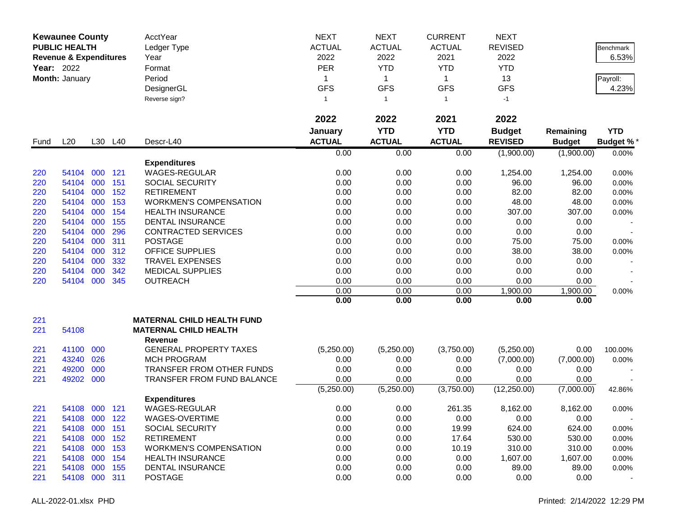| <b>Kewaunee County</b><br><b>PUBLIC HEALTH</b> |                                   |         | AcctYear<br>Ledger Type | <b>NEXT</b><br><b>ACTUAL</b>      | <b>NEXT</b><br><b>ACTUAL</b> | <b>CURRENT</b><br><b>ACTUAL</b> | <b>NEXT</b><br><b>REVISED</b> |                | <b>Benchmark</b> |                  |
|------------------------------------------------|-----------------------------------|---------|-------------------------|-----------------------------------|------------------------------|---------------------------------|-------------------------------|----------------|------------------|------------------|
|                                                | <b>Revenue &amp; Expenditures</b> |         |                         | Year                              | 2022                         | 2022                            | 2021                          | 2022           |                  | 6.53%            |
| <b>Year: 2022</b>                              |                                   |         |                         |                                   | <b>PER</b>                   | <b>YTD</b>                      | <b>YTD</b>                    | <b>YTD</b>     |                  |                  |
|                                                |                                   |         |                         | Format                            |                              |                                 |                               |                |                  |                  |
|                                                | Month: January                    |         |                         | Period                            | 1                            | $\mathbf{1}$                    | $\mathbf{1}$                  | 13             |                  | Payroll:         |
|                                                |                                   |         |                         | DesignerGL                        | <b>GFS</b>                   | <b>GFS</b>                      | <b>GFS</b>                    | <b>GFS</b>     |                  | 4.23%            |
|                                                |                                   |         |                         | Reverse sign?                     | $\mathbf{1}$                 | $\overline{1}$                  | $\mathbf{1}$                  | $-1$           |                  |                  |
|                                                |                                   |         |                         |                                   | 2022                         | 2022                            | 2021                          | 2022           |                  |                  |
|                                                |                                   |         |                         |                                   | January                      | <b>YTD</b>                      | <b>YTD</b>                    | <b>Budget</b>  | Remaining        | <b>YTD</b>       |
| Fund                                           | L20                               |         | L30 L40                 | Descr-L40                         | <b>ACTUAL</b>                | <b>ACTUAL</b>                   | <b>ACTUAL</b>                 | <b>REVISED</b> | <b>Budget</b>    | <b>Budget %*</b> |
|                                                |                                   |         |                         |                                   | 0.00                         | 0.00                            | 0.00                          | (1,900.00)     | (1,900.00)       | 0.00%            |
|                                                |                                   |         |                         | <b>Expenditures</b>               |                              |                                 |                               |                |                  |                  |
| 220                                            | 54104                             | 000     | 121                     | <b>WAGES-REGULAR</b>              | 0.00                         | 0.00                            | 0.00                          | 1,254.00       | 1,254.00         | 0.00%            |
| 220                                            | 54104                             | 000     | 151                     | <b>SOCIAL SECURITY</b>            | 0.00                         | 0.00                            | 0.00                          | 96.00          | 96.00            | 0.00%            |
| 220                                            | 54104                             | 000     | 152                     | <b>RETIREMENT</b>                 | 0.00                         | 0.00                            | 0.00                          | 82.00          | 82.00            | 0.00%            |
| 220                                            | 54104                             | 000     | 153                     | <b>WORKMEN'S COMPENSATION</b>     | 0.00                         | 0.00                            | 0.00                          | 48.00          | 48.00            | 0.00%            |
| 220                                            | 54104                             | 000     | 154                     | <b>HEALTH INSURANCE</b>           | 0.00                         | 0.00                            | 0.00                          | 307.00         | 307.00           | 0.00%            |
| 220                                            | 54104                             | 000     | 155                     | <b>DENTAL INSURANCE</b>           | 0.00                         | 0.00                            | 0.00                          | 0.00           | 0.00             |                  |
| 220                                            | 54104                             | 000     | 296                     | <b>CONTRACTED SERVICES</b>        | 0.00                         | 0.00                            | 0.00                          | 0.00           | 0.00             |                  |
| 220                                            | 54104                             | 000     | 311                     | <b>POSTAGE</b>                    | 0.00                         | 0.00                            | 0.00                          | 75.00          | 75.00            | 0.00%            |
| 220                                            | 54104                             | 000     | 312                     | OFFICE SUPPLIES                   | 0.00                         | 0.00                            | 0.00                          | 38.00          | 38.00            | 0.00%            |
| 220                                            | 54104                             | 000     | 332                     | <b>TRAVEL EXPENSES</b>            | 0.00                         | 0.00                            | 0.00                          | 0.00           | 0.00             |                  |
| 220                                            | 54104                             | 000     | 342                     | <b>MEDICAL SUPPLIES</b>           | 0.00                         | 0.00                            | 0.00                          | 0.00           | 0.00             |                  |
| 220                                            | 54104                             | 000     | 345                     | <b>OUTREACH</b>                   | 0.00                         | 0.00                            | 0.00                          | 0.00           | 0.00             |                  |
|                                                |                                   |         |                         |                                   | 0.00                         | 0.00                            | 0.00                          | 1,900.00       | 1,900.00         | 0.00%            |
|                                                |                                   |         |                         |                                   | 0.00                         | 0.00                            | 0.00                          | 0.00           | 0.00             |                  |
| 221                                            |                                   |         |                         | <b>MATERNAL CHILD HEALTH FUND</b> |                              |                                 |                               |                |                  |                  |
| 221                                            | 54108                             |         |                         | <b>MATERNAL CHILD HEALTH</b>      |                              |                                 |                               |                |                  |                  |
|                                                |                                   |         |                         | <b>Revenue</b>                    |                              |                                 |                               |                |                  |                  |
| 221                                            | 41100                             | 000     |                         | <b>GENERAL PROPERTY TAXES</b>     | (5,250.00)                   | (5,250.00)                      | (3,750.00)                    | (5,250.00)     | 0.00             | 100.00%          |
| 221                                            | 43240                             | 026     |                         | <b>MCH PROGRAM</b>                | 0.00                         | 0.00                            | 0.00                          | (7,000.00)     | (7,000.00)       | $0.00\%$         |
| 221                                            | 49200                             | 000     |                         | TRANSFER FROM OTHER FUNDS         | 0.00                         | 0.00                            | 0.00                          | 0.00           | 0.00             |                  |
| 221                                            | 49202                             | 000     |                         | TRANSFER FROM FUND BALANCE        | 0.00                         | 0.00                            | 0.00                          | 0.00           | 0.00             |                  |
|                                                |                                   |         |                         |                                   | (5,250.00)                   | (5,250.00)                      | (3,750.00)                    | (12, 250.00)   | (7,000.00)       | 42.86%           |
|                                                |                                   |         |                         | <b>Expenditures</b>               |                              |                                 |                               |                |                  |                  |
| 221                                            | 54108 000 121                     |         |                         | WAGES-REGULAR                     | 0.00                         | 0.00                            | 261.35                        | 8,162.00       | 8,162.00         | 0.00%            |
| 221                                            | 54108                             | 000     | 122                     | WAGES-OVERTIME                    | 0.00                         | 0.00                            | 0.00                          | 0.00           | 0.00             |                  |
| 221                                            | 54108                             | 000     | 151                     | SOCIAL SECURITY                   | 0.00                         | 0.00                            | 19.99                         | 624.00         | 624.00           | 0.00%            |
| 221                                            | 54108                             | 000     | 152                     | <b>RETIREMENT</b>                 | 0.00                         | 0.00                            | 17.64                         | 530.00         | 530.00           | 0.00%            |
| 221                                            | 54108                             | 000     | 153                     | <b>WORKMEN'S COMPENSATION</b>     | 0.00                         | 0.00                            | 10.19                         | 310.00         | 310.00           | 0.00%            |
| 221                                            | 54108                             | 000     | 154                     | <b>HEALTH INSURANCE</b>           | 0.00                         | 0.00                            | 0.00                          | 1,607.00       | 1,607.00         | 0.00%            |
| 221                                            | 54108                             | 000     | 155                     | <b>DENTAL INSURANCE</b>           | 0.00                         | 0.00                            | 0.00                          | 89.00          | 89.00            | 0.00%            |
| 221                                            | 54108                             | 000 311 |                         | <b>POSTAGE</b>                    | 0.00                         | 0.00                            | 0.00                          | 0.00           | 0.00             |                  |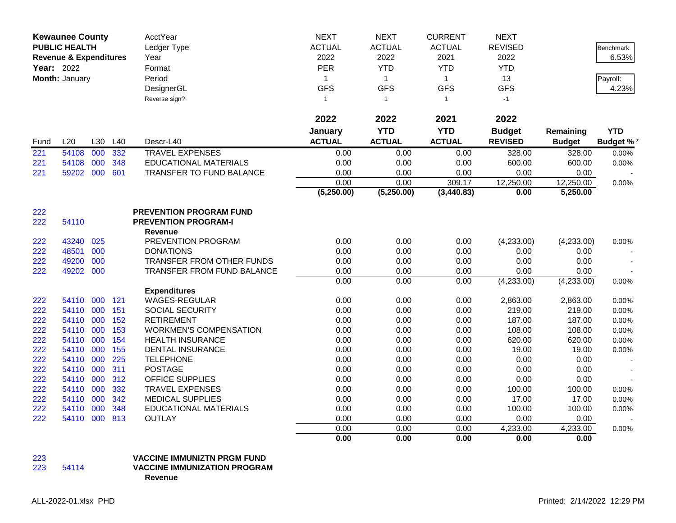| <b>Kewaunee County</b><br><b>PUBLIC HEALTH</b><br><b>Revenue &amp; Expenditures</b> |                |     | AcctYear<br>Ledger Type | <b>NEXT</b><br><b>ACTUAL</b>                                  | <b>NEXT</b><br><b>ACTUAL</b> | <b>CURRENT</b><br><b>ACTUAL</b> | <b>NEXT</b><br><b>REVISED</b> |                | Benchmark     |                 |
|-------------------------------------------------------------------------------------|----------------|-----|-------------------------|---------------------------------------------------------------|------------------------------|---------------------------------|-------------------------------|----------------|---------------|-----------------|
|                                                                                     |                |     |                         | Year                                                          | 2022                         | 2022                            | 2021                          | 2022           |               | 6.53%           |
|                                                                                     | Year: 2022     |     |                         | Format                                                        | PER                          | <b>YTD</b>                      | <b>YTD</b>                    | <b>YTD</b>     |               |                 |
|                                                                                     | Month: January |     |                         | Period                                                        | 1                            | $\mathbf{1}$                    | $\mathbf{1}$                  | 13             |               | Payroll:        |
|                                                                                     |                |     |                         | DesignerGL                                                    | <b>GFS</b>                   | <b>GFS</b>                      | <b>GFS</b>                    | <b>GFS</b>     |               | 4.23%           |
|                                                                                     |                |     |                         | Reverse sign?                                                 | $\mathbf{1}$                 | $\mathbf{1}$                    | $\mathbf{1}$                  | $-1$           |               |                 |
|                                                                                     |                |     |                         |                                                               | 2022                         | 2022                            | 2021                          | 2022           |               |                 |
|                                                                                     |                |     |                         |                                                               | January                      | <b>YTD</b>                      | <b>YTD</b>                    | <b>Budget</b>  | Remaining     | <b>YTD</b>      |
| Fund                                                                                | L20            | L30 | L40                     | Descr-L40                                                     | <b>ACTUAL</b>                | <b>ACTUAL</b>                   | <b>ACTUAL</b>                 | <b>REVISED</b> | <b>Budget</b> | <b>Budget %</b> |
| 221                                                                                 | 54108          | 000 | 332                     | <b>TRAVEL EXPENSES</b>                                        | 0.00                         | 0.00                            | 0.00                          | 328.00         | 328.00        | 0.00%           |
| 221                                                                                 | 54108          | 000 | 348                     | <b>EDUCATIONAL MATERIALS</b>                                  | 0.00                         | 0.00                            | 0.00                          | 600.00         | 600.00        | 0.00%           |
| 221                                                                                 | 59202 000      |     | 601                     | TRANSFER TO FUND BALANCE                                      | 0.00                         | 0.00                            | 0.00                          | 0.00           | 0.00          |                 |
|                                                                                     |                |     |                         |                                                               | 0.00                         | 0.00                            | 309.17                        | 12,250.00      | 12,250.00     | 0.00%           |
|                                                                                     |                |     |                         |                                                               | (5,250.00)                   | (5,250.00)                      | (3, 440.83)                   | 0.00           | 5,250.00      |                 |
| 222<br>222                                                                          | 54110          |     |                         | <b>PREVENTION PROGRAM FUND</b><br><b>PREVENTION PROGRAM-I</b> |                              |                                 |                               |                |               |                 |
|                                                                                     |                |     |                         | <b>Revenue</b>                                                |                              |                                 |                               |                |               |                 |
| 222                                                                                 | 43240          | 025 |                         | PREVENTION PROGRAM                                            | 0.00                         | 0.00                            | 0.00                          | (4,233.00)     | (4,233.00)    | 0.00%           |
| 222                                                                                 | 48501          | 000 |                         | <b>DONATIONS</b>                                              | 0.00                         | 0.00                            | 0.00                          | 0.00           | 0.00          |                 |
| 222                                                                                 | 49200          | 000 |                         | TRANSFER FROM OTHER FUNDS                                     | 0.00                         | 0.00                            | 0.00                          | 0.00           | 0.00          |                 |
| 222                                                                                 | 49202 000      |     |                         | TRANSFER FROM FUND BALANCE                                    | 0.00                         | 0.00                            | 0.00                          | 0.00           | 0.00          |                 |
|                                                                                     |                |     |                         |                                                               | 0.00                         | 0.00                            | 0.00                          | (4,233.00)     | (4,233.00)    | 0.00%           |
|                                                                                     |                |     |                         | <b>Expenditures</b>                                           |                              |                                 |                               |                |               |                 |
| 222                                                                                 | 54110          | 000 | 121                     | <b>WAGES-REGULAR</b>                                          | 0.00                         | 0.00                            | 0.00                          | 2,863.00       | 2,863.00      | 0.00%           |
| 222                                                                                 | 54110 000      |     | 151                     | <b>SOCIAL SECURITY</b>                                        | 0.00                         | 0.00                            | 0.00                          | 219.00         | 219.00        | 0.00%           |
| 222                                                                                 | 54110 000      |     | 152                     | <b>RETIREMENT</b>                                             | 0.00                         | 0.00                            | 0.00                          | 187.00         | 187.00        | 0.00%           |
| 222                                                                                 | 54110          | 000 | 153                     | <b>WORKMEN'S COMPENSATION</b>                                 | 0.00                         | 0.00                            | 0.00                          | 108.00         | 108.00        | 0.00%           |
| 222                                                                                 | 54110 000      |     | 154                     | <b>HEALTH INSURANCE</b>                                       | 0.00                         | 0.00                            | 0.00                          | 620.00         | 620.00        | 0.00%           |
| 222                                                                                 | 54110          | 000 | 155                     | <b>DENTAL INSURANCE</b>                                       | 0.00                         | 0.00                            | 0.00                          | 19.00          | 19.00         | 0.00%           |
| 222                                                                                 | 54110 000      |     | 225                     | <b>TELEPHONE</b>                                              | 0.00                         | 0.00                            | 0.00                          | 0.00           | 0.00          |                 |
| 222                                                                                 | 54110 000      |     | 311                     | <b>POSTAGE</b>                                                | 0.00                         | 0.00                            | 0.00                          | 0.00           | 0.00          |                 |
| 222                                                                                 | 54110 000      |     | 312                     | <b>OFFICE SUPPLIES</b>                                        | 0.00                         | 0.00                            | 0.00                          | 0.00           | 0.00          |                 |
| 222                                                                                 | 54110 000      |     | 332                     | <b>TRAVEL EXPENSES</b>                                        | 0.00                         | 0.00                            | 0.00                          | 100.00         | 100.00        | 0.00%           |
| 222                                                                                 | 54110          | 000 | 342                     | <b>MEDICAL SUPPLIES</b>                                       | 0.00                         | 0.00                            | 0.00                          | 17.00          | 17.00         | 0.00%           |
| 222                                                                                 | 54110 000      |     | 348                     | <b>EDUCATIONAL MATERIALS</b>                                  | 0.00                         | 0.00                            | 0.00                          | 100.00         | 100.00        | 0.00%           |
| 222                                                                                 | 54110 000      |     | 813                     | <b>OUTLAY</b>                                                 | 0.00                         | 0.00                            | 0.00                          | 0.00           | 0.00          |                 |
|                                                                                     |                |     |                         |                                                               | 0.00                         | 0.00                            | 0.00                          | 4,233.00       | 4,233.00      | 0.00%           |
|                                                                                     |                |     |                         |                                                               | 0.00                         | 0.00                            | 0.00                          | 0.00           | 0.00          |                 |

## 223 **VACCINE IMMUNIZTN PRGM FUND**

## **VACCINE IMMUNIZATION PROGRAM**

**Revenue**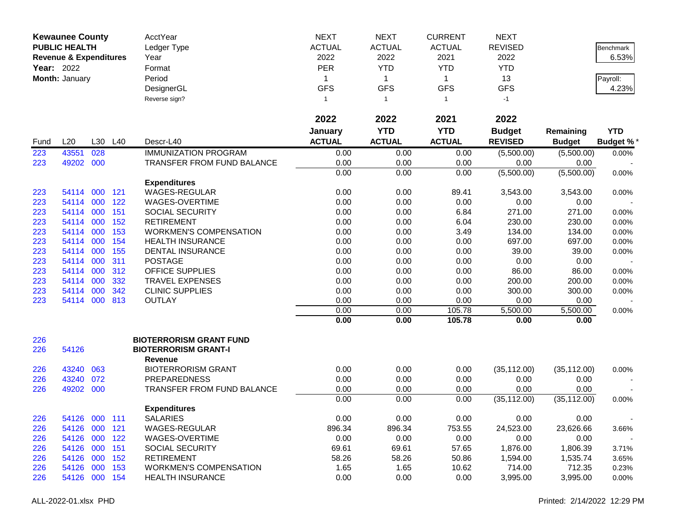|                   | <b>Kewaunee County</b>            |     |         | AcctYear                                      | <b>NEXT</b>    | <b>NEXT</b>    | <b>CURRENT</b> | <b>NEXT</b>    |               |                  |
|-------------------|-----------------------------------|-----|---------|-----------------------------------------------|----------------|----------------|----------------|----------------|---------------|------------------|
|                   | <b>PUBLIC HEALTH</b>              |     |         | Ledger Type                                   | <b>ACTUAL</b>  | <b>ACTUAL</b>  | <b>ACTUAL</b>  | <b>REVISED</b> |               | <b>Benchmark</b> |
|                   | <b>Revenue &amp; Expenditures</b> |     |         | Year                                          | 2022           | 2022           | 2021           | 2022           |               | 6.53%            |
| <b>Year: 2022</b> |                                   |     |         | Format                                        | <b>PER</b>     | <b>YTD</b>     | <b>YTD</b>     | <b>YTD</b>     |               |                  |
|                   | Month: January                    |     |         | Period                                        | 1              | $\mathbf{1}$   | $\mathbf{1}$   | 13             |               | Payroll:         |
|                   |                                   |     |         | DesignerGL                                    | <b>GFS</b>     | <b>GFS</b>     | <b>GFS</b>     | <b>GFS</b>     |               | 4.23%            |
|                   |                                   |     |         | Reverse sign?                                 | $\overline{1}$ | $\overline{1}$ | $\mathbf{1}$   | $-1$           |               |                  |
|                   |                                   |     |         |                                               |                |                |                |                |               |                  |
|                   |                                   |     |         |                                               | 2022           | 2022           | 2021           | 2022           |               |                  |
|                   |                                   |     |         |                                               | January        | <b>YTD</b>     | <b>YTD</b>     | <b>Budget</b>  | Remaining     | <b>YTD</b>       |
| Fund              | L20                               |     | L30 L40 | Descr-L40                                     | <b>ACTUAL</b>  | <b>ACTUAL</b>  | <b>ACTUAL</b>  | <b>REVISED</b> | <b>Budget</b> | <b>Budget %*</b> |
| 223               | 43551                             | 028 |         | <b>IMMUNIZATION PROGRAM</b>                   | 0.00           | 0.00           | 0.00           | (5,500.00)     | (5,500.00)    | 0.00%            |
| 223               | 49202 000                         |     |         | TRANSFER FROM FUND BALANCE                    | 0.00           | 0.00           | 0.00           | 0.00           | 0.00          |                  |
|                   |                                   |     |         |                                               | 0.00           | 0.00           | 0.00           | (5,500.00)     | (5,500.00)    | 0.00%            |
|                   |                                   |     |         | <b>Expenditures</b>                           |                |                |                |                |               |                  |
| 223               | 54114 000                         |     | 121     | WAGES-REGULAR                                 | 0.00           | 0.00           | 89.41          | 3,543.00       | 3,543.00      | 0.00%            |
| 223               | 54114 000                         |     | 122     | WAGES-OVERTIME                                | 0.00           | 0.00           | 0.00           | 0.00           | 0.00          |                  |
| 223               | 54114 000                         |     | 151     | <b>SOCIAL SECURITY</b>                        | 0.00           | 0.00           | 6.84           | 271.00         | 271.00        | 0.00%            |
| 223               | 54114 000                         |     | 152     | <b>RETIREMENT</b>                             | 0.00           | 0.00           | 6.04           | 230.00         | 230.00        | 0.00%            |
| 223               | 54114                             | 000 | 153     | <b>WORKMEN'S COMPENSATION</b>                 | 0.00           | 0.00           | 3.49           | 134.00         | 134.00        | 0.00%            |
| 223               | 54114                             | 000 | 154     | <b>HEALTH INSURANCE</b>                       | 0.00           | 0.00           | 0.00           | 697.00         | 697.00        | 0.00%            |
| 223               | 54114                             | 000 | 155     | <b>DENTAL INSURANCE</b>                       | 0.00           | 0.00           | 0.00           | 39.00          | 39.00         | 0.00%            |
| 223               | 54114                             | 000 | 311     | <b>POSTAGE</b>                                | 0.00           | 0.00           | 0.00           | 0.00           | 0.00          |                  |
| 223               | 54114 000                         |     | 312     | <b>OFFICE SUPPLIES</b>                        | 0.00           | 0.00           | 0.00           | 86.00          | 86.00         | 0.00%            |
| 223               | 54114                             | 000 | 332     | <b>TRAVEL EXPENSES</b>                        | 0.00           | 0.00           | 0.00           | 200.00         | 200.00        | 0.00%            |
| 223               | 54114                             | 000 | 342     | <b>CLINIC SUPPLIES</b>                        | 0.00           | 0.00           | 0.00           | 300.00         | 300.00        | 0.00%            |
| 223               | 54114 000                         |     | 813     | <b>OUTLAY</b>                                 | 0.00           | 0.00           | 0.00           | 0.00           | 0.00          |                  |
|                   |                                   |     |         |                                               | 0.00           | 0.00           | 105.78         | 5,500.00       | 5,500.00      | 0.00%            |
|                   |                                   |     |         |                                               | 0.00           | 0.00           | 105.78         | 0.00           | 0.00          |                  |
|                   |                                   |     |         |                                               |                |                |                |                |               |                  |
| 226               | 54126                             |     |         | <b>BIOTERRORISM GRANT FUND</b>                |                |                |                |                |               |                  |
| 226               |                                   |     |         | <b>BIOTERRORISM GRANT-I</b><br><b>Revenue</b> |                |                |                |                |               |                  |
| 226               | 43240                             | 063 |         | <b>BIOTERRORISM GRANT</b>                     | 0.00           | 0.00           | 0.00           | (35, 112.00)   | (35, 112.00)  |                  |
| 226               | 43240                             | 072 |         | <b>PREPAREDNESS</b>                           | 0.00           | 0.00           | 0.00           | 0.00           | 0.00          | 0.00%            |
| 226               | 49202 000                         |     |         | TRANSFER FROM FUND BALANCE                    | 0.00           | 0.00           | 0.00           | 0.00           | 0.00          |                  |
|                   |                                   |     |         |                                               | 0.00           | 0.00           | 0.00           | (35, 112.00)   | (35, 112.00)  |                  |
|                   |                                   |     |         | <b>Expenditures</b>                           |                |                |                |                |               | 0.00%            |
| 226               | 54126 000 111                     |     |         | <b>SALARIES</b>                               | 0.00           | 0.00           | 0.00           | 0.00           | 0.00          |                  |
| 226               | 54126 000                         |     | 121     | WAGES-REGULAR                                 | 896.34         | 896.34         | 753.55         | 24,523.00      | 23,626.66     |                  |
| 226               | 54126 000                         |     | 122     | WAGES-OVERTIME                                | 0.00           | 0.00           | 0.00           | 0.00           | 0.00          | 3.66%            |
| 226               | 54126 000                         |     | 151     | <b>SOCIAL SECURITY</b>                        | 69.61          | 69.61          | 57.65          | 1,876.00       | 1,806.39      | 3.71%            |
| 226               | 54126 000 152                     |     |         | <b>RETIREMENT</b>                             | 58.26          | 58.26          | 50.86          | 1,594.00       | 1,535.74      | 3.65%            |
| 226               | 54126 000 153                     |     |         | <b>WORKMEN'S COMPENSATION</b>                 | 1.65           | 1.65           | 10.62          | 714.00         | 712.35        | 0.23%            |
| 226               | 54126 000 154                     |     |         | <b>HEALTH INSURANCE</b>                       | 0.00           | 0.00           | 0.00           | 3,995.00       | 3,995.00      | 0.00%            |
|                   |                                   |     |         |                                               |                |                |                |                |               |                  |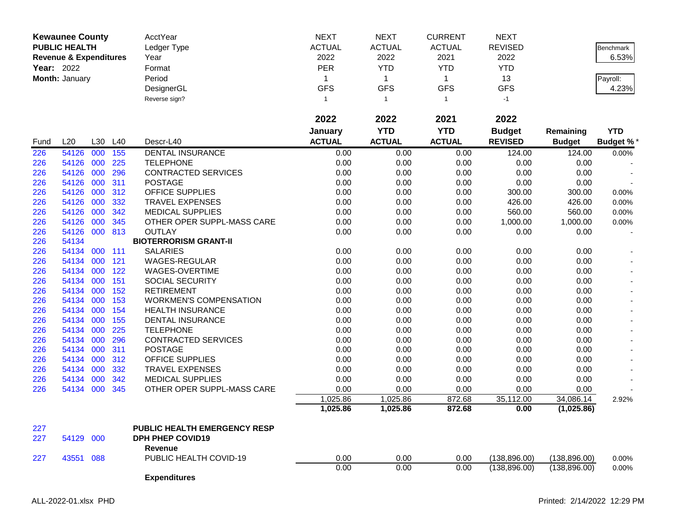| <b>Kewaunee County</b><br><b>PUBLIC HEALTH</b><br><b>Revenue &amp; Expenditures</b> |                |         | AcctYear<br>Ledger Type<br>Year | <b>NEXT</b><br><b>ACTUAL</b><br>2022 | <b>NEXT</b><br><b>ACTUAL</b><br>2022 | <b>CURRENT</b><br><b>ACTUAL</b><br>2021 | <b>NEXT</b><br><b>REVISED</b><br>2022 |                | Benchmark<br>6.53% |                  |
|-------------------------------------------------------------------------------------|----------------|---------|---------------------------------|--------------------------------------|--------------------------------------|-----------------------------------------|---------------------------------------|----------------|--------------------|------------------|
|                                                                                     |                |         |                                 |                                      |                                      |                                         |                                       |                |                    |                  |
|                                                                                     | Year: 2022     |         |                                 | Format                               | <b>PER</b>                           | <b>YTD</b>                              | <b>YTD</b>                            | <b>YTD</b>     |                    |                  |
|                                                                                     | Month: January |         |                                 | Period                               | 1                                    | $\mathbf{1}$                            | $\mathbf{1}$                          | 13             |                    | Payroll:         |
|                                                                                     |                |         |                                 | DesignerGL                           | <b>GFS</b>                           | <b>GFS</b>                              | <b>GFS</b>                            | <b>GFS</b>     |                    | 4.23%            |
|                                                                                     |                |         |                                 | Reverse sign?                        | $\mathbf{1}$                         | $\mathbf{1}$                            | $\overline{1}$                        | $-1$           |                    |                  |
|                                                                                     |                |         |                                 |                                      | 2022                                 | 2022                                    | 2021                                  | 2022           |                    |                  |
|                                                                                     |                |         |                                 |                                      | January                              | <b>YTD</b>                              | <b>YTD</b>                            | <b>Budget</b>  | Remaining          | <b>YTD</b>       |
| Fund                                                                                | L20            | L30 L40 |                                 | Descr-L40                            | <b>ACTUAL</b>                        | <b>ACTUAL</b>                           | <b>ACTUAL</b>                         | <b>REVISED</b> | <b>Budget</b>      | <b>Budget %*</b> |
| 226                                                                                 | 54126          | 000     | 155                             | <b>DENTAL INSURANCE</b>              | 0.00                                 | 0.00                                    | 0.00                                  | 124.00         | 124.00             | 0.00%            |
| 226                                                                                 | 54126 000      |         | 225                             | <b>TELEPHONE</b>                     | 0.00                                 | 0.00                                    | 0.00                                  | 0.00           | 0.00               |                  |
| 226                                                                                 | 54126 000      |         | 296                             | CONTRACTED SERVICES                  | 0.00                                 | 0.00                                    | 0.00                                  | 0.00           | 0.00               |                  |
| 226                                                                                 | 54126 000      |         | 311                             | <b>POSTAGE</b>                       | 0.00                                 | 0.00                                    | 0.00                                  | 0.00           | 0.00               |                  |
| 226                                                                                 | 54126 000      |         | 312                             | OFFICE SUPPLIES                      | 0.00                                 | 0.00                                    | 0.00                                  | 300.00         | 300.00             | 0.00%            |
| 226                                                                                 | 54126 000      |         | 332                             | <b>TRAVEL EXPENSES</b>               | 0.00                                 | 0.00                                    | 0.00                                  | 426.00         | 426.00             | 0.00%            |
| 226                                                                                 | 54126 000      |         | 342                             | <b>MEDICAL SUPPLIES</b>              | 0.00                                 | 0.00                                    | 0.00                                  | 560.00         | 560.00             | 0.00%            |
| 226                                                                                 | 54126 000      |         | 345                             | OTHER OPER SUPPL-MASS CARE           | 0.00                                 | 0.00                                    | 0.00                                  | 1,000.00       | 1,000.00           | 0.00%            |
| 226                                                                                 | 54126 000 813  |         |                                 | <b>OUTLAY</b>                        | 0.00                                 | 0.00                                    | 0.00                                  | 0.00           | 0.00               |                  |
| 226                                                                                 | 54134          |         |                                 | <b>BIOTERRORISM GRANT-II</b>         |                                      |                                         |                                       |                |                    |                  |
| 226                                                                                 | 54134 000      |         | 111                             | <b>SALARIES</b>                      | 0.00                                 | 0.00                                    | 0.00                                  | 0.00           | 0.00               |                  |
| 226                                                                                 | 54134          | 000     | 121                             | WAGES-REGULAR                        | 0.00                                 | 0.00                                    | 0.00                                  | 0.00           | 0.00               |                  |
| 226                                                                                 | 54134 000      |         | 122                             | WAGES-OVERTIME                       | 0.00                                 | 0.00                                    | 0.00                                  | 0.00           | 0.00               |                  |
| 226                                                                                 | 54134 000      |         | 151                             | SOCIAL SECURITY                      | 0.00                                 | 0.00                                    | 0.00                                  | 0.00           | 0.00               |                  |
| 226                                                                                 | 54134 000      |         | 152                             | <b>RETIREMENT</b>                    | 0.00                                 | 0.00                                    | 0.00                                  | 0.00           | 0.00               |                  |
| 226                                                                                 | 54134 000      |         | 153                             | <b>WORKMEN'S COMPENSATION</b>        | 0.00                                 | 0.00                                    | 0.00                                  | 0.00           | 0.00               |                  |
| 226                                                                                 | 54134 000      |         | 154                             | <b>HEALTH INSURANCE</b>              | 0.00                                 | 0.00                                    | 0.00                                  | 0.00           | 0.00               | $\sim$           |
| 226                                                                                 | 54134          | 000     | 155                             | DENTAL INSURANCE                     | 0.00                                 | 0.00                                    | 0.00                                  | 0.00           | 0.00               |                  |
| 226                                                                                 | 54134          | 000     | 225                             | <b>TELEPHONE</b>                     | 0.00                                 | 0.00                                    | 0.00                                  | 0.00           | 0.00               |                  |
| 226                                                                                 | 54134 000      |         | 296                             | CONTRACTED SERVICES                  | 0.00                                 | 0.00                                    | 0.00                                  | 0.00           | 0.00               |                  |
| 226                                                                                 | 54134 000      |         | 311                             | <b>POSTAGE</b>                       | 0.00                                 | 0.00                                    | 0.00                                  | 0.00           | 0.00               |                  |
| 226                                                                                 | 54134 000      |         | 312                             | OFFICE SUPPLIES                      | 0.00                                 | 0.00                                    | 0.00                                  | 0.00           | 0.00               |                  |
| 226                                                                                 | 54134 000      |         | 332                             | <b>TRAVEL EXPENSES</b>               | 0.00                                 | 0.00                                    | 0.00                                  | 0.00           | 0.00               |                  |
| 226                                                                                 | 54134 000      |         | 342                             | <b>MEDICAL SUPPLIES</b>              | 0.00                                 | 0.00                                    | 0.00                                  | 0.00           | 0.00               |                  |
| 226                                                                                 | 54134 000      |         | 345                             | OTHER OPER SUPPL-MASS CARE           | 0.00                                 | 0.00                                    | 0.00                                  | 0.00           | 0.00               |                  |
|                                                                                     |                |         |                                 |                                      | 1,025.86                             | 1,025.86                                | 872.68                                | 35,112.00      | 34,086.14          | 2.92%            |
|                                                                                     |                |         |                                 |                                      | 1,025.86                             | 1,025.86                                | 872.68                                | 0.00           | (1,025.86)         |                  |
| 227                                                                                 |                |         |                                 | <b>PUBLIC HEALTH EMERGENCY RESP</b>  |                                      |                                         |                                       |                |                    |                  |
| 227                                                                                 | 54129 000      |         |                                 | <b>DPH PHEP COVID19</b>              |                                      |                                         |                                       |                |                    |                  |
|                                                                                     |                |         |                                 | Revenue                              |                                      |                                         |                                       |                |                    |                  |
| 227                                                                                 | 43551 088      |         |                                 | PUBLIC HEALTH COVID-19               | 0.00                                 | 0.00                                    | 0.00                                  | (138, 896.00)  | (138, 896.00)      | 0.00%            |
|                                                                                     |                |         |                                 |                                      | 0.00                                 | 0.00                                    | 0.00                                  | (138, 896.00)  | (138, 896.00)      | 0.00%            |
|                                                                                     |                |         |                                 | <b>Expenditures</b>                  |                                      |                                         |                                       |                |                    |                  |
|                                                                                     |                |         |                                 |                                      |                                      |                                         |                                       |                |                    |                  |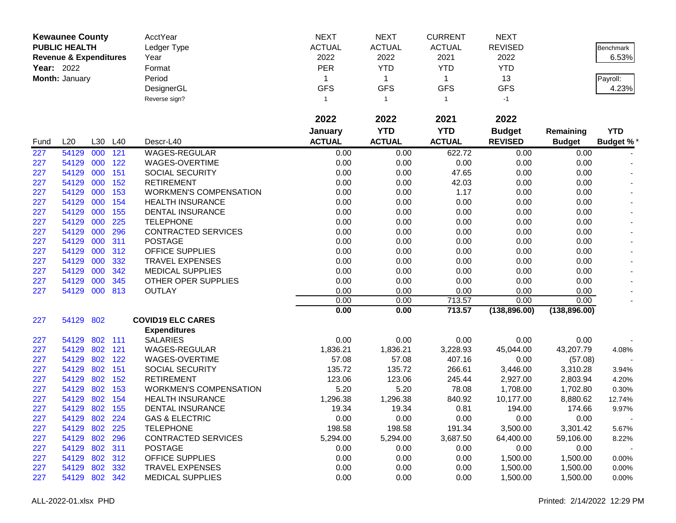| <b>NEXT</b><br><b>NEXT</b><br><b>NEXT</b><br><b>Kewaunee County</b><br>AcctYear<br><b>PUBLIC HEALTH</b><br><b>ACTUAL</b><br><b>ACTUAL</b><br><b>ACTUAL</b><br><b>REVISED</b><br>Ledger Type<br>2022<br>2022<br>2021<br><b>Revenue &amp; Expenditures</b><br>Year<br>2022<br><b>PER</b><br><b>YTD</b><br><b>Year: 2022</b><br>Format<br><b>YTD</b><br><b>YTD</b> | Benchmark<br>6.53%<br>Payroll:<br>4.23% |
|-----------------------------------------------------------------------------------------------------------------------------------------------------------------------------------------------------------------------------------------------------------------------------------------------------------------------------------------------------------------|-----------------------------------------|
|                                                                                                                                                                                                                                                                                                                                                                 |                                         |
|                                                                                                                                                                                                                                                                                                                                                                 |                                         |
|                                                                                                                                                                                                                                                                                                                                                                 |                                         |
| Month: January<br>13<br>Period<br>$\mathbf{1}$<br>$\mathbf{1}$<br>1                                                                                                                                                                                                                                                                                             |                                         |
| <b>GFS</b><br><b>GFS</b><br><b>GFS</b><br><b>GFS</b><br>DesignerGL                                                                                                                                                                                                                                                                                              |                                         |
| Reverse sign?<br>$-1$<br>$\mathbf{1}$<br>-1<br>$\overline{1}$                                                                                                                                                                                                                                                                                                   |                                         |
|                                                                                                                                                                                                                                                                                                                                                                 |                                         |
| 2022<br>2022<br>2022<br>2021                                                                                                                                                                                                                                                                                                                                    |                                         |
| <b>YTD</b><br><b>YTD</b><br><b>Budget</b><br>January<br>Remaining                                                                                                                                                                                                                                                                                               | <b>YTD</b>                              |
| <b>ACTUAL</b><br><b>ACTUAL</b><br><b>ACTUAL</b><br>L20<br>L30<br>L40<br>Descr-L40<br><b>REVISED</b><br><b>Budget</b><br>Fund                                                                                                                                                                                                                                    | <b>Budget %*</b>                        |
| 227<br>54129<br>000<br>121<br><b>WAGES-REGULAR</b><br>622.72<br>0.00<br>0.00<br>0.00<br>0.00                                                                                                                                                                                                                                                                    |                                         |
| 54129<br>000<br>122<br>WAGES-OVERTIME<br>0.00<br>0.00<br>0.00<br>0.00<br>0.00<br>227                                                                                                                                                                                                                                                                            |                                         |
| 54129<br>000<br>151<br>0.00<br>0.00<br>47.65<br>0.00<br>0.00<br>227<br>SOCIAL SECURITY                                                                                                                                                                                                                                                                          |                                         |
| 227<br>54129<br>000<br>152<br><b>RETIREMENT</b><br>0.00<br>0.00<br>42.03<br>0.00<br>0.00                                                                                                                                                                                                                                                                        |                                         |
| 54129<br>000<br>153<br><b>WORKMEN'S COMPENSATION</b><br>0.00<br>0.00<br>1.17<br>0.00<br>227<br>0.00                                                                                                                                                                                                                                                             |                                         |
| 000<br>154<br>0.00<br>0.00<br>0.00<br>227<br>54129<br><b>HEALTH INSURANCE</b><br>0.00<br>0.00                                                                                                                                                                                                                                                                   |                                         |
| 227<br>000<br>155<br>0.00<br>0.00<br>0.00<br>0.00<br>54129<br><b>DENTAL INSURANCE</b><br>0.00                                                                                                                                                                                                                                                                   |                                         |
| 000<br>225<br>0.00<br>0.00<br>227<br>54129<br><b>TELEPHONE</b><br>0.00<br>0.00<br>0.00                                                                                                                                                                                                                                                                          |                                         |
| 000<br>54129<br>296<br><b>CONTRACTED SERVICES</b><br>0.00<br>0.00<br>0.00<br>0.00<br>227<br>0.00                                                                                                                                                                                                                                                                |                                         |
| 000<br><b>POSTAGE</b><br>54129<br>311<br>0.00<br>0.00<br>0.00<br>0.00<br>0.00<br>227                                                                                                                                                                                                                                                                            |                                         |
| 000<br>227<br>54129<br>312<br><b>OFFICE SUPPLIES</b><br>0.00<br>0.00<br>0.00<br>0.00<br>0.00                                                                                                                                                                                                                                                                    |                                         |
| 000<br>54129<br>332<br><b>TRAVEL EXPENSES</b><br>0.00<br>0.00<br>0.00<br>0.00<br>227<br>0.00                                                                                                                                                                                                                                                                    |                                         |
| 000<br>0.00<br>54129<br>342<br><b>MEDICAL SUPPLIES</b><br>0.00<br>0.00<br>0.00<br>0.00<br>227                                                                                                                                                                                                                                                                   |                                         |
| 000<br>0.00<br>0.00<br>54129<br>345<br>OTHER OPER SUPPLIES<br>0.00<br>0.00<br>0.00<br>227                                                                                                                                                                                                                                                                       |                                         |
| 000<br>54129<br>813<br><b>OUTLAY</b><br>0.00<br>0.00<br>0.00<br>0.00<br>0.00<br>227                                                                                                                                                                                                                                                                             |                                         |
| 713.57<br>0.00<br>0.00<br>0.00<br>0.00                                                                                                                                                                                                                                                                                                                          |                                         |
| 0.00<br>0.00<br>713.57<br>(138, 896.00)<br>(138, 896.00)                                                                                                                                                                                                                                                                                                        |                                         |
| 54129 802<br><b>COVID19 ELC CARES</b><br>227<br><b>Expenditures</b>                                                                                                                                                                                                                                                                                             |                                         |
| 54129<br>802 111<br><b>SALARIES</b><br>0.00<br>0.00<br>0.00<br>0.00<br>0.00<br>227                                                                                                                                                                                                                                                                              |                                         |
| 54129<br>802<br>121<br>WAGES-REGULAR<br>1,836.21<br>1,836.21<br>45,044.00<br>227<br>3,228.93<br>43,207.79                                                                                                                                                                                                                                                       | 4.08%                                   |
| 54129<br>802<br>122<br>WAGES-OVERTIME<br>57.08<br>57.08<br>227<br>407.16<br>0.00<br>(57.08)                                                                                                                                                                                                                                                                     |                                         |
| 54129<br>802<br>151<br>135.72<br>135.72<br>266.61<br>227<br>SOCIAL SECURITY<br>3,446.00<br>3,310.28                                                                                                                                                                                                                                                             | 3.94%                                   |
| 54129<br>802<br>152<br><b>RETIREMENT</b><br>123.06<br>123.06<br>227<br>245.44<br>2,927.00<br>2,803.94                                                                                                                                                                                                                                                           | 4.20%                                   |
| 54129<br>802<br>153<br><b>WORKMEN'S COMPENSATION</b><br>5.20<br>5.20<br>227<br>78.08<br>1,708.00<br>1,702.80                                                                                                                                                                                                                                                    | 0.30%                                   |
| 54129<br>802<br>154<br><b>HEALTH INSURANCE</b><br>1,296.38<br>1,296.38<br>840.92<br>8,880.62<br>227<br>10,177.00                                                                                                                                                                                                                                                | 12.74%                                  |
| 227<br>802<br>155<br>19.34<br>0.81<br>54129<br><b>DENTAL INSURANCE</b><br>19.34<br>194.00<br>174.66                                                                                                                                                                                                                                                             | 9.97%                                   |
| <b>GAS &amp; ELECTRIC</b><br>54129 802 224<br>0.00<br>0.00<br>0.00<br>0.00<br>0.00<br>227                                                                                                                                                                                                                                                                       |                                         |
| 802 225<br>227<br>54129<br><b>TELEPHONE</b><br>198.58<br>198.58<br>191.34<br>3,500.00<br>3,301.42                                                                                                                                                                                                                                                               | 5.67%                                   |
| 54129 802 296<br>CONTRACTED SERVICES<br>5,294.00<br>3,687.50<br>64,400.00<br>227<br>5,294.00<br>59,106.00                                                                                                                                                                                                                                                       | 8.22%                                   |
| 802 311<br>54129<br><b>POSTAGE</b><br>0.00<br>0.00<br>0.00<br>0.00<br>0.00<br>227                                                                                                                                                                                                                                                                               |                                         |
| 802 312<br><b>OFFICE SUPPLIES</b><br>0.00<br>54129<br>0.00<br>0.00<br>1,500.00<br>1,500.00<br>227                                                                                                                                                                                                                                                               | 0.00%                                   |
| 54129<br>802 332<br><b>TRAVEL EXPENSES</b><br>0.00<br>0.00<br>0.00<br>1,500.00<br>227<br>1,500.00                                                                                                                                                                                                                                                               | 0.00%                                   |
| 54129 802 342<br><b>MEDICAL SUPPLIES</b><br>0.00<br>0.00<br>0.00<br>227<br>1,500.00<br>1,500.00                                                                                                                                                                                                                                                                 | 0.00%                                   |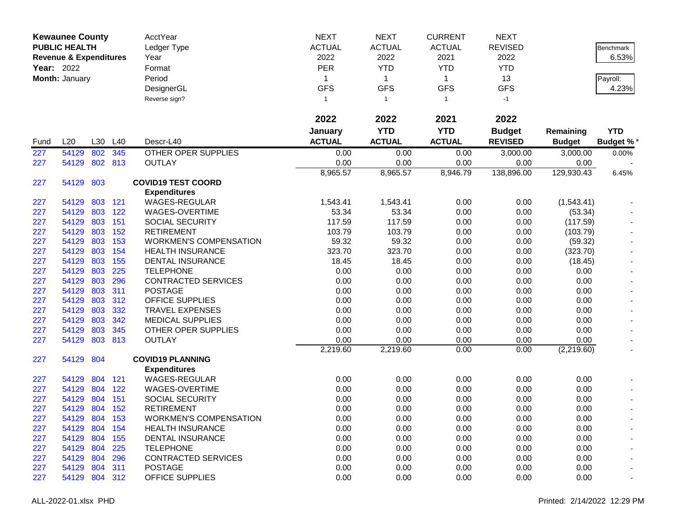| <b>Kewaunee County</b><br><b>PUBLIC HEALTH</b><br><b>Revenue &amp; Expenditures</b><br>Year: 2022<br>Month: January |                |                    | <b>AcctYear</b><br>Ledger Type<br>Year<br>Format<br>Period<br>DesignerGL | <b>NEXT</b><br><b>ACTUAL</b><br>2022<br><b>PER</b><br>1<br><b>GFS</b> | <b>NEXT</b><br><b>ACTUAL</b><br>2022<br><b>YTD</b><br>$\mathbf{1}$<br><b>GFS</b> | <b>CURRENT</b><br><b>ACTUAL</b><br>2021<br><b>YTD</b><br>$\mathbf 1$<br><b>GFS</b> | <b>NEXT</b><br><b>REVISED</b><br>2022<br><b>YTD</b><br>13<br><b>GFS</b> |                                 | Benchmark<br>6.53%<br>Payroll:<br>4.23% |                                |
|---------------------------------------------------------------------------------------------------------------------|----------------|--------------------|--------------------------------------------------------------------------|-----------------------------------------------------------------------|----------------------------------------------------------------------------------|------------------------------------------------------------------------------------|-------------------------------------------------------------------------|---------------------------------|-----------------------------------------|--------------------------------|
|                                                                                                                     |                |                    |                                                                          | Reverse sign?                                                         | 1                                                                                | $\overline{1}$                                                                     | $\mathbf{1}$                                                            | $-1$                            |                                         |                                |
|                                                                                                                     |                |                    |                                                                          |                                                                       | 2022                                                                             | 2022                                                                               | 2021                                                                    | 2022                            |                                         |                                |
| Fund                                                                                                                | L20            | L30                | L40                                                                      | Descr-L40                                                             | January<br><b>ACTUAL</b>                                                         | <b>YTD</b><br><b>ACTUAL</b>                                                        | <b>YTD</b><br><b>ACTUAL</b>                                             | <b>Budget</b><br><b>REVISED</b> | Remaining<br><b>Budget</b>              | <b>YTD</b><br><b>Budget %*</b> |
| 227                                                                                                                 | 54129          | 802                | 345                                                                      | <b>OTHER OPER SUPPLIES</b>                                            | 0.00                                                                             | 0.00                                                                               | 0.00                                                                    | 3,000.00                        | 3,000.00                                | 0.00%                          |
| 227                                                                                                                 | 54129          |                    | 802 813                                                                  | <b>OUTLAY</b>                                                         | 0.00                                                                             | 0.00                                                                               | 0.00                                                                    | 0.00                            | 0.00                                    |                                |
|                                                                                                                     |                |                    |                                                                          |                                                                       | 8,965.57                                                                         | 8,965.57                                                                           | 8,946.79                                                                | 138,896.00                      | 129,930.43                              | 6.45%                          |
| 227                                                                                                                 | 54129          | 803                |                                                                          | <b>COVID19 TEST COORD</b>                                             |                                                                                  |                                                                                    |                                                                         |                                 |                                         |                                |
|                                                                                                                     |                |                    |                                                                          | <b>Expenditures</b>                                                   |                                                                                  |                                                                                    |                                                                         |                                 |                                         |                                |
| 227                                                                                                                 | 54129          |                    | 803 121                                                                  | WAGES-REGULAR                                                         | 1,543.41                                                                         | 1,543.41                                                                           | 0.00                                                                    | 0.00                            | (1,543.41)                              |                                |
| 227                                                                                                                 | 54129          | 803                | 122                                                                      | WAGES-OVERTIME                                                        | 53.34                                                                            | 53.34                                                                              | 0.00                                                                    | 0.00                            | (53.34)                                 |                                |
| 227                                                                                                                 | 54129          | 803                | 151                                                                      | <b>SOCIAL SECURITY</b>                                                | 117.59                                                                           | 117.59                                                                             | 0.00                                                                    | 0.00                            | (117.59)                                |                                |
| 227                                                                                                                 | 54129          | 803                | 152                                                                      | <b>RETIREMENT</b>                                                     | 103.79                                                                           | 103.79                                                                             | 0.00                                                                    | 0.00                            | (103.79)                                |                                |
| 227                                                                                                                 | 54129          | 803                | 153                                                                      | <b>WORKMEN'S COMPENSATION</b>                                         | 59.32                                                                            | 59.32                                                                              | 0.00                                                                    | 0.00                            | (59.32)                                 |                                |
| 227                                                                                                                 | 54129          | 803                | 154                                                                      | <b>HEALTH INSURANCE</b>                                               | 323.70                                                                           | 323.70                                                                             | 0.00                                                                    | 0.00                            | (323.70)                                |                                |
| 227                                                                                                                 | 54129          | 803                | 155                                                                      | DENTAL INSURANCE                                                      | 18.45                                                                            | 18.45                                                                              | 0.00                                                                    | 0.00                            | (18.45)                                 |                                |
| 227                                                                                                                 | 54129          | 803                | 225                                                                      | <b>TELEPHONE</b>                                                      | 0.00                                                                             | 0.00                                                                               | 0.00                                                                    | 0.00                            | 0.00                                    |                                |
| 227                                                                                                                 | 54129          | 803                | 296                                                                      | <b>CONTRACTED SERVICES</b>                                            | 0.00                                                                             | 0.00                                                                               | 0.00                                                                    | 0.00                            | 0.00                                    |                                |
| 227                                                                                                                 | 54129          | 803                | 311                                                                      | <b>POSTAGE</b>                                                        | 0.00                                                                             | 0.00                                                                               | 0.00                                                                    | 0.00                            | 0.00                                    |                                |
| 227                                                                                                                 | 54129          | 803                | 312                                                                      | <b>OFFICE SUPPLIES</b>                                                | 0.00                                                                             | 0.00                                                                               | 0.00                                                                    | 0.00                            | 0.00                                    |                                |
| 227                                                                                                                 | 54129          | 803                | 332                                                                      | <b>TRAVEL EXPENSES</b>                                                | 0.00                                                                             | 0.00                                                                               | 0.00                                                                    | 0.00                            | 0.00                                    |                                |
| 227                                                                                                                 | 54129          | 803                | 342                                                                      | <b>MEDICAL SUPPLIES</b>                                               | 0.00                                                                             | 0.00                                                                               | 0.00                                                                    | 0.00                            | 0.00                                    |                                |
| 227                                                                                                                 | 54129          | 803                | 345                                                                      | OTHER OPER SUPPLIES                                                   | 0.00                                                                             | 0.00                                                                               | 0.00                                                                    | 0.00                            | 0.00                                    |                                |
| 227                                                                                                                 | 54129          | 803                | 813                                                                      | <b>OUTLAY</b>                                                         | 0.00                                                                             | 0.00                                                                               | 0.00                                                                    | 0.00                            | 0.00                                    |                                |
|                                                                                                                     |                |                    |                                                                          |                                                                       | 2,219.60                                                                         | 2,219.60                                                                           | 0.00                                                                    | 0.00                            | (2,219.60)                              |                                |
| 227                                                                                                                 | 54129          | 804                |                                                                          | <b>COVID19 PLANNING</b>                                               |                                                                                  |                                                                                    |                                                                         |                                 |                                         |                                |
|                                                                                                                     |                |                    |                                                                          | <b>Expenditures</b><br>WAGES-REGULAR                                  | 0.00                                                                             | 0.00                                                                               | 0.00                                                                    | 0.00                            | 0.00                                    |                                |
| 227                                                                                                                 | 54129<br>54129 | 804<br>804         | 121<br>122                                                               |                                                                       | 0.00                                                                             |                                                                                    | 0.00                                                                    |                                 | 0.00                                    |                                |
| 227                                                                                                                 | 54129          | 804                | 151                                                                      | WAGES-OVERTIME<br><b>SOCIAL SECURITY</b>                              | 0.00                                                                             | 0.00                                                                               | 0.00                                                                    | 0.00                            | 0.00                                    |                                |
| 227<br>227                                                                                                          | 54129          | 804                | 152                                                                      | <b>RETIREMENT</b>                                                     | 0.00                                                                             | 0.00<br>0.00                                                                       | 0.00                                                                    | 0.00<br>0.00                    | 0.00                                    |                                |
|                                                                                                                     |                |                    |                                                                          |                                                                       |                                                                                  |                                                                                    |                                                                         |                                 |                                         |                                |
| 227                                                                                                                 | 54129<br>54129 | 804 153<br>804 154 |                                                                          | <b>WORKMEN'S COMPENSATION</b><br><b>HEALTH INSURANCE</b>              | 0.00<br>0.00                                                                     | 0.00<br>0.00                                                                       | 0.00<br>0.00                                                            | 0.00<br>0.00                    | 0.00<br>0.00                            |                                |
| 227                                                                                                                 | 54129 804 155  |                    |                                                                          | <b>DENTAL INSURANCE</b>                                               | 0.00                                                                             | 0.00                                                                               | 0.00                                                                    | 0.00                            | 0.00                                    |                                |
| 227<br>227                                                                                                          | 54129          | 804                | 225                                                                      | <b>TELEPHONE</b>                                                      | 0.00                                                                             | 0.00                                                                               | 0.00                                                                    | 0.00                            | 0.00                                    |                                |
| 227                                                                                                                 | 54129          | 804                | 296                                                                      | <b>CONTRACTED SERVICES</b>                                            | 0.00                                                                             | 0.00                                                                               | 0.00                                                                    | 0.00                            | 0.00                                    |                                |
| 227                                                                                                                 | 54129 804      |                    | 311                                                                      | <b>POSTAGE</b>                                                        | 0.00                                                                             | 0.00                                                                               | 0.00                                                                    | 0.00                            | 0.00                                    |                                |
| 227                                                                                                                 | 54129 804 312  |                    |                                                                          | <b>OFFICE SUPPLIES</b>                                                | 0.00                                                                             | 0.00                                                                               | 0.00                                                                    | 0.00                            | 0.00                                    |                                |
|                                                                                                                     |                |                    |                                                                          |                                                                       |                                                                                  |                                                                                    |                                                                         |                                 |                                         |                                |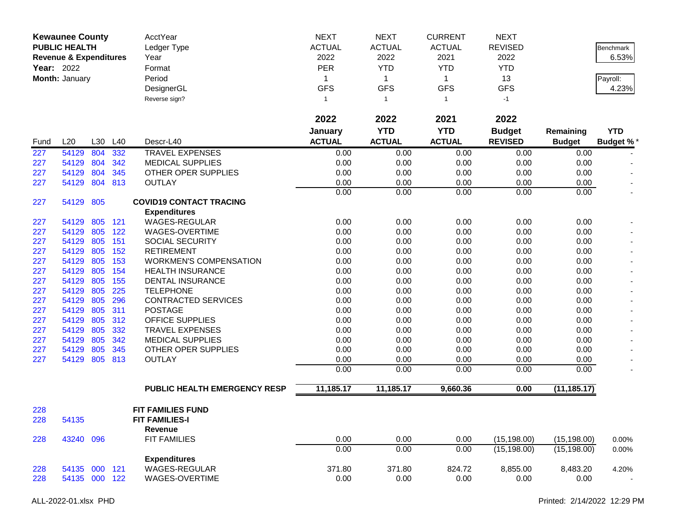|      | <b>Kewaunee County</b><br><b>PUBLIC HEALTH</b><br><b>Revenue &amp; Expenditures</b><br><b>Year: 2022</b><br>Month: January |     |         | AcctYear<br>Ledger Type<br>Year<br>Format<br>Period<br>DesignerGL<br>Reverse sign? | <b>NEXT</b><br><b>ACTUAL</b><br>2022<br>PER<br>1<br><b>GFS</b><br>1 | <b>NEXT</b><br><b>ACTUAL</b><br>2022<br><b>YTD</b><br>$\mathbf{1}$<br><b>GFS</b><br>$\overline{1}$ | <b>CURRENT</b><br><b>ACTUAL</b><br>2021<br><b>YTD</b><br>$\mathbf{1}$<br><b>GFS</b><br>$\mathbf{1}$ | <b>NEXT</b><br><b>REVISED</b><br>2022<br><b>YTD</b><br>13<br><b>GFS</b><br>$-1$ |               | <b>Benchmark</b><br>6.53%<br>Payroll:<br>4.23% |
|------|----------------------------------------------------------------------------------------------------------------------------|-----|---------|------------------------------------------------------------------------------------|---------------------------------------------------------------------|----------------------------------------------------------------------------------------------------|-----------------------------------------------------------------------------------------------------|---------------------------------------------------------------------------------|---------------|------------------------------------------------|
|      |                                                                                                                            |     |         |                                                                                    | 2022                                                                | 2022                                                                                               | 2021                                                                                                | 2022                                                                            |               |                                                |
|      |                                                                                                                            |     |         |                                                                                    | January                                                             | <b>YTD</b>                                                                                         | <b>YTD</b>                                                                                          | <b>Budget</b>                                                                   | Remaining     | <b>YTD</b>                                     |
| Fund | L20                                                                                                                        | L30 | L40     | Descr-L40                                                                          | <b>ACTUAL</b>                                                       | <b>ACTUAL</b>                                                                                      | <b>ACTUAL</b>                                                                                       | <b>REVISED</b>                                                                  | <b>Budget</b> | <b>Budget %*</b>                               |
| 227  | 54129                                                                                                                      | 804 | 332     | <b>TRAVEL EXPENSES</b>                                                             | 0.00                                                                | 0.00                                                                                               | 0.00                                                                                                | 0.00                                                                            | 0.00          |                                                |
| 227  | 54129                                                                                                                      | 804 | 342     | <b>MEDICAL SUPPLIES</b>                                                            | 0.00                                                                | 0.00                                                                                               | 0.00                                                                                                | 0.00                                                                            | 0.00          |                                                |
| 227  | 54129                                                                                                                      | 804 | 345     | OTHER OPER SUPPLIES                                                                | 0.00                                                                | 0.00                                                                                               | 0.00                                                                                                | 0.00                                                                            | 0.00          |                                                |
| 227  | 54129                                                                                                                      | 804 | 813     | <b>OUTLAY</b>                                                                      | 0.00                                                                | 0.00                                                                                               | 0.00                                                                                                | 0.00                                                                            | 0.00          |                                                |
|      |                                                                                                                            |     |         |                                                                                    | 0.00                                                                | 0.00                                                                                               | 0.00                                                                                                | 0.00                                                                            | 0.00          | $\overline{\phantom{a}}$                       |
| 227  | 54129                                                                                                                      | 805 |         | <b>COVID19 CONTACT TRACING</b>                                                     |                                                                     |                                                                                                    |                                                                                                     |                                                                                 |               |                                                |
|      |                                                                                                                            |     |         | <b>Expenditures</b>                                                                |                                                                     |                                                                                                    |                                                                                                     |                                                                                 |               |                                                |
| 227  | 54129                                                                                                                      | 805 | 121     | <b>WAGES-REGULAR</b>                                                               | 0.00                                                                | 0.00                                                                                               | 0.00                                                                                                | 0.00                                                                            | 0.00          |                                                |
| 227  | 54129                                                                                                                      | 805 | 122     | WAGES-OVERTIME                                                                     | 0.00                                                                | 0.00                                                                                               | 0.00                                                                                                | 0.00                                                                            | 0.00          |                                                |
| 227  | 54129                                                                                                                      | 805 | 151     | SOCIAL SECURITY                                                                    | 0.00                                                                | 0.00                                                                                               | 0.00                                                                                                | 0.00                                                                            | 0.00          |                                                |
| 227  | 54129                                                                                                                      | 805 | 152     | <b>RETIREMENT</b>                                                                  | 0.00                                                                | 0.00                                                                                               | 0.00                                                                                                | 0.00                                                                            | 0.00          |                                                |
| 227  | 54129                                                                                                                      | 805 | 153     | <b>WORKMEN'S COMPENSATION</b>                                                      | 0.00                                                                | 0.00                                                                                               | 0.00                                                                                                | 0.00                                                                            | 0.00          |                                                |
| 227  | 54129                                                                                                                      | 805 | 154     | <b>HEALTH INSURANCE</b>                                                            | 0.00                                                                | 0.00                                                                                               | 0.00                                                                                                | 0.00                                                                            | 0.00          |                                                |
| 227  | 54129                                                                                                                      | 805 | 155     | DENTAL INSURANCE                                                                   | 0.00                                                                | 0.00                                                                                               | 0.00                                                                                                | 0.00                                                                            | 0.00          |                                                |
| 227  | 54129                                                                                                                      | 805 | 225     | <b>TELEPHONE</b>                                                                   | 0.00                                                                | 0.00                                                                                               | 0.00                                                                                                | 0.00                                                                            | 0.00          |                                                |
| 227  | 54129                                                                                                                      | 805 | 296     | <b>CONTRACTED SERVICES</b>                                                         | 0.00                                                                | 0.00                                                                                               | 0.00                                                                                                | 0.00                                                                            | 0.00          |                                                |
| 227  | 54129                                                                                                                      | 805 | 311     | <b>POSTAGE</b>                                                                     | 0.00                                                                | 0.00                                                                                               | 0.00                                                                                                | 0.00                                                                            | 0.00          |                                                |
| 227  | 54129                                                                                                                      | 805 | 312     | <b>OFFICE SUPPLIES</b>                                                             | 0.00                                                                | 0.00                                                                                               | 0.00                                                                                                | 0.00                                                                            | 0.00          |                                                |
| 227  | 54129                                                                                                                      | 805 | 332     | <b>TRAVEL EXPENSES</b>                                                             | 0.00                                                                | 0.00                                                                                               | 0.00                                                                                                | 0.00                                                                            | 0.00          |                                                |
| 227  | 54129                                                                                                                      | 805 | 342     | <b>MEDICAL SUPPLIES</b>                                                            | 0.00                                                                | 0.00                                                                                               | 0.00                                                                                                | 0.00                                                                            | 0.00          |                                                |
| 227  | 54129                                                                                                                      | 805 | 345     | OTHER OPER SUPPLIES                                                                | 0.00                                                                | 0.00                                                                                               | 0.00                                                                                                | 0.00                                                                            | 0.00          |                                                |
| 227  | 54129                                                                                                                      | 805 | 813     | <b>OUTLAY</b>                                                                      | 0.00                                                                | 0.00                                                                                               | 0.00                                                                                                | 0.00                                                                            | 0.00          |                                                |
|      |                                                                                                                            |     |         |                                                                                    | 0.00                                                                | 0.00                                                                                               | 0.00                                                                                                | 0.00                                                                            | 0.00          |                                                |
|      |                                                                                                                            |     |         | <b>PUBLIC HEALTH EMERGENCY RESP</b>                                                | 11,185.17                                                           | 11,185.17                                                                                          | 9,660.36                                                                                            | 0.00                                                                            | (11, 185.17)  |                                                |
| 228  |                                                                                                                            |     |         | <b>FIT FAMILIES FUND</b>                                                           |                                                                     |                                                                                                    |                                                                                                     |                                                                                 |               |                                                |
| 228  | 54135                                                                                                                      |     |         | <b>FIT FAMILIES-I</b>                                                              |                                                                     |                                                                                                    |                                                                                                     |                                                                                 |               |                                                |
|      |                                                                                                                            |     |         | Revenue                                                                            |                                                                     |                                                                                                    |                                                                                                     |                                                                                 |               |                                                |
| 228  | 43240                                                                                                                      | 096 |         | <b>FIT FAMILIES</b>                                                                | 0.00                                                                | 0.00                                                                                               | 0.00                                                                                                | (15, 198.00)                                                                    | (15, 198.00)  | 0.00%                                          |
|      |                                                                                                                            |     |         |                                                                                    | 0.00                                                                | 0.00                                                                                               | 0.00                                                                                                | (15, 198.00)                                                                    | (15, 198.00)  | $0.00\%$                                       |
|      |                                                                                                                            |     |         | <b>Expenditures</b>                                                                |                                                                     |                                                                                                    |                                                                                                     |                                                                                 |               |                                                |
| 228  | 54135                                                                                                                      |     | 000 121 | <b>WAGES-REGULAR</b>                                                               | 371.80                                                              | 371.80                                                                                             | 824.72                                                                                              | 8,855.00                                                                        | 8,483.20      | 4.20%                                          |
| 228  | 54135 000 122                                                                                                              |     |         | WAGES-OVERTIME                                                                     | 0.00                                                                | 0.00                                                                                               | 0.00                                                                                                | 0.00                                                                            | 0.00          | $\sim$                                         |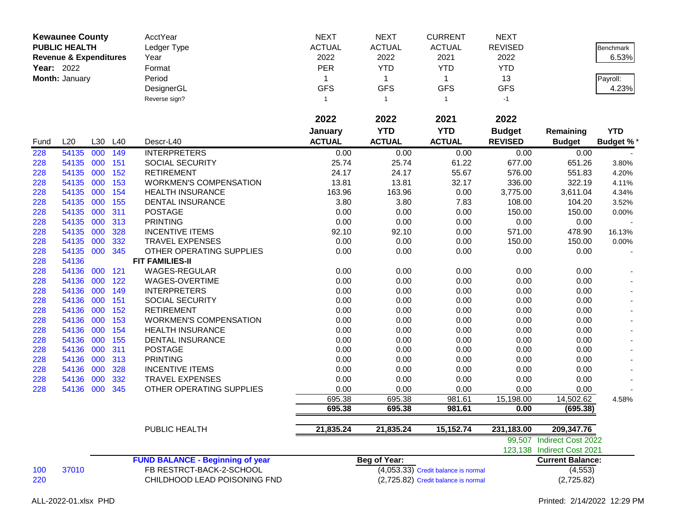| <b>Kewaunee County</b><br><b>PUBLIC HEALTH</b><br><b>Revenue &amp; Expenditures</b><br>Year: 2022<br>Month: January |                |            |            | AcctYear<br>Ledger Type<br>Year<br>Format<br>Period<br>DesignerGL | <b>NEXT</b><br><b>ACTUAL</b><br>2022<br>PER<br>1<br><b>GFS</b> | <b>NEXT</b><br><b>ACTUAL</b><br>2022<br><b>YTD</b><br>$\mathbf{1}$<br><b>GFS</b> | <b>CURRENT</b><br><b>ACTUAL</b><br>2021<br><b>YTD</b><br>$\mathbf{1}$<br><b>GFS</b> | <b>NEXT</b><br><b>REVISED</b><br>2022<br><b>YTD</b><br>13<br><b>GFS</b> |                            | Benchmark<br>6.53%<br>Payroll:<br>4.23% |
|---------------------------------------------------------------------------------------------------------------------|----------------|------------|------------|-------------------------------------------------------------------|----------------------------------------------------------------|----------------------------------------------------------------------------------|-------------------------------------------------------------------------------------|-------------------------------------------------------------------------|----------------------------|-----------------------------------------|
|                                                                                                                     |                |            |            | Reverse sign?                                                     | 1                                                              | $\overline{1}$                                                                   | $\mathbf{1}$                                                                        | $-1$                                                                    |                            |                                         |
|                                                                                                                     |                |            |            |                                                                   | 2022                                                           | 2022                                                                             | 2021                                                                                | 2022                                                                    |                            |                                         |
|                                                                                                                     |                |            |            |                                                                   | January                                                        | <b>YTD</b>                                                                       | <b>YTD</b>                                                                          | <b>Budget</b>                                                           | Remaining                  | <b>YTD</b>                              |
| Fund                                                                                                                | L20            | L30        | L40        | Descr-L40                                                         | <b>ACTUAL</b>                                                  | <b>ACTUAL</b>                                                                    | <b>ACTUAL</b>                                                                       | <b>REVISED</b>                                                          | <b>Budget</b>              | <b>Budget %*</b>                        |
| 228                                                                                                                 | 54135          | 000        | 149        | <b>INTERPRETERS</b>                                               | 0.00                                                           | 0.00                                                                             | 0.00                                                                                | 0.00                                                                    | 0.00                       |                                         |
| 228                                                                                                                 | 54135          | 000        | 151        | <b>SOCIAL SECURITY</b>                                            | 25.74                                                          | 25.74                                                                            | 61.22                                                                               | 677.00                                                                  | 651.26                     | 3.80%                                   |
| 228<br>228                                                                                                          | 54135<br>54135 | 000<br>000 | 152<br>153 | <b>RETIREMENT</b><br><b>WORKMEN'S COMPENSATION</b>                | 24.17                                                          | 24.17                                                                            | 55.67                                                                               | 576.00                                                                  | 551.83                     | 4.20%                                   |
| 228                                                                                                                 | 54135          | 000        | 154        | <b>HEALTH INSURANCE</b>                                           | 13.81<br>163.96                                                | 13.81<br>163.96                                                                  | 32.17<br>0.00                                                                       | 336.00<br>3,775.00                                                      | 322.19<br>3,611.04         | 4.11%<br>4.34%                          |
| 228                                                                                                                 | 54135          | 000        | 155        | DENTAL INSURANCE                                                  | 3.80                                                           | 3.80                                                                             | 7.83                                                                                | 108.00                                                                  | 104.20                     | 3.52%                                   |
| 228                                                                                                                 | 54135          | 000        | 311        | <b>POSTAGE</b>                                                    | 0.00                                                           | 0.00                                                                             | 0.00                                                                                | 150.00                                                                  | 150.00                     | 0.00%                                   |
| 228                                                                                                                 | 54135          | 000        | 313        | <b>PRINTING</b>                                                   | 0.00                                                           | 0.00                                                                             | 0.00                                                                                | 0.00                                                                    | 0.00                       |                                         |
| 228                                                                                                                 | 54135          | 000        | 328        | <b>INCENTIVE ITEMS</b>                                            | 92.10                                                          | 92.10                                                                            | 0.00                                                                                | 571.00                                                                  | 478.90                     | 16.13%                                  |
| 228                                                                                                                 | 54135          | 000        | 332        | <b>TRAVEL EXPENSES</b>                                            | 0.00                                                           | 0.00                                                                             | 0.00                                                                                | 150.00                                                                  | 150.00                     | $0.00\%$                                |
| 228                                                                                                                 | 54135          | 000        | 345        | OTHER OPERATING SUPPLIES                                          | 0.00                                                           | 0.00                                                                             | 0.00                                                                                | 0.00                                                                    | 0.00                       |                                         |
| 228                                                                                                                 | 54136          |            |            | <b>FIT FAMILIES-II</b>                                            |                                                                |                                                                                  |                                                                                     |                                                                         |                            |                                         |
| 228                                                                                                                 | 54136          | 000        | 121        | WAGES-REGULAR                                                     | 0.00                                                           | 0.00                                                                             | 0.00                                                                                | 0.00                                                                    | 0.00                       |                                         |
| 228                                                                                                                 | 54136          | 000        | 122        | WAGES-OVERTIME                                                    | 0.00                                                           | 0.00                                                                             | 0.00                                                                                | 0.00                                                                    | 0.00                       |                                         |
| 228                                                                                                                 | 54136          | 000        | 149        | <b>INTERPRETERS</b>                                               | 0.00                                                           | 0.00                                                                             | 0.00                                                                                | 0.00                                                                    | 0.00                       |                                         |
| 228                                                                                                                 | 54136          | 000        | 151        | SOCIAL SECURITY                                                   | 0.00                                                           | 0.00                                                                             | 0.00                                                                                | 0.00                                                                    | 0.00                       |                                         |
| 228                                                                                                                 | 54136          | 000        | 152        | <b>RETIREMENT</b>                                                 | 0.00                                                           | 0.00                                                                             | 0.00                                                                                | 0.00                                                                    | 0.00                       |                                         |
| 228                                                                                                                 | 54136          | 000        | 153        | <b>WORKMEN'S COMPENSATION</b>                                     | 0.00                                                           | 0.00                                                                             | 0.00                                                                                | 0.00                                                                    | 0.00                       |                                         |
| 228                                                                                                                 | 54136          | 000        | 154        | <b>HEALTH INSURANCE</b>                                           | 0.00                                                           | 0.00                                                                             | 0.00                                                                                | 0.00                                                                    | 0.00                       |                                         |
| 228                                                                                                                 | 54136          | 000        | 155        | DENTAL INSURANCE                                                  | 0.00                                                           | 0.00                                                                             | 0.00                                                                                | 0.00                                                                    | 0.00                       |                                         |
| 228                                                                                                                 | 54136          | 000        | 311        | <b>POSTAGE</b>                                                    | 0.00                                                           | 0.00                                                                             | 0.00                                                                                | 0.00                                                                    | 0.00                       |                                         |
| 228                                                                                                                 | 54136          | 000        | 313        | <b>PRINTING</b>                                                   | 0.00                                                           | 0.00                                                                             | 0.00                                                                                | 0.00                                                                    | 0.00                       |                                         |
| 228                                                                                                                 | 54136          | 000        | 328        | <b>INCENTIVE ITEMS</b>                                            | 0.00                                                           | 0.00                                                                             | 0.00                                                                                | 0.00                                                                    | 0.00                       |                                         |
| 228                                                                                                                 | 54136          | 000<br>000 | 332        | <b>TRAVEL EXPENSES</b>                                            | 0.00                                                           | 0.00<br>0.00                                                                     | 0.00                                                                                | 0.00                                                                    | 0.00                       |                                         |
| 228                                                                                                                 | 54136          |            | 345        | OTHER OPERATING SUPPLIES                                          | 0.00<br>695.38                                                 | 695.38                                                                           | 0.00<br>981.61                                                                      | 0.00<br>15,198.00                                                       | 0.00<br>14,502.62          | 4.58%                                   |
|                                                                                                                     |                |            |            |                                                                   | 695.38                                                         | 695.38                                                                           | 981.61                                                                              | 0.00                                                                    | (695.38)                   |                                         |
|                                                                                                                     |                |            |            |                                                                   |                                                                |                                                                                  |                                                                                     |                                                                         |                            |                                         |
|                                                                                                                     |                |            |            | PUBLIC HEALTH                                                     | 21,835.24                                                      | 21,835.24                                                                        | 15,152.74                                                                           | 231,183.00                                                              | 209, 347. 76               |                                         |
|                                                                                                                     |                |            |            |                                                                   |                                                                |                                                                                  |                                                                                     |                                                                         | 99,507 Indirect Cost 2022  |                                         |
|                                                                                                                     |                |            |            |                                                                   |                                                                |                                                                                  |                                                                                     |                                                                         | 123,138 Indirect Cost 2021 |                                         |
|                                                                                                                     |                |            |            | <b>FUND BALANCE - Beginning of year</b>                           |                                                                | <b>Beg of Year:</b>                                                              |                                                                                     |                                                                         | <b>Current Balance:</b>    |                                         |
| 100                                                                                                                 | 37010          |            |            | FB RESTRCT-BACK-2-SCHOOL                                          |                                                                |                                                                                  | $(4,053.33)$ Credit balance is normal                                               |                                                                         | (4, 553)                   |                                         |
| 220                                                                                                                 |                |            |            | CHILDHOOD LEAD POISONING FND                                      |                                                                |                                                                                  | (2,725.82) Credit balance is normal                                                 |                                                                         | (2,725.82)                 |                                         |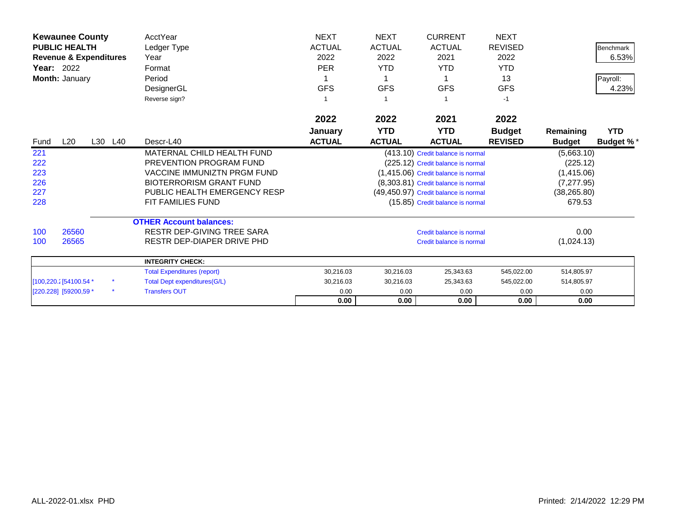| <b>Kewaunee County</b> |                                   |         | AcctYear                            | <b>NEXT</b>   | <b>NEXT</b>   | <b>CURRENT</b>                       | <b>NEXT</b>    |               |                  |
|------------------------|-----------------------------------|---------|-------------------------------------|---------------|---------------|--------------------------------------|----------------|---------------|------------------|
|                        | <b>PUBLIC HEALTH</b>              |         | Ledger Type                         | <b>ACTUAL</b> | <b>ACTUAL</b> | <b>ACTUAL</b>                        | <b>REVISED</b> |               | <b>Benchmark</b> |
|                        | <b>Revenue &amp; Expenditures</b> |         | Year                                | 2022          | 2022          | 2021                                 | 2022           |               | 6.53%            |
| <b>Year: 2022</b>      |                                   |         | Format                              | <b>PER</b>    | <b>YTD</b>    | <b>YTD</b>                           | <b>YTD</b>     |               |                  |
|                        | Month: January                    |         | Period                              |               |               |                                      | 13             |               | Payroll:         |
|                        |                                   |         | DesignerGL                          | <b>GFS</b>    | <b>GFS</b>    | <b>GFS</b>                           | <b>GFS</b>     |               | 4.23%            |
|                        |                                   |         | Reverse sign?                       |               |               |                                      | $-1$           |               |                  |
|                        |                                   |         |                                     | 2022          | 2022          | 2021                                 | 2022           |               |                  |
|                        |                                   |         |                                     | January       | <b>YTD</b>    | <b>YTD</b>                           | <b>Budget</b>  | Remaining     | <b>YTD</b>       |
| Fund                   | L20                               | L30 L40 | Descr-L40                           | <b>ACTUAL</b> | <b>ACTUAL</b> | <b>ACTUAL</b>                        | <b>REVISED</b> | <b>Budget</b> | <b>Budget %*</b> |
| 221                    |                                   |         | MATERNAL CHILD HEALTH FUND          |               |               | (413.10) Credit balance is normal    |                | (5,663.10)    |                  |
| 222                    |                                   |         | PREVENTION PROGRAM FUND             |               |               | (225.12) Credit balance is normal    |                | (225.12)      |                  |
| 223                    |                                   |         | <b>VACCINE IMMUNIZTN PRGM FUND</b>  |               |               | (1,415.06) Credit balance is normal  |                | (1,415.06)    |                  |
| 226                    |                                   |         | <b>BIOTERRORISM GRANT FUND</b>      |               |               | (8,303.81) Credit balance is normal  |                | (7, 277.95)   |                  |
| 227                    |                                   |         | PUBLIC HEALTH EMERGENCY RESP        |               |               | (49,450.97) Credit balance is normal |                | (38, 265.80)  |                  |
| 228                    |                                   |         | <b>FIT FAMILIES FUND</b>            |               |               | (15.85) Credit balance is normal     |                | 679.53        |                  |
|                        |                                   |         | <b>OTHER Account balances:</b>      |               |               |                                      |                |               |                  |
| 100                    | 26560                             |         | <b>RESTR DEP-GIVING TREE SARA</b>   |               |               | Credit balance is normal             |                | 0.00          |                  |
| 100                    | 26565                             |         | RESTR DEP-DIAPER DRIVE PHD          |               |               | Credit balance is normal             |                | (1,024.13)    |                  |
|                        |                                   |         | <b>INTEGRITY CHECK:</b>             |               |               |                                      |                |               |                  |
|                        |                                   |         | <b>Total Expenditures (report)</b>  | 30,216.03     | 30,216.03     | 25,343.63                            | 545,022.00     | 514,805.97    |                  |
|                        | [100,220.2] 54100.54 *            |         | <b>Total Dept expenditures(G/L)</b> | 30,216.03     | 30,216.03     | 25,343.63                            | 545,022.00     | 514,805.97    |                  |
|                        | [220.228] [59200,59 *             | $\star$ | <b>Transfers OUT</b>                | 0.00          | 0.00          | 0.00                                 | 0.00           | 0.00          |                  |
|                        |                                   |         |                                     | 0.00          | 0.00          | 0.00                                 | 0.00           | 0.00          |                  |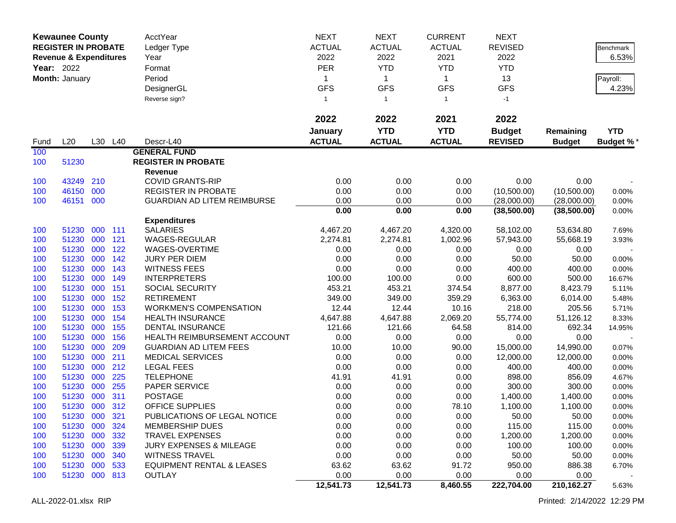|             | <b>Kewaunee County</b><br><b>REGISTER IN PROBATE</b><br><b>Revenue &amp; Expenditures</b><br><b>Year: 2022</b><br>Month: January |            | AcctYear<br>Ledger Type<br>Year<br>Format<br>Period<br>DesignerGL<br>Reverse sign? |                                             | <b>NEXT</b><br><b>ACTUAL</b><br>2022<br><b>PER</b><br>1<br><b>GFS</b><br>$\mathbf{1}$ | <b>NEXT</b><br><b>ACTUAL</b><br>2022<br><b>YTD</b><br>$\mathbf 1$<br><b>GFS</b><br>$\mathbf{1}$ | <b>CURRENT</b><br><b>ACTUAL</b><br>2021<br><b>YTD</b><br>$\mathbf{1}$<br><b>GFS</b><br>$\mathbf{1}$ | <b>NEXT</b><br><b>REVISED</b><br>2022<br><b>YTD</b><br>13<br><b>GFS</b><br>$-1$ |                 | <b>Benchmark</b><br>6.53%<br>Payroll:<br>4.23% |
|-------------|----------------------------------------------------------------------------------------------------------------------------------|------------|------------------------------------------------------------------------------------|---------------------------------------------|---------------------------------------------------------------------------------------|-------------------------------------------------------------------------------------------------|-----------------------------------------------------------------------------------------------------|---------------------------------------------------------------------------------|-----------------|------------------------------------------------|
|             |                                                                                                                                  |            |                                                                                    |                                             | 2022                                                                                  | 2022                                                                                            | 2021                                                                                                | 2022                                                                            |                 |                                                |
|             |                                                                                                                                  |            |                                                                                    |                                             | January                                                                               | <b>YTD</b>                                                                                      | <b>YTD</b>                                                                                          | <b>Budget</b>                                                                   | Remaining       | <b>YTD</b>                                     |
| Fund<br>100 | L20                                                                                                                              |            | L30 L40                                                                            | Descr-L40<br><b>GENERAL FUND</b>            | <b>ACTUAL</b>                                                                         | <b>ACTUAL</b>                                                                                   | <b>ACTUAL</b>                                                                                       | <b>REVISED</b>                                                                  | <b>Budget</b>   | Budget %*                                      |
| 100         | 51230                                                                                                                            |            |                                                                                    | <b>REGISTER IN PROBATE</b>                  |                                                                                       |                                                                                                 |                                                                                                     |                                                                                 |                 |                                                |
|             |                                                                                                                                  |            |                                                                                    | Revenue                                     |                                                                                       |                                                                                                 |                                                                                                     |                                                                                 |                 |                                                |
| 100         | 43249                                                                                                                            | 210        |                                                                                    | <b>COVID GRANTS-RIP</b>                     | 0.00                                                                                  | 0.00                                                                                            | 0.00                                                                                                | 0.00                                                                            | 0.00            |                                                |
| 100         | 46150                                                                                                                            | 000        |                                                                                    | <b>REGISTER IN PROBATE</b>                  | 0.00                                                                                  | 0.00                                                                                            | 0.00                                                                                                | (10,500.00)                                                                     | (10,500.00)     | 0.00%                                          |
| 100         | 46151                                                                                                                            | 000        |                                                                                    | <b>GUARDIAN AD LITEM REIMBURSE</b>          | 0.00                                                                                  | 0.00                                                                                            | 0.00                                                                                                | (28,000.00)                                                                     | (28,000.00)     | 0.00%                                          |
|             |                                                                                                                                  |            |                                                                                    |                                             | 0.00                                                                                  | 0.00                                                                                            | 0.00                                                                                                | (38,500.00)                                                                     | (38,500.00)     | 0.00%                                          |
|             |                                                                                                                                  |            |                                                                                    | <b>Expenditures</b>                         |                                                                                       |                                                                                                 |                                                                                                     |                                                                                 |                 |                                                |
| 100         | 51230                                                                                                                            | 000        | 111                                                                                | <b>SALARIES</b>                             | 4,467.20                                                                              | 4,467.20                                                                                        | 4,320.00                                                                                            | 58,102.00                                                                       | 53,634.80       | 7.69%                                          |
| 100         | 51230                                                                                                                            | 000        | 121                                                                                | WAGES-REGULAR                               | 2,274.81                                                                              | 2,274.81                                                                                        | 1,002.96                                                                                            | 57,943.00                                                                       | 55,668.19       | 3.93%                                          |
| 100         | 51230                                                                                                                            | 000        | 122                                                                                | WAGES-OVERTIME                              | 0.00                                                                                  | 0.00                                                                                            | 0.00                                                                                                | 0.00                                                                            | 0.00            |                                                |
| 100         | 51230<br>51230                                                                                                                   | 000<br>000 | 142<br>143                                                                         | <b>JURY PER DIEM</b><br><b>WITNESS FEES</b> | 0.00<br>0.00                                                                          | 0.00<br>0.00                                                                                    | 0.00<br>0.00                                                                                        | 50.00<br>400.00                                                                 | 50.00<br>400.00 | 0.00%                                          |
| 100<br>100  | 51230                                                                                                                            | 000        | 149                                                                                | <b>INTERPRETERS</b>                         | 100.00                                                                                | 100.00                                                                                          | 0.00                                                                                                | 600.00                                                                          | 500.00          | 0.00%<br>16.67%                                |
| 100         | 51230                                                                                                                            | 000        | 151                                                                                | SOCIAL SECURITY                             | 453.21                                                                                | 453.21                                                                                          | 374.54                                                                                              | 8,877.00                                                                        | 8,423.79        | 5.11%                                          |
| 100         | 51230                                                                                                                            | 000        | 152                                                                                | <b>RETIREMENT</b>                           | 349.00                                                                                | 349.00                                                                                          | 359.29                                                                                              | 6,363.00                                                                        | 6,014.00        | 5.48%                                          |
| 100         | 51230                                                                                                                            | 000        | 153                                                                                | <b>WORKMEN'S COMPENSATION</b>               | 12.44                                                                                 | 12.44                                                                                           | 10.16                                                                                               | 218.00                                                                          | 205.56          | 5.71%                                          |
| 100         | 51230                                                                                                                            | 000        | 154                                                                                | <b>HEALTH INSURANCE</b>                     | 4,647.88                                                                              | 4,647.88                                                                                        | 2,069.20                                                                                            | 55,774.00                                                                       | 51,126.12       | 8.33%                                          |
| 100         | 51230                                                                                                                            | 000        | 155                                                                                | <b>DENTAL INSURANCE</b>                     | 121.66                                                                                | 121.66                                                                                          | 64.58                                                                                               | 814.00                                                                          | 692.34          | 14.95%                                         |
| 100         | 51230                                                                                                                            | 000        | 156                                                                                | HEALTH REIMBURSEMENT ACCOUNT                | 0.00                                                                                  | 0.00                                                                                            | 0.00                                                                                                | 0.00                                                                            | 0.00            |                                                |
| 100         | 51230                                                                                                                            | 000        | 209                                                                                | <b>GUARDIAN AD LITEM FEES</b>               | 10.00                                                                                 | 10.00                                                                                           | 90.00                                                                                               | 15,000.00                                                                       | 14,990.00       | 0.07%                                          |
| 100         | 51230                                                                                                                            | 000        | 211                                                                                | <b>MEDICAL SERVICES</b>                     | 0.00                                                                                  | 0.00                                                                                            | 0.00                                                                                                | 12,000.00                                                                       | 12,000.00       | 0.00%                                          |
| 100         | 51230                                                                                                                            | 000        | 212                                                                                | <b>LEGAL FEES</b>                           | 0.00                                                                                  | 0.00                                                                                            | 0.00                                                                                                | 400.00                                                                          | 400.00          | 0.00%                                          |
| 100         | 51230                                                                                                                            | 000        | 225                                                                                | <b>TELEPHONE</b>                            | 41.91                                                                                 | 41.91                                                                                           | 0.00                                                                                                | 898.00                                                                          | 856.09          | 4.67%                                          |
| 100         | 51230                                                                                                                            | 000        | 255                                                                                | PAPER SERVICE                               | 0.00                                                                                  | 0.00                                                                                            | 0.00                                                                                                | 300.00                                                                          | 300.00          | 0.00%                                          |
| 100         | 51230                                                                                                                            | 000        | 311                                                                                | <b>POSTAGE</b>                              | 0.00                                                                                  | 0.00                                                                                            | 0.00                                                                                                | 1,400.00                                                                        | 1,400.00        | 0.00%                                          |
| 100         | 51230                                                                                                                            | 000        | 312                                                                                | <b>OFFICE SUPPLIES</b>                      | 0.00                                                                                  | 0.00                                                                                            | 78.10                                                                                               | 1,100.00                                                                        | 1,100.00        | 0.00%                                          |
| 100         | 51230 000                                                                                                                        |            | 321                                                                                | PUBLICATIONS OF LEGAL NOTICE                | 0.00                                                                                  | 0.00                                                                                            | 0.00                                                                                                | 50.00                                                                           | 50.00           | $0.00\%$                                       |
| 100         | 51230                                                                                                                            | 000        | 324                                                                                | <b>MEMBERSHIP DUES</b>                      | 0.00                                                                                  | 0.00                                                                                            | 0.00                                                                                                | 115.00                                                                          | 115.00          | 0.00%                                          |
| 100         | 51230                                                                                                                            | 000        | 332                                                                                | <b>TRAVEL EXPENSES</b>                      | 0.00                                                                                  | 0.00                                                                                            | 0.00                                                                                                | 1,200.00                                                                        | 1,200.00        | 0.00%                                          |
| 100         | 51230                                                                                                                            | 000        | 339                                                                                | <b>JURY EXPENSES &amp; MILEAGE</b>          | 0.00                                                                                  | 0.00                                                                                            | 0.00                                                                                                | 100.00                                                                          | 100.00          | 0.00%                                          |
| 100         | 51230 000                                                                                                                        |            | 340                                                                                | <b>WITNESS TRAVEL</b>                       | 0.00                                                                                  | 0.00                                                                                            | 0.00                                                                                                | 50.00                                                                           | 50.00           | 0.00%                                          |
| 100         | 51230 000 533                                                                                                                    |            |                                                                                    | <b>EQUIPMENT RENTAL &amp; LEASES</b>        | 63.62                                                                                 | 63.62                                                                                           | 91.72                                                                                               | 950.00                                                                          | 886.38          | 6.70%                                          |
| 100         | 51230 000 813                                                                                                                    |            |                                                                                    | <b>OUTLAY</b>                               | 0.00                                                                                  | 0.00                                                                                            | 0.00                                                                                                | 0.00                                                                            | 0.00            |                                                |
|             |                                                                                                                                  |            |                                                                                    |                                             | 12,541.73                                                                             | 12,541.73                                                                                       | 8,460.55                                                                                            | 222,704.00                                                                      | 210, 162. 27    | 5.63%                                          |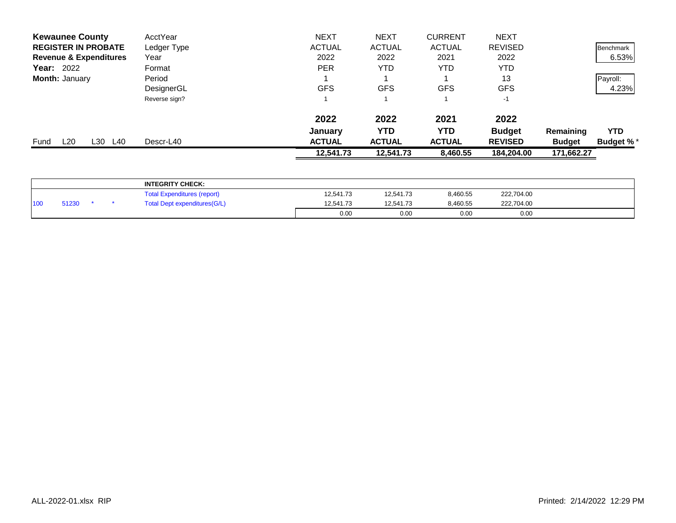| <b>Kewaunee County</b>            | AcctYear      | <b>NEXT</b>   | <b>NEXT</b>   | <b>CURRENT</b> | <b>NEXT</b>    |               |                  |
|-----------------------------------|---------------|---------------|---------------|----------------|----------------|---------------|------------------|
| <b>REGISTER IN PROBATE</b>        | Ledger Type   | <b>ACTUAL</b> | <b>ACTUAL</b> | <b>ACTUAL</b>  | <b>REVISED</b> |               | Benchmark        |
| <b>Revenue &amp; Expenditures</b> | Year          | 2022          | 2022          | 2021           | 2022           |               | 6.53%            |
| <b>Year: 2022</b>                 | Format        | <b>PER</b>    | YTD           | YTD            | <b>YTD</b>     |               |                  |
| <b>Month: January</b>             | Period        |               |               |                | 13             |               | Payroll:         |
|                                   | DesignerGL    | <b>GFS</b>    | <b>GFS</b>    | <b>GFS</b>     | <b>GFS</b>     |               | 4.23%            |
|                                   | Reverse sign? |               |               |                | $-1$           |               |                  |
|                                   |               | 2022          | 2022          | 2021           | 2022           |               |                  |
|                                   |               | January       | <b>YTD</b>    | YTD            | <b>Budget</b>  | Remaining     | <b>YTD</b>       |
| L20<br>L30<br>L40<br>Fund         | Descr-L40     | <b>ACTUAL</b> | <b>ACTUAL</b> | <b>ACTUAL</b>  | <b>REVISED</b> | <b>Budget</b> | <b>Budget %*</b> |
|                                   |               | 12,541.73     | 12,541.73     | 8,460.55       | 184,204.00     | 171,662.27    |                  |
|                                   |               |               |               |                |                |               |                  |

|                 |       |  | <b>INTEGRITY CHECK:</b>              |           |           |          |            |  |
|-----------------|-------|--|--------------------------------------|-----------|-----------|----------|------------|--|
|                 |       |  | <b>Total Expenditures (report)</b>   | 12,541.73 | 12,541.73 | 8,460.55 | 222,704.00 |  |
| 10 <sub>0</sub> | 51230 |  | <b>Total Dept expenditures (G/L)</b> | 12.541.73 | 12,541.73 | 8,460.55 | 222,704.00 |  |
|                 |       |  |                                      | 0.00      | 0.00      | 0.00     | 0.00       |  |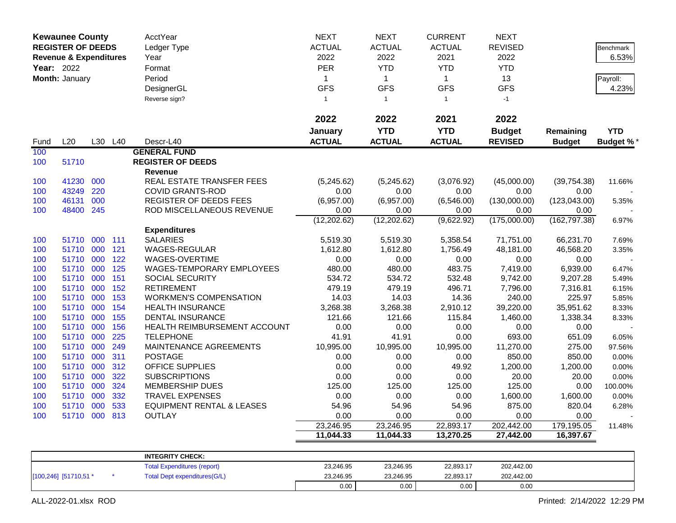| <b>Kewaunee County</b> |                                   |     |         | AcctYear                             | <b>NEXT</b>   | <b>NEXT</b>   | <b>CURRENT</b> | <b>NEXT</b>    |               |                  |
|------------------------|-----------------------------------|-----|---------|--------------------------------------|---------------|---------------|----------------|----------------|---------------|------------------|
|                        | <b>REGISTER OF DEEDS</b>          |     |         | Ledger Type                          | <b>ACTUAL</b> | <b>ACTUAL</b> | <b>ACTUAL</b>  | <b>REVISED</b> |               | <b>Benchmark</b> |
|                        | <b>Revenue &amp; Expenditures</b> |     |         | Year                                 | 2022          | 2022          | 2021           | 2022           |               | 6.53%            |
| Year: 2022             |                                   |     |         | Format                               | PER           | <b>YTD</b>    | <b>YTD</b>     | <b>YTD</b>     |               |                  |
|                        | Month: January                    |     |         | Period                               | $\mathbf{1}$  | $\mathbf{1}$  | $\mathbf{1}$   | 13             |               | Payroll:         |
|                        |                                   |     |         |                                      | <b>GFS</b>    | <b>GFS</b>    | <b>GFS</b>     | <b>GFS</b>     |               | 4.23%            |
|                        |                                   |     |         | DesignerGL                           |               |               |                |                |               |                  |
|                        |                                   |     |         | Reverse sign?                        | $\mathbf{1}$  | $\mathbf{1}$  | $\mathbf{1}$   | $-1$           |               |                  |
|                        |                                   |     |         |                                      | 2022          | 2022          | 2021           | 2022           |               |                  |
|                        |                                   |     |         |                                      | January       | <b>YTD</b>    | <b>YTD</b>     | <b>Budget</b>  | Remaining     | <b>YTD</b>       |
| Fund                   | L20                               |     | L30 L40 | Descr-L40                            | <b>ACTUAL</b> | <b>ACTUAL</b> | <b>ACTUAL</b>  | <b>REVISED</b> | <b>Budget</b> | <b>Budget %</b>  |
| 100                    |                                   |     |         | <b>GENERAL FUND</b>                  |               |               |                |                |               |                  |
| 100                    | 51710                             |     |         | <b>REGISTER OF DEEDS</b>             |               |               |                |                |               |                  |
|                        |                                   |     |         | Revenue                              |               |               |                |                |               |                  |
| 100                    | 41230                             | 000 |         | REAL ESTATE TRANSFER FEES            | (5,245.62)    | (5,245.62)    | (3,076.92)     | (45,000.00)    | (39, 754.38)  | 11.66%           |
| 100                    | 43249                             | 220 |         | <b>COVID GRANTS-ROD</b>              | 0.00          | 0.00          | 0.00           | 0.00           | 0.00          |                  |
| 100                    | 46131                             | 000 |         | REGISTER OF DEEDS FEES               | (6,957.00)    | (6,957.00)    | (6,546.00)     | (130,000.00)   | (123, 043.00) | 5.35%            |
| 100                    | 48400                             | 245 |         | ROD MISCELLANEOUS REVENUE            | 0.00          | 0.00          | 0.00           | 0.00           | 0.00          |                  |
|                        |                                   |     |         |                                      | (12, 202.62)  | (12, 202.62)  | (9,622.92)     | (175,000.00)   | (162, 797.38) | 6.97%            |
|                        |                                   |     |         | <b>Expenditures</b>                  |               |               |                |                |               |                  |
| 100                    | 51710                             | 000 | 111     | <b>SALARIES</b>                      | 5,519.30      | 5,519.30      | 5,358.54       | 71,751.00      | 66,231.70     | 7.69%            |
| 100                    | 51710 000                         |     | 121     | WAGES-REGULAR                        | 1,612.80      | 1,612.80      | 1,756.49       | 48,181.00      | 46,568.20     | 3.35%            |
| 100                    | 51710 000                         |     | 122     | WAGES-OVERTIME                       | 0.00          | 0.00          | 0.00           | 0.00           | 0.00          |                  |
| 100                    | 51710 000                         |     | 125     | WAGES-TEMPORARY EMPLOYEES            | 480.00        | 480.00        | 483.75         | 7,419.00       | 6,939.00      | 6.47%            |
| 100                    | 51710 000                         |     | 151     | SOCIAL SECURITY                      | 534.72        | 534.72        | 532.48         | 9,742.00       | 9,207.28      | 5.49%            |
| 100                    | 51710                             | 000 | 152     | <b>RETIREMENT</b>                    | 479.19        | 479.19        | 496.71         | 7,796.00       | 7,316.81      | 6.15%            |
| 100                    | 51710 000                         |     | 153     | <b>WORKMEN'S COMPENSATION</b>        | 14.03         | 14.03         | 14.36          | 240.00         | 225.97        | 5.85%            |
| 100                    | 51710 000                         |     | 154     | <b>HEALTH INSURANCE</b>              | 3,268.38      | 3,268.38      | 2,910.12       | 39,220.00      | 35,951.62     | 8.33%            |
| 100                    | 51710                             | 000 | 155     | <b>DENTAL INSURANCE</b>              | 121.66        | 121.66        | 115.84         | 1,460.00       | 1,338.34      | 8.33%            |
| 100                    | 51710 000                         |     | 156     | HEALTH REIMBURSEMENT ACCOUNT         | 0.00          | 0.00          | 0.00           | 0.00           | 0.00          |                  |
| 100                    | 51710                             | 000 | 225     | <b>TELEPHONE</b>                     | 41.91         | 41.91         | 0.00           | 693.00         | 651.09        | 6.05%            |
| 100                    | 51710                             | 000 | 249     | MAINTENANCE AGREEMENTS               | 10,995.00     | 10,995.00     | 10,995.00      | 11,270.00      | 275.00        | 97.56%           |
| 100                    | 51710 000                         |     | 311     | <b>POSTAGE</b>                       | 0.00          | 0.00          | 0.00           | 850.00         | 850.00        | 0.00%            |
| 100                    | 51710 000                         |     | 312     | OFFICE SUPPLIES                      | 0.00          | 0.00          | 49.92          | 1,200.00       | 1,200.00      | 0.00%            |
| 100                    | 51710 000                         |     | 322     | <b>SUBSCRIPTIONS</b>                 | 0.00          | 0.00          | 0.00           | 20.00          | 20.00         | 0.00%            |
| 100                    | 51710                             | 000 | 324     | <b>MEMBERSHIP DUES</b>               | 125.00        | 125.00        | 125.00         | 125.00         | 0.00          | 100.00%          |
| 100                    | 51710 000                         |     | 332     | <b>TRAVEL EXPENSES</b>               | 0.00          | 0.00          | 0.00           | 1,600.00       | 1,600.00      | 0.00%            |
| 100                    | 51710                             | 000 | 533     | <b>EQUIPMENT RENTAL &amp; LEASES</b> | 54.96         | 54.96         | 54.96          | 875.00         | 820.04        | 6.28%            |
| 100                    | 51710 000                         |     | 813     | <b>OUTLAY</b>                        | 0.00          | 0.00          | 0.00           | 0.00           | 0.00          |                  |
|                        |                                   |     |         |                                      | 23,246.95     | 23,246.95     | 22,893.17      | 202,442.00     | 179,195.05    | 11.48%           |
|                        |                                   |     |         |                                      | 11,044.33     | 11,044.33     | 13,270.25      | 27,442.00      | 16,397.67     |                  |
|                        |                                   |     |         |                                      |               |               |                |                |               |                  |
|                        |                                   |     |         | <b>INTEGRITY CHECK:</b>              |               |               |                |                |               |                  |
|                        |                                   |     |         | <b>Total Expenditures (report)</b>   | 23,246.95     | 23,246.95     | 22,893.17      | 202,442.00     |               |                  |

0.00 0.00 0.00 0.00

[100,246] [51710,51 \* \* Total Dept expenditures(G/L) 23,246.95 23,246.95 23,246.95 22,893.17 202,442.00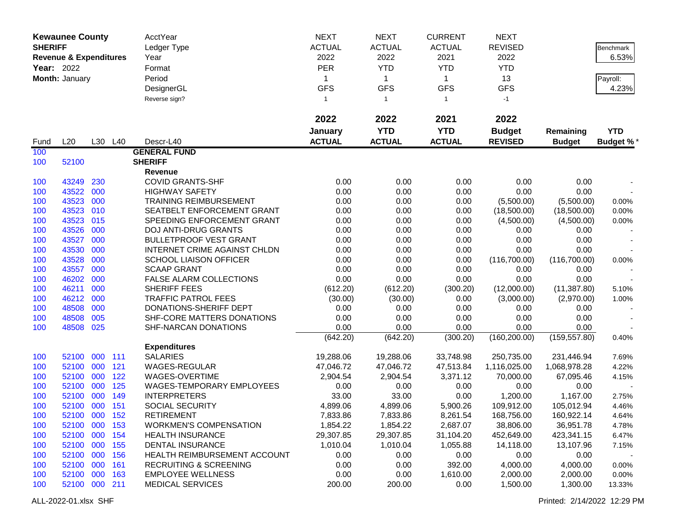|                | <b>Kewaunee County</b>            |     |         | AcctYear                          | <b>NEXT</b>   | <b>NEXT</b>   | <b>CURRENT</b> | <b>NEXT</b>    |               |                  |
|----------------|-----------------------------------|-----|---------|-----------------------------------|---------------|---------------|----------------|----------------|---------------|------------------|
| <b>SHERIFF</b> |                                   |     |         | Ledger Type                       | <b>ACTUAL</b> | <b>ACTUAL</b> | <b>ACTUAL</b>  | <b>REVISED</b> |               | Benchmark        |
|                | <b>Revenue &amp; Expenditures</b> |     |         | Year                              | 2022          | 2022          | 2021           | 2022           |               | 6.53%            |
|                | Year: 2022                        |     |         | Format                            | <b>PER</b>    | <b>YTD</b>    | <b>YTD</b>     | <b>YTD</b>     |               |                  |
|                | Month: January                    |     |         | Period                            | 1             | $\mathbf{1}$  | $\mathbf 1$    | 13             |               | Payroll:         |
|                |                                   |     |         | DesignerGL                        | <b>GFS</b>    | <b>GFS</b>    | <b>GFS</b>     | <b>GFS</b>     |               | 4.23%            |
|                |                                   |     |         | Reverse sign?                     | $\mathbf{1}$  | $\mathbf{1}$  | $\mathbf{1}$   | $-1$           |               |                  |
|                |                                   |     |         |                                   |               |               |                |                |               |                  |
|                |                                   |     |         |                                   | 2022          | 2022          | 2021           | 2022           |               |                  |
|                |                                   |     |         |                                   | January       | <b>YTD</b>    | <b>YTD</b>     | <b>Budget</b>  | Remaining     | <b>YTD</b>       |
| Fund           | L20                               |     | L30 L40 | Descr-L40                         | <b>ACTUAL</b> | <b>ACTUAL</b> | <b>ACTUAL</b>  | <b>REVISED</b> | <b>Budget</b> | <b>Budget %*</b> |
| 100            |                                   |     |         | <b>GENERAL FUND</b>               |               |               |                |                |               |                  |
| 100            | 52100                             |     |         | <b>SHERIFF</b>                    |               |               |                |                |               |                  |
|                |                                   |     |         | Revenue                           |               |               |                |                |               |                  |
| 100            | 43249                             | 230 |         | <b>COVID GRANTS-SHF</b>           | 0.00          | 0.00          | 0.00           | 0.00           | 0.00          |                  |
| 100            | 43522                             | 000 |         | <b>HIGHWAY SAFETY</b>             | 0.00          | 0.00          | 0.00           | 0.00           | 0.00          |                  |
| 100            | 43523                             | 000 |         | <b>TRAINING REIMBURSEMENT</b>     | 0.00          | 0.00          | 0.00           | (5,500.00)     | (5,500.00)    | 0.00%            |
| 100            | 43523                             | 010 |         | SEATBELT ENFORCEMENT GRANT        | 0.00          | 0.00          | 0.00           | (18,500.00)    | (18,500.00)   | 0.00%            |
| 100            | 43523                             | 015 |         | SPEEDING ENFORCEMENT GRANT        | 0.00          | 0.00          | 0.00           | (4,500.00)     | (4,500.00)    | 0.00%            |
| 100            | 43526                             | 000 |         | <b>DOJ ANTI-DRUG GRANTS</b>       | 0.00          | 0.00          | 0.00           | 0.00           | 0.00          |                  |
| 100            | 43527                             | 000 |         | <b>BULLETPROOF VEST GRANT</b>     | 0.00          | 0.00          | 0.00           | 0.00           | 0.00          |                  |
| 100            | 43530                             | 000 |         | INTERNET CRIME AGAINST CHLDN      | 0.00          | 0.00          | 0.00           | 0.00           | 0.00          |                  |
| 100            | 43528                             | 000 |         | <b>SCHOOL LIAISON OFFICER</b>     | 0.00          | 0.00          | 0.00           | (116,700.00)   | (116,700.00)  | 0.00%            |
| 100            | 43557                             | 000 |         | <b>SCAAP GRANT</b>                | 0.00          | 0.00          | 0.00           | 0.00           | 0.00          |                  |
| 100            | 46202                             | 000 |         | FALSE ALARM COLLECTIONS           | 0.00          | 0.00          | 0.00           | 0.00           | 0.00          |                  |
| 100            | 46211                             | 000 |         | SHERIFF FEES                      | (612.20)      | (612.20)      | (300.20)       | (12,000.00)    | (11, 387.80)  | 5.10%            |
| 100            | 46212                             | 000 |         | <b>TRAFFIC PATROL FEES</b>        | (30.00)       | (30.00)       | 0.00           | (3,000.00)     | (2,970.00)    | 1.00%            |
| 100            | 48508                             | 000 |         | DONATIONS-SHERIFF DEPT            | 0.00          | 0.00          | 0.00           | 0.00           | 0.00          |                  |
| 100            | 48508                             | 005 |         | SHF-CORE MATTERS DONATIONS        | 0.00          | 0.00          | 0.00           | 0.00           | 0.00          |                  |
| 100            | 48508                             | 025 |         | SHF-NARCAN DONATIONS              | 0.00          | 0.00          | 0.00           | 0.00           | 0.00          |                  |
|                |                                   |     |         |                                   | (642.20)      | (642.20)      | (300.20)       | (160, 200.00)  | (159, 557.80) | 0.40%            |
|                |                                   |     |         | <b>Expenditures</b>               |               |               |                |                |               |                  |
| 100            | 52100                             | 000 | 111     | <b>SALARIES</b>                   | 19,288.06     | 19,288.06     | 33,748.98      | 250,735.00     | 231,446.94    | 7.69%            |
| 100            | 52100                             | 000 | 121     | WAGES-REGULAR                     | 47,046.72     | 47,046.72     | 47,513.84      | 1,116,025.00   | 1,068,978.28  | 4.22%            |
| 100            | 52100 000                         |     | 122     | WAGES-OVERTIME                    | 2,904.54      | 2,904.54      | 3,371.12       | 70,000.00      | 67,095.46     | 4.15%            |
| 100            | 52100 000                         |     | 125     | WAGES-TEMPORARY EMPLOYEES         | 0.00          | 0.00          | 0.00           | 0.00           | 0.00          |                  |
| 100            | 52100 000                         |     | 149     | <b>INTERPRETERS</b>               | 33.00         | 33.00         | 0.00           | 1,200.00       | 1,167.00      | 2.75%            |
| 100            | 52100 000 151                     |     |         | SOCIAL SECURITY                   | 4,899.06      | 4,899.06      | 5,900.26       | 109,912.00     | 105,012.94    | 4.46%            |
| 100            | 52100 000 152                     |     |         | <b>RETIREMENT</b>                 | 7,833.86      | 7,833.86      | 8,261.54       | 168,756.00     | 160,922.14    | 4.64%            |
| 100            | 52100 000 153                     |     |         | <b>WORKMEN'S COMPENSATION</b>     | 1,854.22      | 1,854.22      | 2,687.07       | 38,806.00      | 36,951.78     | 4.78%            |
| 100            | 52100 000 154                     |     |         | <b>HEALTH INSURANCE</b>           | 29,307.85     | 29,307.85     | 31,104.20      | 452,649.00     | 423,341.15    | 6.47%            |
| 100            | 52100 000 155                     |     |         | <b>DENTAL INSURANCE</b>           | 1,010.04      | 1,010.04      | 1,055.88       | 14,118.00      | 13,107.96     | 7.15%            |
| 100            | 52100 000                         |     | 156     | HEALTH REIMBURSEMENT ACCOUNT      | 0.00          | 0.00          | 0.00           | 0.00           | 0.00          |                  |
| 100            | 52100 000                         |     | 161     | <b>RECRUITING &amp; SCREENING</b> | 0.00          | 0.00          | 392.00         | 4,000.00       | 4,000.00      | 0.00%            |
| 100            | 52100 000                         |     | 163     | <b>EMPLOYEE WELLNESS</b>          | 0.00          | 0.00          | 1,610.00       | 2,000.00       | 2,000.00      | 0.00%            |
| 100            | 52100 000 211                     |     |         | <b>MEDICAL SERVICES</b>           | 200.00        | 200.00        | 0.00           | 1,500.00       | 1,300.00      | 13.33%           |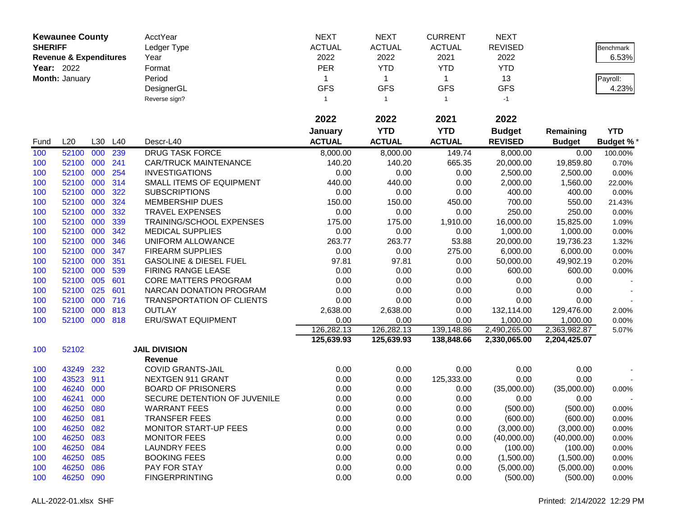|                | <b>Kewaunee County</b>            |     |     | AcctYear                          | <b>NEXT</b>   | <b>NEXT</b>    | <b>CURRENT</b> | <b>NEXT</b>    |               |            |
|----------------|-----------------------------------|-----|-----|-----------------------------------|---------------|----------------|----------------|----------------|---------------|------------|
| <b>SHERIFF</b> |                                   |     |     | Ledger Type                       | <b>ACTUAL</b> | <b>ACTUAL</b>  | <b>ACTUAL</b>  | <b>REVISED</b> |               | Benchmark  |
|                | <b>Revenue &amp; Expenditures</b> |     |     | Year                              | 2022          | 2022           | 2021           | 2022           |               | 6.53%      |
| Year: 2022     |                                   |     |     | Format                            | <b>PER</b>    | <b>YTD</b>     | <b>YTD</b>     | <b>YTD</b>     |               |            |
|                | Month: January                    |     |     | Period                            | 1             | $\mathbf{1}$   | $\mathbf{1}$   | 13             |               | Payroll:   |
|                |                                   |     |     | DesignerGL                        | <b>GFS</b>    | <b>GFS</b>     | <b>GFS</b>     | <b>GFS</b>     |               | 4.23%      |
|                |                                   |     |     | Reverse sign?                     | $\mathbf{1}$  | $\overline{1}$ | $\mathbf{1}$   | $-1$           |               |            |
|                |                                   |     |     |                                   |               |                |                |                |               |            |
|                |                                   |     |     |                                   | 2022          | 2022           | 2021           | 2022           |               |            |
|                |                                   |     |     |                                   | January       | <b>YTD</b>     | <b>YTD</b>     | <b>Budget</b>  | Remaining     | <b>YTD</b> |
| Fund           | L20                               | L30 | L40 | Descr-L40                         | <b>ACTUAL</b> | <b>ACTUAL</b>  | <b>ACTUAL</b>  | <b>REVISED</b> | <b>Budget</b> | Budget %*  |
| 100            | 52100                             | 000 | 239 | <b>DRUG TASK FORCE</b>            | 8,000.00      | 8,000.00       | 149.74         | 8,000.00       | 0.00          | 100.00%    |
| 100            | 52100                             | 000 | 241 | <b>CAR/TRUCK MAINTENANCE</b>      | 140.20        | 140.20         | 665.35         | 20,000.00      | 19,859.80     | 0.70%      |
| 100            | 52100                             | 000 | 254 | <b>INVESTIGATIONS</b>             | 0.00          | 0.00           | 0.00           | 2,500.00       | 2,500.00      | 0.00%      |
| 100            | 52100                             | 000 | 314 | SMALL ITEMS OF EQUIPMENT          | 440.00        | 440.00         | 0.00           | 2,000.00       | 1,560.00      | 22.00%     |
| 100            | 52100 000                         |     | 322 | <b>SUBSCRIPTIONS</b>              | 0.00          | 0.00           | 0.00           | 400.00         | 400.00        | 0.00%      |
| 100            | 52100 000                         |     | 324 | <b>MEMBERSHIP DUES</b>            | 150.00        | 150.00         | 450.00         | 700.00         | 550.00        | 21.43%     |
| 100            | 52100                             | 000 | 332 | <b>TRAVEL EXPENSES</b>            | 0.00          | 0.00           | 0.00           | 250.00         | 250.00        | 0.00%      |
| 100            | 52100                             | 000 | 339 | TRAINING/SCHOOL EXPENSES          | 175.00        | 175.00         | 1,910.00       | 16,000.00      | 15,825.00     | 1.09%      |
| 100            | 52100                             | 000 | 342 | <b>MEDICAL SUPPLIES</b>           | 0.00          | 0.00           | 0.00           | 1,000.00       | 1,000.00      | 0.00%      |
| 100            | 52100 000                         |     | 346 | UNIFORM ALLOWANCE                 | 263.77        | 263.77         | 53.88          | 20,000.00      | 19,736.23     | 1.32%      |
| 100            | 52100 000                         |     | 347 | <b>FIREARM SUPPLIES</b>           | 0.00          | 0.00           | 275.00         | 6,000.00       | 6,000.00      | 0.00%      |
| 100            | 52100                             | 000 | 351 | <b>GASOLINE &amp; DIESEL FUEL</b> | 97.81         | 97.81          | 0.00           | 50,000.00      | 49,902.19     | 0.20%      |
| 100            | 52100                             | 000 | 539 | <b>FIRING RANGE LEASE</b>         | 0.00          | 0.00           | 0.00           | 600.00         | 600.00        | 0.00%      |
| 100            | 52100                             | 005 | 601 | CORE MATTERS PROGRAM              | 0.00          | 0.00           | 0.00           | 0.00           | 0.00          |            |
| 100            | 52100                             | 025 | 601 | NARCAN DONATION PROGRAM           | 0.00          | 0.00           | 0.00           | 0.00           | 0.00          |            |
| 100            | 52100                             | 000 | 716 | <b>TRANSPORTATION OF CLIENTS</b>  | 0.00          | 0.00           | 0.00           | 0.00           | 0.00          |            |
| 100            | 52100                             | 000 | 813 | <b>OUTLAY</b>                     | 2,638.00      | 2,638.00       | 0.00           | 132,114.00     | 129,476.00    | 2.00%      |
| 100            | 52100 000 818                     |     |     | <b>ERU/SWAT EQUIPMENT</b>         | 0.00          | 0.00           | 0.00           | 1,000.00       | 1,000.00      | 0.00%      |
|                |                                   |     |     |                                   | 126,282.13    | 126,282.13     | 139,148.86     | 2,490,265.00   | 2,363,982.87  | 5.07%      |
|                |                                   |     |     |                                   | 125,639.93    | 125,639.93     | 138,848.66     | 2,330,065.00   | 2,204,425.07  |            |
| 100            | 52102                             |     |     | <b>JAIL DIVISION</b>              |               |                |                |                |               |            |
|                |                                   |     |     | <b>Revenue</b>                    |               |                |                |                |               |            |
| 100            | 43249                             | 232 |     | <b>COVID GRANTS-JAIL</b>          | 0.00          | 0.00           | 0.00           | 0.00           | 0.00          |            |
| 100            | 43523                             | 911 |     | NEXTGEN 911 GRANT                 | 0.00          | 0.00           | 125,333.00     | 0.00           | 0.00          |            |
| 100            | 46240                             | 000 |     | <b>BOARD OF PRISONERS</b>         | 0.00          | 0.00           | 0.00           | (35,000.00)    | (35,000.00)   | 0.00%      |
| 100            | 46241                             | 000 |     | SECURE DETENTION OF JUVENILE      | 0.00          | 0.00           | 0.00           | 0.00           | 0.00          |            |
| 100            | 46250                             | 080 |     | <b>WARRANT FEES</b>               | 0.00          | 0.00           | 0.00           | (500.00)       | (500.00)      | 0.00%      |
| 100            | 46250                             | 081 |     | <b>TRANSFER FEES</b>              | 0.00          | 0.00           | 0.00           | (600.00)       | (600.00)      | 0.00%      |
| 100            | 46250                             | 082 |     | <b>MONITOR START-UP FEES</b>      | 0.00          | 0.00           | 0.00           | (3,000.00)     | (3,000.00)    | 0.00%      |
| 100            | 46250                             | 083 |     | <b>MONITOR FEES</b>               | 0.00          | 0.00           | 0.00           | (40,000.00)    | (40,000.00)   | 0.00%      |
| 100            | 46250                             | 084 |     | <b>LAUNDRY FEES</b>               | 0.00          | 0.00           | 0.00           | (100.00)       | (100.00)      | 0.00%      |
| 100            | 46250                             | 085 |     | <b>BOOKING FEES</b>               | 0.00          | 0.00           | 0.00           | (1,500.00)     | (1,500.00)    | 0.00%      |
| 100            | 46250                             | 086 |     | PAY FOR STAY                      | 0.00          | 0.00           | 0.00           | (5,000.00)     | (5,000.00)    | 0.00%      |
| 100            | 46250                             | 090 |     | <b>FINGERPRINTING</b>             | 0.00          | 0.00           | 0.00           | (500.00)       | (500.00)      | 0.00%      |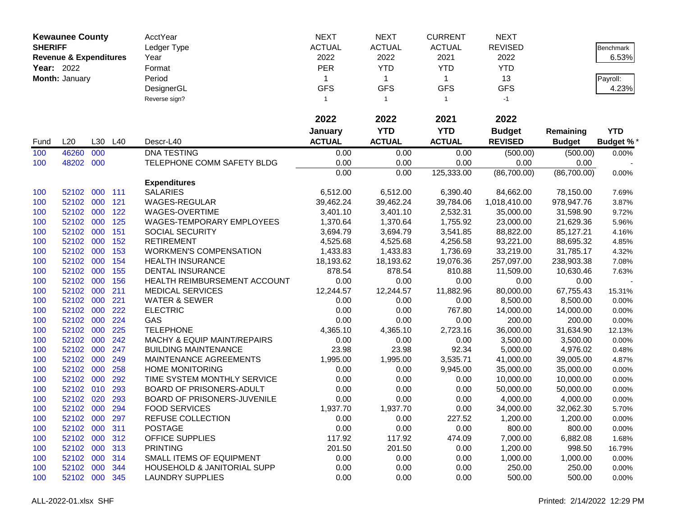|                | <b>Kewaunee County</b>            |         |     | AcctYear                               | <b>NEXT</b>   | <b>NEXT</b>    | <b>CURRENT</b> | <b>NEXT</b>    |               |                  |
|----------------|-----------------------------------|---------|-----|----------------------------------------|---------------|----------------|----------------|----------------|---------------|------------------|
| <b>SHERIFF</b> |                                   |         |     | Ledger Type                            | <b>ACTUAL</b> | <b>ACTUAL</b>  | <b>ACTUAL</b>  | <b>REVISED</b> |               | Benchmark        |
|                | <b>Revenue &amp; Expenditures</b> |         |     | Year                                   | 2022          | 2022           | 2021           | 2022           |               | 6.53%            |
| Year: 2022     |                                   |         |     | Format                                 | <b>PER</b>    | <b>YTD</b>     | <b>YTD</b>     | <b>YTD</b>     |               |                  |
|                | Month: January                    |         |     | Period                                 | 1             | $\mathbf{1}$   | $\mathbf{1}$   | 13             |               | Payroll:         |
|                |                                   |         |     | DesignerGL                             | <b>GFS</b>    | <b>GFS</b>     | <b>GFS</b>     | <b>GFS</b>     |               | 4.23%            |
|                |                                   |         |     | Reverse sign?                          | $\mathbf{1}$  | $\overline{1}$ | $\mathbf{1}$   | $-1$           |               |                  |
|                |                                   |         |     |                                        |               |                |                |                |               |                  |
|                |                                   |         |     |                                        | 2022          | 2022           | 2021           | 2022           |               |                  |
|                |                                   |         |     |                                        | January       | <b>YTD</b>     | <b>YTD</b>     | <b>Budget</b>  | Remaining     | <b>YTD</b>       |
| Fund           | L20                               | L30     | L40 | Descr-L40                              | <b>ACTUAL</b> | <b>ACTUAL</b>  | <b>ACTUAL</b>  | <b>REVISED</b> | <b>Budget</b> | <b>Budget %*</b> |
| 100            | 46260                             | 000     |     | <b>DNA TESTING</b>                     | 0.00          | 0.00           | 0.00           | (500.00)       | (500.00)      | 0.00%            |
| 100            | 48202                             | 000     |     | TELEPHONE COMM SAFETY BLDG             | 0.00          | 0.00           | 0.00           | 0.00           | 0.00          |                  |
|                |                                   |         |     |                                        | 0.00          | 0.00           | 125,333.00     | (86,700.00)    | (86,700.00)   | 0.00%            |
|                |                                   |         |     | <b>Expenditures</b>                    |               |                |                |                |               |                  |
| 100            | 52102                             | 000 111 |     | <b>SALARIES</b>                        | 6,512.00      | 6,512.00       | 6,390.40       | 84,662.00      | 78,150.00     | 7.69%            |
| 100            | 52102                             | 000     | 121 | <b>WAGES-REGULAR</b>                   | 39,462.24     | 39,462.24      | 39,784.06      | 1,018,410.00   | 978,947.76    | 3.87%            |
| 100            | 52102                             | 000     | 122 | WAGES-OVERTIME                         | 3,401.10      | 3,401.10       | 2,532.31       | 35,000.00      | 31,598.90     | 9.72%            |
| 100            | 52102 000                         |         | 125 | <b>WAGES-TEMPORARY EMPLOYEES</b>       | 1,370.64      | 1,370.64       | 1,755.92       | 23,000.00      | 21,629.36     | 5.96%            |
| 100            | 52102                             | 000     | 151 | SOCIAL SECURITY                        | 3,694.79      | 3,694.79       | 3,541.85       | 88,822.00      | 85,127.21     | 4.16%            |
| 100            | 52102                             | 000     | 152 | <b>RETIREMENT</b>                      | 4,525.68      | 4,525.68       | 4,256.58       | 93,221.00      | 88,695.32     | 4.85%            |
| 100            | 52102                             | 000     | 153 | <b>WORKMEN'S COMPENSATION</b>          | 1,433.83      | 1,433.83       | 1,736.69       | 33,219.00      | 31,785.17     | 4.32%            |
| 100            | 52102                             | 000     | 154 | <b>HEALTH INSURANCE</b>                | 18,193.62     | 18,193.62      | 19,076.36      | 257,097.00     | 238,903.38    | 7.08%            |
| 100            | 52102                             | 000     | 155 | <b>DENTAL INSURANCE</b>                | 878.54        | 878.54         | 810.88         | 11,509.00      | 10,630.46     | 7.63%            |
| 100            | 52102                             | 000     | 156 | HEALTH REIMBURSEMENT ACCOUNT           | 0.00          | 0.00           | 0.00           | 0.00           | 0.00          |                  |
| 100            | 52102                             | 000     | 211 | <b>MEDICAL SERVICES</b>                | 12,244.57     | 12,244.57      | 11,882.96      | 80,000.00      | 67,755.43     | 15.31%           |
| 100            | 52102 000                         |         | 221 | <b>WATER &amp; SEWER</b>               | 0.00          | 0.00           | 0.00           | 8,500.00       | 8,500.00      | 0.00%            |
| 100            | 52102 000                         |         | 222 | <b>ELECTRIC</b>                        | 0.00          | 0.00           | 767.80         | 14,000.00      | 14,000.00     | 0.00%            |
| 100            | 52102                             | 000     | 224 | GAS                                    | 0.00          | 0.00           | 0.00           | 200.00         | 200.00        | 0.00%            |
| 100            | 52102                             | 000     | 225 | <b>TELEPHONE</b>                       | 4,365.10      | 4,365.10       | 2,723.16       | 36,000.00      | 31,634.90     | 12.13%           |
| 100            | 52102                             | 000     | 242 | MACHY & EQUIP MAINT/REPAIRS            | 0.00          | 0.00           | 0.00           | 3,500.00       | 3,500.00      | 0.00%            |
| 100            | 52102                             | 000     | 247 | <b>BUILDING MAINTENANCE</b>            | 23.98         | 23.98          | 92.34          | 5,000.00       | 4,976.02      | 0.48%            |
| 100            | 52102                             | 000     | 249 | MAINTENANCE AGREEMENTS                 | 1,995.00      | 1,995.00       | 3,535.71       | 41,000.00      | 39,005.00     | 4.87%            |
| 100            | 52102                             | 000     | 258 | <b>HOME MONITORING</b>                 | 0.00          | 0.00           | 9,945.00       | 35,000.00      | 35,000.00     | 0.00%            |
| 100            | 52102                             | 000     | 292 | TIME SYSTEM MONTHLY SERVICE            | 0.00          | 0.00           | 0.00           | 10,000.00      | 10,000.00     | 0.00%            |
| 100            | 52102                             | 010     | 293 | BOARD OF PRISONERS-ADULT               | 0.00          | 0.00           | 0.00           | 50,000.00      | 50,000.00     | 0.00%            |
| 100            | 52102                             | 020     | 293 | BOARD OF PRISONERS-JUVENILE            | 0.00          | 0.00           | 0.00           | 4,000.00       | 4,000.00      | 0.00%            |
| 100            | 52102 000                         |         | 294 | <b>FOOD SERVICES</b>                   | 1,937.70      | 1,937.70       | 0.00           | 34,000.00      | 32,062.30     | 5.70%            |
| 100            | 52102 000                         |         | 297 | REFUSE COLLECTION                      | 0.00          | 0.00           | 227.52         | 1,200.00       | 1,200.00      | 0.00%            |
| 100            | 52102 000                         |         | 311 | <b>POSTAGE</b>                         | 0.00          | 0.00           | 0.00           | 800.00         | 800.00        | 0.00%            |
| 100            | 52102 000 312                     |         |     | <b>OFFICE SUPPLIES</b>                 | 117.92        | 117.92         | 474.09         | 7,000.00       | 6,882.08      | 1.68%            |
| 100            | 52102 000 313                     |         |     | <b>PRINTING</b>                        | 201.50        | 201.50         | 0.00           | 1,200.00       | 998.50        | 16.79%           |
| 100            | 52102 000                         |         | 314 | SMALL ITEMS OF EQUIPMENT               | 0.00          | 0.00           | 0.00           | 1,000.00       | 1,000.00      | 0.00%            |
| 100            | 52102 000                         |         | 344 | <b>HOUSEHOLD &amp; JANITORIAL SUPP</b> | 0.00          | 0.00           | 0.00           | 250.00         | 250.00        | 0.00%            |
| 100            | 52102 000                         |         | 345 | <b>LAUNDRY SUPPLIES</b>                | 0.00          | 0.00           | 0.00           | 500.00         | 500.00        | 0.00%            |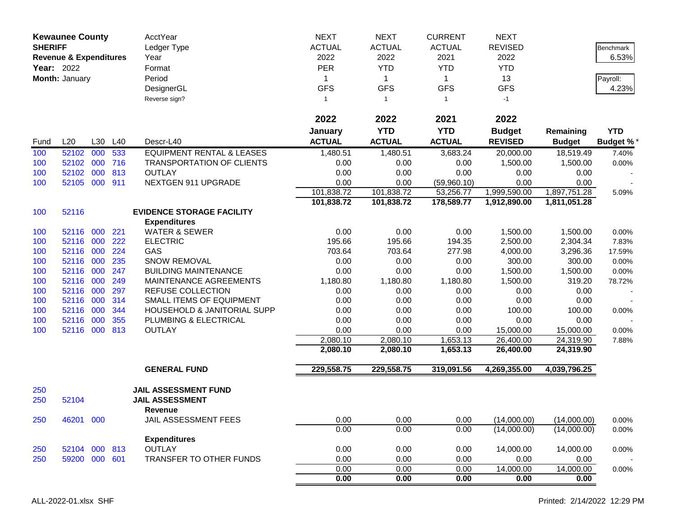| <b>SHERIFF</b> | <b>Kewaunee County</b>            |     |     | AcctYear<br>Ledger Type              | <b>NEXT</b><br><b>ACTUAL</b> | <b>NEXT</b><br><b>ACTUAL</b> | <b>CURRENT</b><br><b>ACTUAL</b> | <b>NEXT</b><br><b>REVISED</b> |               | Benchmark        |
|----------------|-----------------------------------|-----|-----|--------------------------------------|------------------------------|------------------------------|---------------------------------|-------------------------------|---------------|------------------|
|                | <b>Revenue &amp; Expenditures</b> |     |     | Year                                 | 2022                         | 2022                         | 2021                            | 2022                          |               | 6.53%            |
| Year: 2022     |                                   |     |     | Format                               | <b>PER</b>                   | <b>YTD</b>                   | <b>YTD</b>                      | <b>YTD</b>                    |               |                  |
|                | Month: January                    |     |     | Period                               | 1                            | $\mathbf{1}$                 | $\mathbf{1}$                    | 13                            |               | Payroll:         |
|                |                                   |     |     | DesignerGL                           | <b>GFS</b>                   | <b>GFS</b>                   | <b>GFS</b>                      | <b>GFS</b>                    |               | 4.23%            |
|                |                                   |     |     | Reverse sign?                        | $\mathbf{1}$                 | $\mathbf{1}$                 | $\mathbf{1}$                    | $-1$                          |               |                  |
|                |                                   |     |     |                                      | 2022                         | 2022                         | 2021                            | 2022                          |               |                  |
|                |                                   |     |     |                                      | January                      | <b>YTD</b>                   | <b>YTD</b>                      | <b>Budget</b>                 | Remaining     | <b>YTD</b>       |
| Fund           | L20                               | L30 | L40 | Descr-L40                            | <b>ACTUAL</b>                | <b>ACTUAL</b>                | <b>ACTUAL</b>                   | <b>REVISED</b>                | <b>Budget</b> | <b>Budget %*</b> |
| 100            | 52102                             | 000 | 533 | <b>EQUIPMENT RENTAL &amp; LEASES</b> | 1,480.51                     | 1,480.51                     | 3,683.24                        | 20,000.00                     | 18,519.49     | 7.40%            |
| 100            | 52102                             | 000 | 716 | TRANSPORTATION OF CLIENTS            | 0.00                         | 0.00                         | 0.00                            | 1,500.00                      | 1,500.00      | 0.00%            |
| 100            | 52102                             | 000 | 813 | <b>OUTLAY</b>                        | 0.00                         | 0.00                         | 0.00                            | 0.00                          | 0.00          |                  |
| 100            | 52105                             | 000 | 911 | NEXTGEN 911 UPGRADE                  | 0.00                         | 0.00                         | (59,960.10)                     | 0.00                          | 0.00          |                  |
|                |                                   |     |     |                                      | 101,838.72                   | 101,838.72                   | 53,256.77                       | 1,999,590.00                  | 1,897,751.28  | 5.09%            |
|                |                                   |     |     |                                      | 101,838.72                   | 101,838.72                   | 178,589.77                      | 1,912,890.00                  | 1,811,051.28  |                  |
| 100            | 52116                             |     |     | <b>EVIDENCE STORAGE FACILITY</b>     |                              |                              |                                 |                               |               |                  |
|                |                                   |     |     | <b>Expenditures</b>                  |                              |                              |                                 |                               |               |                  |
| 100            | 52116                             | 000 | 221 | <b>WATER &amp; SEWER</b>             | 0.00                         | 0.00                         | 0.00                            | 1,500.00                      | 1,500.00      | 0.00%            |
| 100            | 52116                             | 000 | 222 | <b>ELECTRIC</b>                      | 195.66                       | 195.66                       | 194.35                          | 2,500.00                      | 2,304.34      | 7.83%            |
| 100            | 52116                             | 000 | 224 | GAS                                  | 703.64                       | 703.64                       | 277.98                          | 4,000.00                      | 3,296.36      | 17.59%           |
| 100            | 52116                             | 000 | 235 | <b>SNOW REMOVAL</b>                  | 0.00                         | 0.00                         | 0.00                            | 300.00                        | 300.00        | 0.00%            |
| 100            | 52116                             | 000 | 247 | <b>BUILDING MAINTENANCE</b>          | 0.00                         | 0.00                         | 0.00                            | 1,500.00                      | 1,500.00      | 0.00%            |
| 100            | 52116                             | 000 | 249 | MAINTENANCE AGREEMENTS               | 1,180.80                     | 1,180.80                     | 1,180.80                        | 1,500.00                      | 319.20        | 78.72%           |
| 100            | 52116                             | 000 | 297 | REFUSE COLLECTION                    | 0.00                         | 0.00                         | 0.00                            | 0.00                          | 0.00          |                  |
| 100            | 52116                             | 000 | 314 | SMALL ITEMS OF EQUIPMENT             | 0.00                         | 0.00                         | 0.00                            | 0.00                          | 0.00          |                  |
| 100            | 52116                             | 000 | 344 | HOUSEHOLD & JANITORIAL SUPP          | 0.00                         | 0.00                         | 0.00                            | 100.00                        | 100.00        | 0.00%            |
| 100            | 52116                             | 000 | 355 | PLUMBING & ELECTRICAL                | 0.00                         | 0.00                         | 0.00                            | 0.00                          | 0.00          |                  |
| 100            | 52116                             | 000 | 813 | <b>OUTLAY</b>                        | 0.00                         | 0.00                         | 0.00                            | 15,000.00                     | 15,000.00     | 0.00%            |
|                |                                   |     |     |                                      | 2,080.10                     | 2,080.10                     | 1,653.13                        | 26,400.00                     | 24,319.90     | 7.88%            |
|                |                                   |     |     |                                      | 2,080.10                     | 2,080.10                     | 1,653.13                        | 26,400.00                     | 24,319.90     |                  |
|                |                                   |     |     | <b>GENERAL FUND</b>                  | 229,558.75                   | 229,558.75                   | 319,091.56                      | 4,269,355.00                  | 4,039,796.25  |                  |
| 250            |                                   |     |     | <b>JAIL ASSESSMENT FUND</b>          |                              |                              |                                 |                               |               |                  |
| 250            | 52104                             |     |     | <b>JAIL ASSESSMENT</b><br>Revenue    |                              |                              |                                 |                               |               |                  |
| 250            | 46201 000                         |     |     | JAIL ASSESSMENT FEES                 | 0.00                         | 0.00                         | 0.00                            | (14,000.00)                   | (14,000.00)   | 0.00%            |
|                |                                   |     |     |                                      | 0.00                         | 0.00                         | 0.00                            | (14,000.00)                   | (14,000.00)   | 0.00%            |
|                |                                   |     |     | <b>Expenditures</b>                  |                              |                              |                                 |                               |               |                  |
| 250            | 52104 000 813                     |     |     | <b>OUTLAY</b>                        | 0.00                         | 0.00                         | 0.00                            | 14,000.00                     | 14,000.00     | 0.00%            |
| 250            | 59200 000 601                     |     |     | TRANSFER TO OTHER FUNDS              | 0.00                         | 0.00                         | 0.00                            | 0.00                          | 0.00          |                  |
|                |                                   |     |     |                                      | 0.00                         | 0.00                         | 0.00                            | 14,000.00                     | 14,000.00     | 0.00%            |
|                |                                   |     |     |                                      | 0.00                         | 0.00                         | 0.00                            | 0.00                          | 0.00          |                  |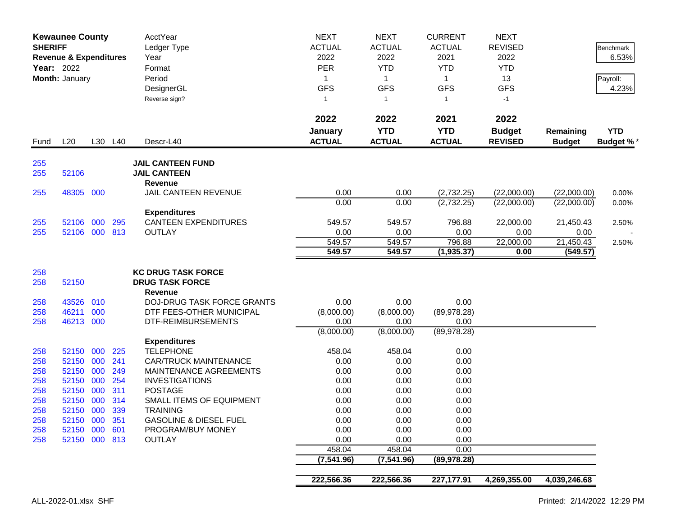|            | <b>Kewaunee County</b><br><b>SHERIFF</b><br><b>Revenue &amp; Expenditures</b><br>Year: 2022<br>Month: January |            |            | <b>AcctYear</b><br>Ledger Type<br>Year<br>Format<br>Period<br>DesignerGL<br>Reverse sign? | <b>NEXT</b><br><b>ACTUAL</b><br>2022<br><b>PER</b><br>1<br><b>GFS</b><br>$\mathbf{1}$ | <b>NEXT</b><br><b>ACTUAL</b><br>2022<br><b>YTD</b><br>$\mathbf{1}$<br><b>GFS</b><br>$\overline{1}$ | <b>CURRENT</b><br><b>ACTUAL</b><br>2021<br><b>YTD</b><br>$\mathbf{1}$<br><b>GFS</b><br>$\mathbf{1}$ | <b>NEXT</b><br><b>REVISED</b><br>2022<br><b>YTD</b><br>13<br><b>GFS</b><br>$-1$ |                            | Benchmark<br>6.53%<br>Payroll:<br>4.23% |
|------------|---------------------------------------------------------------------------------------------------------------|------------|------------|-------------------------------------------------------------------------------------------|---------------------------------------------------------------------------------------|----------------------------------------------------------------------------------------------------|-----------------------------------------------------------------------------------------------------|---------------------------------------------------------------------------------|----------------------------|-----------------------------------------|
| Fund       | L20                                                                                                           |            | L30 L40    | Descr-L40                                                                                 | 2022<br>January<br><b>ACTUAL</b>                                                      | 2022<br><b>YTD</b><br><b>ACTUAL</b>                                                                | 2021<br><b>YTD</b><br><b>ACTUAL</b>                                                                 | 2022<br><b>Budget</b><br><b>REVISED</b>                                         | Remaining<br><b>Budget</b> | <b>YTD</b><br><b>Budget %*</b>          |
| 255<br>255 | 52106                                                                                                         |            |            | <b>JAIL CANTEEN FUND</b><br><b>JAIL CANTEEN</b><br>Revenue                                |                                                                                       |                                                                                                    |                                                                                                     |                                                                                 |                            |                                         |
| 255        | 48305 000                                                                                                     |            |            | <b>JAIL CANTEEN REVENUE</b>                                                               | 0.00                                                                                  | 0.00                                                                                               | (2,732.25)                                                                                          | (22,000.00)                                                                     | (22,000.00)                | 0.00%                                   |
|            |                                                                                                               |            |            |                                                                                           | 0.00                                                                                  | 0.00                                                                                               | (2,732.25)                                                                                          | (22,000.00)                                                                     | (22,000.00)                | 0.00%                                   |
|            |                                                                                                               |            |            | <b>Expenditures</b>                                                                       |                                                                                       |                                                                                                    |                                                                                                     |                                                                                 |                            |                                         |
| 255        | 52106                                                                                                         | 000        | 295        | <b>CANTEEN EXPENDITURES</b>                                                               | 549.57                                                                                | 549.57                                                                                             | 796.88                                                                                              | 22,000.00                                                                       | 21,450.43                  | 2.50%                                   |
| 255        | 52106 000 813                                                                                                 |            |            | <b>OUTLAY</b>                                                                             | 0.00                                                                                  | 0.00                                                                                               | 0.00                                                                                                | 0.00                                                                            | 0.00                       |                                         |
|            |                                                                                                               |            |            |                                                                                           | 549.57                                                                                | 549.57                                                                                             | 796.88                                                                                              | 22,000.00                                                                       | 21,450.43                  | 2.50%                                   |
|            |                                                                                                               |            |            |                                                                                           | 549.57                                                                                | 549.57                                                                                             | (1,935.37)                                                                                          | 0.00                                                                            | (549.57)                   |                                         |
| 258        |                                                                                                               |            |            | <b>KC DRUG TASK FORCE</b>                                                                 |                                                                                       |                                                                                                    |                                                                                                     |                                                                                 |                            |                                         |
| 258        | 52150                                                                                                         |            |            | <b>DRUG TASK FORCE</b>                                                                    |                                                                                       |                                                                                                    |                                                                                                     |                                                                                 |                            |                                         |
|            |                                                                                                               |            |            | <b>Revenue</b>                                                                            |                                                                                       |                                                                                                    |                                                                                                     |                                                                                 |                            |                                         |
| 258        | 43526                                                                                                         | 010        |            | DOJ-DRUG TASK FORCE GRANTS                                                                | 0.00                                                                                  | 0.00                                                                                               | 0.00                                                                                                |                                                                                 |                            |                                         |
| 258        | 46211                                                                                                         | 000        |            | DTF FEES-OTHER MUNICIPAL                                                                  | (8,000.00)                                                                            | (8,000.00)                                                                                         | (89, 978.28)                                                                                        |                                                                                 |                            |                                         |
| 258        | 46213 000                                                                                                     |            |            | DTF-REIMBURSEMENTS                                                                        | 0.00                                                                                  | 0.00                                                                                               | 0.00                                                                                                |                                                                                 |                            |                                         |
|            |                                                                                                               |            |            |                                                                                           | (8,000.00)                                                                            | (8,000.00)                                                                                         | (89, 978.28)                                                                                        |                                                                                 |                            |                                         |
|            |                                                                                                               |            |            | <b>Expenditures</b>                                                                       |                                                                                       |                                                                                                    |                                                                                                     |                                                                                 |                            |                                         |
| 258        | 52150                                                                                                         | 000        | 225        | <b>TELEPHONE</b>                                                                          | 458.04                                                                                | 458.04                                                                                             | 0.00                                                                                                |                                                                                 |                            |                                         |
| 258        | 52150                                                                                                         | 000        | 241        | <b>CAR/TRUCK MAINTENANCE</b>                                                              | 0.00                                                                                  | 0.00                                                                                               | 0.00                                                                                                |                                                                                 |                            |                                         |
| 258        | 52150                                                                                                         | 000        | 249        | MAINTENANCE AGREEMENTS                                                                    | 0.00                                                                                  | 0.00                                                                                               | 0.00                                                                                                |                                                                                 |                            |                                         |
| 258        | 52150<br>52150                                                                                                | 000<br>000 | 254<br>311 | <b>INVESTIGATIONS</b><br><b>POSTAGE</b>                                                   | 0.00<br>0.00                                                                          | 0.00<br>0.00                                                                                       | 0.00<br>0.00                                                                                        |                                                                                 |                            |                                         |
| 258<br>258 | 52150                                                                                                         | 000        | 314        | SMALL ITEMS OF EQUIPMENT                                                                  | 0.00                                                                                  | 0.00                                                                                               | 0.00                                                                                                |                                                                                 |                            |                                         |
| 258        | 52150 000                                                                                                     |            | 339        | <b>TRAINING</b>                                                                           | 0.00                                                                                  | 0.00                                                                                               | 0.00                                                                                                |                                                                                 |                            |                                         |
| 258        | 52150 000 351                                                                                                 |            |            | <b>GASOLINE &amp; DIESEL FUEL</b>                                                         | 0.00                                                                                  | 0.00                                                                                               | 0.00                                                                                                |                                                                                 |                            |                                         |
| 258        | 52150 000 601                                                                                                 |            |            | PROGRAM/BUY MONEY                                                                         | 0.00                                                                                  | 0.00                                                                                               | 0.00                                                                                                |                                                                                 |                            |                                         |
| 258        | 52150 000 813                                                                                                 |            |            | <b>OUTLAY</b>                                                                             | 0.00                                                                                  | 0.00                                                                                               | 0.00                                                                                                |                                                                                 |                            |                                         |
|            |                                                                                                               |            |            |                                                                                           | 458.04                                                                                | 458.04                                                                                             | 0.00                                                                                                |                                                                                 |                            |                                         |
|            |                                                                                                               |            |            |                                                                                           | (7, 541.96)                                                                           | (7, 541.96)                                                                                        | (89, 978.28)                                                                                        |                                                                                 |                            |                                         |
|            |                                                                                                               |            |            |                                                                                           |                                                                                       |                                                                                                    |                                                                                                     |                                                                                 |                            |                                         |
|            |                                                                                                               |            |            |                                                                                           | 222,566.36                                                                            | 222,566.36                                                                                         | 227, 177.91                                                                                         | 4,269,355.00                                                                    | 4,039,246.68               |                                         |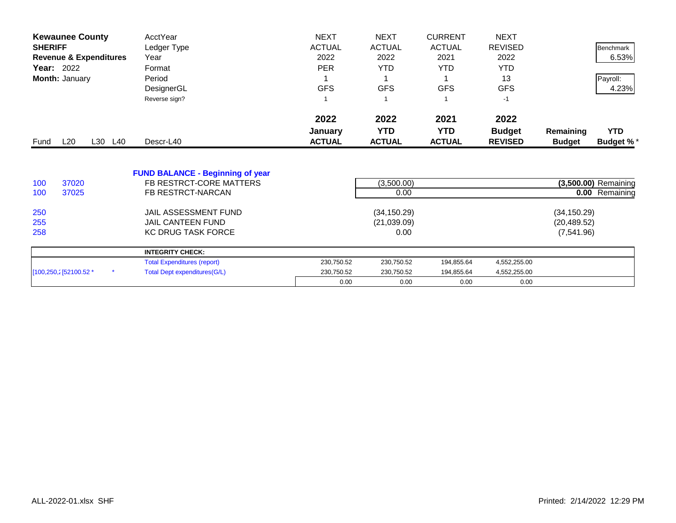| <b>Kewaunee County</b>            | AcctYear                                | <b>NEXT</b>   | <b>NEXT</b>   | <b>CURRENT</b> | <b>NEXT</b>    |               |                      |
|-----------------------------------|-----------------------------------------|---------------|---------------|----------------|----------------|---------------|----------------------|
| <b>SHERIFF</b>                    | Ledger Type                             | <b>ACTUAL</b> | <b>ACTUAL</b> | <b>ACTUAL</b>  | <b>REVISED</b> |               | Benchmark            |
| <b>Revenue &amp; Expenditures</b> | Year                                    | 2022          | 2022          | 2021           | 2022           |               | 6.53%                |
| <b>Year: 2022</b>                 | Format                                  | <b>PER</b>    | <b>YTD</b>    | <b>YTD</b>     | <b>YTD</b>     |               |                      |
| Month: January                    | Period                                  |               |               |                | 13             |               | Payroll:             |
|                                   | DesignerGL                              | <b>GFS</b>    | <b>GFS</b>    | <b>GFS</b>     | <b>GFS</b>     |               | 4.23%                |
|                                   | Reverse sign?                           |               |               |                | $-1$           |               |                      |
|                                   |                                         | 2022          | 2022          | 2021           | 2022           |               |                      |
|                                   |                                         | January       | <b>YTD</b>    | <b>YTD</b>     | <b>Budget</b>  | Remaining     | <b>YTD</b>           |
| L20<br>L30 L40<br>Fund            | Descr-L40                               | <b>ACTUAL</b> | <b>ACTUAL</b> | <b>ACTUAL</b>  | <b>REVISED</b> | <b>Budget</b> | <b>Budget %*</b>     |
|                                   | <b>FUND BALANCE - Beginning of year</b> |               |               |                |                |               |                      |
| 37020<br>100                      | FB RESTRCT-CORE MATTERS                 |               | (3,500.00)    |                |                |               | (3,500.00) Remaining |
| 37025<br>100                      | FB RESTRCT-NARCAN                       |               | 0.00          |                |                |               | 0.00 Remaining       |
| 250                               | JAIL ASSESSMENT FUND                    |               | (34, 150.29)  |                |                | (34, 150.29)  |                      |
| 255                               | <b>JAIL CANTEEN FUND</b>                |               | (21,039.09)   |                |                | (20, 489.52)  |                      |
| 258                               | <b>KC DRUG TASK FORCE</b>               |               | 0.00          |                |                | (7,541.96)    |                      |
|                                   | <b>INTEGRITY CHECK:</b>                 |               |               |                |                |               |                      |
|                                   | <b>Total Expenditures (report)</b>      | 230,750.52    | 230,750.52    | 194,855.64     | 4,552,255.00   |               |                      |
| [100,250,2] 52100.52 *            | <b>Total Dept expenditures(G/L)</b>     | 230,750.52    | 230,750.52    | 194,855.64     | 4,552,255.00   |               |                      |
|                                   |                                         | 0.00          | 0.00          | 0.00           | 0.00           |               |                      |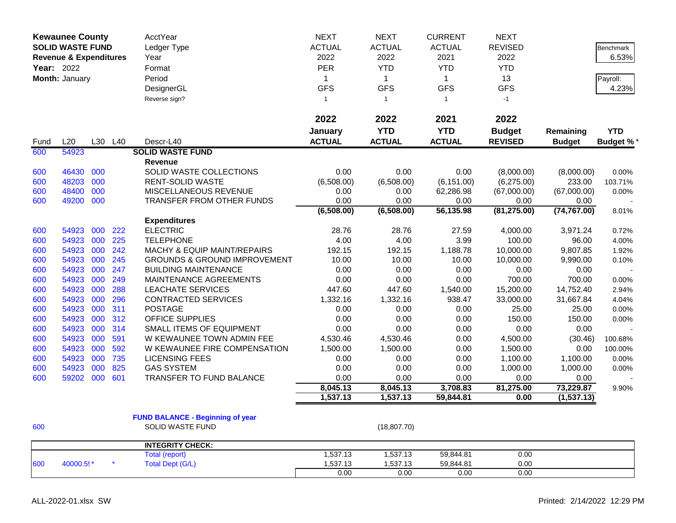|            | <b>Kewaunee County</b><br><b>SOLID WASTE FUND</b> |     |         | AcctYear                                | <b>NEXT</b>   | <b>NEXT</b>   | <b>CURRENT</b> | <b>NEXT</b>    |               |                  |
|------------|---------------------------------------------------|-----|---------|-----------------------------------------|---------------|---------------|----------------|----------------|---------------|------------------|
|            |                                                   |     |         | Ledger Type                             | <b>ACTUAL</b> | <b>ACTUAL</b> | <b>ACTUAL</b>  | <b>REVISED</b> |               | <b>Benchmark</b> |
|            | <b>Revenue &amp; Expenditures</b>                 |     |         | Year                                    | 2022          | 2022          | 2021           | 2022           |               | 6.53%            |
| Year: 2022 |                                                   |     |         | Format                                  | <b>PER</b>    | <b>YTD</b>    | <b>YTD</b>     | <b>YTD</b>     |               |                  |
|            | Month: January                                    |     |         | Period                                  | $\mathbf{1}$  | $\mathbf{1}$  | $\mathbf{1}$   | 13             |               | Payroll:         |
|            |                                                   |     |         | DesignerGL                              | <b>GFS</b>    | <b>GFS</b>    | <b>GFS</b>     | <b>GFS</b>     |               | 4.23%            |
|            |                                                   |     |         | Reverse sign?                           | $\mathbf{1}$  | $\mathbf{1}$  | $\mathbf{1}$   | $-1$           |               |                  |
|            |                                                   |     |         |                                         |               |               |                |                |               |                  |
|            |                                                   |     |         |                                         | 2022          | 2022          | 2021           | 2022           |               |                  |
|            |                                                   |     |         |                                         | January       | <b>YTD</b>    | <b>YTD</b>     | <b>Budget</b>  | Remaining     | <b>YTD</b>       |
| Fund       | L20                                               |     | L30 L40 | Descr-L40                               | <b>ACTUAL</b> | <b>ACTUAL</b> | <b>ACTUAL</b>  | <b>REVISED</b> | <b>Budget</b> | <b>Budget %*</b> |
| 600        | 54923                                             |     |         | <b>SOLID WASTE FUND</b>                 |               |               |                |                |               |                  |
|            |                                                   |     |         | <b>Revenue</b>                          |               |               |                |                |               |                  |
| 600        | 46430                                             | 000 |         | SOLID WASTE COLLECTIONS                 | 0.00          | 0.00          | 0.00           | (8,000.00)     | (8,000.00)    | 0.00%            |
| 600        | 48203                                             | 000 |         | <b>RENT-SOLID WASTE</b>                 | (6,508.00)    | (6,508.00)    | (6, 151.00)    | (6,275.00)     | 233.00        | 103.71%          |
| 600        | 48400                                             | 000 |         | <b>MISCELLANEOUS REVENUE</b>            | 0.00          | 0.00          | 62,286.98      | (67,000.00)    | (67,000.00)   | 0.00%            |
| 600        | 49200                                             | 000 |         | TRANSFER FROM OTHER FUNDS               | 0.00          | 0.00          | 0.00           | 0.00           | 0.00          |                  |
|            |                                                   |     |         |                                         | (6,508.00)    | (6,508.00)    | 56,135.98      | (81, 275.00)   | (74, 767.00)  | 8.01%            |
|            |                                                   |     |         | <b>Expenditures</b>                     |               |               |                |                |               |                  |
| 600        | 54923                                             | 000 | 222     | <b>ELECTRIC</b>                         | 28.76         | 28.76         | 27.59          | 4,000.00       | 3,971.24      | 0.72%            |
| 600        | 54923                                             | 000 | 225     | <b>TELEPHONE</b>                        | 4.00          | 4.00          | 3.99           | 100.00         | 96.00         | 4.00%            |
| 600        | 54923                                             | 000 | 242     | MACHY & EQUIP MAINT/REPAIRS             | 192.15        | 192.15        | 1,188.78       | 10,000.00      | 9,807.85      | 1.92%            |
| 600        | 54923                                             | 000 | 245     | <b>GROUNDS &amp; GROUND IMPROVEMENT</b> | 10.00         | 10.00         | 10.00          | 10,000.00      | 9,990.00      | 0.10%            |
| 600        | 54923                                             | 000 | 247     | <b>BUILDING MAINTENANCE</b>             | 0.00          | 0.00          | 0.00           | 0.00           | 0.00          |                  |
| 600        | 54923                                             | 000 | 249     | MAINTENANCE AGREEMENTS                  | 0.00          | 0.00          | 0.00           | 700.00         | 700.00        | 0.00%            |
| 600        | 54923                                             | 000 | 288     | <b>LEACHATE SERVICES</b>                | 447.60        | 447.60        | 1,540.00       | 15,200.00      | 14,752.40     | 2.94%            |
| 600        | 54923                                             | 000 | 296     | CONTRACTED SERVICES                     | 1,332.16      | 1,332.16      | 938.47         | 33,000.00      | 31,667.84     | 4.04%            |
| 600        | 54923                                             | 000 | 311     | <b>POSTAGE</b>                          | 0.00          | 0.00          | 0.00           | 25.00          | 25.00         | 0.00%            |
| 600        | 54923                                             | 000 | 312     | OFFICE SUPPLIES                         | 0.00          | 0.00          | 0.00           | 150.00         | 150.00        | 0.00%            |
| 600        | 54923                                             | 000 | 314     | <b>SMALL ITEMS OF EQUIPMENT</b>         | 0.00          | 0.00          | 0.00           | 0.00           | 0.00          |                  |
| 600        | 54923                                             | 000 | 591     | W KEWAUNEE TOWN ADMIN FEE               | 4,530.46      | 4,530.46      | 0.00           | 4,500.00       | (30.46)       | 100.68%          |
| 600        | 54923                                             | 000 | 592     | W KEWAUNEE FIRE COMPENSATION            | 1,500.00      | 1,500.00      | 0.00           | 1,500.00       | 0.00          | 100.00%          |
| 600        | 54923                                             | 000 | 735     | <b>LICENSING FEES</b>                   | 0.00          | 0.00          | 0.00           | 1,100.00       | 1,100.00      | 0.00%            |
| 600        | 54923                                             | 000 | 825     | <b>GAS SYSTEM</b>                       | 0.00          | 0.00          | 0.00           | 1,000.00       | 1,000.00      | 0.00%            |
| 600        | 59202                                             | 000 | 601     | <b>TRANSFER TO FUND BALANCE</b>         | 0.00          | 0.00          | 0.00           | 0.00           | 0.00          |                  |
|            |                                                   |     |         |                                         | 8,045.13      | 8,045.13      | 3,708.83       | 81,275.00      | 73,229.87     | 9.90%            |
|            |                                                   |     |         |                                         | 1,537.13      | 1,537.13      | 59,844.81      | 0.00           | (1, 537.13)   |                  |
|            |                                                   |     |         |                                         |               |               |                |                |               |                  |
|            |                                                   |     |         | <b>FUND BALANCE - Beginning of year</b> |               |               |                |                |               |                  |
| 600        |                                                   |     |         | <b>SOLID WASTE FUND</b>                 |               | (18, 807.70)  |                |                |               |                  |
|            |                                                   |     |         | <b>INTEGRITY CHECK:</b>                 |               |               |                |                |               |                  |
|            |                                                   |     |         | <b>Total (report)</b>                   | 1,537.13      | 1,537.13      | 59,844.81      | 0.00           |               |                  |
| 600        | 40000.59*                                         |     |         | <b>Total Dept (G/L)</b>                 | 1,537.13      | 1,537.13      | 59,844.81      | 0.00           |               |                  |
|            |                                                   |     |         |                                         | 0.00          | 0.00          | 0.00           | 0.00           |               |                  |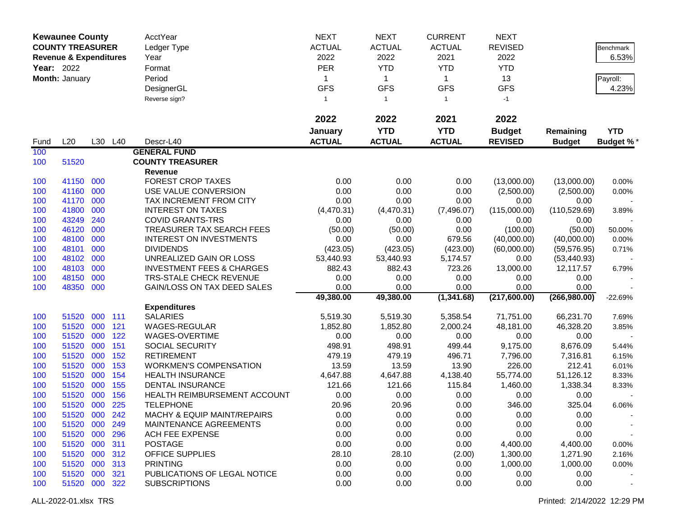|            | <b>Kewaunee County</b>            |         |         | <b>AcctYear</b>                      | <b>NEXT</b>   | <b>NEXT</b>                | <b>CURRENT</b>            | <b>NEXT</b>      |               |            |
|------------|-----------------------------------|---------|---------|--------------------------------------|---------------|----------------------------|---------------------------|------------------|---------------|------------|
|            | <b>COUNTY TREASURER</b>           |         |         | Ledger Type                          | <b>ACTUAL</b> | <b>ACTUAL</b>              | <b>ACTUAL</b>             | <b>REVISED</b>   |               | Benchmark  |
|            | <b>Revenue &amp; Expenditures</b> |         |         | Year                                 | 2022          | 2022                       | 2021                      | 2022             |               | 6.53%      |
| Year: 2022 |                                   |         |         | Format                               | <b>PER</b>    | <b>YTD</b>                 | <b>YTD</b>                | <b>YTD</b>       |               |            |
|            |                                   |         |         |                                      |               |                            |                           |                  |               |            |
|            | Month: January                    |         |         | Period                               | 1             | $\mathbf{1}$<br><b>GFS</b> | $\mathbf 1$<br><b>GFS</b> | 13<br><b>GFS</b> |               | Payroll:   |
|            |                                   |         |         | DesignerGL                           | <b>GFS</b>    |                            |                           |                  |               | 4.23%      |
|            |                                   |         |         | Reverse sign?                        | $\mathbf{1}$  | $\mathbf{1}$               | $\mathbf{1}$              | $-1$             |               |            |
|            |                                   |         |         |                                      | 2022          | 2022                       | 2021                      | 2022             |               |            |
|            |                                   |         |         |                                      | January       | <b>YTD</b>                 | <b>YTD</b>                | <b>Budget</b>    | Remaining     | <b>YTD</b> |
| Fund       | L20                               |         | L30 L40 | Descr-L40                            | <b>ACTUAL</b> | <b>ACTUAL</b>              | <b>ACTUAL</b>             | <b>REVISED</b>   | <b>Budget</b> | Budget %*  |
| 100        |                                   |         |         | <b>GENERAL FUND</b>                  |               |                            |                           |                  |               |            |
| 100        | 51520                             |         |         | <b>COUNTY TREASURER</b>              |               |                            |                           |                  |               |            |
|            |                                   |         |         | Revenue                              |               |                            |                           |                  |               |            |
| 100        | 41150                             | 000     |         | <b>FOREST CROP TAXES</b>             | 0.00          | 0.00                       | 0.00                      | (13,000.00)      | (13,000.00)   | 0.00%      |
| 100        | 41160 000                         |         |         | USE VALUE CONVERSION                 | 0.00          | 0.00                       | 0.00                      | (2,500.00)       | (2,500.00)    | 0.00%      |
| 100        | 41170                             | 000     |         | TAX INCREMENT FROM CITY              | 0.00          | 0.00                       | 0.00                      | 0.00             | 0.00          |            |
| 100        | 41800                             | 000     |         | <b>INTEREST ON TAXES</b>             | (4,470.31)    | (4,470.31)                 | (7,496.07)                | (115,000.00)     | (110, 529.69) | 3.89%      |
| 100        | 43249                             | 240     |         | <b>COVID GRANTS-TRS</b>              | 0.00          | 0.00                       | 0.00                      | 0.00             | 0.00          |            |
| 100        | 46120                             | 000     |         | TREASURER TAX SEARCH FEES            | (50.00)       | (50.00)                    | 0.00                      | (100.00)         | (50.00)       | 50.00%     |
| 100        | 48100                             | 000     |         | <b>INTEREST ON INVESTMENTS</b>       | 0.00          | 0.00                       | 679.56                    | (40,000.00)      | (40,000.00)   | 0.00%      |
| 100        | 48101                             | 000     |         | <b>DIVIDENDS</b>                     | (423.05)      | (423.05)                   | (423.00)                  | (60,000.00)      | (59, 576.95)  | 0.71%      |
| 100        | 48102                             | 000     |         | UNREALIZED GAIN OR LOSS              | 53,440.93     | 53,440.93                  | 5,174.57                  | 0.00             | (53, 440.93)  |            |
| 100        | 48103                             | 000     |         | <b>INVESTMENT FEES &amp; CHARGES</b> | 882.43        | 882.43                     | 723.26                    | 13,000.00        | 12,117.57     | 6.79%      |
| 100        | 48150                             | 000     |         | <b>TRS-STALE CHECK REVENUE</b>       | 0.00          | 0.00                       | 0.00                      | 0.00             | 0.00          |            |
| 100        | 48350                             | 000     |         | GAIN/LOSS ON TAX DEED SALES          | 0.00          | 0.00                       | 0.00                      | 0.00             | 0.00          |            |
|            |                                   |         |         |                                      | 49,380.00     | 49,380.00                  | (1,341.68)                | (217,600.00)     | (266, 980.00) | $-22.69%$  |
|            |                                   |         |         | <b>Expenditures</b>                  |               |                            |                           |                  |               |            |
| 100        | 51520                             | 000 111 |         | <b>SALARIES</b>                      | 5,519.30      | 5,519.30                   | 5,358.54                  | 71,751.00        | 66,231.70     | 7.69%      |
| 100        | 51520                             | 000     | 121     | WAGES-REGULAR                        | 1,852.80      | 1,852.80                   | 2,000.24                  | 48,181.00        | 46,328.20     | 3.85%      |
| 100        | 51520                             | 000     | 122     | WAGES-OVERTIME                       | 0.00          | 0.00                       | 0.00                      | 0.00             | 0.00          |            |
| 100        | 51520                             | 000     | 151     | <b>SOCIAL SECURITY</b>               | 498.91        | 498.91                     | 499.44                    | 9,175.00         | 8,676.09      | 5.44%      |
| 100        | 51520                             | 000     | 152     | <b>RETIREMENT</b>                    | 479.19        | 479.19                     | 496.71                    | 7,796.00         | 7,316.81      | 6.15%      |
| 100        | 51520                             | 000     | 153     | <b>WORKMEN'S COMPENSATION</b>        | 13.59         | 13.59                      | 13.90                     | 226.00           | 212.41        | 6.01%      |
| 100        | 51520                             | 000     | 154     | <b>HEALTH INSURANCE</b>              | 4,647.88      | 4,647.88                   | 4,138.40                  | 55,774.00        | 51,126.12     | 8.33%      |
| 100        | 51520                             | 000     | 155     | <b>DENTAL INSURANCE</b>              | 121.66        | 121.66                     | 115.84                    | 1,460.00         | 1,338.34      | 8.33%      |
| 100        | 51520                             | 000     | 156     | HEALTH REIMBURSEMENT ACCOUNT         | 0.00          | 0.00                       | 0.00                      | 0.00             | 0.00          |            |
| 100        | 51520 000                         |         | 225     | <b>TELEPHONE</b>                     | 20.96         | 20.96                      | 0.00                      | 346.00           | 325.04        | 6.06%      |
| 100        | 51520 000 242                     |         |         | MACHY & EQUIP MAINT/REPAIRS          | 0.00          | 0.00                       | 0.00                      | 0.00             | 0.00          |            |
| 100        | 51520 000                         |         | 249     | MAINTENANCE AGREEMENTS               | 0.00          | 0.00                       | 0.00                      | 0.00             | 0.00          |            |
| 100        | 51520 000                         |         | 296     | <b>ACH FEE EXPENSE</b>               | 0.00          | 0.00                       | 0.00                      | 0.00             | 0.00          |            |
| 100        | 51520 000                         |         | 311     | <b>POSTAGE</b>                       | 0.00          | 0.00                       | 0.00                      | 4,400.00         | 4,400.00      | 0.00%      |
| 100        | 51520 000                         |         | 312     | OFFICE SUPPLIES                      | 28.10         | 28.10                      | (2.00)                    | 1,300.00         | 1,271.90      | 2.16%      |
| 100        | 51520                             | 000     | 313     | <b>PRINTING</b>                      | 0.00          | 0.00                       | 0.00                      | 1,000.00         | 1,000.00      | 0.00%      |
| 100        | 51520 000                         |         | 321     | PUBLICATIONS OF LEGAL NOTICE         | 0.00          | 0.00                       | 0.00                      | 0.00             | 0.00          |            |
| 100        | 51520 000 322                     |         |         | <b>SUBSCRIPTIONS</b>                 | 0.00          | 0.00                       | 0.00                      | 0.00             | 0.00          |            |
|            |                                   |         |         |                                      |               |                            |                           |                  |               |            |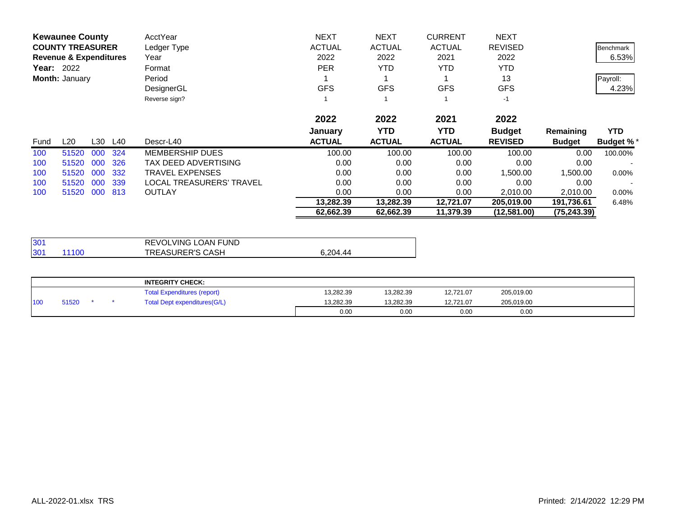|      | <b>Kewaunee County</b>            |     |         | AcctYear                 | <b>NEXT</b>   | <b>NEXT</b>   | <b>CURRENT</b> | <b>NEXT</b>    |               |                  |
|------|-----------------------------------|-----|---------|--------------------------|---------------|---------------|----------------|----------------|---------------|------------------|
|      | <b>COUNTY TREASURER</b>           |     |         | Ledger Type              | <b>ACTUAL</b> | <b>ACTUAL</b> | <b>ACTUAL</b>  | <b>REVISED</b> |               | <b>Benchmark</b> |
|      | <b>Revenue &amp; Expenditures</b> |     |         | Year                     | 2022          | 2022          | 2021           | 2022           |               | 6.53%            |
|      | <b>Year: 2022</b>                 |     |         | Format                   | <b>PER</b>    | <b>YTD</b>    | <b>YTD</b>     | <b>YTD</b>     |               |                  |
|      | Month: January                    |     |         | Period                   |               |               |                | 13             |               | Payroll:         |
|      |                                   |     |         | DesignerGL               | <b>GFS</b>    | <b>GFS</b>    | <b>GFS</b>     | <b>GFS</b>     |               | 4.23%            |
|      |                                   |     |         | Reverse sign?            |               |               |                | $-1$           |               |                  |
|      |                                   |     |         |                          | 2022          | 2022          | 2021           | 2022           |               |                  |
|      |                                   |     |         |                          | January       | <b>YTD</b>    | YTD.           | <b>Budget</b>  | Remaining     | <b>YTD</b>       |
| Fund | $L_{20}$                          |     | L30 L40 | Descr-L40                | <b>ACTUAL</b> | <b>ACTUAL</b> | <b>ACTUAL</b>  | <b>REVISED</b> | <b>Budget</b> | <b>Budget %*</b> |
| 100  | 51520                             | 000 | 324     | <b>MEMBERSHIP DUES</b>   | 100.00        | 100.00        | 100.00         | 100.00         | 0.00          | 100.00%          |
| 100  | 51520                             | 000 | 326     | TAX DEED ADVERTISING     | 0.00          | 0.00          | 0.00           | 0.00           | 0.00          |                  |
| 100  | 51520                             | 000 | 332     | TRAVEL EXPENSES          | 0.00          | 0.00          | 0.00           | 1,500.00       | 500.00. ا     | $0.00\%$         |
| 100  | 51520                             | 000 | 339     | LOCAL TREASURERS' TRAVEL | 0.00          | 0.00          | 0.00           | 0.00           | 0.00          |                  |
| 100  | 51520                             | 000 | 813     | <b>OUTLAY</b>            | 0.00          | 0.00          | 0.00           | 2,010.00       | 2,010.00      | $0.00\%$         |
|      |                                   |     |         |                          | 13,282.39     | 13,282.39     | 12,721.07      | 205,019.00     | 191,736.61    | 6.48%            |
|      |                                   |     |         |                          | 62,662.39     | 62,662.39     | 11,379.39      | (12,581.00)    | (75, 243.39)  |                  |

| 130 <sup>4</sup> |       | REVOLVING LOAN FUND     |          |
|------------------|-------|-------------------------|----------|
| 30 <sup>2</sup>  | 11100 | <b>TREASURER'S CASH</b> | 6.204.44 |

|     |       |  | <b>INTEGRITY CHECK:</b>            |           |           |           |            |  |
|-----|-------|--|------------------------------------|-----------|-----------|-----------|------------|--|
|     |       |  | <b>Total Expenditures (report)</b> | 13.282.39 | 13,282.39 | 12,721.07 | 205,019.00 |  |
| 100 | 51520 |  | Total Dept expenditures(G/L)       | 13,282.39 | 13.282.39 | 12.721.07 | 205,019.00 |  |
|     |       |  |                                    | 0.00      | 0.00      | 0.00      | 0.00       |  |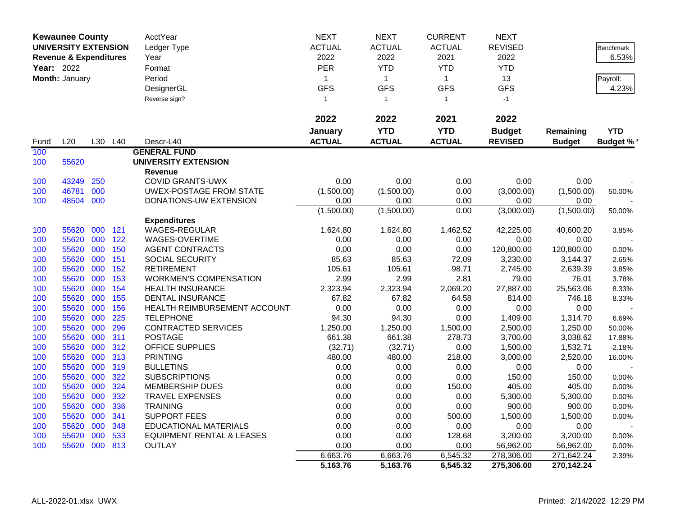|                   | <b>Kewaunee County</b>            |     |     | AcctYear                             | <b>NEXT</b>   | <b>NEXT</b>    | <b>CURRENT</b> | <b>NEXT</b>    |               |                  |
|-------------------|-----------------------------------|-----|-----|--------------------------------------|---------------|----------------|----------------|----------------|---------------|------------------|
|                   | <b>UNIVERSITY EXTENSION</b>       |     |     | Ledger Type                          | <b>ACTUAL</b> | <b>ACTUAL</b>  | <b>ACTUAL</b>  | <b>REVISED</b> |               | Benchmark        |
|                   | <b>Revenue &amp; Expenditures</b> |     |     | Year                                 | 2022          | 2022           | 2021           | 2022           |               | 6.53%            |
| <b>Year: 2022</b> |                                   |     |     | Format                               | PER           | <b>YTD</b>     | <b>YTD</b>     | <b>YTD</b>     |               |                  |
|                   | Month: January                    |     |     | Period                               | $\mathbf{1}$  | $\mathbf{1}$   | $\mathbf{1}$   | 13             |               | Payroll:         |
|                   |                                   |     |     | DesignerGL                           | <b>GFS</b>    | <b>GFS</b>     | <b>GFS</b>     | <b>GFS</b>     |               | 4.23%            |
|                   |                                   |     |     | Reverse sign?                        | $\mathbf{1}$  | $\overline{1}$ | $\mathbf{1}$   | $-1$           |               |                  |
|                   |                                   |     |     |                                      |               |                |                |                |               |                  |
|                   |                                   |     |     |                                      | 2022          | 2022           | 2021           | 2022           |               |                  |
|                   |                                   |     |     |                                      | January       | <b>YTD</b>     | <b>YTD</b>     | <b>Budget</b>  | Remaining     | <b>YTD</b>       |
| Fund              | L20                               | L30 | L40 | Descr-L40                            | <b>ACTUAL</b> | <b>ACTUAL</b>  | <b>ACTUAL</b>  | <b>REVISED</b> | <b>Budget</b> | <b>Budget %*</b> |
| 100               |                                   |     |     | <b>GENERAL FUND</b>                  |               |                |                |                |               |                  |
| 100               | 55620                             |     |     | <b>UNIVERSITY EXTENSION</b>          |               |                |                |                |               |                  |
|                   |                                   |     |     | Revenue                              |               |                |                |                |               |                  |
| 100               | 43249                             | 250 |     | <b>COVID GRANTS-UWX</b>              | 0.00          | 0.00           | 0.00           | 0.00           | 0.00          |                  |
| 100               | 46781                             | 000 |     | <b>UWEX-POSTAGE FROM STATE</b>       | (1,500.00)    | (1,500.00)     | 0.00           | (3,000.00)     | (1,500.00)    | 50.00%           |
| 100               | 48504 000                         |     |     | DONATIONS-UW EXTENSION               | 0.00          | 0.00           | 0.00           | 0.00           | 0.00          |                  |
|                   |                                   |     |     |                                      | (1,500.00)    | (1,500.00)     | 0.00           | (3,000.00)     | (1,500.00)    | 50.00%           |
|                   |                                   |     |     | <b>Expenditures</b>                  |               |                |                |                |               |                  |
| 100               | 55620                             | 000 | 121 | <b>WAGES-REGULAR</b>                 | 1,624.80      | 1,624.80       | 1,462.52       | 42,225.00      | 40,600.20     | 3.85%            |
| 100               | 55620                             | 000 | 122 | WAGES-OVERTIME                       | 0.00          | 0.00           | 0.00           | 0.00           | 0.00          |                  |
| 100               | 55620                             | 000 | 150 | <b>AGENT CONTRACTS</b>               | 0.00          | 0.00           | 0.00           | 120,800.00     | 120,800.00    | 0.00%            |
| 100               | 55620                             | 000 | 151 | <b>SOCIAL SECURITY</b>               | 85.63         | 85.63          | 72.09          | 3,230.00       | 3,144.37      | 2.65%            |
| 100               | 55620                             | 000 | 152 | <b>RETIREMENT</b>                    | 105.61        | 105.61         | 98.71          | 2,745.00       | 2,639.39      | 3.85%            |
| 100               | 55620                             | 000 | 153 | <b>WORKMEN'S COMPENSATION</b>        | 2.99          | 2.99           | 2.81           | 79.00          | 76.01         | 3.78%            |
| 100               | 55620                             | 000 | 154 | <b>HEALTH INSURANCE</b>              | 2,323.94      | 2,323.94       | 2,069.20       | 27,887.00      | 25,563.06     | 8.33%            |
| 100               | 55620                             | 000 | 155 | <b>DENTAL INSURANCE</b>              | 67.82         | 67.82          | 64.58          | 814.00         | 746.18        | 8.33%            |
| 100               | 55620                             | 000 | 156 | HEALTH REIMBURSEMENT ACCOUNT         | 0.00          | 0.00           | 0.00           | 0.00           | 0.00          |                  |
| 100               | 55620                             | 000 | 225 | <b>TELEPHONE</b>                     | 94.30         | 94.30          | 0.00           | 1,409.00       | 1,314.70      | 6.69%            |
| 100               | 55620                             | 000 | 296 | <b>CONTRACTED SERVICES</b>           | 1,250.00      | 1,250.00       | 1,500.00       | 2,500.00       | 1,250.00      | 50.00%           |
| 100               | 55620                             | 000 | 311 | <b>POSTAGE</b>                       | 661.38        | 661.38         | 278.73         | 3,700.00       | 3,038.62      | 17.88%           |
| 100               | 55620                             | 000 | 312 | <b>OFFICE SUPPLIES</b>               | (32.71)       | (32.71)        | 0.00           | 1,500.00       | 1,532.71      | $-2.18%$         |
| 100               | 55620                             | 000 | 313 | <b>PRINTING</b>                      | 480.00        | 480.00         | 218.00         | 3,000.00       | 2,520.00      | 16.00%           |
| 100               | 55620                             | 000 | 319 | <b>BULLETINS</b>                     | 0.00          | 0.00           | 0.00           | 0.00           | 0.00          |                  |
| 100               | 55620                             | 000 | 322 | <b>SUBSCRIPTIONS</b>                 | 0.00          | 0.00           | 0.00           | 150.00         | 150.00        | 0.00%            |
| 100               | 55620                             | 000 | 324 | <b>MEMBERSHIP DUES</b>               | 0.00          | 0.00           | 150.00         | 405.00         | 405.00        | 0.00%            |
| 100               | 55620                             | 000 | 332 | <b>TRAVEL EXPENSES</b>               | 0.00          | 0.00           | 0.00           | 5,300.00       | 5,300.00      | 0.00%            |
| 100               | 55620                             | 000 | 336 | <b>TRAINING</b>                      | 0.00          | 0.00           | 0.00           | 900.00         | 900.00        | 0.00%            |
| 100               | 55620                             | 000 | 341 | <b>SUPPORT FEES</b>                  | 0.00          | 0.00           | 500.00         | 1,500.00       | 1,500.00      | 0.00%            |
| 100               | 55620                             | 000 | 348 | <b>EDUCATIONAL MATERIALS</b>         | 0.00          | 0.00           | 0.00           | 0.00           | 0.00          |                  |
| 100               | 55620                             | 000 | 533 | <b>EQUIPMENT RENTAL &amp; LEASES</b> | 0.00          | 0.00           | 128.68         | 3,200.00       | 3,200.00      | 0.00%            |
| 100               | 55620                             | 000 | 813 | <b>OUTLAY</b>                        | 0.00          | 0.00           | 0.00           | 56,962.00      | 56,962.00     | 0.00%            |
|                   |                                   |     |     |                                      | 6,663.76      | 6,663.76       | 6,545.32       | 278,306.00     | 271,642.24    | 2.39%            |
|                   |                                   |     |     |                                      | 5,163.76      | 5,163.76       | 6,545.32       | 275,306.00     | 270,142.24    |                  |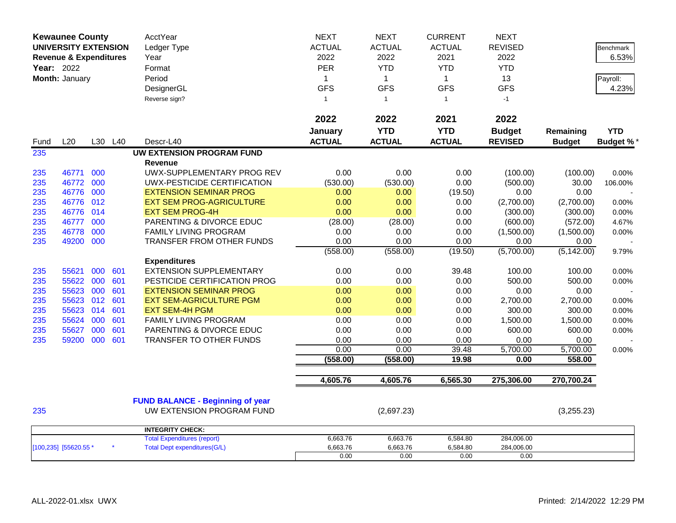| <b>Kewaunee County</b>            |           |         |     | AcctYear                                                             | <b>NEXT</b>   | <b>NEXT</b>    | <b>CURRENT</b> | <b>NEXT</b>    |               |                  |
|-----------------------------------|-----------|---------|-----|----------------------------------------------------------------------|---------------|----------------|----------------|----------------|---------------|------------------|
| <b>UNIVERSITY EXTENSION</b>       |           |         |     | Ledger Type                                                          | <b>ACTUAL</b> | <b>ACTUAL</b>  | <b>ACTUAL</b>  | <b>REVISED</b> |               | <b>Benchmark</b> |
| <b>Revenue &amp; Expenditures</b> |           |         |     | Year                                                                 | 2022          | 2022           | 2021           | 2022           |               | 6.53%            |
| <b>Year: 2022</b>                 |           |         |     | Format                                                               | PER           | <b>YTD</b>     | <b>YTD</b>     | <b>YTD</b>     |               |                  |
| Month: January                    |           |         |     | Period                                                               | $\mathbf{1}$  | $\mathbf{1}$   | $\mathbf{1}$   | 13             |               | Payroll:         |
|                                   |           |         |     | DesignerGL                                                           | <b>GFS</b>    | <b>GFS</b>     | <b>GFS</b>     | <b>GFS</b>     |               | 4.23%            |
|                                   |           |         |     | Reverse sign?                                                        | $\mathbf{1}$  | $\overline{1}$ | $\mathbf{1}$   | $-1$           |               |                  |
|                                   |           |         |     |                                                                      |               |                |                |                |               |                  |
|                                   |           |         |     |                                                                      | 2022          | 2022           | 2021           | 2022           |               |                  |
|                                   |           |         |     |                                                                      | January       | <b>YTD</b>     | <b>YTD</b>     | <b>Budget</b>  | Remaining     | <b>YTD</b>       |
| Fund                              | L20       | L30 L40 |     | Descr-L40                                                            | <b>ACTUAL</b> | <b>ACTUAL</b>  | <b>ACTUAL</b>  | <b>REVISED</b> | <b>Budget</b> | Budget %*        |
| 235                               |           |         |     | <b>UW EXTENSION PROGRAM FUND</b>                                     |               |                |                |                |               |                  |
|                                   |           |         |     | <b>Revenue</b>                                                       |               |                |                |                |               |                  |
| 235                               | 46771     | 000     |     | UWX-SUPPLEMENTARY PROG REV                                           | 0.00          | 0.00           | 0.00           | (100.00)       | (100.00)      | 0.00%            |
| 235                               | 46772     | 000     |     | UWX-PESTICIDE CERTIFICATION                                          | (530.00)      | (530.00)       | 0.00           | (500.00)       | 30.00         | 106.00%          |
| 235                               | 46776     | 000     |     | <b>EXTENSION SEMINAR PROG</b>                                        | 0.00          | 0.00           | (19.50)        | 0.00           | 0.00          |                  |
| 235                               | 46776     | 012     |     | <b>EXT SEM PROG-AGRICULTURE</b>                                      | 0.00          | 0.00           | 0.00           | (2,700.00)     | (2,700.00)    | 0.00%            |
| 235                               | 46776 014 |         |     | <b>EXT SEM PROG-4H</b>                                               | 0.00          | 0.00           | 0.00           | (300.00)       | (300.00)      | 0.00%            |
| 235                               | 46777     | 000     |     | PARENTING & DIVORCE EDUC                                             | (28.00)       | (28.00)        | 0.00           | (600.00)       | (572.00)      | 4.67%            |
| 235                               | 46778     | 000     |     | FAMILY LIVING PROGRAM                                                | 0.00          | 0.00           | 0.00           | (1,500.00)     | (1,500.00)    | 0.00%            |
| 235                               | 49200     | 000     |     | TRANSFER FROM OTHER FUNDS                                            | 0.00          | 0.00           | 0.00           | 0.00           | 0.00          |                  |
|                                   |           |         |     |                                                                      | (558.00)      | (558.00)       | (19.50)        | (5,700.00)     | (5, 142.00)   | 9.79%            |
|                                   |           |         |     | <b>Expenditures</b>                                                  |               |                |                |                |               |                  |
| 235                               | 55621     | 000     | 601 | <b>EXTENSION SUPPLEMENTARY</b>                                       | 0.00          | 0.00           | 39.48          | 100.00         | 100.00        | 0.00%            |
| 235                               | 55622     | 000     | 601 | PESTICIDE CERTIFICATION PROG                                         | 0.00          | 0.00           | 0.00           | 500.00         | 500.00        | 0.00%            |
| 235                               | 55623     | 000     | 601 | <b>EXTENSION SEMINAR PROG</b>                                        | 0.00          | 0.00           | 0.00           | 0.00           | 0.00          |                  |
| 235                               | 55623     | 012     | 601 | <b>EXT SEM-AGRICULTURE PGM</b>                                       | 0.00          | 0.00           | 0.00           | 2,700.00       | 2,700.00      | 0.00%            |
| 235                               | 55623     | 014     | 601 | <b>EXT SEM-4H PGM</b>                                                | 0.00          | 0.00           | 0.00           | 300.00         | 300.00        | 0.00%            |
| 235                               | 55624     | 000     | 601 | FAMILY LIVING PROGRAM                                                | 0.00          | 0.00           | 0.00           | 1,500.00       | 1,500.00      | 0.00%            |
| 235                               | 55627     | 000     | 601 | PARENTING & DIVORCE EDUC                                             | 0.00          | 0.00           | 0.00           | 600.00         | 600.00        | 0.00%            |
| 235                               | 59200     | 000     | 601 | TRANSFER TO OTHER FUNDS                                              | 0.00          | 0.00           | 0.00           | 0.00           | 0.00          |                  |
|                                   |           |         |     |                                                                      | 0.00          | 0.00           | 39.48          | 5,700.00       | 5,700.00      | 0.00%            |
|                                   |           |         |     |                                                                      | (558.00)      | (558.00)       | 19.98          | 0.00           | 558.00        |                  |
|                                   |           |         |     |                                                                      |               |                |                |                |               |                  |
|                                   |           |         |     |                                                                      | 4,605.76      | 4,605.76       | 6,565.30       | 275,306.00     | 270,700.24    |                  |
|                                   |           |         |     |                                                                      |               |                |                |                |               |                  |
| 235                               |           |         |     | <b>FUND BALANCE - Beginning of year</b><br>UW EXTENSION PROGRAM FUND |               |                |                |                |               |                  |
|                                   |           |         |     |                                                                      |               | (2,697.23)     |                |                | (3,255.23)    |                  |
|                                   |           |         |     | <b>INTEGRITY CHECK:</b>                                              |               |                |                |                |               |                  |
|                                   |           |         |     | <b>Total Expenditures (report)</b>                                   | 6,663.76      | 6,663.76       | 6,584.80       | 284,006.00     |               |                  |
| [100,235] [55620.55 *             |           |         |     | <b>Total Dept expenditures(G/L)</b>                                  | 6,663.76      | 6,663.76       | 6,584.80       | 284,006.00     |               |                  |
|                                   |           |         |     |                                                                      | 0.00          | 0.00           | 0.00           | 0.00           |               |                  |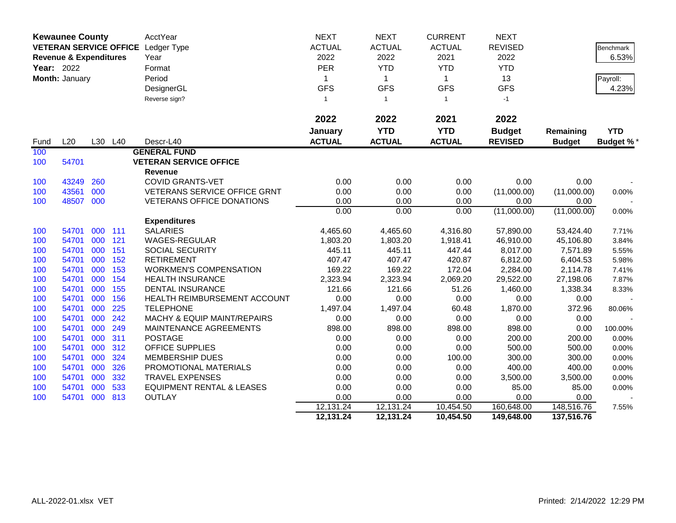|      | <b>Kewaunee County</b>            |     |         | AcctYear                             | <b>NEXT</b>   | <b>NEXT</b>   | <b>CURRENT</b> | <b>NEXT</b>    |               |                  |
|------|-----------------------------------|-----|---------|--------------------------------------|---------------|---------------|----------------|----------------|---------------|------------------|
|      |                                   |     |         | VETERAN SERVICE OFFICE Ledger Type   | <b>ACTUAL</b> | <b>ACTUAL</b> | <b>ACTUAL</b>  | <b>REVISED</b> |               | Benchmark        |
|      | <b>Revenue &amp; Expenditures</b> |     |         | Year                                 | 2022          | 2022          | 2021           | 2022           |               | 6.53%            |
|      | Year: 2022                        |     |         | Format                               | PER           | <b>YTD</b>    | <b>YTD</b>     | <b>YTD</b>     |               |                  |
|      | Month: January                    |     |         | Period                               | $\mathbf{1}$  | $\mathbf{1}$  | $\mathbf{1}$   | 13             |               | Payroll:         |
|      |                                   |     |         | DesignerGL                           | <b>GFS</b>    | <b>GFS</b>    | <b>GFS</b>     | <b>GFS</b>     |               | 4.23%            |
|      |                                   |     |         | Reverse sign?                        | $\mathbf{1}$  | $\mathbf{1}$  | $\mathbf{1}$   | $-1$           |               |                  |
|      |                                   |     |         |                                      |               |               |                |                |               |                  |
|      |                                   |     |         |                                      | 2022          | 2022          | 2021           | 2022           |               |                  |
|      |                                   |     |         |                                      | January       | <b>YTD</b>    | <b>YTD</b>     | <b>Budget</b>  | Remaining     | <b>YTD</b>       |
| Fund | L20                               |     | L30 L40 | Descr-L40                            | <b>ACTUAL</b> | <b>ACTUAL</b> | <b>ACTUAL</b>  | <b>REVISED</b> | <b>Budget</b> | <b>Budget %*</b> |
| 100  |                                   |     |         | <b>GENERAL FUND</b>                  |               |               |                |                |               |                  |
| 100  | 54701                             |     |         | <b>VETERAN SERVICE OFFICE</b>        |               |               |                |                |               |                  |
|      |                                   |     |         | <b>Revenue</b>                       |               |               |                |                |               |                  |
| 100  | 43249                             | 260 |         | <b>COVID GRANTS-VET</b>              | 0.00          | 0.00          | 0.00           | 0.00           | 0.00          |                  |
| 100  | 43561                             | 000 |         | <b>VETERANS SERVICE OFFICE GRNT</b>  | 0.00          | 0.00          | 0.00           | (11,000.00)    | (11,000.00)   | 0.00%            |
| 100  | 48507                             | 000 |         | <b>VETERANS OFFICE DONATIONS</b>     | 0.00          | 0.00          | 0.00           | 0.00           | 0.00          |                  |
|      |                                   |     |         |                                      | 0.00          | 0.00          | 0.00           | (11,000.00)    | (11,000.00)   | 0.00%            |
|      |                                   |     |         | <b>Expenditures</b>                  |               |               |                |                |               |                  |
| 100  | 54701                             | 000 | 111     | <b>SALARIES</b>                      | 4,465.60      | 4,465.60      | 4,316.80       | 57,890.00      | 53,424.40     | 7.71%            |
| 100  | 54701                             | 000 | 121     | <b>WAGES-REGULAR</b>                 | 1,803.20      | 1,803.20      | 1,918.41       | 46,910.00      | 45,106.80     | 3.84%            |
| 100  | 54701                             | 000 | 151     | <b>SOCIAL SECURITY</b>               | 445.11        | 445.11        | 447.44         | 8,017.00       | 7,571.89      | 5.55%            |
| 100  | 54701                             | 000 | 152     | <b>RETIREMENT</b>                    | 407.47        | 407.47        | 420.87         | 6,812.00       | 6,404.53      | 5.98%            |
| 100  | 54701                             | 000 | 153     | <b>WORKMEN'S COMPENSATION</b>        | 169.22        | 169.22        | 172.04         | 2,284.00       | 2,114.78      | 7.41%            |
| 100  | 54701                             | 000 | 154     | <b>HEALTH INSURANCE</b>              | 2,323.94      | 2,323.94      | 2,069.20       | 29,522.00      | 27,198.06     | 7.87%            |
| 100  | 54701                             | 000 | 155     | <b>DENTAL INSURANCE</b>              | 121.66        | 121.66        | 51.26          | 1,460.00       | 1,338.34      | 8.33%            |
| 100  | 54701                             | 000 | 156     | HEALTH REIMBURSEMENT ACCOUNT         | 0.00          | 0.00          | 0.00           | 0.00           | 0.00          |                  |
| 100  | 54701                             | 000 | 225     | <b>TELEPHONE</b>                     | 1,497.04      | 1,497.04      | 60.48          | 1,870.00       | 372.96        | 80.06%           |
| 100  | 54701                             | 000 | 242     | MACHY & EQUIP MAINT/REPAIRS          | 0.00          | 0.00          | 0.00           | 0.00           | 0.00          |                  |
| 100  | 54701                             | 000 | 249     | MAINTENANCE AGREEMENTS               | 898.00        | 898.00        | 898.00         | 898.00         | 0.00          | 100.00%          |
| 100  | 54701                             | 000 | 311     | <b>POSTAGE</b>                       | 0.00          | 0.00          | 0.00           | 200.00         | 200.00        | 0.00%            |
| 100  | 54701                             | 000 | 312     | <b>OFFICE SUPPLIES</b>               | 0.00          | 0.00          | 0.00           | 500.00         | 500.00        | 0.00%            |
| 100  | 54701                             | 000 | 324     | <b>MEMBERSHIP DUES</b>               | 0.00          | 0.00          | 100.00         | 300.00         | 300.00        | 0.00%            |
| 100  | 54701                             | 000 | 326     | PROMOTIONAL MATERIALS                | 0.00          | 0.00          | 0.00           | 400.00         | 400.00        | 0.00%            |
| 100  | 54701                             | 000 | 332     | <b>TRAVEL EXPENSES</b>               | 0.00          | 0.00          | 0.00           | 3,500.00       | 3,500.00      | 0.00%            |
| 100  | 54701                             | 000 | 533     | <b>EQUIPMENT RENTAL &amp; LEASES</b> | 0.00          | 0.00          | 0.00           | 85.00          | 85.00         | 0.00%            |
| 100  | 54701                             | 000 | 813     | <b>OUTLAY</b>                        | 0.00          | 0.00          | 0.00           | 0.00           | 0.00          |                  |
|      |                                   |     |         |                                      | 12,131.24     | 12,131.24     | 10,454.50      | 160,648.00     | 148,516.76    | 7.55%            |
|      |                                   |     |         |                                      | 12,131.24     | 12,131.24     | 10,454.50      | 149,648.00     | 137,516.76    |                  |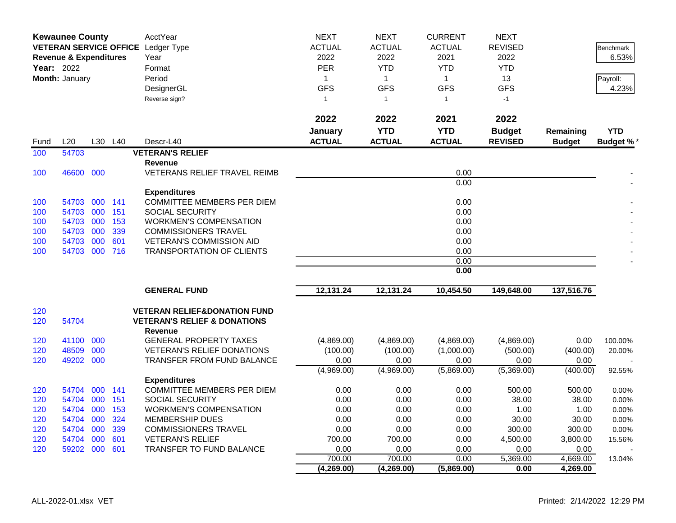|      | <b>Kewaunee County</b>            |         |     | AcctYear                                                  | <b>NEXT</b>   | <b>NEXT</b>    | <b>CURRENT</b> | <b>NEXT</b>    |               |                  |
|------|-----------------------------------|---------|-----|-----------------------------------------------------------|---------------|----------------|----------------|----------------|---------------|------------------|
|      |                                   |         |     | VETERAN SERVICE OFFICE Ledger Type                        | <b>ACTUAL</b> | <b>ACTUAL</b>  | <b>ACTUAL</b>  | <b>REVISED</b> |               | <b>Benchmark</b> |
|      | <b>Revenue &amp; Expenditures</b> |         |     | Year                                                      | 2022          | 2022           | 2021           | 2022           |               | 6.53%            |
|      | <b>Year: 2022</b>                 |         |     | Format                                                    | <b>PER</b>    | <b>YTD</b>     | <b>YTD</b>     | <b>YTD</b>     |               |                  |
|      | Month: January                    |         |     | Period                                                    | $\mathbf{1}$  | $\mathbf{1}$   | $\mathbf{1}$   | 13             |               | Payroll:         |
|      |                                   |         |     | DesignerGL                                                | <b>GFS</b>    | <b>GFS</b>     | <b>GFS</b>     | <b>GFS</b>     |               | 4.23%            |
|      |                                   |         |     |                                                           | $\mathbf{1}$  | $\overline{1}$ | $\mathbf{1}$   | $-1$           |               |                  |
|      |                                   |         |     | Reverse sign?                                             |               |                |                |                |               |                  |
|      |                                   |         |     |                                                           | 2022          | 2022           | 2021           | 2022           |               |                  |
|      |                                   |         |     |                                                           | January       | <b>YTD</b>     | <b>YTD</b>     | <b>Budget</b>  | Remaining     | <b>YTD</b>       |
| Fund | L20                               | L30     | L40 | Descr-L40                                                 | <b>ACTUAL</b> | <b>ACTUAL</b>  | <b>ACTUAL</b>  | <b>REVISED</b> | <b>Budget</b> | <b>Budget %</b>  |
| 100  | 54703                             |         |     | <b>VETERAN'S RELIEF</b>                                   |               |                |                |                |               |                  |
|      |                                   |         |     | <b>Revenue</b>                                            |               |                |                |                |               |                  |
| 100  | 46600 000                         |         |     | <b>VETERANS RELIEF TRAVEL REIMB</b>                       |               |                | 0.00           |                |               |                  |
|      |                                   |         |     |                                                           |               |                | 0.00           |                |               |                  |
|      |                                   |         |     | <b>Expenditures</b>                                       |               |                |                |                |               |                  |
| 100  | 54703                             | 000 141 |     | COMMITTEE MEMBERS PER DIEM                                |               |                | 0.00           |                |               |                  |
| 100  | 54703                             | 000     | 151 | <b>SOCIAL SECURITY</b>                                    |               |                | 0.00           |                |               |                  |
| 100  | 54703 000                         |         | 153 | <b>WORKMEN'S COMPENSATION</b>                             |               |                | 0.00           |                |               |                  |
| 100  | 54703 000                         |         | 339 | <b>COMMISSIONERS TRAVEL</b>                               |               |                | 0.00           |                |               |                  |
| 100  | 54703                             | 000     | 601 | <b>VETERAN'S COMMISSION AID</b>                           |               |                | 0.00           |                |               |                  |
| 100  | 54703 000 716                     |         |     | <b>TRANSPORTATION OF CLIENTS</b>                          |               |                | 0.00           |                |               |                  |
|      |                                   |         |     |                                                           |               |                | 0.00           |                |               |                  |
|      |                                   |         |     |                                                           |               |                | 0.00           |                |               |                  |
|      |                                   |         |     | <b>GENERAL FUND</b>                                       | 12,131.24     | 12,131.24      | 10,454.50      | 149,648.00     | 137,516.76    |                  |
| 120  |                                   |         |     | <b>VETERAN RELIEF&amp;DONATION FUND</b>                   |               |                |                |                |               |                  |
| 120  | 54704                             |         |     | <b>VETERAN'S RELIEF &amp; DONATIONS</b><br><b>Revenue</b> |               |                |                |                |               |                  |
| 120  | 41100 000                         |         |     | <b>GENERAL PROPERTY TAXES</b>                             | (4,869.00)    | (4,869.00)     | (4,869.00)     | (4,869.00)     | 0.00          | 100.00%          |
| 120  | 48509                             | 000     |     | <b>VETERAN'S RELIEF DONATIONS</b>                         | (100.00)      | (100.00)       | (1,000.00)     | (500.00)       | (400.00)      | 20.00%           |
| 120  | 49202 000                         |         |     | <b>TRANSFER FROM FUND BALANCE</b>                         | 0.00          | 0.00           | 0.00           | 0.00           | 0.00          |                  |
|      |                                   |         |     |                                                           | (4,969.00)    | (4,969.00)     | (5,869.00)     | (5,369.00)     | (400.00)      | 92.55%           |
|      |                                   |         |     | <b>Expenditures</b>                                       |               |                |                |                |               |                  |
| 120  | 54704                             | 000 141 |     | <b>COMMITTEE MEMBERS PER DIEM</b>                         | 0.00          | 0.00           | 0.00           | 500.00         | 500.00        | 0.00%            |
| 120  | 54704 000                         |         | 151 | <b>SOCIAL SECURITY</b>                                    | 0.00          | 0.00           | 0.00           | 38.00          | 38.00         | 0.00%            |
| 120  | 54704 000                         |         | 153 | <b>WORKMEN'S COMPENSATION</b>                             | 0.00          | 0.00           | 0.00           | 1.00           | 1.00          | 0.00%            |
| 120  | 54704                             | 000     | 324 | <b>MEMBERSHIP DUES</b>                                    | 0.00          | 0.00           | 0.00           | 30.00          | 30.00         | 0.00%            |
| 120  | 54704 000                         |         | 339 | <b>COMMISSIONERS TRAVEL</b>                               | 0.00          | 0.00           | 0.00           | 300.00         | 300.00        | 0.00%            |
| 120  | 54704 000                         |         | 601 | <b>VETERAN'S RELIEF</b>                                   | 700.00        | 700.00         | 0.00           | 4,500.00       | 3,800.00      | 15.56%           |
| 120  | 59202 000                         |         | 601 | <b>TRANSFER TO FUND BALANCE</b>                           | 0.00          | 0.00           | 0.00           | 0.00           | 0.00          |                  |
|      |                                   |         |     |                                                           | 700.00        | 700.00         | 0.00           | 5,369.00       | 4,669.00      | 13.04%           |
|      |                                   |         |     |                                                           | (4,269.00)    | (4,269.00)     | (5,869.00)     | 0.00           | 4,269.00      |                  |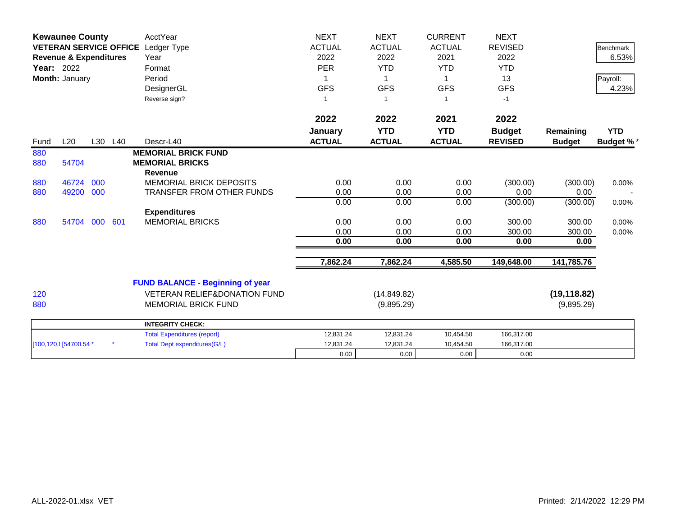|      | <b>Kewaunee County</b><br><b>VETERAN SERVICE OFFICE</b><br><b>Revenue &amp; Expenditures</b><br><b>Year: 2022</b><br>Month: January |     |         | AcctYear<br>Ledger Type<br>Year<br>Format<br>Period<br>DesignerGL | <b>NEXT</b><br><b>ACTUAL</b><br>2022<br><b>PER</b><br><b>GFS</b> | <b>NEXT</b><br><b>ACTUAL</b><br>2022<br><b>YTD</b><br>-1<br><b>GFS</b> | <b>CURRENT</b><br><b>ACTUAL</b><br>2021<br><b>YTD</b><br>1<br><b>GFS</b> | <b>NEXT</b><br><b>REVISED</b><br>2022<br><b>YTD</b><br>13<br><b>GFS</b> |                            | <b>Benchmark</b><br>6.53%<br>Payroll:<br>4.23% |
|------|-------------------------------------------------------------------------------------------------------------------------------------|-----|---------|-------------------------------------------------------------------|------------------------------------------------------------------|------------------------------------------------------------------------|--------------------------------------------------------------------------|-------------------------------------------------------------------------|----------------------------|------------------------------------------------|
| Fund | L20                                                                                                                                 |     | L30 L40 | Reverse sign?<br>Descr-L40                                        | $\overline{1}$<br>2022<br>January<br><b>ACTUAL</b>               | 2022<br><b>YTD</b><br><b>ACTUAL</b>                                    | $\overline{1}$<br>2021<br><b>YTD</b><br><b>ACTUAL</b>                    | $-1$<br>2022<br><b>Budget</b><br><b>REVISED</b>                         | Remaining<br><b>Budget</b> | <b>YTD</b><br><b>Budget %*</b>                 |
| 880  |                                                                                                                                     |     |         | <b>MEMORIAL BRICK FUND</b>                                        |                                                                  |                                                                        |                                                                          |                                                                         |                            |                                                |
| 880  | 54704                                                                                                                               |     |         | <b>MEMORIAL BRICKS</b>                                            |                                                                  |                                                                        |                                                                          |                                                                         |                            |                                                |
|      |                                                                                                                                     |     |         | <b>Revenue</b>                                                    |                                                                  |                                                                        |                                                                          |                                                                         |                            |                                                |
| 880  | 46724                                                                                                                               | 000 |         | <b>MEMORIAL BRICK DEPOSITS</b>                                    | 0.00                                                             | 0.00                                                                   | 0.00                                                                     | (300.00)                                                                | (300.00)                   | 0.00%                                          |
| 880  | 49200                                                                                                                               | 000 |         | <b>TRANSFER FROM OTHER FUNDS</b>                                  | 0.00                                                             | 0.00                                                                   | 0.00                                                                     | 0.00                                                                    | 0.00                       |                                                |
|      |                                                                                                                                     |     |         |                                                                   | 0.00                                                             | 0.00                                                                   | 0.00                                                                     | (300.00)                                                                | (300.00)                   | 0.00%                                          |
|      |                                                                                                                                     |     |         | <b>Expenditures</b>                                               |                                                                  |                                                                        |                                                                          |                                                                         |                            |                                                |
| 880  | 54704 000                                                                                                                           |     | 601     | <b>MEMORIAL BRICKS</b>                                            | 0.00                                                             | 0.00                                                                   | 0.00                                                                     | 300.00                                                                  | 300.00                     | 0.00%                                          |
|      |                                                                                                                                     |     |         |                                                                   | 0.00<br>0.00                                                     | 0.00<br>0.00                                                           | 0.00                                                                     | 300.00<br>0.00                                                          | 300.00                     | 0.00%                                          |
|      |                                                                                                                                     |     |         |                                                                   |                                                                  |                                                                        | 0.00                                                                     |                                                                         | 0.00                       |                                                |
|      |                                                                                                                                     |     |         |                                                                   | 7,862.24                                                         | 7,862.24                                                               | 4,585.50                                                                 | 149,648.00                                                              | 141,785.76                 |                                                |
|      |                                                                                                                                     |     |         | <b>FUND BALANCE - Beginning of year</b>                           |                                                                  |                                                                        |                                                                          |                                                                         |                            |                                                |
| 120  |                                                                                                                                     |     |         | <b>VETERAN RELIEF&amp;DONATION FUND</b>                           |                                                                  | (14, 849.82)                                                           |                                                                          |                                                                         | (19, 118.82)               |                                                |
| 880  |                                                                                                                                     |     |         | <b>MEMORIAL BRICK FUND</b>                                        |                                                                  | (9,895.29)                                                             |                                                                          |                                                                         | (9,895.29)                 |                                                |
|      |                                                                                                                                     |     |         | <b>INTEGRITY CHECK:</b>                                           |                                                                  |                                                                        |                                                                          |                                                                         |                            |                                                |
|      |                                                                                                                                     |     |         | <b>Total Expenditures (report)</b>                                | 12,831.24                                                        | 12,831.24                                                              | 10,454.50                                                                | 166,317.00                                                              |                            |                                                |
|      | [100,120, 8] 54700.54 *                                                                                                             |     |         | <b>Total Dept expenditures(G/L)</b>                               | 12,831.24                                                        | 12,831.24                                                              | 10,454.50                                                                | 166,317.00                                                              |                            |                                                |
|      |                                                                                                                                     |     |         |                                                                   | 0.00                                                             | 0.00                                                                   | 0.00                                                                     | 0.00                                                                    |                            |                                                |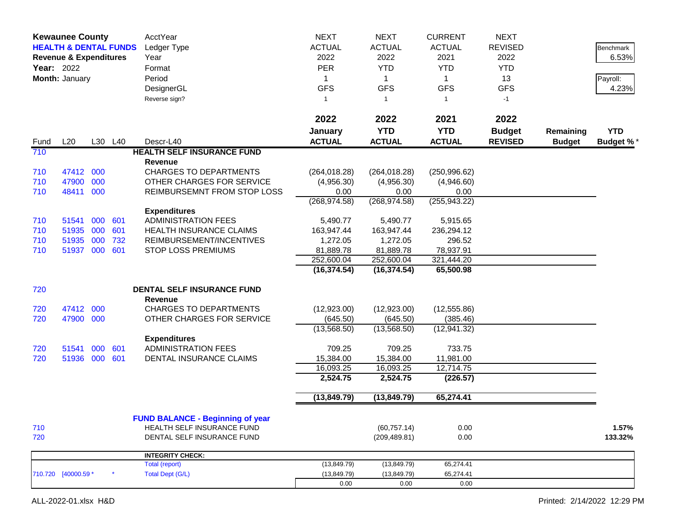|            | <b>Kewaunee County</b><br><b>HEALTH &amp; DENTAL FUNDS</b><br><b>Revenue &amp; Expenditures</b><br>Year: 2022<br>Month: January |            |            | AcctYear<br>Ledger Type<br>Year<br>Format<br>Period<br>DesignerGL<br>Reverse sign? | <b>NEXT</b><br><b>ACTUAL</b><br>2022<br><b>PER</b><br>1<br><b>GFS</b><br>$\mathbf{1}$ | <b>NEXT</b><br><b>ACTUAL</b><br>2022<br><b>YTD</b><br>1<br><b>GFS</b><br>-1 | <b>CURRENT</b><br><b>ACTUAL</b><br>2021<br><b>YTD</b><br>$\mathbf 1$<br><b>GFS</b><br>1 | <b>NEXT</b><br><b>REVISED</b><br>2022<br><b>YTD</b><br>13<br><b>GFS</b><br>$-1$ |                            | Benchmark<br>6.53%<br>Payroll:<br>4.23% |
|------------|---------------------------------------------------------------------------------------------------------------------------------|------------|------------|------------------------------------------------------------------------------------|---------------------------------------------------------------------------------------|-----------------------------------------------------------------------------|-----------------------------------------------------------------------------------------|---------------------------------------------------------------------------------|----------------------------|-----------------------------------------|
|            |                                                                                                                                 |            |            |                                                                                    | 2022                                                                                  | 2022                                                                        | 2021                                                                                    | 2022                                                                            |                            |                                         |
| Fund       | L20                                                                                                                             |            | L30 L40    | Descr-L40                                                                          | January<br><b>ACTUAL</b>                                                              | <b>YTD</b><br><b>ACTUAL</b>                                                 | <b>YTD</b><br><b>ACTUAL</b>                                                             | <b>Budget</b><br><b>REVISED</b>                                                 | Remaining<br><b>Budget</b> | <b>YTD</b><br><b>Budget %*</b>          |
| 710        |                                                                                                                                 |            |            | <b>HEALTH SELF INSURANCE FUND</b>                                                  |                                                                                       |                                                                             |                                                                                         |                                                                                 |                            |                                         |
|            |                                                                                                                                 |            |            | Revenue                                                                            |                                                                                       |                                                                             |                                                                                         |                                                                                 |                            |                                         |
| 710        | 47412 000                                                                                                                       |            |            | <b>CHARGES TO DEPARTMENTS</b>                                                      | (264, 018.28)                                                                         | (264, 018.28)                                                               | (250, 996.62)                                                                           |                                                                                 |                            |                                         |
| 710        | 47900                                                                                                                           | 000        |            | OTHER CHARGES FOR SERVICE                                                          | (4,956.30)                                                                            | (4,956.30)                                                                  | (4,946.60)                                                                              |                                                                                 |                            |                                         |
| 710        | 48411                                                                                                                           | 000        |            | REIMBURSEMNT FROM STOP LOSS                                                        | 0.00                                                                                  | 0.00                                                                        | 0.00                                                                                    |                                                                                 |                            |                                         |
|            |                                                                                                                                 |            |            |                                                                                    | (268, 974.58)                                                                         | (268, 974.58)                                                               | (255, 943.22)                                                                           |                                                                                 |                            |                                         |
|            |                                                                                                                                 |            |            | <b>Expenditures</b>                                                                |                                                                                       |                                                                             |                                                                                         |                                                                                 |                            |                                         |
| 710        | 51541                                                                                                                           | 000<br>000 | 601        | <b>ADMINISTRATION FEES</b>                                                         | 5,490.77                                                                              | 5,490.77                                                                    | 5,915.65                                                                                |                                                                                 |                            |                                         |
| 710<br>710 | 51935<br>51935                                                                                                                  | 000        | 601<br>732 | <b>HEALTH INSURANCE CLAIMS</b><br>REIMBURSEMENT/INCENTIVES                         | 163,947.44<br>1,272.05                                                                | 163,947.44<br>1,272.05                                                      | 236,294.12<br>296.52                                                                    |                                                                                 |                            |                                         |
| 710        | 51937 000                                                                                                                       |            | 601        | <b>STOP LOSS PREMIUMS</b>                                                          | 81,889.78                                                                             | 81,889.78                                                                   | 78,937.91                                                                               |                                                                                 |                            |                                         |
|            |                                                                                                                                 |            |            |                                                                                    | 252,600.04                                                                            | 252,600.04                                                                  | 321,444.20                                                                              |                                                                                 |                            |                                         |
|            |                                                                                                                                 |            |            |                                                                                    | (16, 374.54)                                                                          | (16, 374.54)                                                                | 65,500.98                                                                               |                                                                                 |                            |                                         |
| 720        |                                                                                                                                 |            |            | DENTAL SELF INSURANCE FUND                                                         |                                                                                       |                                                                             |                                                                                         |                                                                                 |                            |                                         |
|            |                                                                                                                                 |            |            | <b>Revenue</b>                                                                     |                                                                                       |                                                                             |                                                                                         |                                                                                 |                            |                                         |
| 720        | 47412                                                                                                                           | 000        |            | <b>CHARGES TO DEPARTMENTS</b>                                                      | (12,923.00)                                                                           | (12,923.00)                                                                 | (12, 555.86)                                                                            |                                                                                 |                            |                                         |
| 720        | 47900 000                                                                                                                       |            |            | OTHER CHARGES FOR SERVICE                                                          | (645.50)                                                                              | (645.50)                                                                    | (385.46)                                                                                |                                                                                 |                            |                                         |
|            |                                                                                                                                 |            |            |                                                                                    | (13,568.50)                                                                           | (13,568.50)                                                                 | (12, 941.32)                                                                            |                                                                                 |                            |                                         |
|            |                                                                                                                                 |            |            | <b>Expenditures</b>                                                                |                                                                                       |                                                                             |                                                                                         |                                                                                 |                            |                                         |
| 720        | 51541                                                                                                                           | 000        | 601        | <b>ADMINISTRATION FEES</b>                                                         | 709.25                                                                                | 709.25                                                                      | 733.75                                                                                  |                                                                                 |                            |                                         |
| 720        | 51936 000                                                                                                                       |            | 601        | DENTAL INSURANCE CLAIMS                                                            | 15,384.00                                                                             | 15,384.00                                                                   | 11,981.00                                                                               |                                                                                 |                            |                                         |
|            |                                                                                                                                 |            |            |                                                                                    | 16,093.25<br>2,524.75                                                                 | 16,093.25<br>2,524.75                                                       | 12,714.75<br>(226.57)                                                                   |                                                                                 |                            |                                         |
|            |                                                                                                                                 |            |            |                                                                                    |                                                                                       |                                                                             |                                                                                         |                                                                                 |                            |                                         |
|            |                                                                                                                                 |            |            |                                                                                    | (13, 849.79)                                                                          | (13, 849.79)                                                                | 65,274.41                                                                               |                                                                                 |                            |                                         |
|            |                                                                                                                                 |            |            | <b>FUND BALANCE - Beginning of year</b>                                            |                                                                                       |                                                                             |                                                                                         |                                                                                 |                            |                                         |
| 710        |                                                                                                                                 |            |            | HEALTH SELF INSURANCE FUND                                                         |                                                                                       | (60, 757.14)                                                                | 0.00                                                                                    |                                                                                 |                            | 1.57%                                   |
| 720        |                                                                                                                                 |            |            | DENTAL SELF INSURANCE FUND                                                         |                                                                                       | (209, 489.81)                                                               | 0.00                                                                                    |                                                                                 |                            | 133.32%                                 |
|            |                                                                                                                                 |            |            | <b>INTEGRITY CHECK:</b>                                                            |                                                                                       |                                                                             |                                                                                         |                                                                                 |                            |                                         |
|            |                                                                                                                                 |            |            | Total (report)                                                                     | (13, 849.79)                                                                          | (13, 849.79)                                                                | 65,274.41                                                                               |                                                                                 |                            |                                         |
|            | 710.720 [40000.59 *                                                                                                             |            |            | <b>Total Dept (G/L)</b>                                                            | (13, 849.79)                                                                          | (13, 849.79)                                                                | 65,274.41                                                                               |                                                                                 |                            |                                         |
|            |                                                                                                                                 |            |            |                                                                                    | 0.00                                                                                  | 0.00                                                                        | 0.00                                                                                    |                                                                                 |                            |                                         |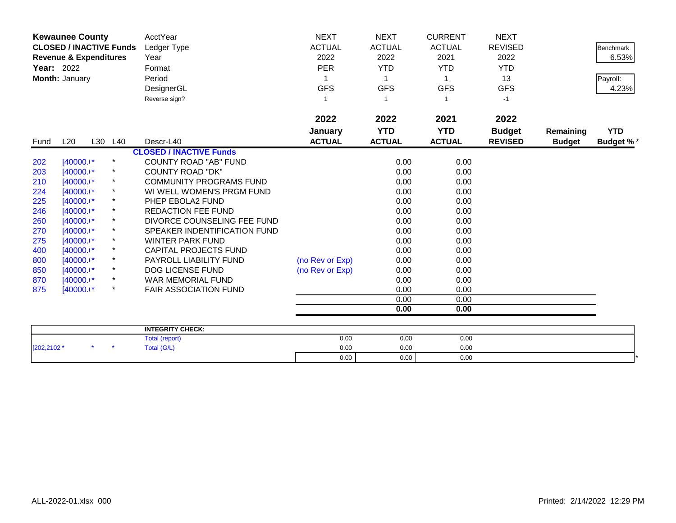|                   | <b>Kewaunee County</b>            |         |          | AcctYear                               | <b>NEXT</b>     | <b>NEXT</b>   | <b>CURRENT</b> | <b>NEXT</b>    |               |                  |
|-------------------|-----------------------------------|---------|----------|----------------------------------------|-----------------|---------------|----------------|----------------|---------------|------------------|
|                   | <b>CLOSED / INACTIVE Funds</b>    |         |          | Ledger Type                            | <b>ACTUAL</b>   | <b>ACTUAL</b> | <b>ACTUAL</b>  | <b>REVISED</b> |               | <b>Benchmark</b> |
|                   | <b>Revenue &amp; Expenditures</b> |         |          | Year                                   | 2022            | 2022          | 2021           | 2022           |               | 6.53%            |
| <b>Year: 2022</b> |                                   |         |          | Format                                 | <b>PER</b>      | <b>YTD</b>    | <b>YTD</b>     | <b>YTD</b>     |               |                  |
|                   | Month: January                    |         |          | Period                                 |                 |               |                | 13             |               | Payroll:         |
|                   |                                   |         |          | DesignerGL                             | <b>GFS</b>      | <b>GFS</b>    | <b>GFS</b>     | <b>GFS</b>     |               | 4.23%            |
|                   |                                   |         |          | Reverse sign?                          | 1               |               |                | $-1$           |               |                  |
|                   |                                   |         |          |                                        |                 |               |                |                |               |                  |
|                   |                                   |         |          |                                        | 2022            | 2022          | 2021           | 2022           |               |                  |
|                   |                                   |         |          |                                        | January         | <b>YTD</b>    | <b>YTD</b>     | <b>Budget</b>  | Remaining     | <b>YTD</b>       |
| Fund              | L20                               | L30 L40 |          | Descr-L40                              | <b>ACTUAL</b>   | <b>ACTUAL</b> | <b>ACTUAL</b>  | <b>REVISED</b> | <b>Budget</b> | <b>Budget %*</b> |
|                   |                                   |         |          | <b>CLOSED / INACTIVE Funds</b>         |                 |               |                |                |               |                  |
| 202               | $[40000.1*$                       |         | $\star$  | <b>COUNTY ROAD "AB" FUND</b>           |                 | 0.00          | 0.00           |                |               |                  |
| 203               | $[40000.1*$                       |         | $\ast$   | <b>COUNTY ROAD "DK"</b>                |                 | 0.00          | 0.00           |                |               |                  |
| 210               | $[40000.1*$                       |         |          | <b>COMMUNITY PROGRAMS FUND</b>         |                 | 0.00          | 0.00           |                |               |                  |
| 224               | $[40000.1*$                       |         |          | WI WELL WOMEN'S PRGM FUND              |                 | 0.00          | 0.00           |                |               |                  |
| 225               | $[40000.1*$                       |         |          | PHEP EBOLA2 FUND                       |                 | 0.00          | 0.00           |                |               |                  |
| 246               | $[40000.1*]$                      |         | $^\star$ | <b>REDACTION FEE FUND</b>              |                 | 0.00          | 0.00           |                |               |                  |
| 260               | $[40000.1*$                       |         |          | DIVORCE COUNSELING FEE FUND            |                 | 0.00          | 0.00           |                |               |                  |
| 270               | $[40000.1*$                       |         | $^\star$ | SPEAKER INDENTIFICATION FUND           |                 | 0.00          | 0.00           |                |               |                  |
| 275               | $[40000.1*]$                      |         | $^\star$ | <b>WINTER PARK FUND</b>                |                 | 0.00          | 0.00           |                |               |                  |
| 400               | $[40000.1*]$                      |         |          | <b>CAPITAL PROJECTS FUND</b>           |                 | 0.00          | 0.00           |                |               |                  |
| 800               | $[40000.1*]$                      |         | $^\star$ | PAYROLL LIABILITY FUND                 | (no Rev or Exp) | 0.00          | 0.00           |                |               |                  |
| 850               | $[40000.1*]$                      |         |          | DOG LICENSE FUND                       | (no Rev or Exp) | 0.00          | 0.00           |                |               |                  |
| 870               | $[40000.1*$                       |         | $^\star$ | WAR MEMORIAL FUND                      |                 | 0.00          | 0.00           |                |               |                  |
| 875               | $[40000.1*$                       |         | $\star$  | <b>FAIR ASSOCIATION FUND</b>           |                 | 0.00          | 0.00           |                |               |                  |
|                   |                                   |         |          |                                        |                 | 0.00          | 0.00           |                |               |                  |
|                   |                                   |         |          |                                        |                 | 0.00          | 0.00           |                |               |                  |
|                   |                                   |         |          |                                        |                 |               |                |                |               |                  |
|                   |                                   |         |          | <b>INTEGRITY CHECK:</b><br>$T = 1.117$ | 0.00            | 0.00          | 0.00           |                |               |                  |

|            |  | <b>INTEGRITY CHECK:</b> |      |      |      |  |
|------------|--|-------------------------|------|------|------|--|
|            |  | Total (report)          | 0.00 | 0.00 | 0.00 |  |
| [202,2102' |  | <b>Fotal (G/L)</b>      | 0.00 | 0.00 | 0.00 |  |
|            |  |                         | 0.00 | 0.00 | 0.00 |  |